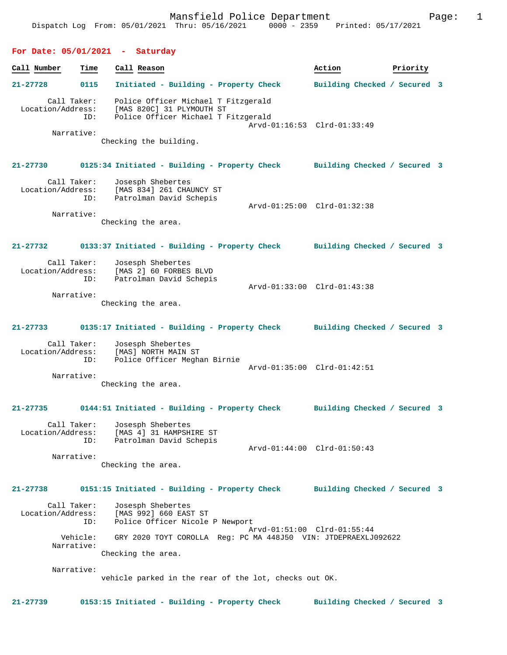#### **For Date: 05/01/2021 - Saturday**

| Time<br>Call Number                                   | Call Reason                                                                                                                       | Action                       | Priority |
|-------------------------------------------------------|-----------------------------------------------------------------------------------------------------------------------------------|------------------------------|----------|
| $21 - 27728$<br>0115                                  | Initiated - Building - Property Check                                                                                             | Building Checked / Secured 3 |          |
| Call Taker:<br>Location/Address:<br>ID:<br>Narrative: | Police Officer Michael T Fitzgerald<br>[MAS 820C] 31 PLYMOUTH ST<br>Police Officer Michael T Fitzgerald<br>Checking the building. | Arvd-01:16:53 Clrd-01:33:49  |          |

# **21-27730 0125:34 Initiated - Building - Property Check Building Checked / Secured 3** Call Taker: Josesph Shebertes

 Location/Address: [MAS 834] 261 CHAUNCY ST ID: Patrolman David Schepis Arvd-01:25:00 Clrd-01:32:38 Narrative:

Checking the area.

## **21-27732 0133:37 Initiated - Building - Property Check Building Checked / Secured 3**

| Call Taker:<br>Location/Address:<br>ID: | Josesph Shebertes<br>[MAS 2] 60 FORBES BLVD<br>Patrolman David Schepis |                             |  |
|-----------------------------------------|------------------------------------------------------------------------|-----------------------------|--|
|                                         |                                                                        | Arvd-01:33:00 Clrd-01:43:38 |  |
| Narrative:                              |                                                                        |                             |  |

Checking the area.

#### **21-27733 0135:17 Initiated - Building - Property Check Building Checked / Secured 3**

 Call Taker: Josesph Shebertes Location/Address: [MAS] NORTH MAIN ST ID: Police Officer Meghan Birnie Arvd-01:35:00 Clrd-01:42:51 Narrative:

Checking the area.

## **21-27735 0144:51 Initiated - Building - Property Check Building Checked / Secured 3**

 Call Taker: Josesph Shebertes Location/Address: [MAS 4] 31 HAMPSHIRE ST ID: Patrolman David Schepis Arvd-01:44:00 Clrd-01:50:43

Narrative:

Checking the area.

#### **21-27738 0151:15 Initiated - Building - Property Check Building Checked / Secured 3**

 Call Taker: Josesph Shebertes Location/Address: [MAS 992] 660 EAST ST<br>TD: Police Officer Nicole Police Officer Nicole P Newport Arvd-01:51:00 Clrd-01:55:44 Vehicle: GRY 2020 TOYT COROLLA Reg: PC MA 448J50 VIN: JTDEPRAEXLJ092622 Narrative: Checking the area.

Narrative:

vehicle parked in the rear of the lot, checks out OK.

**21-27739 0153:15 Initiated - Building - Property Check Building Checked / Secured 3**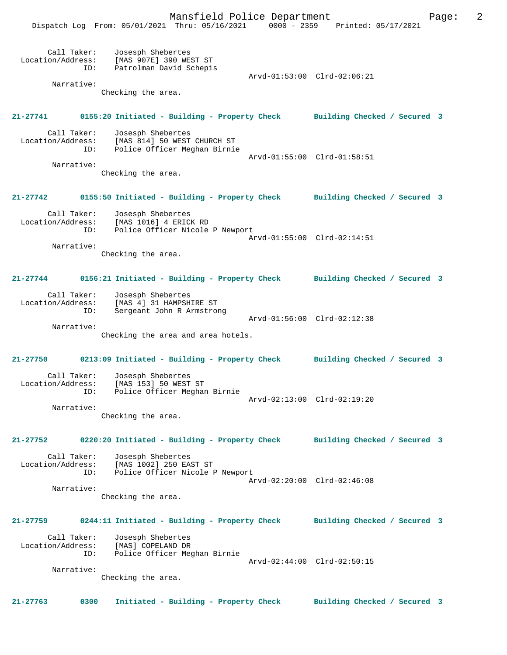Mansfield Police Department Page: 2

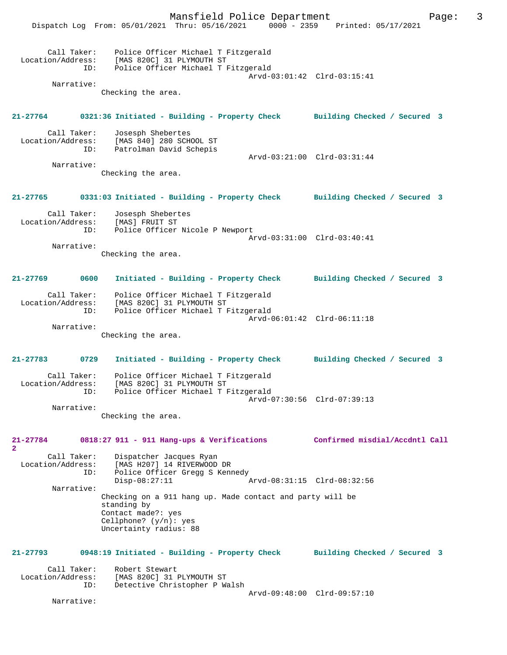Mansfield Police Department Page: 3 Dispatch Log From: 05/01/2021 Thru: 05/16/2021 0000 - 2359 Printed: 05/17/2021 Call Taker: Police Officer Michael T Fitzgerald<br>Location/Address: [MAS 820C] 31 PLYMOUTH ST [MAS 820C] 31 PLYMOUTH ST ID: Police Officer Michael T Fitzgerald Arvd-03:01:42 Clrd-03:15:41 Narrative: Checking the area. **21-27764 0321:36 Initiated - Building - Property Check Building Checked / Secured 3** Call Taker: Josesph Shebertes Location/Address: [MAS 840] 280 SCHOOL ST Patrolman David Schepis Arvd-03:21:00 Clrd-03:31:44 Narrative: Checking the area. **21-27765 0331:03 Initiated - Building - Property Check Building Checked / Secured 3** Call Taker: Josesph Shebertes<br>.on/Address: [MAS] FRUIT ST Location/Address: ID: Police Officer Nicole P Newport Arvd-03:31:00 Clrd-03:40:41 Narrative: Checking the area. **21-27769 0600 Initiated - Building - Property Check Building Checked / Secured 3** Call Taker: Police Officer Michael T Fitzgerald Location/Address: [MAS 820C] 31 PLYMOUTH ST<br>TD: Police Officer Michael TJ Police Officer Michael T Fitzgerald Arvd-06:01:42 Clrd-06:11:18 Narrative: Checking the area. **21-27783 0729 Initiated - Building - Property Check Building Checked / Secured 3** Call Taker: Police Officer Michael T Fitzgerald Location/Address: [MAS 820C] 31 PLYMOUTH ST ID: Police Officer Michael T Fitzgerald Arvd-07:30:56 Clrd-07:39:13 Narrative: Checking the area. **21-27784 0818:27 911 - 911 Hang-ups & Verifications Confirmed misdial/Accdntl Call 2**  Call Taker: Dispatcher Jacques Ryan<br>Location/Address: [MAS H207] 14 RIVERWOOD [MAS H207] 14 RIVERWOOD DR ID: Police Officer Gregg S Kennedy<br>Disp-08:27:11 Disp-08:27:11 Arvd-08:31:15 Clrd-08:32:56 Narrative: Checking on a 911 hang up. Made contact and party will be standing by Contact made?: yes Cellphone? (y/n): yes Uncertainty radius: 88 **21-27793 0948:19 Initiated - Building - Property Check Building Checked / Secured 3** Call Taker: Robert Stewart<br>Location/Address: [MAS 820C] 31 ess: [MAS 820C] 31 PLYMOUTH ST<br>ID: Detective Christopher P W& Detective Christopher P Walsh Arvd-09:48:00 Clrd-09:57:10 Narrative: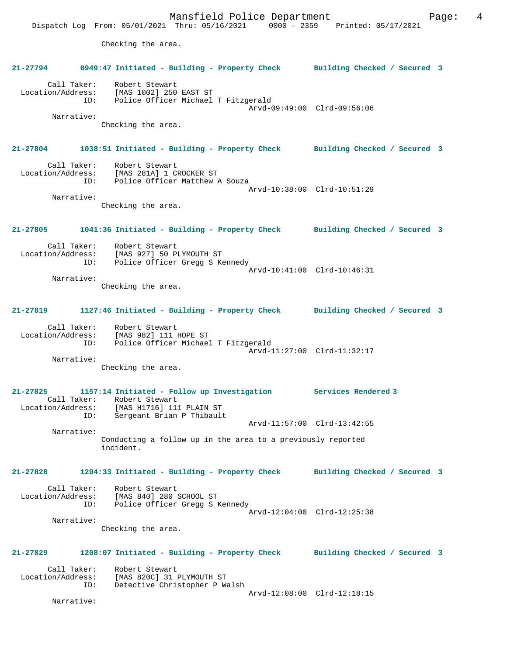Mansfield Police Department Form Page: 4 Dispatch Log From: 05/01/2021 Thru: 05/16/2021 0000 - 2359 Printed: 05/17/2021 Checking the area. **21-27794 0949:47 Initiated - Building - Property Check Building Checked / Secured 3** Call Taker: Robert Stewart Location/Address: [MAS 1002] 250 EAST ST ID: Police Officer Michael T Fitzgerald Arvd-09:49:00 Clrd-09:56:06 Narrative: Checking the area. **21-27804 1038:51 Initiated - Building - Property Check Building Checked / Secured 3** Call Taker: Robert Stewart Location/Address: [MAS 281A] 1 CROCKER ST ID: Police Officer Matthew A Souza Arvd-10:38:00 Clrd-10:51:29 Narrative: Checking the area. **21-27805 1041:36 Initiated - Building - Property Check Building Checked / Secured 3** Call Taker: Robert Stewart Location/Address: [MAS 927] 50 PLYMOUTH ST Police Officer Gregg S Kennedy Arvd-10:41:00 Clrd-10:46:31 Narrative: Checking the area. **21-27819 1127:46 Initiated - Building - Property Check Building Checked / Secured 3** Call Taker: Robert Stewart Location/Address: [MAS 982] 111 HOPE ST ID: Police Officer Michael T Fitzgerald Arvd-11:27:00 Clrd-11:32:17 Narrative: Checking the area. **21-27825 1157:14 Initiated - Follow up Investigation Services Rendered 3**  Call Taker: Robert Stewart Location/Address: [MAS H1716] 111 PLAIN ST ID: Sergeant Brian P Thibault Arvd-11:57:00 Clrd-13:42:55 Narrative: Conducting a follow up in the area to a previously reported incident. **21-27828 1204:33 Initiated - Building - Property Check Building Checked / Secured 3** Call Taker: Robert Stewart Location/Address: [MAS 840] 280 SCHOOL ST ID: Police Officer Gregg S Kennedy Arvd-12:04:00 Clrd-12:25:38 Narrative: Checking the area. **21-27829 1208:07 Initiated - Building - Property Check Building Checked / Secured 3** Call Taker: Robert Stewart<br>Location/Address: [MAS 820C] 31 : ess: [MAS 820C] 31 PLYMOUTH ST<br>ID: Detective Christopher P Wa Detective Christopher P Walsh Arvd-12:08:00 Clrd-12:18:15 Narrative: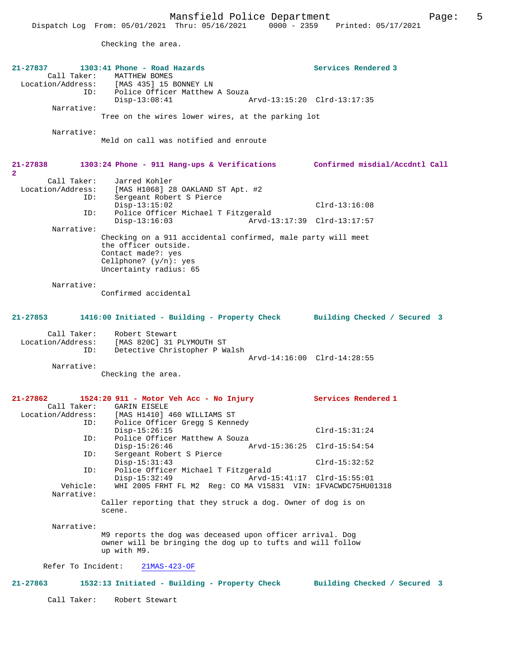Checking the area.

| 21-27837           | 1303:41 Phone - Road Hazards                                                    | Services Rendered 3          |
|--------------------|---------------------------------------------------------------------------------|------------------------------|
| Call Taker:        | MATTHEW BOMES<br>Location/Address: [MAS 435] 15 BONNEY LN                       |                              |
| ID:                | Police Officer Matthew A Souza                                                  |                              |
|                    | $Disp-13:08:41$                                                                 | Arvd-13:15:20 Clrd-13:17:35  |
| Narrative:         |                                                                                 |                              |
|                    | Tree on the wires lower wires, at the parking lot                               |                              |
| Narrative:         |                                                                                 |                              |
|                    | Meld on call was notified and enroute                                           |                              |
|                    |                                                                                 |                              |
| 21-27838           | 1303:24 Phone - 911 Hang-ups & Verifications Confirmed misdial/Accdntl Call     |                              |
| $\mathbf{2}$       |                                                                                 |                              |
| Call Taker:        | Jarred Kohler                                                                   |                              |
| ID:                | Location/Address: [MAS H1068] 28 OAKLAND ST Apt. #2<br>Sergeant Robert S Pierce |                              |
|                    | $Disp-13:15:02$                                                                 | $Clrd-13:16:08$              |
| ID:                | Police Officer Michael T Fitzgerald                                             |                              |
| Narrative:         | $Disp-13:16:03$                                                                 | Arvd-13:17:39 Clrd-13:17:57  |
|                    | Checking on a 911 accidental confirmed, male party will meet                    |                              |
|                    | the officer outside.                                                            |                              |
|                    | Contact made?: yes<br>Cellphone? $(y/n)$ : yes                                  |                              |
|                    | Uncertainty radius: 65                                                          |                              |
|                    |                                                                                 |                              |
| Narrative:         | Confirmed accidental                                                            |                              |
|                    |                                                                                 |                              |
|                    |                                                                                 |                              |
| $21 - 27853$       | 1416:00 Initiated - Building - Property Check                                   | Building Checked / Secured 3 |
| Call Taker:        | Robert Stewart                                                                  |                              |
| Location/Address:  | [MAS 820C] 31 PLYMOUTH ST                                                       |                              |
| ID:                | Detective Christopher P Walsh                                                   |                              |
| Narrative:         |                                                                                 | Arvd-14:16:00 Clrd-14:28:55  |
|                    | Checking the area.                                                              |                              |
|                    |                                                                                 |                              |
| 21-27862           | 1524:20 911 - Motor Veh Acc - No Injury                                         | Services Rendered 1          |
|                    | Call Taker: GARIN EISELE                                                        |                              |
| Location/Address:  | [MAS H1410] 460 WILLIAMS ST                                                     |                              |
| ID:                | Police Officer Gregg S Kennedy<br>$Disp-15:26:15$                               | $Clrd-15:31:24$              |
| ID:                | Police Officer Matthew A Souza                                                  |                              |
|                    | $Disp-15:26:46$                                                                 | Arvd-15:36:25 Clrd-15:54:54  |
| ID:                | Sergeant Robert S Pierce                                                        |                              |
| ID:                | $Disp-15:31:43$<br>Police Officer Michael T Fitzgerald                          | $Clrd-15:32:52$              |
|                    | $Disp-15:32:49$                                                                 | Arvd-15:41:17 Clrd-15:55:01  |
| Vehicle:           | WHI 2005 FRHT FL M2 Req: CO MA V15831 VIN: 1FVACWDC75HU01318                    |                              |
| Narrative:         | Caller reporting that they struck a dog. Owner of dog is on                     |                              |
|                    | scene.                                                                          |                              |
|                    |                                                                                 |                              |
| Narrative:         | M9 reports the dog was deceased upon officer arrival. Dog                       |                              |
|                    | owner will be bringing the dog up to tufts and will follow                      |                              |
|                    | up with M9.                                                                     |                              |
| Refer To Incident: | $21MAS-423-OF$                                                                  |                              |
|                    |                                                                                 |                              |
| $21 - 27863$       | 1532:13 Initiated - Building - Property Check                                   | Building Checked / Secured 3 |
|                    |                                                                                 |                              |
| Call Taker:        | Robert Stewart                                                                  |                              |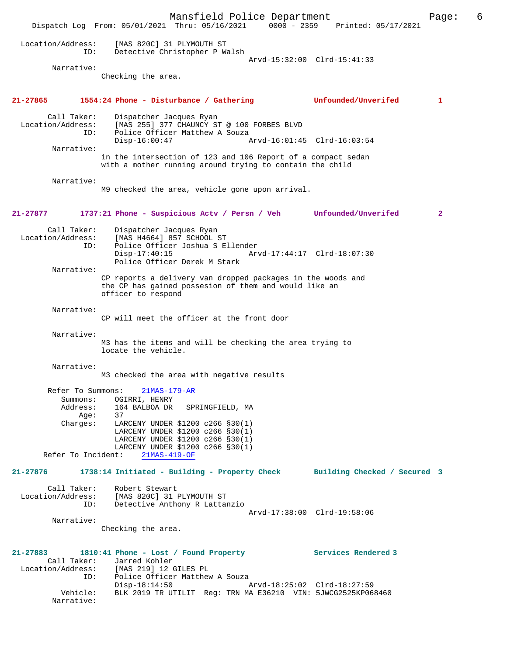Mansfield Police Department Page: 6 Dispatch Log From: 05/01/2021 Thru: 05/16/2021 0000 - 2359 Printed: 05/17/2021 Location/Address: [MAS 820C] 31 PLYMOUTH ST ID: Detective Christopher P Walsh Arvd-15:32:00 Clrd-15:41:33 Narrative: Checking the area. **21-27865 1554:24 Phone - Disturbance / Gathering Unfounded/Unverifed 1** Call Taker: Dispatcher Jacques Ryan Location/Address: [MAS 255] 377 CHAUNCY ST @ 100 FORBES BLVD ID: Police Officer Matthew A Souza<br>Disp-16:00:47 Disp-16:00:47 Arvd-16:01:45 Clrd-16:03:54 Narrative: in the intersection of 123 and 106 Report of a compact sedan with a mother running around trying to contain the child Narrative: M9 checked the area, vehicle gone upon arrival. **21-27877 1737:21 Phone - Suspicious Actv / Persn / Veh Unfounded/Unverifed 2** Call Taker: Dispatcher Jacques Ryan Location/Address: [MAS H4664] 857 SCHOOL ST ID: Police Officer Joshua S Ellender Disp-17:40:15 Arvd-17:44:17 Clrd-18:07:30 Police Officer Derek M Stark Narrative: CP reports a delivery van dropped packages in the woods and the CP has gained possesion of them and would like an officer to respond Narrative: CP will meet the officer at the front door Narrative: M3 has the items and will be checking the area trying to locate the vehicle. Narrative: M3 checked the area with negative results Refer To Summons: 21MAS-179-AR Summons: OGIRRI, HENRY<br>Address: 164 BALBOA DR 164 BALBOA DR SPRINGFIELD, MA Auur.<br>Age:<br>Charges: 37<br>LARCENY UNDER \$1200 c266 §30(1) LARCENY UNDER \$1200 c266 §30(1) LARCENY UNDER \$1200 c266 §30(1) LARCENY UNDER \$1200 c266 §30(1) Refer To Incident: 21MAS-419-OF **21-27876 1738:14 Initiated - Building - Property Check Building Checked / Secured 3** Call Taker: Robert Stewart Location/Address: [MAS 820C] 31 PLYMOUTH ST ID: Detective Anthony R Lattanzio Arvd-17:38:00 Clrd-19:58:06 Narrative: Checking the area. **21-27883 1810:41 Phone - Lost / Found Property Services Rendered 3**  Call Taker: Jarred Kohler<br>Location/Address: [MAS 219] 12 ess: [MAS 219] 12 GILES PL<br>ID: Police Officer Matthew Police Officer Matthew A Souza<br> $Disp-18:14:50$ Disp-18:14:50 Arvd-18:25:02 Clrd-18:27:59<br>Vehicle: BLK 2019 TR UTILIT Reg: TRN MA E36210 VIN: 5JWCG2525KP06 BLK 2019 TR UTILIT Reg: TRN MA E36210 VIN: 5JWCG2525KP068460 Narrative: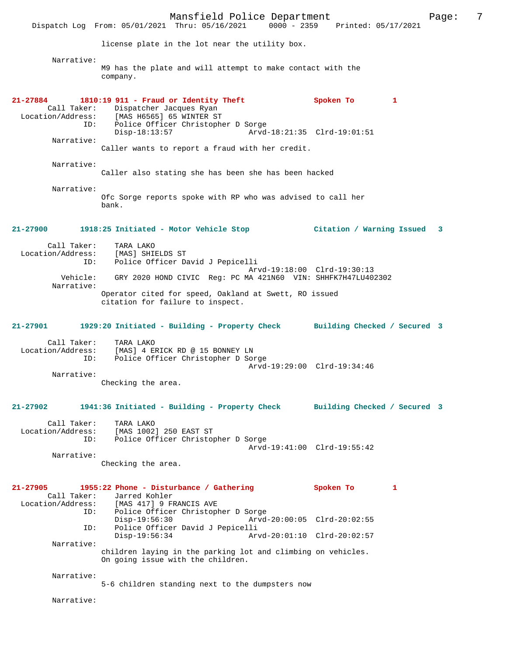Mansfield Police Department Page: 7 Dispatch Log From: 05/01/2021 Thru: 05/16/2021 license plate in the lot near the utility box. Narrative: M9 has the plate and will attempt to make contact with the company. **21-27884 1810:19 911 - Fraud or Identity Theft Spoken To 1**  Call Taker: Dispatcher Jacques Ryan Location/Address: [MAS H6565] 65 WINTER ST ID: Police Officer Christopher D Sorge Arvd-18:21:35 Clrd-19:01:51 Narrative: Caller wants to report a fraud with her credit. Narrative: Caller also stating she has been she has been hacked Narrative: Ofc Sorge reports spoke with RP who was advised to call her bank. **21-27900 1918:25 Initiated - Motor Vehicle Stop Citation / Warning Issued 3** Call Taker: TARA LAKO<br>Location/Address: [MAS] SHIP Location/Address: [MAS] SHIELDS ST ID: Police Officer David J Pepicelli Arvd-19:18:00 Clrd-19:30:13 Vehicle: GRY 2020 HOND CIVIC Reg: PC MA 421N60 VIN: SHHFK7H47LU402302 Narrative: Operator cited for speed, Oakland at Swett, RO issued citation for failure to inspect. **21-27901 1929:20 Initiated - Building - Property Check Building Checked / Secured 3** Call Taker: TARA LAKO Location/Address: [MAS] 4 ERICK RD @ 15 BONNEY LN<br>ID: Police Officer Christopher D Son Police Officer Christopher D Sorge Arvd-19:29:00 Clrd-19:34:46 Narrative: Checking the area. **21-27902 1941:36 Initiated - Building - Property Check Building Checked / Secured 3** Call Taker: TARA LAKO Location/Address: [MAS 1002] 250 EAST ST ID: Police Officer Christopher D Sorge Arvd-19:41:00 Clrd-19:55:42 Narrative: Checking the area. **21-27905 1955:22 Phone - Disturbance / Gathering Spoken To 1**  Call Taker: Jarred Kohler<br>Location/Address: [MAS 417] 9 FF ess: [MAS 417] 9 FRANCIS AVE<br>ID: Police Officer Christoph Police Officer Christopher D Sorge<br>Disp-19:56:30 Arvd-Disp-19:56:30 Arvd-20:00:05 Clrd-20:02:55<br>ID: Police Officer David J Pepicelli Police Officer David J Pepicelli Disp-19:56:34 Arvd-20:01:10 Clrd-20:02:57 Narrative: children laying in the parking lot and climbing on vehicles. On going issue with the children. Narrative: 5-6 children standing next to the dumpsters now Narrative: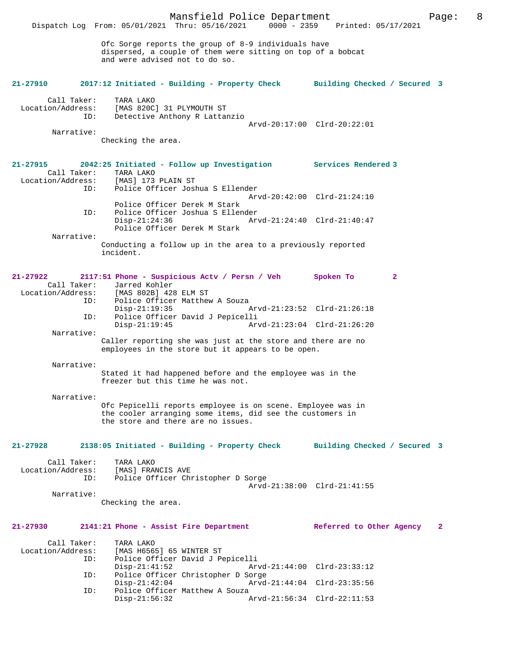|                                                         | Mansfield Police Department<br>Dispatch Log From: 05/01/2021 Thru: 05/16/2021 0000 - 2359 Printed: 05/17/2021                                                  | 8<br>Page:                               |
|---------------------------------------------------------|----------------------------------------------------------------------------------------------------------------------------------------------------------------|------------------------------------------|
|                                                         | Ofc Sorge reports the group of 8-9 individuals have<br>dispersed, a couple of them were sitting on top of a bobcat<br>and were advised not to do so.           |                                          |
| 21-27910                                                | 2017:12 Initiated - Building - Property Check Building Checked / Secured 3                                                                                     |                                          |
| Call Taker:<br>Location/Address:<br>ID:                 | TARA LAKO<br>[MAS 820C] 31 PLYMOUTH ST<br>Detective Anthony R Lattanzio                                                                                        | Arvd-20:17:00 Clrd-20:22:01              |
| Narrative:                                              | Checking the area.                                                                                                                                             |                                          |
| $21 - 27915$<br>Call Taker:<br>Location/Address:<br>ID: | 2042:25 Initiated - Follow up Investigation Services Rendered 3<br>TARA LAKO<br>[MAS] 173 PLAIN ST<br>Police Officer Joshua S Ellender                         |                                          |
| ID:                                                     | Police Officer Derek M Stark<br>Police Officer Joshua S Ellender                                                                                               | Arvd-20:42:00 Clrd-21:24:10              |
| Narrative:                                              | $Disp-21:24:36$<br>Police Officer Derek M Stark                                                                                                                | Arvd-21:24:40 Clrd-21:40:47              |
|                                                         | Conducting a follow up in the area to a previously reported<br>incident.                                                                                       |                                          |
| 21-27922<br>Call Taker:                                 | 2117:51 Phone - Suspicious Actv / Persn / Veh<br>Jarred Kohler<br>Location/Address: [MAS 802B] 428 ELM ST                                                      | Spoken To<br>$\mathbf{2}$                |
| ID:<br>ID:                                              | Police Officer Matthew A Souza<br>$Disp-21:19:35$<br>Police Officer David J Pepicelli                                                                          | Arvd-21:23:52 Clrd-21:26:18              |
| Narrative:                                              | $Disp-21:19:45$                                                                                                                                                | Arvd-21:23:04 Clrd-21:26:20              |
|                                                         | Caller reporting she was just at the store and there are no<br>employees in the store but it appears to be open.                                               |                                          |
| Narrative:                                              | Stated it had happened before and the employee was in the<br>freezer but this time he was not.                                                                 |                                          |
| Narrative:                                              | Ofc Pepicelli reports employee is on scene. Employee was in<br>the cooler arranging some items, did see the customers in<br>the store and there are no issues. |                                          |
| $21 - 27928$                                            | 2138:05 Initiated - Building - Property Check                                                                                                                  | Building Checked / Secured 3             |
| Call Taker:<br>Location/Address:<br>ID:                 | TARA LAKO<br>[MAS] FRANCIS AVE<br>Police Officer Christopher D Sorge                                                                                           | Arvd-21:38:00 Clrd-21:41:55              |
| Narrative:                                              | Checking the area.                                                                                                                                             |                                          |
| $21 - 27930$                                            | 2141:21 Phone - Assist Fire Department                                                                                                                         | Referred to Other Agency<br>$\mathbf{2}$ |
| Call Taker:<br>Location/Address:                        | TARA LAKO<br>[MAS H6565] 65 WINTER ST                                                                                                                          |                                          |
| ID:                                                     | Police Officer David J Pepicelli<br>$Disp-21:41:52$                                                                                                            | Arvd-21:44:00 Clrd-23:33:12              |
| ID:                                                     | Police Officer Christopher D Sorge<br>$Disp-21:42:04$                                                                                                          | Arvd-21:44:04 Clrd-23:35:56              |
| ID:                                                     | Police Officer Matthew A Souza<br>$Disp-21:56:32$                                                                                                              | Arvd-21:56:34 Clrd-22:11:53              |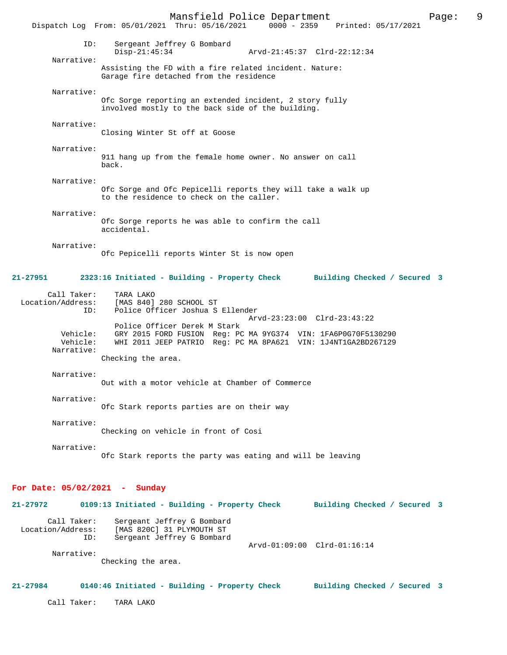Mansfield Police Department Page: 9 Dispatch Log From: 05/01/2021 Thru: 05/16/2021 ID: Sergeant Jeffrey G Bombard Disp-21:45:34 Arvd-21:45:37 Clrd-22:12:34 Narrative: Assisting the FD with a fire related incident. Nature: Garage fire detached from the residence Narrative: Ofc Sorge reporting an extended incident, 2 story fully involved mostly to the back side of the building. Narrative: Closing Winter St off at Goose Narrative: 911 hang up from the female home owner. No answer on call back. Narrative: Ofc Sorge and Ofc Pepicelli reports they will take a walk up to the residence to check on the caller. Narrative: Ofc Sorge reports he was able to confirm the call accidental. Narrative: Ofc Pepicelli reports Winter St is now open **21-27951 2323:16 Initiated - Building - Property Check Building Checked / Secured 3** Call Taker: TARA LAKO Location/Address: [MAS 840] 280 SCHOOL ST Police Officer Joshua S Ellender Arvd-23:23:00 Clrd-23:43:22 Police Officer Derek M Stark<br>Vehicle: GRY 2015 FORD FUSION Req: PO GRY 2015 FORD FUSION Reg: PC MA 9YG374 VIN: 1FA6P0G70F5130290 Vehicle: WHI 2011 JEEP PATRIO Reg: PC MA 8PA621 VIN: 1J4NT1GA2BD267129 Narrative: Checking the area. Narrative: Out with a motor vehicle at Chamber of Commerce Narrative: Ofc Stark reports parties are on their way Narrative: Checking on vehicle in front of Cosi Narrative: Ofc Stark reports the party was eating and will be leaving **For Date: 05/02/2021 - Sunday 21-27972 0109:13 Initiated - Building - Property Check Building Checked / Secured 3** Call Taker: Sergeant Jeffrey G Bombard Location/Address: [MAS 820C] 31 PLYMOUTH ST Sergeant Jeffrey G Bombard Arvd-01:09:00 Clrd-01:16:14 Narrative: Checking the area. **21-27984 0140:46 Initiated - Building - Property Check Building Checked / Secured 3** Call Taker: TARA LAKO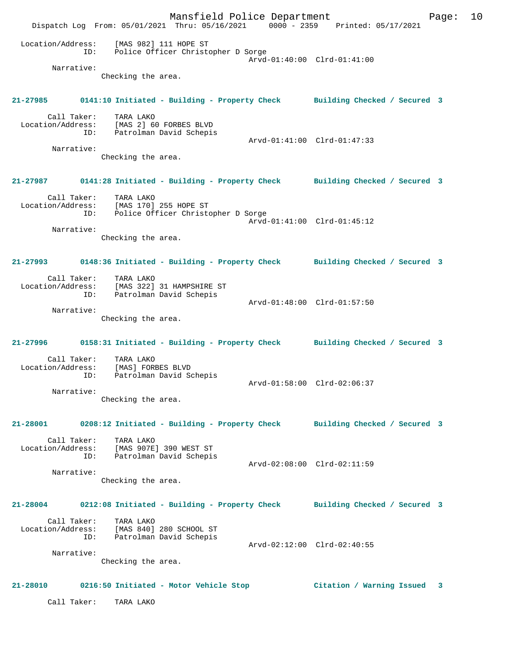Mansfield Police Department Page: 10 Dispatch Log From: 05/01/2021 Thru: 05/16/2021 0000 - 2359 Printed: 05/17/2021 Location/Address: [MAS 982] 111 HOPE ST ID: Police Officer Christopher D Sorge Arvd-01:40:00 Clrd-01:41:00 Narrative: Checking the area. **21-27985 0141:10 Initiated - Building - Property Check Building Checked / Secured 3** Call Taker: TARA LAKO Location/Address: [MAS 2] 60 FORBES BLVD ID: Patrolman David Schepis Arvd-01:41:00 Clrd-01:47:33 Narrative: Checking the area. **21-27987 0141:28 Initiated - Building - Property Check Building Checked / Secured 3** Call Taker: TARA LAKO Location/Address: [MAS 170] 255 HOPE ST ID: Police Officer Christopher D Sorge Arvd-01:41:00 Clrd-01:45:12 Narrative: Checking the area. **21-27993 0148:36 Initiated - Building - Property Check Building Checked / Secured 3** Call Taker: TARA LAKO Location/Address: [MAS 322] 31 HAMPSHIRE ST ID: Patrolman David Schepis Arvd-01:48:00 Clrd-01:57:50 Narrative: Checking the area. **21-27996 0158:31 Initiated - Building - Property Check Building Checked / Secured 3** Call Taker: TARA LAKO Location/Address: [MAS] FORBES BLVD ID: Patrolman David Schepis Arvd-01:58:00 Clrd-02:06:37 Narrative: Checking the area. **21-28001 0208:12 Initiated - Building - Property Check Building Checked / Secured 3** Call Taker: TARA LAKO Location/Address: [MAS 907E] 390 WEST ST ID: Patrolman David Schepis Arvd-02:08:00 Clrd-02:11:59 Narrative: Checking the area. **21-28004 0212:08 Initiated - Building - Property Check Building Checked / Secured 3** Call Taker: TARA LAKO Location/Address: [MAS 840] 280 SCHOOL ST ID: Patrolman David Schepis Arvd-02:12:00 Clrd-02:40:55 Narrative: Checking the area. **21-28010 0216:50 Initiated - Motor Vehicle Stop Citation / Warning Issued 3** Call Taker: TARA LAKO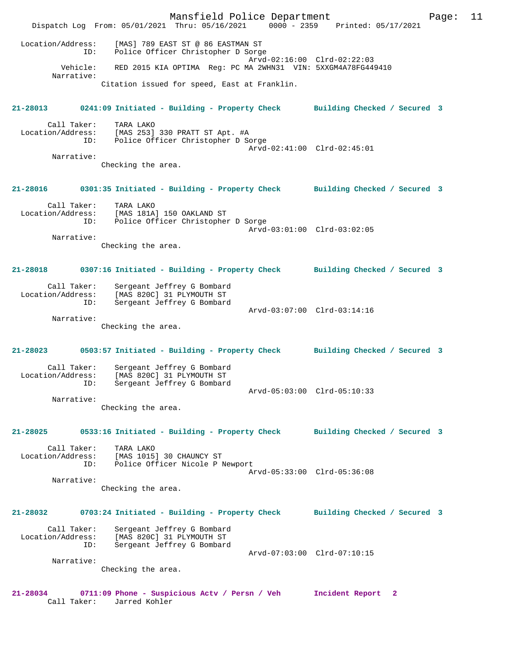Mansfield Police Department Page: 11 Dispatch Log From: 05/01/2021 Thru: 05/16/2021 0000 - 2359 Printed: 05/17/2021 Location/Address: [MAS] 789 EAST ST @ 86 EASTMAN ST ID: Police Officer Christopher D Sorge Arvd-02:16:00 Clrd-02:22:03 Vehicle: RED 2015 KIA OPTIMA Reg: PC MA 2WHN31 VIN: 5XXGM4A78FG449410 Narrative: Citation issued for speed, East at Franklin. **21-28013 0241:09 Initiated - Building - Property Check Building Checked / Secured 3** Call Taker: TARA LAKO Location/Address: [MAS 253] 330 PRATT ST Apt. #A ID: Police Officer Christopher D Sorge Arvd-02:41:00 Clrd-02:45:01 Narrative: Checking the area. **21-28016 0301:35 Initiated - Building - Property Check Building Checked / Secured 3** Call Taker: TARA LAKO<br>Location/Address: [MAS 181A [MAS 181A] 150 OAKLAND ST ID: Police Officer Christopher D Sorge Arvd-03:01:00 Clrd-03:02:05 Narrative: Checking the area. **21-28018 0307:16 Initiated - Building - Property Check Building Checked / Secured 3** Call Taker: Sergeant Jeffrey G Bombard Location/Address: [MAS 820C] 31 PLYMOUTH ST ID: Sergeant Jeffrey G Bombard Arvd-03:07:00 Clrd-03:14:16 Narrative: Checking the area. **21-28023 0503:57 Initiated - Building - Property Check Building Checked / Secured 3** Call Taker: Sergeant Jeffrey G Bombard<br>Location/Address: [MAS 820C] 31 PLYMOUTH ST ess: [MAS 820C] 31 PLYMOUTH ST<br>ID: Sergeant Jeffrev G Bombard ...<br>Sergeant Jeffrey G Bombard Arvd-05:03:00 Clrd-05:10:33 Narrative: Checking the area. **21-28025 0533:16 Initiated - Building - Property Check Building Checked / Secured 3** Call Taker: TARA LAKO Location/Address: [MAS 1015] 30 CHAUNCY ST ID: Police Officer Nicole P Newport Arvd-05:33:00 Clrd-05:36:08 Narrative: Checking the area. **21-28032 0703:24 Initiated - Building - Property Check Building Checked / Secured 3** Call Taker: Sergeant Jeffrey G Bombard<br>Location/Address: [MAS 820C] 31 PLYMOUTH ST Location/Address: [MAS 820C] 31 PLYMOUTH ST ID: Sergeant Jeffrey G Bombard Arvd-07:03:00 Clrd-07:10:15 Narrative: Checking the area. **21-28034 0711:09 Phone - Suspicious Actv / Persn / Veh Incident Report 2**  Call Taker: Jarred Kohler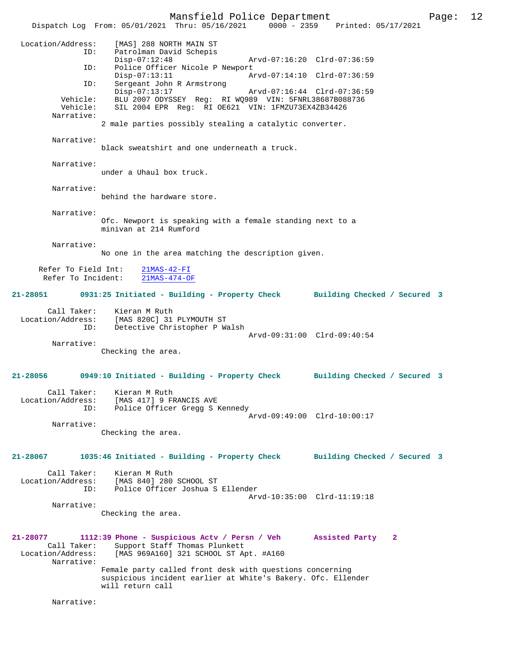Dispatch Log From: 05/01/2021 Thru: 05/16/2021 0000 - 2359 Printed: 05/17/2021 Location/Address: [MAS] 288 NORTH MAIN ST ID: Patrolman David Schepis<br>Disp-07:12:48 Disp-07:12:48 Arvd-07:16:20 Clrd-07:36:59<br>TD: Police Officer Nicole P Newport Police Officer Nicole P Newport<br>Disp-07:13:11 Ar Disp-07:13:11 Arvd-07:14:10 Clrd-07:36:59<br>ID: Sergeant John R Armstrong Sergeant John R Armstrong Disp-07:13:17 Arvd-07:16:44 Clrd-07:36:59 Vehicle: BLU 2007 ODYSSEY Reg: RI WQ989 VIN: 5FNRL38687B088736<br>Vehicle: SIL 2004 EPR Reg: RI OE621 VIN: 1FMZU73EX4ZB34426 SIL 2004 EPR Req: RI OE621 VIN: 1FMZU73EX4ZB34426 Narrative: 2 male parties possibly stealing a catalytic converter. Narrative: black sweatshirt and one underneath a truck. Narrative: under a Uhaul box truck. Narrative: behind the hardware store. Narrative: Ofc. Newport is speaking with a female standing next to a minivan at 214 Rumford Narrative: No one in the area matching the description given. Refer To Field Int:  $\frac{21\text{MAS} - 42 - \text{FI}}{21\text{MAS} - 474 - \text{OF}}$ Refer To Incident: **21-28051 0931:25 Initiated - Building - Property Check Building Checked / Secured 3** Call Taker: Kieran M Ruth Location/Address: [MAS 820C] 31 PLYMOUTH ST Detective Christopher P Walsh Arvd-09:31:00 Clrd-09:40:54 Narrative: Checking the area. **21-28056 0949:10 Initiated - Building - Property Check Building Checked / Secured 3** Call Taker: Kieran M Ruth Location/Address: [MAS 417] 9 FRANCIS AVE<br>TD: Police Officer Gregg S F Police Officer Gregg S Kennedy Arvd-09:49:00 Clrd-10:00:17 Narrative: Checking the area. **21-28067 1035:46 Initiated - Building - Property Check Building Checked / Secured 3** Call Taker: Kieran M Ruth<br>Location/Address: [MAS 840] 280 [MAS 840] 280 SCHOOL ST ID: Police Officer Joshua S Ellender Arvd-10:35:00 Clrd-11:19:18 Narrative: Checking the area. **21-28077 1112:39 Phone - Suspicious Actv / Persn / Veh Assisted Party 2**  Call Taker: Support Staff Thomas Plunkett<br>Location/Address: [MAS 969A160] 321 SCHOOL ST A [MAS 969A160] 321 SCHOOL ST Apt. #A160 Narrative: Female party called front desk with questions concerning suspicious incident earlier at White's Bakery. Ofc. Ellender will return call

Narrative: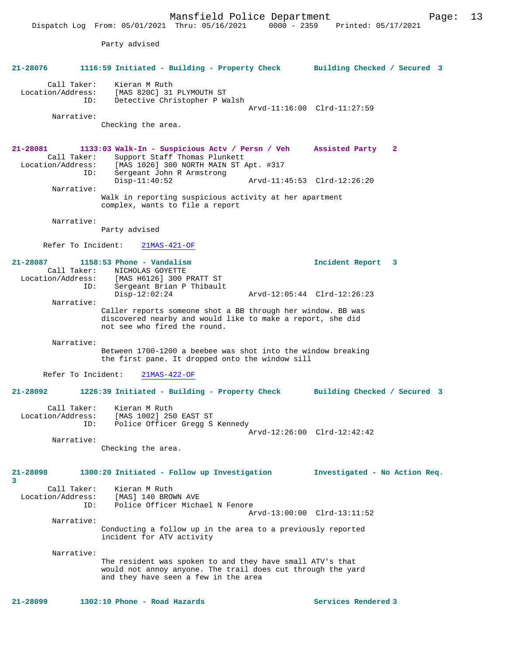Party advised **21-28076 1116:59 Initiated - Building - Property Check Building Checked / Secured 3** Call Taker: Kieran M Ruth Location/Address: [MAS 820C] 31 PLYMOUTH ST ID: Detective Christopher P Walsh Arvd-11:16:00 Clrd-11:27:59 Narrative: Checking the area. **21-28081 1133:03 Walk-In - Suspicious Actv / Persn / Veh Assisted Party 2**  Call Taker: Support Staff Thomas Plunkett<br>Location/Address: [MAS 1026] 300 NORTH MAIN ST *1* [MAS 1026] 300 NORTH MAIN ST Apt. #317 ID: Sergeant John R Armstrong Disp-11:40:52 Arvd-11:45:53 Clrd-12:26:20 Narrative: Walk in reporting suspicious activity at her apartment complex, wants to file a report Narrative: Party advised Refer To Incident: 21MAS-421-OF **21-28087 1158:53 Phone - Vandalism Incident Report 3**  Call Taker: NICHOLAS GOYETTE Location/Address: [MAS H6126] 300 PRATT ST ID: Sergeant Brian P Thibault Disp-12:02:24 Arvd-12:05:44 Clrd-12:26:23 Narrative: Caller reports someone shot a BB through her window. BB was discovered nearby and would like to make a report, she did not see who fired the round. Narrative: Between 1700-1200 a beebee was shot into the window breaking the first pane. It dropped onto the window sill Refer To Incident: 21MAS-422-OF **21-28092 1226:39 Initiated - Building - Property Check Building Checked / Secured 3** Call Taker: Kieran M Ruth Location/Address: [MAS 1002] 250 EAST ST ID: Police Officer Gregg S Kennedy Arvd-12:26:00 Clrd-12:42:42 Narrative: Checking the area. **21-28098 1300:20 Initiated - Follow up Investigation Investigated - No Action Req. 3**  Call Taker: Kieran M Ruth Location/Address: [MAS] 140 BROWN AVE ID: Police Officer Michael N Fenore Arvd-13:00:00 Clrd-13:11:52 Narrative: Conducting a follow up in the area to a previously reported incident for ATV activity Narrative: The resident was spoken to and they have small ATV's that would not annoy anyone. The trail does cut through the yard and they have seen a few in the area **21-28099 1302:10 Phone - Road Hazards Services Rendered 3**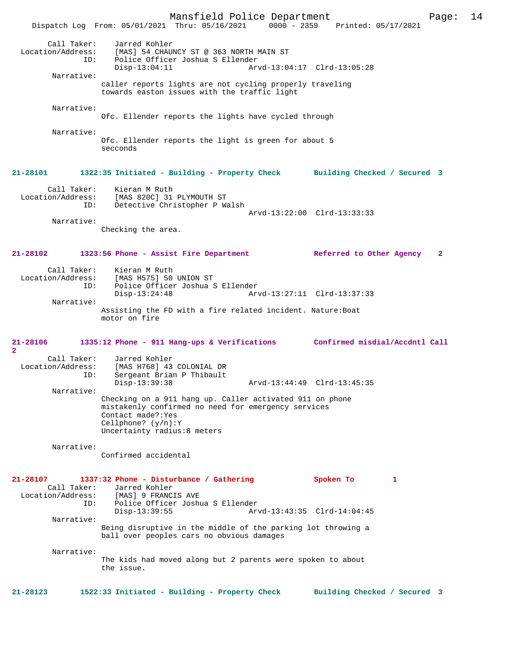Mansfield Police Department Page: 14 Dispatch Log From: 05/01/2021 Thru: 05/16/2021 Call Taker: Jarred Kohler Location/Address: [MAS] 54 CHAUNCY ST @ 363 NORTH MAIN ST<br>ID: Police Officer Joshua S Ellender Police Officer Joshua S Ellender<br>Disp-13:04:11 Arv Disp-13:04:11 Arvd-13:04:17 Clrd-13:05:28 Narrative: caller reports lights are not cycling properly traveling towards easton issues with the traffic light Narrative: Ofc. Ellender reports the lights have cycled through Narrative: Ofc. Ellender reports the light is green for about 5 secconds **21-28101 1322:35 Initiated - Building - Property Check Building Checked / Secured 3** Call Taker: Kieran M Ruth<br>Location/Address: [MAS 820C] 31 ess: [MAS 820C] 31 PLYMOUTH ST<br>ID: Detective Christopher P W Detective Christopher P Walsh Arvd-13:22:00 Clrd-13:33:33 Narrative: Checking the area. **21-28102 1323:56 Phone - Assist Fire Department Referred to Other Agency 2** Call Taker: Kieran M Ruth<br>Location/Address: [MAS H575] 50 ess: [MAS H575] 50 UNION ST<br>ID: Police Officer Joshua S Police Officer Joshua S Ellender<br>Disp-13:24:48 Ar Disp-13:24:48 Arvd-13:27:11 Clrd-13:37:33 Narrative: Assisting the FD with a fire related incident. Nature:Boat motor on fire **21-28106 1335:12 Phone - 911 Hang-ups & Verifications Confirmed misdial/Accdntl Call 2**  Call Taker: Jarred Kohler<br>Location/Address: [MAS H768] 43 [MAS H768] 43 COLONIAL DR ID: Sergeant Brian P Thibault Disp-13:39:38 Arvd-13:44:49 Clrd-13:45:35 Narrative: Checking on a 911 hang up. Caller activated 911 on phone mistakenly confirmed no need for emergency services Contact made?:Yes Cellphone? (y/n):Y Uncertainty radius:8 meters Narrative: Confirmed accidental **21-28107 1337:32 Phone - Disturbance / Gathering Spoken To 1**  Call Taker: Jarred Kohler<br>Location/Address: [MAS] 9 FRANCI [MAS] 9 FRANCIS AVE ID: Police Officer Joshua S Ellender Disp-13:39:55 Arvd-13:43:35 Clrd-14:04:45 Narrative: Being disruptive in the middle of the parking lot throwing a ball over peoples cars no obvious damages Narrative: The kids had moved along but 2 parents were spoken to about the issue. **21-28123 1522:33 Initiated - Building - Property Check Building Checked / Secured 3**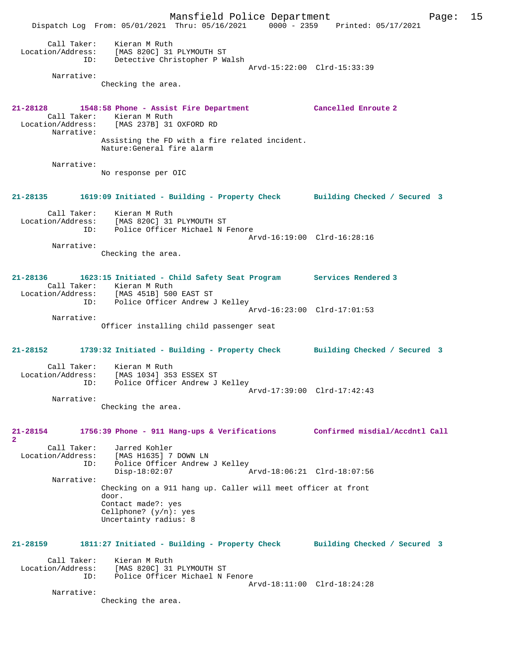Mansfield Police Department Page: 15 Dispatch Log From: 05/01/2021 Thru: 05/16/2021 0000 - 2359 Printed: 05/17/2021 Call Taker: Kieran M Ruth Location/Address: [MAS 820C] 31 PLYMOUTH ST ID: Detective Christopher P Walsh Arvd-15:22:00 Clrd-15:33:39 Narrative: Checking the area. **21-28128 1548:58 Phone - Assist Fire Department Cancelled Enroute 2**  Call Taker: Kieran M Ruth Location/Address: [MAS 237B] 31 OXFORD RD Narrative: Assisting the FD with a fire related incident. Nature:General fire alarm Narrative: No response per OIC **21-28135 1619:09 Initiated - Building - Property Check Building Checked / Secured 3** Call Taker: Kieran M Ruth Location/Address: [MAS 820C] 31 PLYMOUTH ST ID: Police Officer Michael N Fenore Arvd-16:19:00 Clrd-16:28:16 Narrative: Checking the area. **21-28136 1623:15 Initiated - Child Safety Seat Program Services Rendered 3**  Call Taker: Kieran M Ruth Location/Address: [MAS 451B] 500 EAST ST ID: Police Officer Andrew J Kelley Arvd-16:23:00 Clrd-17:01:53 Narrative: Officer installing child passenger seat **21-28152 1739:32 Initiated - Building - Property Check Building Checked / Secured 3** Call Taker: Kieran M Ruth Location/Address: [MAS 1034] 353 ESSEX ST ID: Police Officer Andrew J Kelley Arvd-17:39:00 Clrd-17:42:43 Narrative: Checking the area. **21-28154 1756:39 Phone - 911 Hang-ups & Verifications Confirmed misdial/Accdntl Call 2**  Call Taker: Jarred Kohler Location/Address: [MAS H1635] 7 DOWN LN ID: Police Officer Andrew J Kelley<br>Disp-18:02:07 Mrvd-18:06:21 Clrd-18:07:56  $Disp-18:02:07$  Narrative: Checking on a 911 hang up. Caller will meet officer at front door. Contact made?: yes Cellphone? (y/n): yes Uncertainty radius: 8 **21-28159 1811:27 Initiated - Building - Property Check Building Checked / Secured 3** Call Taker: Kieran M Ruth<br>Location/Address: [MAS 820C] 31 للمحمد المحمد المحمد المحمد العديد.<br>States: [MAS 820C] 31 PLYMOUTH ST!<br>TD: Police Officer Michael N Police Officer Michael N Fenore Arvd-18:11:00 Clrd-18:24:28 Narrative: Checking the area.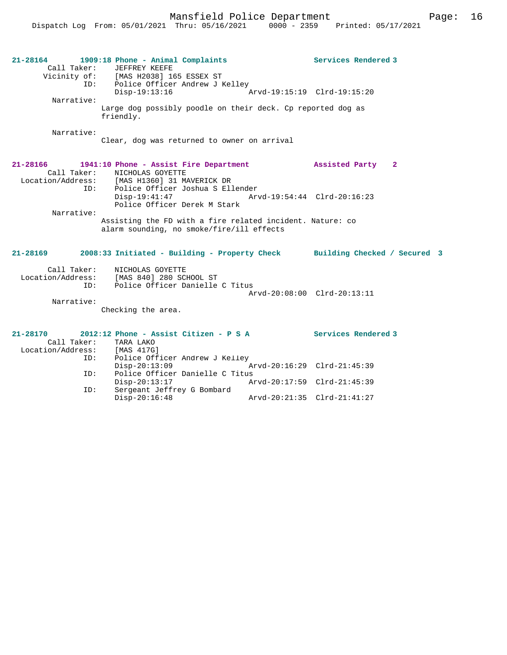Mansfield Police Department Page: 16

| $21 - 28164$<br>Call Taker:                         | 1909:18 Phone - Animal Complaints<br>JEFFREY KEEFE<br>Vicinity of: [MAS H2038] 165 ESSEX ST<br>ID: Police Officer Andrew J Kelley                     |                             | Services Rendered 3         |
|-----------------------------------------------------|-------------------------------------------------------------------------------------------------------------------------------------------------------|-----------------------------|-----------------------------|
| Narrative:                                          | $Disp-19:13:16$                                                                                                                                       |                             | Arvd-19:15:19 Clrd-19:15:20 |
|                                                     | Large dog possibly poodle on their deck. Cp reported dog as<br>friendly.                                                                              |                             |                             |
| Narrative:                                          | Clear, dog was returned to owner on arrival                                                                                                           |                             |                             |
| 21-28166<br>Call Taker:                             | 1941:10 Phone - Assist Fire Department<br>NICHOLAS GOYETTE<br>Location/Address: [MAS H1360] 31 MAVERICK DR<br>ID:<br>Police Officer Joshua S Ellender |                             | Assisted Party 2            |
|                                                     | $Disp-19:41:47$<br>Police Officer Derek M Stark                                                                                                       |                             | Arvd-19:54:44 Clrd-20:16:23 |
| Narrative:                                          | Assisting the FD with a fire related incident. Nature: co<br>alarm sounding, no smoke/fire/ill effects                                                |                             |                             |
| 21-28169                                            | 2008:33 Initiated - Building - Property Check Building Checked / Secured 3                                                                            |                             |                             |
| Call Taker:<br>ID:                                  | NICHOLAS GOYETTE<br>Location/Address: [MAS 840] 280 SCHOOL ST<br>Police Officer Danielle C Titus                                                      |                             |                             |
| Narrative:                                          |                                                                                                                                                       |                             | Arvd-20:08:00 Clrd-20:13:11 |
|                                                     | Checking the area.                                                                                                                                    |                             |                             |
| $21 - 28170$<br>Location/Address: [MAS 417G]<br>ID: | 2012:12 Phone - Assist Citizen - P S A<br>Call Taker: TARA LAKO<br>Police Officer Andrew J Kelley                                                     |                             | Services Rendered 3         |
| ID:                                                 | $Disp-20:13:09$<br>Police Officer Danielle C Titus                                                                                                    |                             | Arvd-20:16:29 Clrd-21:45:39 |
|                                                     | $Disp-20:13:17$                                                                                                                                       | Arvd-20:17:59 Clrd-21:45:39 |                             |
| ID:                                                 | Sergeant Jeffrey G Bombard                                                                                                                            |                             |                             |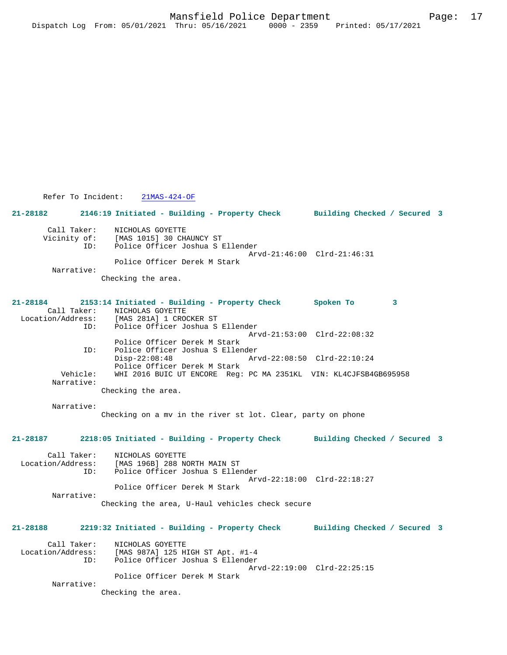Refer To Incident: 21MAS-424-OF

**21-28182 2146:19 Initiated - Building - Property Check Building Checked / Secured 3**

| Call Taker:<br>Vicinity of:<br>TD: | NICHOLAS GOYETTE<br>[MAS 1015] 30 CHAUNCY ST<br>Police Officer Joshua S Ellender |
|------------------------------------|----------------------------------------------------------------------------------|
|                                    |                                                                                  |
|                                    | Arvd-21:46:00 Clrd-21:46:31                                                      |
|                                    | Police Officer Derek M Stark                                                     |
| Narrative:                         |                                                                                  |

Checking the area.

**21-28184 2153:14 Initiated - Building - Property Check Spoken To 3**  Call Taker: NICHOLAS GOYETTE Location/Address: [MAS 281A] 1 CROCKER ST Inne -- .<br>Police Officer Joshua S Ellender Arvd-21:53:00 Clrd-22:08:32 Police Officer Derek M Stark ID: Police Officer Joshua S Ellender Disp-22:08:48 Arvd-22:08:50 Clrd-22:10:24 Police Officer Derek M Stark<br>Vehicle: WHI 2016 BUIC UT ENCORE Req: WHI 2016 BUIC UT ENCORE Reg: PC MA 2351KL VIN: KL4CJFSB4GB695958 Narrative:

Checking the area.

 Narrative: Checking on a mv in the river st lot. Clear, party on phone

**21-28187 2218:05 Initiated - Building - Property Check Building Checked / Secured 3**

 Call Taker: NICHOLAS GOYETTE Location/Address: [MAS 196B] 288 NORTH MAIN ST Police Officer Joshua S Ellender Arvd-22:18:00 Clrd-22:18:27 Police Officer Derek M Stark Narrative: Checking the area, U-Haul vehicles check secure

**21-28188 2219:32 Initiated - Building - Property Check Building Checked / Secured 3** Call Taker: NICHOLAS GOYETTE<br>Location/Address: [MAS 987A] 125 H [MAS 987A] 125 HIGH ST Apt. #1-4 ID: Police Officer Joshua S Ellender Arvd-22:19:00 Clrd-22:25:15 Police Officer Derek M Stark Narrative: Checking the area.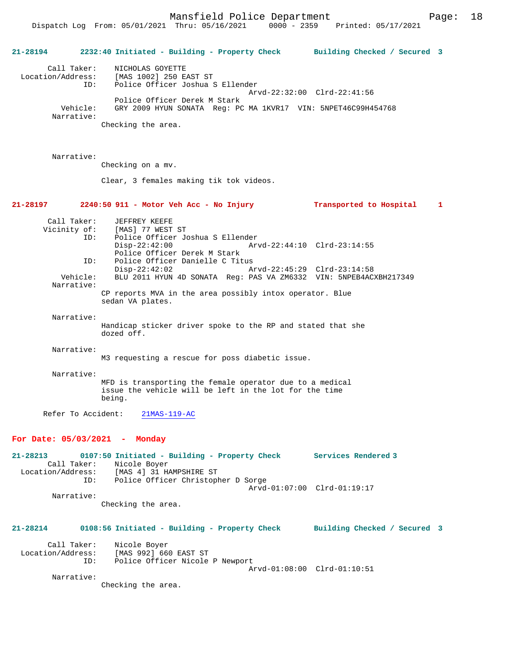Mansfield Police Department Page: 18

Dispatch Log From: 05/01/2021 Thru: 05/16/2021 0000 - 2359 Printed: 05/17/2021

**21-28194 2232:40 Initiated - Building - Property Check Building Checked / Secured 3** Call Taker: NICHOLAS GOYETTE Location/Address: [MAS 1002] 250 EAST ST ID: Police Officer Joshua S Ellender Arvd-22:32:00 Clrd-22:41:56 Police Officer Derek M Stark<br>Vehicle: GRY 2009 HYUN SONATA Reg: PO GRY 2009 HYUN SONATA Reg: PC MA 1KVR17 VIN: 5NPET46C99H454768 Narrative: Checking the area. Narrative: Checking on a mv. Clear, 3 females making tik tok videos. **21-28197 2240:50 911 - Motor Veh Acc - No Injury Transported to Hospital 1** Call Taker: JEFFREY KEEFE<br>Vicinity of: [MAS] 77 WEST of: [MAS] 77 WEST ST<br>ID: Police Officer Jo ID: Police Officer Joshua S Ellender Disp-22:42:00 Arvd-22:44:10 Clrd-23:14:55 Police Officer Derek M Stark ID: Police Officer Danielle C Titus<br>Disp-22:42:02 Al Disp-22:42:02 Arvd-22:45:29 Clrd-23:14:58<br>Vehicle: BLU 2011 HYUN 4D SONATA Reg: PAS VA ZM6332 VIN: 5NPEB4AC BLU 2011 HYUN 4D SONATA Reg: PAS VA ZM6332 VIN: 5NPEB4ACXBH217349 Narrative: CP reports MVA in the area possibly intox operator. Blue sedan VA plates. Narrative: Handicap sticker driver spoke to the RP and stated that she dozed off. Narrative: M3 requesting a rescue for poss diabetic issue. Narrative: MFD is transporting the female operator due to a medical issue the vehicle will be left in the lot for the time being. Refer To Accident: 21MAS-119-AC **For Date: 05/03/2021 - Monday 21-28213 0107:50 Initiated - Building - Property Check Services Rendered 3**  Call Taker: Nicole Boyer<br>Location/Address: [MAS 4] 31 H ess: [MAS 4] 31 HAMPSHIRE ST<br>ID: Police Officer Christop Police Officer Christopher D Sorge Arvd-01:07:00 Clrd-01:19:17 Narrative: Checking the area. **21-28214 0108:56 Initiated - Building - Property Check Building Checked / Secured 3** Call Taker: Nicole Boyer Location/Address: [MAS 992] 660 EAST ST ID: Police Officer Nicole P Newport Arvd-01:08:00 Clrd-01:10:51 Narrative: Checking the area.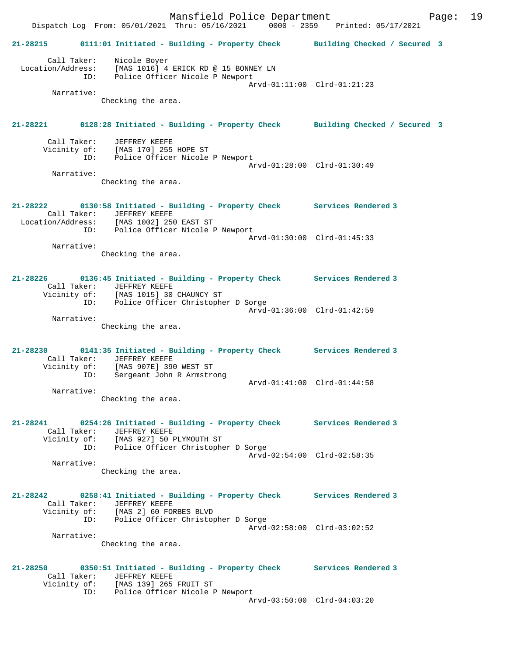Mansfield Police Department Fage: 19 Dispatch Log From: 05/01/2021 Thru: 05/16/2021 0000 - 2359 Printed: 05/17/2021 **21-28215 0111:01 Initiated - Building - Property Check Building Checked / Secured 3** Call Taker: Nicole Boyer Location/Address: [MAS 1016] 4 ERICK RD @ 15 BONNEY LN ID: Police Officer Nicole P Newport Arvd-01:11:00 Clrd-01:21:23 Narrative: Checking the area. **21-28221 0128:28 Initiated - Building - Property Check Building Checked / Secured 3** Call Taker: JEFFREY KEEFE Vicinity of: [MAS 170] 255 HOPE ST Police Officer Nicole P Newport Arvd-01:28:00 Clrd-01:30:49 Narrative: Checking the area. **21-28222 0130:58 Initiated - Building - Property Check Services Rendered 3**  Call Taker: JEFFREY KEEFE Location/Address: [MAS 1002] 250 EAST ST ID: Police Officer Nicole P Newport Arvd-01:30:00 Clrd-01:45:33 Narrative: Checking the area. **21-28226 0136:45 Initiated - Building - Property Check Services Rendered 3**  Call Taker: JEFFREY KEEFE Vicinity of: [MAS 1015] 30 CHAUNCY ST ID: Police Officer Christopher D Sorge Arvd-01:36:00 Clrd-01:42:59 Narrative: Checking the area. **21-28230 0141:35 Initiated - Building - Property Check Services Rendered 3**  Call Taker: JEFFREY KEEFE Vicinity of: [MAS 907E] 390 WEST ST ID: Sergeant John R Armstrong Arvd-01:41:00 Clrd-01:44:58 Narrative: Checking the area. **21-28241 0254:26 Initiated - Building - Property Check Services Rendered 3**  Call Taker: JEFFREY KEEFE Vicinity of: [MAS 927] 50 PLYMOUTH ST ID: Police Officer Christopher D Sorge Arvd-02:54:00 Clrd-02:58:35 Narrative: Checking the area. **21-28242 0258:41 Initiated - Building - Property Check Services Rendered 3**  Call Taker: JEFFREY KEEFE Vicinity of: [MAS 2] 60 FORBES BLVD ID: Police Officer Christopher D Sorge Arvd-02:58:00 Clrd-03:02:52 Narrative: Checking the area. **21-28250 0350:51 Initiated - Building - Property Check Services Rendered 3**  Call Taker: JEFFREY KEEFE Vicinity of: [MAS 139] 265 FRUIT ST ID: Police Officer Nicole P Newport Arvd-03:50:00 Clrd-04:03:20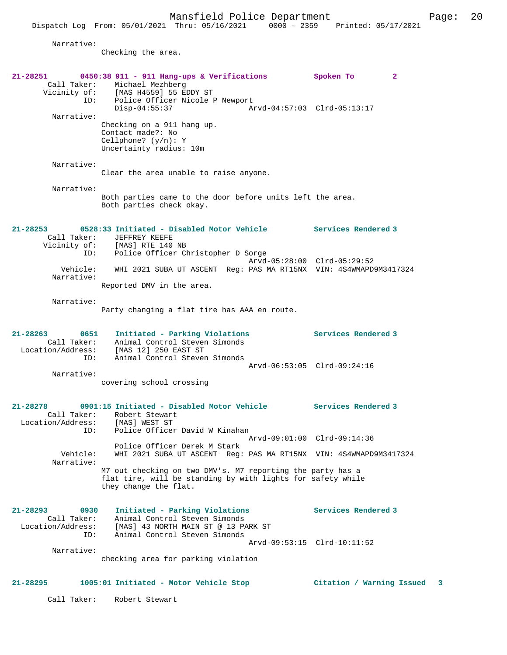Narrative:

Checking the area.

| 21-28251                                                        | 0450:38 911 - 911 Hang-ups & Verifications<br>Call Taker: Michael Mezhberg<br>Vicinity of: $[MAS H4559]$ 55 EDDY ST                                | Spoken To<br>$\mathbf{2}$   |   |
|-----------------------------------------------------------------|----------------------------------------------------------------------------------------------------------------------------------------------------|-----------------------------|---|
| ID:<br>Narrative:                                               | Police Officer Nicole P Newport<br>Disp-04:55:37<br>Arvd-04:57:03 Clrd-05:13:17                                                                    |                             |   |
|                                                                 | Checking on a 911 hang up.<br>Contact made?: No<br>Cellphone? $(y/n): Y$<br>Uncertainty radius: 10m                                                |                             |   |
| Narrative:                                                      | Clear the area unable to raise anyone.                                                                                                             |                             |   |
| Narrative:                                                      | Both parties came to the door before units left the area.<br>Both parties check okay.                                                              |                             |   |
| 21-28253<br>Call Taker:<br>Vicinity of:                         | 0528:33 Initiated - Disabled Motor Vehicle Services Rendered 3<br>JEFFREY KEEFE<br>[MAS] RTE 140 NB                                                |                             |   |
| ID:<br>Vehicle:<br>Narrative:                                   | Police Officer Christopher D Sorge<br>Arvd-05:28:00 Clrd-05:29:52<br>WHI 2021 SUBA UT ASCENT Req: PAS MA RT15NX VIN: 4S4WMAPD9M3417324             |                             |   |
|                                                                 | Reported DMV in the area.                                                                                                                          |                             |   |
| Narrative:                                                      | Party changing a flat tire has AAA en route.                                                                                                       |                             |   |
| 21-28263<br>0651<br>Call Taker:<br>ID:                          | Initiated - Parking Violations<br>Animal Control Steven Simonds<br>Location/Address: [MAS 12] 250 EAST ST<br>Animal Control Steven Simonds         | <b>Services Rendered 3</b>  |   |
| Narrative:                                                      | Arvd-06:53:05 Clrd-09:24:16<br>covering school crossing                                                                                            |                             |   |
| $21 - 28278$<br>Location/Address: [MAS] WEST ST<br>ID:          | 0901:15 Initiated - Disabled Motor Vehicle Services Rendered 3<br>Call Taker: Robert Stewart<br>Police Officer David W Kinahan                     |                             |   |
|                                                                 | Arvd-09:01:00 Clrd-09:14:36<br>Police Officer Derek M Stark                                                                                        |                             |   |
| Vehicle:<br>Narrative:                                          | WHI 2021 SUBA UT ASCENT Req: PAS MA RT15NX VIN: 4S4WMAPD9M3417324                                                                                  |                             |   |
|                                                                 | M7 out checking on two DMV's. M7 reporting the party has a<br>flat tire, will be standing by with lights for safety while<br>they change the flat. |                             |   |
| $21 - 28293$<br>0930<br>Call Taker:<br>Location/Address:<br>ID: | Initiated - Parking Violations<br>Animal Control Steven Simonds<br>[MAS] 43 NORTH MAIN ST @ 13 PARK ST<br>Animal Control Steven Simonds            | Services Rendered 3         |   |
| Narrative:                                                      | checking area for parking violation                                                                                                                | Arvd-09:53:15 Clrd-10:11:52 |   |
| $21 - 28295$                                                    | 1005:01 Initiated - Motor Vehicle Stop                                                                                                             | Citation / Warning Issued   | 3 |
| Call Taker:                                                     | Robert Stewart                                                                                                                                     |                             |   |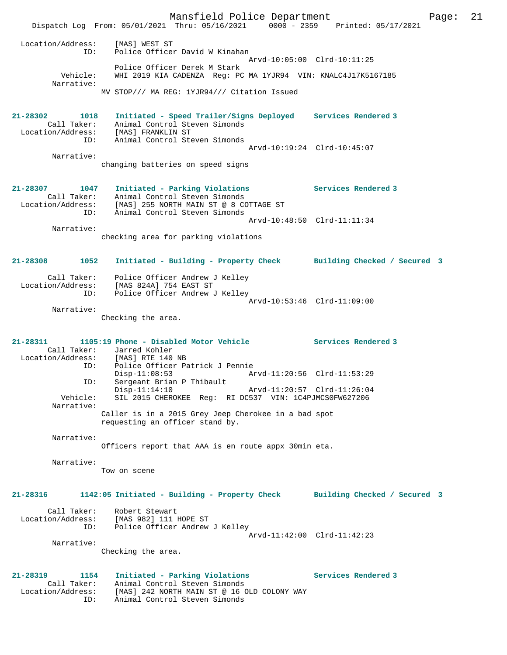Mansfield Police Department Page: 21 Dispatch Log From: 05/01/2021 Thru: 05/16/2021 0000 - 2359 Printed: 05/17/2021 Location/Address: [MAS] WEST ST ID: Police Officer David W Kinahan Arvd-10:05:00 Clrd-10:11:25 Police Officer Derek M Stark Vehicle: WHI 2019 KIA CADENZA Reg: PC MA 1YJR94 VIN: KNALC4J17K5167185 Narrative: MV STOP/// MA REG: 1YJR94/// Citation Issued **21-28302 1018 Initiated - Speed Trailer/Signs Deployed Services Rendered 3**  Call Taker: Animal Control Steven Simonds Location/Address: [MAS] FRANKLIN ST ID: Animal Control Steven Simonds Arvd-10:19:24 Clrd-10:45:07 Narrative: changing batteries on speed signs **21-28307 1047 Initiated - Parking Violations Services Rendered 3**  Call Taker: Animal Control Steven Simonds Location/Address: [MAS] 255 NORTH MAIN ST @ 8 COTTAGE ST ID: Animal Control Steven Simonds Arvd-10:48:50 Clrd-11:11:34 Narrative: checking area for parking violations **21-28308 1052 Initiated - Building - Property Check Building Checked / Secured 3** Call Taker: Police Officer Andrew J Kelley Location/Address: [MAS 824A] 754 EAST ST ID: Police Officer Andrew J Kelley Arvd-10:53:46 Clrd-11:09:00 Narrative: Checking the area. **21-28311 1105:19 Phone - Disabled Motor Vehicle Services Rendered 3**  Call Taker: Jarred Kohler<br>Location/Address: [MAS] RTE 140 Location/Address: [MAS] RTE 140 NB ID: Police Officer Patrick J Pennie Disp-11:08:53 Arvd-11:20:56 Clrd-11:53:29 ID: Sergeant Brian P Thibault Disp-11:14:10 Arvd-11:20:57 Clrd-11:26:04 Vehicle: SIL 2015 CHEROKEE Reg: RI DC537 VIN: 1C4PJMCS0FW627206 Narrative: Caller is in a 2015 Grey Jeep Cherokee in a bad spot requesting an officer stand by. Narrative: Officers report that AAA is en route appx 30min eta. Narrative: Tow on scene **21-28316 1142:05 Initiated - Building - Property Check Building Checked / Secured 3** Call Taker: Robert Stewart Location/Address: [MAS 982] 111 HOPE ST ID: Police Officer Andrew J Kelley Arvd-11:42:00 Clrd-11:42:23 Narrative: Checking the area. **21-28319 1154 Initiated - Parking Violations Services Rendered 3**  Call Taker: Animal Control Steven Simonds Location/Address: [MAS] 242 NORTH MAIN ST @ 16 OLD COLONY WAY ID: Animal Control Steven Simonds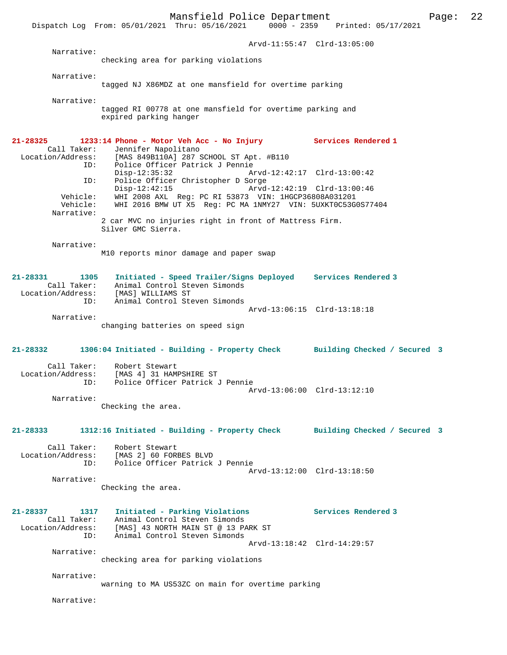|                      | Dispatch Log From: 05/01/2021 Thru: 05/16/2021<br>$0000 - 2359$                                                                        | Printed: 05/17/2021         |
|----------------------|----------------------------------------------------------------------------------------------------------------------------------------|-----------------------------|
|                      |                                                                                                                                        | Arvd-11:55:47 Clrd-13:05:00 |
| Narrative:           |                                                                                                                                        |                             |
|                      | checking area for parking violations                                                                                                   |                             |
| Narrative:           | tagged NJ X86MDZ at one mansfield for overtime parking                                                                                 |                             |
| Narrative:           |                                                                                                                                        |                             |
|                      | tagged RI 00778 at one mansfield for overtime parking and<br>expired parking hanger                                                    |                             |
| 21-28325             | 1233:14 Phone - Motor Veh Acc - No Injury Services Rendered 1                                                                          |                             |
| Call Taker:          | Jennifer Napolitano<br>Location/Address: [MAS 849B110A] 287 SCHOOL ST Apt. #B110                                                       |                             |
| ID:                  | Police Officer Patrick J Pennie<br>Disp-12:35:32                                                                                       | Arvd-12:42:17 Clrd-13:00:42 |
| ID:                  | Police Officer Christopher D Sorge                                                                                                     |                             |
| Vehicle:<br>Vehicle: | $Disp-12:42:15$<br>WHI 2008 AXL Req: PC RI 53873 VIN: 1HGCP36808A031201<br>WHI 2016 BMW UT X5 Reg: PC MA 1NMY27 VIN: 5UXKT0C53G0S77404 | Arvd-12:42:19 Clrd-13:00:46 |
| Narrative:           | 2 car MVC no injuries right in front of Mattress Firm.<br>Silver GMC Sierra.                                                           |                             |
| Narrative:           |                                                                                                                                        |                             |
|                      | M10 reports minor damage and paper swap                                                                                                |                             |
| 21-28331<br>1305     | Initiated - Speed Trailer/Signs Deployed Services Rendered 3                                                                           |                             |
| Call Taker:          | Animal Control Steven Simonds<br>Location/Address: [MAS] WILLIAMS ST                                                                   |                             |
| ID:                  | Animal Control Steven Simonds                                                                                                          | Arvd-13:06:15 Clrd-13:18:18 |
| Narrative:           | changing batteries on speed sign                                                                                                       |                             |
|                      | 21-28332 1306:04 Initiated - Building - Property Check Building Checked / Secured 3                                                    |                             |
| Location/Address:    | Call Taker: Robert Stewart<br>[MAS 4] 31 HAMPSHIRE ST                                                                                  |                             |
| ID:                  | Police Officer Patrick J Pennie                                                                                                        | Arvd-13:06:00 Clrd-13:12:10 |
| Narrative:           |                                                                                                                                        |                             |
|                      | Checking the area.                                                                                                                     |                             |
| 21-28333             | 1312:16 Initiated - Building - Property Check Building Checked / Secured 3                                                             |                             |
|                      | Call Taker: Robert Stewart                                                                                                             |                             |
|                      | Location/Address: [MAS 2] 60 FORBES BLVD<br>ID: Police Officer Patrick J Pennie                                                        |                             |
| Narrative:           |                                                                                                                                        | Arvd-13:12:00 Clrd-13:18:50 |
|                      | Checking the area.                                                                                                                     |                             |
| 21-28337 1317        | Initiated - Parking Violations                                                                                                         | Services Rendered 3         |
|                      | Call Taker: Animal Control Steven Simonds<br>Location/Address: [MAS] 43 NORTH MAIN ST @ 13 PARK ST                                     |                             |
| ID:                  | Animal Control Steven Simonds                                                                                                          |                             |
| Narrative:           |                                                                                                                                        | Arvd-13:18:42 Clrd-14:29:57 |
|                      | checking area for parking violations                                                                                                   |                             |
| Narrative:           |                                                                                                                                        |                             |

warning to MA US53ZC on main for overtime parking

Narrative: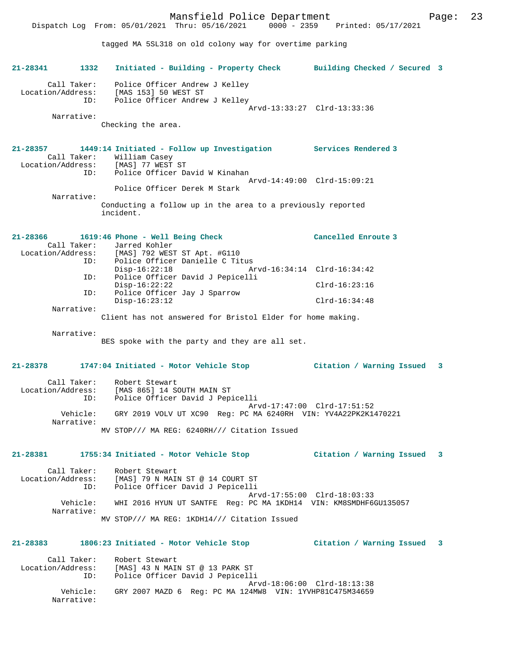Mansfield Police Department Page: 23 Dispatch Log From: 05/01/2021 Thru: 05/16/2021 0000 - 2359 Printed: 05/17/2021 tagged MA 5SL318 on old colony way for overtime parking **21-28341 1332 Initiated - Building - Property Check Building Checked / Secured 3** Call Taker: Police Officer Andrew J Kelley Location/Address: [MAS 153] 50 WEST ST ID: Police Officer Andrew J Kelley Arvd-13:33:27 Clrd-13:33:36 Narrative: Checking the area. **21-28357 1449:14 Initiated - Follow up Investigation Services Rendered 3**  Call Taker: William Casey Location/Address: [MAS] 77 WEST ST ID: Police Officer David W Kinahan Arvd-14:49:00 Clrd-15:09:21 Police Officer Derek M Stark Narrative: Conducting a follow up in the area to a previously reported incident. **21-28366 1619:46 Phone - Well Being Check Cancelled Enroute 3**  Call Taker: Jarred Kohler<br>Location/Address: [MAS] 792 WEST ess: [MAS] 792 WEST ST Apt. #G110<br>ID: Police Officer Danielle C Tit Police Officer Danielle C Titus<br>Disp-16:22:18 Ar Disp-16:22:18 Arvd-16:34:14 Clrd-16:34:42 ID: Police Officer David J Pepicelli Disp-16:22:22 Clrd-16:23:16 ID: Police Officer Jay J Sparrow Disp-16:23:12 Clrd-16:34:48 Narrative: Client has not answered for Bristol Elder for home making. Narrative: BES spoke with the party and they are all set. **21-28378 1747:04 Initiated - Motor Vehicle Stop Citation / Warning Issued 3** Call Taker: Robert Stewart Location/Address: [MAS 865] 14 SOUTH MAIN ST ID: Police Officer David J Pepicelli Arvd-17:47:00 Clrd-17:51:52 Vehicle: GRY 2019 VOLV UT XC90 Reg: PC MA 6240RH VIN: YV4A22PK2K1470221 Narrative: MV STOP/// MA REG: 6240RH/// Citation Issued **21-28381 1755:34 Initiated - Motor Vehicle Stop Citation / Warning Issued 3** Call Taker: Robert Stewart Location/Address: [MAS] 79 N MAIN ST @ 14 COURT ST ID: Police Officer David J Pepicelli Arvd-17:55:00 Clrd-18:03:33 Vehicle: WHI 2016 HYUN UT SANTFE Reg: PC MA 1KDH14 VIN: KM8SMDHF6GU135057 Narrative: MV STOP/// MA REG: 1KDH14/// Citation Issued **21-28383 1806:23 Initiated - Motor Vehicle Stop Citation / Warning Issued 3** Call Taker: Robert Stewart<br>Location/Address: [MAS] 43 N MAI  $[MAS]$  43 N MAIN ST @ 13 PARK ST ID: Police Officer David J Pepicelli Arvd-18:06:00 Clrd-18:13:38 Vehicle: GRY 2007 MAZD 6 Reg: PC MA 124MW8 VIN: 1YVHP81C475M34659

Narrative: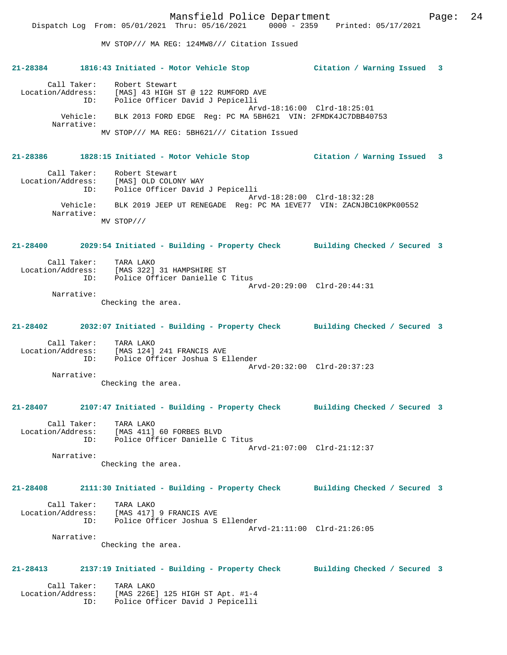Mansfield Police Department Fage: 24 MV STOP/// MA REG: 124MW8/// Citation Issued **21-28384 1816:43 Initiated - Motor Vehicle Stop Citation / Warning Issued 3** Call Taker: Robert Stewart Location/Address: [MAS] 43 HIGH ST @ 122 RUMFORD AVE ID: Police Officer David J Pepicelli Arvd-18:16:00 Clrd-18:25:01 Vehicle: BLK 2013 FORD EDGE Reg: PC MA 5BH621 VIN: 2FMDK4JC7DBB40753 Narrative: MV STOP/// MA REG: 5BH621/// Citation Issued **21-28386 1828:15 Initiated - Motor Vehicle Stop Citation / Warning Issued 3** Call Taker: Robert Stewart Location/Address: [MAS] OLD COLONY WAY ID: Police Officer David J Pepicelli Arvd-18:28:00 Clrd-18:32:28 Vehicle: BLK 2019 JEEP UT RENEGADE Reg: PC MA 1EVE77 VIN: ZACNJBC10KPK00552 Narrative: MV STOP/// **21-28400 2029:54 Initiated - Building - Property Check Building Checked / Secured 3** Call Taker: TARA LAKO Location/Address: [MAS 322] 31 HAMPSHIRE ST ID: Police Officer Danielle C Titus Arvd-20:29:00 Clrd-20:44:31 Narrative: Checking the area. **21-28402 2032:07 Initiated - Building - Property Check Building Checked / Secured 3** Call Taker: TARA LAKO Location/Address: [MAS 124] 241 FRANCIS AVE ID: Police Officer Joshua S Ellender Arvd-20:32:00 Clrd-20:37:23 Narrative: Checking the area. **21-28407 2107:47 Initiated - Building - Property Check Building Checked / Secured 3** Call Taker: TARA LAKO Location/Address: [MAS 411] 60 FORBES BLVD

 ID: Police Officer Danielle C Titus Arvd-21:07:00 Clrd-21:12:37 Narrative:

Checking the area.

**21-28408 2111:30 Initiated - Building - Property Check Building Checked / Secured 3**

 Call Taker: TARA LAKO Location/Address: [MAS 417] 9 FRANCIS AVE ID: Police Officer Joshua S Ellender Arvd-21:11:00 Clrd-21:26:05 Narrative:

Checking the area.

#### **21-28413 2137:19 Initiated - Building - Property Check Building Checked / Secured 3**

Call Taker: TARA LAKO<br>ion/Address: [MAS 226E Location/Address: [MAS 226E] 125 HIGH ST Apt. #1-4 ID: Police Officer David J Pepicelli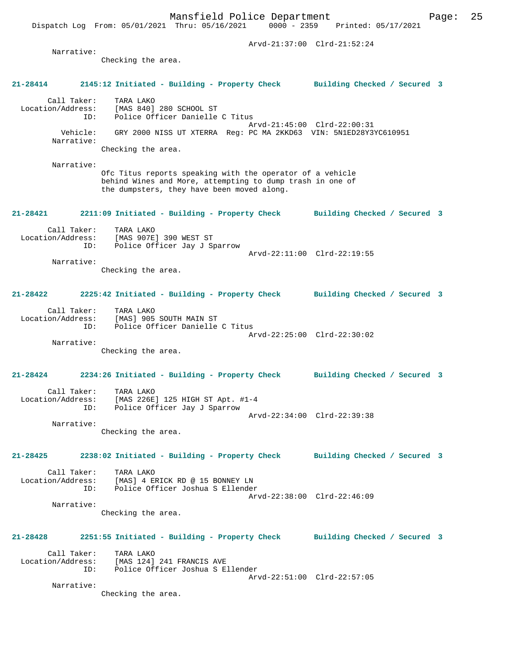Checking the area.

#### **21-28414 2145:12 Initiated - Building - Property Check Building Checked / Secured 3**

 Call Taker: TARA LAKO Location/Address: [MAS 840] 280 SCHOOL ST ID: Police Officer Danielle C Titus Arvd-21:45:00 Clrd-22:00:31 Vehicle: GRY 2000 NISS UT XTERRA Reg: PC MA 2KKD63 VIN: 5N1ED28Y3YC610951 Narrative: Checking the area.

 Narrative: Ofc Titus reports speaking with the operator of a vehicle behind Wines and More, attempting to dump trash in one of the dumpsters, they have been moved along.

#### **21-28421 2211:09 Initiated - Building - Property Check Building Checked / Secured 3**

| Call Taker:       | TARA LAKO                    |                             |  |
|-------------------|------------------------------|-----------------------------|--|
| Location/Address: | [MAS 907E] 390 WEST ST       |                             |  |
| ID:               | Police Officer Jay J Sparrow |                             |  |
|                   |                              | Arvd-22:11:00 Clrd-22:19:55 |  |
| Narrative:        |                              |                             |  |

Checking the area.

#### **21-28422 2225:42 Initiated - Building - Property Check Building Checked / Secured 3**

| Call Taker:       | TARA LAKO                       |  |
|-------------------|---------------------------------|--|
| Location/Address: | [MAS] 905 SOUTH MAIN ST         |  |
| TD:               | Police Officer Danielle C Titus |  |
|                   | Arvd-22:25:00 Clrd-22:30:02     |  |
| Narrative:        |                                 |  |

Checking the area.

### **21-28424 2234:26 Initiated - Building - Property Check Building Checked / Secured 3**

| Call Taker:       | TARA LAKO                        |
|-------------------|----------------------------------|
| Location/Address: | [MAS 226E] 125 HIGH ST Apt. #1-4 |
| TD:               | Police Officer Jay J Sparrow     |
|                   | Arvd-22:34:00 Clrd-22:39:38      |
| Narrative:        |                                  |

Checking the area.

# **21-28425 2238:02 Initiated - Building - Property Check Building Checked / Secured 3**

Call Taker: TARA LAKO<br>Location/Address: [MAS] 4 E Location/Address: [MAS] 4 ERICK RD @ 15 BONNEY LN ID: Police Officer Joshua S Ellender Arvd-22:38:00 Clrd-22:46:09 Narrative:

Checking the area.

# **21-28428 2251:55 Initiated - Building - Property Check Building Checked / Secured 3** Call Taker: TARA LAKO

 Location/Address: [MAS 124] 241 FRANCIS AVE ID: Police Officer Joshua S Ellender Arvd-22:51:00 Clrd-22:57:05 Narrative:

Checking the area.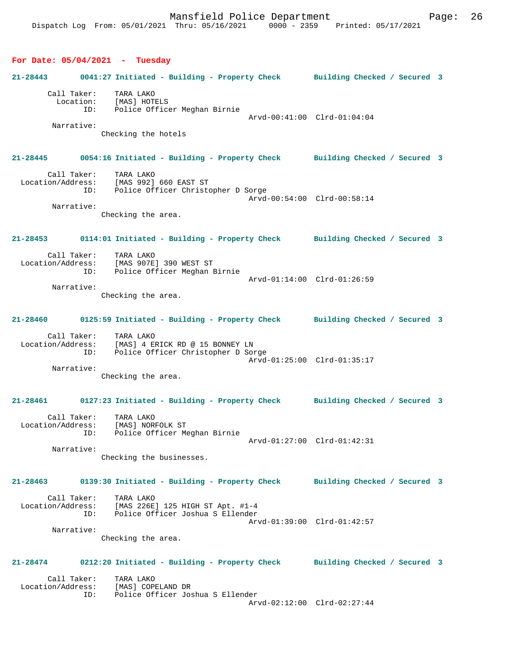#### **For Date: 05/04/2021 - Tuesday**

# **21-28443 0041:27 Initiated - Building - Property Check Building Checked / Secured 3** Call Taker: TARA LAKO Location: [MAS] HOTELS ID: Police Officer Meghan Birnie Arvd-00:41:00 Clrd-01:04:04 Narrative: Checking the hotels **21-28445 0054:16 Initiated - Building - Property Check Building Checked / Secured 3** Call Taker: TARA LAKO<br>ion/Address: [MAS 992] 660 EAST ST Location/Address: ID: Police Officer Christopher D Sorge Arvd-00:54:00 Clrd-00:58:14 Narrative: Checking the area. **21-28453 0114:01 Initiated - Building - Property Check Building Checked / Secured 3** Call Taker: TARA LAKO Location/Address: [MAS 907E] 390 WEST ST Police Officer Meghan Birnie Arvd-01:14:00 Clrd-01:26:59 Narrative: Checking the area. **21-28460 0125:59 Initiated - Building - Property Check Building Checked / Secured 3** Call Taker: TARA LAKO Location/Address: [MAS] 4 ERICK RD @ 15 BONNEY LN ID: Police Officer Christopher D Sorge Arvd-01:25:00 Clrd-01:35:17 Narrative: Checking the area. **21-28461 0127:23 Initiated - Building - Property Check Building Checked / Secured 3** Call Taker: TARA LAKO Location/Address: [MAS] NORFOLK ST ID: Police Officer Meghan Birnie Arvd-01:27:00 Clrd-01:42:31 Narrative: Checking the businesses. **21-28463 0139:30 Initiated - Building - Property Check Building Checked / Secured 3** Call Taker: TARA LAKO<br>Location/Address: [MAS 226E  $[MAS 226E] 125 HIGH ST Apt. #1-4$  ID: Police Officer Joshua S Ellender Arvd-01:39:00 Clrd-01:42:57 Narrative: Checking the area. **21-28474 0212:20 Initiated - Building - Property Check Building Checked / Secured 3** Call Taker: TARA LAKO Location/Address: [MAS] COPELAND DR ID: Police Officer Joshua S Ellender Arvd-02:12:00 Clrd-02:27:44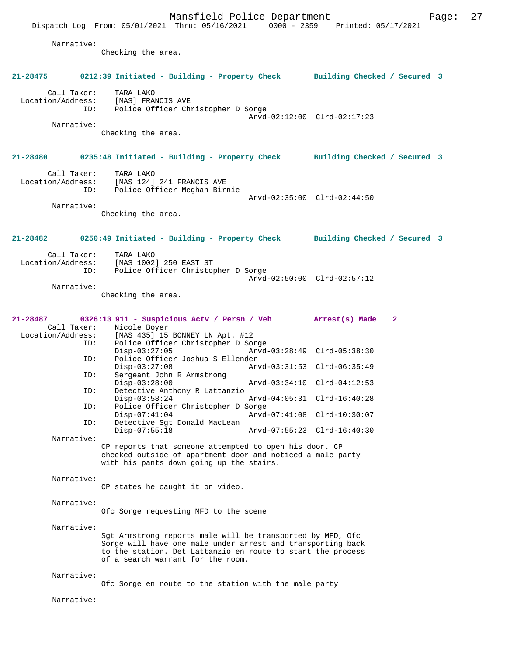Mansfield Police Department Page: 27 Dispatch Log From: 05/01/2021 Thru: 05/16/2021 Narrative: Checking the area. **21-28475 0212:39 Initiated - Building - Property Check Building Checked / Secured 3** Call Taker: TARA LAKO<br>Location/Address: [MAS] FRA [MAS] FRANCIS AVE ID: Police Officer Christopher D Sorge Arvd-02:12:00 Clrd-02:17:23 Narrative: Checking the area. **21-28480 0235:48 Initiated - Building - Property Check Building Checked / Secured 3** Call Taker: TARA LAKO<br>Location/Address: [MAS 124] ess: [MAS 124] 241 FRANCIS AVE<br>TD: Police Officer Meghan Bir Police Officer Meghan Birnie Arvd-02:35:00 Clrd-02:44:50 Narrative: Checking the area. **21-28482 0250:49 Initiated - Building - Property Check Building Checked / Secured 3** Call Taker: TARA LAKO Location/Address: [MAS 1002] 250 EAST ST Police Officer Christopher D Sorge Arvd-02:50:00 Clrd-02:57:12 Narrative: Checking the area. **21-28487 0326:13 911 - Suspicious Actv / Persn / Veh Arrest(s) Made 2**  Call Taker:<br>Location/Address: ess: [MAS 435] 15 BONNEY LN Apt. #12<br>ID: Police Officer Christopher D So Police Officer Christopher D Sorge<br>Disp-03:27:05 Arvd Disp-03:27:05 Arvd-03:28:49 Clrd-05:38:30<br>ID: Police Officer Joshua S Ellender Police Officer Joshua S Ellender<br>Disp-03:27:08 Arv Disp-03:27:08 Arvd-03:31:53 Clrd-06:35:49 ID: Sergeant John R Armstrong Disp-03:28:00 Arvd-03:34:10 Clrd-04:12:53<br>ID: Detective Anthony R Lattanzio Detective Anthony R Lattanzio<br>Disp-03:58:24 Disp-03:58:24 Arvd-04:05:31 Clrd-16:40:28 ID: Police Officer Christopher D Sorge Disp-07:41:04 Arvd-07:41:08 Clrd-10:30:07<br>TD: Detective Sat Donald MacLean Detective Sgt Donald MacLean<br>Disp-07:55:18 Disp-07:55:18 Arvd-07:55:23 Clrd-16:40:30 Narrative: CP reports that someone attempted to open his door. CP checked outside of apartment door and noticed a male party with his pants down going up the stairs. Narrative: CP states he caught it on video. Narrative: Ofc Sorge requesting MFD to the scene Narrative: Sgt Armstrong reports male will be transported by MFD, Ofc Sorge will have one male under arrest and transporting back to the station. Det Lattanzio en route to start the process of a search warrant for the room. Narrative: Ofc Sorge en route to the station with the male party Narrative: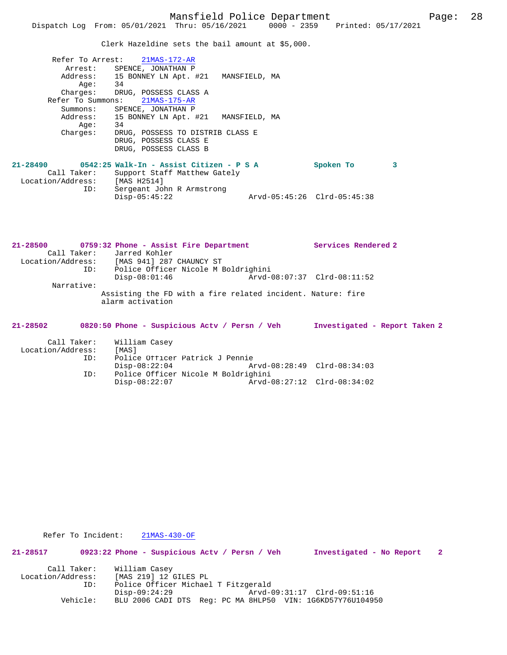Clerk Hazeldine sets the bail amount at \$5,000.

| Refer To Arrest:  | 21MAS-172-AR                                    |           |   |
|-------------------|-------------------------------------------------|-----------|---|
| Arrest:           | SPENCE, JONATHAN P                              |           |   |
|                   | Address: 15 BONNEY LN Apt. #21<br>MANSFIELD, MA |           |   |
| Aae:              | 34                                              |           |   |
|                   | Charges: DRUG, POSSESS CLASS A                  |           |   |
| Refer To Summons: | 21MAS-175-AR                                    |           |   |
| Summons:          | SPENCE, JONATHAN P                              |           |   |
| Address:          | 15 BONNEY LN Apt. #21<br>MANSFIELD, MA          |           |   |
| Age:              | 34                                              |           |   |
| Charges:          | DRUG, POSSESS TO DISTRIB CLASS E                |           |   |
|                   | DRUG, POSSESS CLASS E                           |           |   |
|                   | DRUG, POSSESS CLASS B                           |           |   |
| 21-28490          | 0542:25 Walk-In - Assist Citizen - P S A        | Spoken To | 3 |
|                   |                                                 |           |   |

| Call Taker:       | Support Staff Matthew Gately |                             |
|-------------------|------------------------------|-----------------------------|
| Location/Address: | [MAS H2514]                  |                             |
| ID:               | Sergeant John R Armstrong    |                             |
|                   | Disp-05:45:22                | Arvd-05:45:26 Clrd-05:45:38 |

| $21 - 28500$      | 0759:32 Phone - Assist Fire Department                                          | Services Rendered 2           |
|-------------------|---------------------------------------------------------------------------------|-------------------------------|
| Call Taker:       | Jarred Kohler                                                                   |                               |
|                   | Location/Address: [MAS 941] 287 CHAUNCY ST                                      |                               |
| ID:               | Police Officer Nicole M Boldrighini                                             |                               |
|                   | $Disp-08:01:46$                                                                 | Arvd-08:07:37 Clrd-08:11:52   |
| Narrative:        |                                                                                 |                               |
|                   | Assisting the FD with a fire related incident. Nature: fire<br>alarm activation |                               |
| $21 - 28502$      | 0820:50 Phone - Suspicious Acty / Persn / Veh                                   | Investigated - Report Taken 2 |
| Call Taker:       | William Casey                                                                   |                               |
| Location/Address: | [MAS]                                                                           |                               |
| ID:               | Police Officer Patrick J Pennie                                                 |                               |

Disp-08:22:04 Arvd-08:28:49 Clrd-08:34:03<br>ID: Police Officer Nicole M Boldrighini

Disp-08:22:07 Arvd-08:27:12 Clrd-08:34:02

ID: Police Officer Nicole M Boldrighini

| Refer To Incident: |  |  |  | $21MAS-430-OF$ |
|--------------------|--|--|--|----------------|
|--------------------|--|--|--|----------------|

**21-28517 0923:22 Phone - Suspicious Actv / Persn / Veh Investigated - No Report 2** Call Taker: William Casey<br>Location/Address: [MAS 219] 12 0 Location/Address: [MAS 219] 12 GILES PL ID: Police Officer Michael T Fitzgerald ID: Police Officer Michael T Fitzgerald<br>Disp-09:24:29 Arvd-09:31:17 Clrd-09:51:16 Vehicle: BLU 2006 CADI DTS Reg: PC MA 8HLP50 VIN: 1G6KD57Y76U104950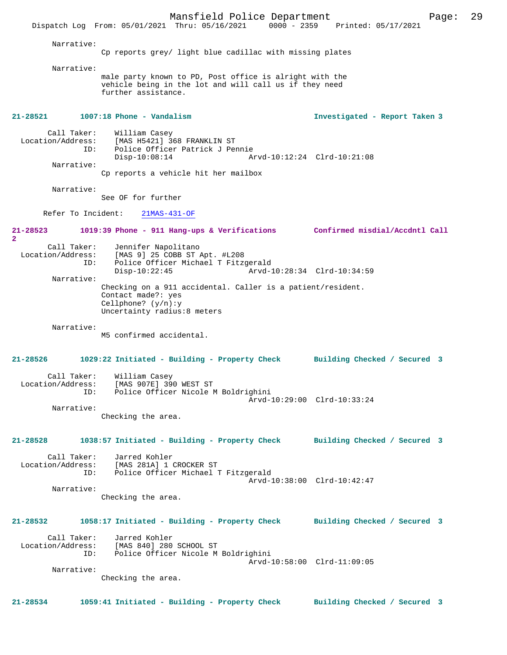Mansfield Police Department Page: 29 Dispatch Log From: 05/01/2021 Thru: 05/16/2021 Narrative: Cp reports grey/ light blue cadillac with missing plates Narrative: male party known to PD, Post office is alright with the vehicle being in the lot and will call us if they need further assistance. **21-28521 1007:18 Phone - Vandalism Investigated - Report Taken 3** Call Taker: William Casey Location/Address: [MAS H5421] 368 FRANKLIN ST Police Officer Patrick J Pennie<br>Disp-10:08:14 Ar Disp-10:08:14 Arvd-10:12:24 Clrd-10:21:08 Narrative: Cp reports a vehicle hit her mailbox Narrative: See OF for further Refer To Incident: 21MAS-431-OF **21-28523 1019:39 Phone - 911 Hang-ups & Verifications Confirmed misdial/Accdntl Call 2**  Call Taker: Jennifer Napolitano<br>Location/Address: [MAS 9] 25 COBB ST ess: [MAS 9] 25 COBB ST Apt. #L208<br>ID: Police Officer Michael T Fitz Police Officer Michael T Fitzgerald<br>Disp-10:22:45 Arvd-1 Arvd-10:28:34 Clrd-10:34:59 Narrative: Checking on a 911 accidental. Caller is a patient/resident. Contact made?: yes Cellphone? (y/n):y Uncertainty radius:8 meters Narrative: M5 confirmed accidental. **21-28526 1029:22 Initiated - Building - Property Check Building Checked / Secured 3** Call Taker: William Casey<br>Location/Address: [MAS 907E] 39 [MAS 907E] 390 WEST ST ID: Police Officer Nicole M Boldrighini Arvd-10:29:00 Clrd-10:33:24 Narrative: Checking the area. **21-28528 1038:57 Initiated - Building - Property Check Building Checked / Secured 3** Call Taker: Jarred Kohler Location/Address: [MAS 281A] 1 CROCKER ST ID: Police Officer Michael T Fitzgerald Arvd-10:38:00 Clrd-10:42:47 Narrative: Checking the area. **21-28532 1058:17 Initiated - Building - Property Check Building Checked / Secured 3** Call Taker: Jarred Kohler<br>Location/Address: [MAS 840] 280 ess: [MAS 840] 280 SCHOOL ST<br>ID: Police Officer Nicole M Police Officer Nicole M Boldrighini Arvd-10:58:00 Clrd-11:09:05 Narrative: Checking the area. **21-28534 1059:41 Initiated - Building - Property Check Building Checked / Secured 3**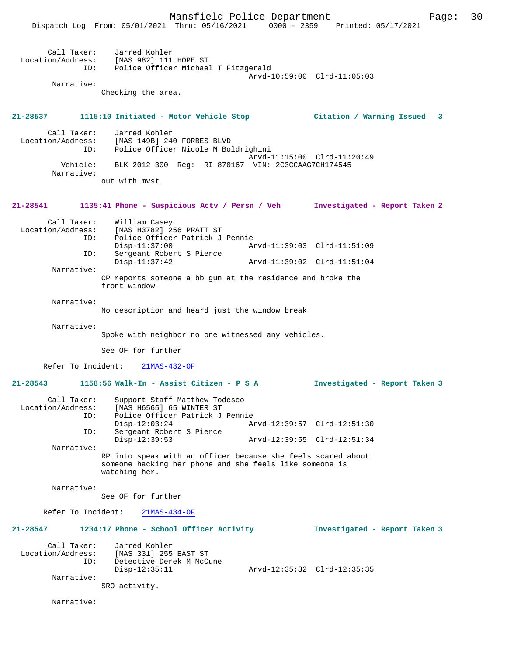|                                         | Dispatch Log From: 05/01/2021 Thru: 05/16/2021 0000 - 2359 Printed: 05/17/2021                                                           | Mansfield Police Department |                               | 30<br>Page: |
|-----------------------------------------|------------------------------------------------------------------------------------------------------------------------------------------|-----------------------------|-------------------------------|-------------|
| Call Taker:<br>ID:                      | Jarred Kohler<br>Location/Address: [MAS 982] 111 HOPE ST<br>Police Officer Michael T Fitzgerald                                          |                             | Arvd-10:59:00 Clrd-11:05:03   |             |
| Narrative:                              | Checking the area.                                                                                                                       |                             |                               |             |
|                                         | 21-28537 1115:10 Initiated - Motor Vehicle Stop 6 (itation / Warning Issued 3                                                            |                             |                               |             |
| Call Taker:<br>Location/Address:<br>ID: | Jarred Kohler<br>[MAS 149B] 240 FORBES BLVD<br>Police Officer Nicole M Boldrighini                                                       |                             |                               |             |
| Vehicle:<br>Narrative:                  | BLK 2012 300 Reg: RI 870167 VIN: 2C3CCAAG7CH174545                                                                                       |                             | Arvd-11:15:00 Clrd-11:20:49   |             |
|                                         | out with myst                                                                                                                            |                             |                               |             |
| 21-28541                                | 1135:41 Phone - Suspicious Actv / Persn / Veh Investigated - Report Taken 2                                                              |                             |                               |             |
| Call Taker:<br>Location/Address:<br>ID: | William Casey<br>[MAS H3782] 256 PRATT ST<br>Police Officer Patrick J Pennie<br>$Disp-11:37:00$                                          |                             | Arvd-11:39:03 Clrd-11:51:09   |             |
| ID:                                     | Sergeant Robert S Pierce<br>$Disp-11:37:42$                                                                                              |                             | Arvd-11:39:02 Clrd-11:51:04   |             |
| Narrative:                              | CP reports someone a bb gun at the residence and broke the<br>front window                                                               |                             |                               |             |
| Narrative:                              | No description and heard just the window break                                                                                           |                             |                               |             |
| Narrative:                              | Spoke with neighbor no one witnessed any vehicles.                                                                                       |                             |                               |             |
|                                         | See OF for further                                                                                                                       |                             |                               |             |
|                                         | Refer To Incident: 21MAS-432-OF                                                                                                          |                             |                               |             |
| 21-28543                                | 1158:56 Walk-In - Assist Citizen - P S A                                                                                                 |                             | Investigated - Report Taken 3 |             |
| Call Taker:<br>Location/Address:<br>ID: | Support Staff Matthew Todesco<br>[MAS H6565] 65 WINTER ST<br>Police Officer Patrick J Pennie                                             |                             |                               |             |
| ID:                                     | $Disp-12:03:24$<br>Sergeant Robert S Pierce                                                                                              |                             | Arvd-12:39:57 Clrd-12:51:30   |             |
| Narrative:                              | $Disp-12:39:53$                                                                                                                          |                             | Arvd-12:39:55 Clrd-12:51:34   |             |
|                                         | RP into speak with an officer because she feels scared about<br>someone hacking her phone and she feels like someone is<br>watching her. |                             |                               |             |
| Narrative:                              | See OF for further                                                                                                                       |                             |                               |             |
| Refer To Incident:                      | $21MAS-434-OF$                                                                                                                           |                             |                               |             |
| 21-28547                                | 1234:17 Phone - School Officer Activity                                                                                                  |                             | Investigated - Report Taken 3 |             |
| Call Taker:<br>Location/Address:<br>ID: | Jarred Kohler<br>[MAS 331] 255 EAST ST<br>Detective Derek M McCune                                                                       |                             |                               |             |
| Narrative:                              | $Disp-12:35:11$<br>SRO activity.                                                                                                         |                             | Arvd-12:35:32 Clrd-12:35:35   |             |
| Narrative:                              |                                                                                                                                          |                             |                               |             |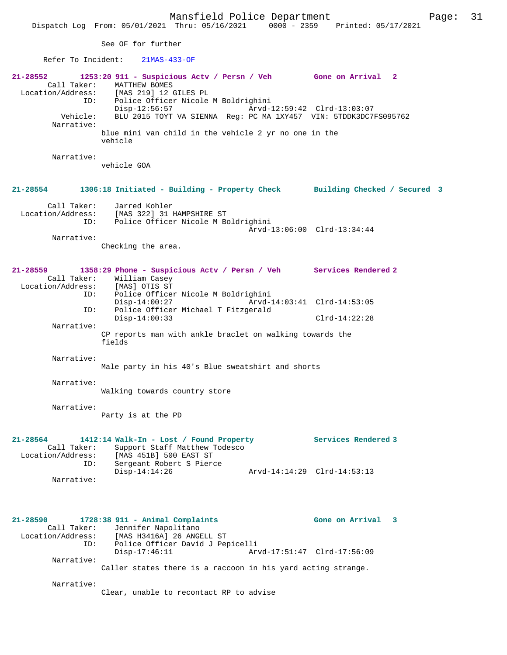Mansfield Police Department Page: 31 Dispatch Log From: 05/01/2021 Thru: 05/16/2021 0000 - 2359 Printed: 05/17/2021 See OF for further Refer To Incident: 21MAS-433-OF **21-28552 1253:20 911 - Suspicious Actv / Persn / Veh Gone on Arrival 2**  Call Taker: MATTHEW BOMES<br>Location/Address: [MAS 219] 12 0 ess: [MAS 219] 12 GILES PL<br>ID: Police Officer Nicole ID: Police Officer Nicole M Boldrighini Disp-12:56:57 Arvd-12:59:42 Clrd-13:03:07 Vehicle: BLU 2015 TOYT VA SIENNA Reg: PC MA 1XY457 VIN: 5TDDK3DC7FS095762 Narrative: blue mini van child in the vehicle 2 yr no one in the vehicle Narrative: vehicle GOA **21-28554 1306:18 Initiated - Building - Property Check Building Checked / Secured 3** Call Taker: Jarred Kohler Location/Address: [MAS 322] 31 HAMPSHIRE ST ID: Police Officer Nicole M Boldrighini Arvd-13:06:00 Clrd-13:34:44 Narrative: Checking the area. **21-28559 1358:29 Phone - Suspicious Actv / Persn / Veh Services Rendered 2**  Call Taker: William Casey Location/Address: [MAS] OTIS ST ID: Police Officer Nicole M Boldrighini Disp-14:00:27 Arvd-14:03:41 Clrd-14:53:05 ID: Police Officer Michael T Fitzgerald Disp-14:00:33 Clrd-14:22:28 Narrative: CP reports man with ankle braclet on walking towards the fields Narrative: Male party in his 40's Blue sweatshirt and shorts Narrative: Walking towards country store Narrative: Party is at the PD **21-28564 1412:14 Walk-In - Lost / Found Property Services Rendered 3**  Call Taker: Support Staff Matthew Todesco Location/Address: [MAS 451B] 500 EAST ST ID: Sergeant Robert S Pierce Disp-14:14:26 Arvd-14:14:29 Clrd-14:53:13 Narrative: **21-28590 1728:38 911 - Animal Complaints Gone on Arrival 3**  Call Taker: Jennifer Napolitano Location/Address: [MAS H3416A] 26 ANGELL ST ID: Police Officer David J Pepicelli Arvd-17:51:47 Clrd-17:56:09 Narrative: Caller states there is a raccoon in his yard acting strange. Narrative:

Clear, unable to recontact RP to advise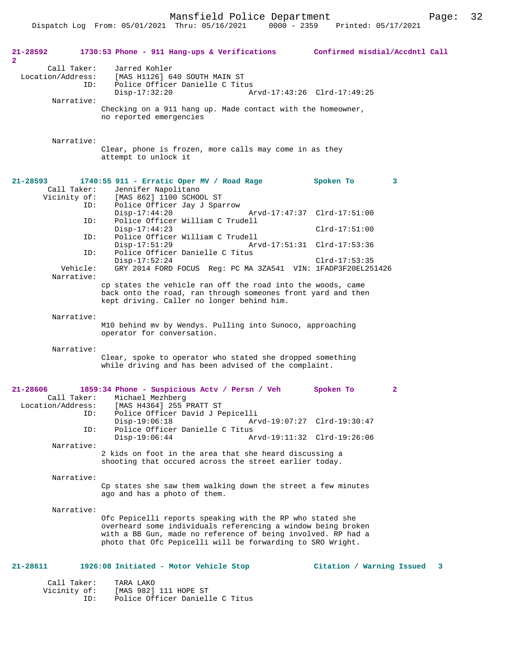Dispatch Log From: 05/01/2021 Thru: 05/16/2021 0000 - 2359 Printed: 05/17/2021

| 21-28592<br>$\overline{2}$ |                                         | 1730:53 Phone - 911 Hang-ups & Verifications Confirmed misdial/Accdntl Call                                                                                                                                                                             |                             |
|----------------------------|-----------------------------------------|---------------------------------------------------------------------------------------------------------------------------------------------------------------------------------------------------------------------------------------------------------|-----------------------------|
|                            | Call Taker:<br>Location/Address:<br>ID: | Jarred Kohler<br>[MAS H1126] 640 SOUTH MAIN ST<br>Police Officer Danielle C Titus<br>$Disp-17:32:20$                                                                                                                                                    | Arvd-17:43:26 Clrd-17:49:25 |
|                            | Narrative:                              | Checking on a 911 hang up. Made contact with the homeowner,<br>no reported emergencies                                                                                                                                                                  |                             |
|                            | Narrative:                              | Clear, phone is frozen, more calls may come in as they<br>attempt to unlock it                                                                                                                                                                          |                             |
| $21 - 28593$               | Call Taker:                             | 1740:55 911 - Erratic Oper MV / Road Rage<br>Jennifer Napolitano                                                                                                                                                                                        | Spoken To<br>3              |
|                            | Vicinity of:<br>ID:                     | [MAS 862] 1100 SCHOOL ST<br>Police Officer Jay J Sparrow<br>$Disp-17:44:20$                                                                                                                                                                             | Arvd-17:47:37 Clrd-17:51:00 |
|                            | ID:                                     | Police Officer William C Trudell<br>$Disp-17:44:23$                                                                                                                                                                                                     | $Clrd-17:51:00$             |
|                            | ID:<br>ID:                              | Police Officer William C Trudell<br>$Disp-17:51:29$<br>Police Officer Danielle C Titus                                                                                                                                                                  | Arvd-17:51:31 Clrd-17:53:36 |
|                            | Vehicle:<br>Narrative:                  | $Disp-17:52:24$<br>GRY 2014 FORD FOCUS Reg: PC MA 3ZA541 VIN: 1FADP3F20EL251426                                                                                                                                                                         | $Clrd-17:53:35$             |
|                            |                                         | cp states the vehicle ran off the road into the woods, came<br>back onto the road, ran through someones front yard and then<br>kept driving. Caller no longer behind him.                                                                               |                             |
|                            | Narrative:                              | M10 behind mv by Wendys. Pulling into Sunoco, approaching<br>operator for conversation.                                                                                                                                                                 |                             |
|                            | Narrative:                              | Clear, spoke to operator who stated she dropped something<br>while driving and has been advised of the complaint.                                                                                                                                       |                             |
| $21 - 28606$               | Call Taker:<br>Location/Address:        | 1859:34 Phone - Suspicious Actv / Persn / Veh<br>Michael Mezhberg<br>[MAS H4364] 255 PRATT ST                                                                                                                                                           | $\mathbf{2}$<br>Spoken To   |
|                            |                                         | ID: Police Officer David J Pepicelli<br>$Disp-19:06:18$                                                                                                                                                                                                 | Arvd-19:07:27 Clrd-19:30:47 |
|                            | ID:<br>Narrative:                       | Police Officer Danielle C Titus<br>$Disp-19:06:44$                                                                                                                                                                                                      | Arvd-19:11:32 Clrd-19:26:06 |
|                            |                                         | 2 kids on foot in the area that she heard discussing a<br>shooting that occured across the street earlier today.                                                                                                                                        |                             |
|                            | Narrative:                              | Cp states she saw them walking down the street a few minutes<br>ago and has a photo of them.                                                                                                                                                            |                             |
|                            | Narrative:                              | Ofc Pepicelli reports speaking with the RP who stated she<br>overheard some individuals referencing a window being broken<br>with a BB Gun, made no reference of being involved. RP had a<br>photo that Ofc Pepicelli will be forwarding to SRO Wright. |                             |
| 21-28611                   |                                         | 1926:08 Initiated - Motor Vehicle Stop                                                                                                                                                                                                                  | Citation / Warning Issued 3 |
|                            | Call Taker:<br>Vicinity of:             | TARA LAKO<br>[MAS 982] 111 HOPE ST                                                                                                                                                                                                                      |                             |

ID: Police Officer Danielle C Titus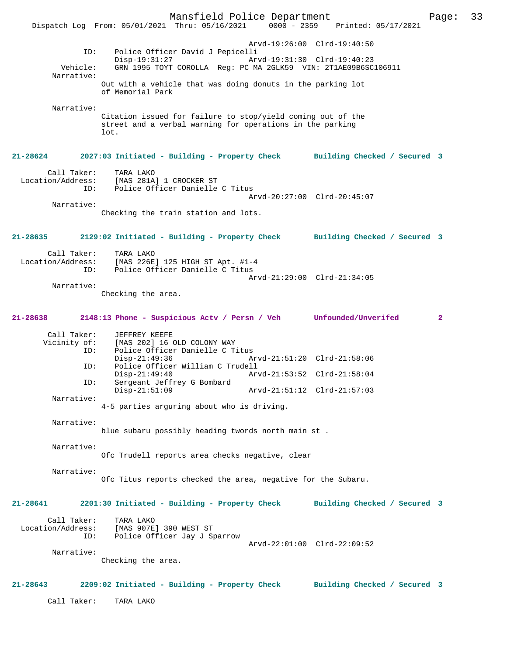Mansfield Police Department Page: 33 Dispatch Log From: 05/01/2021 Thru: 05/16/2021 Arvd-19:26:00 Clrd-19:40:50 ID: Police Officer David J Pepicelli Disp-19:31:27 <br>
Disp-19:31:27 Arvd-19:31:30 Clrd-19:40:23<br>
Vehicle: GRN 1995 TOYT COROLLA Reg: PC MA 2GLK59 VIN: 2T1AE09B6SC Vehicle: GRN 1995 TOYT COROLLA Reg: PC MA 2GLK59 VIN: 2T1AE09B6SC106911 Narrative: Out with a vehicle that was doing donuts in the parking lot of Memorial Park Narrative: Citation issued for failure to stop/yield coming out of the street and a verbal warning for operations in the parking lot. **21-28624 2027:03 Initiated - Building - Property Check Building Checked / Secured 3** Call Taker: TARA LAKO Location/Address: [MAS 281A] 1 CROCKER ST Police Officer Danielle C Titus Arvd-20:27:00 Clrd-20:45:07 Narrative: Checking the train station and lots. **21-28635 2129:02 Initiated - Building - Property Check Building Checked / Secured 3** Call Taker: TARA LAKO<br>Location/Address: [MAS 226E [MAS 226E] 125 HIGH ST Apt. #1-4 ID: Police Officer Danielle C Titus Arvd-21:29:00 Clrd-21:34:05 Narrative: Checking the area. **21-28638 2148:13 Phone - Suspicious Actv / Persn / Veh Unfounded/Unverifed 2** Call Taker: JEFFREY KEEFE<br>Vicinity of: [MAS 202] 16 of: [MAS 202] 16 OLD COLONY WAY<br>ID: Police Officer Danielle C T Police Officer Danielle C Titus<br>Disp-21:49:36 A Disp-21:49:36 Arvd-21:51:20 Clrd-21:58:06<br>ID: Police Officer William C Trudell Police Officer William C Trudell Disp-21:49:40 Arvd-21:53:52 Clrd-21:58:04<br>TD: Sergeant Jeffrey G Bombard Sergeant Jeffrey G Bombard<br>Disp-21:51:09 Disp-21:51:09 Arvd-21:51:12 Clrd-21:57:03 Narrative: 4-5 parties arguring about who is driving. Narrative: blue subaru possibly heading twords north main st . Narrative: Ofc Trudell reports area checks negative, clear Narrative: Ofc Titus reports checked the area, negative for the Subaru. **21-28641 2201:30 Initiated - Building - Property Check Building Checked / Secured 3** Call Taker: TARA LAKO Location/Address: [MAS 907E] 390 WEST ST ID: Police Officer Jay J Sparrow Arvd-22:01:00 Clrd-22:09:52 Narrative: Checking the area. **21-28643 2209:02 Initiated - Building - Property Check Building Checked / Secured 3** Call Taker: TARA LAKO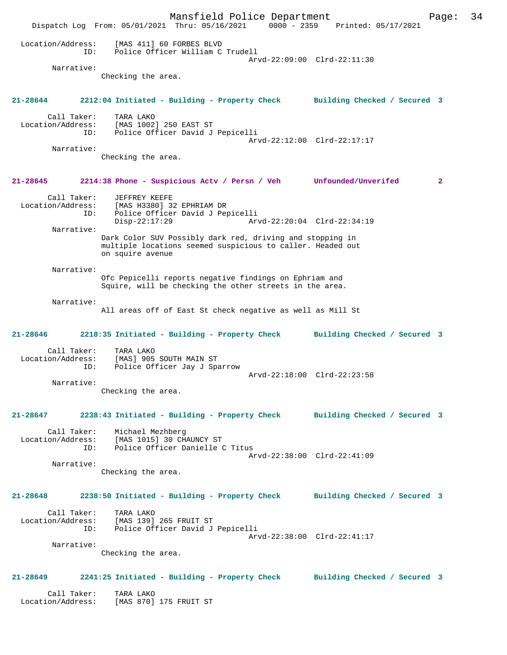Mansfield Police Department Page: 34 Dispatch Log From: 05/01/2021 Thru: 05/16/2021 0000 - 2359 Printed: 05/17/2021 Location/Address: [MAS 411] 60 FORBES BLVD ID: Police Officer William C Trudell Arvd-22:09:00 Clrd-22:11:30 Narrative: Checking the area. **21-28644 2212:04 Initiated - Building - Property Check Building Checked / Secured 3** Call Taker: TARA LAKO Location/Address: [MAS 1002] 250 EAST ST ID: Police Officer David J Pepicelli Arvd-22:12:00 Clrd-22:17:17 Narrative: Checking the area. **21-28645 2214:38 Phone - Suspicious Actv / Persn / Veh Unfounded/Unverifed 2** Call Taker: JEFFREY KEEFE Location/Address: [MAS H3380] 32 EPHRIAM DR<br>TD: Police Officer David J Per ID: Police Officer David J Pepicelli Arvd-22:20:04 Clrd-22:34:19 Narrative: Dark Color SUV Possibly dark red, driving and stopping in multiple locations seemed suspicious to caller. Headed out on squire avenue Narrative: Ofc Pepicelli reports negative findings on Ephriam and Squire, will be checking the other streets in the area. Narrative: All areas off of East St check negative as well as Mill St **21-28646 2218:35 Initiated - Building - Property Check Building Checked / Secured 3** Call Taker: TARA LAKO Location/Address: [MAS] 905 SOUTH MAIN ST ID: Police Officer Jay J Sparrow Arvd-22:18:00 Clrd-22:23:58 Narrative: Checking the area. **21-28647 2238:43 Initiated - Building - Property Check Building Checked / Secured 3** Call Taker: Michael Mezhberg Location/Address: [MAS 1015] 30 CHAUNCY ST ID: Police Officer Danielle C Titus Arvd-22:38:00 Clrd-22:41:09 Narrative: Checking the area. **21-28648 2238:50 Initiated - Building - Property Check Building Checked / Secured 3** Call Taker: TARA LAKO Location/Address: [MAS 139] 265 FRUIT ST ID: Police Officer David J Pepicelli Arvd-22:38:00 Clrd-22:41:17 Narrative: Checking the area. **21-28649 2241:25 Initiated - Building - Property Check Building Checked / Secured 3** Call Taker: TARA LAKO Location/Address: [MAS 870] 175 FRUIT ST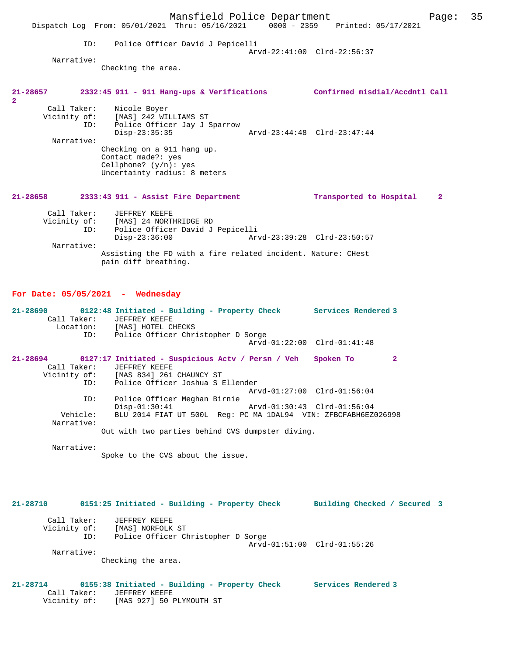|                           |                                                                              |     |                                       |                                                                                        |                                      | Mansfield Police Department                                                    |                                |  | Page:          | 35 |
|---------------------------|------------------------------------------------------------------------------|-----|---------------------------------------|----------------------------------------------------------------------------------------|--------------------------------------|--------------------------------------------------------------------------------|--------------------------------|--|----------------|----|
|                           |                                                                              |     |                                       |                                                                                        |                                      | Dispatch Log From: 05/01/2021 Thru: 05/16/2021 0000 - 2359 Printed: 05/17/2021 |                                |  |                |    |
|                           | Narrative:                                                                   | ID: | Checking the area.                    |                                                                                        | Police Officer David J Pepicelli     | Arvd-22:41:00 Clrd-22:56:37                                                    |                                |  |                |    |
| $\mathbf{2}^{\mathsf{r}}$ | 21-28657 2332:45 911 - 911 Hang-ups & Verifications                          |     |                                       |                                                                                        |                                      |                                                                                | Confirmed misdial/Accdntl Call |  |                |    |
|                           | Call Taker: Nicole Boyer<br>Vicinity of: [MAS] 242 WILLIAMS ST<br>Narrative: |     | $Disp-23:35:35$<br>Contact made?: yes | Checking on a 911 hang up.<br>Cellphone? $(y/n)$ : yes<br>Uncertainty radius: 8 meters | ID: Police Officer Jay J Sparrow     | Arvd-23:44:48 Clrd-23:47:44                                                    |                                |  |                |    |
| 21-28658                  |                                                                              |     |                                       |                                                                                        | 2333:43 911 - Assist Fire Department |                                                                                | Transported to Hospital        |  | $\overline{2}$ |    |
|                           | Call Taker: JEFFREY KEEFE<br>Vicinity of: [MAS] 24 NORTHRIDGE RD             |     |                                       |                                                                                        |                                      |                                                                                |                                |  |                |    |

Police Officer David J Pepicelli<br>Disp-23:36:00 Ary Disp-23:36:00 Arvd-23:39:28 Clrd-23:50:57 Narrative: Assisting the FD with a fire related incident. Nature: CHest pain diff breathing.

## **For Date: 05/05/2021 - Wednesday**

Vicinity of: [MAS 927] 50 PLYMOUTH ST

| $21 - 28690$<br>Call Taker:<br>ID: | 0122:48 Initiated - Building - Property Check<br>Services Rendered 3<br>JEFFREY KEEFE<br>Location: [MAS] HOTEL CHECKS<br>Police Officer Christopher D Sorge<br>Arvd-01:22:00 Clrd-01:41:48 |
|------------------------------------|--------------------------------------------------------------------------------------------------------------------------------------------------------------------------------------------|
| 21-28694                           | 0127:17 Initiated - Suspicious Actv / Persn / Veh<br>Spoken To<br>2                                                                                                                        |
| Call Taker:                        | JEFFREY KEEFE                                                                                                                                                                              |
|                                    | Vicinity of: [MAS 834] 261 CHAUNCY ST                                                                                                                                                      |
| ID:                                | Police Officer Joshua S Ellender                                                                                                                                                           |
|                                    | Arvd-01:27:00 Clrd-01:56:04                                                                                                                                                                |
| ID:                                | Police Officer Meghan Birnie                                                                                                                                                               |
|                                    | $Disp-01:30:41$<br>Arvd-01:30:43 Clrd-01:56:04                                                                                                                                             |
| Vehicle:                           | BLU 2014 FIAT UT 500L Req: PC MA 1DAL94 VIN: ZFBCFABH6EZ026998                                                                                                                             |
| Narrative:                         |                                                                                                                                                                                            |
|                                    | Out with two parties behind CVS dumpster diving.                                                                                                                                           |
| Narrative:                         |                                                                                                                                                                                            |
|                                    | Spoke to the CVS about the issue.                                                                                                                                                          |
|                                    |                                                                                                                                                                                            |
|                                    |                                                                                                                                                                                            |
|                                    |                                                                                                                                                                                            |
|                                    |                                                                                                                                                                                            |

**21-28710 0151:25 Initiated - Building - Property Check Building Checked / Secured 3** Call Taker: JEFFREY KEEFE Vicinity of: [MAS] NORFOLK ST ID: Police Officer Christopher D Sorge Arvd-01:51:00 Clrd-01:55:26 Narrative: Checking the area. **21-28714 0155:38 Initiated - Building - Property Check Services Rendered 3**  Call Taker: JEFFREY KEEFE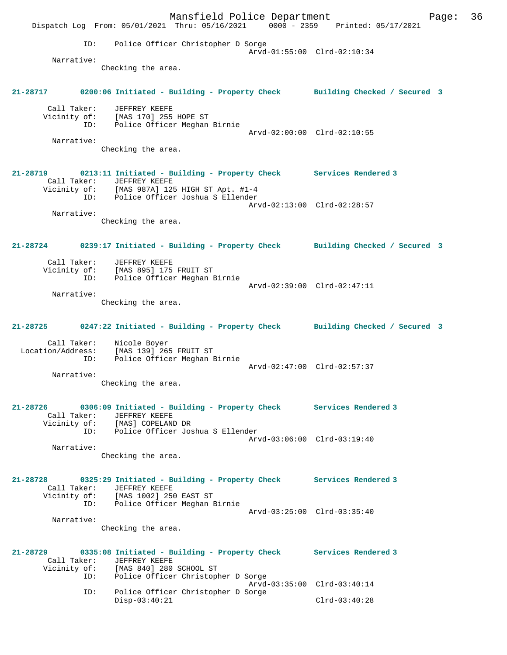Mansfield Police Department Page: 36 Dispatch Log From: 05/01/2021 Thru: 05/16/2021 0000 - 2359 Printed: 05/17/2021 ID: Police Officer Christopher D Sorge Arvd-01:55:00 Clrd-02:10:34 Narrative: Checking the area. **21-28717 0200:06 Initiated - Building - Property Check Building Checked / Secured 3** Call Taker: JEFFREY KEEFE Vicinity of: [MAS 170] 255 HOPE ST ID: Police Officer Meghan Birnie Arvd-02:00:00 Clrd-02:10:55 Narrative: Checking the area. **21-28719 0213:11 Initiated - Building - Property Check Services Rendered 3**  Call Taker: JEFFREY KEEFE Vicinity of: [MAS 987A] 125 HIGH ST Apt. #1-4 ID: Police Officer Joshua S Ellender Arvd-02:13:00 Clrd-02:28:57 Narrative: Checking the area. **21-28724 0239:17 Initiated - Building - Property Check Building Checked / Secured 3** Call Taker: JEFFREY KEEFE Vicinity of: [MAS 895] 175 FRUIT ST ID: Police Officer Meghan Birnie Arvd-02:39:00 Clrd-02:47:11 Narrative: Checking the area. **21-28725 0247:22 Initiated - Building - Property Check Building Checked / Secured 3** Call Taker: Nicole Boyer Location/Address: [MAS 139] 265 FRUIT ST ID: Police Officer Meghan Birnie Arvd-02:47:00 Clrd-02:57:37 Narrative: Checking the area. **21-28726 0306:09 Initiated - Building - Property Check Services Rendered 3**  Call Taker: JEFFREY KEEFE Vicinity of: [MAS] COPELAND DR of: [MAS] COPELAND DR<br>ID: Police Officer Joshua S Ellender Arvd-03:06:00 Clrd-03:19:40 Narrative: Checking the area. **21-28728 0325:29 Initiated - Building - Property Check Services Rendered 3**  Call Taker: JEFFREY KEEFE Vicinity of: [MAS 1002] 250 EAST ST ID: Police Officer Meghan Birnie Arvd-03:25:00 Clrd-03:35:40 Narrative: Checking the area. **21-28729 0335:08 Initiated - Building - Property Check Services Rendered 3**  Call Taker: JEFFREY KEEFE<br>Vicinity of: [MAS 840] 280 of: [MAS 840] 280 SCHOOL ST<br>ID: Police Officer Christoph Police Officer Christopher D Sorge Arvd-03:35:00 Clrd-03:40:14<br>ID: Police Officer Christopher D Sorge Police Officer Christopher D Sorge Disp-03:40:21 Clrd-03:40:28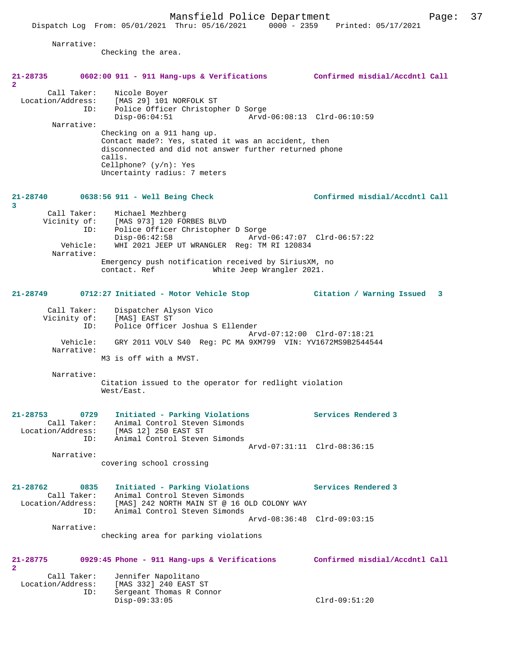Dispatch Log From: 05/01/2021 Thru: 05/16/2021 0000 - 2359 Printed: 05/17/2021

Checking the area.

| 21-28735<br>$\mathbf{2}$         | $0602:00$ 911 - 911 Hang-ups & Verifications                                                                                                                                                                     | Confirmed misdial/Accdntl Call |
|----------------------------------|------------------------------------------------------------------------------------------------------------------------------------------------------------------------------------------------------------------|--------------------------------|
| Call Taker:<br>Location/Address: | Nicole Boyer<br>[MAS 29] 101 NORFOLK ST<br>Police Officer Christopher D Sorge<br>ID:<br>$Disp-06:04:51$                                                                                                          | Arvd-06:08:13 Clrd-06:10:59    |
| Narrative:                       |                                                                                                                                                                                                                  |                                |
|                                  | Checking on a 911 hang up.<br>Contact made?: Yes, stated it was an accident, then<br>disconnected and did not answer further returned phone<br>calls.<br>Cellphone? $(y/n):$ Yes<br>Uncertainty radius: 7 meters |                                |
| 3                                | 21-28740 0638:56 911 - Well Being Check                                                                                                                                                                          | Confirmed misdial/Accdntl Call |
| Call Taker:                      | Michael Mezhberg<br>Vicinity of: [MAS 973] 120 FORBES BLVD                                                                                                                                                       |                                |
|                                  | Police Officer Christopher D Sorge<br>ID:                                                                                                                                                                        |                                |
| Vehicle:<br>Narrative:           | $Disp-06:42:58$<br>WHI 2021 JEEP UT WRANGLER Reg: TM RI 120834                                                                                                                                                   | Arvd-06:47:07 Clrd-06:57:22    |
|                                  | Emergency push notification received by SiriusXM, no                                                                                                                                                             |                                |
|                                  | contact. Ref<br>White Jeep Wrangler 2021.                                                                                                                                                                        |                                |
| $21 - 28749$                     | 0712:27 Initiated - Motor Vehicle Stop                                                                                                                                                                           | Citation / Warning Issued 3    |
| Call Taker:                      | Dispatcher Alyson Vico                                                                                                                                                                                           |                                |
|                                  | Vicinity of: [MAS] EAST ST<br>Police Officer Joshua S Ellender<br>ID:                                                                                                                                            |                                |
|                                  |                                                                                                                                                                                                                  | Arvd-07:12:00 Clrd-07:18:21    |
| Vehicle:<br>Narrative:           | GRY 2011 VOLV S40 Reg: PC MA 9XM799 VIN: YV1672MS9B2544544                                                                                                                                                       |                                |
|                                  | M3 is off with a MVST.                                                                                                                                                                                           |                                |
| Narrative:                       | Citation issued to the operator for redlight violation                                                                                                                                                           |                                |
|                                  | West/East.                                                                                                                                                                                                       |                                |
| 21-28753                         | 0729<br>Initiated - Parking Violations                                                                                                                                                                           | Services Rendered 3            |
| Call Taker:<br>Location/Address: | Animal Control Steven Simonds<br>[MAS 12] 250 EAST ST                                                                                                                                                            |                                |
| ID:                              | Animal Control Steven Simonds                                                                                                                                                                                    |                                |
|                                  |                                                                                                                                                                                                                  | Arvd-07:31:11 Clrd-08:36:15    |
| Narrative:                       | covering school crossing                                                                                                                                                                                         |                                |
|                                  |                                                                                                                                                                                                                  |                                |
| $21 - 28762$                     | 0835<br>Initiated - Parking Violations                                                                                                                                                                           | Services Rendered 3            |
| Call Taker:                      | Animal Control Steven Simonds                                                                                                                                                                                    |                                |
| Location/Address:                | [MAS] 242 NORTH MAIN ST @ 16 OLD COLONY WAY<br>Animal Control Steven Simonds<br>ID:                                                                                                                              |                                |
|                                  |                                                                                                                                                                                                                  | Arvd-08:36:48 Clrd-09:03:15    |
| Narrative:                       |                                                                                                                                                                                                                  |                                |
|                                  |                                                                                                                                                                                                                  |                                |
|                                  | checking area for parking violations                                                                                                                                                                             |                                |
| 21-28775<br>2                    | 0929:45 Phone - 911 Hang-ups & Verifications                                                                                                                                                                     | Confirmed misdial/Accdntl Call |
| Call Taker:                      | Jennifer Napolitano                                                                                                                                                                                              |                                |
| Location/Address:                | [MAS 332] 240 EAST ST<br>Sergeant Thomas R Connor<br>ID:                                                                                                                                                         |                                |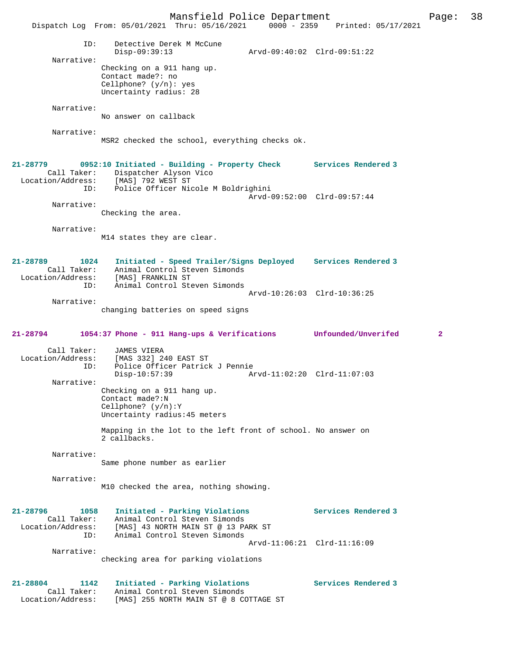Mansfield Police Department Page: 38 Dispatch Log From: 05/01/2021 Thru: 05/16/2021 ID: Detective Derek M McCune Disp-09:39:13 Arvd-09:40:02 Clrd-09:51:22 Narrative: Checking on a 911 hang up. Contact made?: no Cellphone? (y/n): yes Uncertainty radius: 28 Narrative: No answer on callback Narrative: MSR2 checked the school, everything checks ok. **21-28779 0952:10 Initiated - Building - Property Check Services Rendered 3**  Call Taker: Dispatcher Alyson Vico Location/Address: [MAS] 792 WEST ST ID: Police Officer Nicole M Boldrighini Arvd-09:52:00 Clrd-09:57:44 Narrative: Checking the area. Narrative: M14 states they are clear. **21-28789 1024 Initiated - Speed Trailer/Signs Deployed Services Rendered 3**  Animal Control Steven Simonds Location/Address: [MAS] FRANKLIN ST ID: Animal Control Steven Simonds Arvd-10:26:03 Clrd-10:36:25 Narrative: changing batteries on speed signs **21-28794 1054:37 Phone - 911 Hang-ups & Verifications Unfounded/Unverifed 2** Call Taker: JAMES VIERA<br>Location/Address: [MAS 332] 2 ess: [MAS 332] 240 EAST ST<br>ID: Police Officer Patrick Police Officer Patrick J Pennie Disp-10:57:39 Arvd-11:02:20 Clrd-11:07:03 Narrative: Checking on a 911 hang up. Contact made?:N Cellphone? (y/n):Y Uncertainty radius:45 meters Mapping in the lot to the left front of school. No answer on 2 callbacks. Narrative: Same phone number as earlier Narrative: M10 checked the area, nothing showing. **21-28796 1058 Initiated - Parking Violations Services Rendered 3**  Call Taker: Animal Control Steven Simonds Location/Address: [MAS] 43 NORTH MAIN ST @ 13 PARK ST ID: Animal Control Steven Simonds Arvd-11:06:21 Clrd-11:16:09 Narrative: checking area for parking violations **21-28804 1142 Initiated - Parking Violations Services Rendered 3**  Call Taker: Animal Control Steven Simonds<br>Location/Address: [MAS] 255 NORTH MAIN ST @ 8 CO [MAS] 255 NORTH MAIN ST @ 8 COTTAGE ST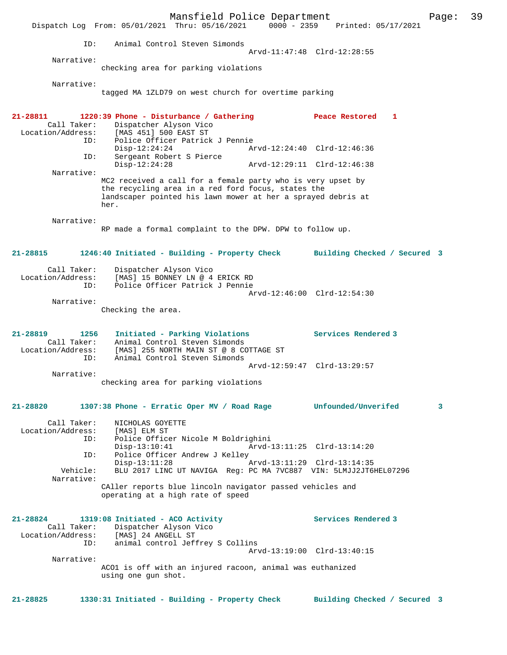Mansfield Police Department Fage: 39 Dispatch Log From: 05/01/2021 Thru: 05/16/2021 0000 - 2359 Printed: 05/17/2021 ID: Animal Control Steven Simonds Arvd-11:47:48 Clrd-12:28:55 Narrative: checking area for parking violations Narrative: tagged MA 1ZLD79 on west church for overtime parking **21-28811 1220:39 Phone - Disturbance / Gathering Peace Restored 1**  Call Taker: Dispatcher Alyson Vico<br>Location/Address: [MAS 451] 500 EAST ST [MAS 451] 500 EAST ST ID: Police Officer Patrick J Pennie Disp-12:24:24 Arvd-12:24:40 Clrd-12:46:36<br>ID: Sergeant Robert S Pierce ------<br>Disp-12:24:24<br>Sergeant Robert S Pierce<br>Disp-12:24:28 Disp-12:24:28 Arvd-12:29:11 Clrd-12:46:38 Narrative: MC2 received a call for a female party who is very upset by the recycling area in a red ford focus, states the landscaper pointed his lawn mower at her a sprayed debris at her. Narrative: RP made a formal complaint to the DPW. DPW to follow up. **21-28815 1246:40 Initiated - Building - Property Check Building Checked / Secured 3** Call Taker: Dispatcher Alyson Vico Location/Address: [MAS] 15 BONNEY LN @ 4 ERICK RD ID: Police Officer Patrick J Pennie Arvd-12:46:00 Clrd-12:54:30 Narrative: Checking the area. **21-28819 1256 Initiated - Parking Violations Services Rendered 3**  Call Taker: Animal Control Steven Simonds Location/Address: [MAS] 255 NORTH MAIN ST @ 8 COTTAGE ST ID: Animal Control Steven Simonds Arvd-12:59:47 Clrd-13:29:57 Narrative: checking area for parking violations **21-28820 1307:38 Phone - Erratic Oper MV / Road Rage Unfounded/Unverifed 3** Call Taker: NICHOLAS GOYETTE<br>.on/Address: [MAS] ELM ST Location/Address: ID: Police Officer Nicole M Boldrighini Disp-13:10:41 Arvd-13:11:25 Clrd-13:14:20 ID: Police Officer Andrew J Kelley<br>Disp-13:11:28 Arvd-13:11:29 Clrd-13:14:35 Disp-13:11:28 Arvd-13:11:29 Clrd-13:14:35 Vehicle: BLU 2017 LINC UT NAVIGA Reg: PC MA 7VC887 VIN: 5LMJJ2JT6HEL07296 Narrative: CAller reports blue lincoln navigator passed vehicles and operating at a high rate of speed **21-28824 1319:08 Initiated - ACO Activity Services Rendered 3**  Call Taker: Dispatcher Alyson Vico Location/Address: [MAS] 24 ANGELL ST ID: animal control Jeffrey S Collins Arvd-13:19:00 Clrd-13:40:15 Narrative: ACO1 is off with an injured racoon, animal was euthanized using one gun shot. **21-28825 1330:31 Initiated - Building - Property Check Building Checked / Secured 3**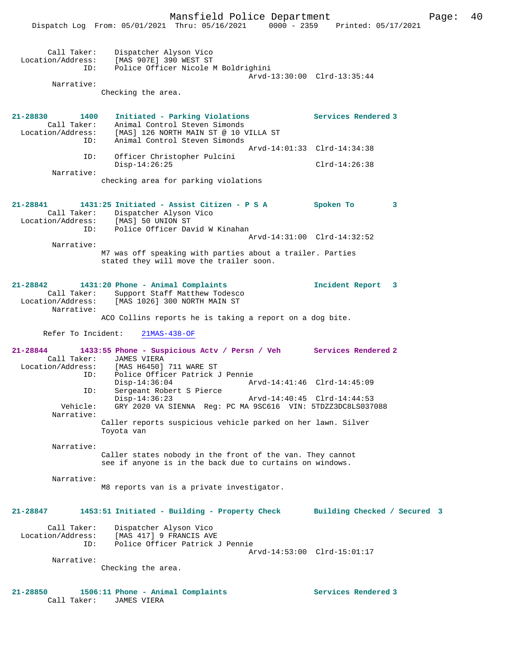|                                                                 | Dispatch Log From: 05/01/2021 Thru: 05/16/2021                                                                                                        | $0000 - 2359$ | Printed: 05/17/2021          |   |
|-----------------------------------------------------------------|-------------------------------------------------------------------------------------------------------------------------------------------------------|---------------|------------------------------|---|
| Call Taker:<br>Location/Address:<br>ID:                         | Dispatcher Alyson Vico<br>[MAS 907E] 390 WEST ST<br>Police Officer Nicole M Boldrighini                                                               |               | Arvd-13:30:00 Clrd-13:35:44  |   |
| Narrative:                                                      | Checking the area.                                                                                                                                    |               |                              |   |
| $21 - 28830$<br>1400<br>Call Taker:<br>Location/Address:<br>ID: | Initiated - Parking Violations<br>Animal Control Steven Simonds<br>[MAS] 126 NORTH MAIN ST @ 10 VILLA ST<br>Animal Control Steven Simonds             |               | Services Rendered 3          |   |
| ID:                                                             |                                                                                                                                                       |               | Arvd-14:01:33 Clrd-14:34:38  |   |
|                                                                 | Officer Christopher Pulcini<br>$Disp-14:26:25$                                                                                                        |               | $Clrd-14:26:38$              |   |
| Narrative:                                                      | checking area for parking violations                                                                                                                  |               |                              |   |
| 21-28841<br>Call Taker:<br>Location/Address:<br>ID:             | 1431:25 Initiated - Assist Citizen - P S A<br>Dispatcher Alyson Vico<br>[MAS] 50 UNION ST<br>Police Officer David W Kinahan                           |               | Spoken To                    | 3 |
| Narrative:                                                      |                                                                                                                                                       |               | Arvd-14:31:00 Clrd-14:32:52  |   |
|                                                                 | M7 was off speaking with parties about a trailer. Parties<br>stated they will move the trailer soon.                                                  |               |                              |   |
| $21 - 28842$<br>Call Taker:<br>Location/Address:                | 1431:20 Phone - Animal Complaints<br>Support Staff Matthew Todesco<br>[MAS 1026] 300 NORTH MAIN ST                                                    |               | Incident Report              | 3 |
| Narrative:                                                      | ACO Collins reports he is taking a report on a dog bite.                                                                                              |               |                              |   |
| Refer To Incident:                                              | $21MAS-438-OF$                                                                                                                                        |               |                              |   |
| $21 - 28844$<br>Call Taker:<br>Location/Address:<br>ID:         | 1433:55 Phone - Suspicious Actv / Persn / Veh Services Rendered 2<br><b>JAMES VIERA</b><br>[MAS H6450] 711 WARE ST<br>Police Officer Patrick J Pennie |               |                              |   |
| ID:                                                             | $Disp-14:36:04$<br>Sergeant Robert S Pierce                                                                                                           |               | Arvd-14:41:46 Clrd-14:45:09  |   |
| Vehicle:                                                        | $Disp-14:36:23$<br>GRY 2020 VA SIENNA Req: PC MA 9SC616 VIN: 5TDZZ3DC8LS037088                                                                        |               | Arvd-14:40:45 Clrd-14:44:53  |   |
| Narrative:                                                      | Caller reports suspicious vehicle parked on her lawn. Silver<br>Toyota van                                                                            |               |                              |   |
| Narrative:                                                      | Caller states nobody in the front of the van. They cannot<br>see if anyone is in the back due to curtains on windows.                                 |               |                              |   |
| Narrative:                                                      | M8 reports van is a private investigator.                                                                                                             |               |                              |   |
| 21-28847                                                        | 1453:51 Initiated - Building - Property Check                                                                                                         |               | Building Checked / Secured 3 |   |
| Call Taker:<br>Location/Address:<br>ID:                         | Dispatcher Alyson Vico<br>[MAS 417] 9 FRANCIS AVE<br>Police Officer Patrick J Pennie                                                                  |               | Arvd-14:53:00 Clrd-15:01:17  |   |
| Narrative:                                                      |                                                                                                                                                       |               |                              |   |
|                                                                 | Checking the area.                                                                                                                                    |               |                              |   |
| 21-28850                                                        | 1506:11 Phone - Animal Complaints                                                                                                                     |               | Services Rendered 3          |   |

Call Taker: JAMES VIERA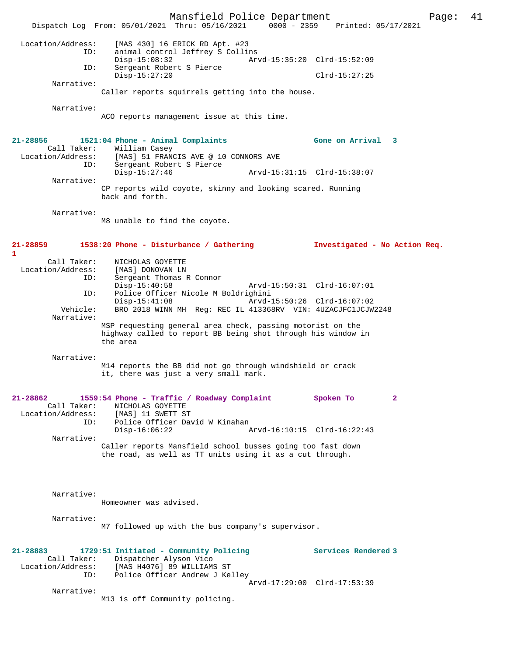Mansfield Police Department Page: 41 Dispatch Log From: 05/01/2021 Thru: 05/16/2021 0000 - 2359 Printed: 05/17/2021 Location/Address: [MAS 430] 16 ERICK RD Apt. #23 ID: animal control Jeffrey S Collins Disp-15:08:32 Arvd-15:35:20 Clrd-15:52:09 ID: Sergeant Robert S Pierce Disp-15:27:20 Clrd-15:27:25 Narrative: Caller reports squirrels getting into the house. Narrative: ACO reports management issue at this time. **21-28856 1521:04 Phone - Animal Complaints Gone on Arrival 3**  Call Taker: William Casey Location/Address: [MAS] 51 FRANCIS AVE @ 10 CONNORS AVE ID: Sergeant Robert S Pierce Disp-15:27:46 Arvd-15:31:15 Clrd-15:38:07 Narrative: CP reports wild coyote, skinny and looking scared. Running back and forth. Narrative: M8 unable to find the coyote. **21-28859 1538:20 Phone - Disturbance / Gathering Investigated - No Action Req. 1**  Call Taker: NICHOLAS GOYETTE<br>ion/Address: [MAS] DONOVAN LN Location/Address:<br>ID: Sergeant Thomas R Connor<br>Disp-15:40:58 Disp-15:40:58 Arvd-15:50:31 Clrd-16:07:01 ID: Police Officer Nicole M Boldrighini Disp-15:41:08 Arvd-15:50:26 Clrd-16:07:02<br>Vehicle: BRO 2018 WINN MH Req: REC IL 413368RV VIN: 4UZACJFC1JCJW. BRO 2018 WINN MH Reg: REC IL 413368RV VIN: 4UZACJFC1JCJW2248 Narrative: MSP requesting general area check, passing motorist on the highway called to report BB being shot through his window in the area Narrative: M14 reports the BB did not go through windshield or crack it, there was just a very small mark. **21-28862 1559:54 Phone - Traffic / Roadway Complaint Spoken To 2**  Call Taker: NICHOLAS GOYETTE<br>ion/Address: [MAS] 11 SWETT ST Location/Address:<br>ID: Police Officer David W Kinahan<br>Disp-16:06:22 Arvd-16:10:15 Clrd-16:22:43 Narrative: Caller reports Mansfield school busses going too fast down the road, as well as TT units using it as a cut through. Narrative: Homeowner was advised. Narrative: M7 followed up with the bus company's supervisor. **21-28883 1729:51 Initiated - Community Policing Services Rendered 3**  Call Taker: Dispatcher Alyson Vico<br>Location/Address: [MAS H4076] 89 WILLIAM [MAS H4076] 89 WILLIAMS ST ID: Police Officer Andrew J Kelley Arvd-17:29:00 Clrd-17:53:39 Narrative: M13 is off Community policing.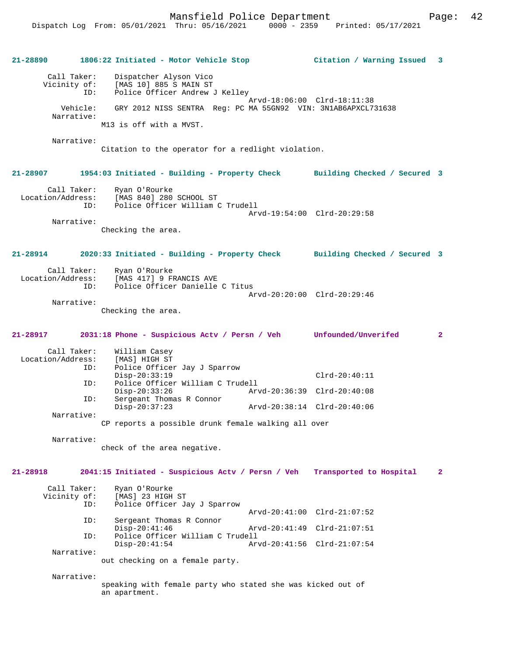**21-28890 1806:22 Initiated - Motor Vehicle Stop Citation / Warning Issued 3** Call Taker: Dispatcher Alyson Vico Vicinity of: [MAS 10] 885 S MAIN ST<br>ID: Police Officer Andrew Police Officer Andrew J Kelley Arvd-18:06:00 Clrd-18:11:38<br>Vehicle: GRY 2012 NISS SENTRA Reg: PC MA 55GN92 VIN: 3N1AB6APXCL7 GRY 2012 NISS SENTRA Reg: PC MA 55GN92 VIN: 3N1AB6APXCL731638 Narrative: M13 is off with a MVST. Narrative: Citation to the operator for a redlight violation. **21-28907 1954:03 Initiated - Building - Property Check Building Checked / Secured 3** Call Taker: Ryan O'Rourke Location/Address: [MAS 840] 280 SCHOOL ST ID: Police Officer William C Trudell Arvd-19:54:00 Clrd-20:29:58 Narrative: Checking the area. **21-28914 2020:33 Initiated - Building - Property Check Building Checked / Secured 3** Call Taker: Ryan O'Rourke Location/Address: [MAS 417] 9 FRANCIS AVE<br>ID: Police Officer Danielle Police Officer Danielle C Titus Arvd-20:20:00 Clrd-20:29:46 Narrative: Checking the area. **21-28917 2031:18 Phone - Suspicious Actv / Persn / Veh Unfounded/Unverifed 2** Call Taker: William Casey Location/Address: [MAS] HIGH ST Police Officer Jay J Sparrow Disp-20:33:19 Clrd-20:40:11 ID: Police Officer William C Trudell Disp-20:33:26 Arvd-20:36:39 Clrd-20:40:08 ID: Sergeant Thomas R Connor<br>Disp-20:37:23 Disp-20:37:23 Arvd-20:38:14 Clrd-20:40:06 Narrative: CP reports a possible drunk female walking all over Narrative: check of the area negative. **21-28918 2041:15 Initiated - Suspicious Actv / Persn / Veh Transported to Hospital 2** Call Taker: Ryan O'Rourke<br>Vicinity of: [MAS] 23 HIGH of: [MAS] 23 HIGH ST<br>ID: Police Officer Ja Police Officer Jay J Sparrow Arvd-20:41:00 Clrd-21:07:52 ID: Sergeant Thomas R Connor Disp-20:41:46 Arvd-20:41:49 Clrd-21:07:51<br>Th: Police Officer William C Trudell Police Officer William C Trudell<br>Disp-20:41:54 Ar Disp-20:41:54 Arvd-20:41:56 Clrd-21:07:54 Narrative: out checking on a female party. Narrative: speaking with female party who stated she was kicked out of an apartment.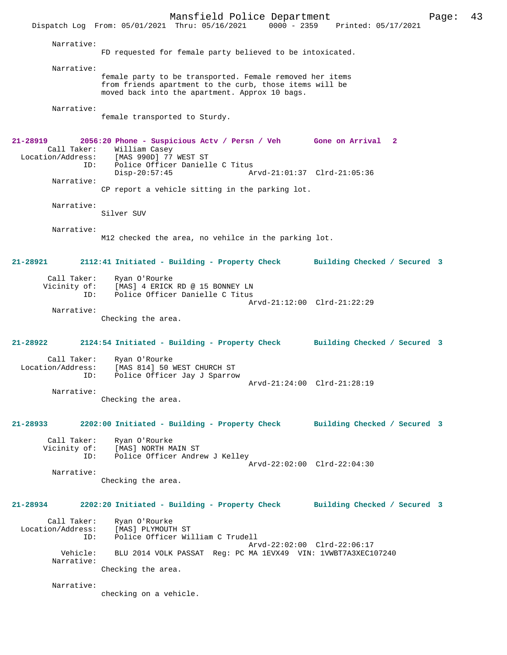Mansfield Police Department Page: 43 Dispatch Log From: 05/01/2021 Thru: 05/16/2021 Narrative: FD requested for female party believed to be intoxicated. Narrative: female party to be transported. Female removed her items from friends apartment to the curb, those items will be moved back into the apartment. Approx 10 bags. Narrative: female transported to Sturdy. **21-28919 2056:20 Phone - Suspicious Actv / Persn / Veh Gone on Arrival 2**  Call Taker: William Casey<br>Location/Address: [MAS 990D] 77 [MAS 990D] 77 WEST ST ID: Police Officer Danielle C Titus<br>Disp-20:57:45 Arvd-21:01:37 Clrd-21:05:36 Narrative: CP report a vehicle sitting in the parking lot. Narrative: Silver SUV Narrative: M12 checked the area, no vehilce in the parking lot. **21-28921 2112:41 Initiated - Building - Property Check Building Checked / Secured 3** Call Taker: Ryan O'Rourke Vicinity of: [MAS] 4 ERICK RD @ 15 BONNEY LN ID: Police Officer Danielle C Titus Arvd-21:12:00 Clrd-21:22:29 Narrative: Checking the area. **21-28922 2124:54 Initiated - Building - Property Check Building Checked / Secured 3** Call Taker: Ryan O'Rourke<br>Location/Address: [MAS 814] 50] ess: [MAS 814] 50 WEST CHURCH ST<br>ID: Police Officer Jav J Sparrow Police Officer Jay J Sparrow Arvd-21:24:00 Clrd-21:28:19 Narrative: Checking the area. **21-28933 2202:00 Initiated - Building - Property Check Building Checked / Secured 3** Call Taker: Ryan O'Rourke<br>Vicinity of: [MAS] NORTH M  $\overline{M}$ AS] NORTH MAIN ST ID: Police Officer Andrew J Kelley Arvd-22:02:00 Clrd-22:04:30 Narrative: Checking the area. **21-28934 2202:20 Initiated - Building - Property Check Building Checked / Secured 3** Call Taker: Ryan O'Rourke Location/Address: [MAS] PLYMOUTH ST<br>TD: Police Officer Wil Police Officer William C Trudell Arvd-22:02:00 Clrd-22:06:17 Vehicle: BLU 2014 VOLK PASSAT Reg: PC MA 1EVX49 VIN: 1VWBT7A3XEC107240 Narrative: Checking the area. Narrative: checking on a vehicle.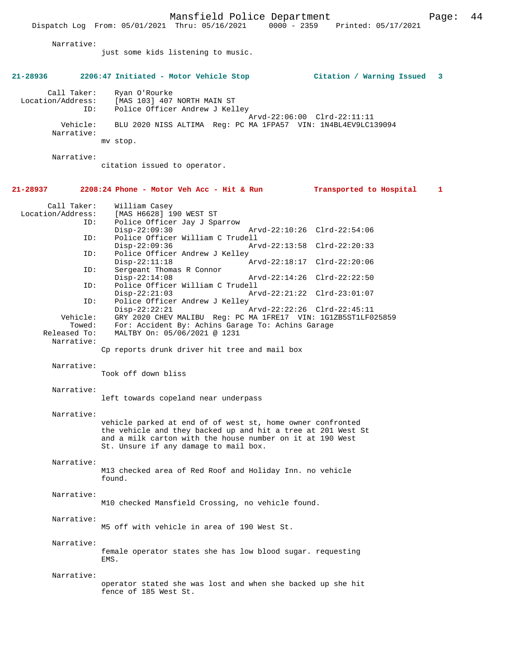Dispatch Log From: 05/01/2021 Thru: 05/16/2021

 Narrative: just some kids listening to music. **21-28936 2206:47 Initiated - Motor Vehicle Stop Citation / Warning Issued 3** Call Taker: Ryan O'Rourke<br>Location/Address: [MAS 103] 407 [MAS 103] 407 NORTH MAIN ST ID: Police Officer Andrew J Kelley Arvd-22:06:00 Clrd-22:11:11<br>Vehicle: BLU 2020 NISS ALTIMA Reg: PC MA 1FPA57 VIN: 1N4BL4EV9LC1 BLU 2020 NISS ALTIMA Reg: PC MA 1FPA57 VIN: 1N4BL4EV9LC139094 Narrative: mv stop. Narrative: citation issued to operator. **21-28937 2208:24 Phone - Motor Veh Acc - Hit & Run Transported to Hospital 1** Call Taker: William Casey<br>Location/Address: [MAS H6628] 19 ess: [MAS H6628] 190 WEST ST<br>ID: Police Officer Jav J Spa Police Officer Jay J Sparrow<br>Disp-22:09:30 Arvd-22:10:26 Clrd-22:54:06 ID: Police Officer William C Trudell Disp-22:09:36 Arvd-22:13:58 Clrd-22:20:33<br>ID: Police Officer Andrew J Kelley Police Officer Andrew J Kelley<br>Disp-22:11:18 Arvd-22:18:17 Clrd-22:20:06 ID: Sergeant Thomas R Connor Disp-22:14:08 Arvd-22:14:26 Clrd-22:22:50<br>ID: Police Officer William C Trudell Police Officer William C Trudell Disp-22:21:03 Arvd-22:21:22 Clrd-23:01:07<br>Police Officer Andrew J Kelley Police Officer Andrew J Kelley<br>Disp-22:22:21 Disp-22:22:21 Arvd-22:22:26 Clrd-22:45:11 Vehicle: GRY 2020 CHEV MALIBU Reg: PC MA 1FRE17 VIN: 1G1ZB5ST1LF025859 Towed: For: Accident By: Achins Garage To: Achins Garage Released To: MALTBY On: 05/06/2021 @ 1231 MALTBY On: 05/06/2021 @ 1231 Narrative: Cp reports drunk driver hit tree and mail box Narrative: Took off down bliss Narrative: left towards copeland near underpass Narrative: vehicle parked at end of of west st, home owner confronted the vehicle and they backed up and hit a tree at 201 West St and a milk carton with the house number on it at 190 West St. Unsure if any damage to mail box. Narrative: M13 checked area of Red Roof and Holiday Inn. no vehicle found. Narrative: M10 checked Mansfield Crossing, no vehicle found. Narrative: M5 off with vehicle in area of 190 West St. Narrative: female operator states she has low blood sugar. requesting EMS. Narrative: operator stated she was lost and when she backed up she hit fence of 185 West St.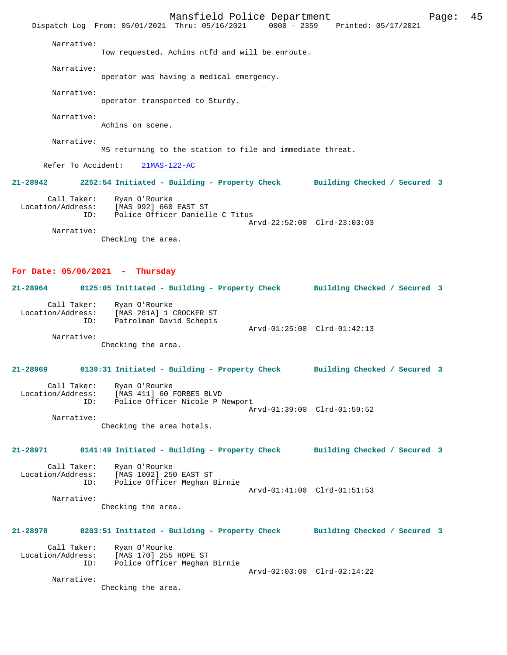Mansfield Police Department Page: 45 Dispatch Log From: 05/01/2021 Thru: 05/16/2021 Narrative: Tow requested. Achins ntfd and will be enroute. Narrative: operator was having a medical emergency. Narrative: operator transported to Sturdy. Narrative: Achins on scene. Narrative: M5 returning to the station to file and immediate threat. Refer To Accident: 21MAS-122-AC **21-28942 2252:54 Initiated - Building - Property Check Building Checked / Secured 3** Call Taker: Ryan O'Rourke Location/Address: [MAS 992] 660 EAST ST Police Officer Danielle C Titus Arvd-22:52:00 Clrd-23:03:03 Narrative: Checking the area. **For Date: 05/06/2021 - Thursday 21-28964 0125:05 Initiated - Building - Property Check Building Checked / Secured 3** Call Taker: Ryan O'Rourke Location/Address: [MAS 281A] 1 CROCKER ST ID: Patrolman David Schepis Arvd-01:25:00 Clrd-01:42:13 Narrative: Checking the area. **21-28969 0139:31 Initiated - Building - Property Check Building Checked / Secured 3** Call Taker: Ryan O'Rourke<br>Location/Address: [MAS 411] 60 1 [MAS 411] 60 FORBES BLVD ID: Police Officer Nicole P Newport Arvd-01:39:00 Clrd-01:59:52 Narrative: Checking the area hotels. **21-28971 0141:49 Initiated - Building - Property Check Building Checked / Secured 3** Call Taker: Ryan O'Rourke<br>Location/Address: [MAS 1002] 25 ess: [MAS 1002] 250 EAST ST<br>TD: Police Officer Meghan I Police Officer Meghan Birnie Arvd-01:41:00 Clrd-01:51:53 Narrative: Checking the area. **21-28978 0203:51 Initiated - Building - Property Check Building Checked / Secured 3** Call Taker: Ryan O'Rourke Location/Address: [MAS 170] 255 HOPE ST Police Officer Meghan Birnie Arvd-02:03:00 Clrd-02:14:22 Narrative: Checking the area.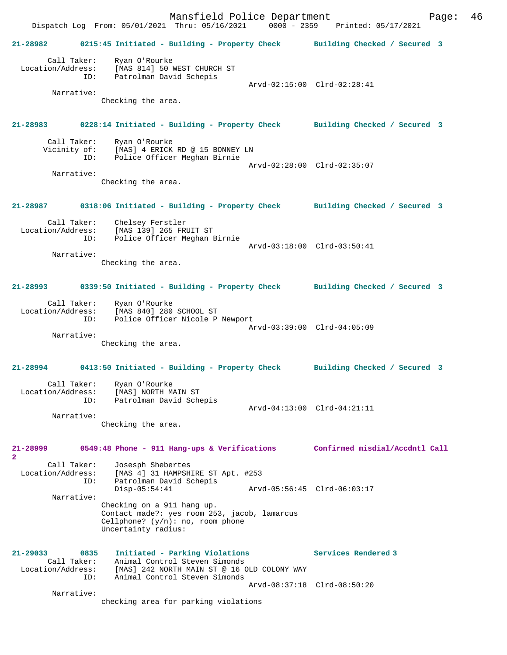Mansfield Police Department Form Page: 46 Dispatch Log From: 05/01/2021 Thru: 05/16/2021 0000 - 2359 Printed: 05/17/2021 **21-28982 0215:45 Initiated - Building - Property Check Building Checked / Secured 3** Call Taker: Ryan O'Rourke Location/Address: [MAS 814] 50 WEST CHURCH ST ID: Patrolman David Schepis Arvd-02:15:00 Clrd-02:28:41 Narrative: Checking the area. **21-28983 0228:14 Initiated - Building - Property Check Building Checked / Secured 3** Call Taker: Ryan O'Rourke<br>Vicinity of: [MAS] 4 ERICK of: [MAS] 4 ERICK RD @ 15 BONNEY LN<br>ID: Police Officer Meghan Birnie Police Officer Meghan Birnie Arvd-02:28:00 Clrd-02:35:07 Narrative: Checking the area. **21-28987 0318:06 Initiated - Building - Property Check Building Checked / Secured 3** Call Taker: Chelsey Ferstler Location/Address: [MAS 139] 265 FRUIT ST ID: Police Officer Meghan Birnie Arvd-03:18:00 Clrd-03:50:41 Narrative: Checking the area. **21-28993 0339:50 Initiated - Building - Property Check Building Checked / Secured 3** Call Taker: Ryan O'Rourke Location/Address: [MAS 840] 280 SCHOOL ST ID: Police Officer Nicole P Newport Arvd-03:39:00 Clrd-04:05:09 Narrative: Checking the area. **21-28994 0413:50 Initiated - Building - Property Check Building Checked / Secured 3** Call Taker: Ryan O'Rourke Location/Address: [MAS] NORTH MAIN ST ID: Patrolman David Schepis Arvd-04:13:00 Clrd-04:21:11 Narrative: Checking the area. **21-28999 0549:48 Phone - 911 Hang-ups & Verifications Confirmed misdial/Accdntl Call 2**  Call Taker: Josesph Shebertes Location/Address: [MAS 4] 31 HAMPSHIRE ST Apt. #253 ID: Patrolman David Schepis Disp-05:54:41 Arvd-05:56:45 Clrd-06:03:17 Narrative: Checking on a 911 hang up. Contact made?: yes room 253, jacob, lamarcus Cellphone? (y/n): no, room phone Uncertainty radius: **21-29033 0835 Initiated - Parking Violations Services Rendered 3**  Call Taker: Animal Control Steven Simonds Location/Address: [MAS] 242 NORTH MAIN ST @ 16 OLD COLONY WAY ID: Animal Control Steven Simonds Arvd-08:37:18 Clrd-08:50:20 Narrative: checking area for parking violations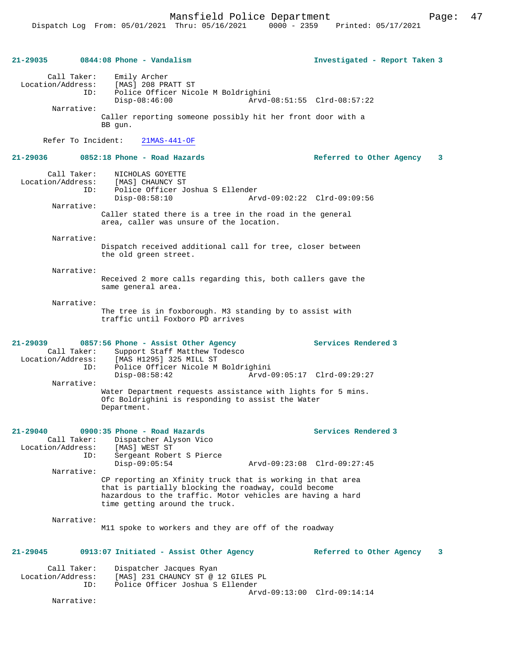**21-29035 0844:08 Phone - Vandalism Investigated - Report Taken 3** Call Taker: Emily Archer Location/Address: [MAS] 208 PRATT ST Police Officer Nicole M Boldrighini<br>Disp-08:46:00 Arvd-0 Disp-08:46:00 Arvd-08:51:55 Clrd-08:57:22 Narrative: Caller reporting someone possibly hit her front door with a BB gun. Refer To Incident: 21MAS-441-OF **21-29036 0852:18 Phone - Road Hazards Referred to Other Agency 3** Call Taker: NICHOLAS GOYETTE<br>.on/Address: [MAS] CHAUNCY ST Location/Address:<br>
ID: Police Officer Joshua S Ellender<br>Disp-08:58:10 Arv Disp-08:58:10 Arvd-09:02:22 Clrd-09:09:56 Narrative: Caller stated there is a tree in the road in the general area, caller was unsure of the location. Narrative: Dispatch received additional call for tree, closer between the old green street. Narrative: Received 2 more calls regarding this, both callers gave the same general area. Narrative: The tree is in foxborough. M3 standing by to assist with traffic until Foxboro PD arrives **21-29039 0857:56 Phone - Assist Other Agency Services Rendered 3**  Call Taker: Support Staff Matthew Todesco<br>Location/Address: [MAS H1295] 325 MILL ST ess: [MAS H1295] 325 MILL ST<br>ID: Police Officer Nicole M Police Officer Nicole M Boldrighini<br>Disp-08:58:42 Arvd-0 Disp-08:58:42 Arvd-09:05:17 Clrd-09:29:27 Narrative: Water Department requests assistance with lights for 5 mins. Ofc Boldrighini is responding to assist the Water Department. **21-29040 0900:35 Phone - Road Hazards Services Rendered 3**  Call Taker: Dispatcher Alyson Vico Location/Address: [MAS] WEST ST ID: Sergeant Robert S Pierce Disp-09:05:54 Arvd-09:23:08 Clrd-09:27:45 Narrative: CP reporting an Xfinity truck that is working in that area that is partially blocking the roadway, could become hazardous to the traffic. Motor vehicles are having a hard time getting around the truck. Narrative: M11 spoke to workers and they are off of the roadway **21-29045 0913:07 Initiated - Assist Other Agency Referred to Other Agency 3** Call Taker: Dispatcher Jacques Ryan<br>Location/Address: [MAS] 231 CHAUNCY ST @ : [MAS] 231 CHAUNCY ST @ 12 GILES PL ID: Police Officer Joshua S Ellender Arvd-09:13:00 Clrd-09:14:14

Narrative: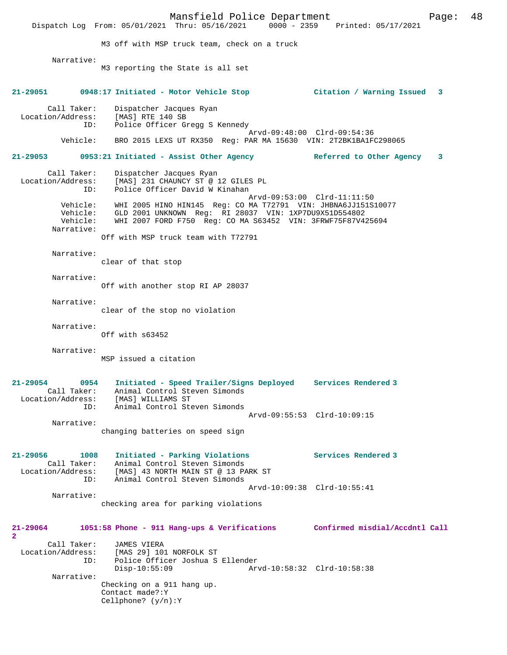Mansfield Police Department Fage: 48 Dispatch Log From: 05/01/2021 Thru: 05/16/2021 0000 - 2359 Printed: 05/17/2021 M3 off with MSP truck team, check on a truck Narrative: M3 reporting the State is all set **21-29051 0948:17 Initiated - Motor Vehicle Stop Citation / Warning Issued 3** Call Taker: Dispatcher Jacques Ryan<br>.on/Address: [MAS] RTE 140 SB Location/Address:<br>ID: Police Officer Gregg S Kennedy Arvd-09:48:00 Clrd-09:54:36<br>Vehicle: BRO 2015 LEXS UT RX350 Reg: PAR MA 15630 VIN: 2T2BK1BA1F BRO 2015 LEXS UT RX350 Reg: PAR MA 15630 VIN: 2T2BK1BA1FC298065 **21-29053 0953:21 Initiated - Assist Other Agency Referred to Other Agency 3** Call Taker: Dispatcher Jacques Ryan Location/Address: [MAS] 231 CHAUNCY ST @ 12 GILES PL Police Officer David W Kinahan Arvd-09:53:00 Clrd-11:11:50 Vehicle: WHI 2005 HINO HIN145 Reg: CO MA T72791 VIN: JHBNA6JJ151S10077 Vehicle: GLD 2001 UNKNOWN Reg: RI 28037 VIN: 1XP7DU9X51D554802 Vehicle: WHI 2007 FORD F750 Reg: CO MA S63452 VIN: 3FRWF75F87V425694 Narrative: Off with MSP truck team with T72791 Narrative: clear of that stop Narrative: Off with another stop RI AP 28037 Narrative: clear of the stop no violation Narrative: Off with s63452 Narrative: MSP issued a citation **21-29054 0954 Initiated - Speed Trailer/Signs Deployed Services Rendered 3**  Call Taker: Animal Control Steven Simonds Location/Address: [MAS] WILLIAMS ST ID: Animal Control Steven Simonds Arvd-09:55:53 Clrd-10:09:15 Narrative: changing batteries on speed sign **21-29056 1008 Initiated - Parking Violations Services Rendered 3**  Call Taker: Animal Control Steven Simonds Location/Address: [MAS] 43 NORTH MAIN ST @ 13 PARK ST ID: Animal Control Steven Simonds Arvd-10:09:38 Clrd-10:55:41 Narrative: checking area for parking violations **21-29064 1051:58 Phone - 911 Hang-ups & Verifications Confirmed misdial/Accdntl Call 2**  Call Taker: JAMES VIERA<br>Location/Address: [MAS 29] 10 [MAS 29] 101 NORFOLK ST ID: Police Officer Joshua S Ellender Disp-10:55:09 Arvd-10:58:32 Clrd-10:58:38 Narrative: Checking on a 911 hang up. Contact made?:Y Cellphone? (y/n):Y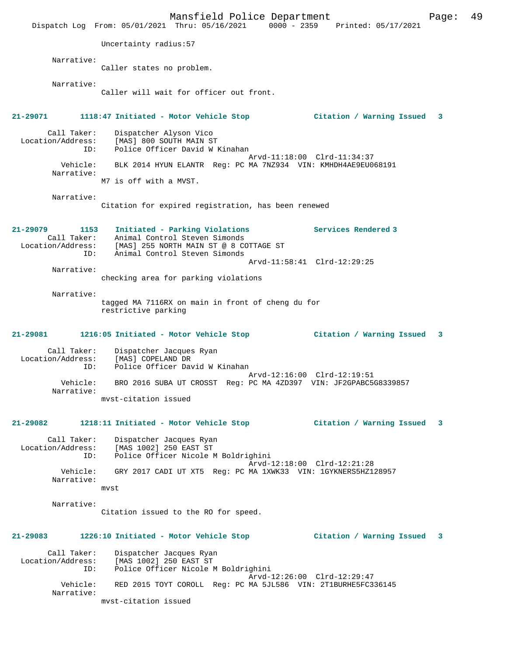Mansfield Police Department Page: 49 Dispatch Log From: 05/01/2021 Thru: 05/16/2021 0000 - 2359 Printed: 05/17/2021 Uncertainty radius:57 Narrative: Caller states no problem. Narrative: Caller will wait for officer out front. **21-29071 1118:47 Initiated - Motor Vehicle Stop Citation / Warning Issued 3** Call Taker: Dispatcher Alyson Vico Location/Address: [MAS] 800 SOUTH MAIN ST Police Officer David W Kinahan Arvd-11:18:00 Clrd-11:34:37<br>Vehicle: BLK 2014 HYUN ELANTR Req: PC MA 7NZ934 VIN: KMHDH4AE9EU0 BLK 2014 HYUN ELANTR Reg: PC MA 7NZ934 VIN: KMHDH4AE9EU068191 Narrative: M7 is off with a MVST. Narrative: Citation for expired registration, has been renewed **21-29079 1153 Initiated - Parking Violations Services Rendered 3**  Call Taker: Animal Control Steven Simonds Location/Address: [MAS] 255 NORTH MAIN ST @ 8 COTTAGE ST ID: Animal Control Steven Simonds Arvd-11:58:41 Clrd-12:29:25 Narrative: checking area for parking violations Narrative: tagged MA 7116RX on main in front of cheng du for restrictive parking **21-29081 1216:05 Initiated - Motor Vehicle Stop Citation / Warning Issued 3** Call Taker: Dispatcher Jacques Ryan Location/Address: [MAS] COPELAND DR Police Officer David W Kinahan Arvd-12:16:00 Clrd-12:19:51<br>Vehicle: BRO 2016 SUBA UT CROSST Req: PC MA 4ZD397 VIN: JF2GPABC50 BRO 2016 SUBA UT CROSST Reg: PC MA 4ZD397 VIN: JF2GPABC5G8339857 Narrative: mvst-citation issued **21-29082 1218:11 Initiated - Motor Vehicle Stop Citation / Warning Issued 3** Call Taker: Dispatcher Jacques Ryan Location/Address: [MAS 1002] 250 EAST ST ID: Police Officer Nicole M Boldrighini Arvd-12:18:00 Clrd-12:21:28<br>Vebicle: GRY 2017 CADI UT XT5 Reg: PC MA 1XWK33 VIN: 1GYKNERS5HZ12 Vehicle: GRY 2017 CADI UT XT5 Reg: PC MA 1XWK33 VIN: 1GYKNERS5HZ128957 Narrative: mvst Narrative: Citation issued to the RO for speed. **21-29083 1226:10 Initiated - Motor Vehicle Stop Citation / Warning Issued 3** Call Taker: Dispatcher Jacques Ryan<br>Location/Address: [MAS 1002] 250 EAST ST [MAS 1002] 250 EAST ST ID: Police Officer Nicole M Boldrighini Arvd-12:26:00 Clrd-12:29:47<br>Vehicle: RED 2015 TOYT COROLL Reg: PC MA 5JL586 VIN: 2T1BURHE5FC3 RED 2015 TOYT COROLL Reg: PC MA 5JL586 VIN: 2T1BURHE5FC336145 Narrative: mvst-citation issued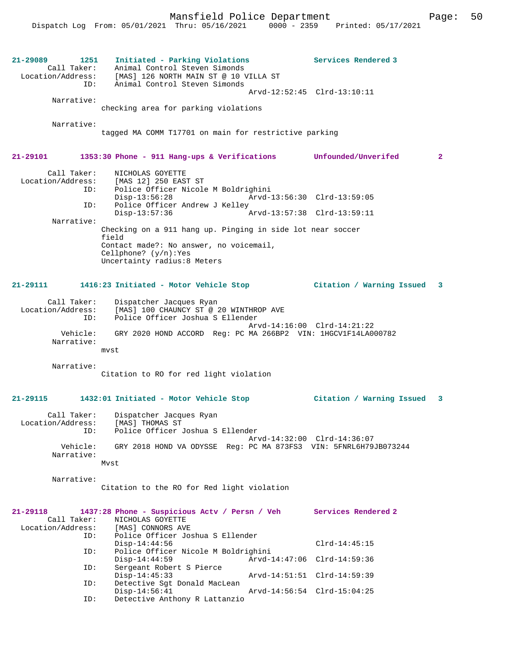**21-29089 1251 Initiated - Parking Violations Services Rendered 3**  Call Taker: Animal Control Steven Simonds Location/Address: [MAS] 126 NORTH MAIN ST @ 10 VILLA ST ID: Animal Control Steven Simonds Arvd-12:52:45 Clrd-13:10:11 Narrative: checking area for parking violations Narrative: tagged MA COMM T17701 on main for restrictive parking **21-29101 1353:30 Phone - 911 Hang-ups & Verifications Unfounded/Unverifed 2** Call Taker: NICHOLAS GOYETTE<br>Location/Address: [MAS 12] 250 EAST ess: [MAS 12] 250 EAST ST<br>ID: Police Officer Nicole Police Officer Nicole M Boldrighini<br>Disp-13:56:28 Arvd-Disp-13:56:28 Arvd-13:56:30 Clrd-13:59:05<br>ID: Police Officer Andrew J Kelley Police Officer Andrew J Kelley Disp-13:57:36 Arvd-13:57:38 Clrd-13:59:11 Narrative: Checking on a 911 hang up. Pinging in side lot near soccer field Contact made?: No answer, no voicemail, Cellphone? (y/n):Yes Uncertainty radius:8 Meters **21-29111 1416:23 Initiated - Motor Vehicle Stop Citation / Warning Issued 3** Call Taker: Dispatcher Jacques Ryan Location/Address: [MAS] 100 CHAUNCY ST @ 20 WINTHROP AVE ID: Police Officer Joshua S Ellender Arvd-14:16:00 Clrd-14:21:22 Vehicle: GRY 2020 HOND ACCORD Reg: PC MA 266BP2 VIN: 1HGCV1F14LA000782 Narrative: mvst Narrative: Citation to RO for red light violation **21-29115 1432:01 Initiated - Motor Vehicle Stop Citation / Warning Issued 3** Call Taker: Dispatcher Jacques Ryan<br>.on/Address: [MAS] THOMAS ST Location/Address:<br>ID: Police Officer Joshua S Ellender Arvd-14:32:00 Clrd-14:36:07 Vehicle: GRY 2018 HOND VA ODYSSE Reg: PC MA 873FS3 VIN: 5FNRL6H79JB073244 Narrative: Mvst Narrative: Citation to the RO for Red light violation **21-29118 1437:28 Phone - Suspicious Actv / Persn / Veh Services Rendered 2**  Call Taker: NICHOLAS GOYETTE<br>.on/Address: [MAS] CONNORS AVE Location/Address: ID: Police Officer Joshua S Ellender Disp-14:44:56 Clrd-14:45:15 ID: Police Officer Nicole M Boldrighini Disp-14:44:59 <br>
D: Sergeant Robert S Pierce<br>
D: Sergeant Robert S Pierce Sergeant Robert S Pierce Disp-14:45:33 Arvd-14:51:51 Clrd-14:59:39<br>ID: Detective Sqt Donald MacLean Detective Sgt Donald MacLean<br>Disp-14:56:41 Disp-14:56:41 Arvd-14:56:54 Clrd-15:04:25<br>TD: Detective Anthony R Lattanzio Detective Anthony R Lattanzio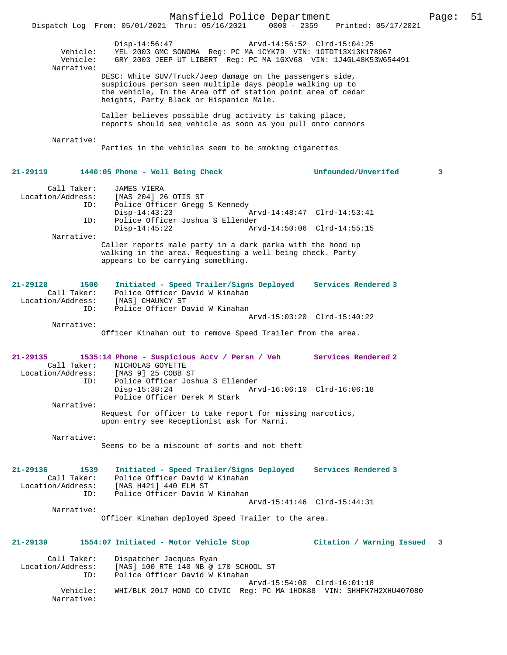|                                                             | Mansfield Police Department<br>Dispatch Log From: 05/01/2021 Thru: 05/16/2021 0000 - 2359                                                                                                                                        | Printed: 05/17/2021         | Page: | 51 |
|-------------------------------------------------------------|----------------------------------------------------------------------------------------------------------------------------------------------------------------------------------------------------------------------------------|-----------------------------|-------|----|
| Vehicle:<br>Vehicle:<br>Narrative:                          | Disp-14:56:47<br>YEL 2003 GMC SONOMA Req: PC MA 1CYK79 VIN: 1GTDT13X13K178967<br>GRY 2003 JEEP UT LIBERT Req: PC MA 1GXV68 VIN: 1J4GL48K53W654491                                                                                | Arvd-14:56:52 Clrd-15:04:25 |       |    |
|                                                             | DESC: White SUV/Truck/Jeep damage on the passengers side,<br>suspicious person seen multiple days people walking up to<br>the vehicle, In the Area off of station point area of cedar<br>heights, Party Black or Hispanice Male. |                             |       |    |
|                                                             | Caller believes possible drug activity is taking place,<br>reports should see vehicle as soon as you pull onto connors                                                                                                           |                             |       |    |
| Narrative:                                                  | Parties in the vehicles seem to be smoking cigarettes                                                                                                                                                                            |                             |       |    |
| 21-29119                                                    | 1440:05 Phone - Well Being Check                                                                                                                                                                                                 | Unfounded/Unverifed         | 3     |    |
| Call Taker:<br>Location/Address:<br>ID:                     | <b>JAMES VIERA</b><br>[MAS 204] 26 OTIS ST<br>Police Officer Gregg S Kennedy                                                                                                                                                     |                             |       |    |
| ID:                                                         | $Disp-14:43:23$<br>Police Officer Joshua S Ellender                                                                                                                                                                              | Arvd-14:48:47 Clrd-14:53:41 |       |    |
| Narrative:                                                  | $Disp-14:45:22$                                                                                                                                                                                                                  | Arvd-14:50:06 Clrd-14:55:15 |       |    |
|                                                             | Caller reports male party in a dark parka with the hood up<br>walking in the area. Requesting a well being check. Party<br>appears to be carrying something.                                                                     |                             |       |    |
| $21 - 29128$<br>1500<br>Call Taker:                         | Initiated - Speed Trailer/Signs Deployed Services Rendered 3<br>Police Officer David W Kinahan                                                                                                                                   |                             |       |    |
| Location/Address:<br>ID:                                    | [MAS] CHAUNCY ST<br>Police Officer David W Kinahan                                                                                                                                                                               | Arvd-15:03:20 Clrd-15:40:22 |       |    |
| Narrative:                                                  | Officer Kinahan out to remove Speed Trailer from the area.                                                                                                                                                                       |                             |       |    |
| 21-29135<br>Call Taker:                                     | 1535:14 Phone - Suspicious Actv / Persn / Veh Services Rendered 2<br>NICHOLAS GOYETTE                                                                                                                                            |                             |       |    |
| Location/Address:<br>ID:                                    | [MAS 9] 25 COBB ST<br>Police Officer Joshua S Ellender<br>$Disp-15:38:24$                                                                                                                                                        | Arvd-16:06:10 Clrd-16:06:18 |       |    |
|                                                             | Police Officer Derek M Stark                                                                                                                                                                                                     |                             |       |    |
| Narrative:                                                  | Request for officer to take report for missing narcotics,<br>upon entry see Receptionist ask for Marni.                                                                                                                          |                             |       |    |
| Narrative:                                                  |                                                                                                                                                                                                                                  |                             |       |    |
|                                                             | Seems to be a miscount of sorts and not theft                                                                                                                                                                                    |                             |       |    |
| 21-29136<br>1539<br>Call Taker:<br>Location/Address:<br>ID: | Initiated - Speed Trailer/Signs Deployed<br>Police Officer David W Kinahan<br>[MAS H421] 440 ELM ST<br>Police Officer David W Kinahan                                                                                            | Services Rendered 3         |       |    |
| Narrative:                                                  |                                                                                                                                                                                                                                  | Arvd-15:41:46 Clrd-15:44:31 |       |    |
|                                                             | Officer Kinahan deployed Speed Trailer to the area.                                                                                                                                                                              |                             |       |    |
| 21-29139                                                    | 1554:07 Initiated - Motor Vehicle Stop                                                                                                                                                                                           | Citation / Warning Issued   | 3     |    |
| Call Taker:<br>Location/Address:<br>ID:                     | Dispatcher Jacques Ryan<br>[MAS] 100 RTE 140 NB @ 170 SCHOOL ST<br>Police Officer David W Kinahan                                                                                                                                |                             |       |    |
| Vehicle:<br>Narrative:                                      | WHI/BLK 2017 HOND CO CIVIC Req: PC MA 1HDK88 VIN: SHHFK7H2XHU407080                                                                                                                                                              | Arvd-15:54:00 Clrd-16:01:18 |       |    |
|                                                             |                                                                                                                                                                                                                                  |                             |       |    |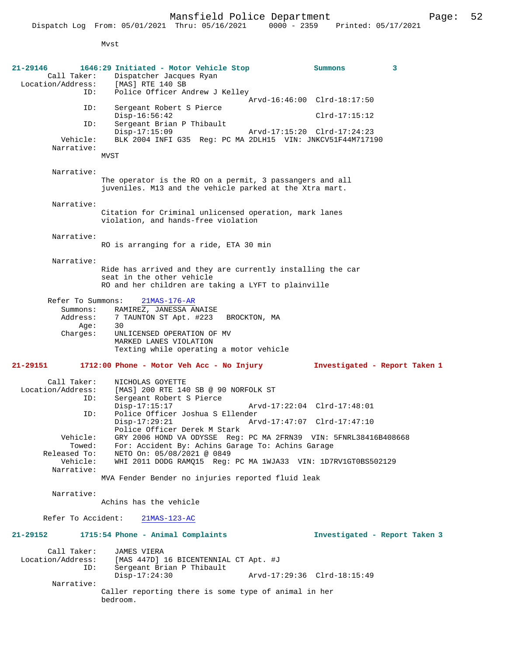Mvst

| 21-29146                         | 1646:29 Initiated - Motor Vehicle Stop                                                           | Summons                       | 3 |
|----------------------------------|--------------------------------------------------------------------------------------------------|-------------------------------|---|
| Call Taker:                      | Dispatcher Jacques Ryan                                                                          |                               |   |
| Location/Address:                | [MAS] RTE 140 SB                                                                                 |                               |   |
| ID:                              | Police Officer Andrew J Kelley                                                                   |                               |   |
| ID:                              | Sergeant Robert S Pierce                                                                         | Arvd-16:46:00 Clrd-18:17:50   |   |
|                                  | $Disp-16:56:42$                                                                                  | $Clrd-17:15:12$               |   |
| ID:                              | Sergeant Brian P Thibault                                                                        |                               |   |
|                                  | $Disp-17:15:09$                                                                                  | Arvd-17:15:20 Clrd-17:24:23   |   |
| Vehicle:                         | BLK 2004 INFI G35 Reg: PC MA 2DLH15 VIN: JNKCV51F44M717190                                       |                               |   |
| Narrative:                       |                                                                                                  |                               |   |
|                                  | MVST                                                                                             |                               |   |
|                                  |                                                                                                  |                               |   |
| Narrative:                       | The operator is the RO on a permit, 3 passangers and all                                         |                               |   |
|                                  | juveniles. M13 and the vehicle parked at the Xtra mart.                                          |                               |   |
|                                  |                                                                                                  |                               |   |
| Narrative:                       |                                                                                                  |                               |   |
|                                  | Citation for Criminal unlicensed operation, mark lanes                                           |                               |   |
|                                  | violation, and hands-free violation                                                              |                               |   |
|                                  |                                                                                                  |                               |   |
| Narrative:                       |                                                                                                  |                               |   |
|                                  | RO is arranging for a ride, ETA 30 min                                                           |                               |   |
| Narrative:                       |                                                                                                  |                               |   |
|                                  | Ride has arrived and they are currently installing the car                                       |                               |   |
|                                  | seat in the other vehicle                                                                        |                               |   |
|                                  | RO and her children are taking a LYFT to plainville                                              |                               |   |
|                                  |                                                                                                  |                               |   |
| Refer To Summons:                | $21MAS-176-AR$                                                                                   |                               |   |
| Summons:                         | RAMIREZ, JANESSA ANAISE                                                                          |                               |   |
| Address:                         | 7 TAUNTON ST Apt. #223<br>BROCKTON, MA<br>30                                                     |                               |   |
| Age:<br>Charges:                 | UNLICENSED OPERATION OF MV                                                                       |                               |   |
|                                  | MARKED LANES VIOLATION                                                                           |                               |   |
|                                  | Texting while operating a motor vehicle                                                          |                               |   |
|                                  |                                                                                                  |                               |   |
| 21-29151                         | 1712:00 Phone - Motor Veh Acc - No Injury                                                        | Investigated - Report Taken 1 |   |
| Call Taker:                      | NICHOLAS GOYETTE                                                                                 |                               |   |
| Location/Address:                | [MAS] 200 RTE 140 SB @ 90 NORFOLK ST                                                             |                               |   |
| ID:                              | Sergeant Robert S Pierce                                                                         |                               |   |
|                                  | $Disp-17:15:17$                                                                                  | Arvd-17:22:04 Clrd-17:48:01   |   |
| ID:                              | Police Officer Joshua S Ellender                                                                 |                               |   |
|                                  | $Disp-17:29:21$                                                                                  | Arvd-17:47:07 Clrd-17:47:10   |   |
| Vehicle:                         | Police Officer Derek M Stark<br>GRY 2006 HOND VA ODYSSE Reg: PC MA 2FRN39 VIN: 5FNRL38416B408668 |                               |   |
| Towed:                           | For: Accident By: Achins Garage To: Achins Garage                                                |                               |   |
| Released To:                     | NETO On: 05/08/2021 @ 0849                                                                       |                               |   |
| Vehicle:                         | WHI 2011 DODG RAMO15 Req: PC MA 1WJA33 VIN: 1D7RV1GT0BS502129                                    |                               |   |
| Narrative:                       |                                                                                                  |                               |   |
|                                  | MVA Fender Bender no injuries reported fluid leak                                                |                               |   |
|                                  |                                                                                                  |                               |   |
| Narrative:                       | Achins has the vehicle                                                                           |                               |   |
|                                  |                                                                                                  |                               |   |
| Refer To Accident:               | $21MAS-123-AC$                                                                                   |                               |   |
|                                  |                                                                                                  |                               |   |
| 21-29152                         | 1715:54 Phone - Animal Complaints                                                                | Investigated - Report Taken 3 |   |
|                                  |                                                                                                  |                               |   |
| Call Taker:<br>Location/Address: | <b>JAMES VIERA</b><br>[MAS 447D] 16 BICENTENNIAL CT Apt. #J                                      |                               |   |
| ID:                              | Sergeant Brian P Thibault                                                                        |                               |   |
|                                  | $Disp-17:24:30$                                                                                  | Arvd-17:29:36 Clrd-18:15:49   |   |
| Narrative:                       |                                                                                                  |                               |   |
|                                  | Caller reporting there is some type of animal in her                                             |                               |   |
|                                  | bedroom.                                                                                         |                               |   |
|                                  |                                                                                                  |                               |   |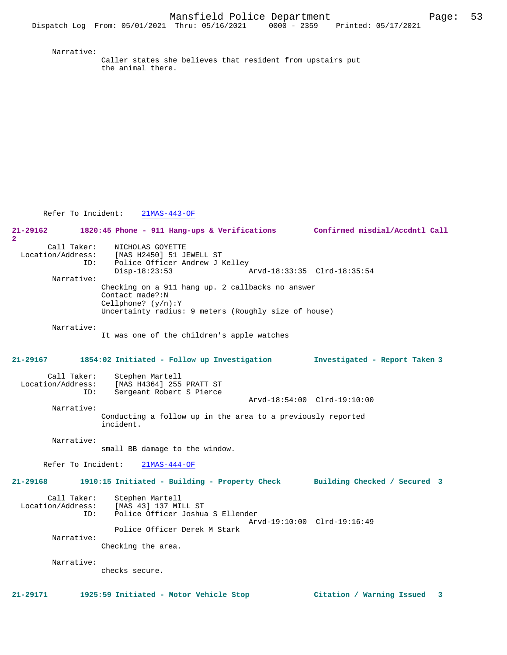Narrative:

Caller states she believes that resident from upstairs put the animal there.

Refer To Incident: 21MAS-443-OF

**21-29162 1820:45 Phone - 911 Hang-ups & Verifications Confirmed misdial/Accdntl Call 2**  Call Taker: NICHOLAS GOYETTE<br>Location/Address: [MAS H2450] 51 J [MAS H2450] 51 JEWELL ST ID: Police Officer Andrew J Kelley<br>Disp-18:23:53 Disp-18:23:53 Arvd-18:33:35 Clrd-18:35:54 Narrative: Checking on a 911 hang up. 2 callbacks no answer Contact made?:N Cellphone? (y/n):Y Uncertainty radius: 9 meters (Roughly size of house) Narrative: It was one of the children's apple watches **21-29167 1854:02 Initiated - Follow up Investigation Investigated - Report Taken 3** Call Taker: Stephen Martell Location/Address: [MAS H4364] 255 PRATT ST ID: Sergeant Robert S Pierce Arvd-18:54:00 Clrd-19:10:00 Narrative: Conducting a follow up in the area to a previously reported incident. Narrative: small BB damage to the window. Refer To Incident: 21MAS-444-OF **21-29168 1910:15 Initiated - Building - Property Check Building Checked / Secured 3** Call Taker: Stephen Martell<br>Location/Address: [MAS 43] 137 MI [MAS 43] 137 MILL ST ID: Police Officer Joshua S Ellender Arvd-19:10:00 Clrd-19:16:49 Police Officer Derek M Stark Narrative: Checking the area. Narrative: checks secure.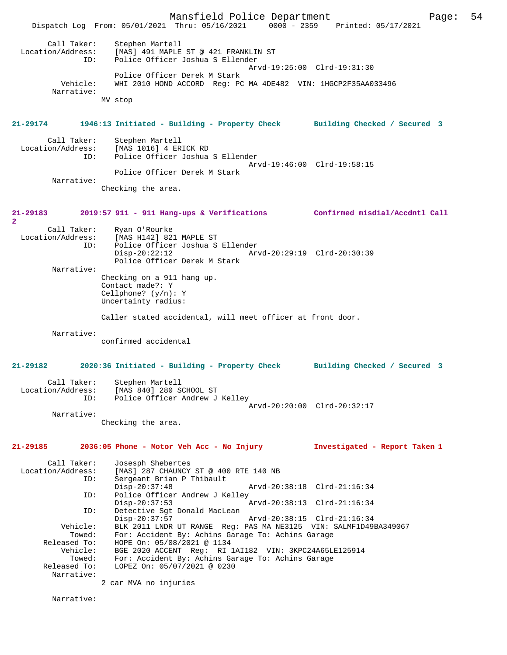Mansfield Police Department Page: 54 Dispatch Log From: 05/01/2021 Thru: 05/16/2021 0000 - 2359 Printed: 05/17/2021 Call Taker: Stephen Martell<br>Location/Address: [MAS] 491 MAPLE [MAS] 491 MAPLE ST @ 421 FRANKLIN ST ID: Police Officer Joshua S Ellender Arvd-19:25:00 Clrd-19:31:30 Police Officer Derek M Stark<br>Vehicle: WHI 2010 HOND ACCORD Reg: PO WHI 2010 HOND ACCORD Reg: PC MA 4DE482 VIN: 1HGCP2F35AA033496 Narrative: MV stop **21-29174 1946:13 Initiated - Building - Property Check Building Checked / Secured 3** Call Taker: Stephen Martell<br>Location/Address: [MAS 1016] 4 ER [MAS 1016] 4 ERICK RD ID: Police Officer Joshua S Ellender Arvd-19:46:00 Clrd-19:58:15 Police Officer Derek M Stark Narrative: Checking the area. **21-29183 2019:57 911 - 911 Hang-ups & Verifications Confirmed misdial/Accdntl Call 2**  Call Taker: Ryan O'Rourke<br>Location/Address: [MAS H142] 82 [MAS H142] 821 MAPLE ST ID: Police Officer Joshua S Ellender Disp-20:22:12 Arvd-20:29:19 Clrd-20:30:39 Police Officer Derek M Stark Narrative: Checking on a 911 hang up. Contact made?: Y Cellphone? (y/n): Y Uncertainty radius: Caller stated accidental, will meet officer at front door. Narrative: confirmed accidental **21-29182 2020:36 Initiated - Building - Property Check Building Checked / Secured 3** Call Taker: Stephen Martell Location/Address: [MAS 840] 280 SCHOOL ST Police Officer Andrew J Kelley Arvd-20:20:00 Clrd-20:32:17 Narrative: Checking the area. **21-29185 2036:05 Phone - Motor Veh Acc - No Injury Investigated - Report Taken 1** Call Taker: Josesph Shebertes Location/Address: [MAS] 287 CHAUNCY ST @ 400 RTE 140 NB ID: Sergeant Brian P Thibault Disp-20:37:48 Arvd-20:38:18 Clrd-21:16:34<br>TD: Police Officer Andrew J Kelley Police Officer Andrew J Kelley<br>Disp-20:37:53 Arvd-20:38:13 Clrd-21:16:34 ID: Detective Sgt Donald MacLean Disp-20:37:57 Arvd-20:38:15 Clrd-21:16:34<br>Vehicle: BLK 2011 LNDR UT RANGE Req: PAS MA NE3125 VIN: SALMF1D491 BLK 2011 LNDR UT RANGE Reg: PAS MA NE3125 VIN: SALMF1D49BA349067 Towed: For: Accident By: Achins Garage To: Achins Garage Released To: HOPE On: 05/08/2021 @ 1134<br>Vehicle: BGE 2020 ACCENT Reg: RI<br>Towed: For: Accident By: Achins Ga BGE 2020 ACCENT Reg: RI 1AI182 VIN: 3KPC24A65LE125914 Towed: For: Accident By: Achins Garage To: Achins Garage Released To: LOPEZ On: 05/07/2021 @ 0230 LOPEZ On: 05/07/2021 @ 0230 Narrative: 2 car MVA no injuries Narrative: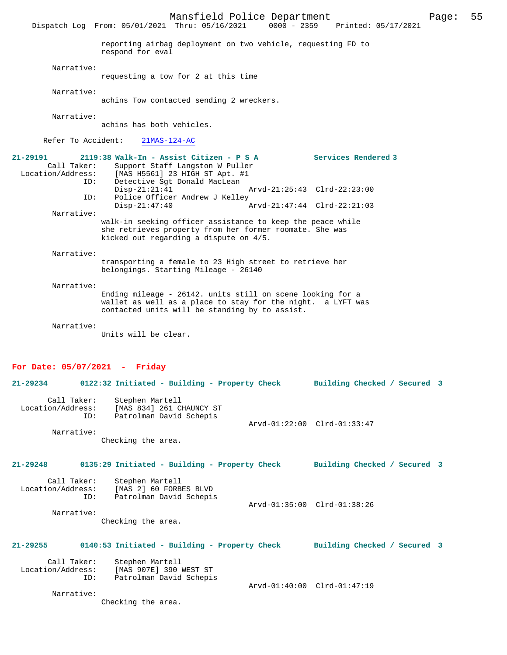Mansfield Police Department Page: 55 Dispatch Log From: 05/01/2021 Thru: 05/16/2021 reporting airbag deployment on two vehicle, requesting FD to respond for eval Narrative: requesting a tow for 2 at this time Narrative: achins Tow contacted sending 2 wreckers. Narrative: achins has both vehicles. Refer To Accident: 21MAS-124-AC **21-29191 2119:38 Walk-In - Assist Citizen - P S A Services Rendered 3**  Call Taker: Support Staff Langston W Puller Location/Address: [MAS H5561] 23 HIGH ST Apt. #1 ID: Detective Sgt Donald MacLean<br>Disp-21:21:41 Disp-21:21:41 Arvd-21:25:43 Clrd-22:23:00<br>TD: Police Officer Andrew J Kelley Police Officer Andrew J Kelley<br>Disp-21:47:40 Disp-21:47:40 Arvd-21:47:44 Clrd-22:21:03 Narrative: walk-in seeking officer assistance to keep the peace while she retrieves property from her former roomate. She was kicked out regarding a dispute on 4/5. Narrative: transporting a female to 23 High street to retrieve her belongings. Starting Mileage - 26140 Narrative: Ending mileage - 26142. units still on scene looking for a wallet as well as a place to stay for the night. a LYFT was contacted units will be standing by to assist. Narrative: Units will be clear. **For Date: 05/07/2021 - Friday 21-29234 0122:32 Initiated - Building - Property Check Building Checked / Secured 3** Call Taker: Stephen Martell Location/Address: [MAS 834] 261 CHAUNCY ST ID: Patrolman David Schepis Arvd-01:22:00 Clrd-01:33:47 Narrative: Checking the area. **21-29248 0135:29 Initiated - Building - Property Check Building Checked / Secured 3**

Call Taker: Stephen Martell<br>Location/Address: [MAS 2] 60 FORB [MAS 2] 60 FORBES BLVD ID: Patrolman David Schepis Arvd-01:35:00 Clrd-01:38:26 Narrative:

Checking the area.

## **21-29255 0140:53 Initiated - Building - Property Check Building Checked / Secured 3**

Call Taker: Stephen Martell<br>Location/Address: [MAS 907E] 390 Location/Address: [MAS 907E] 390 WEST ST ID: Patrolman David Schepis Arvd-01:40:00 Clrd-01:47:19 Narrative:

Checking the area.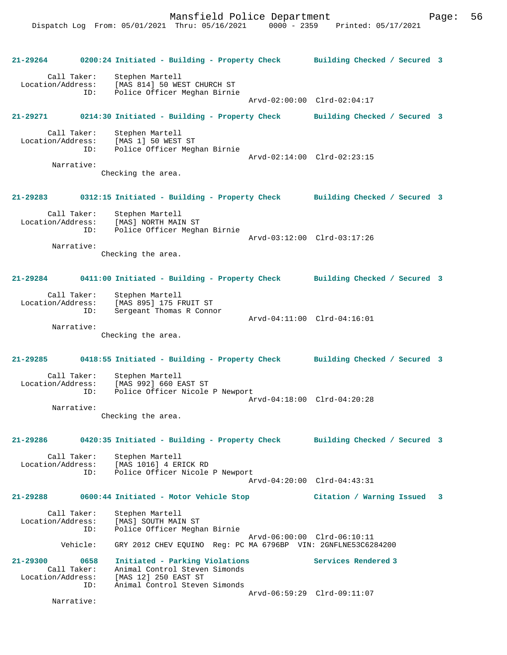**21-29264 0200:24 Initiated - Building - Property Check Building Checked / Secured 3** Call Taker: Stephen Martell Location/Address: [MAS 814] 50 WEST CHURCH ST Police Officer Meghan Birnie Arvd-02:00:00 Clrd-02:04:17 **21-29271 0214:30 Initiated - Building - Property Check Building Checked / Secured 3** Call Taker: Stephen Martell Location/Address: [MAS 1] 50 WEST ST<br>ID: Police Officer Megh Police Officer Meghan Birnie Arvd-02:14:00 Clrd-02:23:15 Narrative: Checking the area. **21-29283 0312:15 Initiated - Building - Property Check Building Checked / Secured 3** Call Taker: Stephen Martell Location/Address: [MAS] NORTH MAIN ST ID: Police Officer Meghan Birnie Arvd-03:12:00 Clrd-03:17:26 Narrative: Checking the area. **21-29284 0411:00 Initiated - Building - Property Check Building Checked / Secured 3** Call Taker: Stephen Martell Location/Address: [MAS 895] 175 FRUIT ST Sergeant Thomas R Connor Arvd-04:11:00 Clrd-04:16:01 Narrative: Checking the area. **21-29285 0418:55 Initiated - Building - Property Check Building Checked / Secured 3** Call Taker: Stephen Martell Location/Address: [MAS 992] 660 EAST ST ID: Police Officer Nicole P Newport Arvd-04:18:00 Clrd-04:20:28 Narrative: Checking the area. **21-29286 0420:35 Initiated - Building - Property Check Building Checked / Secured 3** Call Taker: Stephen Martell<br>Location/Address: [MAS 1016] 4 ER [MAS 1016] 4 ERICK RD ID: Police Officer Nicole P Newport Arvd-04:20:00 Clrd-04:43:31 **21-29288 0600:44 Initiated - Motor Vehicle Stop Citation / Warning Issued 3** Call Taker: Stephen Martell Location/Address: [MAS] SOUTH MAIN ST Police Officer Meghan Birnie Arvd-06:00:00 Clrd-06:10:11 Vehicle: GRY 2012 CHEV EQUINO Reg: PC MA 6796BP VIN: 2GNFLNE53C6284200 **21-29300 0658 Initiated - Parking Violations Services Rendered 3**  Call Taker: Animal Control Steven Simonds<br>Location/Address: [MAS 12] 250 EAST ST ess: [MAS 12] 250 EAST ST<br>ID: Animal Control Steven Animal Control Steven Simonds Arvd-06:59:29 Clrd-09:11:07 Narrative: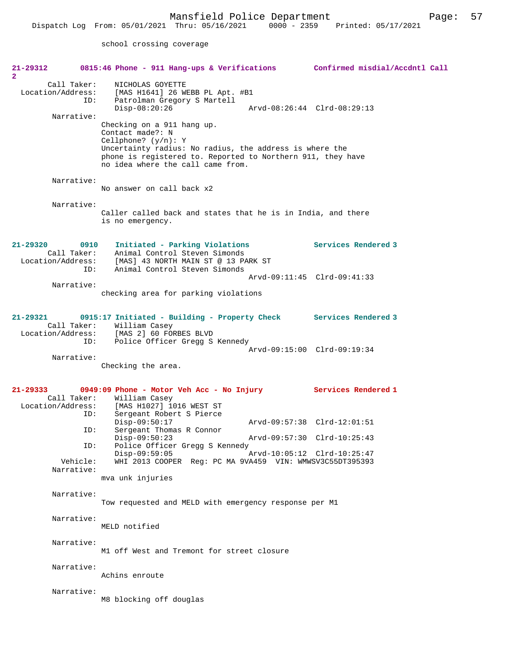school crossing coverage

| 21-29312<br>$\mathbf{2}$                                    | 0815:46 Phone - 911 Hang-ups & Verifications Confirmed misdial/Accdntl Call                                                                                                                                                            |                             |
|-------------------------------------------------------------|----------------------------------------------------------------------------------------------------------------------------------------------------------------------------------------------------------------------------------------|-----------------------------|
| Call Taker:<br>Location/Address:<br>ID:                     | NICHOLAS GOYETTE<br>[MAS H1641] 26 WEBB PL Apt. #B1<br>Patrolman Gregory S Martell<br>$Disp-08:20:26$                                                                                                                                  | Arvd-08:26:44 Clrd-08:29:13 |
| Narrative:                                                  | Checking on a 911 hang up.<br>Contact made?: N<br>Cellphone? $(y/n): Y$<br>Uncertainty radius: No radius, the address is where the<br>phone is registered to. Reported to Northern 911, they have<br>no idea where the call came from. |                             |
| Narrative:                                                  | No answer on call back x2                                                                                                                                                                                                              |                             |
| Narrative:                                                  | Caller called back and states that he is in India, and there<br>is no emergency.                                                                                                                                                       |                             |
| 21-29320<br>0910<br>Call Taker:<br>Location/Address:<br>ID: | Initiated - Parking Violations<br>Animal Control Steven Simonds<br>[MAS] 43 NORTH MAIN ST @ 13 PARK ST<br>Animal Control Steven Simonds                                                                                                | Services Rendered 3         |
| Narrative:                                                  | checking area for parking violations                                                                                                                                                                                                   | Arvd-09:11:45 Clrd-09:41:33 |
|                                                             |                                                                                                                                                                                                                                        |                             |
| 21-29321<br>Location/Address:<br>ID:                        | 0915:17 Initiated - Building - Property Check Services Rendered 3<br>Call Taker: William Casey<br>[MAS 2] 60 FORBES BLVD<br>Police Officer Gregg S Kennedy                                                                             | Arvd-09:15:00 Clrd-09:19:34 |
| Narrative:                                                  | Checking the area.                                                                                                                                                                                                                     |                             |
| $21 - 29333$<br>Call Taker:<br>Location/Address:<br>ID:     | 0949:09 Phone - Motor Veh Acc - No Injury<br>William Casey<br>[MAS H1027] 1016 WEST ST<br>Sergeant Robert S Pierce                                                                                                                     | Services Rendered 1         |
| ID:                                                         | $Disp-09:50:17$<br>Sergeant Thomas R Connor                                                                                                                                                                                            | Arvd-09:57:38 Clrd-12:01:51 |
| ID:                                                         | $Disp-09:50:23$<br>Police Officer Gregg S Kennedy                                                                                                                                                                                      | Arvd-09:57:30 Clrd-10:25:43 |
| Vehicle:<br>Narrative:                                      | $Disp-09:59:05$<br>WHI 2013 COOPER Req: PC MA 9VA459 VIN: WMWSV3C55DT395393                                                                                                                                                            | Arvd-10:05:12 Clrd-10:25:47 |
|                                                             | mva unk injuries                                                                                                                                                                                                                       |                             |
| Narrative:                                                  | Tow requested and MELD with emergency response per M1                                                                                                                                                                                  |                             |
| Narrative:                                                  | MELD notified                                                                                                                                                                                                                          |                             |
| Narrative:                                                  | M1 off West and Tremont for street closure                                                                                                                                                                                             |                             |
| Narrative:                                                  | Achins enroute                                                                                                                                                                                                                         |                             |
| Narrative:                                                  | M8 blocking off douglas                                                                                                                                                                                                                |                             |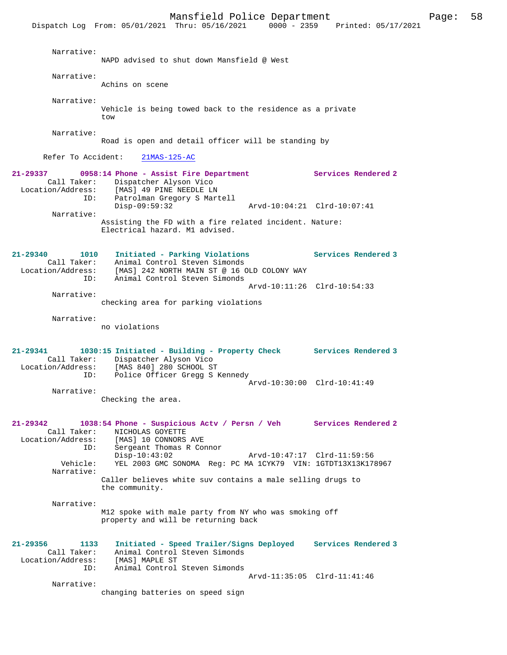|                                        | Mansfield Police Department<br>Dispatch Log From: 05/01/2021 Thru: 05/16/2021 0000 - 2359 Printed: 05/17/2021                                                     |                             | Page: | 58 |  |
|----------------------------------------|-------------------------------------------------------------------------------------------------------------------------------------------------------------------|-----------------------------|-------|----|--|
| Narrative:                             | NAPD advised to shut down Mansfield @ West                                                                                                                        |                             |       |    |  |
| Narrative:                             | Achins on scene                                                                                                                                                   |                             |       |    |  |
| Narrative:                             | Vehicle is being towed back to the residence as a private<br>tow                                                                                                  |                             |       |    |  |
| Narrative:                             | Road is open and detail officer will be standing by                                                                                                               |                             |       |    |  |
| Refer To Accident:                     | $21MAS-125-AC$                                                                                                                                                    |                             |       |    |  |
| 21-29337<br>ID:                        | 0958:14 Phone - Assist Fire Department<br>Call Taker: Dispatcher Alyson Vico<br>Location/Address: [MAS] 49 PINE NEEDLE LN<br>Patrolman Gregory S Martell          | Services Rendered 2         |       |    |  |
| Narrative:                             | $Disp-09:59:32$<br>Assisting the FD with a fire related incident. Nature:<br>Electrical hazard. M1 advised.                                                       | Arvd-10:04:21 Clrd-10:07:41 |       |    |  |
| 21-29340<br>1010<br>Call Taker:<br>ID: | Initiated - Parking Violations<br>Animal Control Steven Simonds<br>Location/Address: [MAS] 242 NORTH MAIN ST @ 16 OLD COLONY WAY<br>Animal Control Steven Simonds | Services Rendered 3         |       |    |  |
| Narrative:                             | checking area for parking violations                                                                                                                              | Arvd-10:11:26 Clrd-10:54:33 |       |    |  |
| Narrative:                             | no violations                                                                                                                                                     |                             |       |    |  |
| 21-29341                               | 1030:15 Initiated - Building - Property Check                                                                                                                     | Services Rendered 3         |       |    |  |

 Call Taker: Dispatcher Alyson Vico Location/Address: [MAS 840] 280 SCHOOL ST<br>ID: Police Officer Gregg S ] Police Officer Gregg S Kennedy Arvd-10:30:00 Clrd-10:41:49 Narrative:

Checking the area.

**21-29342 1038:54 Phone - Suspicious Actv / Persn / Veh Services Rendered 2**  Call Taker: NICHOLAS GOYETTE<br>Location/Address: [MAS] 10 CONNORS [MAS] 10 CONNORS AVE ID: Sergeant Thomas R Connor<br>Disp-10:43:02 Disp-10:43:02 Arvd-10:47:17 Clrd-11:59:56<br>Vehicle: YEL 2003 GMC SONOMA Req: PC MA 1CYK79 VIN: 1GTDT13X13K17 YEL 2003 GMC SONOMA Reg: PC MA 1CYK79 VIN: 1GTDT13X13K178967 Narrative: Caller believes white suv contains a male selling drugs to

the community.

 Narrative: M12 spoke with male party from NY who was smoking off property and will be returning back

**21-29356 1133 Initiated - Speed Trailer/Signs Deployed Services Rendered 3**  Call Taker: Animal Control Steven Simonds<br>ion/Address: [MAS] MAPLE ST Location/Address:<br>ID: Animal Control Steven Simonds Arvd-11:35:05 Clrd-11:41:46 Narrative:

changing batteries on speed sign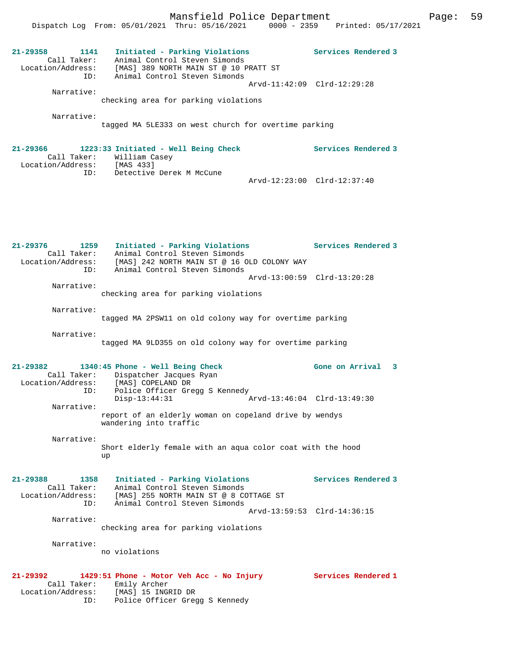Dispatch Log From: 05/01/2021 Thru: 05/16/2021 0000 - 2359 Printed: 05/17/2021

| $21 - 29358$<br>1141<br>Call Taker:<br>Location/Address:<br>ID: | Initiated - Parking Violations<br>Animal Control Steven Simonds<br>[MAS] 389 NORTH MAIN ST @ 10 PRATT ST<br>Animal Control Steven Simonds | Services Rendered 3         |
|-----------------------------------------------------------------|-------------------------------------------------------------------------------------------------------------------------------------------|-----------------------------|
| Narrative:                                                      |                                                                                                                                           | Arvd-11:42:09 Clrd-12:29:28 |
|                                                                 | checking area for parking violations                                                                                                      |                             |
| Narrative:                                                      |                                                                                                                                           |                             |
|                                                                 | tagged MA 5LE333 on west church for overtime parking                                                                                      |                             |
|                                                                 | $21-29366$ 1223:33 Initiated - Well Being Check<br>Call Taker: William Casey                                                              | Services Rendered 3         |
|                                                                 | Location/Address: [MAS 433]<br>ID: Detective Derek M McCune                                                                               |                             |
|                                                                 |                                                                                                                                           | Arvd-12:23:00 Clrd-12:37:40 |
|                                                                 |                                                                                                                                           |                             |
| 21-29376<br>1259                                                | Initiated - Parking Violations                                                                                                            | Services Rendered 3         |
| Call Taker:<br>Location/Address:                                | Animal Control Steven Simonds<br>[MAS] 242 NORTH MAIN ST @ 16 OLD COLONY WAY                                                              |                             |
| ID:                                                             | Animal Control Steven Simonds                                                                                                             |                             |
| Narrative:                                                      |                                                                                                                                           | Arvd-13:00:59 Clrd-13:20:28 |
|                                                                 | checking area for parking violations                                                                                                      |                             |
| Narrative:                                                      |                                                                                                                                           |                             |
|                                                                 | tagged MA 2PSW11 on old colony way for overtime parking                                                                                   |                             |
| Narrative:                                                      |                                                                                                                                           |                             |
|                                                                 | tagged MA 9LD355 on old colony way for overtime parking                                                                                   |                             |
|                                                                 |                                                                                                                                           |                             |
| 21-29382                                                        | 1340:45 Phone - Well Being Check                                                                                                          | Gone on Arrival<br>3        |
| Call Taker:<br>Location/Address:                                | Dispatcher Jacques Ryan<br>[MAS] COPELAND DR                                                                                              |                             |
| ID:                                                             | Police Officer Gregg S Kennedy                                                                                                            |                             |
| Narrative:                                                      | $Disp-13:44:31$                                                                                                                           | Arvd-13:46:04 Clrd-13:49:30 |
|                                                                 | report of an elderly woman on copeland drive by wendys<br>wandering into traffic                                                          |                             |
| Narrative:                                                      |                                                                                                                                           |                             |
|                                                                 | Short elderly female with an aqua color coat with the hood<br>up                                                                          |                             |
| $21 - 29388$<br>1358                                            | Initiated - Parking Violations                                                                                                            | Services Rendered 3         |
| Call Taker:                                                     | Animal Control Steven Simonds                                                                                                             |                             |
| Location/Address:<br>ID:                                        | [MAS] 255 NORTH MAIN ST @ 8 COTTAGE ST<br>Animal Control Steven Simonds                                                                   |                             |
|                                                                 |                                                                                                                                           | Arvd-13:59:53 Clrd-14:36:15 |
| Narrative:                                                      | checking area for parking violations                                                                                                      |                             |
|                                                                 |                                                                                                                                           |                             |

Narrative:

no violations

### **21-29392 1429:51 Phone - Motor Veh Acc - No Injury Services Rendered 1**

 Call Taker: Emily Archer Location/Address: [MAS] 15 INGRID DR ID: Police Officer Gregg S Kennedy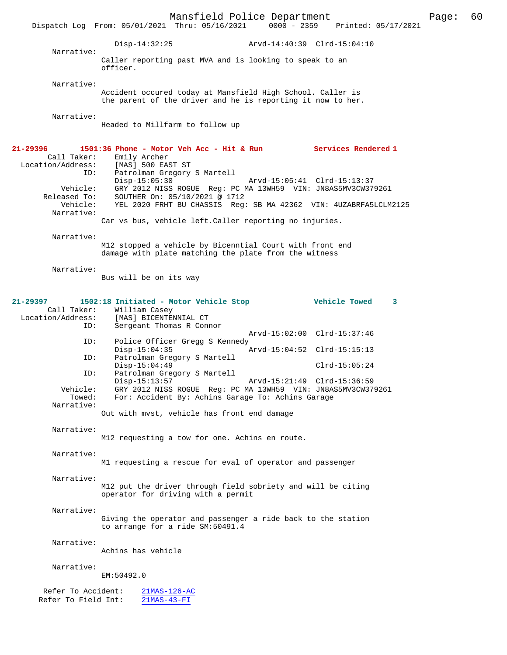|                                                                                 |                                                                    | Mansfield Police Department                                                                                               |                                                            |                                                                                                                               | Page: | - 60 |
|---------------------------------------------------------------------------------|--------------------------------------------------------------------|---------------------------------------------------------------------------------------------------------------------------|------------------------------------------------------------|-------------------------------------------------------------------------------------------------------------------------------|-------|------|
|                                                                                 |                                                                    |                                                                                                                           |                                                            | Dispatch Log From: 05/01/2021 Thru: 05/16/2021 0000 - 2359 Printed: 05/17/2021                                                |       |      |
| Narrative:                                                                      | $Disp-14:32:25$                                                    |                                                                                                                           | Arvd-14:40:39 Clrd-15:04:10                                |                                                                                                                               |       |      |
|                                                                                 | officer.                                                           | Caller reporting past MVA and is looking to speak to an                                                                   |                                                            |                                                                                                                               |       |      |
| Narrative:                                                                      |                                                                    | Accident occured today at Mansfield High School. Caller is<br>the parent of the driver and he is reporting it now to her. |                                                            |                                                                                                                               |       |      |
| Narrative:                                                                      |                                                                    | Headed to Millfarm to follow up                                                                                           |                                                            |                                                                                                                               |       |      |
| 21-29396<br>Call Taker:<br>Location/Address:<br>ID:<br>Vehicle:<br>Released To: | Emily Archer<br>[MAS] 500 EAST ST<br>$Disp-15:05:30$               | Patrolman Gregory S Martell<br>SOUTHER On: 05/10/2021 @ 1712                                                              | Arvd-15:05:41 Clrd-15:13:37                                | 1501:36 Phone - Motor Veh Acc - Hit & Run Services Rendered 1<br>GRY 2012 NISS ROGUE Reg: PC MA 13WH59 VIN: JN8AS5MV3CW379261 |       |      |
| Vehicle:<br>Narrative:                                                          |                                                                    | Car vs bus, vehicle left. Caller reporting no injuries.                                                                   |                                                            | YEL 2020 FRHT BU CHASSIS Reg: SB MA 42362 VIN: 4UZABRFA5LCLM2125                                                              |       |      |
| Narrative:                                                                      |                                                                    | M12 stopped a vehicle by Bicenntial Court with front end<br>damage with plate matching the plate from the witness         |                                                            |                                                                                                                               |       |      |
| Narrative:                                                                      | Bus will be on its way                                             |                                                                                                                           |                                                            |                                                                                                                               |       |      |
| 21-29397<br>Call Taker:<br>Location/Address:<br>ID:                             | William Casey<br>[MAS] BICENTENNIAL CT<br>Sergeant Thomas R Connor | 1502:18 Initiated - Motor Vehicle Stop                                                                                    |                                                            | <b>Example 20 Vehicle Towed</b><br>3                                                                                          |       |      |
| ID:                                                                             | $Disp-15:04:35$                                                    | Police Officer Gregg S Kennedy                                                                                            | Arvd-15:02:00 Clrd-15:37:46<br>Arvd-15:04:52 Clrd-15:15:13 |                                                                                                                               |       |      |
| ID:<br>ID:                                                                      | $Disp-15:04:49$                                                    | Patrolman Gregory S Martell<br>Patrolman Gregory S Martell                                                                |                                                            | $Clrd-15:05:24$                                                                                                               |       |      |
| Vehicle:<br>Towed:<br>Narrative:                                                | $Disp-15:13:57$                                                    | For: Accident By: Achins Garage To: Achins Garage                                                                         | Arvd-15:21:49 Clrd-15:36:59                                | GRY 2012 NISS ROGUE Req: PC MA 13WH59 VIN: JN8AS5MV3CW379261                                                                  |       |      |
|                                                                                 |                                                                    | Out with myst, vehicle has front end damage                                                                               |                                                            |                                                                                                                               |       |      |
| Narrative:                                                                      |                                                                    | M12 requesting a tow for one. Achins en route.                                                                            |                                                            |                                                                                                                               |       |      |
| Narrative:                                                                      |                                                                    | M1 requesting a rescue for eval of operator and passenger                                                                 |                                                            |                                                                                                                               |       |      |
| Narrative:                                                                      |                                                                    | M12 put the driver through field sobriety and will be citing<br>operator for driving with a permit                        |                                                            |                                                                                                                               |       |      |
| Narrative:                                                                      |                                                                    | Giving the operator and passenger a ride back to the station<br>to arrange for a ride SM:50491.4                          |                                                            |                                                                                                                               |       |      |
| Narrative:                                                                      | Achins has vehicle                                                 |                                                                                                                           |                                                            |                                                                                                                               |       |      |
| Narrative:                                                                      | EM:50492.0                                                         |                                                                                                                           |                                                            |                                                                                                                               |       |      |
| Refer To Accident:<br>Refer To Field Int:                                       | $21MAS-43-FI$                                                      | $21MAS-126-AC$                                                                                                            |                                                            |                                                                                                                               |       |      |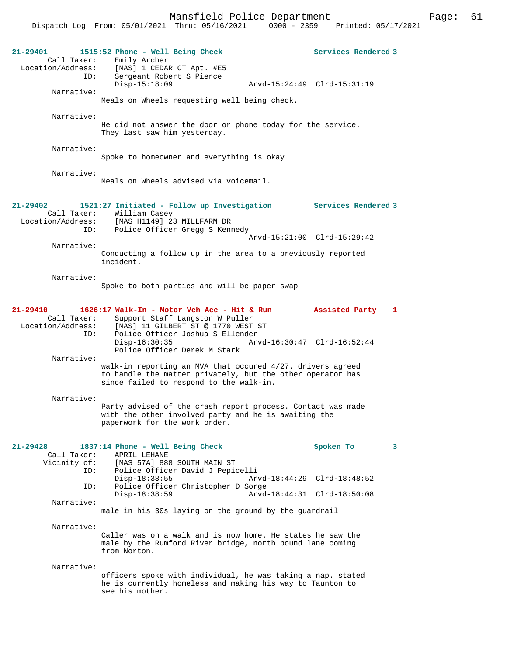|                          | Mansfield Police Department                                            | Page:                                | 61 |
|--------------------------|------------------------------------------------------------------------|--------------------------------------|----|
|                          | Dispatch Log From: 05/01/2021 Thru: 05/16/2021                         | $0000 - 2359$<br>Printed: 05/17/2021 |    |
|                          |                                                                        |                                      |    |
|                          |                                                                        |                                      |    |
| $21 - 29401$             | 1515:52 Phone - Well Being Check                                       | <b>Services Rendered 3</b>           |    |
| Call Taker:              | Emily Archer<br>Location/Address: [MAS] 1 CEDAR CT Apt. #E5            |                                      |    |
| ID:                      | Sergeant Robert S Pierce                                               |                                      |    |
|                          | $Disp-15:18:09$                                                        |                                      |    |
| Narrative:               |                                                                        |                                      |    |
|                          | Meals on Wheels requesting well being check.                           |                                      |    |
|                          |                                                                        |                                      |    |
| Narrative:               | He did not answer the door or phone today for the service.             |                                      |    |
|                          | They last saw him yesterday.                                           |                                      |    |
|                          |                                                                        |                                      |    |
| Narrative:               |                                                                        |                                      |    |
|                          | Spoke to homeowner and everything is okay                              |                                      |    |
|                          |                                                                        |                                      |    |
| Narrative:               | Meals on Wheels advised via voicemail.                                 |                                      |    |
|                          |                                                                        |                                      |    |
|                          |                                                                        |                                      |    |
| 21-29402                 | 1521:27 Initiated - Follow up Investigation Services Rendered 3        |                                      |    |
|                          | Call Taker: William Casey                                              |                                      |    |
|                          | Location/Address: [MAS H1149] 23 MILLFARM DR                           |                                      |    |
|                          | ID: Police Officer Gregg S Kennedy                                     | Arvd-15:21:00 Clrd-15:29:42          |    |
| Narrative:               |                                                                        |                                      |    |
|                          | Conducting a follow up in the area to a previously reported            |                                      |    |
|                          | incident.                                                              |                                      |    |
|                          |                                                                        |                                      |    |
| Narrative:               | Spoke to both parties and will be paper swap                           |                                      |    |
|                          |                                                                        |                                      |    |
|                          |                                                                        |                                      |    |
| $21 - 29410$             | 1626:17 Walk-In - Motor Veh Acc - Hit & Run                            | Assisted Party<br>$\mathbf{1}$       |    |
| Call Taker:              | Support Staff Langston W Puller                                        |                                      |    |
| Location/Address:<br>ID: | [MAS] 11 GILBERT ST @ 1770 WEST ST<br>Police Officer Joshua S Ellender |                                      |    |
|                          | $Disp-16:30:35$                                                        | Arvd-16:30:47 Clrd-16:52:44          |    |
|                          | Police Officer Derek M Stark                                           |                                      |    |
| Narrative:               |                                                                        |                                      |    |
|                          | walk-in reporting an MVA that occured 4/27. drivers agreed             |                                      |    |
|                          | to handle the matter privately, but the other operator has             |                                      |    |
|                          | since failed to respond to the walk-in.                                |                                      |    |
| Narrative:               |                                                                        |                                      |    |
|                          | Party advised of the crash report process. Contact was made            |                                      |    |
|                          | with the other involved party and he is awaiting the                   |                                      |    |
|                          | paperwork for the work order.                                          |                                      |    |
|                          |                                                                        |                                      |    |
| $21 - 29428$             | 1837:14 Phone - Well Being Check                                       | Spoken To<br>3                       |    |
| Call Taker:              | APRIL LEHANE                                                           |                                      |    |
| Vicinity of:             | [MAS 57A] 888 SOUTH MAIN ST                                            |                                      |    |
| ID:                      | Police Officer David J Pepicelli                                       |                                      |    |
| ID:                      | $Disp-18:38:55$<br>Police Officer Christopher D Sorge                  | Arvd-18:44:29 Clrd-18:48:52          |    |
|                          | $Disp-18:38:59$                                                        | Arvd-18:44:31 Clrd-18:50:08          |    |
| Narrative:               |                                                                        |                                      |    |
|                          | male in his 30s laying on the ground by the guardrail                  |                                      |    |
| Narrative:               |                                                                        |                                      |    |
|                          | Caller was on a walk and is now home. He states he saw the             |                                      |    |
|                          | male by the Rumford River bridge, north bound lane coming              |                                      |    |
|                          | from Norton.                                                           |                                      |    |
|                          |                                                                        |                                      |    |
| Narrative:               |                                                                        |                                      |    |

officers spoke with individual, he was taking a nap. stated he is currently homeless and making his way to Taunton to see his mother.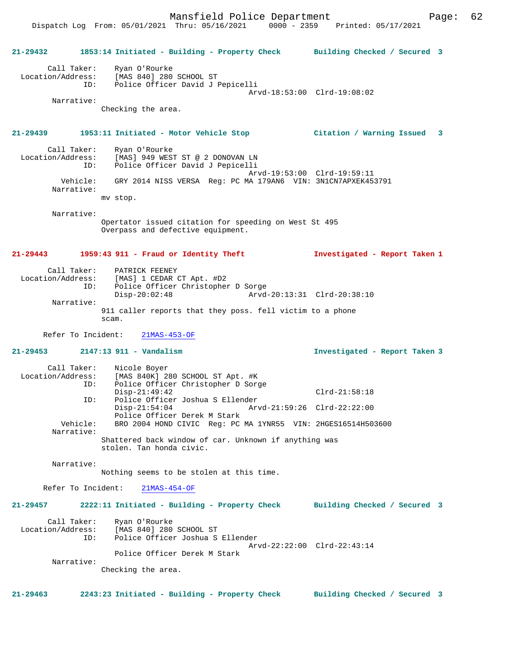**21-29432 1853:14 Initiated - Building - Property Check Building Checked / Secured 3** Call Taker: Ryan O'Rourke Location/Address: [MAS 840] 280 SCHOOL ST ID: Police Officer David J Pepicelli Arvd-18:53:00 Clrd-19:08:02 Narrative: Checking the area. **21-29439 1953:11 Initiated - Motor Vehicle Stop Citation / Warning Issued 3** Call Taker: Ryan O'Rourke<br>Location/Address: [MAS] 949 WEST Location (Address: [MAS] 949 WEST ST @ 2 DONOVAN LN<br>Lating and Location Str & 2 DONOVAN LN ID: Police Officer David J Pepicelli Police Officer David J Pepicelli Arvd-19:53:00 Clrd-19:59:11 Vehicle: GRY 2014 NISS VERSA Reg: PC MA 179AN6 VIN: 3N1CN7APXEK453791 Narrative: mv stop. Narrative: Opertator issued citation for speeding on West St 495 Overpass and defective equipment. **21-29443 1959:43 911 - Fraud or Identity Theft Investigated - Report Taken 1** Call Taker: PATRICK FEENEY Location/Address: [MAS] 1 CEDAR CT Apt. #D2 ID: Police Officer Christopher D Sorge Disp-20:02:48 Arvd-20:13:31 Clrd-20:38:10 Narrative: 911 caller reports that they poss. fell victim to a phone scam. Refer To Incident: 21MAS-453-OF **21-29453 2147:13 911 - Vandalism Investigated - Report Taken 3** Call Taker: Nicole Boyer<br>Location/Address: [MAS 840K] 2 ess: [MAS 840K] 280 SCHOOL ST Apt. #K<br>ID: Police Officer Christopher D Sore Police Officer Christopher D Sorge Disp-21:49:42 Clrd-21:58:18<br>ID: Police Officer Joshua S Ellender Clrd-21:58:18 Police Officer Joshua S Ellender<br>Disp-21:54:04 Ary Disp-21:54:04 Arvd-21:59:26 Clrd-22:22:00 Police Officer Derek M Stark<br>Vehicle: BRO 2004 HOND CIVIC Reg: PC BRO 2004 HOND CIVIC Reg: PC MA 1YNR55 VIN: 2HGES16514H503600 Narrative: Shattered back window of car. Unknown if anything was stolen. Tan honda civic. Narrative: Nothing seems to be stolen at this time. Refer To Incident: 21MAS-454-OF **21-29457 2222:11 Initiated - Building - Property Check Building Checked / Secured 3** Call Taker: Ryan O'Rourke Location/Address: [MAS 840] 280 SCHOOL ST

 Police Officer Derek M Stark Narrative:

Checking the area.

Arvd-22:22:00 Clrd-22:43:14

Police Officer Joshua S Ellender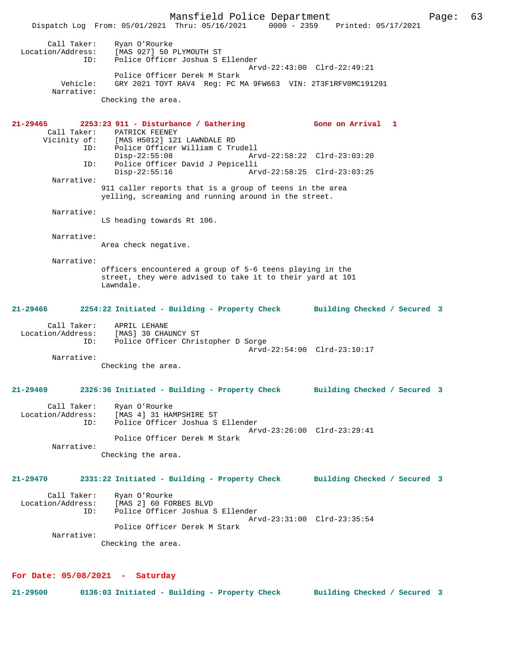Mansfield Police Department Page: 63 Dispatch Log From: 05/01/2021 Thru: 05/16/2021 0000 - 2359 Printed: 05/17/2021 Call Taker: Ryan O'Rourke<br>Location/Address: [MAS 927] 50 B ess: [MAS 927] 50 PLYMOUTH ST<br>ID: Police Officer Joshua S Police Officer Joshua S Ellender Arvd-22:43:00 Clrd-22:49:21 Police Officer Derek M Stark<br>Vehicle: GRY 2021 TOYT RAV4 Reg: PC M GRY 2021 TOYT RAV4 Reg: PC MA 9FW663 VIN: 2T3F1RFV0MC191291 Narrative: Checking the area. **21-29465 2253:23 911 - Disturbance / Gathering Gone on Arrival 1**  Call Taker: PATRICK FEENEY<br>Vicinity of: [MAS H5012] 121 of: [MAS H5012] 121 LAWNDALE RD<br>ID: Police Officer William C Tru Police Officer William C Trudell Disp-22:55:08 Arvd-22:58:22 Clrd-23:03:20<br>TD: Police Officer David J Pepicelli Police Officer David J Pepicelli<br>Disp-22:55:16 Ary Disp-22:55:16 Arvd-22:58:25 Clrd-23:03:25 Narrative: 911 caller reports that is a group of teens in the area yelling, screaming and running around in the street. Narrative: LS heading towards Rt 106. Narrative: Area check negative. Narrative: officers encountered a group of 5-6 teens playing in the street, they were advised to take it to their yard at 101 Lawndale. **21-29466 2254:22 Initiated - Building - Property Check Building Checked / Secured 3** Call Taker: APRIL LEHANE Location/Address: [MAS] 30 CHAUNCY ST ID: Police Officer Christopher D Sorge Arvd-22:54:00 Clrd-23:10:17 Narrative: Checking the area. **21-29469 2326:36 Initiated - Building - Property Check Building Checked / Secured 3** Call Taker: Ryan O'Rourke<br>Location/Address: [MAS 4] 31 HA [MAS 4] 31 HAMPSHIRE ST ID: Police Officer Joshua S Ellender Arvd-23:26:00 Clrd-23:29:41 Police Officer Derek M Stark Narrative: Checking the area. **21-29470 2331:22 Initiated - Building - Property Check Building Checked / Secured 3** Call Taker: Ryan O'Rourke Location/Address: [MAS 2] 60 FORBES BLVD ID: Police Officer Joshua S Ellender Arvd-23:31:00 Clrd-23:35:54 Police Officer Derek M Stark Narrative: Checking the area.

#### **For Date: 05/08/2021 - Saturday**

**21-29500 0136:03 Initiated - Building - Property Check Building Checked / Secured 3**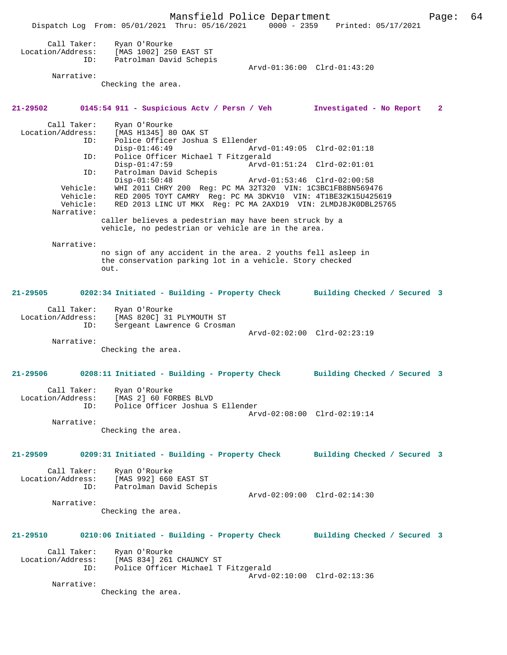Mansfield Police Department Page: 64 Dispatch Log From: 05/01/2021 Thru: 05/16/2021 0000 - 2359 Printed: 05/17/2021 Call Taker: Ryan O'Rourke<br>ion/Address: [MAS 1002] 250 Location/Address: [MAS 1002] 250 EAST ST Patrolman David Schepis Arvd-01:36:00 Clrd-01:43:20 Narrative: Checking the area. **21-29502 0145:54 911 - Suspicious Actv / Persn / Veh Investigated - No Report 2** Call Taker: Ryan O'Rourke<br>Location/Address: [MAS H1345] 8 ess: [MAS H1345] 80 OAK ST<br>ID: Police Officer Joshua Police Officer Joshua S Ellender<br>Disp-01:46:49 Ary<br>Doline Office Disp-01:46:49 Arvd-01:49:05 Clrd-02:01:18<br>ID: Police Officer Michael T Fitzgerald Police Officer Michael T Fitzgerald<br>Disp-01:47:59 Arvd-0 Arvd-01:51:24 Clrd-02:01:01 ID: Patrolman David Schepis<br>Disp-01:50:48 Disp-01:50:48 Arvd-01:53:46 Clrd-02:00:58 Vehicle: WHI 2011 CHRY 200 Reg: PC MA 32T320 VIN: 1C3BC1FB8BN569476 Vehicle: RED 2005 TOYT CAMRY Reg: PC MA 3DKV10 VIN: 4T1BE32K15U425619 Vehicle: RED 2013 LINC UT MKX Reg: PC MA 2AXD19 VIN: 2LMDJ8JK0DBL25765 Narrative: caller believes a pedestrian may have been struck by a vehicle, no pedestrian or vehicle are in the area. Narrative: no sign of any accident in the area. 2 youths fell asleep in the conservation parking lot in a vehicle. Story checked out. **21-29505 0202:34 Initiated - Building - Property Check Building Checked / Secured 3** Call Taker: Ryan O'Rourke Location/Address: [MAS 820C] 31 PLYMOUTH ST ID: Sergeant Lawrence G Crosman Arvd-02:02:00 Clrd-02:23:19 Narrative: Checking the area. **21-29506 0208:11 Initiated - Building - Property Check Building Checked / Secured 3** Call Taker: Ryan O'Rourke Location/Address: [MAS 2] 60 FORBES BLVD Police Officer Joshua S Ellender Arvd-02:08:00 Clrd-02:19:14 Narrative: Checking the area. **21-29509 0209:31 Initiated - Building - Property Check Building Checked / Secured 3** Call Taker: Ryan O'Rourke<br>.on/Address: [MAS 992] 660 EAST ST Location/Address:<br>ID: Patrolman David Schepis Arvd-02:09:00 Clrd-02:14:30 Narrative: Checking the area. **21-29510 0210:06 Initiated - Building - Property Check Building Checked / Secured 3** Call Taker: Ryan O'Rourke<br>Location/Address: [MAS 834] 261 ess: [MAS 834] 261 CHAUNCY ST<br>ID: Police Officer Michael T Police Officer Michael T Fitzgerald Arvd-02:10:00 Clrd-02:13:36 Narrative: Checking the area.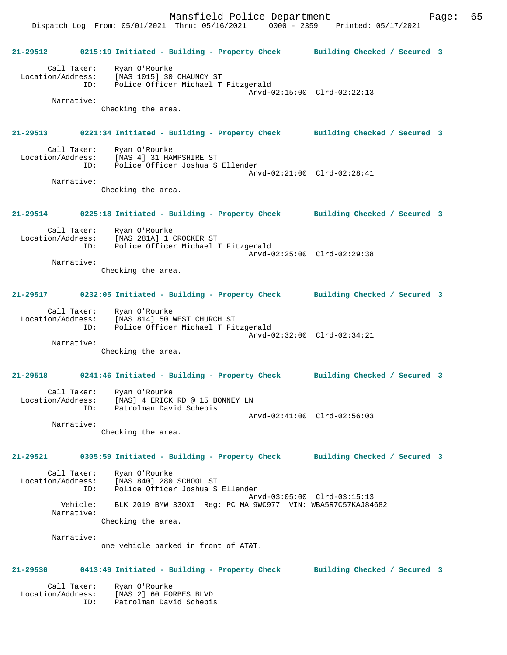**21-29512 0215:19 Initiated - Building - Property Check Building Checked / Secured 3** Call Taker: Ryan O'Rourke Location/Address: [MAS 1015] 30 CHAUNCY ST ID: Police Officer Michael T Fitzgerald Arvd-02:15:00 Clrd-02:22:13 Narrative: Checking the area. **21-29513 0221:34 Initiated - Building - Property Check Building Checked / Secured 3** Call Taker: Ryan O'Rourke Location/Address: [MAS 4] 31 HAMPSHIRE ST ID: Police Officer Joshua S Ellender Arvd-02:21:00 Clrd-02:28:41 Narrative: Checking the area. **21-29514 0225:18 Initiated - Building - Property Check Building Checked / Secured 3** Call Taker: Ryan O'Rourke Location/Address: [MAS 281A] 1 CROCKER ST ID: Police Officer Michael T Fitzgerald Arvd-02:25:00 Clrd-02:29:38 Narrative: Checking the area. **21-29517 0232:05 Initiated - Building - Property Check Building Checked / Secured 3** Call Taker: Ryan O'Rourke Location/Address: [MAS 814] 50 WEST CHURCH ST ID: Police Officer Michael T Fitzgerald Arvd-02:32:00 Clrd-02:34:21 Narrative: Checking the area. **21-29518 0241:46 Initiated - Building - Property Check Building Checked / Secured 3** Call Taker: Ryan O'Rourke Location/Address: [MAS] 4 ERICK RD @ 15 BONNEY LN ID: Patrolman David Schepis Arvd-02:41:00 Clrd-02:56:03 Narrative: Checking the area. **21-29521 0305:59 Initiated - Building - Property Check Building Checked / Secured 3** Call Taker: Ryan O'Rourke Location/Address: [MAS 840] 280 SCHOOL ST ID: Police Officer Joshua S Ellender Arvd-03:05:00 Clrd-03:15:13<br>Vehicle: BLK 2019 BMW 330XI Reg: PC MA 9WC977 VIN: WBA5R7C57KAJ846 BLK 2019 BMW 330XI Reg: PC MA 9WC977 VIN: WBA5R7C57KAJ84682 Narrative: Checking the area. Narrative: one vehicle parked in front of AT&T. **21-29530 0413:49 Initiated - Building - Property Check Building Checked / Secured 3** Call Taker: Ryan O'Rourke Location/Address: [MAS 2] 60 FORBES BLVD ID: Patrolman David Schepis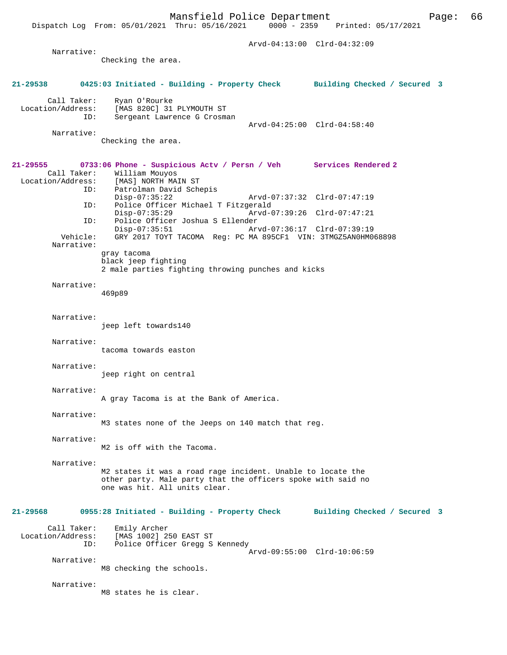Dispatch Log From: 05/01/2021 Thru: 05/16/2021

 Arvd-04:13:00 Clrd-04:32:09 Narrative: Checking the area. **21-29538 0425:03 Initiated - Building - Property Check Building Checked / Secured 3** Call Taker: Ryan O'Rourke Location/Address: [MAS 820C] 31 PLYMOUTH ST Sergeant Lawrence G Crosman Arvd-04:25:00 Clrd-04:58:40 Narrative: Checking the area. **21-29555 0733:06 Phone - Suspicious Actv / Persn / Veh Services Rendered 2**  Call Taker: William Mouyos<br>Location/Address: [MAS] NORTH MA: ess: [MAS] NORTH MAIN ST<br>ID: Patrolman David Sch Patrolman David Schepis<br>Disp-07:35:22 Disp-07:35:22 Arvd-07:37:32 Clrd-07:47:19<br>ID: Police Officer Michael T Fitzgerald Police Officer Michael T Fitzgerald<br>Disp-07:35:29 Arvd-0 Disp-07:35:29 Arvd-07:39:26 Clrd-07:47:21<br>ID: Police Officer Joshua S Ellender ID: Police Officer Joshua S Ellender Disp-07:35:51 Arvd-07:36:17 Clrd-07:39:19<br>Vehicle: GRY 2017 TOYT TACOMA Reg: PC MA 895CF1 VIN: 3TMGZ5AN0HM0 GRY 2017 TOYT TACOMA Reg: PC MA 895CF1 VIN: 3TMGZ5AN0HM068898 Narrative: gray tacoma black jeep fighting 2 male parties fighting throwing punches and kicks Narrative: 469p89 Narrative: jeep left towards140 Narrative: tacoma towards easton Narrative: jeep right on central Narrative: A gray Tacoma is at the Bank of America. Narrative: M3 states none of the Jeeps on 140 match that reg. Narrative: M2 is off with the Tacoma. Narrative: M2 states it was a road rage incident. Unable to locate the other party. Male party that the officers spoke with said no one was hit. All units clear. **21-29568 0955:28 Initiated - Building - Property Check Building Checked / Secured 3** Call Taker: Emily Archer<br>Location/Address: [MAS 1002] 2 ess: [MAS<sup>]</sup>1002] 250 EAST ST<br>ID: Police Officer Gregg S Police Officer Gregg S Kennedy Arvd-09:55:00 Clrd-10:06:59 Narrative: M8 checking the schools. Narrative: M8 states he is clear.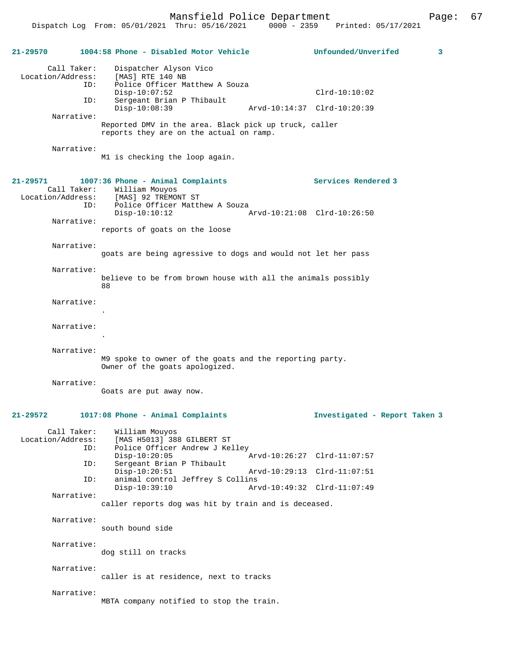Mansfield Police Department Page: 67 Dispatch Log From: 05/01/2021 Thru: 05/16/2021 **21-29570 1004:58 Phone - Disabled Motor Vehicle Unfounded/Unverifed 3** Call Taker: Dispatcher Alyson Vico<br>.on/Address: [MAS] RTE 140 NB Location/Address: ID: Police Officer Matthew A Souza Disp-10:07:52 Clrd-10:10:02<br>ID: Sergeant Brian P Thibault Sergeant Brian P Thibault<br>Disp-10:08:39 Arvd-10:14:37 Clrd-10:20:39 Narrative: Reported DMV in the area. Black pick up truck, caller reports they are on the actual on ramp. Narrative: M1 is checking the loop again. **21-29571 1007:36 Phone - Animal Complaints Services Rendered 3**  Call Taker: William Mouyos<br>Location/Address: [MAS] 92 TREMOI ess: [MAS] 92 TREMONT ST<br>ID: Police Officer Mattl Police Officer Matthew A Souza Disp-10:10:12 Arvd-10:21:08 Clrd-10:26:50 Narrative: reports of goats on the loose Narrative: goats are being agressive to dogs and would not let her pass Narrative: believe to be from brown house with all the animals possibly 88 Narrative:

Narrative:

.

.

 Narrative: M9 spoke to owner of the goats and the reporting party. Owner of the goats apologized.

Narrative:

Goats are put away now.

# **21-29572 1017:08 Phone - Animal Complaints Investigated - Report Taken 3**

Call Taker: William Mouyos<br>Location/Address: [MAS H5013] 388 ess: [MAS H5013] 388 GILBERT ST<br>ID: Police Officer Andrew J Ke. Police Officer Andrew J Kelley<br>Disp-10:20:05 Disp-10:20:05 Arvd-10:26:27 Clrd-11:07:57 ID: Sergeant Brian P Thibault Disp-10:20:51 Arvd-10:29:13 Clrd-11:07:51 ID: animal control Jeffrey S Collins Disp-10:39:10 Arvd-10:49:32 Clrd-11:07:49 Narrative: caller reports dog was hit by train and is deceased.

Narrative:

south bound side

 Narrative: dog still on tracks

Narrative:

caller is at residence, next to tracks

#### Narrative:

MBTA company notified to stop the train.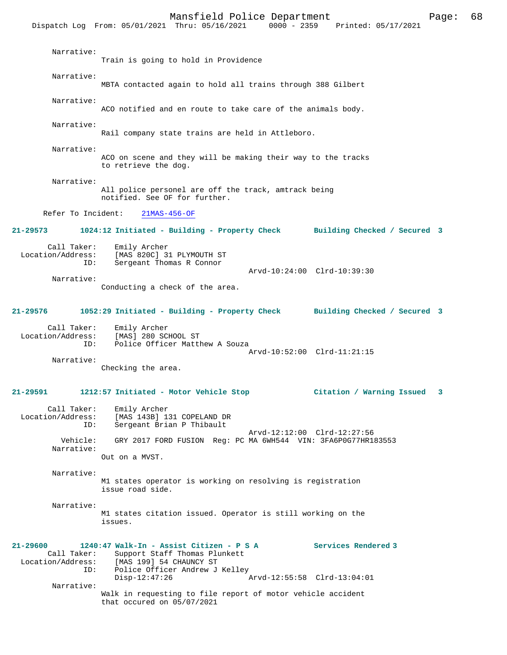Mansfield Police Department Page: 68 Dispatch Log From: 05/01/2021 Thru: 05/16/2021 Narrative: Train is going to hold in Providence Narrative: MBTA contacted again to hold all trains through 388 Gilbert Narrative: ACO notified and en route to take care of the animals body. Narrative: Rail company state trains are held in Attleboro. Narrative: ACO on scene and they will be making their way to the tracks to retrieve the dog. Narrative: All police personel are off the track, amtrack being notified. See OF for further. Refer To Incident: 21MAS-456-OF **21-29573 1024:12 Initiated - Building - Property Check Building Checked / Secured 3** Call Taker: Emily Archer<br>Location/Address: [MAS 820C] 3 ess: [MAS 820C] 31 PLYMOUTH ST<br>ID: Sergeant Thomas R Connor Sergeant Thomas R Connor Arvd-10:24:00 Clrd-10:39:30 Narrative: Conducting a check of the area. **21-29576 1052:29 Initiated - Building - Property Check Building Checked / Secured 3** Call Taker: Emily Archer Location/Address: [MAS] 280 SCHOOL ST ID: Police Officer Matthew A Souza Arvd-10:52:00 Clrd-11:21:15 Narrative: Checking the area. **21-29591 1212:57 Initiated - Motor Vehicle Stop Citation / Warning Issued 3** Call Taker: Emily Archer<br>Location/Address: [MAS 143B] 1 [MAS 143B] 131 COPELAND DR ID: Sergeant Brian P Thibault Arvd-12:12:00 Clrd-12:27:56 Vehicle: GRY 2017 FORD FUSION Reg: PC MA 6WH544 VIN: 3FA6P0G77HR183553 Narrative: Out on a MVST. Narrative: M1 states operator is working on resolving is registration issue road side. Narrative: M1 states citation issued. Operator is still working on the issues. **21-29600 1240:47 Walk-In - Assist Citizen - P S A Services Rendered 3**  Call Taker: Support Staff Thomas Plunkett Location/Address: [MAS 199] 54 CHAUNCY ST ID: Police Officer Andrew J Kelley<br>Disp-12:47:26 Disp-12:47:26 Arvd-12:55:58 Clrd-13:04:01 Narrative: Walk in requesting to file report of motor vehicle accident that occured on 05/07/2021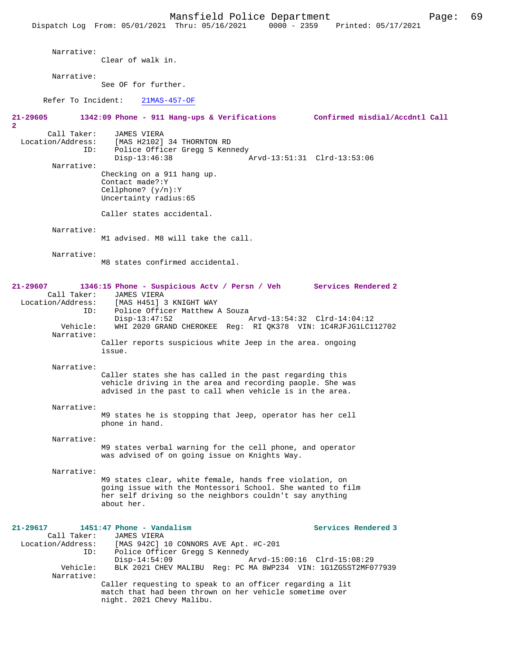Narrative: Clear of walk in. Narrative: See OF for further. Refer To Incident: 21MAS-457-OF **21-29605 1342:09 Phone - 911 Hang-ups & Verifications Confirmed misdial/Accdntl Call 2**  Call Taker: JAMES VIERA Location/Address: [MAS H2102] 34 THORNTON RD ID: Police Officer Gregg S Kennedy<br>Disp-13:46:38 Disp-13:46:38 Arvd-13:51:31 Clrd-13:53:06 Narrative: Checking on a 911 hang up. Contact made?:Y Cellphone? (y/n):Y Uncertainty radius:65 Caller states accidental. Narrative: M1 advised. M8 will take the call. Narrative: M8 states confirmed accidental. **21-29607 1346:15 Phone - Suspicious Actv / Persn / Veh Services Rendered 2**  Call Taker: JAMES VIERA<br>Location/Address: [MAS H451] ess: [MAS H451] 3 KNIGHT WAY<br>ID: Police Officer Matthew Police Officer Matthew A Souza Disp-13:47:52 Arvd-13:54:32 Clrd-14:04:12 Vehicle: WHI 2020 GRAND CHEROKEE Reg: RI QK378 VIN: 1C4RJFJG1LC112702 Narrative: Caller reports suspicious white Jeep in the area. ongoing issue. Narrative: Caller states she has called in the past regarding this vehicle driving in the area and recording paople. She was advised in the past to call when vehicle is in the area. Narrative: M9 states he is stopping that Jeep, operator has her cell phone in hand. Narrative: M9 states verbal warning for the cell phone, and operator was advised of on going issue on Knights Way. Narrative: M9 states clear, white female, hands free violation, on going issue with the Montessori School. She wanted to film her self driving so the neighbors couldn't say anything about her. **21-29617 1451:47 Phone - Vandalism Services Rendered 3**  Call Taker: JAMES VIERA<br>Location/Address: [MAS 942C] [MAS 942C] 10 CONNORS AVE Apt. #C-201 ID: Police Officer Gregg S Kennedy<br>Disp-14:54:09 1 Disp-14:54:09<br>Vehicle: BLK 2021 CHEV MALIBU Reg: PC MA 8WP234 VIN: 1G1ZG5ST2MF0 BLK 2021 CHEV MALIBU Reg: PC MA 8WP234 VIN: 1G1ZG5ST2MF077939 Narrative: Caller requesting to speak to an officer regarding a lit match that had been thrown on her vehicle sometime over

night. 2021 Chevy Malibu.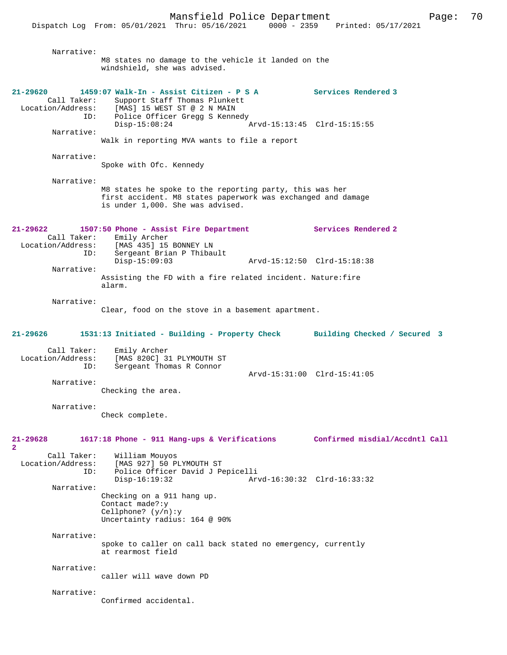Narrative: M8 states no damage to the vehicle it landed on the windshield, she was advised. **21-29620 1459:07 Walk-In - Assist Citizen - P S A Services Rendered 3**  Call Taker: Support Staff Thomas Plunkett<br>Location/Address: [MAS] 15 WEST ST @ 2 N MAIN [MAS] 15 WEST ST @ 2 N MAIN ID: Police Officer Gregg S Kennedy<br>Disp-15:08:24 Arvd-15:13:45 Clrd-15:15:55 Narrative: Walk in reporting MVA wants to file a report Narrative: Spoke with Ofc. Kennedy Narrative: M8 states he spoke to the reporting party, this was her first accident. M8 states paperwork was exchanged and damage is under 1,000. She was advised. **21-29622 1507:50 Phone - Assist Fire Department Services Rendered 2**  Call Taker: Emily Archer Location/Address: [MAS 435] 15 BONNEY LN Sergeant Brian P Thibault<br>Disp-15:09:03 Disp-15:09:03 Arvd-15:12:50 Clrd-15:18:38 Narrative: Assisting the FD with a fire related incident. Nature:fire alarm. Narrative: Clear, food on the stove in a basement apartment. **21-29626 1531:13 Initiated - Building - Property Check Building Checked / Secured 3** Call Taker: Emily Archer<br>Location/Address: [MAS 820C] 3 ess: [MAS 820C] 31 PLYMOUTH ST<br>ID: Sergeant Thomas R Connor Sergeant Thomas R Connor Arvd-15:31:00 Clrd-15:41:05 Narrative: Checking the area. Narrative: Check complete. **21-29628 1617:18 Phone - 911 Hang-ups & Verifications Confirmed misdial/Accdntl Call 2**  Call Taker: William Mouyos Location/Address: [MAS 927] 50 PLYMOUTH ST<br>TD: Police Officer David J Pe Police Officer David J Pepicelli Disp-16:19:32 Arvd-16:30:32 Clrd-16:33:32 Narrative: Checking on a 911 hang up. Contact made?:y Cellphone? (y/n):y Uncertainty radius: 164 @ 90% Narrative: spoke to caller on call back stated no emergency, currently at rearmost field Narrative: caller will wave down PD Narrative: Confirmed accidental.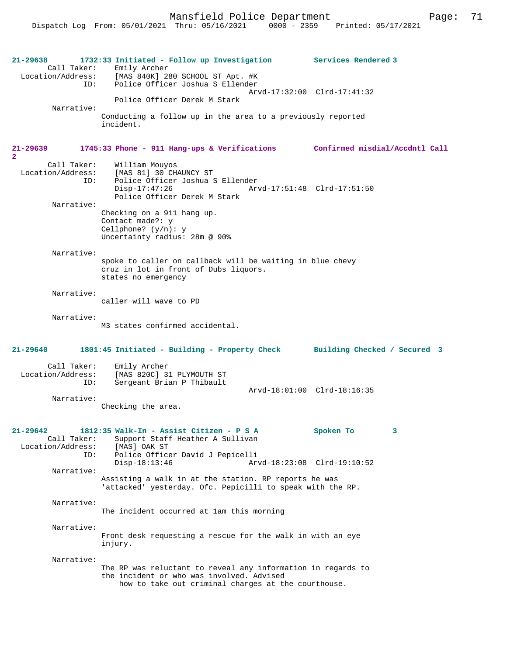**21-29638 1732:33 Initiated - Follow up Investigation Services Rendered 3**  Call Taker: Emily Archer<br>Location/Address: [MAS 840K] 28 [MAS 840K] 280 SCHOOL ST Apt. #K ID: Police Officer Joshua S Ellender Arvd-17:32:00 Clrd-17:41:32 Police Officer Derek M Stark Narrative: Conducting a follow up in the area to a previously reported incident. **21-29639 1745:33 Phone - 911 Hang-ups & Verifications Confirmed misdial/Accdntl Call 2**  Call Taker: William Mouyos<br>Location/Address: [MAS 81] 30 CH. [MAS 81] 30 CHAUNCY ST ID: Police Officer Joshua S Ellender Disp-17:47:26 Arvd-17:51:48 Clrd-17:51:50 Police Officer Derek M Stark Narrative: Checking on a 911 hang up. Contact made?: y Cellphone? (y/n): y Uncertainty radius: 28m @ 90% Narrative: spoke to caller on callback will be waiting in blue chevy cruz in lot in front of Dubs liquors. states no emergency Narrative: caller will wave to PD Narrative: M3 states confirmed accidental. **21-29640 1801:45 Initiated - Building - Property Check Building Checked / Secured 3** Call Taker: Emily Archer Location/Address: [MAS 820C] 31 PLYMOUTH ST Sergeant Brian P Thibault Arvd-18:01:00 Clrd-18:16:35 Narrative: Checking the area. **21-29642 1812:35 Walk-In - Assist Citizen - P S A Spoken To 3**  Call Taker: Support Staff Heather A Sullivan Location/Address: [MAS] OAK ST Police Officer David J Pepicelli<br>Disp-18:13:46 Ar Disp-18:13:46 Arvd-18:23:08 Clrd-19:10:52 Narrative: Assisting a walk in at the station. RP reports he was 'attacked' yesterday. Ofc. Pepicilli to speak with the RP. Narrative: The incident occurred at 1am this morning Narrative: Front desk requesting a rescue for the walk in with an eye injury. Narrative: The RP was reluctant to reveal any information in regards to the incident or who was involved. Advised how to take out criminal charges at the courthouse.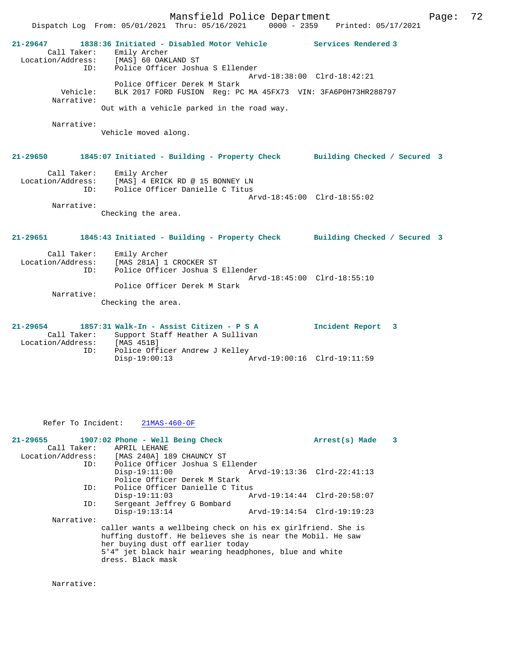Mansfield Police Department Form Page: 72 Dispatch Log From: 05/01/2021 Thru: 05/16/2021 0000 - 2359 Printed: 05/17/2021 **21-29647 1838:36 Initiated - Disabled Motor Vehicle Services Rendered 3**  Call Taker: Emily Archer Location/Address: [MAS] 60 OAKLAND ST ID: Police Officer Joshua S Ellender Arvd-18:38:00 Clrd-18:42:21 Police Officer Derek M Stark Vehicle: BLK 2017 FORD FUSION Reg: PC MA 45FX73 VIN: 3FA6P0H73HR288797 Narrative: Out with a vehicle parked in the road way. Narrative: Vehicle moved along. **21-29650 1845:07 Initiated - Building - Property Check Building Checked / Secured 3** Call Taker: Emily Archer Location/Address: [MAS] 4 ERICK RD @ 15 BONNEY LN ID: Police Officer Danielle C Titus Arvd-18:45:00 Clrd-18:55:02 Narrative: Checking the area. **21-29651 1845:43 Initiated - Building - Property Check Building Checked / Secured 3** Call Taker: Emily Archer Location/Address: [MAS 281A] 1 CROCKER ST ID: Police Officer Joshua S Ellender Arvd-18:45:00 Clrd-18:55:10 Police Officer Derek M Stark Narrative: Checking the area. **21-29654 1857:31 Walk-In - Assist Citizen - P S A Incident Report 3**  Call Taker: Support Staff Heather A Sullivan<br>cion/Address: [MAS 451B] Location/Address:<br>ID: ID: Police Officer Andrew J Kelley Disp-19:00:13 Arvd-19:00:16 Clrd-19:11:59

Refer To Incident: 21MAS-460-OF

| $21-29655$ 1907:02 Phone - Well Being Check |     |                                                        |  |  |                                                             | Arrest(s) Made | -3 |
|---------------------------------------------|-----|--------------------------------------------------------|--|--|-------------------------------------------------------------|----------------|----|
|                                             |     | Call Taker: APRIL LEHANE                               |  |  |                                                             |                |    |
| Location/Address: [MAS 240A] 189 CHAUNCY ST |     |                                                        |  |  |                                                             |                |    |
|                                             | ID: | Police Officer Joshua S Ellender                       |  |  |                                                             |                |    |
|                                             |     | $Disp-19:11:00$                                        |  |  | Arvd-19:13:36 Clrd-22:41:13                                 |                |    |
|                                             |     | Police Officer Derek M Stark                           |  |  |                                                             |                |    |
|                                             | ID: | Police Officer Danielle C Titus                        |  |  |                                                             |                |    |
|                                             |     | $Disp-19:11:03$                                        |  |  | Arvd-19:14:44 Clrd-20:58:07                                 |                |    |
|                                             | ID: | Sergeant Jeffrey G Bombard                             |  |  |                                                             |                |    |
|                                             |     | $Disp-19:13:14$                                        |  |  | Arvd-19:14:54 Clrd-19:19:23                                 |                |    |
| Narrative:                                  |     |                                                        |  |  |                                                             |                |    |
|                                             |     |                                                        |  |  | caller wants a wellbeing check on his ex girlfriend. She is |                |    |
|                                             |     |                                                        |  |  | huffing dustoff. He believes she is near the Mobil. He saw  |                |    |
|                                             |     | her buying dust off earlier today                      |  |  |                                                             |                |    |
|                                             |     | 5'4" jet black hair wearing headphones, blue and white |  |  |                                                             |                |    |
|                                             |     | dress. Black mask                                      |  |  |                                                             |                |    |

Narrative: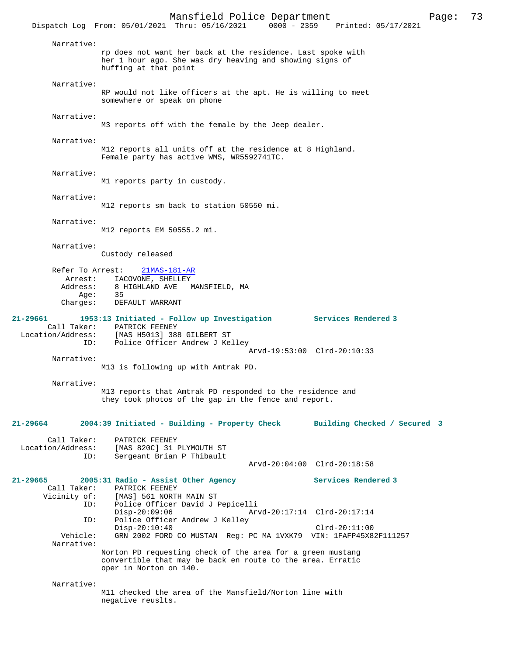|                             | Mansfield Police Department<br>Dispatch Log From: 05/01/2021 Thru: 05/16/2021 0000 - 2359 Printed: 05/17/2021                                    | Page: | 73 |
|-----------------------------|--------------------------------------------------------------------------------------------------------------------------------------------------|-------|----|
| Narrative:                  | rp does not want her back at the residence. Last spoke with<br>her 1 hour ago. She was dry heaving and showing signs of<br>huffing at that point |       |    |
| Narrative:                  | RP would not like officers at the apt. He is willing to meet<br>somewhere or speak on phone                                                      |       |    |
| Narrative:                  | M3 reports off with the female by the Jeep dealer.                                                                                               |       |    |
| Narrative:                  | M12 reports all units off at the residence at 8 Highland.<br>Female party has active WMS, WR5592741TC.                                           |       |    |
| Narrative:                  | M1 reports party in custody.                                                                                                                     |       |    |
| Narrative:                  | M12 reports sm back to station 50550 mi.                                                                                                         |       |    |
| Narrative:                  | M12 reports EM 50555.2 mi.                                                                                                                       |       |    |
| Narrative:                  | Custody released                                                                                                                                 |       |    |
| Refer To Arrest:<br>Arrest: | 21MAS-181-AR<br>IACOVONE, SHELLEY                                                                                                                |       |    |

 Address: 8 HIGHLAND AVE MANSFIELD, MA Age: Charges: DEFAULT WARRANT

# **21-29661 1953:13 Initiated - Follow up Investigation Services Rendered 3**  Call Taker: PATRICK FEENEY Location/Address: [MAS H5013] 388 GILBERT ST

 ID: Police Officer Andrew J Kelley Arvd-19:53:00 Clrd-20:10:33 Narrative:

M13 is following up with Amtrak PD.

Sergeant Brian P Thibault

Narrative:

M13 reports that Amtrak PD responded to the residence and they took photos of the gap in the fence and report.

**21-29664 2004:39 Initiated - Building - Property Check Building Checked / Secured 3** Call Taker: PATRICK FEENEY<br>Location/Address: [MAS 820C] 31 ess: [MAS 820C] 31 PLYMOUTH ST<br>ID: Sergeant Brian P Thibault

 Arvd-20:04:00 Clrd-20:18:58 **21-29665 2005:31 Radio - Assist Other Agency Services Rendered 3**  Call Taker: PATRICK FEENEY<br>Vicinity of: [MAS] 561 NORTH of: [MAS] 561 NORTH MAIN ST<br>ID: Police Officer David J I Police Officer David J Pepicelli Disp-20:09:06 Arvd-20:17:14 Clrd-20:17:14<br>ID: Police Officer Andrew J Kelley Police Officer Andrew J Kelley Disp-20:10:40 Clrd-20:11:00<br>Vehicle: GRN 2002 FORD CO MUSTAN Reg: PC MA 1VXK79 VIN: 1FAFP45X8 GRN 2002 FORD CO MUSTAN Reg: PC MA 1VXK79 VIN: 1FAFP45X82F111257 Narrative: Norton PD requesting check of the area for a green mustang convertible that may be back en route to the area. Erratic oper in Norton on 140.

Narrative:

M11 checked the area of the Mansfield/Norton line with negative reuslts.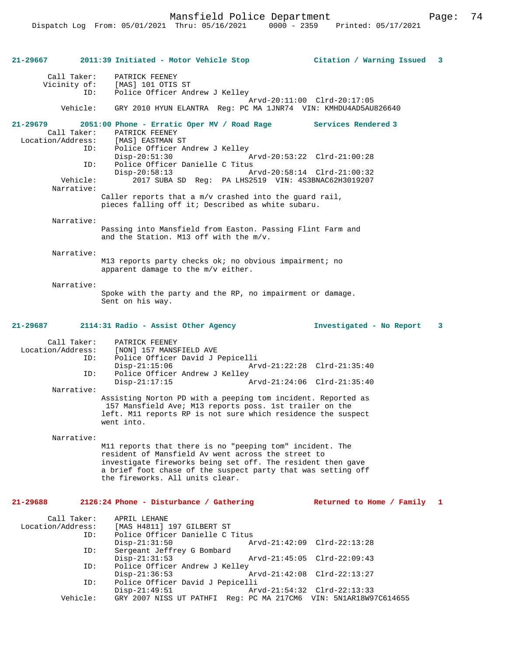Mansfield Police Department Form Page: 74

**21-29667 2011:39 Initiated - Motor Vehicle Stop Citation / Warning Issued 3** Call Taker: PATRICK FEENEY<br>Vicinity of: [MAS] 101 OTIS of: [MAS] 101 OTIS ST<br>ID: Police Officer And Police Officer Andrew J Kelley Arvd-20:11:00 Clrd-20:17:05 Vehicle: GRY 2010 HYUN ELANTRA Reg: PC MA 1JNR74 VIN: KMHDU4AD5AU826640 **21-29679 2051:00 Phone - Erratic Oper MV / Road Rage Services Rendered 3**  Call Taker: PATRICK FEENEY<br>Location/Address: [MAS] EASTMAN : ess: [MAS] EASTMAN ST<br>ID: Police Officer Ar Police Officer Andrew J Kelley Disp-20:51:30 Arvd-20:53:22 Clrd-21:00:28<br>ID: Police Officer Danielle C Titus ID: Police Officer Danielle C Titus Disp-20:58:13 Arvd-20:58:14 Clrd-21:00:32<br>Vehicle: 2017 SUBA SD Reg: PA LHS2519 VIN: 4S3BNAC62H3019207 2017 SUBA SD Reg: PA LHS2519 VIN: 4S3BNAC62H3019207 Narrative: Caller reports that a m/v crashed into the guard rail, pieces falling off it; Described as white subaru. Narrative: Passing into Mansfield from Easton. Passing Flint Farm and and the Station. M13 off with the m/v. Narrative: M13 reports party checks ok; no obvious impairment; no apparent damage to the m/v either. Narrative: Spoke with the party and the RP, no impairment or damage. Sent on his way. **21-29687 2114:31 Radio - Assist Other Agency Investigated - No Report 3** Call Taker: PATRICK FEENEY<br>Location/Address: [NON] 157 MANSE ess: [NON] 157 MANSFIELD AVE<br>ID: Police Officer David J F Police Officer David J Pepicelli Disp-21:15:06 Arvd-21:22:28 Clrd-21:35:40<br>ID: Police Officer Andrew J Kelley Police Officer Andrew J Kelley Disp-21:17:15 Arvd-21:24:06 Clrd-21:35:40 Narrative: Assisting Norton PD with a peeping tom incident. Reported as 157 Mansfield Ave; M13 reports poss. 1st trailer on the left. M11 reports RP is not sure which residence the suspect went into. Narrative: M11 reports that there is no "peeping tom" incident. The resident of Mansfield Av went across the street to investigate fireworks being set off. The resident then gave a brief foot chase of the suspect party that was setting off the fireworks. All units clear. **21-29688 2126:24 Phone - Disturbance / Gathering Returned to Home / Family 1** Call Taker: APRIL LEHANE<br>Location/Address: [MAS H4811] Location/Address: [MAS H4811] 197 GILBERT ST ID: Police Officer Danielle C Titus Disp-21:31:50 Arvd-21:42:09 Clrd-22:13:28 ID: Sergeant Jeffrey G Bombard Disp-21:31:53 Arvd-21:45:05 Clrd-22:09:43<br>ID: Police Officer Andrew J Kellev Police Officer Andrew J Kelley<br>Disp-21:36:53 Disp-21:36:53 Arvd-21:42:08 Clrd-22:13:27<br>ID: Police Officer David J Pepicelli ID: Police Officer David J Pepicelli Disp-21:49:51 Arvd-21:54:32 Clrd-22:13:33<br>Vehicle: GRY 2007 NISS UT PATHFI Req: PC MA 217CM6 VIN: 5N1AR18W9 Vehicle: GRY 2007 NISS UT PATHFI Reg: PC MA 217CM6 VIN: 5N1AR18W97C614655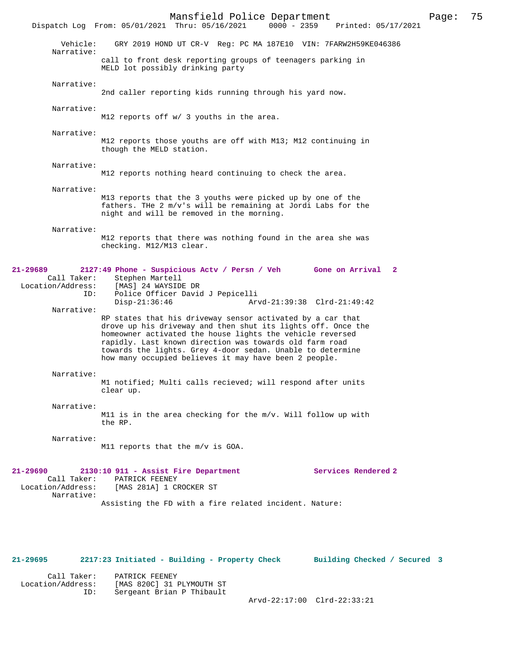Mansfield Police Department Page: 75 Dispatch Log From: 05/01/2021 Thru: 05/16/2021 Vehicle: GRY 2019 HOND UT CR-V Reg: PC MA 187E10 VIN: 7FARW2H59KE046386 Narrative: call to front desk reporting groups of teenagers parking in MELD lot possibly drinking party Narrative: 2nd caller reporting kids running through his yard now. Narrative: M12 reports off w/ 3 youths in the area. Narrative: M12 reports those youths are off with M13; M12 continuing in though the MELD station. Narrative: M12 reports nothing heard continuing to check the area. Narrative: M13 reports that the 3 youths were picked up by one of the fathers. THe 2 m/v's will be remaining at Jordi Labs for the night and will be removed in the morning. Narrative: M12 reports that there was nothing found in the area she was checking. M12/M13 clear. **21-29689 2127:49 Phone - Suspicious Actv / Persn / Veh Gone on Arrival 2**  Call Taker: Stephen Martell<br>Location/Address: [MAS] 24 WAYSIDI ess: [MAS] 24 WAYSIDE DR<br>ID: Police Officer Davio ID: Police Officer David J Pepicelli Disp-21:36:46 Arvd-21:39:38 Clrd-21:49:42 Narrative: RP states that his driveway sensor activated by a car that drove up his driveway and then shut its lights off. Once the homeowner activated the house lights the vehicle reversed rapidly. Last known direction was towards old farm road towards the lights. Grey 4-door sedan. Unable to determine how many occupied believes it may have been 2 people. Narrative: M1 notified; Multi calls recieved; will respond after units clear up. Narrative: M11 is in the area checking for the m/v. Will follow up with the RP. Narrative: M11 reports that the m/v is GOA. **21-29690 2130:10 911 - Assist Fire Department Services Rendered 2**  Call Taker: PATRICK FEENEY<br>Location/Address: [MAS 281A] 1 CH [MAS 281A] 1 CROCKER ST Narrative: Assisting the FD with a fire related incident. Nature:

#### **21-29695 2217:23 Initiated - Building - Property Check Building Checked / Secured 3**

| Call Taker:       | PATRICK FEENEY            |
|-------------------|---------------------------|
| Location/Address: | [MAS 820C] 31 PLYMOUTH ST |
| ID:               | Sergeant Brian P Thibault |
|                   |                           |

Arvd-22:17:00 Clrd-22:33:21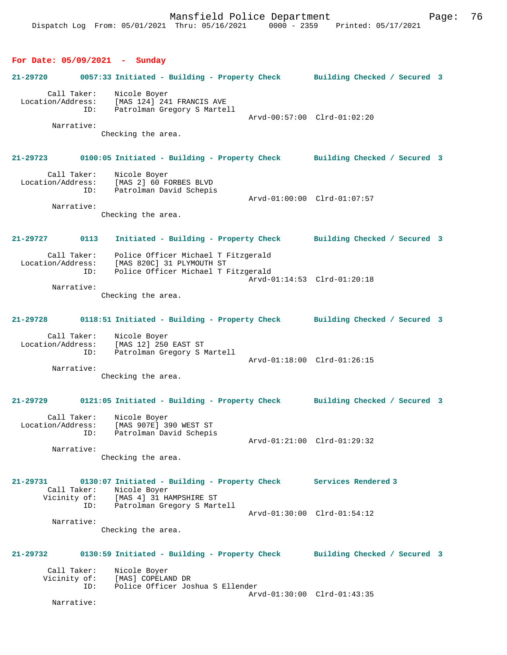# **For Date: 05/09/2021 - Sunday**

|                   |                                  | FOI Date: 03/03/2021 - Sunday                                                                                                                                        |                             |  |
|-------------------|----------------------------------|----------------------------------------------------------------------------------------------------------------------------------------------------------------------|-----------------------------|--|
| 21-29720          |                                  | 0057:33 Initiated - Building - Property Check Building Checked / Secured 3                                                                                           |                             |  |
| Location/Address: | Call Taker:<br>ID:<br>Narrative: | Nicole Boyer<br>[MAS 124] 241 FRANCIS AVE<br>Patrolman Gregory S Martell                                                                                             | Arvd-00:57:00 Clrd-01:02:20 |  |
|                   |                                  | Checking the area.                                                                                                                                                   |                             |  |
|                   |                                  | 21-29723 0100:05 Initiated - Building - Property Check Building Checked / Secured 3                                                                                  |                             |  |
|                   | Call Taker:                      | Nicole Boyer<br>Location/Address: [MAS 2] 60 FORBES BLVD<br>ID: Patrolman David Schepis                                                                              | Arvd-01:00:00 Clrd-01:07:57 |  |
|                   | Narrative:                       | Checking the area.                                                                                                                                                   |                             |  |
| 21-29727 0113     |                                  | Initiated - Building - Property Check Building Checked / Secured 3                                                                                                   |                             |  |
|                   | ID:                              | Call Taker: Police Officer Michael T Fitzgerald<br>Location/Address: [MAS 820C] 31 PLYMOUTH ST<br>Police Officer Michael T Fitzgerald                                | Arvd-01:14:53 Clrd-01:20:18 |  |
|                   | Narrative:                       | Checking the area.                                                                                                                                                   |                             |  |
| 21-29728          |                                  | 0118:51 Initiated - Building - Property Check Building Checked / Secured 3                                                                                           |                             |  |
|                   |                                  | Call Taker: Nicole Boyer<br>Location/Address: [MAS 12] 250 EAST ST<br>ID: Patrolman Gregory S I<br>Patrolman Gregory S Martell                                       | Arvd-01:18:00 Clrd-01:26:15 |  |
|                   | Narrative:                       | Checking the area.                                                                                                                                                   |                             |  |
| 21-29729          |                                  | 0121:05 Initiated - Building - Property Check Building Checked / Secured 3                                                                                           |                             |  |
| Location/Address: | Call Taker:<br>ID:               | Nicole Boyer<br>[MAS 907E] 390 WEST ST<br>Patrolman David Schepis                                                                                                    |                             |  |
|                   | Narrative:                       | Checking the area.                                                                                                                                                   | Arvd-01:21:00 Clrd-01:29:32 |  |
| 21-29731          | Call Taker:<br>ID:               | 0130:07 Initiated - Building - Property Check<br>Nicole Boyer<br>Vicinity of: [MAS 4] 31 HAMPSHIRE ST<br>ID: Patrolman Gregory S Mart<br>Patrolman Gregory S Martell | Services Rendered 3         |  |
|                   |                                  |                                                                                                                                                                      | Arvd-01:30:00 Clrd-01:54:12 |  |

 Narrative: Checking the area.

# **21-29732 0130:59 Initiated - Building - Property Check Building Checked / Secured 3** Call Taker:<br>Vicinity of: Nicole Boyer<br>[MAS] COPELAND DR

| VICINILY UL· |  | INADI COLETAMD DI |  |                                  |  |
|--------------|--|-------------------|--|----------------------------------|--|
|              |  |                   |  | Police Officer Joshua S Ellender |  |
|              |  |                   |  | Arvd-01:30:00 Clrd-01:43:35      |  |
|              |  |                   |  |                                  |  |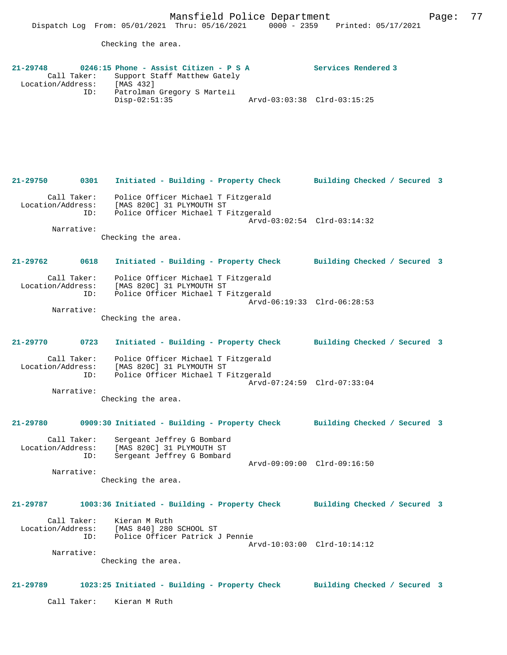Checking the area.

| $21 - 29748$      |             |                 | 0246:15 Phone - Assist Citizen - P S A |                             | Services Rendered 3 |
|-------------------|-------------|-----------------|----------------------------------------|-----------------------------|---------------------|
|                   | Call Taker: |                 | Support Staff Matthew Gately           |                             |                     |
| Location/Address: |             | [MAS 432]       |                                        |                             |                     |
|                   | ID:         | $Disp-02:51:35$ | Patrolman Gregory S Martell            | Arvd-03:03:38 Clrd-03:15:25 |                     |

**21-29750 0301 Initiated - Building - Property Check Building Checked / Secured 3** Call Taker: Police Officer Michael T Fitzgerald Location/Address: [MAS 820C] 31 PLYMOUTH ST ID: Police Officer Michael T Fitzgerald Arvd-03:02:54 Clrd-03:14:32 Narrative:

Checking the area.

**21-29762 0618 Initiated - Building - Property Check Building Checked / Secured 3** Call Taker: Police Officer Michael T Fitzgerald Location/Address: [MAS 820C] 31 PLYMOUTH ST ID: Police Officer Michael T Fitzgerald Arvd-06:19:33 Clrd-06:28:53

Narrative:

Checking the area.

**21-29770 0723 Initiated - Building - Property Check Building Checked / Secured 3** Call Taker: Police Officer Michael T Fitzgerald Location/Address: [MAS 820C] 31 PLYMOUTH ST ID: Police Officer Michael T Fitzgerald Arvd-07:24:59 Clrd-07:33:04 Narrative:

Checking the area.

# **21-29780 0909:30 Initiated - Building - Property Check Building Checked / Secured 3**

 Call Taker: Sergeant Jeffrey G Bombard Location/Address: [MAS 820C] 31 PLYMOUTH ST ID: Sergeant Jeffrey G Bombard Arvd-09:09:00 Clrd-09:16:50 Narrative:

Checking the area.

# **21-29787 1003:36 Initiated - Building - Property Check Building Checked / Secured 3** Call Taker: Kieran M Ruth

 Location/Address: [MAS 840] 280 SCHOOL ST ID: Police Officer Patrick J Pennie Arvd-10:03:00 Clrd-10:14:12 Narrative:

Checking the area.

#### **21-29789 1023:25 Initiated - Building - Property Check Building Checked / Secured 3**

Call Taker: Kieran M Ruth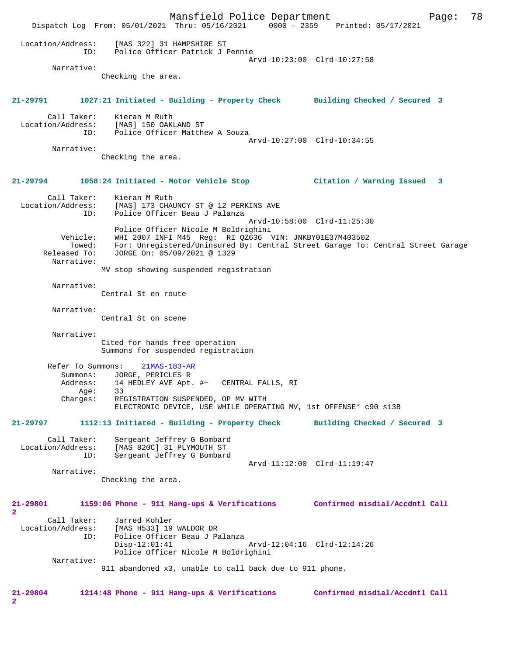Mansfield Police Department Page: 78 Dispatch Log From: 05/01/2021 Thru: 05/16/2021 0000 - 2359 Printed: 05/17/2021 Location/Address: [MAS 322] 31 HAMPSHIRE ST ID: Police Officer Patrick J Pennie Arvd-10:23:00 Clrd-10:27:58 Narrative: Checking the area. **21-29791 1027:21 Initiated - Building - Property Check Building Checked / Secured 3** Call Taker: Kieran M Ruth Location/Address: [MAS] 150 OAKLAND ST ID: Police Officer Matthew A Souza Arvd-10:27:00 Clrd-10:34:55 Narrative: Checking the area. **21-29794 1058:24 Initiated - Motor Vehicle Stop Citation / Warning Issued 3** Call Taker: Kieran M Ruth Location/Address: [MAS] 173 CHAUNCY ST @ 12 PERKINS AVE ID: Police Officer Beau J Palanza Arvd-10:58:00 Clrd-11:25:30 Police Officer Nicole M Boldrighini Vehicle: WHI 2007 INFI M45 Reg: RI QZ636 VIN: JNKBY01E37M403502 Towed: For: Unregistered/Uninsured By: Central Street Garage To: Central Street Garage Released To: JORGE On: 05/09/2021 @ 1329 JORGE On: 05/09/2021 @ 1329 Narrative: MV stop showing suspended registration Narrative: Central St en route Narrative: Central St on scene Narrative: Cited for hands free operation Summons for suspended registration Refer To Summons: 21MAS-183-AR Summons: JORGE, PERICLES R<br>Address: 14 HEDLEY AVE Apt. 14 HEDLEY AVE Apt. #~ CENTRAL FALLS, RI Age: 33<br>Charges: REO REGISTRATION SUSPENDED, OP MV WITH ELECTRONIC DEVICE, USE WHILE OPERATING MV, 1st OFFENSE\* c90 s13B **21-29797 1112:13 Initiated - Building - Property Check Building Checked / Secured 3** Call Taker: Sergeant Jeffrey G Bombard Location/Address: [MAS 820C] 31 PLYMOUTH ST ID: Sergeant Jeffrey G Bombard Arvd-11:12:00 Clrd-11:19:47 Narrative: Checking the area. **21-29801 1159:06 Phone - 911 Hang-ups & Verifications Confirmed misdial/Accdntl Call 2**  Call Taker: Jarred Kohler<br>Location/Address: [MAS H533] 19 ess: [MAS H533] 19 WALDOR DR<br>ID: Police Officer Beau J P Police Officer Beau J Palanza Disp-12:01:41 Arvd-12:04:16 Clrd-12:14:26 Police Officer Nicole M Boldrighini Narrative: 911 abandoned x3, unable to call back due to 911 phone. **21-29804 1214:48 Phone - 911 Hang-ups & Verifications Confirmed misdial/Accdntl Call 2**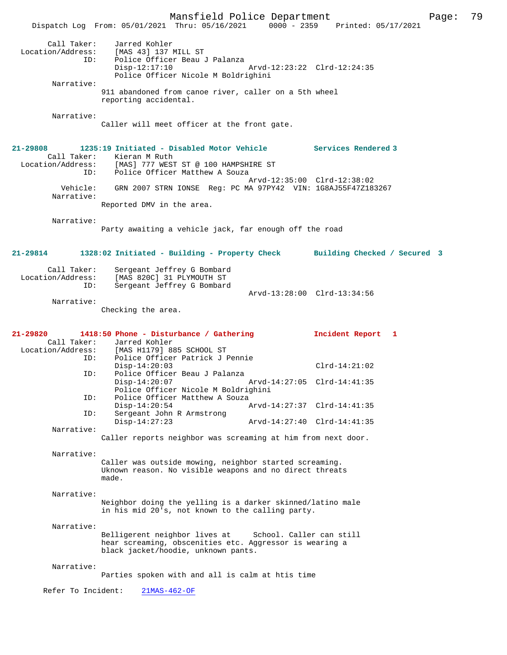Mansfield Police Department Page: 79 Dispatch Log From: 05/01/2021 Thru: 05/16/2021 0000 - 2359 Call Taker: Jarred Kohler Location/Address: [MAS 43] 137 MILL ST .<br>Police Officer Beau J Palanza<br>Disp-12:17:10 Disp-12:17:10 Arvd-12:23:22 Clrd-12:24:35 Police Officer Nicole M Boldrighini Narrative: 911 abandoned from canoe river, caller on a 5th wheel reporting accidental. Narrative: Caller will meet officer at the front gate. **21-29808 1235:19 Initiated - Disabled Motor Vehicle Services Rendered 3**  Call Taker: Kieran M Ruth<br>Location/Address: [MAS] 777 WEST ess: [MAS] 777 WEST ST @ 100 HAMPSHIRE ST<br>ID: Police Officer Matthew A Souza Police Officer Matthew A Souza Arvd-12:35:00 Clrd-12:38:02 Vehicle: GRN 2007 STRN IONSE Reg: PC MA 97PY42 VIN: 1G8AJ55F47Z183267 Narrative: Reported DMV in the area. Narrative: Party awaiting a vehicle jack, far enough off the road **21-29814 1328:02 Initiated - Building - Property Check Building Checked / Secured 3** Call Taker: Sergeant Jeffrey G Bombard Location/Address: [MAS 820C] 31 PLYMOUTH ST<br>TD: Sergeant Jeffrey G Bombard Sergeant Jeffrey G Bombard Arvd-13:28:00 Clrd-13:34:56 Narrative: Checking the area. **21-29820 1418:50 Phone - Disturbance / Gathering Incident Report 1**  Call Taker: Jarred Kohler<br>Location/Address: [MAS H1179] 8 ess: [MAS H1179] 885 SCHOOL ST<br>TD: Police Officer Patrick J I Police Officer Patrick J Pennie Disp-14:20:03 Clrd-14:21:02<br>TD: Police Officer Beau J Palanza Police Officer Beau J Palanza<br>Disp-14:20:07 Disp-14:20:07 Arvd-14:27:05 Clrd-14:41:35 Police Officer Nicole M Boldrighini<br>ID: Police Officer Matthew A Souza Police Officer Matthew A Souza<br>Disp-14:20:54 P Disp-14:20:54 Arvd-14:27:37 Clrd-14:41:35<br>TD: Sergeant John R Armstrong Sergeant John R Armstrong<br>Disp-14:27:23 Disp-14:27:23 Arvd-14:27:40 Clrd-14:41:35 Narrative: Caller reports neighbor was screaming at him from next door. Narrative: Caller was outside mowing, neighbor started screaming. Uknown reason. No visible weapons and no direct threats made. Narrative: Neighbor doing the yelling is a darker skinned/latino male in his mid 20's, not known to the calling party. Narrative: Belligerent neighbor lives at School. Caller can still hear screaming, obscenities etc. Aggressor is wearing a black jacket/hoodie, unknown pants. Narrative: Parties spoken with and all is calm at htis time Refer To Incident: 21MAS-462-OF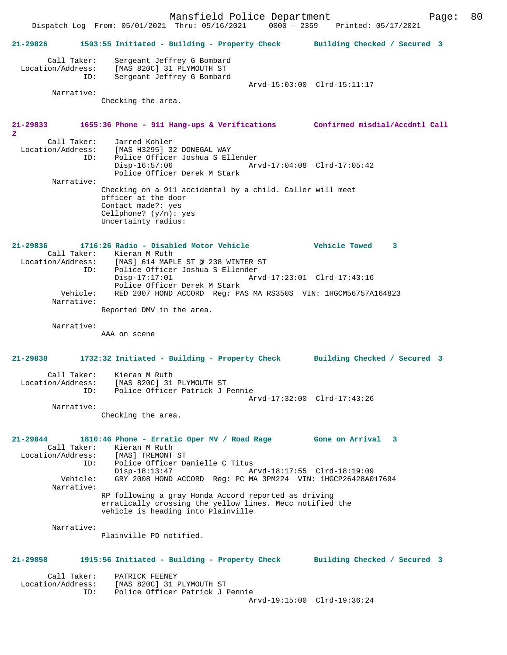Mansfield Police Department Page: 80 Dispatch Log From: 05/01/2021 Thru: 05/16/2021 **21-29826 1503:55 Initiated - Building - Property Check Building Checked / Secured 3** Call Taker: Sergeant Jeffrey G Bombard Location/Address: [MAS 820C] 31 PLYMOUTH ST ID: Sergeant Jeffrey G Bombard Arvd-15:03:00 Clrd-15:11:17 Narrative: Checking the area. **21-29833 1655:36 Phone - 911 Hang-ups & Verifications Confirmed misdial/Accdntl Call 2**  Call Taker: Jarred Kohler<br>Location/Address: [MAS H3295] 3 ess: [MAS H3295] 32 DONEGAL WAY<br>ID: Police Officer Joshua S Ell Police Officer Joshua S Ellender<br>Disp-16:57:06 Arv Disp-16:57:06 Arvd-17:04:08 Clrd-17:05:42 Police Officer Derek M Stark Narrative: Checking on a 911 accidental by a child. Caller will meet officer at the door Contact made?: yes Cellphone? (y/n): yes Uncertainty radius: **21-29836 1716:26 Radio - Disabled Motor Vehicle Vehicle Towed 3**  Call Taker: Kieran M Ruth<br>Location/Address: [MAS] 614 MAPI ess: [MAS] 614 MAPLE ST @ 238 WINTER ST<br>ID: Police Officer Joshua S Ellender ID: Police Officer Joshua S Ellender Disp-17:17:01 Arvd-17:23:01 Clrd-17:43:16 Police Officer Derek M Stark<br>Vehicle: RED 2007 HOND ACCORD Reg: PA RED 2007 HOND ACCORD Reg: PAS MA RS350S VIN: 1HGCM56757A164823 Narrative: Reported DMV in the area. Narrative: AAA on scene **21-29838 1732:32 Initiated - Building - Property Check Building Checked / Secured 3** Call Taker: Kieran M Ruth Location/Address: [MAS 820C] 31 PLYMOUTH ST<br>TD: Police Officer Patrick J I Police Officer Patrick J Pennie Arvd-17:32:00 Clrd-17:43:26 Narrative: Checking the area. **21-29844 1810:46 Phone - Erratic Oper MV / Road Rage Gone on Arrival 3**  Call Taker: Kieran M Ruth<br>ion/Address: [MAS] TREMONT ST Location/Address:<br>ID: Police Officer Danielle C Titus Disp-18:13:47 Arvd-18:17:55 Clrd-18:19:09 Vehicle: GRY 2008 HOND ACCORD Reg: PC MA 3PM224 VIN: 1HGCP26428A017694 Narrative: RP following a gray Honda Accord reported as driving erratically crossing the yellow lines. Mecc notified the vehicle is heading into Plainville Narrative: Plainville PD notified. **21-29858 1915:56 Initiated - Building - Property Check Building Checked / Secured 3** Call Taker: PATRICK FEENEY Location/Address: [MAS 820C] 31 PLYMOUTH ST ID: Police Officer Patrick J Pennie Arvd-19:15:00 Clrd-19:36:24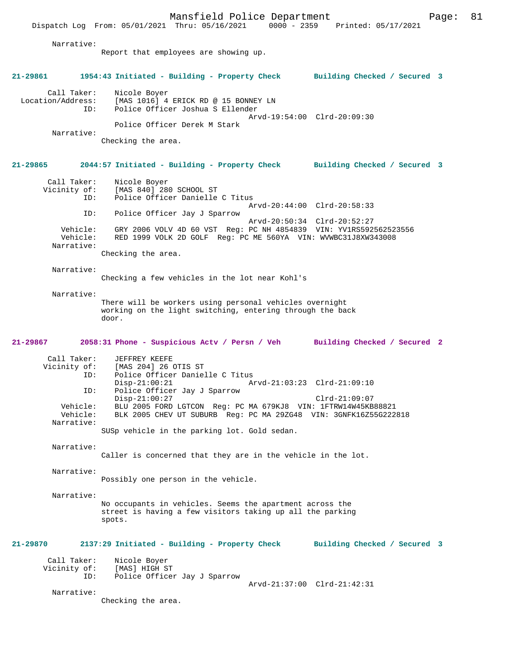Dispatch Log From: 05/01/2021 Thru: 05/16/2021 Narrative: Report that employees are showing up. **21-29861 1954:43 Initiated - Building - Property Check Building Checked / Secured 3** Call Taker: Nicole Boyer<br>Location/Address: [MAS 1016] 4  $[MAS 1016]$  4 ERICK RD @ 15 BONNEY LN ID: Police Officer Joshua S Ellender Arvd-19:54:00 Clrd-20:09:30 Police Officer Derek M Stark Narrative: Checking the area. **21-29865 2044:57 Initiated - Building - Property Check Building Checked / Secured 3** Call Taker: Nicole Boyer<br>Vicinity of: [MAS 840] 28 [MAS 840] 280 SCHOOL ST ID: Police Officer Danielle C Titus Arvd-20:44:00 Clrd-20:58:33<br>TD: Police Officer Jay J Sparrow Police Officer Jay J Sparrow Arvd-20:50:34 Clrd-20:52:27<br>Vehicle: GRY 2006 VOLV 4D 60 VST Reg: PC NH 4854839 VIN: YV1RS592 Vehicle: GRY 2006 VOLV 4D 60 VST Reg: PC NH 4854839 VIN: YV1RS592562523556<br>Vehicle: RED 1999 VOLK 2D GOLF Reg: PC ME 560YA VIN: WVWBC31J8XW343008 RED 1999 VOLK 2D GOLF Reg: PC ME 560YA VIN: WVWBC31J8XW343008 Narrative: Checking the area. Narrative: Checking a few vehicles in the lot near Kohl's Narrative: There will be workers using personal vehicles overnight working on the light switching, entering through the back door. **21-29867 2058:31 Phone - Suspicious Actv / Persn / Veh Building Checked / Secured 2** Call Taker: JEFFREY KEEFE<br>Vicinity of: [MAS 204] 26 ( [MAS 204] 26 OTIS ST ID: Police Officer Danielle C Titus<br>Disp-21:00:21 A Disp-21:00:21 Arvd-21:03:23 Clrd-21:09:10<br>TD: Police Officer Jav J Sparrow Police Officer Jay J Sparrow Disp-21:00:27 Clrd-21:09:07 Vehicle: BLU 2005 FORD LGTCON Reg: PC MA 679KJ8 VIN: 1FTRW14W45KB88821 BLK 2005 CHEV UT SUBURB Reg: PC MA 29ZG48 VIN: 3GNFK16Z55G222818 Narrative: SUSp vehicle in the parking lot. Gold sedan. Narrative: Caller is concerned that they are in the vehicle in the lot. Narrative: Possibly one person in the vehicle. Narrative: No occupants in vehicles. Seems the apartment across the street is having a few visitors taking up all the parking spots. **21-29870 2137:29 Initiated - Building - Property Check Building Checked / Secured 3** Call Taker: Nicole Boyer<br>Vicinity of: [MAS] HIGH ST Vicinity of:<br>ID: Police Officer Jay J Sparrow Arvd-21:37:00 Clrd-21:42:31 Narrative: Checking the area.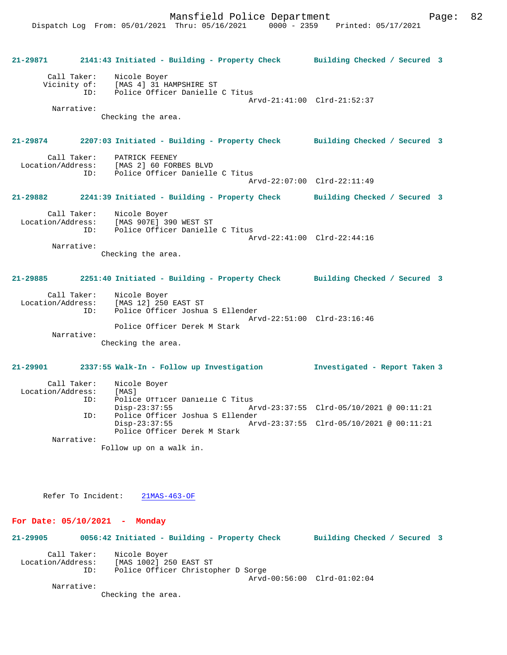**21-29871 2141:43 Initiated - Building - Property Check Building Checked / Secured 3** Call Taker: Nicole Boyer Vicinity of: [MAS 4] 31 HAMPSHIRE ST<br>ID: Police Officer Danielle Police Officer Danielle C Titus Arvd-21:41:00 Clrd-21:52:37 Narrative: Checking the area. **21-29874 2207:03 Initiated - Building - Property Check Building Checked / Secured 3** Call Taker: PATRICK FEENEY<br>Location/Address: [MAS 2] 60 FOR [MAS 2] 60 FORBES BLVD ID: Police Officer Danielle C Titus Arvd-22:07:00 Clrd-22:11:49 **21-29882 2241:39 Initiated - Building - Property Check Building Checked / Secured 3** Call Taker: Nicole Boyer<br>Location/Address: [MAS 907E] 3 ess: [MAS 907E] 390 WEST ST<br>ID: Police Officer Danielle Police Officer Danielle C Titus Arvd-22:41:00 Clrd-22:44:16 Narrative: Checking the area. **21-29885 2251:40 Initiated - Building - Property Check Building Checked / Secured 3** Call Taker: Nicole Boyer Location/Address: [MAS 12] 250 EAST ST Police Officer Joshua S Ellender Arvd-22:51:00 Clrd-23:16:46 Police Officer Derek M Stark Narrative: Checking the area. **21-29901 2337:55 Walk-In - Follow up Investigation Investigated - Report Taken 3** Call Taker: Nicole Boyer Location/Address: [MAS]<br>TD: Police Police Officer Danielle C Titus<br>Disp-23:37:55 Ar Disp-23:37:55 Arvd-23:37:55 Clrd-05/10/2021 @ 00:11:21<br>TD: Police Officer Joshua S Ellender Police Officer Joshua S Ellender<br>Disp-23:37:55 Arv Disp-23:37:55 Arvd-23:37:55 Clrd-05/10/2021 @ 00:11:21 Police Officer Derek M Stark Narrative: Follow up on a walk in.

Refer To Incident: 21MAS-463-OF

#### **For Date: 05/10/2021 - Monday**

**21-29905 0056:42 Initiated - Building - Property Check Building Checked / Secured 3** Call Taker: Nicole Boyer<br>Location/Address: [MAS 1002] 2 [MAS 1002] 250 EAST ST ID: Police Officer Christopher D Sorge Arvd-00:56:00 Clrd-01:02:04 Narrative:

Checking the area.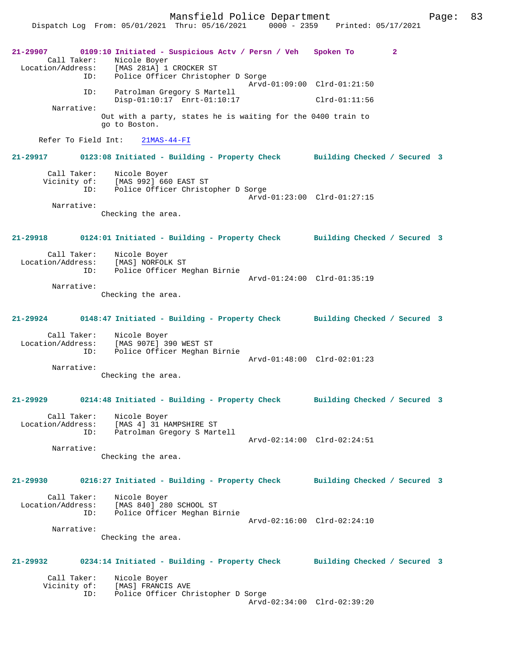Mansfield Police Department Page: 83 Dispatch Log From: 05/01/2021 Thru: 05/16/2021 0000 - 2359 Printed: 05/17/2021 **21-29907 0109:10 Initiated - Suspicious Actv / Persn / Veh Spoken To 2**  Call Taker: Nicole Boyer Location/Address: [MAS 281A] 1 CROCKER ST ID: Police Officer Christopher D Sorge Arvd-01:09:00 Clrd-01:21:50 ID: Patrolman Gregory S Martell Disp-01:10:17 Enrt-01:10:17 Clrd-01:11:56 Narrative: Out with a party, states he is waiting for the 0400 train to go to Boston. Refer To Field Int: 21MAS-44-FI **21-29917 0123:08 Initiated - Building - Property Check Building Checked / Secured 3** Call Taker: Nicole Boyer Vicinity of: [MAS 992] 660 EAST ST ID: Police Officer Christopher D Sorge Arvd-01:23:00 Clrd-01:27:15 Narrative: Checking the area. **21-29918 0124:01 Initiated - Building - Property Check Building Checked / Secured 3** Call Taker: Nicole Boyer Location/Address: [MAS] NORFOLK ST<br>ID: Police Officer Me Police Officer Meghan Birnie Arvd-01:24:00 Clrd-01:35:19 Narrative: Checking the area. **21-29924 0148:47 Initiated - Building - Property Check Building Checked / Secured 3** Call Taker: Nicole Boyer Location/Address: [MAS 907E] 390 WEST ST ID: Police Officer Meghan Birnie Arvd-01:48:00 Clrd-02:01:23 Narrative: Checking the area. **21-29929 0214:48 Initiated - Building - Property Check Building Checked / Secured 3** Call Taker: Nicole Boyer Location/Address: [MAS 4] 31 HAMPSHIRE ST ID: Patrolman Gregory S Martell Arvd-02:14:00 Clrd-02:24:51 Narrative: Checking the area. **21-29930 0216:27 Initiated - Building - Property Check Building Checked / Secured 3** Call Taker: Nicole Boyer Location/Address: [MAS 840] 280 SCHOOL ST ID: Police Officer Meghan Birnie Arvd-02:16:00 Clrd-02:24:10 Narrative: Checking the area. **21-29932 0234:14 Initiated - Building - Property Check Building Checked / Secured 3** Call Taker: Nicole Boyer<br>Vicinity of: [MAS] FRANCI [MAS] FRANCIS AVE ID: Police Officer Christopher D Sorge Arvd-02:34:00 Clrd-02:39:20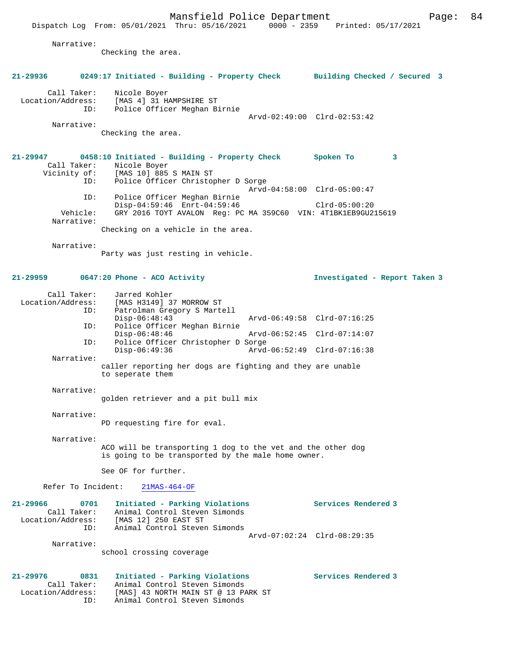Arvd-02:49:00 Clrd-02:53:42

Narrative:

Checking the area.

## **21-29936 0249:17 Initiated - Building - Property Check Building Checked / Secured 3**

 Call Taker: Nicole Boyer Location/Address: [MAS 4] 31 HAMPSHIRE ST ID: Police Officer Meghan Birnie

Narrative:

Checking the area.

#### **21-29947 0458:10 Initiated - Building - Property Check Spoken To 3**  Call Taker: Nicole Boyer Vicinity of: [MAS 10] 885 S MAIN ST ID: Police Officer Christopher D Sorge Arvd-04:58:00 Clrd-05:00:47 ID: Police Officer Meghan Birnie Disp-04:59:46 Enrt-04:59:46 Clrd-05:00:20 Vehicle: GRY 2016 TOYT AVALON Reg: PC MA 359C60 VIN: 4T1BK1EB9GU215619 Narrative: Checking on a vehicle in the area.

Narrative:

Party was just resting in vehicle.

## **21-29959 0647:20 Phone - ACO Activity Investigated - Report Taken 3**

 Call Taker: Jarred Kohler Location/Address: [MAS H3149] 37 MORROW ST<br>TD: Patrolman Gregory S Marte Patrolman Gregory S Martell<br>Disp-06:48:43 Disp-06:48:43 Arvd-06:49:58 Clrd-07:16:25 ID: Police Officer Meghan Birnie Disp-06:48:46 Arvd-06:52:45 Clrd-07:14:07 ID: Police Officer Christopher D Sorge Disp-06:49:36 Arvd-06:52:49 Clrd-07:16:38 Narrative: caller reporting her dogs are fighting and they are unable

to seperate them

#### Narrative:

golden retriever and a pit bull mix

#### Narrative:

PD requesting fire for eval.

Narrative:

ACO will be transporting 1 dog to the vet and the other dog is going to be transported by the male home owner.

See OF for further.

Refer To Incident: 21MAS-464-OF

| 21-29966          | 0701 | Initiated - Parking Violations |                             | Services Rendered 3 |
|-------------------|------|--------------------------------|-----------------------------|---------------------|
| Call Taker:       |      | Animal Control Steven Simonds  |                             |                     |
| Location/Address: |      | [MAS 12] 250 EAST ST           |                             |                     |
|                   | ID:  | Animal Control Steven Simonds  |                             |                     |
|                   |      |                                | Arvd-07:02:24 Clrd-08:29:35 |                     |
| Narrative:        |      |                                |                             |                     |

school crossing coverage

#### **21-29976 0831 Initiated - Parking Violations Services Rendered 3**  Call Taker: Animal Control Steven Simonds Location/Address: [MAS] 43 NORTH MAIN ST @ 13 PARK ST ID: Animal Control Steven Simonds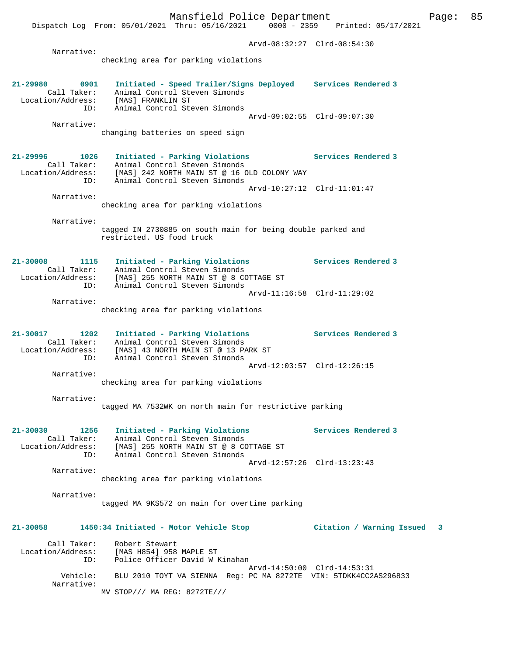Dispatch Log From: 05/01/2021 Thru: 05/16/2021 0000 - 2359 Printed: 05/17/2021

 Arvd-08:32:27 Clrd-08:54:30 Narrative: checking area for parking violations **21-29980 0901 Initiated - Speed Trailer/Signs Deployed Services Rendered 3**  Call Taker: Animal Control Steven Simonds Location/Address: [MAS] FRANKLIN ST ID: Animal Control Steven Simonds Arvd-09:02:55 Clrd-09:07:30 Narrative: changing batteries on speed sign **21-29996 1026 Initiated - Parking Violations Services Rendered 3**  Call Taker: Animal Control Steven Simonds Location/Address: [MAS] 242 NORTH MAIN ST @ 16 OLD COLONY WAY ID: Animal Control Steven Simonds Arvd-10:27:12 Clrd-11:01:47 Narrative: checking area for parking violations Narrative: tagged IN 2730885 on south main for being double parked and restricted. US food truck **21-30008 1115 Initiated - Parking Violations Services Rendered 3**  Call Taker: Animal Control Steven Simonds Location/Address: [MAS] 255 NORTH MAIN ST @ 8 COTTAGE ST ID: Animal Control Steven Simonds Arvd-11:16:58 Clrd-11:29:02 Narrative: checking area for parking violations **21-30017 1202 Initiated - Parking Violations Services Rendered 3**  Call Taker: Animal Control Steven Simonds Location/Address: [MAS] 43 NORTH MAIN ST @ 13 PARK ST ID: Animal Control Steven Simonds Arvd-12:03:57 Clrd-12:26:15 Narrative: checking area for parking violations Narrative: tagged MA 7532WK on north main for restrictive parking **21-30030 1256 Initiated - Parking Violations Services Rendered 3**  Call Taker: Animal Control Steven Simonds Location/Address: [MAS] 255 NORTH MAIN ST @ 8 COTTAGE ST ID: Animal Control Steven Simonds Arvd-12:57:26 Clrd-13:23:43 Narrative: checking area for parking violations Narrative: tagged MA 9KS572 on main for overtime parking **21-30058 1450:34 Initiated - Motor Vehicle Stop Citation / Warning Issued 3** Call Taker: Robert Stewart Location/Address: [MAS H854] 958 MAPLE ST ID: Police Officer David W Kinahan Arvd-14:50:00 Clrd-14:53:31 Vehicle: BLU 2010 TOYT VA SIENNA Reg: PC MA 8272TE VIN: 5TDKK4CC2AS296833 Narrative: MV STOP/// MA REG: 8272TE///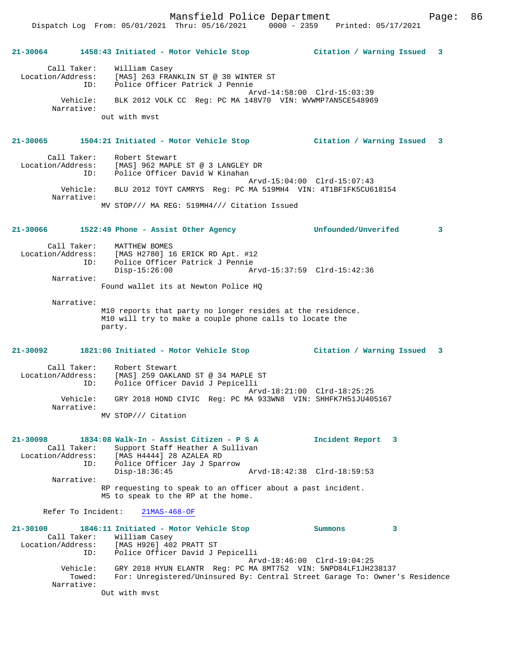**21-30064 1458:43 Initiated - Motor Vehicle Stop Citation / Warning Issued 3** Call Taker: William Casey Location/Address: [MAS] 263 FRANKLIN ST @ 30 WINTER ST ID: Police Officer Patrick J Pennie Arvd-14:58:00 Clrd-15:03:39 Vehicle: BLK 2012 VOLK CC Reg: PC MA 148V70 VIN: WVWMP7AN5CE548969 Narrative: out with mvst **21-30065 1504:21 Initiated - Motor Vehicle Stop Citation / Warning Issued 3** Call Taker: Robert Stewart<br>Location/Address: [MAS] 962 MAPLE [MAS] 962 MAPLE ST @ 3 LANGLEY DR ID: Police Officer David W Kinahan Arvd-15:04:00 Clrd-15:07:43 Vehicle: BLU 2012 TOYT CAMRYS Reg: PC MA 519MH4 VIN: 4T1BF1FK5CU618154 Narrative: MV STOP/// MA REG: 519MH4/// Citation Issued **21-30066 1522:49 Phone - Assist Other Agency Unfounded/Unverifed 3** Call Taker: MATTHEW BOMES Location/Address: [MAS H2780] 16 ERICK RD Apt. #12 ID: Police Officer Patrick J Pennie Disp-15:26:00 Arvd-15:37:59 Clrd-15:42:36 Narrative: Found wallet its at Newton Police HQ Narrative: M10 reports that party no longer resides at the residence. M10 will try to make a couple phone calls to locate the party. **21-30092 1821:06 Initiated - Motor Vehicle Stop Citation / Warning Issued 3** Call Taker: Robert Stewart Location/Address: [MAS] 259 OAKLAND ST @ 34 MAPLE ST ID: Police Officer David J Pepicelli Arvd-18:21:00 Clrd-18:25:25 Vehicle: GRY 2018 HOND CIVIC Reg: PC MA 933WN8 VIN: SHHFK7H51JU405167 Narrative: MV STOP/// Citation **21-30098 1834:08 Walk-In - Assist Citizen - P S A Incident Report 3**  Call Taker: Support Staff Heather A Sullivan<br>Location/Address: [MAS H4444] 28 AZALEA RD Location/Address: [MAS H4444] 28 AZALEA RD ID: Police Officer Jay J Sparrow Disp-18:36:45 Arvd-18:42:38 Clrd-18:59:53 Narrative: RP requesting to speak to an officer about a past incident. M5 to speak to the RP at the home. Refer To Incident: 21MAS-468-OF **21-30100 1846:11 Initiated - Motor Vehicle Stop Summons 3**  Call Taker: William Casey Location/Address: [MAS H926] 402 PRATT ST ID: Police Officer David J Pepicelli Arvd-18:46:00 Clrd-19:04:25 Vehicle: GRY 2018 HYUN ELANTR Reg: PC MA 8MT752 VIN: 5NPD84LF1JH238137 Towed: For: Unregistered/Uninsured By: Central Street Garage To: Owner's Residence Narrative:

Out with mvst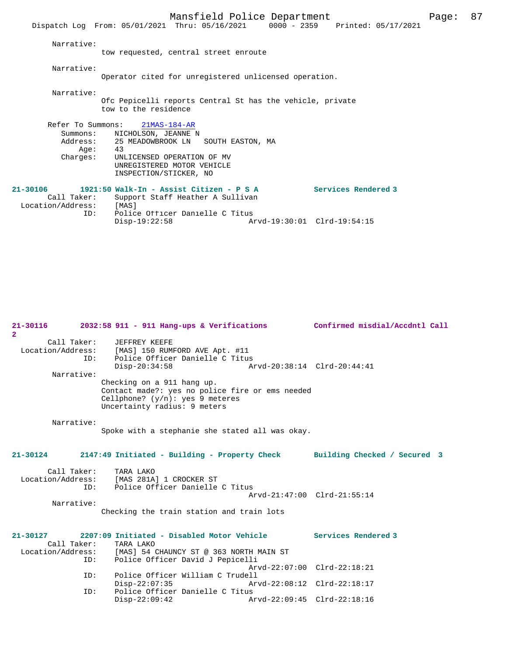|                                                  | Dispatch Log From: 05/01/2021 Thru: 05/16/2021                                                                                                                          |                             | 0000 - 2359 Printed: 05/17/2021 |  |
|--------------------------------------------------|-------------------------------------------------------------------------------------------------------------------------------------------------------------------------|-----------------------------|---------------------------------|--|
| Narrative:                                       | tow requested, central street enroute                                                                                                                                   |                             |                                 |  |
| Narrative:                                       | Operator cited for unregistered unlicensed operation.                                                                                                                   |                             |                                 |  |
| Narrative:                                       | Ofc Pepicelli reports Central St has the vehicle, private<br>tow to the residence                                                                                       |                             |                                 |  |
| Refer To Summons:                                | $21MAS-184-AR$                                                                                                                                                          |                             |                                 |  |
| Aqe:<br>Charges:                                 | Summons: NICHOLSON, JEANNE N<br>Address: 25 MEADOWBROOK LN SOUTH EASTON, MA<br>43<br>UNLICENSED OPERATION OF MV<br>UNREGISTERED MOTOR VEHICLE<br>INSPECTION/STICKER, NO |                             |                                 |  |
| $21 - 30106$<br>Call Taker:<br>Location/Address: | 1921:50 Walk-In - Assist Citizen - P S A<br>Support Staff Heather A Sullivan<br>[MAS]                                                                                   |                             | Services Rendered 3             |  |
| ID:                                              | Police Officer Danielle C Titus<br>$Disp-19:22:58$                                                                                                                      | Arvd-19:30:01 Clrd-19:54:15 |                                 |  |

| 21-30116<br>$\overline{2}$         | $2032:58$ 911 - 911 Hang-ups & Verifications                                                                                                                                 |                                                            | Confirmed misdial/Accdntl Call |
|------------------------------------|------------------------------------------------------------------------------------------------------------------------------------------------------------------------------|------------------------------------------------------------|--------------------------------|
| Call Taker:<br>TD:                 | JEFFREY KEEFE<br>Location/Address: [MAS] 150 RUMFORD AVE Apt. #11<br>Police Officer Danielle C Titus<br>$Disp-20:34:58$                                                      | Arvd-20:38:14 Clrd-20:44:41                                |                                |
| Narrative:                         | Checking on a 911 hang up.<br>Contact made?: yes no police fire or ems needed<br>Cellphone? $(y/n)$ : yes 9 meteres<br>Uncertainty radius: 9 meters                          |                                                            |                                |
| Narrative:                         | Spoke with a stephanie she stated all was okay.                                                                                                                              |                                                            |                                |
| $21 - 30124$                       | 2147:49 Initiated - Building - Property Check                                                                                                                                |                                                            | Building Checked / Secured 3   |
| Call Taker:<br>ID:<br>Narrative:   | TARA LAKO<br>Location/Address: [MAS 281A] 1 CROCKER ST<br>Police Officer Danielle C Titus                                                                                    | Arvd-21:47:00 Clrd-21:55:14                                |                                |
|                                    | Checking the train station and train lots                                                                                                                                    |                                                            |                                |
| $21 - 30127$<br>Call Taker:<br>ID: | 2207:09 Initiated - Disabled Motor Vehicle Services Rendered 3<br>TARA LAKO<br>Location/Address: [MAS] 54 CHAUNCY ST @ 363 NORTH MAIN ST<br>Police Officer David J Pepicelli |                                                            |                                |
| ID:                                | Police Officer William C Trudell                                                                                                                                             | Arvd-22:07:00 Clrd-22:18:21                                |                                |
| ID:                                | $Disp-22:07:35$<br>Police Officer Danielle C Titus<br>$Disp-22:09:42$                                                                                                        | Arvd-22:08:12 Clrd-22:18:17<br>Arvd-22:09:45 Clrd-22:18:16 |                                |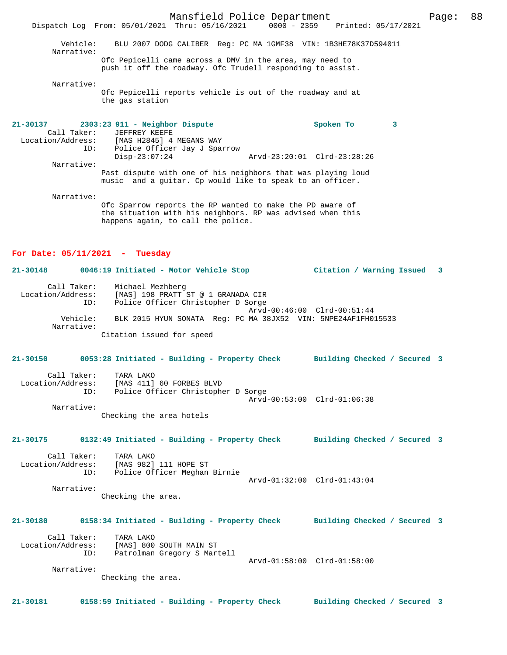Mansfield Police Department Page: 88 Dispatch Log From: 05/01/2021 Thru: 05/16/2021 0000 - 2359 Printed: 05/17/2021 Vehicle: BLU 2007 DODG CALIBER Reg: PC MA 1GMF38 VIN: 1B3HE78K37D594011 Narrative: Ofc Pepicelli came across a DMV in the area, may need to push it off the roadway. Ofc Trudell responding to assist. Narrative: Ofc Pepicelli reports vehicle is out of the roadway and at the gas station **21-30137 2303:23 911 - Neighbor Dispute Spoken To 3**  Call Taker: JEFFREY KEEFE Location/Address: [MAS H2845] 4 MEGANS WAY Police Officer Jay J Sparrow<br>Disp-23:07:24 Disp-23:07:24 Arvd-23:20:01 Clrd-23:28:26 Narrative: Past dispute with one of his neighbors that was playing loud music and a guitar. Cp would like to speak to an officer.

Narrative:

Ofc Sparrow reports the RP wanted to make the PD aware of the situation with his neighbors. RP was advised when this happens again, to call the police.

**21-30148 0046:19 Initiated - Motor Vehicle Stop Citation / Warning Issued 3**

### **For Date: 05/11/2021 - Tuesday**

 Call Taker: Michael Mezhberg Location/Address: [MAS] 198 PRATT ST @ 1 GRANADA CIR ID: Police Officer Christopher D Sorge Arvd-00:46:00 Clrd-00:51:44 Vehicle: BLK 2015 HYUN SONATA Reg: PC MA 38JX52 VIN: 5NPE24AF1FH015533 Narrative:

**21-30150 0053:28 Initiated - Building - Property Check Building Checked / Secured 3** Call Taker: TARA LAKO Location/Address: [MAS 411] 60 FORBES BLVD ID: Police Officer Christopher D Sorge Arvd-00:53:00 Clrd-01:06:38 Narrative:

Checking the area hotels

Citation issued for speed

### **21-30175 0132:49 Initiated - Building - Property Check Building Checked / Secured 3**

 Call Taker: TARA LAKO Location/Address: [MAS 982] 111 HOPE ST ID: Police Officer Meghan Birnie Arvd-01:32:00 Clrd-01:43:04 Narrative:

Checking the area.

## **21-30180 0158:34 Initiated - Building - Property Check Building Checked / Secured 3**

 Call Taker: TARA LAKO Location/Address: [MAS] 800 SOUTH MAIN ST ID: Patrolman Gregory S Martell Arvd-01:58:00 Clrd-01:58:00 Narrative:

Checking the area.

**21-30181 0158:59 Initiated - Building - Property Check Building Checked / Secured 3**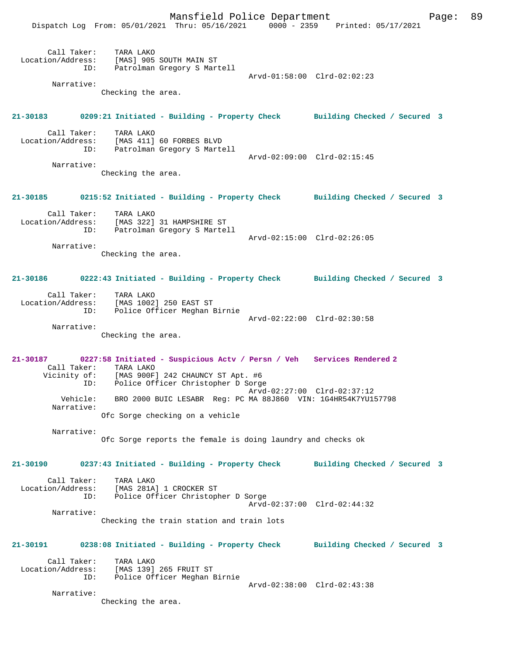Mansfield Police Department Fage: 89 Dispatch Log From: 05/01/2021 Thru: 05/16/2021 0000 - 2359 Printed: 05/17/2021 Call Taker: TARA LAKO Location/Address: [MAS] 905 SOUTH MAIN ST ID: Patrolman Gregory S Martell Arvd-01:58:00 Clrd-02:02:23 Narrative: Checking the area. **21-30183 0209:21 Initiated - Building - Property Check Building Checked / Secured 3** Call Taker: TARA LAKO Location/Address: [MAS 411] 60 FORBES BLVD Patrolman Gregory S Martell Arvd-02:09:00 Clrd-02:15:45 Narrative: Checking the area. **21-30185 0215:52 Initiated - Building - Property Check Building Checked / Secured 3** Call Taker: TARA LAKO Location/Address: [MAS 322] 31 HAMPSHIRE ST ID: Patrolman Gregory S Martell Arvd-02:15:00 Clrd-02:26:05 Narrative: Checking the area. **21-30186 0222:43 Initiated - Building - Property Check Building Checked / Secured 3** Call Taker: TARA LAKO Location/Address: [MAS 1002] 250 EAST ST ID: Police Officer Meghan Birnie Arvd-02:22:00 Clrd-02:30:58 Narrative: Checking the area. **21-30187 0227:58 Initiated - Suspicious Actv / Persn / Veh Services Rendered 2**  Call Taker: TARA LAKO Vicinity of: [MAS 900F] 242 CHAUNCY ST Apt. #6 ID: Police Officer Christopher D Sorge Arvd-02:27:00 Clrd-02:37:12 Vehicle: BRO 2000 BUIC LESABR Reg: PC MA 88J860 VIN: 1G4HR54K7YU157798 Narrative: Ofc Sorge checking on a vehicle Narrative: Ofc Sorge reports the female is doing laundry and checks ok **21-30190 0237:43 Initiated - Building - Property Check Building Checked / Secured 3** Call Taker: TARA LAKO Location/Address: [MAS 281A] 1 CROCKER ST ID: Police Officer Christopher D Sorge Arvd-02:37:00 Clrd-02:44:32 Narrative: Checking the train station and train lots **21-30191 0238:08 Initiated - Building - Property Check Building Checked / Secured 3** Call Taker: TARA LAKO Location/Address: [MAS 139] 265 FRUIT ST ID: Police Officer Meghan Birnie Arvd-02:38:00 Clrd-02:43:38 Narrative: Checking the area.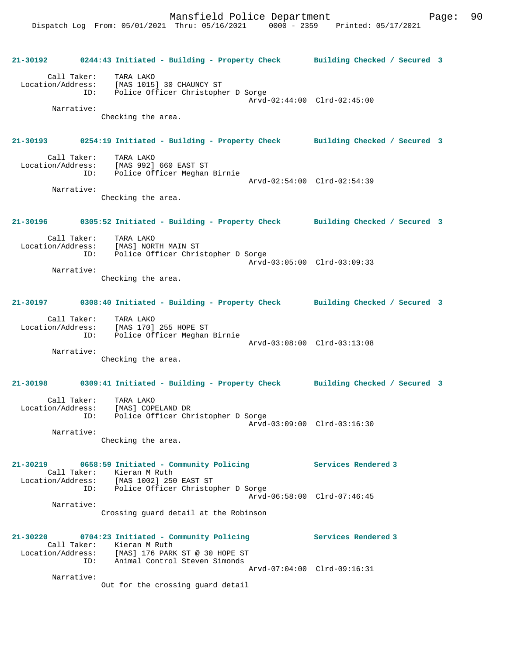**21-30192 0244:43 Initiated - Building - Property Check Building Checked / Secured 3** Call Taker: TARA LAKO Location/Address: [MAS 1015] 30 CHAUNCY ST ID: Police Officer Christopher D Sorge Arvd-02:44:00 Clrd-02:45:00 Narrative: Checking the area. **21-30193 0254:19 Initiated - Building - Property Check Building Checked / Secured 3** Call Taker: TARA LAKO Location/Address: [MAS 992] 660 EAST ST ID: Police Officer Meghan Birnie Arvd-02:54:00 Clrd-02:54:39 Narrative: Checking the area. **21-30196 0305:52 Initiated - Building - Property Check Building Checked / Secured 3** Call Taker: TARA LAKO Location/Address: [MAS] NORTH MAIN ST ID: Police Officer Christopher D Sorge Arvd-03:05:00 Clrd-03:09:33 Narrative: Checking the area. **21-30197 0308:40 Initiated - Building - Property Check Building Checked / Secured 3** Call Taker: TARA LAKO Location/Address: [MAS 170] 255 HOPE ST ID: Police Officer Meghan Birnie Arvd-03:08:00 Clrd-03:13:08 Narrative: Checking the area. **21-30198 0309:41 Initiated - Building - Property Check Building Checked / Secured 3** Call Taker: TARA LAKO Location/Address: [MAS] COPELAND DR ID: Police Officer Christopher D Sorge Arvd-03:09:00 Clrd-03:16:30 Narrative: Checking the area. **21-30219 0658:59 Initiated - Community Policing Services Rendered 3**  Call Taker: Kieran M Ruth Location/Address: [MAS 1002] 250 EAST ST ID: Police Officer Christopher D Sorge Arvd-06:58:00 Clrd-07:46:45 Narrative: Crossing guard detail at the Robinson **21-30220 0704:23 Initiated - Community Policing Services Rendered 3**  Call Taker: Kieran M Ruth Location/Address: [MAS] 176 PARK ST @ 30 HOPE ST ID: Animal Control Steven Simonds Arvd-07:04:00 Clrd-09:16:31 Narrative: Out for the crossing guard detail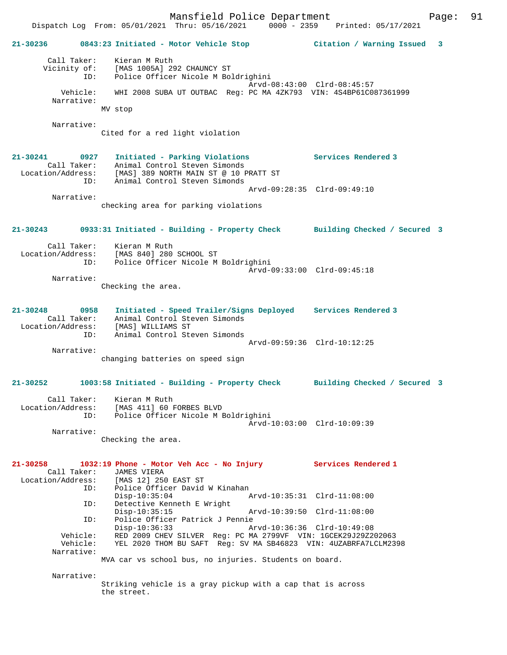Mansfield Police Department Fage: 91 Dispatch Log From: 05/01/2021 Thru: 05/16/2021 0000 - 2359 Printed: 05/17/2021 **21-30236 0843:23 Initiated - Motor Vehicle Stop Citation / Warning Issued 3** Call Taker: Kieran M Ruth Vicinity of: [MAS 1005A] 292 CHAUNCY ST ID: Police Officer Nicole M Boldrighini Arvd-08:43:00 Clrd-08:45:57 Vehicle: WHI 2008 SUBA UT OUTBAC Reg: PC MA 4ZK793 VIN: 4S4BP61C087361999 Narrative: MV stop Narrative: Cited for a red light violation **21-30241 0927 Initiated - Parking Violations Services Rendered 3**  Call Taker: Animal Control Steven Simonds Location/Address: [MAS] 389 NORTH MAIN ST @ 10 PRATT ST ID: Animal Control Steven Simonds Arvd-09:28:35 Clrd-09:49:10 Narrative: checking area for parking violations **21-30243 0933:31 Initiated - Building - Property Check Building Checked / Secured 3** Call Taker: Kieran M Ruth Location/Address: [MAS 840] 280 SCHOOL ST ID: Police Officer Nicole M Boldrighini Arvd-09:33:00 Clrd-09:45:18 Narrative: Checking the area. **21-30248 0958 Initiated - Speed Trailer/Signs Deployed Services Rendered 3**  Call Taker: Animal Control Steven Simonds Location/Address: [MAS] WILLIAMS ST ID: Animal Control Steven Simonds Arvd-09:59:36 Clrd-10:12:25 Narrative: changing batteries on speed sign **21-30252 1003:58 Initiated - Building - Property Check Building Checked / Secured 3** Call Taker: Kieran M Ruth Location/Address: [MAS 411] 60 FORBES BLVD ID: Police Officer Nicole M Boldrighini Arvd-10:03:00 Clrd-10:09:39 Narrative: Checking the area. **21-30258 1032:19 Phone - Motor Veh Acc - No Injury Services Rendered 1**  Call Taker: JAMES VIERA<br>Location/Address: [MAS 12] 250 Location/Address: [MAS 12] 250 EAST ST ID: Police Officer David W Kinahan Disp-10:35:04 Arvd-10:35:31 Clrd-11:08:00 ID: Detective Kenneth E Wright Disp-10:35:15 Arvd-10:39:50 Clrd-11:08:00 ID: Police Officer Patrick J Pennie Disp-10:36:33 Arvd-10:36:36 Clrd-10:49:08 Vehicle: RED 2009 CHEV SILVER Reg: PC MA 2799VF VIN: 1GCEK29J29Z202063 Vehicle: YEL 2020 THOM BU SAFT Reg: SV MA SB46823 VIN: 4UZABRFA7LCLM2398 Narrative: MVA car vs school bus, no injuries. Students on board. Narrative: Striking vehicle is a gray pickup with a cap that is across the street.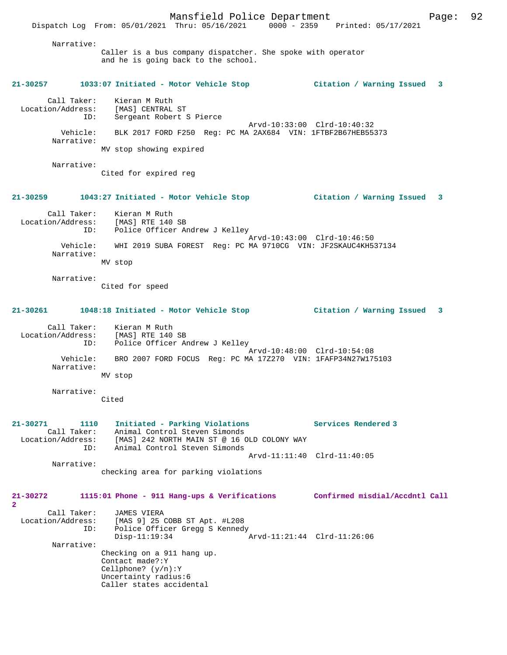Dispatch Log From: 05/01/2021 Thru: 05/16/2021 0000 - 2359 Printed: 05/17/2021

| Narrative:                                                      | Caller is a bus company dispatcher. She spoke with operator<br>and he is going back to the school.                                              |                                  |
|-----------------------------------------------------------------|-------------------------------------------------------------------------------------------------------------------------------------------------|----------------------------------|
| $21 - 30257$                                                    | 1033:07 Initiated - Motor Vehicle Stop                                                                                                          | Citation / Warning Issued<br>- 3 |
| Call Taker:<br>ID:                                              | Kieran M Ruth<br>Location/Address: [MAS] CENTRAL ST<br>Sergeant Robert S Pierce                                                                 | Arvd-10:33:00 Clrd-10:40:32      |
| Vehicle:<br>Narrative:                                          | BLK 2017 FORD F250 Reg: PC MA 2AX684 VIN: 1FTBF2B67HEB55373                                                                                     |                                  |
|                                                                 | MV stop showing expired                                                                                                                         |                                  |
| Narrative:                                                      | Cited for expired reg                                                                                                                           |                                  |
| $21 - 30259$                                                    | 1043:27 Initiated - Motor Vehicle Stop (Citation / Warning Issued                                                                               | 3                                |
| Location/Address:                                               | Call Taker: Kieran M Ruth<br>[MAS] RTE 140 SB                                                                                                   |                                  |
| ID:                                                             | Police Officer Andrew J Kelley                                                                                                                  | Arvd-10:43:00 Clrd-10:46:50      |
| Vehicle:<br>Narrative:                                          | WHI 2019 SUBA FOREST Req: PC MA 9710CG VIN: JF2SKAUC4KH537134                                                                                   |                                  |
|                                                                 | MV stop                                                                                                                                         |                                  |
| Narrative:                                                      | Cited for speed                                                                                                                                 |                                  |
| 21-30261                                                        | 1048:18 Initiated - Motor Vehicle Stop                                                                                                          | Citation / Warning Issued<br>3   |
| ID:                                                             | Call Taker: Kieran M Ruth<br>Location/Address: [MAS] RTE 140 SB<br>Police Officer Andrew J Kelley                                               |                                  |
| Vehicle:<br>Narrative:                                          | BRO 2007 FORD FOCUS Reg: PC MA 17Z270 VIN: 1FAFP34N27W175103                                                                                    | Arvd-10:48:00 Clrd-10:54:08      |
|                                                                 | MV stop                                                                                                                                         |                                  |
| Narrative:                                                      | Cited                                                                                                                                           |                                  |
| $21 - 30271$<br>1110<br>Call Taker:<br>Location/Address:<br>ID: | Initiated - Parking Violations<br>Animal Control Steven Simonds<br>[MAS] 242 NORTH MAIN ST @ 16 OLD COLONY WAY<br>Animal Control Steven Simonds | Services Rendered 3              |
| Narrative:                                                      |                                                                                                                                                 | Arvd-11:11:40 Clrd-11:40:05      |
|                                                                 | checking area for parking violations                                                                                                            |                                  |
| 21-30272<br>$\overline{2}$                                      | 1115:01 Phone - 911 Hang-ups & Verifications                                                                                                    | Confirmed misdial/Accdntl Call   |
| Call Taker:<br>Location/Address:<br>ID:                         | JAMES VIERA<br>[MAS 9] 25 COBB ST Apt. #L208<br>Police Officer Gregg S Kennedy<br>$Disp-11:19:34$                                               | Arvd-11:21:44 Clrd-11:26:06      |
| Narrative:                                                      | Checking on a 911 hang up.                                                                                                                      |                                  |
|                                                                 | Contact made?: Y<br>Cellphone? $(y/n):Y$<br>Uncertainty radius:6<br>Caller states accidental                                                    |                                  |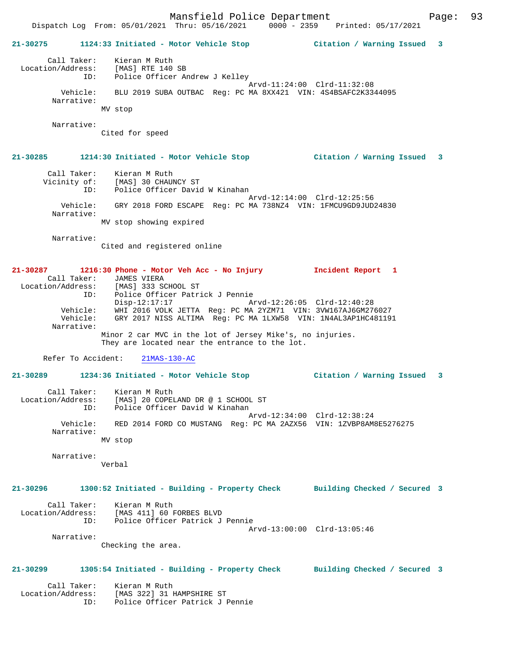# **21-30275 1124:33 Initiated - Motor Vehicle Stop Citation / Warning Issued 3** Call Taker: Kieran M Ruth Location/Address: [MAS] RTE 140 SB ID: Police Officer Andrew J Kelley Arvd-11:24:00 Clrd-11:32:08 Vehicle: BLU 2019 SUBA OUTBAC Reg: PC MA 8XX421 VIN: 4S4BSAFC2K3344095 Narrative: MV stop Narrative: Cited for speed **21-30285 1214:30 Initiated - Motor Vehicle Stop Citation / Warning Issued 3** Call Taker: Kieran M Ruth Vicinity of: [MAS] 30 CHAUNCY ST ID: Police Officer David W Kinahan Arvd-12:14:00 Clrd-12:25:56 Vehicle: GRY 2018 FORD ESCAPE Reg: PC MA 738NZ4 VIN: 1FMCU9GD9JUD24830 Narrative: MV stop showing expired Narrative: Cited and registered online **21-30287 1216:30 Phone - Motor Veh Acc - No Injury Incident Report 1**  Call Taker: JAMES VIERA Location/Address: [MAS] 333 SCHOOL ST ID: Police Officer Patrick J Pennie Disp-12:17:17 Arvd-12:26:05 Clrd-12:40:28 Vehicle: WHI 2016 VOLK JETTA Reg: PC MA 2YZM71 VIN: 3VW167AJ6GM276027 Vehicle: GRY 2017 NISS ALTIMA Reg: PC MA 1LXW58 VIN: 1N4AL3AP1HC481191 Narrative: Minor 2 car MVC in the lot of Jersey Mike's, no injuries. They are located near the entrance to the lot. Refer To Accident: 21MAS-130-AC **21-30289 1234:36 Initiated - Motor Vehicle Stop Citation / Warning Issued 3** Call Taker: Kieran M Ruth Location/Address: [MAS] 20 COPELAND DR @ 1 SCHOOL ST ID: Police Officer David W Kinahan Arvd-12:34:00 Clrd-12:38:24 Vehicle: RED 2014 FORD CO MUSTANG Reg: PC MA 2AZX56 VIN: 1ZVBP8AM8E5276275 Narrative: MV stop Narrative: Verbal **21-30296 1300:52 Initiated - Building - Property Check Building Checked / Secured 3** Call Taker: Kieran M Ruth Location/Address: [MAS 411] 60 FORBES BLVD ID: Police Officer Patrick J Pennie Arvd-13:00:00 Clrd-13:05:46 Narrative: Checking the area. **21-30299 1305:54 Initiated - Building - Property Check Building Checked / Secured 3** Call Taker: Kieran M Ruth<br>ion/Address: [MAS 322] 31 HAMPSHIRE ST Location/Address: [MAS 322] 31 HAMPSHIRE ST ID: Police Officer Patrick J Pennie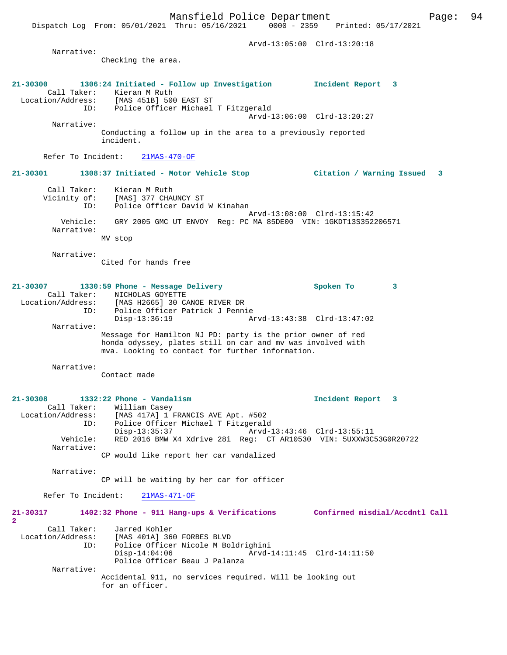Dispatch Log From: 05/01/2021 Thru: 05/16/2021 0000 - 2359 Printed: 05/17/2021

 Arvd-13:05:00 Clrd-13:20:18 Narrative: Checking the area. **21-30300 1306:24 Initiated - Follow up Investigation Incident Report 3**  Call Taker: Kieran M Ruth<br>Location/Address: [MAS 451B] 500 Location/Address: [MAS 451B] 500 EAST ST ID: Police Officer Michael T Fitzgerald Arvd-13:06:00 Clrd-13:20:27 Narrative: Conducting a follow up in the area to a previously reported incident. Refer To Incident: 21MAS-470-OF **21-30301 1308:37 Initiated - Motor Vehicle Stop Citation / Warning Issued 3** Call Taker: Kieran M Ruth Vicinity of: [MAS] 377 CHAUNCY ST ID: Police Officer David W Kinahan Arvd-13:08:00 Clrd-13:15:42 Vehicle: GRY 2005 GMC UT ENVOY Reg: PC MA 85DE00 VIN: 1GKDT13S352206571 Narrative: MV stop Narrative: Cited for hands free **21-30307 1330:59 Phone - Message Delivery Spoken To 3**  Call Taker: NICHOLAS GOYETTE Location/Address: [MAS H2665] 30 CANOE RIVER DR ID: Police Officer Patrick J Pennie Disp-13:36:19 Arvd-13:43:38 Clrd-13:47:02 Narrative: Message for Hamilton NJ PD: party is the prior owner of red honda odyssey, plates still on car and mv was involved with mva. Looking to contact for further information. Narrative: Contact made **21-30308 1332:22 Phone - Vandalism Incident Report 3**  Call Taker: William Casey<br>Location/Address: [MAS 417A] 1 E Location/Address: [MAS 417A] 1 FRANCIS AVE Apt. #502 ID: Police Officer Michael T Fitzgerald Disp-13:35:37 Arvd-13:43:46 Clrd-13:55:11 Vehicle: RED 2016 BMW X4 Xdrive 28i Reg: CT AR10530 VIN: 5UXXW3C53G0R20722 Narrative: CP would like report her car vandalized Narrative: CP will be waiting by her car for officer Refer To Incident: 21MAS-471-OF **21-30317 1402:32 Phone - 911 Hang-ups & Verifications Confirmed misdial/Accdntl Call 2**  Call Taker: Jarred Kohler<br>Location/Address: [MAS 401A] 360 Location/Address: [MAS 401A] 360 FORBES BLVD ID: Police Officer Nicole M Boldrighini ID: Police Officer Nicole M Boldrighini<br>Disp-14:04:06 Arvd-14:11:45 Clrd-14:11:50 Police Officer Beau J Palanza Narrative: Accidental 911, no services required. Will be looking out for an officer.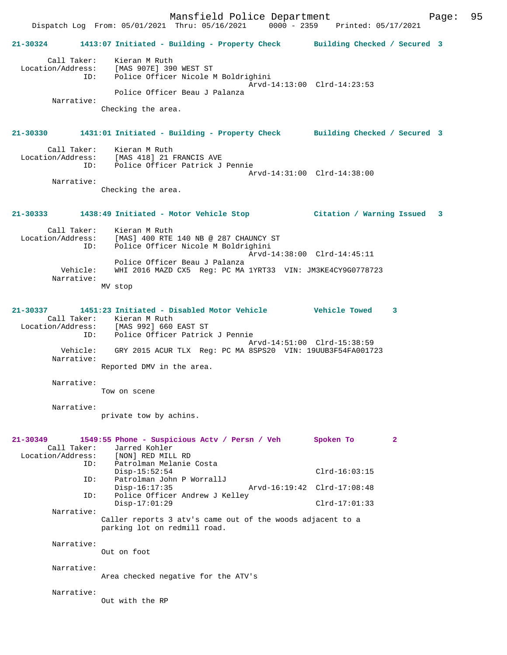Mansfield Police Department Fage: 95 Dispatch Log From: 05/01/2021 Thru: 05/16/2021 0000 - 2359 Printed: 05/17/2021 **21-30324 1413:07 Initiated - Building - Property Check Building Checked / Secured 3** Call Taker: Kieran M Ruth Location/Address: [MAS 907E] 390 WEST ST ID: Police Officer Nicole M Boldrighini Arvd-14:13:00 Clrd-14:23:53 Police Officer Beau J Palanza Narrative: Checking the area. **21-30330 1431:01 Initiated - Building - Property Check Building Checked / Secured 3** Call Taker: Kieran M Ruth Location/Address: [MAS 418] 21 FRANCIS AVE ID: Police Officer Patrick J Pennie Arvd-14:31:00 Clrd-14:38:00 Narrative: Checking the area. **21-30333 1438:49 Initiated - Motor Vehicle Stop Citation / Warning Issued 3** Call Taker: Kieran M Ruth Location/Address: [MAS] 400 RTE 140 NB @ 287 CHAUNCY ST ID: Police Officer Nicole M Boldrighini Arvd-14:38:00 Clrd-14:45:11 Police Officer Beau J Palanza Vehicle: WHI 2016 MAZD CX5 Reg: PC MA 1YRT33 VIN: JM3KE4CY9G0778723 Narrative: MV stop **21-30337 1451:23 Initiated - Disabled Motor Vehicle Vehicle Towed 3**  Call Taker: Kieran M Ruth Location/Address: [MAS 992] 660 EAST ST ID: Police Officer Patrick J Pennie Arvd-14:51:00 Clrd-15:38:59 Vehicle: GRY 2015 ACUR TLX Reg: PC MA 8SPS20 VIN: 19UUB3F54FA001723 Narrative: Reported DMV in the area. Narrative: Tow on scene Narrative: private tow by achins. **21-30349 1549:55 Phone - Suspicious Actv / Persn / Veh Spoken To 2**  Call Taker: Jarred Kohler<br>ion/Address: [NON] RED MILL RD Location/Address: ID: Patrolman Melanie Costa Disp-15:52:54 Clrd-16:03:15 ID: Patrolman John P WorrallJ Disp-16:17:35 Arvd-16:19:42 Clrd-17:08:48 ID: Police Officer Andrew J Kelley Disp-17:01:29 Clrd-17:01:33 Narrative: Caller reports 3 atv's came out of the woods adjacent to a parking lot on redmill road. Narrative: Out on foot Narrative: Area checked negative for the ATV's Narrative: Out with the RP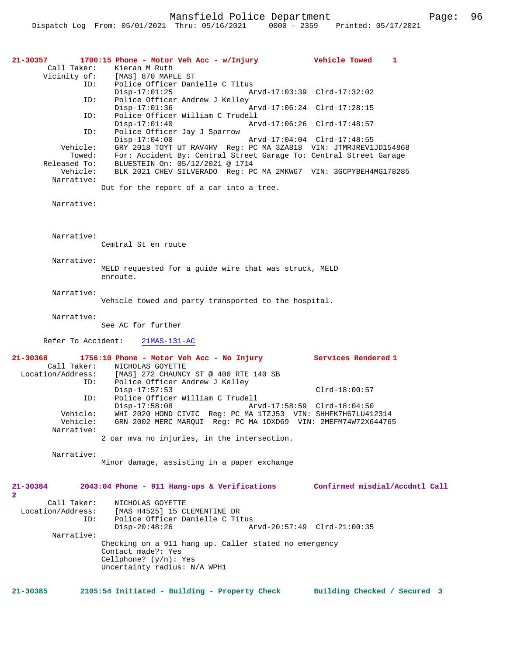| 21-30357<br>Call Taker:                 | 1700:15 Phone - Motor Veh Acc - w/Injury<br>Kieran M Ruth<br>Vicinity of: [MAS] 870 MAPLE ST<br>Police Officer Danielle C Titus                          | Vehicle Towed<br>1             |
|-----------------------------------------|----------------------------------------------------------------------------------------------------------------------------------------------------------|--------------------------------|
| ID:<br>ID:                              | $Disp-17:01:25$<br>Police Officer Andrew J Kelley                                                                                                        | Arvd-17:03:39 Clrd-17:32:02    |
| ID:                                     | $Disp-17:01:36$<br>Police Officer William C Trudell                                                                                                      | Arvd-17:06:24 Clrd-17:28:15    |
| ID:                                     | $Disp-17:01:40$<br>Police Officer Jay J Sparrow                                                                                                          | Arvd-17:06:26 Clrd-17:48:57    |
| Vehicle:<br>Towed:                      | $Disp-17:04:00$<br>GRY 2018 TOYT UT RAV4HV Req: PC MA 3ZA818 VIN: JTMRJREV1JD154868<br>For: Accident By: Central Street Garage To: Central Street Garage | Arvd-17:04:04 Clrd-17:48:55    |
| Released To:<br>Vehicle:                | BLUESTEIN On: 05/12/2021 @ 1714<br>BLK 2021 CHEV SILVERADO Reg: PC MA 2MKW67 VIN: 3GCPYBEH4MG178285                                                      |                                |
| Narrative:                              | Out for the report of a car into a tree.                                                                                                                 |                                |
| Narrative:                              |                                                                                                                                                          |                                |
|                                         |                                                                                                                                                          |                                |
| Narrative:                              | Cemtral St en route                                                                                                                                      |                                |
| Narrative:                              | MELD requested for a guide wire that was struck, MELD<br>enroute.                                                                                        |                                |
| Narrative:                              | Vehicle towed and party transported to the hospital.                                                                                                     |                                |
| Narrative:                              | See AC for further                                                                                                                                       |                                |
| Refer To Accident:                      | $21MAS-131-AC$                                                                                                                                           |                                |
| 21-30368                                | 1756:10 Phone - Motor Veh Acc - No Injury Services Rendered 1                                                                                            |                                |
| Call Taker:<br>Location/Address:<br>ID: | NICHOLAS GOYETTE<br>[MAS] 272 CHAUNCY ST @ 400 RTE 140 SB<br>Police Officer Andrew J Kelley                                                              |                                |
| ID:                                     | $Disp-17:57:53$<br>Police Officer William C Trudell                                                                                                      | $Clrd-18:00:57$                |
| Vehicle:<br>Vehicle:                    | $Disp-17:58:08$<br>WHI 2020 HOND CIVIC Reg: PC MA 1TZJ53 VIN: SHHFK7H67LU412314<br>GRN 2002 MERC MARQUI Reg: PC MA 1DXD69 VIN: 2MEFM74W72X644765         | Arvd-17:58:59 Clrd-18:04:50    |
| Narrative:                              | 2 car mva no injuries, in the intersection.                                                                                                              |                                |
| Narrative:                              | Minor damage, assisting in a paper exchange                                                                                                              |                                |
| 21-30384<br>2                           | 2043:04 Phone - 911 Hang-ups & Verifications                                                                                                             | Confirmed misdial/Accdntl Call |
| Call Taker:<br>Location/Address:<br>ID: | NICHOLAS GOYETTE<br>[MAS H4525] 15 CLEMENTINE DR<br>Police Officer Danielle C Titus<br>$Disp-20:48:26$                                                   | Arvd-20:57:49 Clrd-21:00:35    |
| Narrative:                              | Checking on a 911 hang up. Caller stated no emergency<br>Contact made?: Yes<br>Cellphone? $(y/n)$ : Yes<br>Uncertainty radius: N/A WPH1                  |                                |
| $21 - 30385$                            | 2105:54 Initiated - Building - Property Check                                                                                                            | Building Checked / Secured 3   |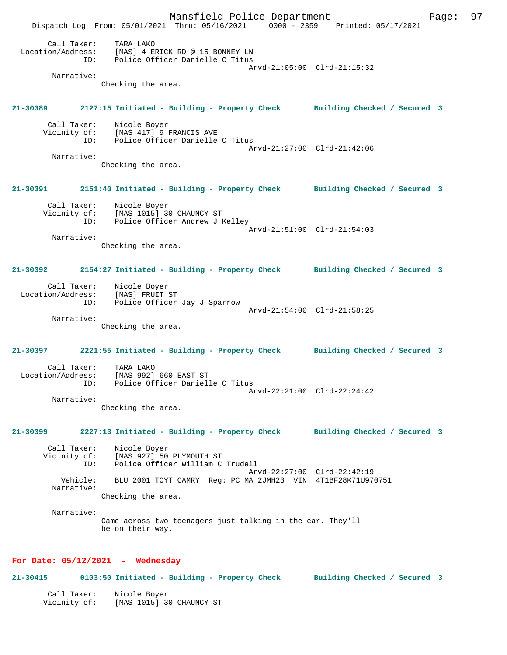Mansfield Police Department Fage: 97 Dispatch Log From: 05/01/2021 Thru: 05/16/2021 0000 - 2359 Printed: 05/17/2021 Call Taker: TARA LAKO<br>Location/Address: [MAS] 4 EI [MAS] 4 ERICK RD @ 15 BONNEY LN ID: Police Officer Danielle C Titus Arvd-21:05:00 Clrd-21:15:32 Narrative: Checking the area. **21-30389 2127:15 Initiated - Building - Property Check Building Checked / Secured 3** Call Taker: Nicole Boyer<br>Vicinity of: [MAS 417] 9 of: [MAS 417] 9 FRANCIS AVE<br>ID: Police Officer Danielle Police Officer Danielle C Titus Arvd-21:27:00 Clrd-21:42:06 Narrative: Checking the area. **21-30391 2151:40 Initiated - Building - Property Check Building Checked / Secured 3** Call Taker: Nicole Boyer<br>Vicinity of: [MAS 1015] 30 CHAUNCY ST Vicinity of: [MAS 1015] 30 CHAUNCY ST ID: Police Officer Andrew J Kelley Arvd-21:51:00 Clrd-21:54:03 Narrative: Checking the area. **21-30392 2154:27 Initiated - Building - Property Check Building Checked / Secured 3** Call Taker: Nicole Boyer Location/Address: [MAS] FRUIT ST ID: Police Officer Jay J Sparrow Arvd-21:54:00 Clrd-21:58:25 Narrative: Checking the area. **21-30397 2221:55 Initiated - Building - Property Check Building Checked / Secured 3** Call Taker: TARA LAKO<br>Location/Address: [MAS 992] [MAS 992] 660 EAST ST ID: Police Officer Danielle C Titus Arvd-22:21:00 Clrd-22:24:42 Narrative: Checking the area. **21-30399 2227:13 Initiated - Building - Property Check Building Checked / Secured 3** Call Taker: Nicole Boyer Vicinity of: [MAS 927] 50 PLYMOUTH ST ID: Police Officer William C Trudell Arvd-22:27:00 Clrd-22:42:19 Vehicle: BLU 2001 TOYT CAMRY Reg: PC MA 2JMH23 VIN: 4T1BF28K71U970751 Narrative: Checking the area. Narrative: Came across two teenagers just talking in the car. They'll be on their way. **For Date: 05/12/2021 - Wednesday 21-30415 0103:50 Initiated - Building - Property Check Building Checked / Secured 3**

 Call Taker: Nicole Boyer Vicinity of: [MAS 1015] 30 CHAUNCY ST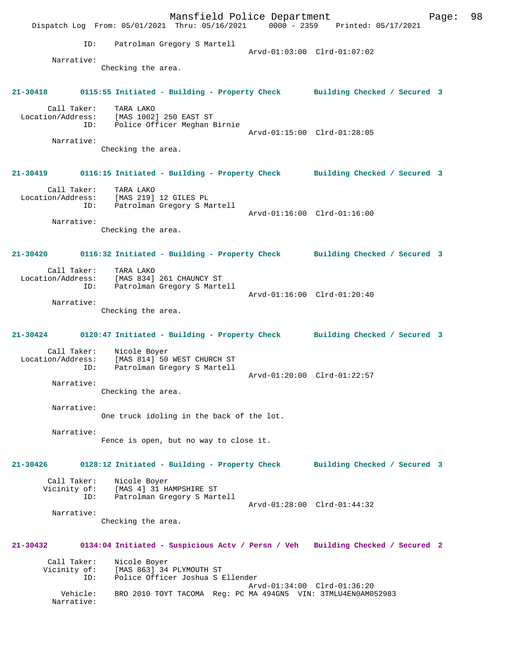Mansfield Police Department Fage: 98 Dispatch Log From: 05/01/2021 Thru: 05/16/2021 0000 - 2359 Printed: 05/17/2021 ID: Patrolman Gregory S Martell Arvd-01:03:00 Clrd-01:07:02 Narrative: Checking the area. **21-30418 0115:55 Initiated - Building - Property Check Building Checked / Secured 3** Call Taker: TARA LAKO Location/Address: [MAS 1002] 250 EAST ST ID: Police Officer Meghan Birnie Arvd-01:15:00 Clrd-01:28:05 Narrative: Checking the area. **21-30419 0116:15 Initiated - Building - Property Check Building Checked / Secured 3** Call Taker: TARA LAKO Location/Address: [MAS 219] 12 GILES PL ID: Patrolman Gregory S Martell Arvd-01:16:00 Clrd-01:16:00 Narrative: Checking the area. **21-30420 0116:32 Initiated - Building - Property Check Building Checked / Secured 3** Call Taker: TARA LAKO Location/Address: [MAS 834] 261 CHAUNCY ST ID: Patrolman Gregory S Martell Arvd-01:16:00 Clrd-01:20:40 Narrative: Checking the area. **21-30424 0120:47 Initiated - Building - Property Check Building Checked / Secured 3** Call Taker: Nicole Boyer Location/Address: [MAS 814] 50 WEST CHURCH ST ID: Patrolman Gregory S Martell Arvd-01:20:00 Clrd-01:22:57 Narrative: Checking the area. Narrative: One truck idoling in the back of the lot. Narrative: Fence is open, but no way to close it. **21-30426 0128:12 Initiated - Building - Property Check Building Checked / Secured 3** Call Taker: Nicole Boyer Vicinity of: [MAS 4] 31 HAMPSHIRE ST ID: Patrolman Gregory S Martell Arvd-01:28:00 Clrd-01:44:32 Narrative: Checking the area. **21-30432 0134:04 Initiated - Suspicious Actv / Persn / Veh Building Checked / Secured 2** Call Taker: Nicole Boyer Vicinity of: [MAS 863] 34 PLYMOUTH ST ID: Police Officer Joshua S Ellender Arvd-01:34:00 Clrd-01:36:20 Vehicle: BRO 2010 TOYT TACOMA Reg: PC MA 494GN5 VIN: 3TMLU4EN0AM052983 Narrative: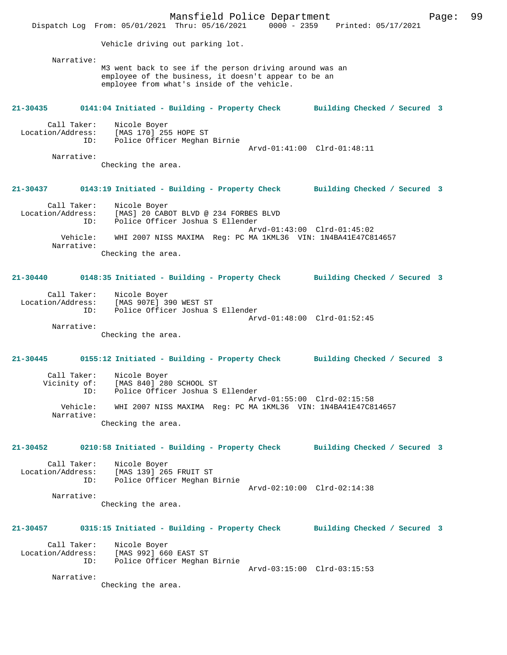Mansfield Police Department Fage: 99 Dispatch Log From: 05/01/2021 Thru: 05/16/2021 0000 - 2359 Printed: 05/17/2021 Vehicle driving out parking lot. Narrative: M3 went back to see if the person driving around was an employee of the business, it doesn't appear to be an employee from what's inside of the vehicle. **21-30435 0141:04 Initiated - Building - Property Check Building Checked / Secured 3** Call Taker: Nicole Boyer Location/Address: [MAS 170] 255 HOPE ST ID: Police Officer Meghan Birnie Arvd-01:41:00 Clrd-01:48:11 Narrative: Checking the area. **21-30437 0143:19 Initiated - Building - Property Check Building Checked / Secured 3** Call Taker: Nicole Boyer<br>Location/Address: [MAS] 20 CAB [MAS] 20 CABOT BLVD @ 234 FORBES BLVD ID: Police Officer Joshua S Ellender Arvd-01:43:00 Clrd-01:45:02 Vehicle: WHI 2007 NISS MAXIMA Reg: PC MA 1KML36 VIN: 1N4BA41E47C814657 Narrative: Checking the area. **21-30440 0148:35 Initiated - Building - Property Check Building Checked / Secured 3** Call Taker: Nicole Boyer Location/Address: [MAS 907E] 390 WEST ST ID: Police Officer Joshua S Ellender Arvd-01:48:00 Clrd-01:52:45 Narrative: Checking the area. **21-30445 0155:12 Initiated - Building - Property Check Building Checked / Secured 3** Call Taker: Nicole Boyer Vicinity of: [MAS 840] 280 SCHOOL ST ID: Police Officer Joshua S Ellender Arvd-01:55:00 Clrd-02:15:58 Vehicle: WHI 2007 NISS MAXIMA Reg: PC MA 1KML36 VIN: 1N4BA41E47C814657 Narrative: Checking the area. **21-30452 0210:58 Initiated - Building - Property Check Building Checked / Secured 3** Call Taker: Nicole Boyer Location/Address: [MAS 139] 265 FRUIT ST Police Officer Meghan Birnie Arvd-02:10:00 Clrd-02:14:38 Narrative: Checking the area. **21-30457 0315:15 Initiated - Building - Property Check Building Checked / Secured 3** Call Taker: Nicole Boyer<br>Location/Address: [MAS 992] 66 [MAS 992] 660 EAST ST ID: Police Officer Meghan Birnie Arvd-03:15:00 Clrd-03:15:53 Narrative: Checking the area.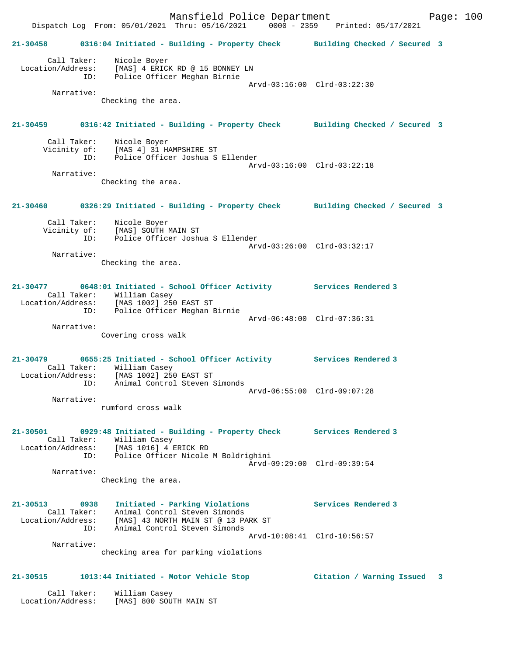Mansfield Police Department Fage: 100 Dispatch Log From: 05/01/2021 Thru: 05/16/2021 0000 - 2359 Printed: 05/17/2021 **21-30458 0316:04 Initiated - Building - Property Check Building Checked / Secured 3** Call Taker: Nicole Boyer Location/Address: [MAS] 4 ERICK RD @ 15 BONNEY LN ID: Police Officer Meghan Birnie Arvd-03:16:00 Clrd-03:22:30 Narrative: Checking the area. **21-30459 0316:42 Initiated - Building - Property Check Building Checked / Secured 3** Call Taker: Nicole Boyer Vicinity of: [MAS 4] 31 HAMPSHIRE ST Police Officer Joshua S Ellender Arvd-03:16:00 Clrd-03:22:18 Narrative: Checking the area. **21-30460 0326:29 Initiated - Building - Property Check Building Checked / Secured 3** Call Taker: Nicole Boyer Vicinity of: [MAS] SOUTH MAIN ST ID: Police Officer Joshua S Ellender Arvd-03:26:00 Clrd-03:32:17 Narrative: Checking the area. **21-30477 0648:01 Initiated - School Officer Activity Services Rendered 3**  Call Taker: William Casey Location/Address: [MAS 1002] 250 EAST ST ID: Police Officer Meghan Birnie Arvd-06:48:00 Clrd-07:36:31 Narrative: Covering cross walk **21-30479 0655:25 Initiated - School Officer Activity Services Rendered 3**  Call Taker: William Casey<br>Location/Address: [MAS 1002] 250 Location/Address: [MAS 1002] 250 EAST ST ID: Animal Control Steven Simonds Arvd-06:55:00 Clrd-09:07:28 Narrative: rumford cross walk **21-30501 0929:48 Initiated - Building - Property Check Services Rendered 3**  Call Taker: William Casey Location/Address: [MAS 1016] 4 ERICK RD ID: Police Officer Nicole M Boldrighini Arvd-09:29:00 Clrd-09:39:54 Narrative: Checking the area. **21-30513 0938 Initiated - Parking Violations Services Rendered 3**  Call Taker: Animal Control Steven Simonds Location/Address: [MAS] 43 NORTH MAIN ST @ 13 PARK ST ID: Animal Control Steven Simonds Arvd-10:08:41 Clrd-10:56:57 Narrative: checking area for parking violations **21-30515 1013:44 Initiated - Motor Vehicle Stop Citation / Warning Issued 3** Call Taker: William Casey

Location/Address: [MAS] 800 SOUTH MAIN ST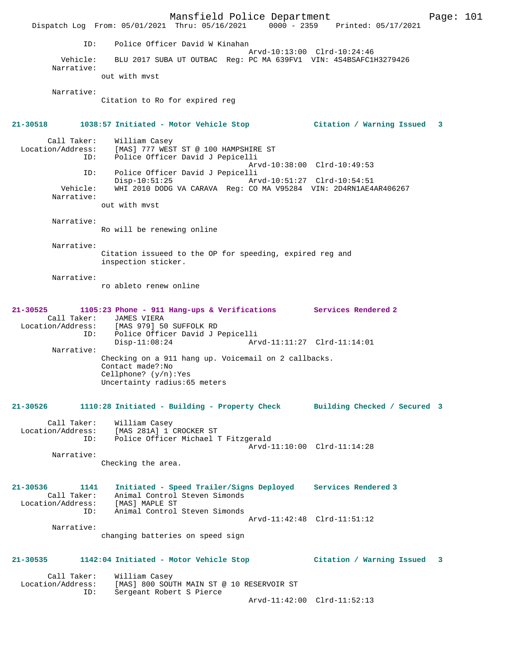Mansfield Police Department Fage: 101 Dispatch Log From: 05/01/2021 Thru: 05/16/2021 0000 - 2359 Printed: 05/17/2021 ID: Police Officer David W Kinahan Arvd-10:13:00 Clrd-10:24:46 Vehicle: BLU 2017 SUBA UT OUTBAC Reg: PC MA 639FV1 VIN: 4S4BSAFC1H3279426 Narrative: out with mvst Narrative: Citation to Ro for expired reg **21-30518 1038:57 Initiated - Motor Vehicle Stop Citation / Warning Issued 3** Call Taker: William Casey<br>Location/Address: [MAS] 777 WES ess: [MAS] 777 WEST ST @ 100 HAMPSHIRE ST<br>ID: Police Officer David J Pepicelli Police Officer David J Pepicelli Arvd-10:38:00 Clrd-10:49:53 ID: Police Officer David J Pepicelli Disp-10:51:25 Arvd-10:51:27 Clrd-10:54:51 Vehicle: WHI 2010 DODG VA CARAVA Reg: CO MA V95284 VIN: 2D4RN1AE4AR406267 Narrative: out with mvst Narrative: Ro will be renewing online Narrative: Citation issueed to the OP for speeding, expired reg and inspection sticker. Narrative: ro ableto renew online **21-30525 1105:23 Phone - 911 Hang-ups & Verifications Services Rendered 2**  Call Taker: JAMES VIERA Location/Address: [MAS 979] 50 SUFFOLK RD ID: Police Officer David J Pepicelli Disp-11:08:24 Arvd-11:11:27 Clrd-11:14:01 Narrative: Checking on a 911 hang up. Voicemail on 2 callbacks. Contact made?:No Cellphone? (y/n):Yes Uncertainty radius:65 meters **21-30526 1110:28 Initiated - Building - Property Check Building Checked / Secured 3** Call Taker: William Casey Location/Address: [MAS 281A] 1 CROCKER ST ID: Police Officer Michael T Fitzgerald Arvd-11:10:00 Clrd-11:14:28 Narrative: Checking the area. **21-30536 1141 Initiated - Speed Trailer/Signs Deployed Services Rendered 3**  Call Taker: Animal Control Steven Simonds Location/Address: [MAS] MAPLE ST ID: Animal Control Steven Simonds Arvd-11:42:48 Clrd-11:51:12 Narrative: changing batteries on speed sign **21-30535 1142:04 Initiated - Motor Vehicle Stop Citation / Warning Issued 3** Call Taker: William Casey<br>Location/Address: [MAS] 800 SOU [MAS] 800 SOUTH MAIN ST @ 10 RESERVOIR ST ID: Sergeant Robert S Pierce Arvd-11:42:00 Clrd-11:52:13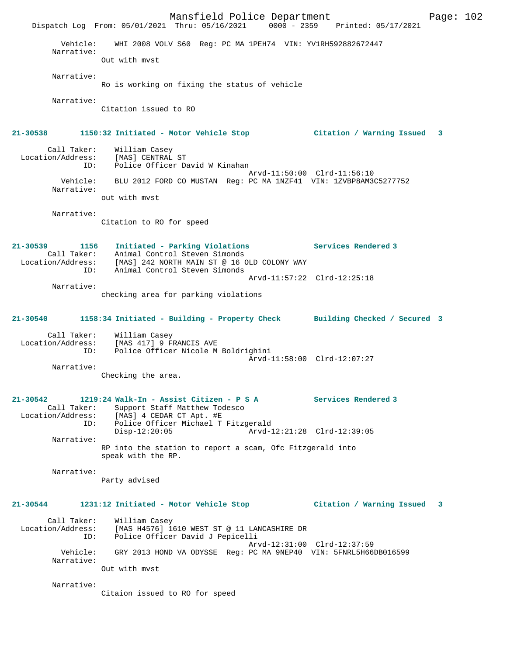Mansfield Police Department Fage: 102 Dispatch Log From: 05/01/2021 Thru: 05/16/2021 0000 - 2359 Printed: 05/17/2021 Vehicle: WHI 2008 VOLV S60 Reg: PC MA 1PEH74 VIN: YV1RH592882672447 Narrative: Out with mvst Narrative: Ro is working on fixing the status of vehicle Narrative: Citation issued to RO **21-30538 1150:32 Initiated - Motor Vehicle Stop Citation / Warning Issued 3** Call Taker: William Casey Location/Address: [MAS] CENTRAL ST ID: Police Officer David W Kinahan Arvd-11:50:00 Clrd-11:56:10 Vehicle: BLU 2012 FORD CO MUSTAN Reg: PC MA 1NZF41 VIN: 1ZVBP8AM3C5277752 Narrative: out with mvst Narrative: Citation to RO for speed **21-30539 1156 Initiated - Parking Violations Services Rendered 3**  Call Taker: Animal Control Steven Simonds Location/Address: [MAS] 242 NORTH MAIN ST @ 16 OLD COLONY WAY ID: Animal Control Steven Simonds Arvd-11:57:22 Clrd-12:25:18 Narrative: checking area for parking violations **21-30540 1158:34 Initiated - Building - Property Check Building Checked / Secured 3** Call Taker: William Casey Location/Address: [MAS 417] 9 FRANCIS AVE ID: Police Officer Nicole M Boldrighini Arvd-11:58:00 Clrd-12:07:27 Narrative: Checking the area. **21-30542 1219:24 Walk-In - Assist Citizen - P S A Services Rendered 3**  Call Taker: Support Staff Matthew Todesco<br>Location/Address: [MAS] 4 CEDAR CT Apt. #E Location/Address: [MAS] 4 CEDAR CT Apt. #E ID: Police Officer Michael T Fitzgerald Disp-12:20:05 Arvd-12:21:28 Clrd-12:39:05 Narrative: RP into the station to report a scam, Ofc Fitzgerald into speak with the RP. Narrative: Party advised **21-30544 1231:12 Initiated - Motor Vehicle Stop Citation / Warning Issued 3** Call Taker: William Casey Location/Address: [MAS H4576] 1610 WEST ST @ 11 LANCASHIRE DR ID: Police Officer David J Pepicelli Arvd-12:31:00 Clrd-12:37:59 Vehicle: GRY 2013 HOND VA ODYSSE Reg: PC MA 9NEP40 VIN: 5FNRL5H66DB016599 Narrative: Out with mvst Narrative: Citaion issued to RO for speed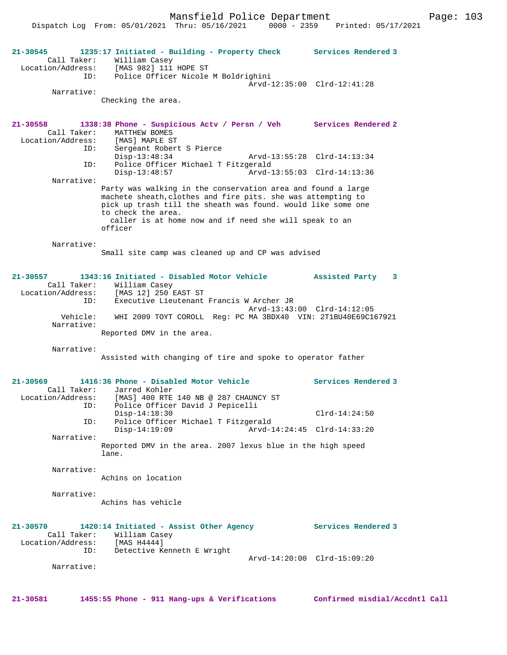Mansfield Police Department Fage: 103

Dispatch Log From: 05/01/2021 Thru: 05/16/2021 0000 - 2359 Printed: 05/17/2021

**21-30545 1235:17 Initiated - Building - Property Check Services Rendered 3**  Call Taker: William Casey Location/Address: [MAS 982] 111 HOPE ST ID: Police Officer Nicole M Boldrighini Arvd-12:35:00 Clrd-12:41:28 Narrative: Checking the area. **21-30558 1338:38 Phone - Suspicious Actv / Persn / Veh Services Rendered 2**  Call Taker: MATTHEW BOMES<br>ion/Address: [MAS] MAPLE ST Location/Address:<br>ID: Sergeant Robert S Pierce<br>Disp-13:48:34 Disp-13:48:34 Arvd-13:55:28 Clrd-14:13:34<br>ID: Police Officer Michael T Fitzgerald Police Officer Michael T Fitzgerald<br>Disp-13:48:57 Arvd-1 Disp-13:48:57 Arvd-13:55:03 Clrd-14:13:36 Narrative: Party was walking in the conservation area and found a large machete sheath,clothes and fire pits. she was attempting to pick up trash till the sheath was found. would like some one to check the area. caller is at home now and if need she will speak to an officer Narrative: Small site camp was cleaned up and CP was advised **21-30557 1343:16 Initiated - Disabled Motor Vehicle Assisted Party 3**  Call Taker: William Casey<br>Location/Address: [MAS 12] 250 1 Location/Address: [MAS 12] 250 EAST ST ID: Executive Lieutenant Francis W Archer JR Arvd-13:43:00 Clrd-14:12:05 Vehicle: WHI 2009 TOYT COROLL Reg: PC MA 3BDX40 VIN: 2T1BU40E69C167921 Narrative: Reported DMV in the area. Narrative: Assisted with changing of tire and spoke to operator father **21-30569 1416:36 Phone - Disabled Motor Vehicle Services Rendered 3**  Call Taker: Jarred Kohler<br>Location/Address: [MAS] 400 RTE Location/Address: [MAS] 400 RTE 140 NB @ 287 CHAUNCY ST ID: Police Officer David J Pepicelli Disp-14:18:30 Clrd-14:24:50 ID: Police Officer Michael T Fitzgerald Disp-14:19:09 Arvd-14:24:45 Clrd-14:33:20 Narrative: Reported DMV in the area. 2007 lexus blue in the high speed lane. Narrative: Achins on location Narrative: Achins has vehicle **21-30570 1420:14 Initiated - Assist Other Agency Services Rendered 3**  Call Taker: William Casey<br>ion/Address: [MAS H4444] Location/Address: ID: Detective Kenneth E Wright Arvd-14:20:00 Clrd-15:09:20 Narrative: **21-30581 1455:55 Phone - 911 Hang-ups & Verifications Confirmed misdial/Accdntl Call**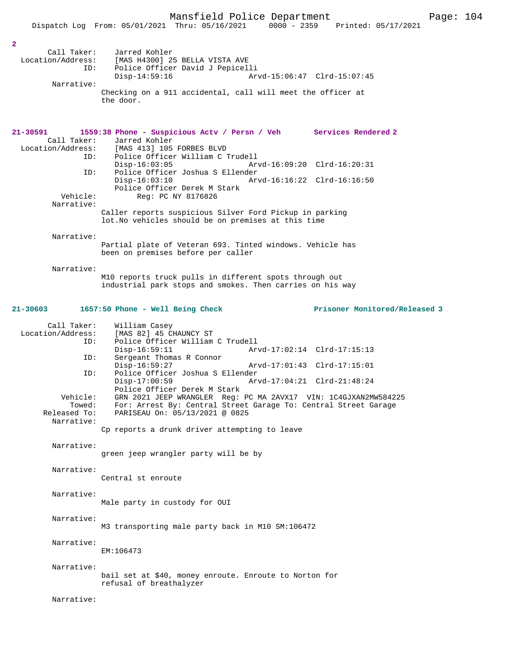| $\mathbf{2}$<br>Call Taker:<br>Location/Address:<br>ID:<br>Narrative:         | Jarred Kohler<br>[MAS H4300] 25 BELLA VISTA AVE<br>Police Officer David J Pepicelli<br>$Disp-14:59:16$<br>Arvd-15:06:47 Clrd-15:07:45<br>Checking on a 911 accidental, call will meet the officer at<br>the door.                                                                                                                                                                                                                                                         |
|-------------------------------------------------------------------------------|---------------------------------------------------------------------------------------------------------------------------------------------------------------------------------------------------------------------------------------------------------------------------------------------------------------------------------------------------------------------------------------------------------------------------------------------------------------------------|
| 21-30591<br>Call Taker:<br>ID:<br>ID:<br>Vehicle:<br>Narrative:               | 1559:38 Phone - Suspicious Actv / Persn / Veh Services Rendered 2<br>Jarred Kohler<br>Location/Address: [MAS 413] 105 FORBES BLVD<br>Police Officer William C Trudell<br>$Disp-16:03:05$<br>Arvd-16:09:20 Clrd-16:20:31<br>Police Officer Joshua S Ellender<br>$Disp-16:03:10$<br>Police Officer Derek M Stark<br>Reg: PC NY 8176826<br>Caller reports suspicious Silver Ford Pickup in parking<br>lot. No vehicles should be on premises at this time                    |
| Narrative:<br>Narrative:                                                      | Partial plate of Veteran 693. Tinted windows. Vehicle has<br>been on premises before per caller<br>M10 reports truck pulls in different spots through out<br>industrial park stops and smokes. Then carries on his way                                                                                                                                                                                                                                                    |
| 21-30603<br>Call Taker:<br>Location/Address:<br>ID:<br>ID:<br>ID:<br>Vehicle: | Prisoner Monitored/Released 3<br>1657:50 Phone - Well Being Check<br>William Casey<br>[MAS 82] 45 CHAUNCY ST<br>Police Officer William C Trudell<br>$Disp-16:59:11$<br>Arvd-17:02:14 Clrd-17:15:13<br>Sergeant Thomas R Connor<br>$Disp-16:59:27$<br>Arvd-17:01:43 Clrd-17:15:01<br>Police Officer Joshua S Ellender<br>$Disp-17:00:59$<br>Arvd-17:04:21 Clrd-21:48:24<br>Police Officer Derek M Stark<br>GRN 2021 JEEP WRANGLER Reg: PC MA 2AVX17 VIN: 1C4GJXAN2MW584225 |
| Towed:<br>Released To:<br>Narrative:<br>Narrative:                            | For: Arrest By: Central Street Garage To: Central Street Garage<br>PARISEAU On: 05/13/2021 @ 0825<br>Cp reports a drunk driver attempting to leave<br>green jeep wrangler party will be by                                                                                                                                                                                                                                                                                |
| Narrative:<br>Narrative:<br>Narrative:                                        | Central st enroute<br>Male party in custody for OUI                                                                                                                                                                                                                                                                                                                                                                                                                       |
| Narrative:<br>Narrative:                                                      | M3 transporting male party back in M10 SM:106472<br>EM: 106473<br>bail set at \$40, money enroute. Enroute to Norton for                                                                                                                                                                                                                                                                                                                                                  |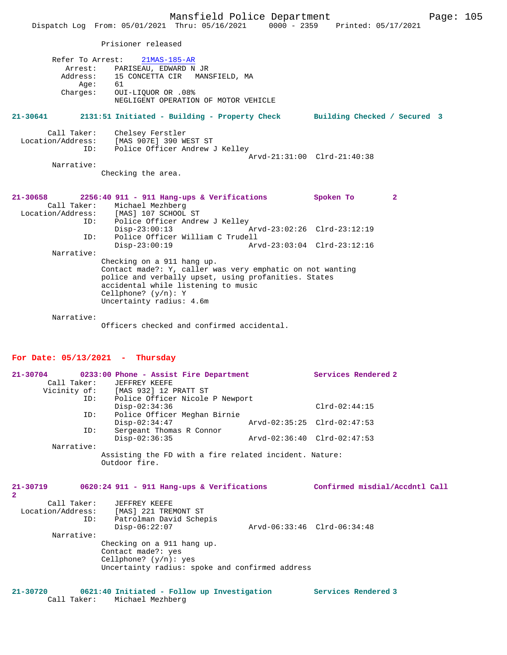Prisioner released

|      | Refer To Arrest: 21MAS-185-AR          |
|------|----------------------------------------|
|      | Arrest: PARISEAU, EDWARD N JR          |
|      | Address: 15 CONCETTA CIR MANSFIELD, MA |
| Age: | 61                                     |
|      | Charges: OUI-LIOUOR OR .08%            |
|      | NEGLIGENT OPERATION OF MOTOR VEHICLE   |

**21-30641 2131:51 Initiated - Building - Property Check Building Checked / Secured 3**

| Call Taker:       | Chelsey Ferstler               |  |
|-------------------|--------------------------------|--|
| Location/Address: | [MAS 907E] 390 WEST ST         |  |
| ID:               | Police Officer Andrew J Kelley |  |
|                   | Arvd-21:31:00 Clrd-21:40:38    |  |
| Narrative:        |                                |  |

Checking the area.

| 21-30658                                                                                                                                                                                                                                    |     | 2256:40 911 - 911 Hang-ups & Verifications |                             | Spoken To | 2 |
|---------------------------------------------------------------------------------------------------------------------------------------------------------------------------------------------------------------------------------------------|-----|--------------------------------------------|-----------------------------|-----------|---|
|                                                                                                                                                                                                                                             |     | Call Taker: Michael Mezhberg               |                             |           |   |
|                                                                                                                                                                                                                                             |     | Location/Address: [MAS] 107 SCHOOL ST      |                             |           |   |
|                                                                                                                                                                                                                                             | ID: | Police Officer Andrew J Kelley             |                             |           |   |
|                                                                                                                                                                                                                                             |     | $Disp-23:00:13$                            | Arvd-23:02:26 Clrd-23:12:19 |           |   |
|                                                                                                                                                                                                                                             | ID: | Police Officer William C Trudell           |                             |           |   |
|                                                                                                                                                                                                                                             |     | $Disp-23:00:19$                            | Arvd-23:03:04 Clrd-23:12:16 |           |   |
| Narrative:                                                                                                                                                                                                                                  |     |                                            |                             |           |   |
| Checking on a 911 hang up.<br>Contact made?: Y, caller was very emphatic on not wanting<br>police and verbally upset, using profanities. States<br>accidental while listening to music<br>Cellphone? $(y/n): Y$<br>Uncertainty radius: 4.6m |     |                                            |                             |           |   |
|                                                                                                                                                                                                                                             |     |                                            |                             |           |   |

Narrative:

Officers checked and confirmed accidental.

# **For Date: 05/13/2021 - Thursday**

| Call Taker:    | $21-30704$ 0233:00 Phone - Assist Fire Department<br>JEFFREY KEEFE<br>Vicinity of: [MAS 932] 12 PRATT ST<br>ID: Police Officer Nicole P Newport |                             | Services Rendered 2            |
|----------------|-------------------------------------------------------------------------------------------------------------------------------------------------|-----------------------------|--------------------------------|
|                | $Disp-02:34:36$                                                                                                                                 |                             | $Clrd-02:44:15$                |
| ID:            | Police Officer Meghan Birnie<br>$Disp-02:34:47$                                                                                                 |                             | Arvd-02:35:25 Clrd-02:47:53    |
| ID:            | Sergeant Thomas R Connor<br>$Disp-02:36:35$                                                                                                     | Arvd-02:36:40 Clrd-02:47:53 |                                |
| Narrative:     |                                                                                                                                                 |                             |                                |
| $\overline{2}$ | Assisting the FD with a fire related incident. Nature:<br>Outdoor fire.<br>$21-30719$ 0620:24 911 - 911 Hang-ups & Verifications                |                             | Confirmed misdial/Accdntl Call |
| ID:            | Call Taker: JEFFREY KEEFE<br>Location/Address: [MAS] 221 TREMONT ST<br>Patrolman David Schepis<br>$Disp-06:22:07$                               |                             | Arvd-06:33:46 Clrd-06:34:48    |
| Narrative:     | Checking on a 911 hang up.<br>Contact made?: yes<br>Cellphone? $(y/n)$ : yes                                                                    |                             |                                |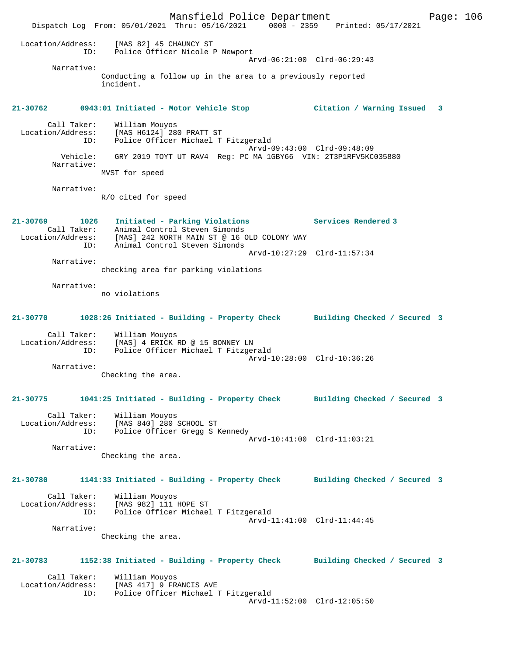Mansfield Police Department Page: 106 Dispatch Log From: 05/01/2021 Thru: 05/16/2021 0000 - 2359 Printed: 05/17/2021 Location/Address: [MAS 82] 45 CHAUNCY ST ID: Police Officer Nicole P Newport Arvd-06:21:00 Clrd-06:29:43 Narrative: Conducting a follow up in the area to a previously reported incident. **21-30762 0943:01 Initiated - Motor Vehicle Stop Citation / Warning Issued 3** Call Taker: William Mouyos Location/Address: [MAS H6124] 280 PRATT ST ID: Police Officer Michael T Fitzgerald Arvd-09:43:00 Clrd-09:48:09 Vehicle: GRY 2019 TOYT UT RAV4 Reg: PC MA 1GBY66 VIN: 2T3P1RFV5KC035880 Narrative: MVST for speed Narrative: R/O cited for speed **21-30769 1026 Initiated - Parking Violations Services Rendered 3**  Call Taker: Animal Control Steven Simonds Location/Address: [MAS] 242 NORTH MAIN ST @ 16 OLD COLONY WAY ID: Animal Control Steven Simonds Arvd-10:27:29 Clrd-11:57:34 Narrative: checking area for parking violations Narrative: no violations **21-30770 1028:26 Initiated - Building - Property Check Building Checked / Secured 3** Call Taker: William Mouyos Location/Address: [MAS] 4 ERICK RD @ 15 BONNEY LN ID: Police Officer Michael T Fitzgerald Arvd-10:28:00 Clrd-10:36:26 Narrative: Checking the area. **21-30775 1041:25 Initiated - Building - Property Check Building Checked / Secured 3** Call Taker: William Mouyos Location/Address: [MAS 840] 280 SCHOOL ST ID: Police Officer Gregg S Kennedy Arvd-10:41:00 Clrd-11:03:21 Narrative: Checking the area. **21-30780 1141:33 Initiated - Building - Property Check Building Checked / Secured 3** Call Taker: William Mouyos Location/Address: [MAS 982] 111 HOPE ST ID: Police Officer Michael T Fitzgerald Arvd-11:41:00 Clrd-11:44:45 Narrative: Checking the area. **21-30783 1152:38 Initiated - Building - Property Check Building Checked / Secured 3** Call Taker: William Mouyos<br>Location/Address: [MAS 417] 9 FR. Location/Address: [MAS 417] 9 FRANCIS AVE ID: Police Officer Michael T Fitzgerald Arvd-11:52:00 Clrd-12:05:50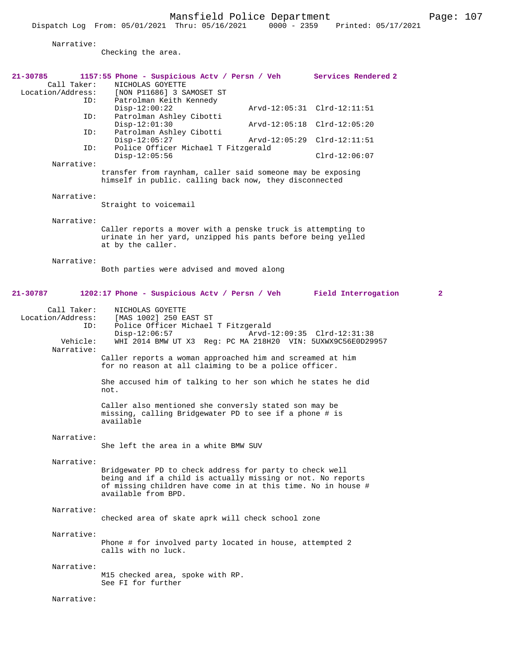Narrative:

Checking the area.

| 21-30785<br>Call Taker:<br>Location/Address: | 1157:55 Phone - Suspicious Actv / Persn / Veh Services Rendered 2<br>NICHOLAS GOYETTE<br>[NON P11686] 3 SAMOSET ST                                                                                            |  |                             |  |  |  |
|----------------------------------------------|---------------------------------------------------------------------------------------------------------------------------------------------------------------------------------------------------------------|--|-----------------------------|--|--|--|
| ID:                                          | Patrolman Keith Kennedy<br>$Disp-12:00:22$                                                                                                                                                                    |  | Arvd-12:05:31 Clrd-12:11:51 |  |  |  |
| ID:                                          | Patrolman Ashley Cibotti<br>$Disp-12:01:30$                                                                                                                                                                   |  | Arvd-12:05:18 Clrd-12:05:20 |  |  |  |
| ID:                                          | Patrolman Ashley Cibotti<br>$Disp-12:05:27$<br>Police Officer Michael T Fitzgerald<br>$Disp-12:05:56$                                                                                                         |  | Arvd-12:05:29 Clrd-12:11:51 |  |  |  |
| ID:                                          |                                                                                                                                                                                                               |  | $Clrd-12:06:07$             |  |  |  |
| Narrative:                                   | transfer from raynham, caller said someone may be exposing<br>himself in public. calling back now, they disconnected                                                                                          |  |                             |  |  |  |
| Narrative:                                   | Straight to voicemail                                                                                                                                                                                         |  |                             |  |  |  |
| Narrative:                                   | Caller reports a mover with a penske truck is attempting to<br>urinate in her yard, unzipped his pants before being yelled<br>at by the caller.                                                               |  |                             |  |  |  |
| Narrative:                                   | Both parties were advised and moved along                                                                                                                                                                     |  |                             |  |  |  |
| 21-30787                                     | 1202:17 Phone - Suspicious Actv / Persn / Veh                                                                                                                                                                 |  | Field Interrogation<br>2    |  |  |  |
| Call Taker:<br>Location/Address:<br>ID:      | NICHOLAS GOYETTE<br>[MAS 1002] 250 EAST ST<br>Police Officer Michael T Fitzgerald<br>$Disp-12:06:57$<br>Arvd-12:09:35 Clrd-12:31:38                                                                           |  |                             |  |  |  |
| Vehicle:<br>Narrative:                       | WHI 2014 BMW UT X3 Reg: PC MA 218H20 VIN: 5UXWX9C56E0D29957                                                                                                                                                   |  |                             |  |  |  |
|                                              | Caller reports a woman approached him and screamed at him<br>for no reason at all claiming to be a police officer.                                                                                            |  |                             |  |  |  |
|                                              | She accused him of talking to her son which he states he did<br>not.                                                                                                                                          |  |                             |  |  |  |
|                                              | Caller also mentioned she conversly stated son may be<br>missing, calling Bridgewater PD to see if a phone # is<br>available                                                                                  |  |                             |  |  |  |
| Narrative:                                   | She left the area in a white BMW SUV                                                                                                                                                                          |  |                             |  |  |  |
| Narrative:                                   |                                                                                                                                                                                                               |  |                             |  |  |  |
|                                              | Bridgewater PD to check address for party to check well<br>being and if a child is actually missing or not. No reports<br>of missing children have come in at this time. No in house #<br>available from BPD. |  |                             |  |  |  |
| Narrative:                                   | checked area of skate aprk will check school zone                                                                                                                                                             |  |                             |  |  |  |
| Narrative:                                   | Phone # for involved party located in house, attempted 2<br>calls with no luck.                                                                                                                               |  |                             |  |  |  |
| Narrative:                                   | M15 checked area, spoke with RP.<br>See FI for further                                                                                                                                                        |  |                             |  |  |  |
| Narrative:                                   |                                                                                                                                                                                                               |  |                             |  |  |  |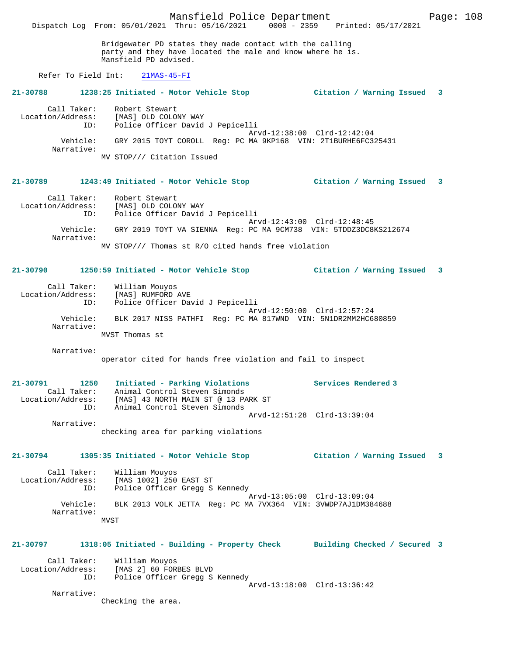Mansfield Police Department Fage: 108 Dispatch Log From: 05/01/2021 Thru: 05/16/2021 0000 - 2359 Printed: 05/17/2021 Bridgewater PD states they made contact with the calling party and they have located the male and know where he is. Mansfield PD advised. Refer To Field Int: 21MAS-45-FI **21-30788 1238:25 Initiated - Motor Vehicle Stop Citation / Warning Issued 3** Call Taker: Robert Stewart Location/Address: [MAS] OLD COLONY WAY ID: Police Officer David J Pepicelli Arvd-12:38:00 Clrd-12:42:04 Vehicle: GRY 2015 TOYT COROLL Reg: PC MA 9KP168 VIN: 2T1BURHE6FC325431 Narrative: MV STOP/// Citation Issued **21-30789 1243:49 Initiated - Motor Vehicle Stop Citation / Warning Issued 3** Call Taker: Robert Stewart Location/Address: [MAS] OLD COLONY WAY ID: Police Officer David J Pepicelli Arvd-12:43:00 Clrd-12:48:45 Vehicle: GRY 2019 TOYT VA SIENNA Reg: PC MA 9CM738 VIN: 5TDDZ3DC8KS212674 Narrative: MV STOP/// Thomas st R/O cited hands free violation **21-30790 1250:59 Initiated - Motor Vehicle Stop Citation / Warning Issued 3** Call Taker: William Mouyos Location/Address: [MAS] RUMFORD AVE ID: Police Officer David J Pepicelli Arvd-12:50:00 Clrd-12:57:24 Vehicle: BLK 2017 NISS PATHFI Reg: PC MA 817WND VIN: 5N1DR2MM2HC680859 Narrative: MVST Thomas st Narrative: operator cited for hands free violation and fail to inspect **21-30791 1250 Initiated - Parking Violations Services Rendered 3**  Call Taker: Animal Control Steven Simonds Location/Address: [MAS] 43 NORTH MAIN ST @ 13 PARK ST ID: Animal Control Steven Simonds Arvd-12:51:28 Clrd-13:39:04 Narrative: checking area for parking violations **21-30794 1305:35 Initiated - Motor Vehicle Stop Citation / Warning Issued 3** Call Taker: William Mouyos<br>Location/Address: [MAS 1002] 250 ess: [MAS 1002] 250 EAST ST<br>ID: Police Officer Gread S ID: Police Officer Gregg S Kennedy Arvd-13:05:00 Clrd-13:09:04 Vehicle: BLK 2013 VOLK JETTA Reg: PC MA 7VX364 VIN: 3VWDP7AJ1DM384688 Narrative: MVST **21-30797 1318:05 Initiated - Building - Property Check Building Checked / Secured 3** Call Taker: William Mouyos Location/Address: [MAS 2] 60 FORBES BLVD ID: Police Officer Gregg S Kennedy Arvd-13:18:00 Clrd-13:36:42 Narrative: Checking the area.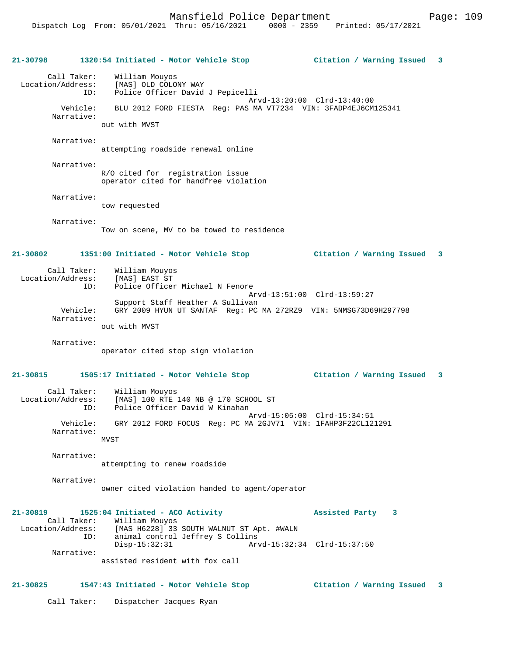**21-30798 1320:54 Initiated - Motor Vehicle Stop Citation / Warning Issued 3** Call Taker: William Mouyos Location/Address: [MAS] OLD COLONY WAY Police Officer David J Pepicelli Arvd-13:20:00 Clrd-13:40:00 Vehicle: BLU 2012 FORD FIESTA Reg: PAS MA VT7234 VIN: 3FADP4EJ6CM125341 Narrative: out with MVST Narrative: attempting roadside renewal online Narrative: R/O cited for registration issue operator cited for handfree violation Narrative: tow requested Narrative: Tow on scene, MV to be towed to residence **21-30802 1351:00 Initiated - Motor Vehicle Stop Citation / Warning Issued 3** Call Taker: William Mouyos<br>.on/Address: [MAS] EAST ST Location/Address:<br>ID: Police Officer Michael N Fenore Arvd-13:51:00 Clrd-13:59:27 Support Staff Heather A Sullivan<br>Vehicle: GRY 2009 HYUN UT SANTAF Req: PC Vehicle: GRY 2009 HYUN UT SANTAF Reg: PC MA 272RZ9 VIN: 5NMSG73D69H297798 Narrative: out with MVST Narrative: operator cited stop sign violation **21-30815 1505:17 Initiated - Motor Vehicle Stop Citation / Warning Issued 3** Call Taker: William Mouyos Location/Address: [MAS] 100 RTE 140 NB @ 170 SCHOOL ST ID: Police Officer David W Kinahan Arvd-15:05:00 Clrd-15:34:51 Vehicle: GRY 2012 FORD FOCUS Reg: PC MA 2GJV71 VIN: 1FAHP3F22CL121291 Narrative: **MVST**  Narrative: attempting to renew roadside Narrative: owner cited violation handed to agent/operator **21-30819 1525:04 Initiated - ACO Activity Assisted Party 3**  Call Taker: William Mouyos<br>Location/Address: [MAS H6228] 33 ess: [MAS H6228] 33 SOUTH WALNUT ST Apt. #WALN<br>ID: animal control Jeffrey S Collins animal control Jeffrey S Collins<br>Disp-15:32:31 Arv Disp-15:32:31 Arvd-15:32:34 Clrd-15:37:50 Narrative: assisted resident with fox call **21-30825 1547:43 Initiated - Motor Vehicle Stop Citation / Warning Issued 3** Call Taker: Dispatcher Jacques Ryan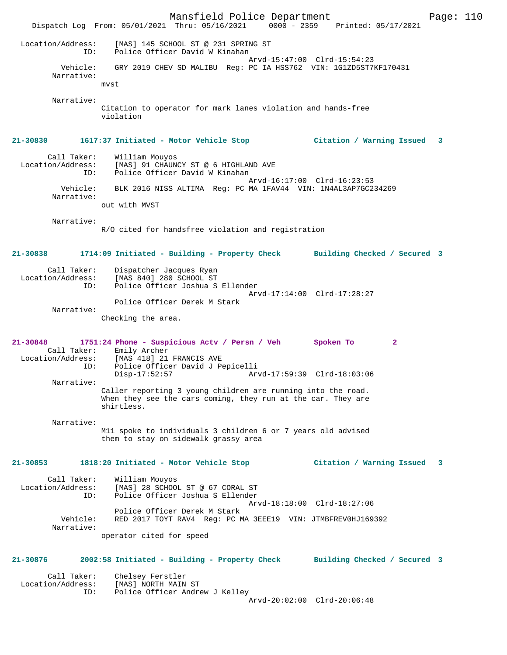Mansfield Police Department Form Page: 110 Dispatch Log From: 05/01/2021 Thru: 05/16/2021 0000 - 2359 Printed: 05/17/2021 Location/Address: [MAS] 145 SCHOOL ST @ 231 SPRING ST ID: Police Officer David W Kinahan Arvd-15:47:00 Clrd-15:54:23 Vehicle: GRY 2019 CHEV SD MALIBU Reg: PC IA HSS762 VIN: 1G1ZD5ST7KF170431 Narrative: mvst Narrative: Citation to operator for mark lanes violation and hands-free violation **21-30830 1617:37 Initiated - Motor Vehicle Stop Citation / Warning Issued 3** Call Taker: William Mouyos<br>Location/Address: [MAS] 91 CHAUN [MAS] 91 CHAUNCY ST @ 6 HIGHLAND AVE ID: Police Officer David W Kinahan Arvd-16:17:00 Clrd-16:23:53 Vehicle: BLK 2016 NISS ALTIMA Reg: PC MA 1FAV44 VIN: 1N4AL3AP7GC234269 Narrative: out with MVST Narrative: R/O cited for handsfree violation and registration **21-30838 1714:09 Initiated - Building - Property Check Building Checked / Secured 3** Call Taker: Dispatcher Jacques Ryan Location/Address: [MAS 840] 280 SCHOOL ST ID: Police Officer Joshua S Ellender Arvd-17:14:00 Clrd-17:28:27 Police Officer Derek M Stark Narrative: Checking the area. **21-30848 1751:24 Phone - Suspicious Actv / Persn / Veh Spoken To 2**  Call Taker: Emily Archer<br>Location/Address: [MAS 418] 21 ess: [MAS 418] 21 FRANCIS AVE<br>ID: Police Officer David J Pe ID: Police Officer David J Pepicelli Disp-17:52:57 Arvd-17:59:39 Clrd-18:03:06 Narrative: Caller reporting 3 young children are running into the road. When they see the cars coming, they run at the car. They are shirtless. Narrative: M11 spoke to individuals 3 children 6 or 7 years old advised them to stay on sidewalk grassy area **21-30853 1818:20 Initiated - Motor Vehicle Stop Citation / Warning Issued 3** Call Taker: William Mouyos Location/Address: [MAS] 28 SCHOOL ST @ 67 CORAL ST ID: Police Officer Joshua S Ellender Arvd-18:18:00 Clrd-18:27:06 Police Officer Derek M Stark<br>Vehicle: RED 2017 TOYT RAV4 Req: PC M Vehicle: RED 2017 TOYT RAV4 Reg: PC MA 3EEE19 VIN: JTMBFREV0HJ169392 Narrative: operator cited for speed **21-30876 2002:58 Initiated - Building - Property Check Building Checked / Secured 3** Call Taker: Chelsey Ferstler Location/Address: [MAS] NORTH MAIN ST ID: Police Officer Andrew J Kelley Arvd-20:02:00 Clrd-20:06:48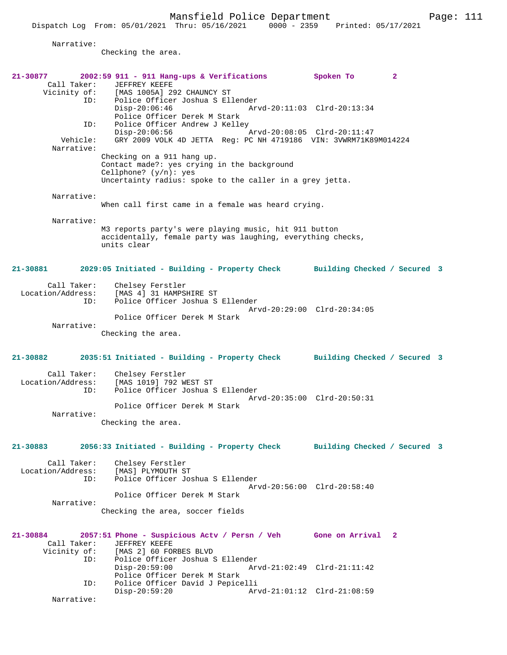|                                         | Dispatch Log From: 05/01/2021 Thru: 05/16/2021<br>$0000 - 2359$                                                                                                  | Printed: 05/17/2021         |              |  |
|-----------------------------------------|------------------------------------------------------------------------------------------------------------------------------------------------------------------|-----------------------------|--------------|--|
| Narrative:                              | Checking the area.                                                                                                                                               |                             |              |  |
| 21-30877                                | $2002:59$ 911 - 911 Hang-ups & Verifications                                                                                                                     | Spoken To                   | $\mathbf{2}$ |  |
| Call Taker:<br>Vicinity of:<br>ID:      | <b>JEFFREY KEEFE</b><br>[MAS 1005A] 292 CHAUNCY ST<br>Police Officer Joshua S Ellender<br>$Disp-20:06:46$                                                        | Arvd-20:11:03 Clrd-20:13:34 |              |  |
| ID:<br>Vehicle:<br>Narrative:           | Police Officer Derek M Stark<br>Police Officer Andrew J Kelley<br>$Disp-20:06:56$<br>GRY 2009 VOLK 4D JETTA Reg: PC NH 4719186 VIN: 3VWRM71K89M014224            |                             |              |  |
|                                         | Checking on a 911 hang up.<br>Contact made?: yes crying in the background<br>Cellphone? $(y/n):$ yes<br>Uncertainty radius: spoke to the caller in a grey jetta. |                             |              |  |
| Narrative:                              | When call first came in a female was heard crying.                                                                                                               |                             |              |  |
| Narrative:                              | M3 reports party's were playing music, hit 911 button<br>accidentally, female party was laughing, everything checks,<br>units clear                              |                             |              |  |
| 21-30881                                | 2029:05 Initiated - Building - Property Check Building Checked / Secured 3                                                                                       |                             |              |  |
| Call Taker:<br>ID:                      | Chelsey Ferstler<br>Location/Address: [MAS 4] 31 HAMPSHIRE ST<br>Police Officer Joshua S Ellender                                                                | Arvd-20:29:00 Clrd-20:34:05 |              |  |
| Narrative:                              | Police Officer Derek M Stark<br>Checking the area.                                                                                                               |                             |              |  |
| 21-30882                                | 2035:51 Initiated - Building - Property Check Building Checked / Secured 3                                                                                       |                             |              |  |
| Call Taker:<br>Location/Address:<br>ID: | Chelsey Ferstler<br>[MAS 1019] 792 WEST ST<br>Police Officer Joshua S Ellender                                                                                   | Arvd-20:35:00 Clrd-20:50:31 |              |  |
| Narrative:                              | Police Officer Derek M Stark<br>Checking the area.                                                                                                               |                             |              |  |
| 21-30883                                | 2056:33 Initiated - Building - Property Check Building Checked / Secured 3                                                                                       |                             |              |  |
| Call Taker:<br>Location/Address:<br>ID: | Chelsey Ferstler<br>[MAS] PLYMOUTH ST<br>Police Officer Joshua S Ellender                                                                                        | Arvd-20:56:00 Clrd-20:58:40 |              |  |
| Narrative:                              | Police Officer Derek M Stark<br>Checking the area, soccer fields                                                                                                 |                             |              |  |
| 21-30884<br>Call Taker:<br>Vicinity of: | 2057:51 Phone - Suspicious Actv / Persn / Veh Gone on Arrival 2<br>JEFFREY KEEFE<br>[MAS 2] 60 FORBES BLVD                                                       |                             |              |  |
| ID:<br>ID:                              | Police Officer Joshua S Ellender<br>$Disp-20:59:00$<br>Police Officer Derek M Stark<br>Police Officer David J Pepicelli                                          | Arvd-21:02:49 Clrd-21:11:42 |              |  |
| Narrative:                              | $Disp-20:59:20$                                                                                                                                                  | Arvd-21:01:12 Clrd-21:08:59 |              |  |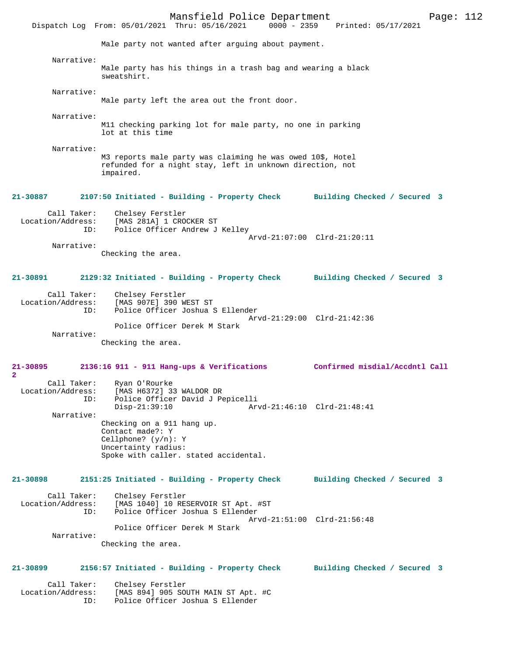Mansfield Police Department Page: 112 Dispatch Log From: 05/01/2021 Thru: 05/16/2021 Male party not wanted after arguing about payment. Narrative: Male party has his things in a trash bag and wearing a black sweatshirt. Narrative: Male party left the area out the front door. Narrative: M11 checking parking lot for male party, no one in parking lot at this time Narrative: M3 reports male party was claiming he was owed 10\$, Hotel refunded for a night stay, left in unknown direction, not impaired. **21-30887 2107:50 Initiated - Building - Property Check Building Checked / Secured 3** Call Taker: Chelsey Ferstler<br>Location/Address: [MAS 281A] 1 CRO [MAS 281A] 1 CROCKER ST ID: Police Officer Andrew J Kelley Arvd-21:07:00 Clrd-21:20:11 Narrative: Checking the area. **21-30891 2129:32 Initiated - Building - Property Check Building Checked / Secured 3** Call Taker: Chelsey Ferstler Location/Address: [MAS 907E] 390 WEST ST Police Officer Joshua S Ellender Arvd-21:29:00 Clrd-21:42:36 Police Officer Derek M Stark Narrative: Checking the area. **21-30895 2136:16 911 - 911 Hang-ups & Verifications Confirmed misdial/Accdntl Call 2**  Call Taker: Ryan O'Rourke<br>Location/Address: [MAS H6372] 3 [MAS H6372] 33 WALDOR DR ID: Police Officer David J Pepicelli Disp-21:39:10 Arvd-21:46:10 Clrd-21:48:41 Narrative: Checking on a 911 hang up. Contact made?: Y Cellphone? (y/n): Y Uncertainty radius: Spoke with caller. stated accidental. **21-30898 2151:25 Initiated - Building - Property Check Building Checked / Secured 3** Call Taker: Chelsey Ferstler Location/Address: [MAS 1040] 10 RESERVOIR ST Apt. #ST Police Officer Joshua S Ellender Arvd-21:51:00 Clrd-21:56:48 Police Officer Derek M Stark Narrative: Checking the area. **21-30899 2156:57 Initiated - Building - Property Check Building Checked / Secured 3** Call Taker: Chelsey Ferstler Location/Address: [MAS 894] 905 SOUTH MAIN ST Apt. #C Police Officer Joshua S Ellender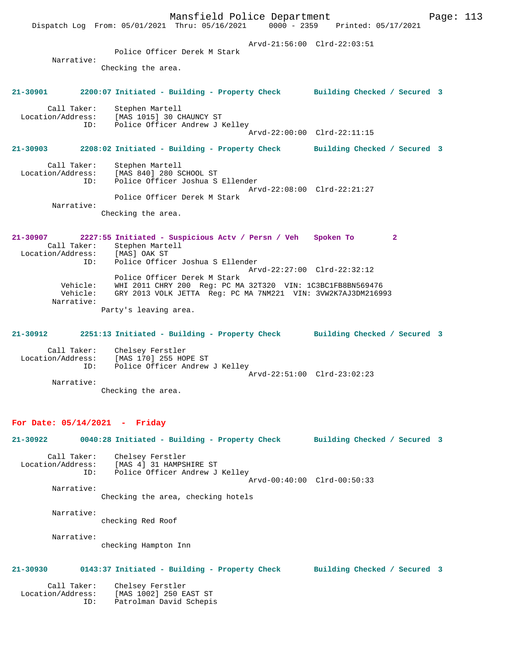Mansfield Police Department Fage: 113 Dispatch Log From: 05/01/2021 Thru: 05/16/2021 0000 - 2359 Printed: 05/17/2021 Arvd-21:56:00 Clrd-22:03:51 Police Officer Derek M Stark Narrative: Checking the area. **21-30901 2200:07 Initiated - Building - Property Check Building Checked / Secured 3** Call Taker: Stephen Martell Location/Address: [MAS 1015] 30 CHAUNCY ST ID: Police Officer Andrew J Kelley Arvd-22:00:00 Clrd-22:11:15 **21-30903 2208:02 Initiated - Building - Property Check Building Checked / Secured 3** Call Taker: Stephen Martell Location/Address: [MAS 840] 280 SCHOOL ST ID: Police Officer Joshua S Ellender Arvd-22:08:00 Clrd-22:21:27 Police Officer Derek M Stark Narrative: Checking the area. **21-30907 2227:55 Initiated - Suspicious Actv / Persn / Veh Spoken To 2**  Call Taker: Stephen Martell<br>ion/Address: [MAS] OAK ST Location/Address: ID: Police Officer Joshua S Ellender Arvd-22:27:00 Clrd-22:32:12 Police Officer Derek M Stark Vehicle: WHI 2011 CHRY 200 Reg: PC MA 32T320 VIN: 1C3BC1FB8BN569476 Vehicle: GRY 2013 VOLK JETTA Reg: PC MA 7NM221 VIN: 3VW2K7AJ3DM216993 Narrative: Party's leaving area. **21-30912 2251:13 Initiated - Building - Property Check Building Checked / Secured 3** Call Taker: Chelsey Ferstler Location/Address: [MAS 170] 255 HOPE ST ID: Police Officer Andrew J Kelley Arvd-22:51:00 Clrd-23:02:23 Narrative: Checking the area. **For Date: 05/14/2021 - Friday 21-30922 0040:28 Initiated - Building - Property Check Building Checked / Secured 3** Call Taker: Chelsey Ferstler Location/Address: [MAS 4] 31 HAMPSHIRE ST ID: Police Officer Andrew J Kelley Arvd-00:40:00 Clrd-00:50:33 Narrative: Checking the area, checking hotels Narrative: checking Red Roof Narrative: checking Hampton Inn **21-30930 0143:37 Initiated - Building - Property Check Building Checked / Secured 3** Call Taker: Chelsey Ferstler Location/Address: [MAS 1002] 250 EAST ST ID: Patrolman David Schepis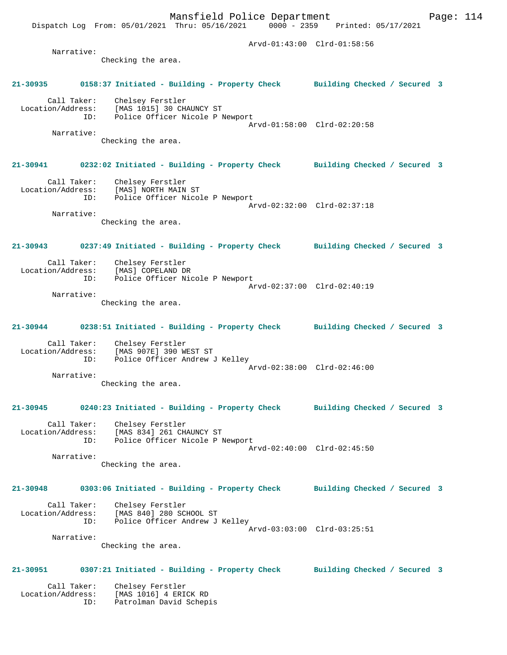Dispatch Log From: 05/01/2021 Thru: 05/16/2021 0000 - 2359 Printed: 05/17/2021 Arvd-01:43:00 Clrd-01:58:56 Narrative: Checking the area. **21-30935 0158:37 Initiated - Building - Property Check Building Checked / Secured 3** Call Taker: Chelsey Ferstler Location/Address: [MAS 1015] 30 CHAUNCY ST ID: Police Officer Nicole P Newport Arvd-01:58:00 Clrd-02:20:58 Narrative: Checking the area. **21-30941 0232:02 Initiated - Building - Property Check Building Checked / Secured 3** Call Taker: Chelsey Ferstler Location/Address: [MAS] NORTH MAIN ST ID: Police Officer Nicole P Newport Arvd-02:32:00 Clrd-02:37:18 Narrative: Checking the area. **21-30943 0237:49 Initiated - Building - Property Check Building Checked / Secured 3** Call Taker: Chelsey Ferstler<br>ion/Address: [MAS] COPELAND DR Location/Address: ID: Police Officer Nicole P Newport Arvd-02:37:00 Clrd-02:40:19 Narrative: Checking the area. **21-30944 0238:51 Initiated - Building - Property Check Building Checked / Secured 3** Call Taker: Chelsey Ferstler Location/Address: [MAS 907E] 390 WEST ST ID: Police Officer Andrew J Kelley Arvd-02:38:00 Clrd-02:46:00 Narrative: Checking the area. **21-30945 0240:23 Initiated - Building - Property Check Building Checked / Secured 3** Call Taker: Chelsey Ferstler Location/Address: [MAS 834] 261 CHAUNCY ST ID: Police Officer Nicole P Newport Arvd-02:40:00 Clrd-02:45:50 Narrative: Checking the area. **21-30948 0303:06 Initiated - Building - Property Check Building Checked / Secured 3** Call Taker: Chelsey Ferstler Location/Address: [MAS 840] 280 SCHOOL ST ID: Police Officer Andrew J Kelley Arvd-03:03:00 Clrd-03:25:51 Narrative: Checking the area. **21-30951 0307:21 Initiated - Building - Property Check Building Checked / Secured 3** Call Taker: Chelsey Ferstler Location/Address: [MAS 1016] 4 ERICK RD

ID: Patrolman David Schepis

Mansfield Police Department Fage: 114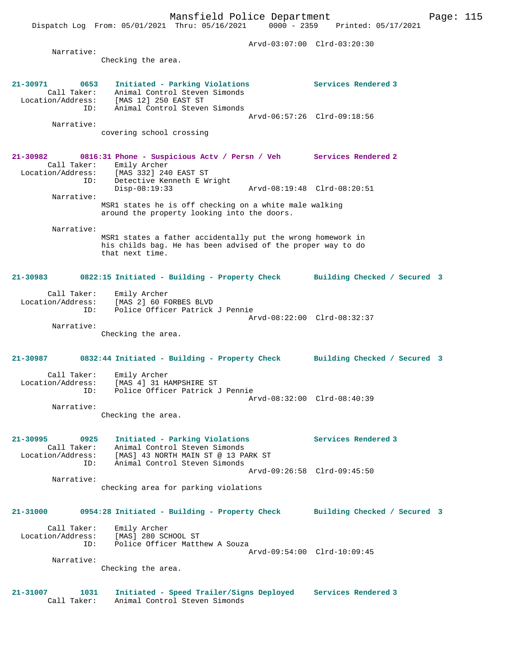Dispatch Log From: 05/01/2021 Thru: 05/16/2021 0000 - 2359 Printed: 05/17/2021 Arvd-03:07:00 Clrd-03:20:30 Narrative: Checking the area. **21-30971 0653 Initiated - Parking Violations Services Rendered 3**  Call Taker: Animal Control Steven Simonds Location/Address: [MAS 12] 250 EAST ST ID: Animal Control Steven Simonds Arvd-06:57:26 Clrd-09:18:56 Narrative: covering school crossing **21-30982 0816:31 Phone - Suspicious Actv / Persn / Veh Services Rendered 2**  Call Taker: Emily Archer Location/Address: [MAS 332] 240 EAST ST ID: Detective Kenneth E Wright Disp-08:19:33 Arvd-08:19:48 Clrd-08:20:51 Narrative: MSR1 states he is off checking on a white male walking around the property looking into the doors. Narrative: MSR1 states a father accidentally put the wrong homework in his childs bag. He has been advised of the proper way to do that next time. **21-30983 0822:15 Initiated - Building - Property Check Building Checked / Secured 3** Call Taker: Emily Archer Location/Address: [MAS 2] 60 FORBES BLVD ID: Police Officer Patrick J Pennie Arvd-08:22:00 Clrd-08:32:37 Narrative: Checking the area. **21-30987 0832:44 Initiated - Building - Property Check Building Checked / Secured 3** Call Taker: Emily Archer Location/Address: [MAS 4] 31 HAMPSHIRE ST ID: Police Officer Patrick J Pennie Arvd-08:32:00 Clrd-08:40:39 Narrative: Checking the area. **21-30995 0925 Initiated - Parking Violations Services Rendered 3**  Call Taker: Animal Control Steven Simonds Location/Address: [MAS] 43 NORTH MAIN ST @ 13 PARK ST ID: Animal Control Steven Simonds Arvd-09:26:58 Clrd-09:45:50 Narrative: checking area for parking violations **21-31000 0954:28 Initiated - Building - Property Check Building Checked / Secured 3** Call Taker: Emily Archer Location/Address: [MAS] 280 SCHOOL ST ID: Police Officer Matthew A Souza Arvd-09:54:00 Clrd-10:09:45 Narrative: Checking the area. **21-31007 1031 Initiated - Speed Trailer/Signs Deployed Services Rendered 3**  Call Taker: Animal Control Steven Simonds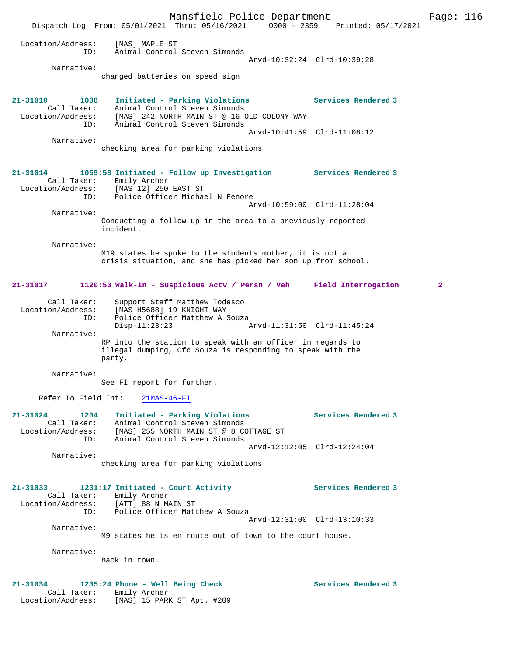Mansfield Police Department Page: 116 Dispatch Log From: 05/01/2021 Thru: 05/16/2021 0000 - 2359 Printed: 05/17/2021 Location/Address: [MAS] MAPLE ST ID: Animal Control Steven Simonds Arvd-10:32:24 Clrd-10:39:28 Narrative: changed batteries on speed sign **21-31010 1038 Initiated - Parking Violations Services Rendered 3**  Call Taker: Animal Control Steven Simonds Location/Address: [MAS] 242 NORTH MAIN ST @ 16 OLD COLONY WAY ID: Animal Control Steven Simonds Arvd-10:41:59 Clrd-11:08:12 Narrative: checking area for parking violations **21-31014 1059:58 Initiated - Follow up Investigation Services Rendered 3**  Call Taker: Emily Archer Location/Address: [MAS 12] 250 EAST ST ID: Police Officer Michael N Fenore Arvd-10:59:00 Clrd-11:28:04 Narrative: Conducting a follow up in the area to a previously reported incident. Narrative: M19 states he spoke to the students mother, it is not a crisis situation, and she has picked her son up from school. **21-31017 1120:53 Walk-In - Suspicious Actv / Persn / Veh Field Interrogation 2** Call Taker: Support Staff Matthew Todesco Location/Address: [MAS H5688] 19 KNIGHT WAY ID: Police Officer Matthew A Souza Disp-11:23:23 Arvd-11:31:50 Clrd-11:45:24 Narrative: RP into the station to speak with an officer in regards to illegal dumping, Ofc Souza is responding to speak with the party. Narrative: See FI report for further. Refer To Field Int: 21MAS-46-FI **21-31024 1204 Initiated - Parking Violations Services Rendered 3**  Call Taker: Animal Control Steven Simonds Location/Address: [MAS] 255 NORTH MAIN ST @ 8 COTTAGE ST ID: Animal Control Steven Simonds Arvd-12:12:05 Clrd-12:24:04 Narrative: checking area for parking violations **21-31033 1231:17 Initiated - Court Activity Services Rendered 3**  Call Taker: Emily Archer Location/Address: [ATT] 88 N MAIN ST ID: Police Officer Matthew A Souza Arvd-12:31:00 Clrd-13:10:33 Narrative: M9 states he is en route out of town to the court house. Narrative: Back in town. **21-31034 1235:24 Phone - Well Being Check Services Rendered 3**  Call Taker: Emily Archer Location/Address: [MAS] 15 PARK ST Apt. #209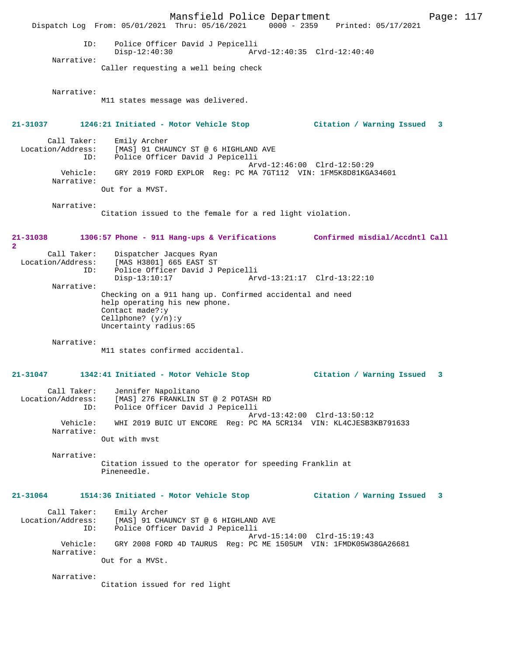Mansfield Police Department Page: 117 Dispatch Log From: 05/01/2021 Thru: 05/16/2021 0000 - 2359 Printed: 05/17/2021 ID: Police Officer David J Pepicelli Disp-12:40:30 Arvd-12:40:35 Clrd-12:40:40 Narrative: Caller requesting a well being check Narrative: M11 states message was delivered. **21-31037 1246:21 Initiated - Motor Vehicle Stop Citation / Warning Issued 3** Call Taker: Emily Archer Location/Address: [MAS] 91 CHAUNCY ST @ 6 HIGHLAND AVE ID: Police Officer David J Pepicelli Arvd-12:46:00 Clrd-12:50:29 Vehicle: GRY 2019 FORD EXPLOR Reg: PC MA 7GT112 VIN: 1FM5K8D81KGA34601 Narrative: Out for a MVST. Narrative: Citation issued to the female for a red light violation. **21-31038 1306:57 Phone - 911 Hang-ups & Verifications Confirmed misdial/Accdntl Call 2**  Call Taker: Dispatcher Jacques Ryan<br>Location/Address: [MAS H3801] 665 EAST ST [MAS H3801] 665 EAST ST ID: Police Officer David J Pepicelli Disp-13:10:17 Arvd-13:21:17 Clrd-13:22:10 Narrative: Checking on a 911 hang up. Confirmed accidental and need help operating his new phone. Contact made?:y Cellphone? (y/n):y Uncertainty radius:65 Narrative: M11 states confirmed accidental. **21-31047 1342:41 Initiated - Motor Vehicle Stop Citation / Warning Issued 3** Call Taker: Jennifer Napolitano Location/Address: [MAS] 276 FRANKLIN ST @ 2 POTASH RD ID: Police Officer David J Pepicelli Arvd-13:42:00 Clrd-13:50:12 Vehicle: WHI 2019 BUIC UT ENCORE Reg: PC MA 5CR134 VIN: KL4CJESB3KB791633 Narrative: Out with mvst Narrative: Citation issued to the operator for speeding Franklin at Pineneedle. **21-31064 1514:36 Initiated - Motor Vehicle Stop Citation / Warning Issued 3** Call Taker: Emily Archer Location/Address: [MAS] 91 CHAUNCY ST @ 6 HIGHLAND AVE ID: Police Officer David J Pepicelli Arvd-15:14:00 Clrd-15:19:43 Vehicle: GRY 2008 FORD 4D TAURUS Reg: PC ME 1505UM VIN: 1FMDK05W38GA26681 Narrative: Out for a MVSt. Narrative: Citation issued for red light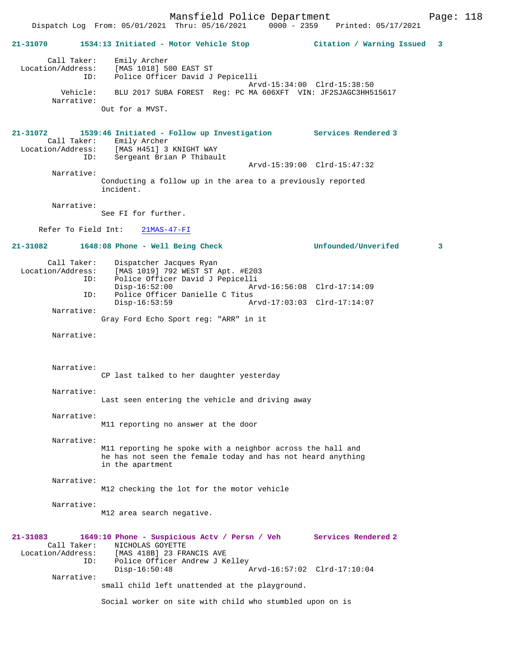Mansfield Police Department Page: 118 Dispatch Log From: 05/01/2021 Thru: 05/16/2021 0000 - 2359 **21-31070 1534:13 Initiated - Motor Vehicle Stop Citation / Warning Issued 3** Call Taker: Emily Archer Location/Address: [MAS 1018] 500 EAST ST ID: Police Officer David J Pepicelli Arvd-15:34:00 Clrd-15:38:50 Vehicle: BLU 2017 SUBA FOREST Reg: PC MA 606XFT VIN: JF2SJAGC3HH515617 Narrative: Out for a MVST. **21-31072 1539:46 Initiated - Follow up Investigation Services Rendered 3**  Call Taker: Emily Archer<br>Location/Address: [MAS H451] 3 ess: [MAS H451] 3 KNIGHT WAY<br>ID: Sergeant Brian P Thibau. Sergeant Brian P Thibault Arvd-15:39:00 Clrd-15:47:32 Narrative: Conducting a follow up in the area to a previously reported incident. Narrative: See FI for further. Refer To Field Int: 21MAS-47-FI **21-31082 1648:08 Phone - Well Being Check Unfounded/Unverifed 3** Call Taker: Dispatcher Jacques Ryan<br>Location/Address: [MAS 1019] 792 WEST ST Z Location/Address: [MAS 1019] 792 WEST ST Apt. #E203 ID: Police Officer David J Pepicelli Disp-16:52:00 Arvd-16:56:08 Clrd-17:14:09 ID: Police Officer Danielle C Titus Disp-16:53:59 Arvd-17:03:03 Clrd-17:14:07 Narrative: Gray Ford Echo Sport reg: "ARR" in it Narrative: Narrative: CP last talked to her daughter yesterday Narrative: Last seen entering the vehicle and driving away Narrative: M11 reporting no answer at the door Narrative: M11 reporting he spoke with a neighbor across the hall and he has not seen the female today and has not heard anything in the apartment Narrative: M12 checking the lot for the motor vehicle Narrative: M12 area search negative. **21-31083 1649:10 Phone - Suspicious Actv / Persn / Veh Services Rendered 2**  Call Taker: NICHOLAS GOYETTE Location/Address: [MAS 418B] 23 FRANCIS AVE ID: Police Officer Andrew J Kelley Disp-16:50:48 Arvd-16:57:02 Clrd-17:10:04 Narrative: small child left unattended at the playground. Social worker on site with child who stumbled upon on is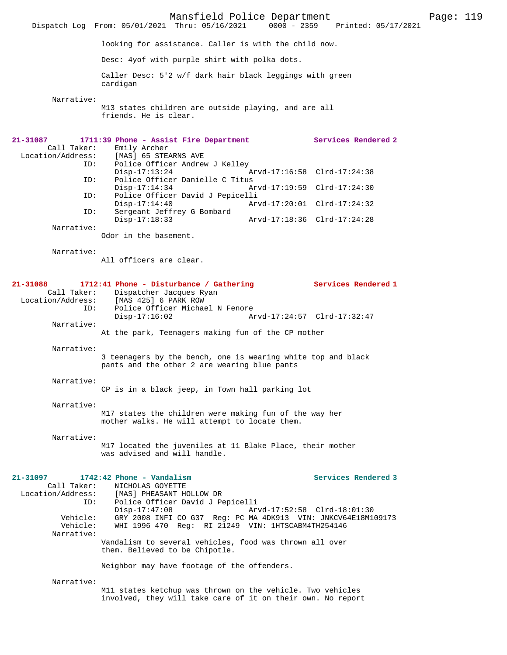Mansfield Police Department Page: 119 Dispatch Log From: 05/01/2021 Thru: 05/16/2021 looking for assistance. Caller is with the child now. Desc: 4yof with purple shirt with polka dots. Caller Desc: 5'2 w/f dark hair black leggings with green cardigan Narrative: M13 states children are outside playing, and are all friends. He is clear. **21-31087 1711:39 Phone - Assist Fire Department Services Rendered 2**  Call Taker: Emily Archer Location/Address: [MAS] 65 STEARNS AVE Police Officer Andrew J Kelley<br>Disp-17:13:24 Arvd-17:16:58 Clrd-17:24:38 ID: Police Officer Danielle C Titus Arvd-17:19:59 Clrd-17:24:30 ID: Police Officer David J Pepicelli Disp-17:14:40 Arvd-17:20:01 Clrd-17:24:32 ID: Sergeant Jeffrey G Bombard Disp-17:18:33 Arvd-17:18:36 Clrd-17:24:28 Narrative: Odor in the basement. Narrative: All officers are clear. **21-31088 1712:41 Phone - Disturbance / Gathering Services Rendered 1**  Call Taker: Dispatcher Jacques Ryan Location/Address: [MAS 425] 6 PARK ROW Police Officer Michael N Fenore<br>Disp-17:16:02 A Disp-17:16:02 Arvd-17:24:57 Clrd-17:32:47 Narrative: At the park, Teenagers making fun of the CP mother Narrative: 3 teenagers by the bench, one is wearing white top and black pants and the other 2 are wearing blue pants Narrative: CP is in a black jeep, in Town hall parking lot Narrative: M17 states the children were making fun of the way her mother walks. He will attempt to locate them. Narrative: M17 located the juveniles at 11 Blake Place, their mother was advised and will handle. **21-31097 1742:42 Phone - Vandalism Services Rendered 3**  Call Taker: NICHOLAS GOYETTE<br>Location/Address: [MAS] PHEASANT HO [MAS] PHEASANT HOLLOW DR ID: Police Officer David J Pepicelli Disp-17:47:08 Arvd-17:52:58 Clrd-18:01:30<br>Vehicle: GRY 2008 INFI CO G37 Reg: PC MA 4DK913 VIN: JNKCV64E18M1 GRY 2008 INFI CO G37 Reg: PC MA  $4DK913$  VIN: JNKCV64E18M109173 Vehicle: WHI 1996 470 Reg: RI 21249 VIN: 1HTSCABM4TH254146 Narrative: Vandalism to several vehicles, food was thrown all over them. Believed to be Chipotle. Neighbor may have footage of the offenders. Narrative: M11 states ketchup was thrown on the vehicle. Two vehicles involved, they will take care of it on their own. No report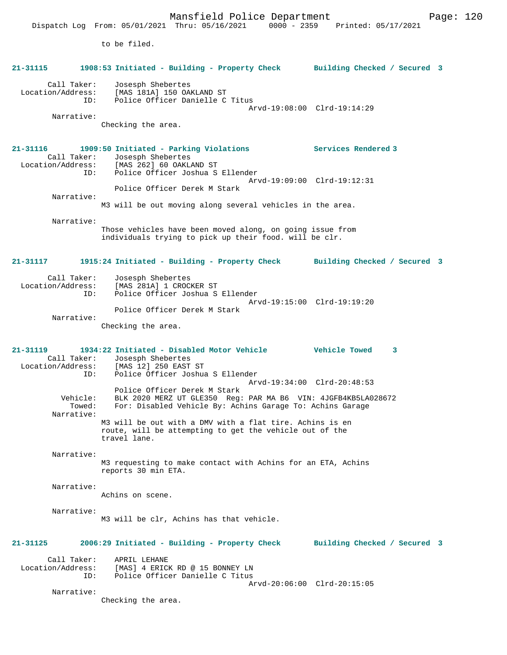Mansfield Police Department Form Page: 120 Dispatch Log From: 05/01/2021 Thru: 05/16/2021 0000 - 2359 Printed: 05/17/2021 to be filed. **21-31115 1908:53 Initiated - Building - Property Check Building Checked / Secured 3** Call Taker: Josesph Shebertes Location/Address: [MAS 181A] 150 OAKLAND ST ID: Police Officer Danielle C Titus Arvd-19:08:00 Clrd-19:14:29 Narrative: Checking the area. **21-31116 1909:50 Initiated - Parking Violations Services Rendered 3**  Call Taker: Josesph Shebertes<br>ion/Address: [MAS 262] 60 OAKL Location/Address: [MAS 262] 60 OAKLAND ST ID: Police Officer Joshua S Ellender Arvd-19:09:00 Clrd-19:12:31 Police Officer Derek M Stark Narrative: M3 will be out moving along several vehicles in the area. Narrative: Those vehicles have been moved along, on going issue from individuals trying to pick up their food. will be clr. **21-31117 1915:24 Initiated - Building - Property Check Building Checked / Secured 3** Call Taker: Josesph Shebertes Location/Address: [MAS 281A] 1 CROCKER ST ID: Police Officer Joshua S Ellender Arvd-19:15:00 Clrd-19:19:20 Police Officer Derek M Stark Narrative: Checking the area. **21-31119 1934:22 Initiated - Disabled Motor Vehicle Vehicle Towed 3**  Call Taker: Josesph Shebertes<br>Location/Address: [MAS 12] 250 EAST [MAS 12] 250 EAST ST ID: Police Officer Joshua S Ellender Arvd-19:34:00 Clrd-20:48:53 Police Officer Derek M Stark Vehicle: BLK 2020 MERZ UT GLE350 Reg: PAR MA B6 VIN: 4JGFB4KB5LA028672<br>Towed: For: Disabled Vehicle By: Achins Garage To: Achins Garage For: Disabled Vehicle By: Achins Garage To: Achins Garage Narrative: M3 will be out with a DMV with a flat tire. Achins is en route, will be attempting to get the vehicle out of the travel lane. Narrative: M3 requesting to make contact with Achins for an ETA, Achins reports 30 min ETA. Narrative: Achins on scene. Narrative: M3 will be clr, Achins has that vehicle. **21-31125 2006:29 Initiated - Building - Property Check Building Checked / Secured 3** Call Taker: APRIL LEHANE<br>Location/Address: [MAS] 4 ERICI Location/Address: [MAS] 4 ERICK RD @ 15 BONNEY LN ID: Police Officer Danielle C Titus Arvd-20:06:00 Clrd-20:15:05 Narrative:

Checking the area.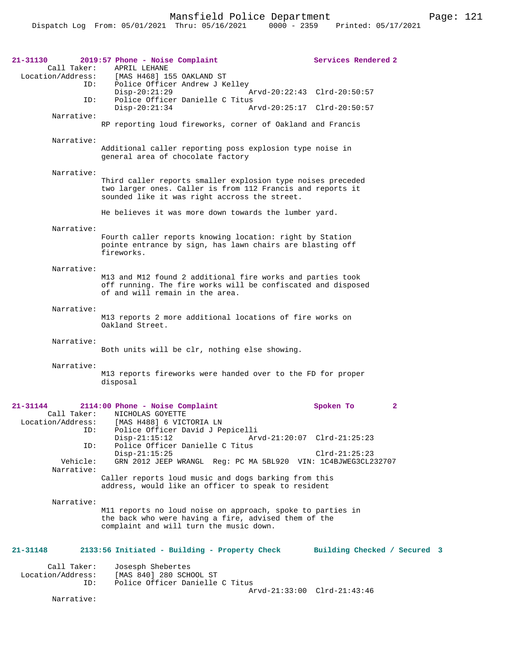| 21-31130<br>Call Taker:                 | 2019:57 Phone - Noise Complaint<br>APRIL LEHANE<br>Location/Address: [MAS H468] 155 OAKLAND ST                                                                             | Services Rendered 2          |              |
|-----------------------------------------|----------------------------------------------------------------------------------------------------------------------------------------------------------------------------|------------------------------|--------------|
| ID:                                     | Police Officer Andrew J Kelley<br>$Disp-20:21:29$<br>Arvd-20:22:43 Clrd-20:50:57                                                                                           |                              |              |
| ID:                                     | Police Officer Danielle C Titus<br>$Disp-20:21:34$<br>Arvd-20:25:17 Clrd-20:50:57                                                                                          |                              |              |
| Narrative:                              | RP reporting loud fireworks, corner of Oakland and Francis                                                                                                                 |                              |              |
| Narrative:                              | Additional caller reporting poss explosion type noise in<br>general area of chocolate factory                                                                              |                              |              |
| Narrative:                              | Third caller reports smaller explosion type noises preceded<br>two larger ones. Caller is from 112 Francis and reports it<br>sounded like it was right accross the street. |                              |              |
|                                         | He believes it was more down towards the lumber yard.                                                                                                                      |                              |              |
| Narrative:                              | Fourth caller reports knowing location: right by Station<br>pointe entrance by sign, has lawn chairs are blasting off<br>fireworks.                                        |                              |              |
| Narrative:                              | M13 and M12 found 2 additional fire works and parties took<br>off running. The fire works will be confiscated and disposed<br>of and will remain in the area.              |                              |              |
| Narrative:                              | M13 reports 2 more additional locations of fire works on<br>Oakland Street.                                                                                                |                              |              |
| Narrative:                              | Both units will be clr, nothing else showing.                                                                                                                              |                              |              |
| Narrative:                              | M13 reports fireworks were handed over to the FD for proper<br>disposal                                                                                                    |                              |              |
| 21-31144<br>Call Taker:                 | 2114:00 Phone - Noise Complaint<br>NICHOLAS GOYETTE<br>Location/Address: [MAS H488] 6 VICTORIA LN                                                                          | Spoken To                    | $\mathbf{2}$ |
| ID:<br>ID:                              | Police Officer David J Pepicelli<br>$Disp-21:15:12$<br>Arvd-21:20:07 Clrd-21:25:23<br>Police Officer Danielle C Titus                                                      |                              |              |
| Vehicle:                                | $Disp-21:15:25$<br>GRN 2012 JEEP WRANGL Req: PC MA 5BL920 VIN: 1C4BJWEG3CL232707                                                                                           | $Clrd-21:25:23$              |              |
| Narrative:                              | Caller reports loud music and dogs barking from this<br>address, would like an officer to speak to resident                                                                |                              |              |
| Narrative:                              | M11 reports no loud noise on approach, spoke to parties in<br>the back who were having a fire, advised them of the<br>complaint and will turn the music down.              |                              |              |
| 21-31148                                | 2133:56 Initiated - Building - Property Check                                                                                                                              | Building Checked / Secured 3 |              |
| Call Taker:<br>Location/Address:<br>ID: | Josesph Shebertes<br>[MAS 840] 280 SCHOOL ST<br>Police Officer Danielle C Titus<br>Arvd-21:33:00 Clrd-21:43:46                                                             |                              |              |

Narrative: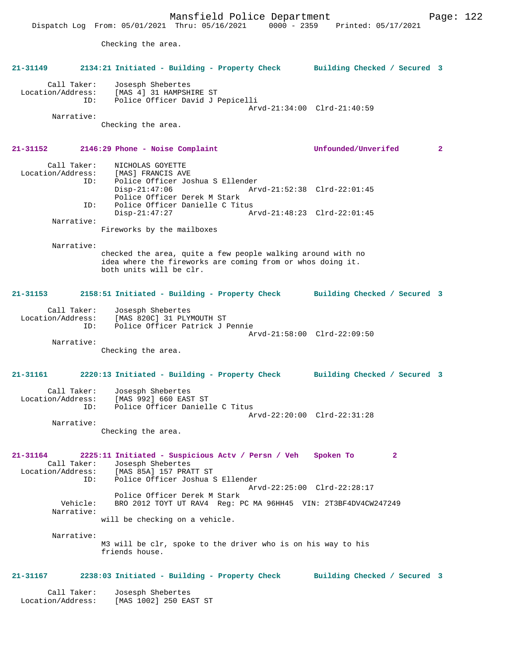Location/Address: [MAS 4] 31 HAMPSHIRE ST<br>TD: Police Officer David J Police Officer David J Pepicelli Arvd-21:34:00 Clrd-21:40:59 Narrative: Checking the area. **21-31152 2146:29 Phone - Noise Complaint Unfounded/Unverifed 2** Call Taker: NICHOLAS GOYETTE Location/Address: [MAS] FRANCIS AVE<br>TD: Police Officer Jos ID: Police Officer Joshua S Ellender Arvd-21:52:38 Clrd-22:01:45 Police Officer Derek M Stark<br>ID: Police Officer Danielle C Tit Police Officer Danielle C Titus Disp-21:47:27 Arvd-21:48:23 Clrd-22:01:45 Narrative: Fireworks by the mailboxes Narrative: checked the area, quite a few people walking around with no idea where the fireworks are coming from or whos doing it. both units will be clr.

# **21-31153 2158:51 Initiated - Building - Property Check Building Checked / Secured 3**

**21-31149 2134:21 Initiated - Building - Property Check Building Checked / Secured 3**

| Call Taker:       | Josesph Shebertes               |  |
|-------------------|---------------------------------|--|
| Location/Address: | [MAS 820C] 31 PLYMOUTH ST       |  |
| TD:               | Police Officer Patrick J Pennie |  |
|                   | Arvd-21:58:00 Clrd-22:09:50     |  |
| Narrative:        |                                 |  |

Checking the area.

Call Taker: Josesph Shebertes

## **21-31161 2220:13 Initiated - Building - Property Check Building Checked / Secured 3**

| Call Taker:       | Josesph Shebertes               |  |
|-------------------|---------------------------------|--|
| Location/Address: | [MAS 992] 660 EAST ST           |  |
| TD:               | Police Officer Danielle C Titus |  |
|                   | Arvd-22:20:00 Clrd-22:31:28     |  |
| Narrative:        |                                 |  |

Checking the area.

**21-31164 2225:11 Initiated - Suspicious Actv / Persn / Veh Spoken To 2**  Call Taker: Josesph Shebertes<br>Location/Address: [MAS 85A] 157 PRA ess: [MAS 85A] 157 PRATT ST<br>ID: Police Officer Joshua Police Officer Joshua S Ellender Arvd-22:25:00 Clrd-22:28:17 Police Officer Derek M Stark Vehicle: BRO 2012 TOYT UT RAV4 Reg: PC MA 96HH45 VIN: 2T3BF4DV4CW247249

will be checking on a vehicle.

Narrative:

Narrative:

M3 will be clr, spoke to the driver who is on his way to his friends house.

#### **21-31167 2238:03 Initiated - Building - Property Check Building Checked / Secured 3**

 Call Taker: Josesph Shebertes Location/Address: [MAS 1002] 250 EAST ST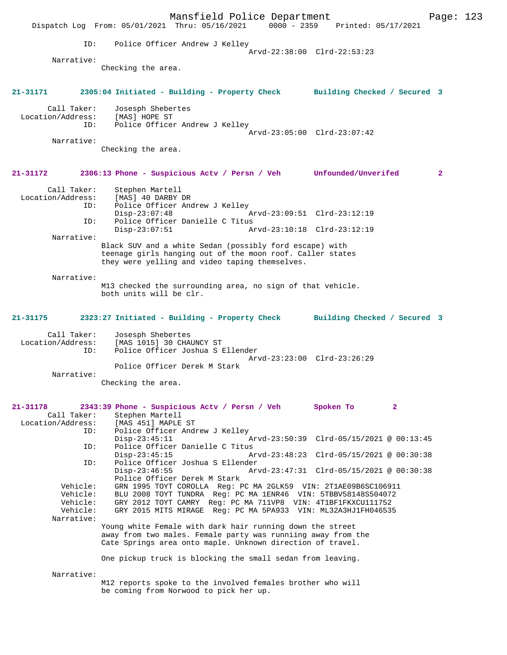|                                                            |                                                      | Mansfield Police Department<br>Dispatch Log From: 05/01/2021 Thru: 05/16/2021 0000 - 2359 Printed: 05/17/2021                                                                                                                                                                                    |                                          |                | Page: 123      |  |
|------------------------------------------------------------|------------------------------------------------------|--------------------------------------------------------------------------------------------------------------------------------------------------------------------------------------------------------------------------------------------------------------------------------------------------|------------------------------------------|----------------|----------------|--|
|                                                            | ID:                                                  | Police Officer Andrew J Kelley                                                                                                                                                                                                                                                                   | Arvd-22:38:00 Clrd-22:53:23              |                |                |  |
| Narrative:                                                 |                                                      |                                                                                                                                                                                                                                                                                                  |                                          |                |                |  |
|                                                            | Checking the area.                                   |                                                                                                                                                                                                                                                                                                  |                                          |                |                |  |
| 21-31171                                                   |                                                      | 2305:04 Initiated - Building - Property Check Building Checked / Secured 3                                                                                                                                                                                                                       |                                          |                |                |  |
| Call Taker:<br>Location/Address:                           | Josesph Shebertes<br>[MAS] HOPE ST<br>ID:            | Police Officer Andrew J Kelley                                                                                                                                                                                                                                                                   |                                          |                |                |  |
|                                                            |                                                      |                                                                                                                                                                                                                                                                                                  | Arvd-23:05:00 Clrd-23:07:42              |                |                |  |
| Narrative:                                                 | Checking the area.                                   |                                                                                                                                                                                                                                                                                                  |                                          |                |                |  |
| 21-31172                                                   |                                                      | 2306:13 Phone - Suspicious Actv / Persn / Veh Unfounded/Unverifed                                                                                                                                                                                                                                |                                          |                | $\overline{2}$ |  |
| Call Taker:<br>Location/Address:                           | Stephen Martell<br>[MAS] 40 DARBY DR<br>ID:          | Police Officer Andrew J Kelley                                                                                                                                                                                                                                                                   |                                          |                |                |  |
|                                                            | $Disp-23:07:48$<br>ID:                               | Police Officer Danielle C Titus                                                                                                                                                                                                                                                                  | Arvd-23:09:51 Clrd-23:12:19              |                |                |  |
|                                                            | $Disp-23:07:51$                                      |                                                                                                                                                                                                                                                                                                  | Arvd-23:10:18 Clrd-23:12:19              |                |                |  |
| Narrative:                                                 |                                                      | Black SUV and a white Sedan (possibly ford escape) with<br>teenage girls hanging out of the moon roof. Caller states<br>they were yelling and video taping themselves.                                                                                                                           |                                          |                |                |  |
| Narrative:                                                 | both units will be clr.                              | M13 checked the surrounding area, no sign of that vehicle.                                                                                                                                                                                                                                       |                                          |                |                |  |
| 21-31175                                                   |                                                      | 2323:27 Initiated - Building - Property Check Building Checked / Secured 3                                                                                                                                                                                                                       |                                          |                |                |  |
| Call Taker:<br>Location/Address:                           | Josesph Shebertes<br>[MAS 1015] 30 CHAUNCY ST<br>ID: | Police Officer Joshua S Ellender                                                                                                                                                                                                                                                                 | Arvd-23:23:00 Clrd-23:26:29              |                |                |  |
| Narrative:                                                 |                                                      | Police Officer Derek M Stark                                                                                                                                                                                                                                                                     |                                          |                |                |  |
|                                                            | Checking the area                                    |                                                                                                                                                                                                                                                                                                  |                                          |                |                |  |
| 21-31178<br>Call Taker:<br>Location/Address:               | Stephen Martell<br>[MAS 451] MAPLE ST<br>ID:         | 2343:39 Phone - Suspicious Actv / Persn / Veh<br>Police Officer Andrew J Kelley                                                                                                                                                                                                                  | Spoken To                                | $\overline{2}$ |                |  |
|                                                            | $Disp-23:45:11$<br>ID:                               | Police Officer Danielle C Titus                                                                                                                                                                                                                                                                  | Arvd-23:50:39 Clrd-05/15/2021 @ 00:13:45 |                |                |  |
|                                                            | $Disp-23:45:15$<br>ID:                               | Police Officer Joshua S Ellender                                                                                                                                                                                                                                                                 | Arvd-23:48:23 Clrd-05/15/2021 @ 00:30:38 |                |                |  |
| Vehicle:<br>Vehicle:<br>Vehicle:<br>Vehicle:<br>Narrative: | $Disp-23:46:55$                                      | Police Officer Derek M Stark<br>GRN 1995 TOYT COROLLA Reg: PC MA 2GLK59 VIN: 2T1AE09B6SC106911<br>BLU 2008 TOYT TUNDRA Reg: PC MA 1ENR46 VIN: 5TBBV58148S504072<br>GRY 2012 TOYT CAMRY Reg: PC MA 711VP8 VIN: 4T1BF1FKXCU111752<br>GRY 2015 MITS MIRAGE Reg: PC MA 5PA933 VIN: ML32A3HJ1FH046535 | Arvd-23:47:31 Clrd-05/15/2021 @ 00:30:38 |                |                |  |
|                                                            |                                                      | Young white Female with dark hair running down the street<br>away from two males. Female party was runniing away from the<br>Cate Springs area onto maple. Unknown direction of travel.                                                                                                          |                                          |                |                |  |
|                                                            |                                                      | One pickup truck is blocking the small sedan from leaving.                                                                                                                                                                                                                                       |                                          |                |                |  |
| Narrative:                                                 |                                                      | M12 reports spoke to the involved females brother who will<br>be coming from Norwood to pick her up.                                                                                                                                                                                             |                                          |                |                |  |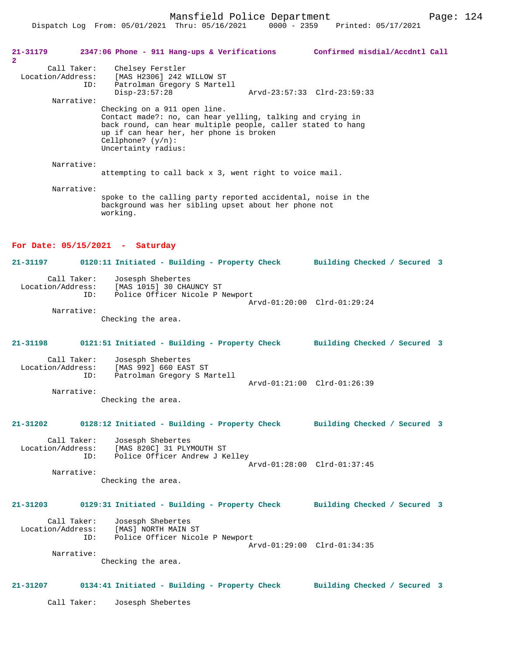Dispatch Log From: 05/01/2021 Thru: 05/16/2021 0000 - 2359 Printed: 05/17/2021

| 21-31179<br>$\overline{2}$ |                    | 2347:06 Phone - 911 Hang-ups & Verifications                                                                                                                                                                                                        | Confirmed misdial/Accdntl Call |  |
|----------------------------|--------------------|-----------------------------------------------------------------------------------------------------------------------------------------------------------------------------------------------------------------------------------------------------|--------------------------------|--|
| Location/Address:          | Call Taker:<br>ID: | Chelsey Ferstler<br>[MAS H2306] 242 WILLOW ST<br>Patrolman Gregory S Martell                                                                                                                                                                        |                                |  |
|                            | Narrative:         | $Disp-23:57:28$                                                                                                                                                                                                                                     | Arvd-23:57:33 Clrd-23:59:33    |  |
|                            |                    | Checking on a 911 open line.<br>Contact made?: no, can hear yelling, talking and crying in<br>back round, can hear multiple people, caller stated to hang<br>up if can hear her, her phone is broken<br>Cellphone? $(y/n)$ :<br>Uncertainty radius: |                                |  |
|                            | Narrative:         |                                                                                                                                                                                                                                                     |                                |  |
|                            |                    | attempting to call back x 3, went right to voice mail.                                                                                                                                                                                              |                                |  |
|                            | Narrative:         | spoke to the calling party reported accidental, noise in the<br>background was her sibling upset about her phone not<br>working.                                                                                                                    |                                |  |
|                            |                    | For Date: $05/15/2021$ - Saturday                                                                                                                                                                                                                   |                                |  |
| $21 - 31197$               |                    | 0120:11 Initiated - Building - Property Check                                                                                                                                                                                                       | Building Checked / Secured 3   |  |
| Location/Address:          | Call Taker:<br>ID: | Josesph Shebertes<br>[MAS 1015] 30 CHAUNCY ST<br>Police Officer Nicole P Newport                                                                                                                                                                    | Arvd-01:20:00 Clrd-01:29:24    |  |
|                            | Narrative:         | Checking the area.                                                                                                                                                                                                                                  |                                |  |
| $21 - 31198$               |                    | 0121:51 Initiated - Building - Property Check                                                                                                                                                                                                       | Building Checked / Secured 3   |  |
| Location/Address:          | Call Taker:<br>ID: | Josesph Shebertes<br>[MAS 992] 660 EAST ST<br>Patrolman Gregory S Martell                                                                                                                                                                           |                                |  |
|                            |                    |                                                                                                                                                                                                                                                     | Arvd-01:21:00 Clrd-01:26:39    |  |
|                            | Narrative:         | Checking the area.                                                                                                                                                                                                                                  |                                |  |
| 21-31202                   |                    | 0128:12 Initiated - Building - Property Check                                                                                                                                                                                                       | Building Checked / Secured 3   |  |
| Location/Address:          | Call Taker:<br>ID: | Josesph Shebertes<br>[MAS 820C] 31 PLYMOUTH ST<br>Police Officer Andrew J Kelley                                                                                                                                                                    | Arvd-01:28:00 Clrd-01:37:45    |  |
|                            | Narrative:         | Checking the area.                                                                                                                                                                                                                                  |                                |  |
| $21 - 31203$               |                    | 0129:31 Initiated - Building - Property Check                                                                                                                                                                                                       | Building Checked / Secured 3   |  |
| Location/Address:          | Call Taker:<br>ID: | Josesph Shebertes<br>[MAS] NORTH MAIN ST<br>Police Off'<br>Police Officer Nicole P Newport                                                                                                                                                          | Arvd-01:29:00 Clrd-01:34:35    |  |
|                            | Narrative:         | Checking the area.                                                                                                                                                                                                                                  |                                |  |

## **21-31207 0134:41 Initiated - Building - Property Check Building Checked / Secured 3**

Call Taker: Josesph Shebertes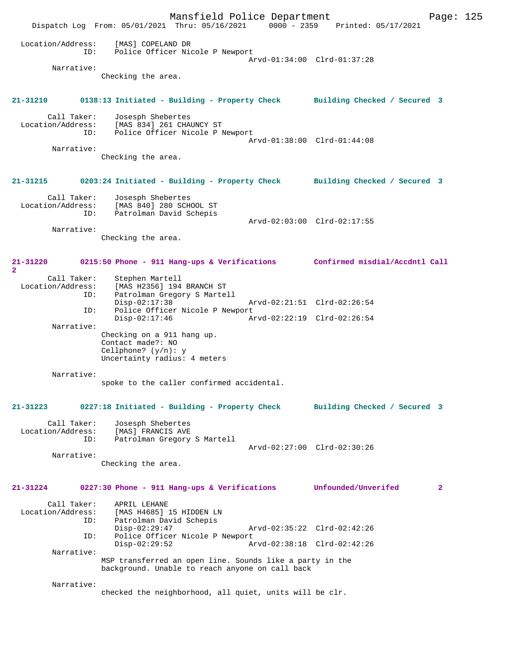|                                         | Mansfield Police Department<br>Dispatch Log From: 05/01/2021 Thru: 05/16/2021 0000 - 2359 Printed: 05/17/2021    |                                                            | Page: 125    |
|-----------------------------------------|------------------------------------------------------------------------------------------------------------------|------------------------------------------------------------|--------------|
| Location/Address:<br>ID:                | [MAS] COPELAND DR<br>Police Officer Nicole P Newport                                                             | Arvd-01:34:00 Clrd-01:37:28                                |              |
| Narrative:                              | Checking the area.                                                                                               |                                                            |              |
| 21-31210                                | 0138:13 Initiated - Building - Property Check Building Checked / Secured 3                                       |                                                            |              |
| Call Taker:                             | Josesph Shebertes<br>Location/Address: [MAS 834] 261 CHAUNCY ST<br>ID: Police Officer Nicole P Newport           | Arvd-01:38:00 Clrd-01:44:08                                |              |
| Narrative:                              | Checking the area.                                                                                               |                                                            |              |
| 21-31215                                | 0203:24 Initiated - Building - Property Check Building Checked / Secured 3                                       |                                                            |              |
| Call Taker:<br>Location/Address:<br>ID: | Josesph Shebertes<br>[MAS 840] 280 SCHOOL ST<br>Patrolman David Schepis                                          | Arvd-02:03:00 Clrd-02:17:55                                |              |
| Narrative:                              | Checking the area.                                                                                               |                                                            |              |
| 21-31220<br>$\overline{2}$              | 0215:50 Phone - 911 Hang-ups & Verifications Confirmed misdial/Accdntl Call                                      |                                                            |              |
| Call Taker:<br>ID:                      | Stephen Martell<br>Location/Address: [MAS H2356] 194 BRANCH ST<br>Patrolman Gregory S Martell<br>$Disp-02:17:38$ | Arvd-02:21:51 Clrd-02:26:54                                |              |
| ID:<br>Narrative:                       | Police Officer Nicole P Newport<br>$Disp-02:17:46$                                                               | Arvd-02:22:19 Clrd-02:26:54                                |              |
|                                         | Checking on a 911 hang up.<br>Contact made?: NO<br>Cellphone? $(y/n): y$<br>Uncertainty radius: 4 meters         |                                                            |              |
| Narrative:                              | spoke to the caller confirmed accidental.                                                                        |                                                            |              |
| $21 - 31223$                            | 0227:18 Initiated - Building - Property Check                                                                    | Building Checked / Secured 3                               |              |
| Call Taker:<br>Location/Address:<br>ID: | Josesph Shebertes<br>[MAS] FRANCIS AVE<br>Patrolman Gregory S Martell                                            | Arvd-02:27:00 Clrd-02:30:26                                |              |
| Narrative:                              | Checking the area.                                                                                               |                                                            |              |
| $21 - 31224$                            | 0227:30 Phone - 911 Hang-ups & Verifications                                                                     | Unfounded/Unverifed                                        | $\mathbf{2}$ |
| Call Taker:<br>Location/Address:<br>ID: | APRIL LEHANE<br>[MAS H4685] 15 HIDDEN LN<br>Patrolman David Schepis                                              |                                                            |              |
| ID:                                     | $Disp-02:29:47$<br>Police Officer Nicole P Newport<br>$Disp-02:29:52$                                            | Arvd-02:35:22 Clrd-02:42:26<br>Arvd-02:38:18 Clrd-02:42:26 |              |
| Narrative:                              | MSP transferred an open line. Sounds like a party in the<br>background. Unable to reach anyone on call back      |                                                            |              |
| Narrative:                              | checked the neighborhood, all quiet, units will be clr.                                                          |                                                            |              |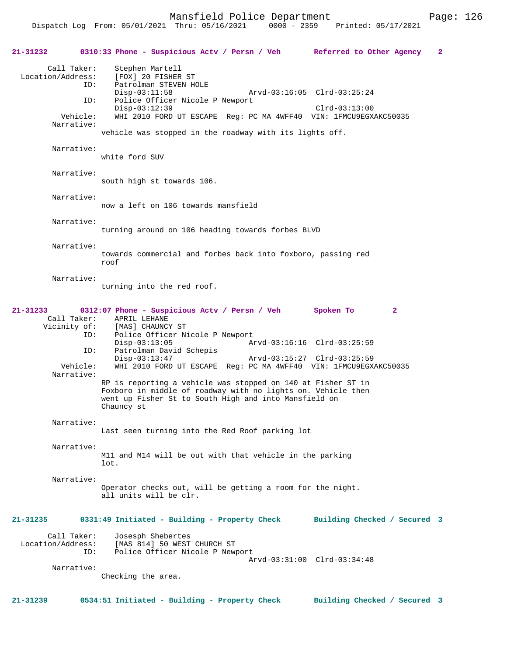| 21-31232          |                                    | 0310:33 Phone - Suspicious Actv / Persn / Veh Referred to Other Agency                                                                                                                              |                             | 2 |
|-------------------|------------------------------------|-----------------------------------------------------------------------------------------------------------------------------------------------------------------------------------------------------|-----------------------------|---|
| Location/Address: | Call Taker:<br>ID:                 | Stephen Martell<br>[FOX] 20 FISHER ST<br>Patrolman STEVEN HOLE<br>$Disp-03:11:58$                                                                                                                   | Arvd-03:16:05 Clrd-03:25:24 |   |
|                   | ID:                                | Police Officer Nicole P Newport<br>$Disp-03:12:39$                                                                                                                                                  | Clrd-03:13:00               |   |
|                   | Vehicle:<br>Narrative:             | WHI 2010 FORD UT ESCAPE Req: PC MA 4WFF40 VIN: 1FMCU9EGXAKC50035                                                                                                                                    |                             |   |
|                   |                                    | vehicle was stopped in the roadway with its lights off.                                                                                                                                             |                             |   |
|                   | Narrative:                         | white ford SUV                                                                                                                                                                                      |                             |   |
|                   | Narrative:                         | south high st towards 106.                                                                                                                                                                          |                             |   |
|                   | Narrative:                         | now a left on 106 towards mansfield                                                                                                                                                                 |                             |   |
|                   | Narrative:                         | turning around on 106 heading towards forbes BLVD                                                                                                                                                   |                             |   |
|                   | Narrative:                         | towards commercial and forbes back into foxboro, passing red<br>roof                                                                                                                                |                             |   |
|                   | Narrative:                         | turning into the red roof.                                                                                                                                                                          |                             |   |
| $21 - 31233$      |                                    | 0312:07 Phone - Suspicious Actv / Persn / Veh                                                                                                                                                       | Spoken To<br>$\mathbf{2}$   |   |
|                   | Call Taker:<br>Vicinity of:<br>ID: | APRIL LEHANE<br>[MAS] CHAUNCY ST<br>Police Officer Nicole P Newport<br>$Disp-03:13:05$                                                                                                              | Arvd-03:16:16 Clrd-03:25:59 |   |
|                   | ID:                                | Patrolman David Schepis<br>$Disp-03:13:47$                                                                                                                                                          | Arvd-03:15:27 Clrd-03:25:59 |   |
|                   | Vehicle:<br>Narrative:             | WHI 2010 FORD UT ESCAPE Req: PC MA 4WFF40 VIN: 1FMCU9EGXAKC50035                                                                                                                                    |                             |   |
|                   |                                    | RP is reporting a vehicle was stopped on 140 at Fisher ST in<br>Foxboro in middle of roadway with no lights on. Vehicle then<br>went up Fisher St to South High and into Mansfield on<br>Chauncy st |                             |   |
|                   | Narrative:                         | Last seen turning into the Red Roof parking lot                                                                                                                                                     |                             |   |
|                   | Narrative:                         | M11 and M14 will be out with that vehicle in the parking<br>lot.                                                                                                                                    |                             |   |
|                   | Narrative:                         | Operator checks out, will be getting a room for the night.<br>all units will be clr.                                                                                                                |                             |   |
| 21-31235          |                                    | 0331:49 Initiated - Building - Property Check Building Checked / Secured 3                                                                                                                          |                             |   |
| Location/Address: | Call Taker:<br>ID:                 | Josesph Shebertes<br>[MAS 814] 50 WEST CHURCH ST<br>Police Officer Nicole P Newport                                                                                                                 |                             |   |
|                   | Narrative:                         | Checking the area.                                                                                                                                                                                  | Arvd-03:31:00 Clrd-03:34:48 |   |
|                   |                                    |                                                                                                                                                                                                     |                             |   |

**21-31239 0534:51 Initiated - Building - Property Check Building Checked / Secured 3**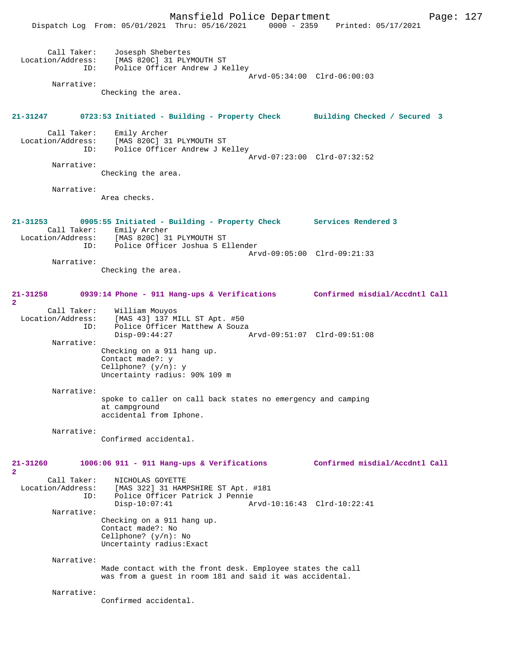|                              | Mansfield Police Department                                                     |                                 | Page: $127$ |  |
|------------------------------|---------------------------------------------------------------------------------|---------------------------------|-------------|--|
|                              | Dispatch Log From: 05/01/2021 Thru: 05/16/2021                                  | 0000 - 2359 Printed: 05/17/2021 |             |  |
|                              |                                                                                 |                                 |             |  |
| Call Taker:                  | Josesph Shebertes                                                               |                                 |             |  |
| Location/Address:            | [MAS 820C] 31 PLYMOUTH ST                                                       |                                 |             |  |
| ID:                          | Police Officer Andrew J Kelley                                                  | Arvd-05:34:00 Clrd-06:00:03     |             |  |
| Narrative:                   |                                                                                 |                                 |             |  |
|                              | Checking the area.                                                              |                                 |             |  |
|                              |                                                                                 |                                 |             |  |
| 21-31247                     | 0723:53 Initiated - Building - Property Check Building Checked / Secured 3      |                                 |             |  |
| Call Taker:                  | Emily Archer                                                                    |                                 |             |  |
| Location/Address:            | [MAS 820C] 31 PLYMOUTH ST                                                       |                                 |             |  |
| ID:                          | Police Officer Andrew J Kelley                                                  | Arvd-07:23:00 Clrd-07:32:52     |             |  |
| Narrative:                   |                                                                                 |                                 |             |  |
|                              | Checking the area.                                                              |                                 |             |  |
| Narrative:                   |                                                                                 |                                 |             |  |
|                              | Area checks.                                                                    |                                 |             |  |
|                              |                                                                                 |                                 |             |  |
| $21 - 31253$                 | 0905:55 Initiated - Building - Property Check Services Rendered 3               |                                 |             |  |
|                              | Call Taker: Emily Archer                                                        |                                 |             |  |
| ID:                          | Location/Address: [MAS 820C] 31 PLYMOUTH ST<br>Police Officer Joshua S Ellender |                                 |             |  |
|                              |                                                                                 | Arvd-09:05:00 Clrd-09:21:33     |             |  |
| Narrative:                   |                                                                                 |                                 |             |  |
|                              | Checking the area.                                                              |                                 |             |  |
|                              |                                                                                 |                                 |             |  |
| 21-31258<br>$\overline{2}$   | 0939:14 Phone - 911 Hang-ups & Verifications                                    | Confirmed misdial/Accdntl Call  |             |  |
| Call Taker:                  | William Mouyos                                                                  |                                 |             |  |
| Location/Address:            | [MAS 43] 137 MILL ST Apt. #50                                                   |                                 |             |  |
| ID:                          | Police Officer Matthew A Souza<br>$Disp-09:44:27$                               | Arvd-09:51:07 Clrd-09:51:08     |             |  |
| Narrative:                   |                                                                                 |                                 |             |  |
|                              | Checking on a 911 hang up.                                                      |                                 |             |  |
|                              | Contact made?: y<br>Cellphone? $(y/n): y$                                       |                                 |             |  |
|                              | Uncertainty radius: 90% 109 m                                                   |                                 |             |  |
| Narrative:                   |                                                                                 |                                 |             |  |
|                              | spoke to caller on call back states no emergency and camping                    |                                 |             |  |
|                              | at campground                                                                   |                                 |             |  |
|                              | accidental from Iphone.                                                         |                                 |             |  |
| Narrative:                   |                                                                                 |                                 |             |  |
|                              | Confirmed accidental.                                                           |                                 |             |  |
|                              |                                                                                 |                                 |             |  |
| $21 - 31260$<br>$\mathbf{2}$ | $1006:06$ 911 - 911 Hang-ups & Verifications                                    | Confirmed misdial/Accdntl Call  |             |  |
| Call Taker:                  | NICHOLAS GOYETTE                                                                |                                 |             |  |
| Location/Address:            | [MAS 322] 31 HAMPSHIRE ST Apt. #181                                             |                                 |             |  |
| ID:                          | Police Officer Patrick J Pennie<br>$Disp-10:07:41$                              | Arvd-10:16:43 Clrd-10:22:41     |             |  |
| Narrative:                   |                                                                                 |                                 |             |  |
|                              | Checking on a 911 hang up.                                                      |                                 |             |  |
|                              | Contact made?: No<br>Cellphone? $(y/n)$ : No                                    |                                 |             |  |
|                              | Uncertainty radius: Exact                                                       |                                 |             |  |
| Narrative:                   |                                                                                 |                                 |             |  |
|                              | Made contact with the front desk. Employee states the call                      |                                 |             |  |
|                              | was from a guest in room 181 and said it was accidental.                        |                                 |             |  |
| Narrative:                   |                                                                                 |                                 |             |  |
|                              | Confirmed accidental.                                                           |                                 |             |  |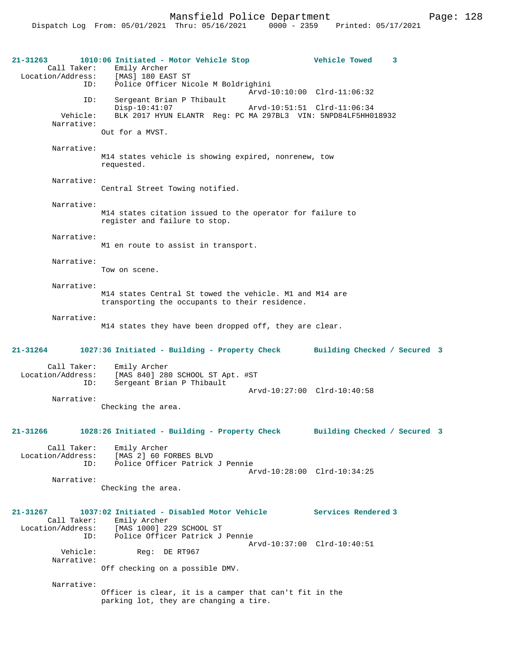| 21-31263                                | 1010:06 Initiated - Motor Vehicle Stop<br>Call Taker: Emily Archer<br>Location/Address: [MAS] 180 EAST ST                    |                             | <b>Vehicle Towed</b> | 3                            |  |
|-----------------------------------------|------------------------------------------------------------------------------------------------------------------------------|-----------------------------|----------------------|------------------------------|--|
| ID:                                     | Police Officer Nicole M Boldrighini                                                                                          | Arvd-10:10:00 Clrd-11:06:32 |                      |                              |  |
| ID:<br>Vehicle:                         | Sergeant Brian P Thibault<br>$Disp-10:41:07$<br>BLK 2017 HYUN ELANTR Reg: PC MA 297BL3 VIN: 5NPD84LF5HH018932                | Arvd-10:51:51 Clrd-11:06:34 |                      |                              |  |
| Narrative:                              | Out for a MVST.                                                                                                              |                             |                      |                              |  |
| Narrative:                              | M14 states vehicle is showing expired, nonrenew, tow<br>requested.                                                           |                             |                      |                              |  |
| Narrative:                              | Central Street Towing notified.                                                                                              |                             |                      |                              |  |
| Narrative:                              | M14 states citation issued to the operator for failure to<br>register and failure to stop.                                   |                             |                      |                              |  |
| Narrative:                              | M1 en route to assist in transport.                                                                                          |                             |                      |                              |  |
| Narrative:                              | Tow on scene.                                                                                                                |                             |                      |                              |  |
| Narrative:                              | M14 states Central St towed the vehicle. M1 and M14 are<br>transporting the occupants to their residence.                    |                             |                      |                              |  |
| Narrative:                              | M14 states they have been dropped off, they are clear.                                                                       |                             |                      |                              |  |
| 21-31264                                | 1027:36 Initiated - Building - Property Check Building Checked / Secured 3                                                   |                             |                      |                              |  |
| Call Taker:<br>Location/Address:<br>ID: | Emily Archer<br>[MAS 840] 280 SCHOOL ST Apt. #ST<br>Sergeant Brian P Thibault                                                |                             |                      |                              |  |
| Narrative:                              |                                                                                                                              | Arvd-10:27:00 Clrd-10:40:58 |                      |                              |  |
|                                         | Checking the area.                                                                                                           |                             |                      |                              |  |
| 21-31266                                | 1028:26 Initiated - Building - Property Check                                                                                |                             |                      | Building Checked / Secured 3 |  |
| Call Taker:<br>Location/Address:<br>ID: | Emily Archer<br>MAS 21 60 FORBES BLVD<br>Police Officer Patrick J Pennie                                                     | Arvd-10:28:00 Clrd-10:34:25 |                      |                              |  |
| Narrative:                              | Checking the area.                                                                                                           |                             |                      |                              |  |
| $21 - 31267$<br>Call Taker:             | 1037:02 Initiated - Disabled Motor Vehicle Services Rendered 3<br>Emily Archer<br>Location/Address: [MAS 1000] 229 SCHOOL ST |                             |                      |                              |  |
| ID:<br>Vehicle:                         | Police Officer Patrick J Pennie<br>Req: DE RT967                                                                             | Arvd-10:37:00 Clrd-10:40:51 |                      |                              |  |
| Narrative:                              | Off checking on a possible DMV.                                                                                              |                             |                      |                              |  |
| Narrative:                              |                                                                                                                              |                             |                      |                              |  |
|                                         | Officer is clear, it is a camper that can't fit in the<br>parking lot, they are changing a tire.                             |                             |                      |                              |  |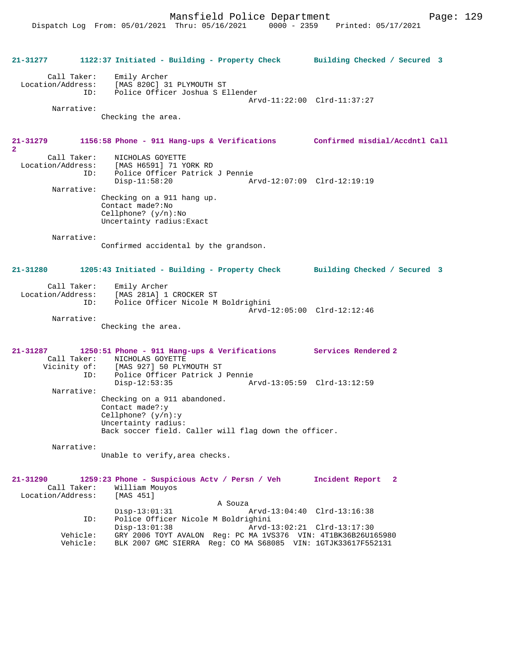**21-31277 1122:37 Initiated - Building - Property Check Building Checked / Secured 3** Call Taker: Emily Archer Location/Address: [MAS 820C] 31 PLYMOUTH ST<br>ID: Police Officer Joshua S E Police Officer Joshua S Ellender Arvd-11:22:00 Clrd-11:37:27 Narrative: Checking the area. **21-31279 1156:58 Phone - 911 Hang-ups & Verifications Confirmed misdial/Accdntl Call 2**  Call Taker: <br>Incation/Address: [MAS H6591] 71 YO [MAS H6591] 71 YORK RD ID: Police Officer Patrick J Pennie<br>Disp-11:58:20 Am Disp-11:58:20 Arvd-12:07:09 Clrd-12:19:19 Narrative: Checking on a 911 hang up. Contact made?:No Cellphone? (y/n):No Uncertainty radius:Exact Narrative: Confirmed accidental by the grandson. **21-31280 1205:43 Initiated - Building - Property Check Building Checked / Secured 3** Call Taker: Emily Archer Location/Address: [MAS 281A] 1 CROCKER ST ID: Police Officer Nicole M Boldrighini Arvd-12:05:00 Clrd-12:12:46 Narrative: Checking the area. **21-31287 1250:51 Phone - 911 Hang-ups & Verifications Services Rendered 2**  Call Taker: NICHOLAS GOYETTE<br>Vicinity of: [MAS 927] 50 PLYN Vicinity of: [MAS 927] 50 PLYMOUTH ST ID: Police Officer Patrick J Pennie Disp-12:53:35 Arvd-13:05:59 Clrd-13:12:59 Narrative: Checking on a 911 abandoned. Contact made?:y Cellphone? (y/n):y Uncertainty radius: Back soccer field. Caller will flag down the officer. Narrative: Unable to verify,area checks. **21-31290 1259:23 Phone - Suspicious Actv / Persn / Veh Incident Report 2**  Call Taker: William Mouyos Location/Address: [MAS 451]  $Disp-13:01:31$  A Souza Disp-13:01:31 Arvd-13:04:40 Clrd-13:16:38<br>ID: Police Officer Nicole M Boldrighini ID: Police Officer Nicole M Boldrighini Disp-13:01:38 Arvd-13:02:21 Clrd-13:17:30 Vehicle: GRY 2006 TOYT AVALON Reg: PC MA 1VS376 VIN: 4T1BK36B26U165980 Vehicle: BLK 2007 GMC SIERRA Reg: CO MA S68085 VIN: 1GTJK33617F552131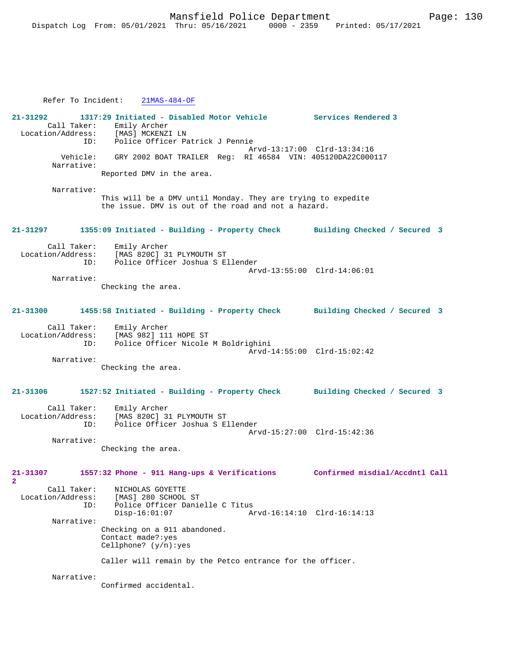Refer To Incident: 21MAS-484-OF **21-31292 1317:29 Initiated - Disabled Motor Vehicle Services Rendered 3**  Call Taker: Emily Archer<br>ion/Address: [MAS] MCKENZI LN Location/Address:<br>ID: Police Officer Patrick J Pennie Arvd-13:17:00 Clrd-13:34:16 Vehicle: GRY 2002 BOAT TRAILER Reg: RI 46584 VIN: 405120DA22C000117 Narrative: Reported DMV in the area. Narrative: This will be a DMV until Monday. They are trying to expedite the issue. DMV is out of the road and not a hazard. **21-31297 1355:09 Initiated - Building - Property Check Building Checked / Secured 3** Call Taker: Emily Archer<br>Location/Address: [MAS 820C] 3 ess: [MAS 820C] 31 PLYMOUTH ST<br>ID: Police Officer Joshua S.E. Police Officer Joshua S Ellender Arvd-13:55:00 Clrd-14:06:01 Narrative: Checking the area. **21-31300 1455:58 Initiated - Building - Property Check Building Checked / Secured 3** Call Taker: Emily Archer<br>Location/Address: [MAS 982] 11 ess: [MAS 982] 111 HOPE ST<br>ID: Police Officer Nicole Police Officer Nicole M Boldrighini Arvd-14:55:00 Clrd-15:02:42 Narrative: Checking the area. **21-31306 1527:52 Initiated - Building - Property Check Building Checked / Secured 3** Call Taker: Emily Archer Location/Address: [MAS 820C] 31 PLYMOUTH ST Police Officer Joshua S Ellender Arvd-15:27:00 Clrd-15:42:36 Narrative: Checking the area. **21-31307 1557:32 Phone - 911 Hang-ups & Verifications Confirmed misdial/Accdntl Call 2**  Call Taker: NICHOLAS GOYETTE<br>Location/Address: [MAS] 280 SCHOOL ess: [MAS] 280 SCHOOL ST<br>ID: Police Officer Danie Police Officer Danielle C Titus<br>Disp-16:01:07 Am Arvd-16:14:10 Clrd-16:14:13 Narrative: Checking on a 911 abandoned. Contact made?:yes Cellphone? (y/n):yes Caller will remain by the Petco entrance for the officer. Narrative: Confirmed accidental.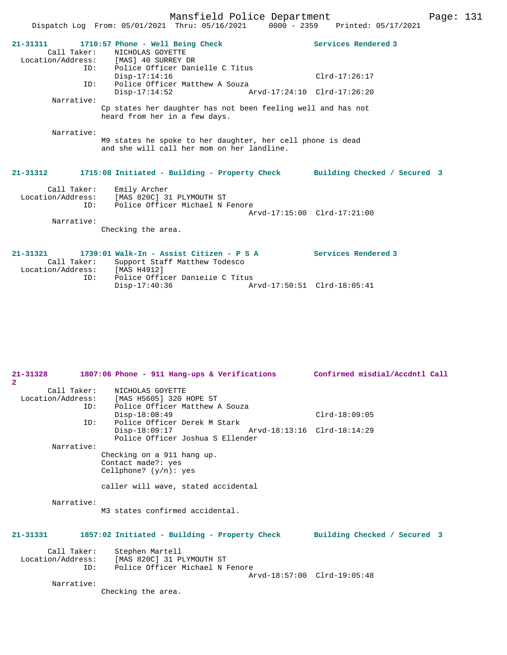Dispatch Log From: 05/01/2021 Thru: 05/16/2021 0000 - 2359 Printed: 05/17/2021 **21-31311 1710:57 Phone - Well Being Check Services Rendered 3**  Call Taker: NICHOLAS GOYETTE Location/Address: [MAS] 40 SURREY DR ID: Police Officer Danielle C Titus Disp-17:14:16 Clrd-17:26:17 ID: Police Officer Matthew A Souza<br>Disp-17:14:52 A Disp-17:14:52 Arvd-17:24:10 Clrd-17:26:20 Narrative: Cp states her daughter has not been feeling well and has not heard from her in a few days. Narrative: M9 states he spoke to her daughter, her cell phone is dead and she will call her mom on her landline. **21-31312 1715:08 Initiated - Building - Property Check Building Checked / Secured 3** Call Taker: Emily Archer Location/Address: [MAS 820C] 31 PLYMOUTH ST ID: Police Officer Michael N Fenore Arvd-17:15:00 Clrd-17:21:00 Narrative: Checking the area. **21-31321 1739:01 Walk-In - Assist Citizen - P S A Services Rendered 3** 

| Call Taker:       | Support Staff Matthew Todesco   |  |
|-------------------|---------------------------------|--|
| Location/Address: | [MAS H4912]                     |  |
| TD:               | Police Officer Danielle C Titus |  |
|                   | Disp-17:40:36                   |  |

| $21 - 31328$      |     | 1807:06 Phone - 911 Hang-ups & Verifications                               | Confirmed misdial/Accdntl Call |
|-------------------|-----|----------------------------------------------------------------------------|--------------------------------|
| $\overline{2}$    |     |                                                                            |                                |
|                   |     | Call Taker: NICHOLAS GOYETTE                                               |                                |
|                   |     | Location/Address: [MAS H5605] 320 HOPE ST                                  |                                |
|                   |     | ID: Police Officer Matthew A Souza                                         |                                |
|                   |     | $Disp-18:08:49$                                                            | $Clrd-18:09:05$                |
|                   | ID: | Police Officer Derek M Stark                                               |                                |
|                   |     | Disp-18:09:17                                                              |                                |
|                   |     | Police Officer Joshua S Ellender                                           |                                |
| Narrative:        |     |                                                                            |                                |
|                   |     | Checking on a 911 hang up.                                                 |                                |
|                   |     | Contact made?: yes                                                         |                                |
|                   |     | Cellphone? $(y/n)$ : yes                                                   |                                |
|                   |     | caller will wave, stated accidental                                        |                                |
| Narrative:        |     | M3 states confirmed accidental.                                            |                                |
| $21 - 31331$      |     | 1857:02 Initiated - Building - Property Check Building Checked / Secured 3 |                                |
|                   |     | Call Taker: Stephen Martell                                                |                                |
| Location/Address: |     | [MAS 820C] 31 PLYMOUTH ST                                                  |                                |
|                   | ID: | Police Officer Michael N Fenore                                            |                                |
|                   |     |                                                                            | Arvd-18:57:00 Clrd-19:05:48    |
| Narrative:        |     |                                                                            |                                |
|                   |     | Checking the area.                                                         |                                |
|                   |     |                                                                            |                                |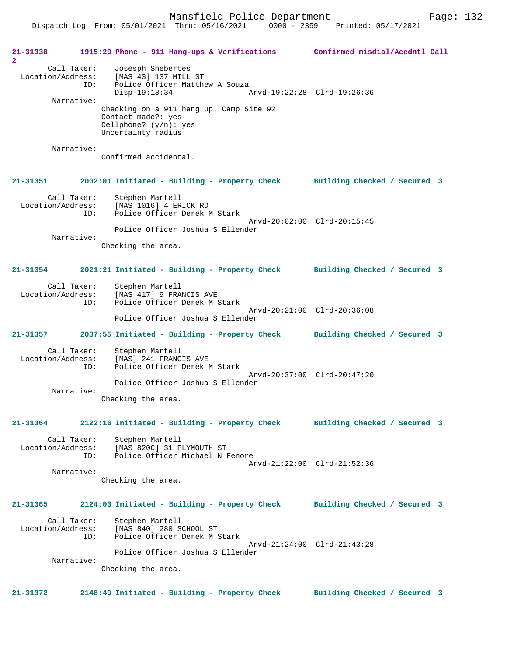**21-31338 1915:29 Phone - 911 Hang-ups & Verifications Confirmed misdial/Accdntl Call 2**  Call Taker: Josesph Shebertes Location/Address: [MAS 43] 137 MILL ST ID: Police Officer Matthew A Souza<br>Disp-19:18:34 Disp-19:18:34 Arvd-19:22:28 Clrd-19:26:36 Narrative: Checking on a 911 hang up. Camp Site 92 Contact made?: yes Cellphone? (y/n): yes Uncertainty radius: Narrative: Confirmed accidental. **21-31351 2002:01 Initiated - Building - Property Check Building Checked / Secured 3** Call Taker: Stephen Martell Location/Address: [MAS 1016] 4 ERICK RD ID: Police Officer Derek M Stark Arvd-20:02:00 Clrd-20:15:45 Police Officer Joshua S Ellender Narrative: Checking the area. **21-31354 2021:21 Initiated - Building - Property Check Building Checked / Secured 3** Call Taker: Stephen Martell Location/Address: [MAS 417] 9 FRANCIS AVE ID: Police Officer Derek M Stark Arvd-20:21:00 Clrd-20:36:08 Police Officer Joshua S Ellender **21-31357 2037:55 Initiated - Building - Property Check Building Checked / Secured 3** Call Taker: Stephen Martell Location/Address: [MAS] 241 FRANCIS AVE<br>TD: Police Officer Derek N ID: Police Officer Derek M Stark Arvd-20:37:00 Clrd-20:47:20 Police Officer Joshua S Ellender Narrative: Checking the area. **21-31364 2122:16 Initiated - Building - Property Check Building Checked / Secured 3** Call Taker: Stephen Martell Location/Address: [MAS 820C] 31 PLYMOUTH ST ID: Police Officer Michael N Fenore Arvd-21:22:00 Clrd-21:52:36 Narrative: Checking the area. **21-31365 2124:03 Initiated - Building - Property Check Building Checked / Secured 3** Call Taker: Stephen Martell<br>Location/Address: [MAS 840] 280 S ess: [MAS 840] 280 SCHOOL ST<br>ID: Police Officer Derek M : Police Officer Derek M Stark Arvd-21:24:00 Clrd-21:43:28 Police Officer Joshua S Ellender Narrative: Checking the area. **21-31372 2148:49 Initiated - Building - Property Check Building Checked / Secured 3**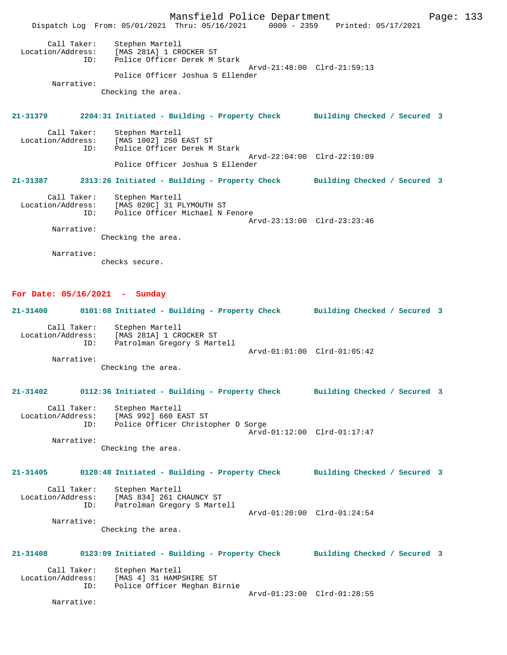Mansfield Police Department Form Page: 133 Dispatch Log From: 05/01/2021 Thru: 05/16/2021 0000 - 2359 Printed: 05/17/2021 Call Taker: Stephen Martell Location/Address: [MAS 281A] 1 CROCKER ST ID: Police Officer Derek M Stark Arvd-21:48:00 Clrd-21:59:13 Police Officer Joshua S Ellender Narrative: Checking the area. **21-31379 2204:31 Initiated - Building - Property Check Building Checked / Secured 3** Call Taker: Stephen Martell Location/Address: [MAS 1002] 250 EAST ST Police Officer Derek M Stark Arvd-22:04:00 Clrd-22:10:09 Police Officer Joshua S Ellender **21-31387 2313:26 Initiated - Building - Property Check Building Checked / Secured 3** Call Taker: Stephen Martell Location/Address: [MAS 820C] 31 PLYMOUTH ST ID: Police Officer Michael N Fenore Arvd-23:13:00 Clrd-23:23:46 Narrative: Checking the area.

Narrative:

checks secure.

#### **For Date: 05/16/2021 - Sunday**

**21-31400 0101:08 Initiated - Building - Property Check Building Checked / Secured 3** Call Taker: Stephen Martell Location/Address: [MAS 281A] 1 CROCKER ST ID: Patrolman Gregory S Martell Arvd-01:01:00 Clrd-01:05:42 Narrative: Checking the area. **21-31402 0112:36 Initiated - Building - Property Check Building Checked / Secured 3** Call Taker: Stephen Martell Location/Address: [MAS 992] 660 EAST ST Police Officer Christopher D Sorge Arvd-01:12:00 Clrd-01:17:47 Narrative: Checking the area. **21-31405 0120:48 Initiated - Building - Property Check Building Checked / Secured 3** Call Taker: Stephen Martell Location/Address: [MAS 834] 261 CHAUNCY ST<br>ID: Patrolman Gregory S Marte .<br>Patrolman Gregory S Martell Arvd-01:20:00 Clrd-01:24:54 Narrative: Checking the area. **21-31408 0123:09 Initiated - Building - Property Check Building Checked / Secured 3** Call Taker: Stephen Martell<br>Location/Address: [MAS 4] 31 HAMP ess: [MAS 4] 31 HAMPSHIRE ST<br>ID: Police Officer Meghan B Police Officer Meghan Birnie Arvd-01:23:00 Clrd-01:28:55

Narrative: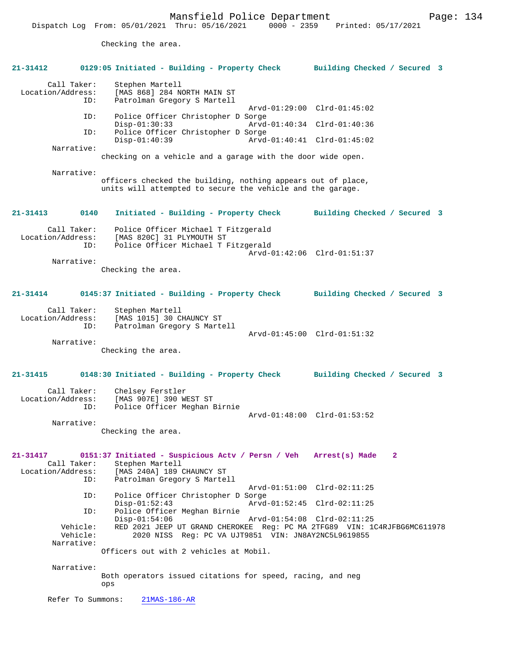Checking the area.

| $21 - 31412$                                                      | 0129:05 Initiated - Building - Property Check                                                                                                      | Building Checked / Secured 3                               |  |  |
|-------------------------------------------------------------------|----------------------------------------------------------------------------------------------------------------------------------------------------|------------------------------------------------------------|--|--|
| Call Taker:<br>Location/Address:<br>ID:                           | Stephen Martell<br>[MAS 868] 284 NORTH MAIN ST<br>Patrolman Gregory S Martell                                                                      |                                                            |  |  |
| ID:                                                               | Police Officer Christopher D Sorge<br>$Disp-01:30:33$                                                                                              | Arvd-01:29:00 Clrd-01:45:02<br>Arvd-01:40:34 Clrd-01:40:36 |  |  |
| ID:                                                               | Police Officer Christopher D Sorge                                                                                                                 |                                                            |  |  |
| Narrative:                                                        | $Disp-01:40:39$                                                                                                                                    | Arvd-01:40:41 Clrd-01:45:02                                |  |  |
|                                                                   | checking on a vehicle and a garage with the door wide open.                                                                                        |                                                            |  |  |
| Narrative:                                                        | officers checked the building, nothing appears out of place,<br>units will attempted to secure the vehicle and the garage.                         |                                                            |  |  |
| $21 - 31413$<br>0140                                              | Initiated - Building - Property Check                                                                                                              | Building Checked / Secured 3                               |  |  |
| Call Taker:<br>Location/Address:<br>ID:                           | Police Officer Michael T Fitzgerald<br>[MAS 820C] 31 PLYMOUTH ST<br>Police Officer Michael T Fitzgerald                                            | Arvd-01:42:06 Clrd-01:51:37                                |  |  |
| Narrative:                                                        | Checking the area.                                                                                                                                 |                                                            |  |  |
| $21 - 31414$                                                      | 0145:37 Initiated - Building - Property Check                                                                                                      | Building Checked / Secured 3                               |  |  |
| Call Taker:<br>Location/Address:<br>ID:                           | Stephen Martell<br>[MAS 1015] 30 CHAUNCY ST<br>Patrolman Gregory S Martell                                                                         |                                                            |  |  |
| Narrative:                                                        | Checking the area.                                                                                                                                 | Arvd-01:45:00 Clrd-01:51:32                                |  |  |
| $21 - 31415$                                                      | 0148:30 Initiated - Building - Property Check                                                                                                      | Building Checked / Secured 3                               |  |  |
| Call Taker:<br>Location/Address:<br>ID:                           | Chelsey Ferstler<br>[MAS 907E] 390 WEST ST<br>Police Officer Meghan Birnie                                                                         | Arvd-01:48:00 Clrd-01:53:52                                |  |  |
| Narrative:                                                        | Checking the area.                                                                                                                                 |                                                            |  |  |
| $21 - 31417$<br>Call Taker:<br>Location/Address:<br>ID:           | 0151:37 Initiated - Suspicious Actv / Persn / Veh Arrest(s) Made<br>Stephen Martell<br>[MAS 240A] 189 CHAUNCY ST<br>Patrolman Gregory S Martell    | $\overline{2}$                                             |  |  |
| ID:                                                               | Police Officer Christopher D Sorge                                                                                                                 | Arvd-01:51:00 Clrd-02:11:25                                |  |  |
| ID:                                                               | $Disp-01:52:43$<br>Police Officer Meghan Birnie                                                                                                    | Arvd-01:52:45 Clrd-02:11:25                                |  |  |
| Vehicle:<br>Vehicle:                                              | $Disp-01:54:06$<br>RED 2021 JEEP UT GRAND CHEROKEE Req: PC MA 2TFG89 VIN: 1C4RJFBG6MC611978<br>2020 NISS Req: PC VA UJT9851 VIN: JN8AY2NC5L9619855 | Arvd-01:54:08 Clrd-02:11:25                                |  |  |
| Narrative:                                                        | Officers out with 2 vehicles at Mobil.                                                                                                             |                                                            |  |  |
| Narrative:                                                        |                                                                                                                                                    |                                                            |  |  |
| Both operators issued citations for speed, racing, and neg<br>ops |                                                                                                                                                    |                                                            |  |  |
| Refer To Summons:<br>$21MAS-186-AR$                               |                                                                                                                                                    |                                                            |  |  |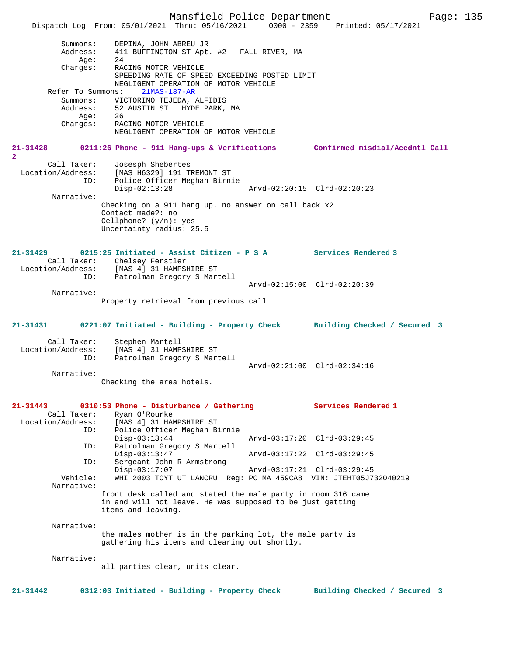Mansfield Police Department Page: 135 Dispatch Log From: 05/01/2021 Thru: 05/16/2021 Summons: DEPINA, JOHN ABREU JR Address: 411 BUFFINGTON ST Apt. #2 FALL RIVER, MA  $A$ ge: 24 Charges: RACING MOTOR VEHICLE SPEEDING RATE OF SPEED EXCEEDING POSTED LIMIT NEGLIGENT OPERATION OF MOTOR VEHICLE Refer To Summons: 21MAS-187-AR Summons: VICTORINO TEJEDA, ALFIDIS Address: 52 AUSTIN ST HYDE PARK, MA Age: 26 Charges: RACING MOTOR VEHICLE NEGLIGENT OPERATION OF MOTOR VEHICLE **21-31428 0211:26 Phone - 911 Hang-ups & Verifications Confirmed misdial/Accdntl Call 2**  Call Taker: Josesph Shebertes Location/Address: [MAS H6329] 191 TREMONT ST<br>ID: Police Officer Meghan Birni Police Officer Meghan Birnie<br>Disp-02:13:28 Disp-02:13:28 Arvd-02:20:15 Clrd-02:20:23 Narrative: Checking on a 911 hang up. no answer on call back x2 Contact made?: no Cellphone? (y/n): yes Uncertainty radius: 25.5 **21-31429 0215:25 Initiated - Assist Citizen - P S A Services Rendered 3**  Call Taker: Chelsey Ferstler<br>Location/Address: [MAS 4] 31 HAMPSI [MAS 4] 31 HAMPSHIRE ST ID: Patrolman Gregory S Martell Arvd-02:15:00 Clrd-02:20:39 Narrative: Property retrieval from previous call **21-31431 0221:07 Initiated - Building - Property Check Building Checked / Secured 3** Call Taker: Stephen Martell Location/Address: [MAS 4] 31 HAMPSHIRE ST<br>TD: Patrolman Gregory S Mart Patrolman Gregory S Martell Arvd-02:21:00 Clrd-02:34:16 Narrative: Checking the area hotels. **21-31443 0310:53 Phone - Disturbance / Gathering Services Rendered 1**  Call Taker: Ryan O'Rourke Location/Address: [MAS 4] 31 HAMPSHIRE ST ID: Police Officer Meghan Birnie Disp-03:13:44 Arvd-03:17:20 Clrd-03:29:45<br>ID: Patrolman Gregory S Martell Patrolman Gregory S Martell<br>Disp-03:13:47 Disp-03:13:47 Arvd-03:17:22 Clrd-03:29:45<br>ID: Sergeant John R Armstrong Sergeant John R Armstrong Disp-03:17:07 Arvd-03:17:21 Clrd-03:29:45 Vehicle: WHI 2003 TOYT UT LANCRU Reg: PC MA 459CA8 VIN: JTEHT05J732040219 Narrative: front desk called and stated the male party in room 316 came in and will not leave. He was supposed to be just getting items and leaving. Narrative: the males mother is in the parking lot, the male party is gathering his items and clearing out shortly. Narrative: all parties clear, units clear. **21-31442 0312:03 Initiated - Building - Property Check Building Checked / Secured 3**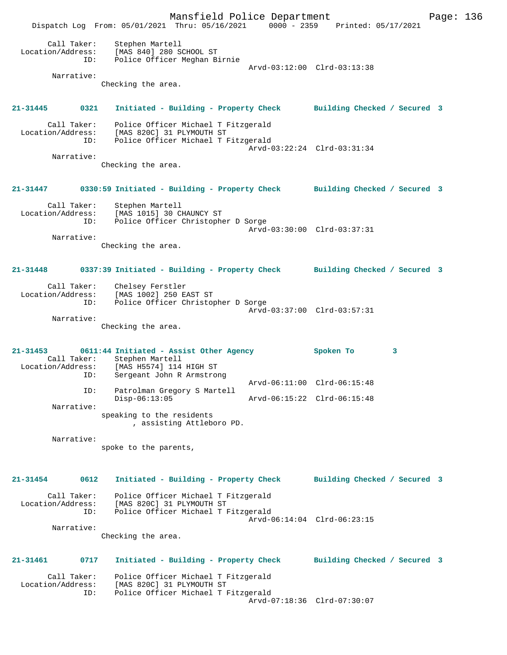Mansfield Police Department Page: 136 Dispatch Log From: 05/01/2021 Thru: 05/16/2021 0000 - 2359 Printed: 05/17/2021 Call Taker: Stephen Martell Location/Address: [MAS 840] 280 SCHOOL ST ID: Police Officer Meghan Birnie Arvd-03:12:00 Clrd-03:13:38 Narrative: Checking the area. **21-31445 0321 Initiated - Building - Property Check Building Checked / Secured 3** Call Taker: Police Officer Michael T Fitzgerald Location/Address: [MAS 820C] 31 PLYMOUTH ST ID: Police Officer Michael T Fitzgerald Arvd-03:22:24 Clrd-03:31:34 Narrative: Checking the area. **21-31447 0330:59 Initiated - Building - Property Check Building Checked / Secured 3** Call Taker: Stephen Martell Location/Address: [MAS 1015] 30 CHAUNCY ST ID: Police Officer Christopher D Sorge Arvd-03:30:00 Clrd-03:37:31 Narrative: Checking the area. **21-31448 0337:39 Initiated - Building - Property Check Building Checked / Secured 3** Call Taker: Chelsey Ferstler Location/Address: [MAS 1002] 250 EAST ST ID: Police Officer Christopher D Sorge Arvd-03:37:00 Clrd-03:57:31 Narrative: Checking the area. **21-31453 0611:44 Initiated - Assist Other Agency Spoken To 3**  Call Taker: Stephen Martell<br>Location/Address: [MAS H5574] 114 Location/Address: [MAS H5574] 114 HIGH ST ID: Sergeant John R Armstrong Arvd-06:11:00 Clrd-06:15:48 ID: Patrolman Gregory S Martell Disp-06:13:05 Arvd-06:15:22 Clrd-06:15:48 Narrative: speaking to the residents , assisting Attleboro PD. Narrative: spoke to the parents, **21-31454 0612 Initiated - Building - Property Check Building Checked / Secured 3** Call Taker: Police Officer Michael T Fitzgerald Location/Address: [MAS 820C] 31 PLYMOUTH ST ID: Police Officer Michael T Fitzgerald Arvd-06:14:04 Clrd-06:23:15 Narrative: Checking the area. **21-31461 0717 Initiated - Building - Property Check Building Checked / Secured 3** Call Taker: Police Officer Michael T Fitzgerald<br>Location/Address: [MAS 820C] 31 PLYMOUTH ST ess: [MAS 820C] 31 PLYMOUTH ST<br>ID: Police Officer Michael T F .<br>Police Officer Michael T Fitzgerald Arvd-07:18:36 Clrd-07:30:07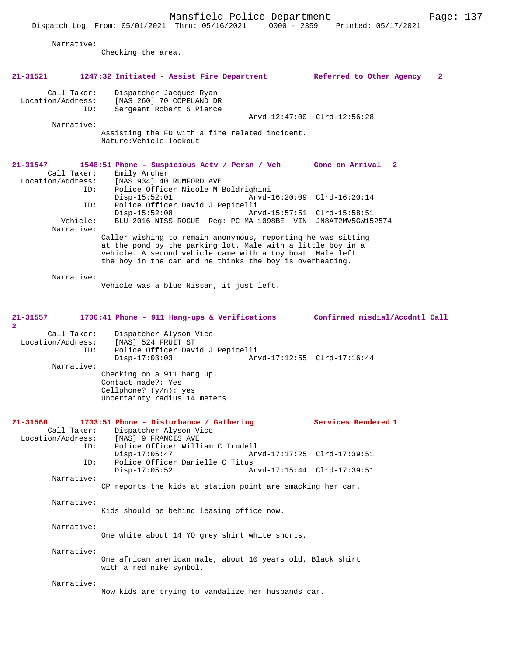Dispatch Log From: 05/01/2021 Thru: 05/16/2021 0000 - 2359 Printed: 05/17/2021

Narrative:

Checking the area.

| 21-31521                                              | 1247:32 Initiated - Assist Fire Department Referred to Other Agency                                                                                                                                                                                  | $\mathbf{2}$                                               |
|-------------------------------------------------------|------------------------------------------------------------------------------------------------------------------------------------------------------------------------------------------------------------------------------------------------------|------------------------------------------------------------|
| Call Taker:<br>Location/Address:<br>ID:<br>Narrative: | Dispatcher Jacques Ryan<br>[MAS 260] 70 COPELAND DR<br>Sergeant Robert S Pierce<br>Assisting the FD with a fire related incident.<br>Nature: Vehicle lockout                                                                                         | Arvd-12:47:00 Clrd-12:56:28                                |
| 21-31547<br>Call Taker:<br>Location/Address:<br>ID:   | 1548:51 Phone - Suspicious Actv / Persn / Veh Gone on Arrival 2<br>Emily Archer<br>[MAS 934] 40 RUMFORD AVE<br>Police Officer Nicole M Boldrighini                                                                                                   |                                                            |
| ID:<br>Vehicle:<br>Narrative:                         | $Disp-15:52:01$<br>Police Officer David J Pepicelli<br>$Disp-15:52:08$<br>BLU 2016 NISS ROGUE Reg: PC MA 1098BE VIN: JN8AT2MV5GW152574                                                                                                               | Arvd-16:20:09 Clrd-16:20:14<br>Arvd-15:57:51 Clrd-15:58:51 |
|                                                       | Caller wishing to remain anonymous, reporting he was sitting<br>at the pond by the parking lot. Male with a little boy in a<br>vehicle. A second vehicle came with a toy boat. Male left<br>the boy in the car and he thinks the boy is overheating. |                                                            |
| Narrative:                                            | Vehicle was a blue Nissan, it just left.                                                                                                                                                                                                             |                                                            |
| 21-31557<br>$\mathbf{2}$<br>Call Taker:               | 1700:41 Phone - 911 Hang-ups & Verifications Confirmed misdial/Accdntl Call<br>Dispatcher Alyson Vico                                                                                                                                                |                                                            |
| Location/Address:<br>ID:<br>Narrative:                | [MAS] 524 FRUIT ST<br>Police Officer David J Pepicelli<br>$Disp-17:03:03$                                                                                                                                                                            | Arvd-17:12:55 Clrd-17:16:44                                |
|                                                       | Checking on a 911 hang up.<br>Contact made?: Yes<br>Cellphone? $(y/n): ye$ s<br>Uncertainty radius: 14 meters                                                                                                                                        |                                                            |
| 21-31560<br>ID:                                       | 1703:51 Phone - Disturbance / Gathering<br>Call Taker: Dispatcher Alyson Vico<br>Location/Address: [MAS] 9 FRANCIS AVE<br>Police Officer William C Trudell                                                                                           | Services Rendered 1                                        |
| ID:                                                   | $Disp-17:05:47$<br>Police Officer Danielle C Titus<br>$Disp-17:05:52$                                                                                                                                                                                | Arvd-17:17:25 Clrd-17:39:51<br>Arvd-17:15:44 Clrd-17:39:51 |
| Narrative:                                            | CP reports the kids at station point are smacking her car.                                                                                                                                                                                           |                                                            |
| Narrative:                                            | Kids should be behind leasing office now.                                                                                                                                                                                                            |                                                            |
| Narrative:                                            | One white about 14 YO grey shirt white shorts.                                                                                                                                                                                                       |                                                            |
| Narrative:                                            | One african american male, about 10 years old. Black shirt<br>with a red nike symbol.                                                                                                                                                                |                                                            |
| Narrative:                                            | Now kids are trying to vandalize her husbands car.                                                                                                                                                                                                   |                                                            |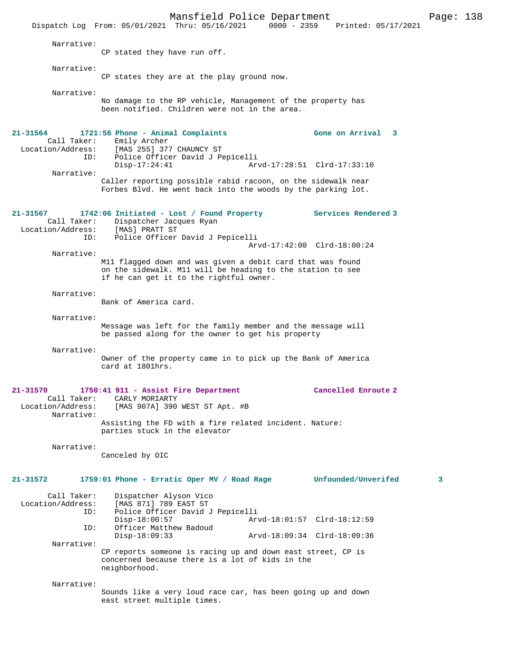Mansfield Police Department Page: 138 Dispatch Log From: 05/01/2021 Thru: 05/16/2021 Narrative: CP stated they have run off. Narrative: CP states they are at the play ground now. Narrative: No damage to the RP vehicle, Management of the property has been notified. Children were not in the area. **21-31564 1721:56 Phone - Animal Complaints Gone on Arrival 3**  Call Taker: Emily Archer<br>Location/Address: [MAS 255] 37 [MAS 255] 377 CHAUNCY ST ID: Police Officer David J Pepicelli Disp-17:24:41 Arvd-17:28:51 Clrd-17:33:10 Narrative: Caller reporting possible rabid racoon, on the sidewalk near Forbes Blvd. He went back into the woods by the parking lot. **21-31567 1742:06 Initiated - Lost / Found Property Services Rendered 3**  Call Taker: Dispatcher Jacques Ryan<br>ion/Address: [MAS] PRATT ST Location/Address:<br>ID: Police Officer David J Pepicelli Arvd-17:42:00 Clrd-18:00:24 Narrative: M11 flagged down and was given a debit card that was found on the sidewalk. M11 will be heading to the station to see if he can get it to the rightful owner. Narrative: Bank of America card. Narrative: Message was left for the family member and the message will be passed along for the owner to get his property Narrative: Owner of the property came in to pick up the Bank of America card at 1801hrs. **21-31570 1750:41 911 - Assist Fire Department Cancelled Enroute 2**  Call Taker: CARLY MORIARTY<br>Location/Address: [MAS 907A] 390 [MAS 907A] 390 WEST ST Apt. #B Narrative: Assisting the FD with a fire related incident. Nature: parties stuck in the elevator Narrative: Canceled by OIC **21-31572 1759:01 Phone - Erratic Oper MV / Road Rage Unfounded/Unverifed 3** Call Taker: Dispatcher Alyson Vico<br>Location/Address: [MAS 871] 789 EAST ST ess: [MAS 871] 789 EAST ST<br>ID: Police Officer David J Police Officer David J Pepicelli<br>Disp-18:00:57 Ar Disp-18:00:57 <br>D: Officer Matthew Badoud <br>D: Officer Matthew Badoud Officer Matthew Badoud Disp-18:09:33 Arvd-18:09:34 Clrd-18:09:36 Narrative: CP reports someone is racing up and down east street, CP is concerned because there is a lot of kids in the neighborhood. Narrative: Sounds like a very loud race car, has been going up and down east street multiple times.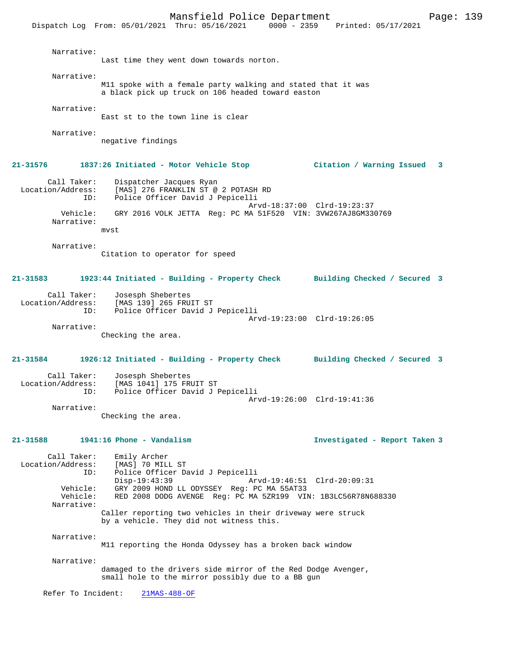Dispatch Log From: 05/01/2021 Thru: 05/16/2021 0000 - 2359 Printed: 05/17/2021

 Narrative: Last time they went down towards norton. Narrative: M11 spoke with a female party walking and stated that it was a black pick up truck on 106 headed toward easton Narrative: East st to the town line is clear Narrative: negative findings **21-31576 1837:26 Initiated - Motor Vehicle Stop Citation / Warning Issued 3** Call Taker: Dispatcher Jacques Ryan Location/Address: [MAS] 276 FRANKLIN ST @ 2 POTASH RD ID: Police Officer David J Pepicelli Arvd-18:37:00 Clrd-19:23:37 Vehicle: GRY 2016 VOLK JETTA Reg: PC MA 51F520 VIN: 3VW267AJ8GM330769 Narrative: mvst Narrative: Citation to operator for speed **21-31583 1923:44 Initiated - Building - Property Check Building Checked / Secured 3** Call Taker: Josesph Shebertes Location/Address: [MAS 139] 265 FRUIT ST Police Officer David J Pepicelli Arvd-19:23:00 Clrd-19:26:05 Narrative: Checking the area. **21-31584 1926:12 Initiated - Building - Property Check Building Checked / Secured 3** Call Taker: Josesph Shebertes Location/Address: [MAS 1041] 175 FRUIT ST ID: Police Officer David J Pepicelli Arvd-19:26:00 Clrd-19:41:36 Narrative: Checking the area. **21-31588 1941:16 Phone - Vandalism Investigated - Report Taken 3** Call Taker: Emily Archer<br>Location/Address: [MAS] 70 MIL [MAS] 70 MILL ST ID: Police Officer David J Pepicelli Disp-19:43:39 Arvd-19:46:51 Clrd-20:09:31 Vehicle: GRY 2009 HOND LL ODYSSEY Reg: PC MA 55AT33 Vehicle: RED 2008 DODG AVENGE Reg: PC MA 5ZR199 VIN: 1B3LC56R78N688330 Narrative: Caller reporting two vehicles in their driveway were struck by a vehicle. They did not witness this. Narrative: M11 reporting the Honda Odyssey has a broken back window Narrative: damaged to the drivers side mirror of the Red Dodge Avenger, small hole to the mirror possibly due to a BB gun Refer To Incident: 21MAS-488-OF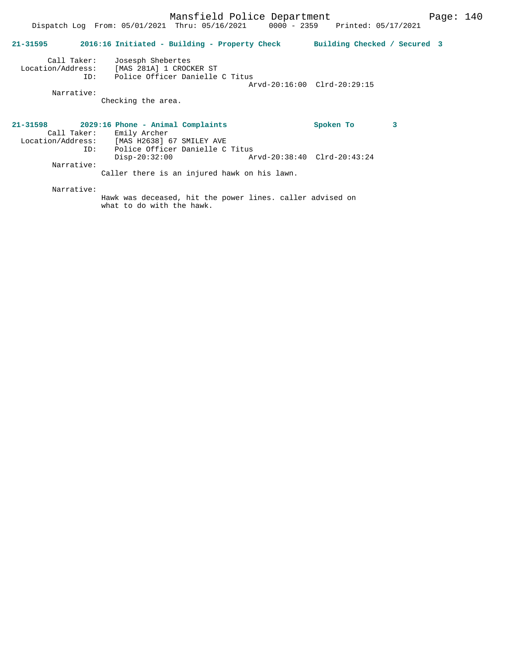|                                         | Dispatch Log From: 05/01/2021 Thru: 05/16/2021 0000 - 2359 Printed: 05/17/2021                                                                 |                              |
|-----------------------------------------|------------------------------------------------------------------------------------------------------------------------------------------------|------------------------------|
| $21 - 31595$                            | 2016:16 Initiated - Building - Property Check                                                                                                  | Building Checked / Secured 3 |
| Call Taker:<br>Location/Address:<br>ID: | Josesph Shebertes<br>[MAS 281A] 1 CROCKER ST<br>Police Officer Danielle C Titus                                                                | Arvd-20:16:00 Clrd-20:29:15  |
| Narrative:                              | Checking the area.                                                                                                                             |                              |
| Call Taker:<br>ID:                      | $21-31598$ 2029:16 Phone - Animal Complaints<br>Emily Archer<br>Location/Address: [MAS H2638] 67 SMILEY AVE<br>Police Officer Danielle C Titus | 3<br>Spoken To               |
| Narrative:                              | Arvd-20:38:40 Clrd-20:43:24<br>$Disp-20:32:00$<br>Caller there is an injured hawk on his lawn.                                                 |                              |

Narrative:

Hawk was deceased, hit the power lines. caller advised on what to do with the hawk.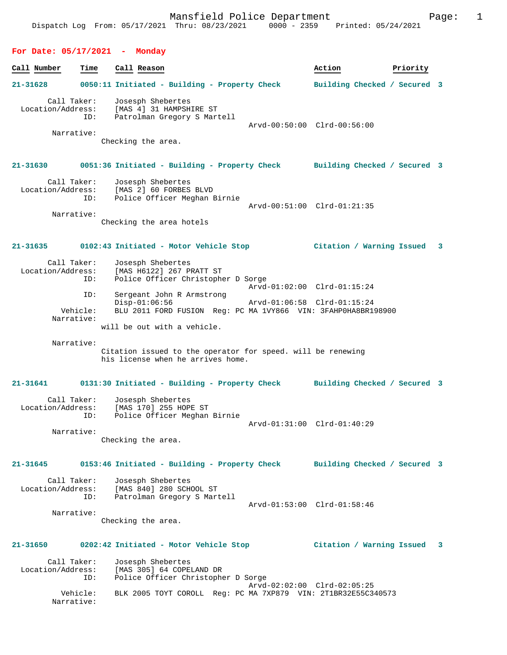# **For Date: 05/17/2021 - Monday**

| Call Number | Time                                           |     | Call Reason                                                                                                                                               |                             | Action | Priority                     |   |
|-------------|------------------------------------------------|-----|-----------------------------------------------------------------------------------------------------------------------------------------------------------|-----------------------------|--------|------------------------------|---|
| 21-31628    |                                                |     | 0050:11 Initiated - Building - Property Check                                                                                                             |                             |        | Building Checked / Secured 3 |   |
|             | Call Taker:<br>Location/Address:<br>Narrative: | ID: | Josesph Shebertes<br>[MAS 4] 31 HAMPSHIRE ST<br>Patrolman Gregory S Martell<br>Checking the area.                                                         | Arvd-00:50:00 Clrd-00:56:00 |        |                              |   |
|             |                                                |     |                                                                                                                                                           |                             |        |                              |   |
| 21-31630    | Call Taker:<br>Location/Address:               | ID: | 0051:36 Initiated - Building - Property Check Building Checked / Secured 3<br>Josesph Shebertes<br>[MAS 2] 60 FORBES BLVD<br>Police Officer Meghan Birnie | Arvd-00:51:00 Clrd-01:21:35 |        |                              |   |
|             | Narrative:                                     |     | Checking the area hotels                                                                                                                                  |                             |        |                              |   |
| 21-31635    |                                                |     | 0102:43 Initiated - Motor Vehicle Stop                                                                                                                    |                             |        | Citation / Warning Issued    | 3 |
|             | Call Taker:<br>Location/Address:<br>ID:        |     | Josesph Shebertes<br>[MAS H6122] 267 PRATT ST<br>Police Officer Christopher D Sorge                                                                       | Arvd-01:02:00 Clrd-01:15:24 |        |                              |   |
|             | ID:<br>Vehicle:<br>Narrative:                  |     | Sergeant John R Armstrong<br>$Disp-01:06:56$<br>BLU 2011 FORD FUSION Reg: PC MA 1VY866 VIN: 3FAHP0HA8BR198900<br>will be out with a vehicle.              | Arvd-01:06:58 Clrd-01:15:24 |        |                              |   |
|             | Narrative:                                     |     | Citation issued to the operator for speed. will be renewing<br>his license when he arrives home.                                                          |                             |        |                              |   |
| 21-31641    |                                                |     | 0131:30 Initiated - Building - Property Check                                                                                                             |                             |        | Building Checked / Secured 3 |   |
|             | Call Taker:<br>Location/Address:               | ID: | Josesph Shebertes<br>[MAS 170] 255 HOPE ST<br>Police Officer Meghan Birnie                                                                                | Arvd-01:31:00 Clrd-01:40:29 |        |                              |   |
|             | Narrative:                                     |     | Checking the area.                                                                                                                                        |                             |        |                              |   |
| 21-31645    |                                                |     | 0153:46 Initiated - Building - Property Check Building Checked / Secured 3                                                                                |                             |        |                              |   |
|             | Call Taker:<br>Location/Address:               | ID: | Josesph Shebertes<br>[MAS 840] 280 SCHOOL ST<br>Patrolman Gregory S Martell                                                                               | Arvd-01:53:00 Clrd-01:58:46 |        |                              |   |
| Narrative:  |                                                |     | Checking the area.                                                                                                                                        |                             |        |                              |   |
| 21-31650    |                                                |     | 0202:42 Initiated - Motor Vehicle Stop                                                                                                                    |                             |        | Citation / Warning Issued    | 3 |
|             | Call Taker:<br>Location/Address:               | ID: | Josesph Shebertes<br>[MAS 305] 64 COPELAND DR<br>Police Officer Christopher D Sorge                                                                       |                             |        |                              |   |
|             | Vehicle:<br>Narrative:                         |     | BLK 2005 TOYT COROLL Reg: PC MA 7XP879 VIN: 2T1BR32E55C340573                                                                                             | Arvd-02:02:00 Clrd-02:05:25 |        |                              |   |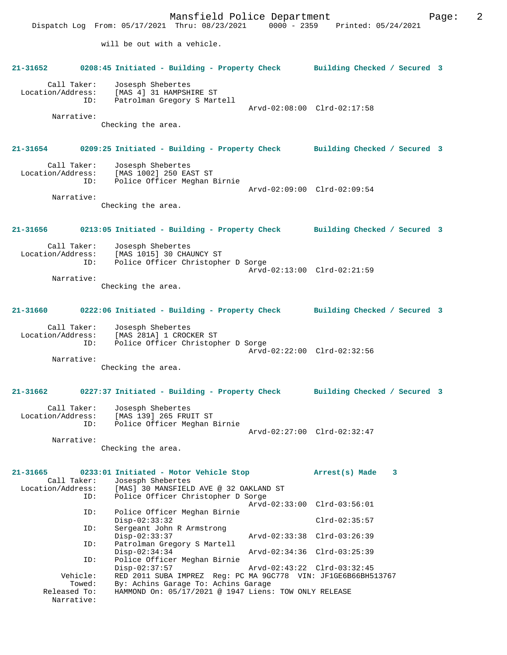Mansfield Police Department Fage: 2 Dispatch Log From: 05/17/2021 Thru: 08/23/2021 0000 - 2359 Printed: 05/24/2021 will be out with a vehicle. **21-31652 0208:45 Initiated - Building - Property Check Building Checked / Secured 3** Call Taker: Josesph Shebertes Location/Address: [MAS 4] 31 HAMPSHIRE ST ID: Patrolman Gregory S Martell Arvd-02:08:00 Clrd-02:17:58 Narrative: Checking the area. **21-31654 0209:25 Initiated - Building - Property Check Building Checked / Secured 3** Call Taker: Josesph Shebertes Location/Address: [MAS 1002] 250 EAST ST ID: Police Officer Meghan Birnie Arvd-02:09:00 Clrd-02:09:54 Narrative: Checking the area. **21-31656 0213:05 Initiated - Building - Property Check Building Checked / Secured 3** Call Taker: Josesph Shebertes<br>Location/Address: [MAS 1015] 30 CHA ess: [MAS 1015] 30 CHAUNCY ST<br>ID: Police Officer Christophe Police Officer Christopher D Sorge Arvd-02:13:00 Clrd-02:21:59 Narrative: Checking the area. **21-31660 0222:06 Initiated - Building - Property Check Building Checked / Secured 3** Call Taker: Josesph Shebertes Location/Address: [MAS 281A] 1 CROCKER ST ID: Police Officer Christopher D Sorge Arvd-02:22:00 Clrd-02:32:56 Narrative: Checking the area. **21-31662 0227:37 Initiated - Building - Property Check Building Checked / Secured 3** Call Taker: Josesph Shebertes Location/Address: [MAS 139] 265 FRUIT ST ID: Police Officer Meghan Birnie Arvd-02:27:00 Clrd-02:32:47 Narrative: Checking the area. **21-31665 0233:01 Initiated - Motor Vehicle Stop Arrest(s) Made 3**  Call Taker: Josesph Shebertes Location/Address: [MAS] 30 MANSFIELD AVE @ 32 OAKLAND ST<br>TD: Police Officer Christopher D Sorge Police Officer Christopher D Sorge Arvd-02:33:00 Clrd-03:56:01<br>TD: Police Officer Meghan Birnie Police Officer Meghan Birnie Disp-02:33:32 Clrd-02:35:57 ID: Sergeant John R Armstrong Disp-02:33:37 Arvd-02:33:38 Clrd-03:26:39<br>ID: Patrolman Gregory S Martell Patrolman Gregory S Martell<br>Disp-02:34:34 Disp-02:34:34 Arvd-02:34:36 Clrd-03:25:39 ID: Police Officer Meghan Birnie Disp-02:37:57 Arvd-02:43:22 Clrd-03:32:45<br>Vehicle: RED 2011 SUBA IMPREZ Req: PC MA 9GC778 VIN: JF1GE6B66BH5 Vehicle: RED 2011 SUBA IMPREZ Reg: PC MA 9GC778 VIN: JF1GE6B66BH513767<br>Towed: By: Achins Garage To: Achins Garage Towed: By: Achins Garage To: Achins Garage<br>Released To: HAMMOND On: 05/17/2021 @ 1947 Liens: HAMMOND On: 05/17/2021 @ 1947 Liens: TOW ONLY RELEASE Narrative: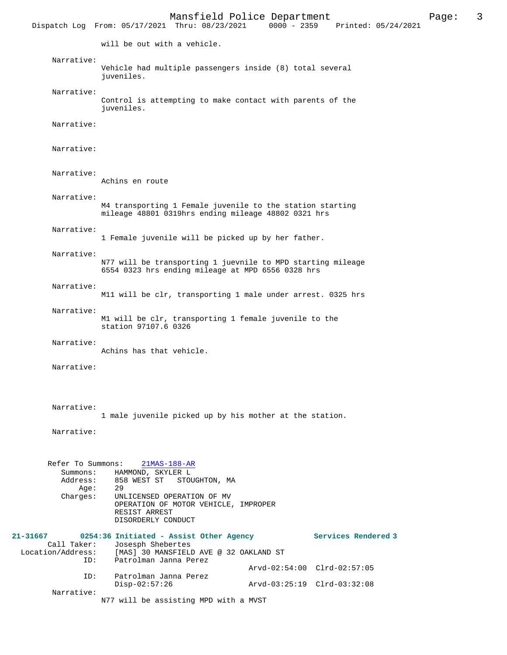Mansfield Police Department<br>  $\frac{P}{P}$  Page: 3<br>  $\frac{P}{P}$  Printed: 05/24/2021 Dispatch Log From: 05/17/2021 Thru: 08/23/2021 will be out with a vehicle. Narrative: Vehicle had multiple passengers inside (8) total several juveniles. Narrative: Control is attempting to make contact with parents of the juveniles. Narrative: Narrative: Narrative: Achins en route Narrative: M4 transporting 1 Female juvenile to the station starting mileage 48801 0319hrs ending mileage 48802 0321 hrs Narrative: 1 Female juvenile will be picked up by her father. Narrative: N77 will be transporting 1 juevnile to MPD starting mileage 6554 0323 hrs ending mileage at MPD 6556 0328 hrs Narrative: M11 will be clr, transporting 1 male under arrest. 0325 hrs Narrative: M1 will be clr, transporting 1 female juvenile to the station 97107.6 0326 Narrative: Achins has that vehicle. Narrative: Narrative: 1 male juvenile picked up by his mother at the station. Narrative: Refer To Summons: 21MAS-188-AR Summons: HAMMOND, SKYLER L<br>Address: 858 WEST ST STOU 858 WEST ST STOUGHTON, MA Age: 29 Charges: UNLICENSED OPERATION OF MV OPERATION OF MOTOR VEHICLE, IMPROPER RESIST ARREST DISORDERLY CONDUCT **21-31667 0254:36 Initiated - Assist Other Agency Services Rendered 3**  Call Taker: Josesph Shebertes<br>Location/Address: [MAS] 30 MANSFIEL [MAS] 30 MANSFIELD AVE @ 32 OAKLAND ST ID: Patrolman Janna Perez Arvd-02:54:00 Clrd-02:57:05<br>ID: Patrolman Janna Perez Patrolman Janna Perez Disp-02:57:26 Arvd-03:25:19 Clrd-03:32:08 Narrative: N77 will be assisting MPD with a MVST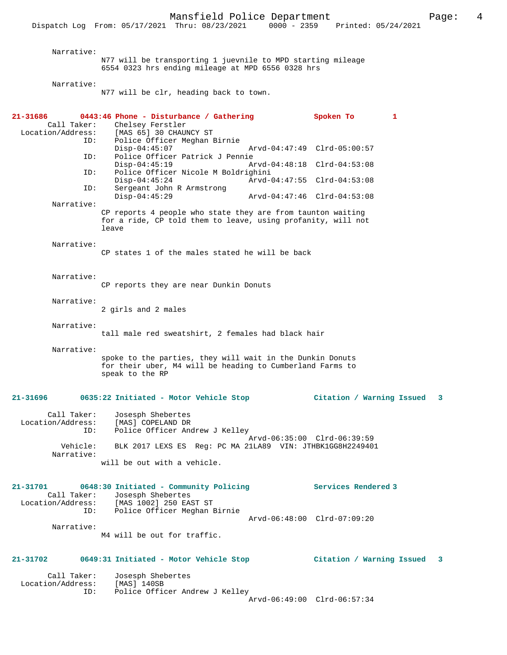Narrative: N77 will be transporting 1 juevnile to MPD starting mileage 6554 0323 hrs ending mileage at MPD 6556 0328 hrs

Narrative:

N77 will be clr, heading back to town.

| 21-31686<br>Call Taker:<br>Location/Address: | 0443:46 Phone - Disturbance / Gathering<br>Chelsey Ferstler<br>[MAS 65] 30 CHAUNCY ST                                                     |                             | Spoken To                   | 1 |  |
|----------------------------------------------|-------------------------------------------------------------------------------------------------------------------------------------------|-----------------------------|-----------------------------|---|--|
| ID:                                          | Police Officer Meghan Birnie<br>$Disp-04:45:07$                                                                                           | Arvd-04:47:49 Clrd-05:00:57 |                             |   |  |
| ID:                                          | Police Officer Patrick J Pennie<br>$Disp-04:45:19$                                                                                        | Arvd-04:48:18 Clrd-04:53:08 |                             |   |  |
| ID:<br>ID:                                   | Police Officer Nicole M Boldrighini<br>$Disp-04:45:24$<br>Sergeant John R Armstrong                                                       | Arvd-04:47:55 Clrd-04:53:08 |                             |   |  |
| Narrative:                                   | $Disp-04:45:29$                                                                                                                           | Arvd-04:47:46 Clrd-04:53:08 |                             |   |  |
|                                              | CP reports 4 people who state they are from taunton waiting<br>for a ride, CP told them to leave, using profanity, will not<br>leave      |                             |                             |   |  |
| Narrative:                                   | CP states 1 of the males stated he will be back                                                                                           |                             |                             |   |  |
| Narrative:                                   | CP reports they are near Dunkin Donuts                                                                                                    |                             |                             |   |  |
| Narrative:                                   | 2 girls and 2 males                                                                                                                       |                             |                             |   |  |
| Narrative:                                   | tall male red sweatshirt, 2 females had black hair                                                                                        |                             |                             |   |  |
| Narrative:                                   | spoke to the parties, they will wait in the Dunkin Donuts<br>for their uber, M4 will be heading to Cumberland Farms to<br>speak to the RP |                             |                             |   |  |
| 21-31696                                     | 0635:22 Initiated - Motor Vehicle Stop                                                                                                    |                             | Citation / Warning Issued   | 3 |  |
| Call Taker:<br>Location/Address:<br>ID:      | Josesph Shebertes<br>[MAS] COPELAND DR<br>Police Officer Andrew J Kelley                                                                  |                             |                             |   |  |
| Vehicle:<br>Narrative:                       | Arvd-06:35:00 Clrd-06:39:59<br>BLK 2017 LEXS ES Req: PC MA 21LA89 VIN: JTHBK1GG8H2249401                                                  |                             |                             |   |  |
|                                              | will be out with a vehicle.                                                                                                               |                             |                             |   |  |
| 21-31701<br>Call Taker:<br>ID:               | 0648:30 Initiated - Community Policing<br>Josesph Shebertes<br>Location/Address: [MAS 1002] 250 EAST ST<br>Police Officer Meghan Birnie   |                             | Services Rendered 3         |   |  |
| Narrative:                                   |                                                                                                                                           | Arvd-06:48:00 Clrd-07:09:20 |                             |   |  |
|                                              | M4 will be out for traffic.                                                                                                               |                             |                             |   |  |
| 21-31702                                     | 0649:31 Initiated - Motor Vehicle Stop                                                                                                    |                             | Citation / Warning Issued   | 3 |  |
| Call Taker:<br>Location/Address:             | Josesph Shebertes<br>[MAS] 140SB                                                                                                          |                             |                             |   |  |
| ID:                                          | Police Officer Andrew J Kelley                                                                                                            |                             | Arvd-06:49:00 Clrd-06:57:34 |   |  |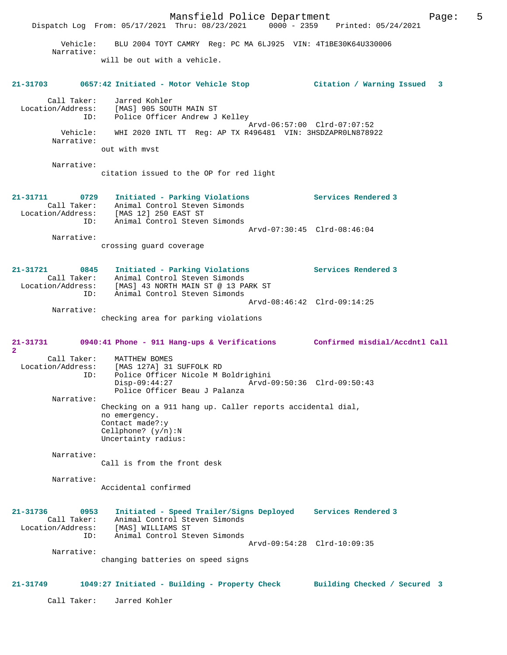Mansfield Police Department Page: 5 Dispatch Log From: 05/17/2021 Thru: 08/23/2021 0000 - 2359 Printed: 05/24/2021 Vehicle: BLU 2004 TOYT CAMRY Reg: PC MA 6LJ925 VIN: 4T1BE30K64U330006 Narrative: will be out with a vehicle. **21-31703 0657:42 Initiated - Motor Vehicle Stop Citation / Warning Issued 3** Call Taker: Jarred Kohler Location/Address: [MAS] 905 SOUTH MAIN ST<br>ID: Police Officer Andrew J Police Officer Andrew J Kelley Arvd-06:57:00 Clrd-07:07:52 Vehicle: WHI 2020 INTL TT Reg: AP TX R496481 VIN: 3HSDZAPR0LN878922 Narrative: out with mvst Narrative: citation issued to the OP for red light **21-31711 0729 Initiated - Parking Violations Services Rendered 3**  Call Taker: Animal Control Steven Simonds Location/Address: [MAS 12] 250 EAST ST ID: Animal Control Steven Simonds Arvd-07:30:45 Clrd-08:46:04 Narrative: crossing guard coverage **21-31721 0845 Initiated - Parking Violations Services Rendered 3**  Call Taker: Animal Control Steven Simonds Location/Address: [MAS] 43 NORTH MAIN ST @ 13 PARK ST ID: Animal Control Steven Simonds Arvd-08:46:42 Clrd-09:14:25 Narrative: checking area for parking violations **21-31731 0940:41 Phone - 911 Hang-ups & Verifications Confirmed misdial/Accdntl Call 2**  Call Taker: MATTHEW BOMES<br>Location/Address: [MAS 127A] 31 Location/Address: [MAS 127A] 31 SUFFOLK RD ID: Police Officer Nicole M Boldrighini ID: Police Officer Nicole M Boldrighini<br>Disp-09:44:27 Arvd-09:50:36 Clrd-09:50:43 Police Officer Beau J Palanza Narrative: Checking on a 911 hang up. Caller reports accidental dial, no emergency. Contact made?:y Cellphone? (y/n):N Uncertainty radius: Narrative: Call is from the front desk Narrative: Accidental confirmed **21-31736 0953 Initiated - Speed Trailer/Signs Deployed Services Rendered 3**  Call Taker: Animal Control Steven Simonds Location/Address: [MAS] WILLIAMS ST ID: Animal Control Steven Simonds Arvd-09:54:28 Clrd-10:09:35 Narrative: changing batteries on speed signs **21-31749 1049:27 Initiated - Building - Property Check Building Checked / Secured 3** Call Taker: Jarred Kohler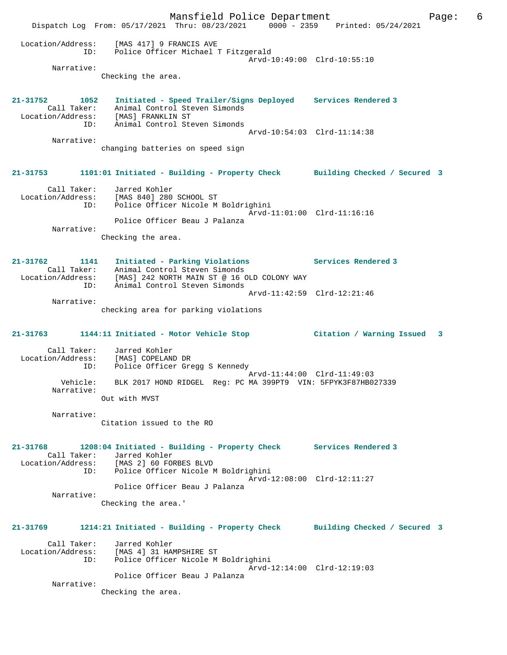Mansfield Police Department The Rage: 6 Dispatch Log From: 05/17/2021 Thru: 08/23/2021 0000 - 2359 Printed: 05/24/2021 Location/Address: [MAS 417] 9 FRANCIS AVE ID: Police Officer Michael T Fitzgerald Arvd-10:49:00 Clrd-10:55:10 Narrative: Checking the area. **21-31752 1052 Initiated - Speed Trailer/Signs Deployed Services Rendered 3**  Call Taker: Animal Control Steven Simonds Location/Address: [MAS] FRANKLIN ST ID: Animal Control Steven Simonds Arvd-10:54:03 Clrd-11:14:38 Narrative: changing batteries on speed sign **21-31753 1101:01 Initiated - Building - Property Check Building Checked / Secured 3** Call Taker: Jarred Kohler Location/Address: [MAS 840] 280 SCHOOL ST ID: Police Officer Nicole M Boldrighini Arvd-11:01:00 Clrd-11:16:16 Police Officer Beau J Palanza Narrative: Checking the area. **21-31762 1141 Initiated - Parking Violations Services Rendered 3**  Call Taker: Animal Control Steven Simonds Location/Address: [MAS] 242 NORTH MAIN ST @ 16 OLD COLONY WAY ID: Animal Control Steven Simonds Arvd-11:42:59 Clrd-12:21:46 Narrative: checking area for parking violations **21-31763 1144:11 Initiated - Motor Vehicle Stop Citation / Warning Issued 3** Call Taker: Jarred Kohler Location/Address: [MAS] COPELAND DR ID: Police Officer Gregg S Kennedy Arvd-11:44:00 Clrd-11:49:03 Vehicle: BLK 2017 HOND RIDGEL Reg: PC MA 399PT9 VIN: 5FPYK3F87HB027339 Narrative: Out with MVST Narrative: Citation issued to the RO **21-31768 1208:04 Initiated - Building - Property Check Services Rendered 3**  Call Taker: Jarred Kohler Location/Address: [MAS 2] 60 FORBES BLVD ID: Police Officer Nicole M Boldrighini Arvd-12:08:00 Clrd-12:11:27 Police Officer Beau J Palanza Narrative: Checking the area.' **21-31769 1214:21 Initiated - Building - Property Check Building Checked / Secured 3** Call Taker: Jarred Kohler Location/Address: [MAS 4] 31 HAMPSHIRE ST ID: Police Officer Nicole M Boldrighini Arvd-12:14:00 Clrd-12:19:03 Police Officer Beau J Palanza Narrative: Checking the area.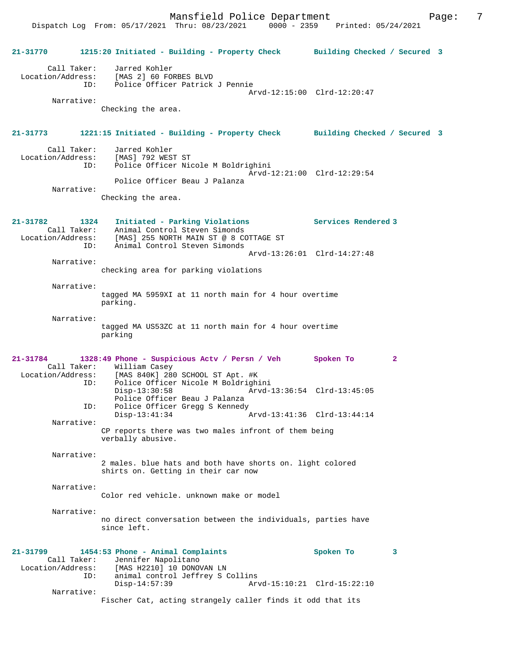Dispatch Log From: 05/17/2021 Thru: 08/23/2021 0000 - 2359 Printed: 05/24/2021

| 21-31770          |                            | 1215:20 Initiated - Building - Property Check Building Checked / Secured 3                                                                                                                                |                             |  |
|-------------------|----------------------------|-----------------------------------------------------------------------------------------------------------------------------------------------------------------------------------------------------------|-----------------------------|--|
|                   | ID:                        | Call Taker: Jarred Kohler<br>Location/Address: [MAS 2] 60 FORBES BLVD<br>Police Officer Patrick J Pennie                                                                                                  |                             |  |
|                   | Narrative:                 | Checking the area.                                                                                                                                                                                        | Arvd-12:15:00 Clrd-12:20:47 |  |
|                   |                            |                                                                                                                                                                                                           |                             |  |
| 21-31773          |                            | 1221:15 Initiated - Building - Property Check Building Checked / Secured 3                                                                                                                                |                             |  |
|                   | Call Taker:                | Jarred Kohler<br>Location/Address: [MAS] 792 WEST ST<br>ID: Police Officer Ni<br>Police Officer Nicole M Boldrighini                                                                                      | Arvd-12:21:00 Clrd-12:29:54 |  |
|                   | Narrative:                 | Police Officer Beau J Palanza                                                                                                                                                                             |                             |  |
|                   |                            | Checking the area.                                                                                                                                                                                        |                             |  |
| 21-31782          | 1324<br>Call Taker:<br>ID: | Initiated - Parking Violations<br>Animal Control Steven Simonds<br>Location/Address: [MAS] 255 NORTH MAIN ST @ 8 COTTAGE ST<br>Animal Control Steven Simonds                                              | Services Rendered 3         |  |
|                   |                            |                                                                                                                                                                                                           | Arvd-13:26:01 Clrd-14:27:48 |  |
|                   | Narrative:                 | checking area for parking violations                                                                                                                                                                      |                             |  |
|                   | Narrative:                 | tagged MA 5959XI at 11 north main for 4 hour overtime<br>parking.                                                                                                                                         |                             |  |
|                   | Narrative:                 | tagged MA US53ZC at 11 north main for 4 hour overtime<br>parking                                                                                                                                          |                             |  |
| 21-31784          |                            | 1328:49 Phone - Suspicious Actv / Persn / Veh Spoken To                                                                                                                                                   | $\mathbf{2}$                |  |
|                   | ID:                        | Call Taker: William Casey<br>Location/Address: [MAS 840K] 280 SCHOOL ST Apt. #K<br>Police Officer Nicole M Boldrighini<br>$Disp-13:30:58$<br>Arvd-13:36:54 Clrd-13:45:05<br>Police Officer Beau J Palanza |                             |  |
|                   | ID:                        | Police Officer Gregg S Kennedy<br>$Disp-13:41:34$                                                                                                                                                         | Arvd-13:41:36 Clrd-13:44:14 |  |
|                   | Narrative:                 | CP reports there was two males infront of them being<br>verbally abusive.                                                                                                                                 |                             |  |
|                   | Narrative:                 | 2 males. blue hats and both have shorts on. light colored<br>shirts on. Getting in their car now                                                                                                          |                             |  |
|                   | Narrative:                 | Color red vehicle, unknown make or model                                                                                                                                                                  |                             |  |
|                   | Narrative:                 | no direct conversation between the individuals, parties have<br>since left.                                                                                                                               |                             |  |
| 21-31799          |                            | 1454:53 Phone - Animal Complaints                                                                                                                                                                         | Spoken To<br>3              |  |
| Location/Address: | Call Taker:<br>ID:         | Jennifer Napolitano<br>[MAS H2210] 10 DONOVAN LN<br>animal control Jeffrey S Collins<br>$Disp-14:57:39$                                                                                                   | Arvd-15:10:21 Clrd-15:22:10 |  |
|                   | Narrative:                 | Fischer Cat, acting strangely caller finds it odd that its                                                                                                                                                |                             |  |
|                   |                            |                                                                                                                                                                                                           |                             |  |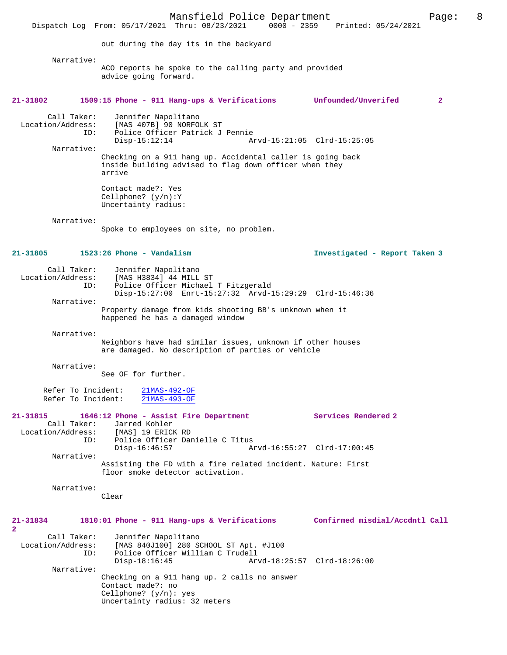Mansfield Police Department Page: 8 Dispatch Log From: 05/17/2021 Thru: 08/23/2021 out during the day its in the backyard Narrative: ACO reports he spoke to the calling party and provided advice going forward. **21-31802 1509:15 Phone - 911 Hang-ups & Verifications Unfounded/Unverifed 2** Call Taker: Jennifer Napolitano<br>Location/Address: [MAS 407B] 90 NORFO ess: [MAS 407B] 90 NORFOLK ST<br>ID: Police Officer Patrick J Police Officer Patrick J Pennie<br>Disp-15:12:14 A Arvd-15:21:05 Clrd-15:25:05 Narrative: Checking on a 911 hang up. Accidental caller is going back inside building advised to flag down officer when they arrive Contact made?: Yes Cellphone? (y/n):Y Uncertainty radius: Narrative: Spoke to employees on site, no problem. **21-31805 1523:26 Phone - Vandalism Investigated - Report Taken 3** Call Taker: Jennifer Napolitano<br>Location/Address: [MAS H3834] 44 MILL ess: [MAS H3834] 44 MILL ST<br>ID: Police Officer Michael Police Officer Michael T Fitzgerald Disp-15:27:00 Enrt-15:27:32 Arvd-15:29:29 Clrd-15:46:36 Narrative: Property damage from kids shooting BB's unknown when it happened he has a damaged window Narrative: Neighbors have had similar issues, unknown if other houses are damaged. No description of parties or vehicle Narrative: See OF for further. Refer To Incident: 21MAS-492-OF Refer To Incident: 21MAS-493-OF **21-31815 1646:12 Phone - Assist Fire Department Services Rendered 2**  Call Taker: Jarred Kohler<br>Location/Address: [MAS] 19 ERICI ess: [MAS] 19 ERICK RD<br>ID: Police Officer Dar Police Officer Danielle C Titus<br>Disp-16:46:57 A Disp-16:46:57 Arvd-16:55:27 Clrd-17:00:45 Narrative: Assisting the FD with a fire related incident. Nature: First floor smoke detector activation. Narrative: Clear **21-31834 1810:01 Phone - 911 Hang-ups & Verifications Confirmed misdial/Accdntl Call 2**  Call Taker: Jennifer Napolitano<br>Location/Address: [MAS 840J100] 280 S ess: [MAS 840J100] 280 SCHOOL ST Apt. #J100<br>ID: Police Officer William C Trudell Police Officer William C Trudell<br>Disp-18:16:45 Ar Disp-18:16:45 Arvd-18:25:57 Clrd-18:26:00 Narrative: Checking on a 911 hang up. 2 calls no answer Contact made?: no Cellphone? (y/n): yes Uncertainty radius: 32 meters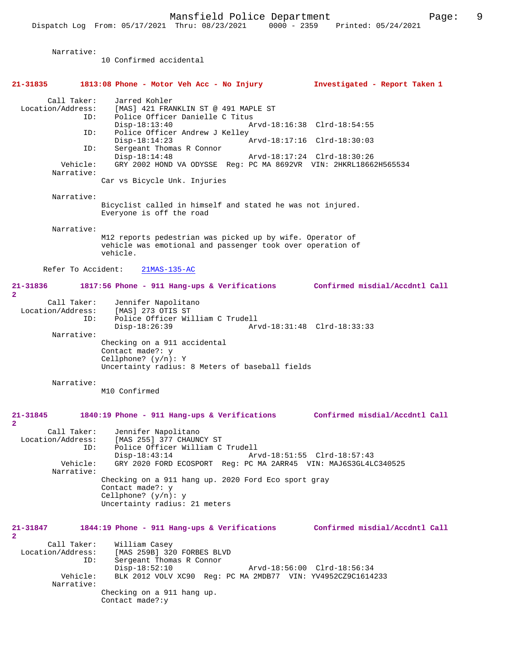| Narrative:                                                                        | 10 Confirmed accidental                                                                                                                                                                                                                                                                                             |                                                                                           |
|-----------------------------------------------------------------------------------|---------------------------------------------------------------------------------------------------------------------------------------------------------------------------------------------------------------------------------------------------------------------------------------------------------------------|-------------------------------------------------------------------------------------------|
| 21-31835                                                                          | 1813:08 Phone - Motor Veh Acc - No Injury                                                                                                                                                                                                                                                                           | Investigated - Report Taken 1                                                             |
| Call Taker:<br>Location/Address:<br>ID:<br>ID:<br>ID:<br>Vehicle:<br>Narrative:   | Jarred Kohler<br>[MAS] 421 FRANKLIN ST @ 491 MAPLE ST<br>Police Officer Danielle C Titus<br>$Disp-18:13:40$<br>Police Officer Andrew J Kelley<br>$Disp-18:14:23$<br>Sergeant Thomas R Connor<br>$Disp-18:14:48$<br>GRY 2002 HOND VA ODYSSE Reg: PC MA 8692VR VIN: 2HKRL18662H565534<br>Car vs Bicycle Unk. Injuries | Arvd-18:16:38 Clrd-18:54:55<br>Arvd-18:17:16 Clrd-18:30:03<br>Arvd-18:17:24 Clrd-18:30:26 |
| Narrative:                                                                        |                                                                                                                                                                                                                                                                                                                     |                                                                                           |
|                                                                                   | Bicyclist called in himself and stated he was not injured.<br>Everyone is off the road                                                                                                                                                                                                                              |                                                                                           |
| Narrative:                                                                        | M12 reports pedestrian was picked up by wife. Operator of<br>vehicle was emotional and passenger took over operation of<br>vehicle.                                                                                                                                                                                 |                                                                                           |
| Refer To Accident:                                                                | $21MAS-135-AC$                                                                                                                                                                                                                                                                                                      |                                                                                           |
| 21-31836<br>$\mathbf{2}$                                                          | 1817:56 Phone - 911 Hang-ups & Verifications Confirmed misdial/Accdntl Call                                                                                                                                                                                                                                         |                                                                                           |
| Call Taker:<br>Location/Address:<br>ID:                                           | Jennifer Napolitano<br>[MAS] 273 OTIS ST<br>Police Officer William C Trudell<br>$Disp-18:26:39$                                                                                                                                                                                                                     | Arvd-18:31:48 Clrd-18:33:33                                                               |
| Narrative:                                                                        | Checking on a 911 accidental<br>Contact made?: y<br>Cellphone? $(y/n): Y$<br>Uncertainty radius: 8 Meters of baseball fields                                                                                                                                                                                        |                                                                                           |
| Narrative:                                                                        | M10 Confirmed                                                                                                                                                                                                                                                                                                       |                                                                                           |
| $21 - 31845$                                                                      | 1840:19 Phone - 911 Hang-ups & Verifications                                                                                                                                                                                                                                                                        | Confirmed misdial/Accdntl Call                                                            |
| $\mathbf{2}$<br>Call Taker:<br>Location/Address:<br>ID:<br>Vehicle:<br>Narrative: | Jennifer Napolitano<br>[MAS 255] 377 CHAUNCY ST<br>Police Officer William C Trudell<br>$Disp-18:43:14$<br>GRY 2020 FORD ECOSPORT Reg: PC MA 2ARR45 VIN: MAJ6S3GL4LC340525<br>Checking on a 911 hang up. 2020 Ford Eco sport gray<br>Contact made?: y                                                                | Arvd-18:51:55 Clrd-18:57:43                                                               |
|                                                                                   | Cellphone? $(y/n): y$<br>Uncertainty radius: 21 meters                                                                                                                                                                                                                                                              |                                                                                           |
| 21-31847<br>$\overline{2}$                                                        | 1844:19 Phone - 911 Hang-ups & Verifications Confirmed misdial/Accdntl Call                                                                                                                                                                                                                                         |                                                                                           |
| Call Taker:<br>Location/Address:<br>ID:<br>Vehicle:                               | William Casey<br>[MAS 259B] 320 FORBES BLVD<br>Sergeant Thomas R Connor<br>$Disp-18:52:10$<br>BLK 2012 VOLV XC90 Req: PC MA 2MDB77 VIN: YV4952CZ9C1614233                                                                                                                                                           | Arvd-18:56:00 Clrd-18:56:34                                                               |
| Narrative:                                                                        | Checking on a 911 hang up.<br>Contact made?: y                                                                                                                                                                                                                                                                      |                                                                                           |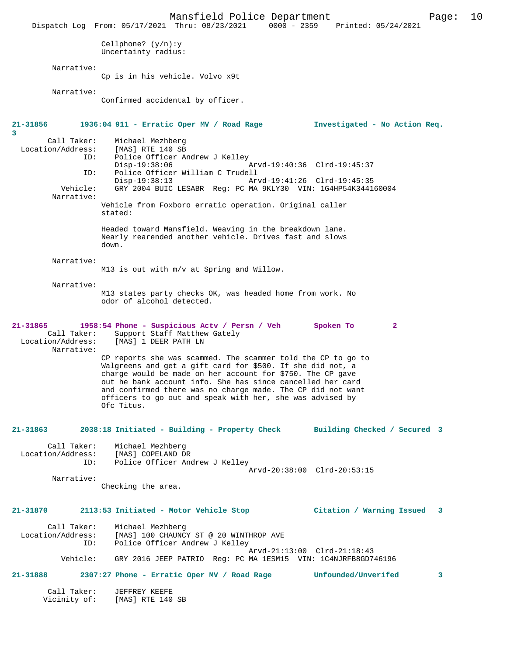Mansfield Police Department Page: 10 Dispatch Log From: 05/17/2021 Thru: 08/23/2021 0000 - 2359 Cellphone? (y/n):y Uncertainty radius: Narrative: Cp is in his vehicle. Volvo x9t Narrative: Confirmed accidental by officer. **21-31856 1936:04 911 - Erratic Oper MV / Road Rage Investigated - No Action Req. 3**  Call Taker: Michael Mezhberg<br>Location/Address: [MAS] RTE 140 SB  $[MAS] RTE 140 S$  ID: Police Officer Andrew J Kelley Disp-19:38:06 Arvd-19:40:36 Clrd-19:45:37<br>ID: Police Officer William C Trudell Police Officer William C Trudell<br>Disp-19:38:13 Arv Disp-19:38:13 Arvd-19:41:26 Clrd-19:45:35 Vehicle: GRY 2004 BUIC LESABR Reg: PC MA 9KLY30 VIN: 1G4HP54K344160004 Narrative: Vehicle from Foxboro erratic operation. Original caller stated: Headed toward Mansfield. Weaving in the breakdown lane. Nearly rearended another vehicle. Drives fast and slows down. Narrative: M13 is out with m/v at Spring and Willow. Narrative: M13 states party checks OK, was headed home from work. No odor of alcohol detected. **21-31865 1958:54 Phone - Suspicious Actv / Persn / Veh Spoken To 2**  Call Taker: Support Staff Matthew Gately<br>Location/Address: [MAS] 1 DEER PATH LN [MAS] 1 DEER PATH LN Narrative: CP reports she was scammed. The scammer told the CP to go to Walgreens and get a gift card for \$500. If she did not, a charge would be made on her account for \$750. The CP gave out he bank account info. She has since cancelled her card and confirmed there was no charge made. The CP did not want officers to go out and speak with her, she was advised by Ofc Titus. **21-31863 2038:18 Initiated - Building - Property Check Building Checked / Secured 3** Call Taker: Michael Mezhberg Location/Address:<br>TD: Police Officer Andrew J Kelley Arvd-20:38:00 Clrd-20:53:15 Narrative: Checking the area. **21-31870 2113:53 Initiated - Motor Vehicle Stop Citation / Warning Issued 3** Call Taker: Michael Mezhberg<br>Location/Address: [MAS] 100 CHAUNC [MAS] 100 CHAUNCY ST @ 20 WINTHROP AVE ID: Police Officer Andrew J Kelley Arvd-21:13:00 Clrd-21:18:43<br>Vehicle: GRY 2016 JEEP PATRIO Reg: PC MA 1ESM15 VIN: 1C4NJRFB8GD74 GRY 2016 JEEP PATRIO Reg: PC MA 1ESM15 VIN: 1C4NJRFB8GD746196 **21-31888 2307:27 Phone - Erratic Oper MV / Road Rage Unfounded/Unverifed 3** Call Taker: JEFFREY KEEFE<br>Vicinity of: [MAS] RTE 140 [MAS] RTE 140 SB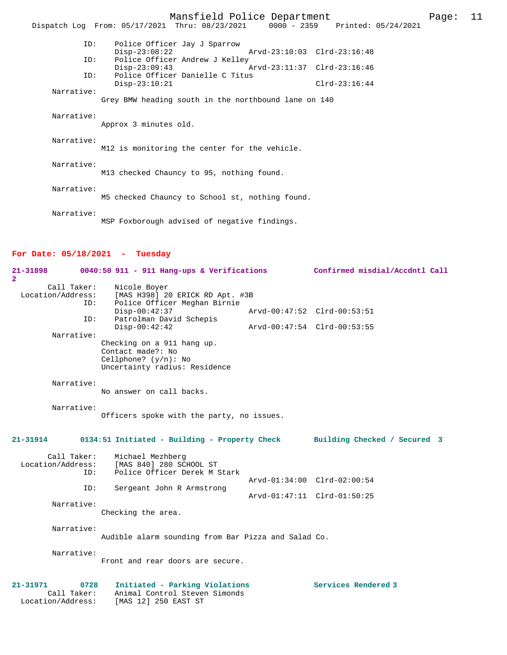|            | Mansfield Police Department                                                    | Page: | 11 |
|------------|--------------------------------------------------------------------------------|-------|----|
|            | Dispatch Log From: 05/17/2021 Thru: 08/23/2021 0000 - 2359 Printed: 05/24/2021 |       |    |
| ID:        | Police Officer Jay J Sparrow<br>$Disp-23:08:22$                                |       |    |
| ID:        | Police Officer Andrew J Kelley<br>$Disp-23:09:43$                              |       |    |
| ID:        | Police Officer Danielle C Titus<br>$Disp-23:10:21$<br>$Clrd-23:16:44$          |       |    |
| Narrative: | Grey BMW heading south in the northbound lane on 140                           |       |    |
| Narrative: | Approx 3 minutes old.                                                          |       |    |
| Narrative: | M12 is monitoring the center for the vehicle.                                  |       |    |
| Narrative: | M13 checked Chauncy to 95, nothing found.                                      |       |    |
| Narrative: | M5 checked Chauncy to School st, nothing found.                                |       |    |
| Narrative: | MSP Foxborough advised of negative findings.                                   |       |    |

## **For Date: 05/18/2021 - Tuesday**

| 21-31898<br>$\overline{2}$                               | 0040:50 911 - 911 Hang-ups & Verifications                                                                  | Confirmed misdial/Accdntl Call |
|----------------------------------------------------------|-------------------------------------------------------------------------------------------------------------|--------------------------------|
| Call Taker:<br>Location/Address:<br>ID:                  | Nicole Boyer<br>[MAS H398] 20 ERICK RD Apt. #3B<br>Police Officer Meghan Birnie                             |                                |
|                                                          | $Disp-00:42:37$                                                                                             | Arvd-00:47:52 Clrd-00:53:51    |
| ID:                                                      | Patrolman David Schepis<br>$Disp-00:42:42$                                                                  | Arvd-00:47:54 Clrd-00:53:55    |
| Narrative:                                               | Checking on a 911 hang up.<br>Contact made?: No<br>Cellphone? $(y/n)$ : No<br>Uncertainty radius: Residence |                                |
| Narrative:                                               | No answer on call backs.                                                                                    |                                |
| Narrative:                                               | Officers spoke with the party, no issues.                                                                   |                                |
| $21 - 31914$                                             | 0134:51 Initiated - Building - Property Check                                                               | Building Checked / Secured 3   |
| Call Taker:<br>Location/Address:<br>ID:                  | Michael Mezhberg<br>[MAS 840] 280 SCHOOL ST<br>Police Officer Derek M Stark                                 |                                |
| ID:                                                      | Sergeant John R Armstrong                                                                                   | Arvd-01:34:00 Clrd-02:00:54    |
| Narrative:                                               |                                                                                                             | Arvd-01:47:11 Clrd-01:50:25    |
|                                                          | Checking the area.                                                                                          |                                |
| Narrative:                                               | Audible alarm sounding from Bar Pizza and Salad Co.                                                         |                                |
| Narrative:                                               | Front and rear doors are secure.                                                                            |                                |
| $21 - 31971$<br>0728<br>Call Taker:<br>Location/Address: | Initiated - Parking Violations<br>Animal Control Steven Simonds<br>[MAS 12] 250 EAST ST                     | Services Rendered 3            |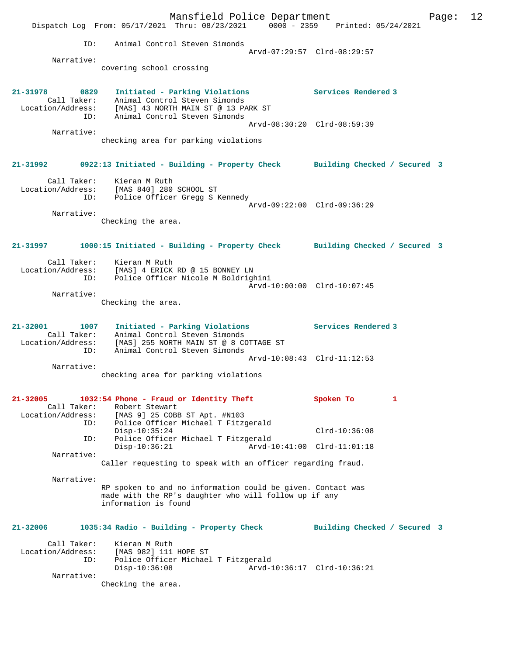Mansfield Police Department Form Page: 12 Dispatch Log From: 05/17/2021 Thru: 08/23/2021 0000 - 2359 Printed: 05/24/2021 ID: Animal Control Steven Simonds Arvd-07:29:57 Clrd-08:29:57 Narrative: covering school crossing **21-31978 0829 Initiated - Parking Violations Services Rendered 3**  Call Taker: Animal Control Steven Simonds Location/Address: [MAS] 43 NORTH MAIN ST @ 13 PARK ST ID: Animal Control Steven Simonds Arvd-08:30:20 Clrd-08:59:39 Narrative: checking area for parking violations **21-31992 0922:13 Initiated - Building - Property Check Building Checked / Secured 3** Call Taker: Kieran M Ruth Location/Address: [MAS 840] 280 SCHOOL ST ID: Police Officer Gregg S Kennedy Arvd-09:22:00 Clrd-09:36:29 Narrative: Checking the area. **21-31997 1000:15 Initiated - Building - Property Check Building Checked / Secured 3** Call Taker: Kieran M Ruth Location/Address: [MAS] 4 ERICK RD @ 15 BONNEY LN ID: Police Officer Nicole M Boldrighini Arvd-10:00:00 Clrd-10:07:45 Narrative: Checking the area. **21-32001 1007 Initiated - Parking Violations Services Rendered 3**  Call Taker: Animal Control Steven Simonds Location/Address: [MAS] 255 NORTH MAIN ST @ 8 COTTAGE ST ID: Animal Control Steven Simonds Arvd-10:08:43 Clrd-11:12:53 Narrative: checking area for parking violations **21-32005 1032:54 Phone - Fraud or Identity Theft Spoken To 1**  Call Taker: Robert Stewart<br>Location/Address: [MAS 9] 25 COBE Location/Address: [MAS 9] 25 COBB ST Apt. #N103 ID: Police Officer Michael T Fitzgerald Disp-10:35:24 Clrd-10:36:08 ID: Police Officer Michael T Fitzgerald Arvd-10:41:00 Clrd-11:01:18 Narrative: Caller requesting to speak with an officer regarding fraud. Narrative: RP spoken to and no information could be given. Contact was made with the RP's daughter who will follow up if any information is found **21-32006 1035:34 Radio - Building - Property Check Building Checked / Secured 3** Call Taker: Kieran M Ruth Location/Address: [MAS 982] 111 HOPE ST ID: Police Officer Michael T Fitzgerald Disp-10:36:08 Arvd-10:36:17 Clrd-10:36:21 Narrative: Checking the area.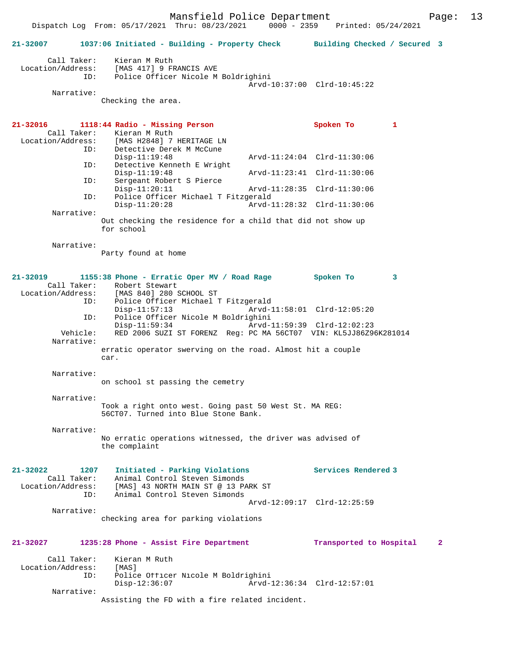|                                     | Dispatch Log From: 05/17/2021 Thru: 08/23/2021                                                                             | $0000 - 2359$ | Printed: 05/24/2021         |   |   |
|-------------------------------------|----------------------------------------------------------------------------------------------------------------------------|---------------|-----------------------------|---|---|
| 21-32007                            | 1037:06 Initiated - Building - Property Check Building Checked / Secured 3                                                 |               |                             |   |   |
| Call Taker:                         | Kieran M Ruth<br>Location/Address: [MAS 417] 9 FRANCIS AVE<br>ID: Police Officer Nicole M Boldrighini                      |               |                             |   |   |
|                                     |                                                                                                                            |               | Arvd-10:37:00 Clrd-10:45:22 |   |   |
| Narrative:                          | Checking the area.                                                                                                         |               |                             |   |   |
|                                     |                                                                                                                            |               |                             |   |   |
| 21-32016<br>Call Taker:             | 1118:44 Radio - Missing Person<br>Kieran M Ruth                                                                            |               | Spoken To                   | 1 |   |
| Location/Address:<br>ID:            | [MAS H2848] 7 HERITAGE LN<br>Detective Derek M McCune<br>$Disp-11:19:48$                                                   |               | Arvd-11:24:04 Clrd-11:30:06 |   |   |
| ID:                                 | Detective Kenneth E Wright<br>$Disp-11:19:48$                                                                              |               | Arvd-11:23:41 Clrd-11:30:06 |   |   |
| ID:                                 | Sergeant Robert S Pierce                                                                                                   |               |                             |   |   |
| ID:                                 | $Disp-11:20:11$<br>Police Officer Michael T Fitzgerald                                                                     |               | Arvd-11:28:35 Clrd-11:30:06 |   |   |
| Narrative:                          | $Disp-11:20:28$                                                                                                            |               | Arvd-11:28:32 Clrd-11:30:06 |   |   |
|                                     | Out checking the residence for a child that did not show up<br>for school                                                  |               |                             |   |   |
| Narrative:                          | Party found at home                                                                                                        |               |                             |   |   |
| 21-32019<br>Call Taker:             | 1155:38 Phone - Erratic Oper MV / Road Rage Spoken To<br>Robert Stewart                                                    |               |                             | 3 |   |
| ID:                                 | Location/Address: [MAS 840] 280 SCHOOL ST<br>Police Officer Michael T Fitzgerald<br>$Disp-11:57:13$                        |               | Arvd-11:58:01 Clrd-12:05:20 |   |   |
| ID:<br>Vehicle:                     | Police Officer Nicole M Boldrighini<br>$Disp-11:59:34$<br>RED 2006 SUZI ST FORENZ Reg: PC MA 56CT07 VIN: KL5JJ86Z96K281014 |               | Arvd-11:59:39 Clrd-12:02:23 |   |   |
| Narrative:                          | erratic operator swerving on the road. Almost hit a couple                                                                 |               |                             |   |   |
|                                     | car.                                                                                                                       |               |                             |   |   |
| Narrative:                          | on school st passing the cemetry                                                                                           |               |                             |   |   |
| Narrative:                          |                                                                                                                            |               |                             |   |   |
|                                     | Took a right onto west. Going past 50 West St. MA REG:<br>56CT07. Turned into Blue Stone Bank.                             |               |                             |   |   |
| Narrative:                          | No erratic operations witnessed, the driver was advised of<br>the complaint                                                |               |                             |   |   |
|                                     |                                                                                                                            |               |                             |   |   |
| $21 - 32022$<br>1207<br>Call Taker: | Initiated - Parking Violations<br>Animal Control Steven Simonds                                                            |               | Services Rendered 3         |   |   |
| Location/Address:<br>ID:            | [MAS] 43 NORTH MAIN ST @ 13 PARK ST<br>Animal Control Steven Simonds                                                       |               |                             |   |   |
| Narrative:                          |                                                                                                                            |               | Arvd-12:09:17 Clrd-12:25:59 |   |   |
|                                     | checking area for parking violations                                                                                       |               |                             |   |   |
| 21-32027                            | 1235:28 Phone - Assist Fire Department                                                                                     |               | Transported to Hospital     |   | 2 |
| Call Taker:<br>Location/Address:    | Kieran M Ruth<br>[MAS]                                                                                                     |               |                             |   |   |
| ID:                                 | Police Officer Nicole M Boldrighini<br>$Disp-12:36:07$                                                                     |               | Arvd-12:36:34 Clrd-12:57:01 |   |   |
| Narrative:                          |                                                                                                                            |               |                             |   |   |

Assisting the FD with a fire related incident.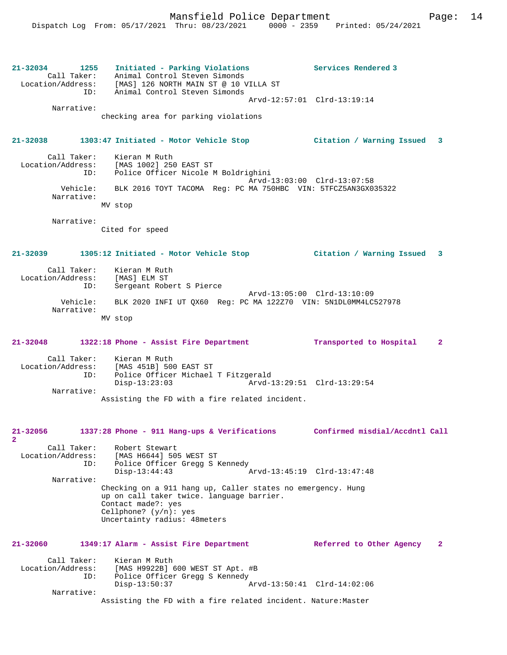**21-32034 1255 Initiated - Parking Violations Services Rendered 3**  Call Taker: Animal Control Steven Simonds Location/Address: [MAS] 126 NORTH MAIN ST @ 10 VILLA ST ID: Animal Control Steven Simonds Arvd-12:57:01 Clrd-13:19:14 Narrative: checking area for parking violations **21-32038 1303:47 Initiated - Motor Vehicle Stop Citation / Warning Issued 3** Call Taker: Kieran M Ruth<br>ion/Address: [MAS 1002] 250 EAST ST Location/Address: ID: Police Officer Nicole M Boldrighini Arvd-13:03:00 Clrd-13:07:58 Vehicle: BLK 2016 TOYT TACOMA Reg: PC MA 750HBC VIN: 5TFCZ5AN3GX035322 Narrative: MV stop Narrative: Cited for speed **21-32039 1305:12 Initiated - Motor Vehicle Stop Citation / Warning Issued 3** Call Taker: Kieran M Ruth Location/Address: [MAS] ELM ST ID: Sergeant Robert S Pierce Arvd-13:05:00 Clrd-13:10:09 Vehicle: BLK 2020 INFI UT QX60 Reg: PC MA 122Z70 VIN: 5N1DL0MM4LC527978 Narrative: MV stop **21-32048 1322:18 Phone - Assist Fire Department Transported to Hospital 2** Call Taker: Kieran M Ruth Location/Address: [MAS 451B] 500 EAST ST ID: Police Officer Michael T Fitzgerald Disp-13:23:03 Arvd-13:29:51 Clrd-13:29:54 Narrative: Assisting the FD with a fire related incident. **21-32056 1337:28 Phone - 911 Hang-ups & Verifications Confirmed misdial/Accdntl Call 2**  Call Taker: Robert Stewart Location/Address: [MAS H6644] 505 WEST ST ID: Police Officer Gregg S Kennedy Disp-13:44:43 Arvd-13:45:19 Clrd-13:47:48 Narrative: Checking on a 911 hang up, Caller states no emergency. Hung up on call taker twice. language barrier. Contact made?: yes Cellphone? (y/n): yes Uncertainty radius: 48meters **21-32060 1349:17 Alarm - Assist Fire Department Referred to Other Agency 2** Call Taker: Kieran M Ruth<br>Location/Address: [MAS H9922B] Location Address: [MAS H9922B] 600 WEST ST Apt. #B<br>ID: Police Officer Gregg S Kennedy ID: Police Officer Gregg S Kennedy Disp-13:50:37 Arvd-13:50:41 Clrd-14:02:06 Narrative: Assisting the FD with a fire related incident. Nature:Master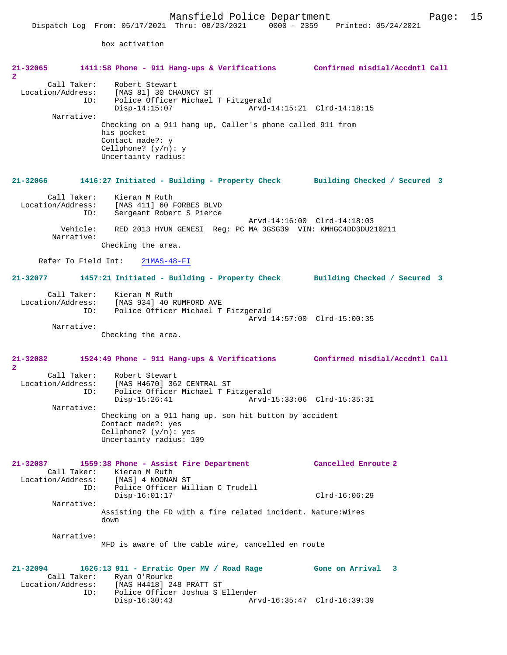box activation

| $21 - 32065$                                                            | 1411:58 Phone - 911 Hang-ups & Verifications Confirmed misdial/Accdntl Call                                                                                     |                             |
|-------------------------------------------------------------------------|-----------------------------------------------------------------------------------------------------------------------------------------------------------------|-----------------------------|
| $\overline{a}$<br>Call Taker:<br>Location/Address:<br>ID:<br>Narrative: | Robert Stewart<br>[MAS 81] 30 CHAUNCY ST<br>Police Officer Michael T Fitzgerald<br>$Disp-14:15:07$<br>Checking on a 911 hang up, Caller's phone called 911 from | Arvd-14:15:21 Clrd-14:18:15 |
|                                                                         | his pocket<br>Contact made?: y<br>Cellphone? $(y/n): y$<br>Uncertainty radius:                                                                                  |                             |
| 21-32066                                                                | 1416:27 Initiated - Building - Property Check Building Checked / Secured 3                                                                                      |                             |
| Call Taker:<br>ID:                                                      | Kieran M Ruth<br>Location/Address: [MAS 411] 60 FORBES BLVD<br>Sergeant Robert S Pierce                                                                         |                             |
| Vehicle:<br>Narrative:                                                  | RED 2013 HYUN GENESI Reg: PC MA 3GSG39 VIN: KMHGC4DD3DU210211                                                                                                   | Arvd-14:16:00 Clrd-14:18:03 |
|                                                                         | Checking the area.                                                                                                                                              |                             |
| Refer To Field Int:                                                     | $21MAS-48-FI$                                                                                                                                                   |                             |
| 21-32077                                                                | 1457:21 Initiated - Building - Property Check Building Checked / Secured 3                                                                                      |                             |
| Call Taker:                                                             | Kieran M Ruth<br>Location/Address: [MAS 934] 40 RUMFORD AVE<br>ID: Police Officer Michael T Fitzgerald                                                          | Arvd-14:57:00 Clrd-15:00:35 |
| Narrative:                                                              |                                                                                                                                                                 |                             |
|                                                                         | Checking the area.                                                                                                                                              |                             |
| 21-32082<br>$\mathbf{2}^-$                                              | 1524:49 Phone - 911 Hang-ups & Verifications Confirmed misdial/Accdntl Call                                                                                     |                             |
| Call Taker:<br>ID:                                                      | Robert Stewart<br>Location/Address: [MAS H4670] 362 CENTRAL ST<br>Police Officer Michael T Fitzgerald<br>$Disp-15:26:41$                                        | Arvd-15:33:06 Clrd-15:35:31 |
| Narrative:                                                              |                                                                                                                                                                 |                             |
|                                                                         | Checking on a 911 hang up. son hit button by accident<br>Contact made?: yes<br>Cellphone? $(y/n): ye$ s<br>Uncertainty radius: 109                              |                             |
| $21 - 32087$<br>Call Taker:<br>Location/Address:                        | 1559:38 Phone - Assist Fire Department<br>Kieran M Ruth<br>[MAS] 4 NOONAN ST<br>ID:<br>Police Officer William C Trudell                                         | Cancelled Enroute 2         |
| Narrative:                                                              | $Disp-16:01:17$                                                                                                                                                 | $Clrd-16:06:29$             |
|                                                                         | Assisting the FD with a fire related incident. Nature: Wires<br>down                                                                                            |                             |
| Narrative:                                                              | MFD is aware of the cable wire, cancelled en route                                                                                                              |                             |
| 21-32094<br>Call Taker:<br>Location/Address:<br>ID:                     | 1626:13 911 - Erratic Oper MV / Road Rage Gone on Arrival 3<br>Ryan O'Rourke<br>[MAS H4418] 248 PRATT ST<br>Police Officer Joshua S Ellender<br>$Disp-16:30:43$ | Arvd-16:35:47 Clrd-16:39:39 |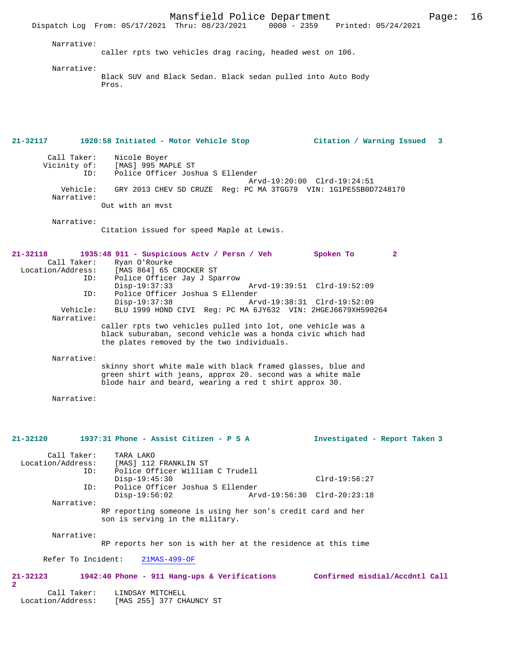Narrative:

caller rpts two vehicles drag racing, headed west on 106.

Narrative:

Black SUV and Black Sedan. Black sedan pulled into Auto Body Pros.

**21-32117 1920:58 Initiated - Motor Vehicle Stop Citation / Warning Issued 3** Call Taker: Nicole Boyer<br>Vicinity of: [MAS] 995 MA [MAS] 995 MAPLE ST ID: Police Officer Joshua S Ellender Arvd-19:20:00 Clrd-19:24:51 Vehicle: GRY 2013 CHEV SD CRUZE Reg: PC MA 3TGG79 VIN: 1G1PE5SB0D7248170 Narrative: Out with an mvst Narrative: Citation issued for speed Maple at Lewis. **21-32118 1935:48 911 - Suspicious Actv / Persn / Veh Spoken To 2**  Call Taker: Ryan O'Rourke Location/Address: [MAS 864] 65 CROCKER ST Police Officer Jay J Sparrow<br>Disp-19:37:33 Disp-19:37:33 Arvd-19:39:51 Clrd-19:52:09<br>TD: Police Officer Joshua S Ellender ID: Police Officer Joshua S Ellender Disp-19:37:38 Arvd-19:38:31 Clrd-19:52:09 Vehicle: BLU 1999 HOND CIVI Reg: PC MA 6JY632 VIN: 2HGEJ6679XH590264 Narrative: caller rpts two vehicles pulled into lot, one vehicle was a black suburaban, second vehicle was a honda civic which had the plates removed by the two individuals. Narrative: skinny short white male with black framed glasses, blue and green shirt with jeans, approx 20. second was a white male blode hair and beard, wearing a red t shirt approx 30. Narrative: **21-32120 1937:31 Phone - Assist Citizen - P S A Investigated - Report Taken 3** Call Taker: TARA LAKO<br>Location/Address: [MAS] 112 [MAS] 112 FRANKLIN ST ID: Police Officer William C Trudell Disp-19:45:30 Clrd-19:56:27<br>TD: Police Officer Joshua S Ellender ID: Police Officer Joshua S Ellender Arvd-19:56:30 Clrd-20:23:18 Narrative: RP reporting someone is using her son's credit card and her son is serving in the military. Narrative: RP reports her son is with her at the residence at this time Refer To Incident: 21MAS-499-OF **21-32123 1942:40 Phone - 911 Hang-ups & Verifications Confirmed misdial/Accdntl Call 2**  Call Taker: LINDSAY MITCHELL Location/Address: [MAS 255] 377 CHAUNCY ST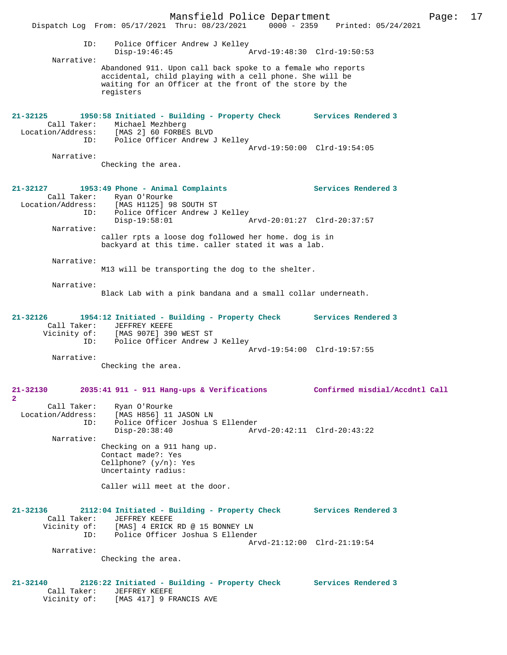Mansfield Police Department Page: 17 Dispatch Log From: 05/17/2021 Thru: 08/23/2021 0000 - 2359 ID: Police Officer Andrew J Kelley Disp-19:46:45 Arvd-19:48:30 Clrd-19:50:53 Narrative: Abandoned 911. Upon call back spoke to a female who reports accidental, child playing with a cell phone. She will be waiting for an Officer at the front of the store by the registers **21-32125 1950:58 Initiated - Building - Property Check Services Rendered 3**  Call Taker: Michael Mezhberg<br>Location/Address: [MAS 2] 60 FORBE ess: [MAS 2] 60 FORBES BLVD<br>ID: Police Officer Andrew Police Officer Andrew J Kelley Arvd-19:50:00 Clrd-19:54:05 Narrative: Checking the area. **21-32127 1953:49 Phone - Animal Complaints Services Rendered 3**  Call Taker: Ryan O'Rourke Location/Address: [MAS H1125] 98 SOUTH ST ID: Police Officer Andrew J Kelley Disp-19:58:01 Arvd-20:01:27 Clrd-20:37:57 Narrative: caller rpts a loose dog followed her home. dog is in backyard at this time. caller stated it was a lab. Narrative: M13 will be transporting the dog to the shelter. Narrative: Black Lab with a pink bandana and a small collar underneath. **21-32126 1954:12 Initiated - Building - Property Check Services Rendered 3**  Call Taker: JEFFREY KEEFE<br>Vicinity of: [MAS 907E] 390 [MAS 907E] 390 WEST ST ID: Police Officer Andrew J Kelley Arvd-19:54:00 Clrd-19:57:55 Narrative: Checking the area. **21-32130 2035:41 911 - 911 Hang-ups & Verifications Confirmed misdial/Accdntl Call 2**  Call Taker: Ryan O'Rourke<br>Location/Address: [MAS H856] 11 ess: [MAS H856] 11 JASON LN<br>ID: Police Officer Joshua S ID: Police Officer Joshua S Ellender Disp-20:38:40 Arvd-20:42:11 Clrd-20:43:22 Narrative: Checking on a 911 hang up. Contact made?: Yes Cellphone? (y/n): Yes Uncertainty radius: Caller will meet at the door. **21-32136 2112:04 Initiated - Building - Property Check Services Rendered 3**  Call Taker: JEFFREY KEEFE<br>Vicinity of: [MAS] 4 ERICK [MAS] 4 ERICK RD @ 15 BONNEY LN ID: Police Officer Joshua S Ellender Arvd-21:12:00 Clrd-21:19:54 Narrative: Checking the area. **21-32140 2126:22 Initiated - Building - Property Check Services Rendered 3**  Call Taker: JEFFREY KEEFE<br>Vicinity of: [MAS 417] 9 FI [MAS 417] 9 FRANCIS AVE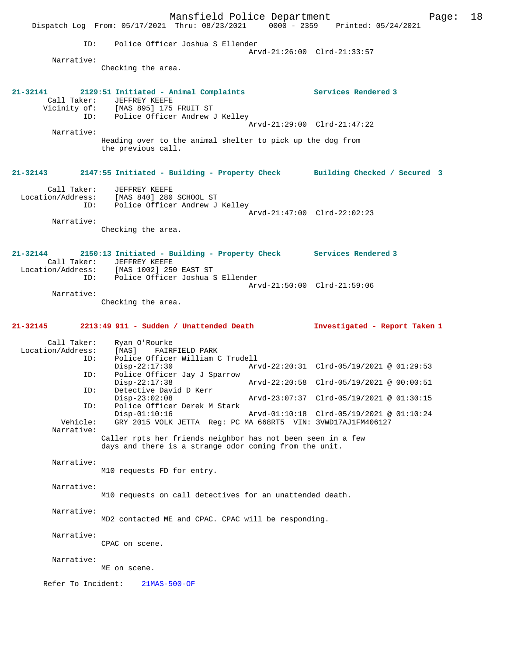Mansfield Police Department Page: 18 Dispatch Log From: 05/17/2021 Thru: 08/23/2021 ID: Police Officer Joshua S Ellender Arvd-21:26:00 Clrd-21:33:57 Narrative: Checking the area. **21-32141 2129:51 Initiated - Animal Complaints Services Rendered 3**  Call Taker: JEFFREY KEEFE Vicinity of: [MAS 895] 175 FRUIT ST ID: Police Officer Andrew J Kelley Arvd-21:29:00 Clrd-21:47:22 Narrative: Heading over to the animal shelter to pick up the dog from the previous call. **21-32143 2147:55 Initiated - Building - Property Check Building Checked / Secured 3** Call Taker: JEFFREY KEEFE Location/Address: [MAS 840] 280 SCHOOL ST Police Officer Andrew J Kelley Arvd-21:47:00 Clrd-22:02:23 Narrative: Checking the area. **21-32144 2150:13 Initiated - Building - Property Check Services Rendered 3**  Call Taker: JEFFREY KEEFE Location/Address: [MAS 1002] 250 EAST ST ID: Police Officer Joshua S Ellender Arvd-21:50:00 Clrd-21:59:06 Narrative: Checking the area. **21-32145 2213:49 911 - Sudden / Unattended Death Investigated - Report Taken 1** Call Taker: Ryan O'Rourke<br>.on/Address: [MAS] FAIRFIELD PARK Location/Address:<br>ID: Police Officer William C Trudell<br>Disp-22:17:30 Ar Disp-22:17:30 Arvd-22:20:31 Clrd-05/19/2021 @ 01:29:53 ID: Police Officer Jay J Sparrow Disp-22:17:38 Arvd-22:20:58 Clrd-05/19/2021 @ 00:00:51<br>TD: Detective David D Kerr Detective David D Kerr<br>Disp-23:02:08 Disp-23:02:08 Arvd-23:07:37 Clrd-05/19/2021 @ 01:30:15<br>TD: Police Officer Derek M Stark Police Officer Derek M Stark Disp-01:10:16 Arvd-01:10:18 Clrd-05/19/2021 @ 01:10:24 Vehicle: GRY 2015 VOLK JETTA Reg: PC MA 668RT5 VIN: 3VWD17AJ1FM406127 Narrative: Caller rpts her friends neighbor has not been seen in a few days and there is a strange odor coming from the unit. Narrative: M10 requests FD for entry. Narrative: M10 requests on call detectives for an unattended death. Narrative: MD2 contacted ME and CPAC. CPAC will be responding. Narrative: CPAC on scene. Narrative: ME on scene. Refer To Incident: 21MAS-500-OF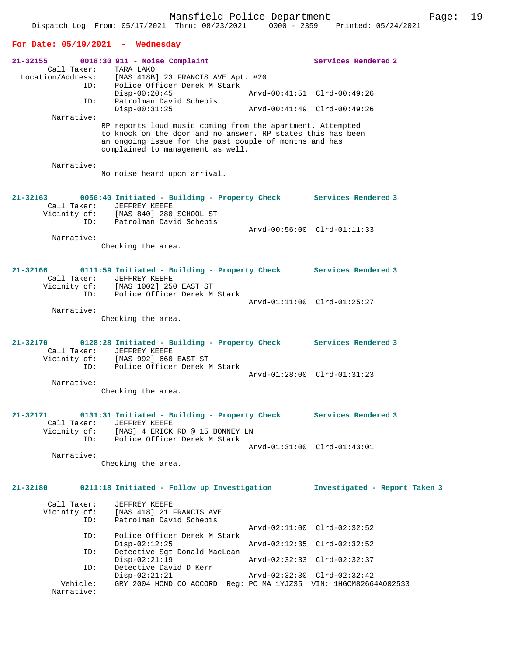### **For Date: 05/19/2021 - Wednesday**

| 21-32155                 |                                    | $0018:30$ 911 - Noise Complaint                                                                                                                                                                                          | Services Rendered 2                                        |
|--------------------------|------------------------------------|--------------------------------------------------------------------------------------------------------------------------------------------------------------------------------------------------------------------------|------------------------------------------------------------|
|                          | Call Taker:<br>ID:                 | TARA LAKO<br>Location/Address: [MAS 418B] 23 FRANCIS AVE Apt. #20<br>Police Officer Derek M Stark                                                                                                                        |                                                            |
|                          | ID:                                | $Disp-00:20:45$<br>Patrolman David Schepis                                                                                                                                                                               | Arvd-00:41:51 Clrd-00:49:26                                |
|                          | Narrative:                         | $Disp-00:31:25$                                                                                                                                                                                                          | Arvd-00:41:49 Clrd-00:49:26                                |
|                          |                                    | RP reports loud music coming from the apartment. Attempted<br>to knock on the door and no answer. RP states this has been<br>an ongoing issue for the past couple of months and has<br>complained to management as well. |                                                            |
|                          | Narrative:                         | No noise heard upon arrival.                                                                                                                                                                                             |                                                            |
| 21-32163                 | Call Taker:<br>Vicinity of:<br>ID: | 0056:40 Initiated - Building - Property Check Services Rendered 3<br>JEFFREY KEEFE<br>[MAS 840] 280 SCHOOL ST<br>Patrolman David Schepis                                                                                 |                                                            |
|                          |                                    |                                                                                                                                                                                                                          | Arvd-00:56:00 Clrd-01:11:33                                |
|                          | Narrative:                         | Checking the area.                                                                                                                                                                                                       |                                                            |
| 21-32166                 | Call Taker:                        | 0111:59 Initiated - Building - Property Check Services Rendered 3<br>JEFFREY KEEFE                                                                                                                                       |                                                            |
|                          | ID:                                | Vicinity of: [MAS 1002] 250 EAST ST<br>Police Officer Derek M Stark                                                                                                                                                      | Arvd-01:11:00 Clrd-01:25:27                                |
|                          | Narrative:                         | Checking the area.                                                                                                                                                                                                       |                                                            |
| 21-32170                 | Call Taker:                        | 0128:28 Initiated - Building - Property Check Services Rendered 3<br>JEFFREY KEEFE<br>Vicinity of: [MAS 992] 660 EAST ST<br>ID: Police Officer Derek 1                                                                   |                                                            |
|                          | ID:<br>Narrative:                  | Police Officer Derek M Stark                                                                                                                                                                                             | Arvd-01:28:00 Clrd-01:31:23                                |
|                          |                                    | Checking the area.                                                                                                                                                                                                       |                                                            |
| 21-32171<br>Vicinity of: | Call Taker:                        | 0131:31 Initiated - Building - Property Check Services Rendered 3<br>JEFFREY KEEFE<br>[MAS] 4 ERICK RD @ 15 BONNEY LN                                                                                                    |                                                            |
|                          | ID:<br>Narrative:                  | Police Officer Derek M Stark<br>Checking the area.                                                                                                                                                                       | Arvd-01:31:00 Clrd-01:43:01                                |
|                          |                                    |                                                                                                                                                                                                                          |                                                            |
| 21-32180                 |                                    | 0211:18 Initiated - Follow up Investigation                                                                                                                                                                              | Investigated - Report Taken 3                              |
| Vicinity of:             | Call Taker:<br>ID:                 | JEFFREY KEEFE<br>[MAS 418] 21 FRANCIS AVE<br>Patrolman David Schepis                                                                                                                                                     |                                                            |
|                          | ID:                                | Police Officer Derek M Stark<br>$Disp-02:12:25$                                                                                                                                                                          | Arvd-02:11:00 Clrd-02:32:52<br>Arvd-02:12:35 Clrd-02:32:52 |
|                          | ID:                                | Detective Sgt Donald MacLean<br>$Disp-02:21:19$                                                                                                                                                                          | Arvd-02:32:33 Clrd-02:32:37                                |
|                          | ID:                                | Detective David D Kerr                                                                                                                                                                                                   |                                                            |
|                          | Vehicle:<br>Narrative:             | $Disp-02:21:21$<br>GRY 2004 HOND CO ACCORD Req: PC MA 1YJZ35 VIN: 1HGCM82664A002533                                                                                                                                      | Arvd-02:32:30 Clrd-02:32:42                                |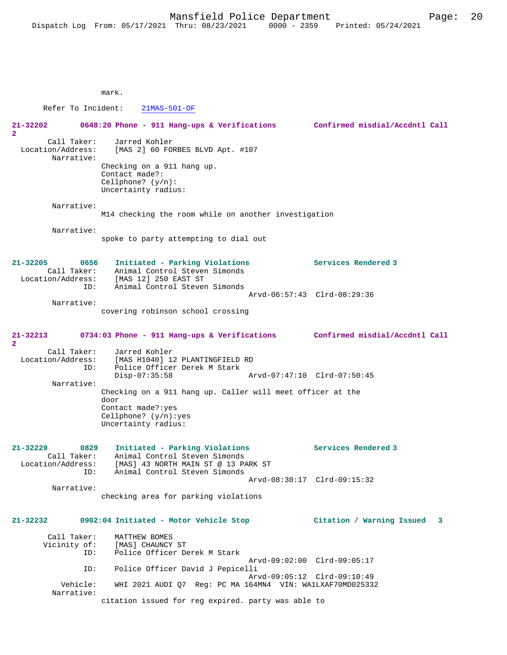mark.

 Refer To Incident: 21MAS-501-OF **21-32202 0648:20 Phone - 911 Hang-ups & Verifications Confirmed misdial/Accdntl Call 2**  Call Taker: Jarred Kohler Location/Address: [MAS 2] 60 FORBES BLVD Apt. #107 Narrative: Checking on a 911 hang up. Contact made?: Cellphone? (y/n): Uncertainty radius: Narrative: M14 checking the room while on another investigation Narrative: spoke to party attempting to dial out **21-32205 0656 Initiated - Parking Violations Services Rendered 3**  Call Taker: Animal Control Steven Simonds Location/Address: [MAS 12] 250 EAST ST<br>ID: Animal Control Stever Animal Control Steven Simonds Arvd-06:57:43 Clrd-08:29:36 Narrative: covering robinson school crossing **21-32213 0734:03 Phone - 911 Hang-ups & Verifications Confirmed misdial/Accdntl Call 2**  Call Taker: Jarred Kohler<br>Location/Address: [MAS H1040] 1 ess: [MAS H1040] 12 PLANTINGFIELD RD<br>ID: Police Officer Derek M Stark Police Officer Derek M Stark<br>Disp-07:35:58 Disp-07:35:58 Arvd-07:47:10 Clrd-07:50:45 Narrative: Checking on a 911 hang up. Caller will meet officer at the door Contact made?:yes Cellphone? (y/n):yes Uncertainty radius: **21-32229 0829 Initiated - Parking Violations Services Rendered 3**  Call Taker: Animal Control Steven Simonds<br>Location/Address: [MAS] 43 NORTH MAIN ST @ 13 PP ess: [MAS] 43 NORTH MAIN ST @ 13 PARK ST<br>ID: Animal Control Steven Simonds Animal Control Steven Simonds Arvd-08:30:17 Clrd-09:15:32 Narrative: checking area for parking violations **21-32232 0902:04 Initiated - Motor Vehicle Stop Citation / Warning Issued 3** Call Taker: MATTHEW BOMES<br>Vicinity of: [MAS] CHAUNCY of: [MAS] CHAUNCY ST<br>ID: Police Officer De Police Officer Derek M Stark Arvd-09:02:00 Clrd-09:05:17<br>TD: Police Officer David J Pepicelli Police Officer David J Pepicelli Arvd-09:05:12 Clrd-09:10:49 Vehicle: WHI 2021 AUDI Q7 Reg: PC MA 164MN4 VIN: WA1LXAF70MD025332 Narrative:

citation issued for reg expired. party was able to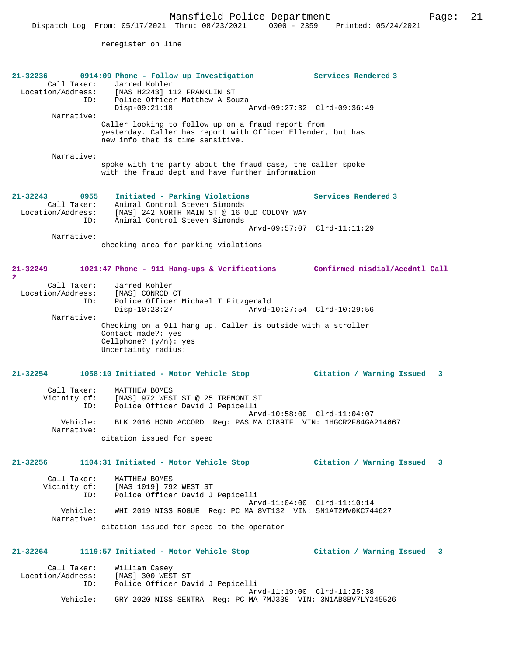reregister on line

| 21-32236<br>Call Taker:<br>ID:<br>Narrative:                    | 0914:09 Phone - Follow up Investigation<br>Jarred Kohler<br>Location/Address: [MAS H2243] 112 FRANKLIN ST<br>Police Officer Matthew A Souza<br>$Disp-09:21:18$<br>Caller looking to follow up on a fraud report from | Services Rendered 3<br>Arvd-09:27:32 Clrd-09:36:49 |
|-----------------------------------------------------------------|----------------------------------------------------------------------------------------------------------------------------------------------------------------------------------------------------------------------|----------------------------------------------------|
|                                                                 | yesterday. Caller has report with Officer Ellender, but has<br>new info that is time sensitive.                                                                                                                      |                                                    |
| Narrative:                                                      | spoke with the party about the fraud case, the caller spoke<br>with the fraud dept and have further information                                                                                                      |                                                    |
| $21 - 32243$<br>0955<br>Call Taker:<br>Location/Address:<br>ID: | Initiated - Parking Violations<br>Animal Control Steven Simonds<br>[MAS] 242 NORTH MAIN ST @ 16 OLD COLONY WAY<br>Animal Control Steven Simonds                                                                      | Services Rendered 3                                |
|                                                                 |                                                                                                                                                                                                                      | Arvd-09:57:07 Clrd-11:11:29                        |
| Narrative:                                                      | checking area for parking violations                                                                                                                                                                                 |                                                    |
| 21-32249<br>$\overline{2}$                                      | 1021:47 Phone - 911 Hang-ups & Verifications Confirmed misdial/Accdntl Call                                                                                                                                          |                                                    |
| Call Taker:<br>Location/Address:<br>ID:                         | Jarred Kohler<br>[MAS] CONROD CT<br>Police Officer Michael T Fitzgerald<br>$Disp-10:23:27$                                                                                                                           | Arvd-10:27:54 Clrd-10:29:56                        |
| Narrative:                                                      | Checking on a 911 hang up. Caller is outside with a stroller<br>Contact made?: yes<br>Cellphone? $(y/n): ye$ s<br>Uncertainty radius:                                                                                |                                                    |
| 21-32254                                                        | 1058:10 Initiated - Motor Vehicle Stop                                                                                                                                                                               | Citation / Warning Issued 3                        |
| Call Taker:<br>Vicinity of:<br>ID:                              | MATTHEW BOMES<br>[MAS] 972 WEST ST @ 25 TREMONT ST<br>Police Officer David J Pepicelli                                                                                                                               |                                                    |
| Vehicle:<br>Narrative:                                          | BLK 2016 HOND ACCORD Req: PAS MA CI89TF VIN: 1HGCR2F84GA214667<br>citation issued for speed                                                                                                                          | Arvd-10:58:00 Clrd-11:04:07                        |
|                                                                 | 21-32256 1104:31 Initiated - Motor Vehicle Stop Citation / Warning Issued 3                                                                                                                                          |                                                    |
| Call Taker:                                                     | MATTHEW BOMES<br>Vicinity of: [MAS 1019] 792 WEST ST<br>ID: Police Officer David J Pepicelli                                                                                                                         |                                                    |
| Narrative:                                                      | Vehicle: WHI 2019 NISS ROGUE Req: PC MA 8VT132 VIN: 5N1AT2MV0KC744627                                                                                                                                                | Arvd-11:04:00 Clrd-11:10:14                        |
|                                                                 | citation issued for speed to the operator                                                                                                                                                                            |                                                    |
| 21-32264                                                        | 1119:57 Initiated - Motor Vehicle Stop                                                                                                                                                                               | Citation / Warning Issued 3                        |
|                                                                 | Call Taker: William Casey<br>Location/Address: [MAS] 300 WEST ST<br>Police Officer David J Pepicelli<br>ID:                                                                                                          | Arvd-11:19:00 Clrd-11:25:38                        |
| Vehicle:                                                        | GRY 2020 NISS SENTRA Req: PC MA 7MJ338 VIN: 3N1AB8BV7LY245526                                                                                                                                                        |                                                    |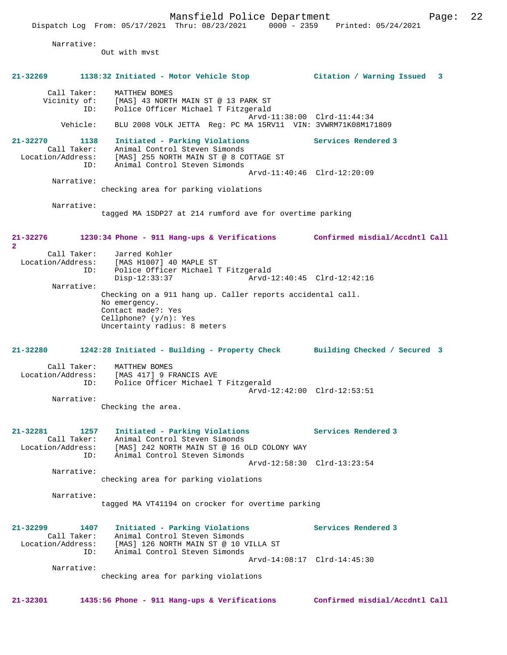Dispatch Log From: 05/17/2021 Thru: 08/23/2021 0000 - 2359 Printed: 05/24/2021 Narrative: Out with mvst **21-32269 1138:32 Initiated - Motor Vehicle Stop Citation / Warning Issued 3** Call Taker: MATTHEW BOMES<br>Vicinity of: [MAS] 43 NORTH [MAS] 43 NORTH MAIN ST @ 13 PARK ST ID: Police Officer Michael T Fitzgerald Arvd-11:38:00 Clrd-11:44:34 Vehicle: BLU 2008 VOLK JETTA Reg: PC MA 15RV11 VIN: 3VWRM71K08M171809 **21-32270 1138 Initiated - Parking Violations Services Rendered 3**  Call Taker: Animal Control Steven Simonds<br>Location/Address: [MAS] 255 NORTH MAIN ST @ 8 CO [MAS] 255 NORTH MAIN ST @ 8 COTTAGE ST ID: Animal Control Steven Simonds Arvd-11:40:46 Clrd-12:20:09 Narrative: checking area for parking violations Narrative: tagged MA 1SDP27 at 214 rumford ave for overtime parking **21-32276 1230:34 Phone - 911 Hang-ups & Verifications Confirmed misdial/Accdntl Call 2**  Call Taker: Jarred Kohler Location/Address: [MAS H1007] 40 MAPLE ST ID: Police Officer Michael T Fitzgerald Disp-12:33:37 Arvd-12:40:45 Clrd-12:42:16 Narrative: Checking on a 911 hang up. Caller reports accidental call. No emergency. Contact made?: Yes Cellphone? (y/n): Yes Uncertainty radius: 8 meters **21-32280 1242:28 Initiated - Building - Property Check Building Checked / Secured 3** Call Taker: MATTHEW BOMES Location/Address: [MAS 417] 9 FRANCIS AVE ID: Police Officer Michael T Fitzgerald Arvd-12:42:00 Clrd-12:53:51 Narrative: Checking the area. **21-32281 1257 Initiated - Parking Violations Services Rendered 3**  Call Taker: Animal Control Steven Simonds Location/Address: [MAS] 242 NORTH MAIN ST @ 16 OLD COLONY WAY ID: Animal Control Steven Simonds Arvd-12:58:30 Clrd-13:23:54 Narrative: checking area for parking violations Narrative: tagged MA VT41194 on crocker for overtime parking **21-32299 1407 Initiated - Parking Violations Services Rendered 3**  Call Taker: Animal Control Steven Simonds Location/Address: [MAS] 126 NORTH MAIN ST @ 10 VILLA ST ID: Animal Control Steven Simonds Arvd-14:08:17 Clrd-14:45:30 Narrative: checking area for parking violations

**21-32301 1435:56 Phone - 911 Hang-ups & Verifications Confirmed misdial/Accdntl Call**

Mansfield Police Department Fage: 22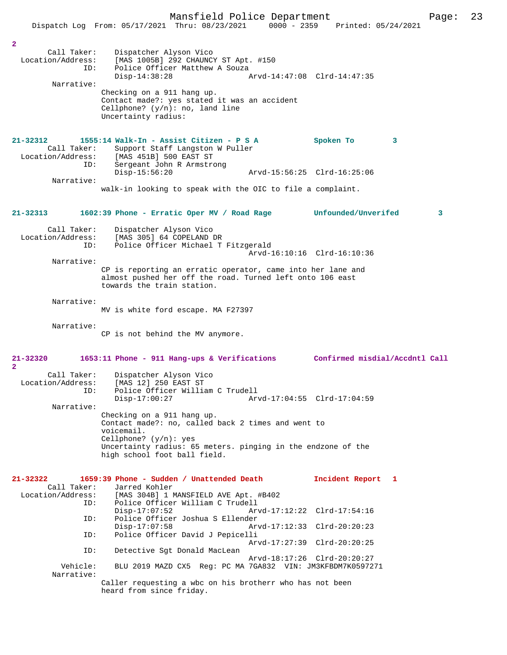|                                                                                  | Dispatch Log From: 05/17/2021 Thru: 08/23/2021                                                                                                                                                                                                                 | $0000 - 2359$               | Printed: 05/24/2021            |
|----------------------------------------------------------------------------------|----------------------------------------------------------------------------------------------------------------------------------------------------------------------------------------------------------------------------------------------------------------|-----------------------------|--------------------------------|
|                                                                                  |                                                                                                                                                                                                                                                                |                             |                                |
| $\overline{\mathbf{2}}$<br>Call Taker:<br>Location/Address:<br>ID:<br>Narrative: | Dispatcher Alyson Vico<br>[MAS 1005B] 292 CHAUNCY ST Apt. #150<br>Police Officer Matthew A Souza<br>$Disp-14:38:28$<br>Checking on a 911 hang up.<br>Contact made?: yes stated it was an accident<br>Cellphone? $(y/n)$ : no, land line<br>Uncertainty radius: | Arvd-14:47:08 Clrd-14:47:35 |                                |
| 21-32312<br>Call Taker:<br>Location/Address:                                     | 1555:14 Walk-In - Assist Citizen - P S A<br>Support Staff Langston W Puller<br>[MAS 451B] 500 EAST ST                                                                                                                                                          |                             | Spoken To<br>3                 |
| ID:<br>Narrative:                                                                | Sergeant John R Armstrong<br>$Disp-15:56:20$                                                                                                                                                                                                                   | Arvd-15:56:25 Clrd-16:25:06 |                                |
|                                                                                  | walk-in looking to speak with the OIC to file a complaint.                                                                                                                                                                                                     |                             |                                |
| 21-32313                                                                         | 1602:39 Phone - Erratic Oper MV / Road Rage                                                                                                                                                                                                                    |                             | Unfounded/Unverifed<br>3       |
| Call Taker:<br>Location/Address:<br>ID:                                          | Dispatcher Alyson Vico<br>[MAS 305] 64 COPELAND DR<br>Police Officer Michael T Fitzgerald                                                                                                                                                                      |                             |                                |
| Narrative:                                                                       |                                                                                                                                                                                                                                                                | Arvd-16:10:16 Clrd-16:10:36 |                                |
|                                                                                  | CP is reporting an erratic operator, came into her lane and<br>almost pushed her off the road. Turned left onto 106 east<br>towards the train station.                                                                                                         |                             |                                |
| Narrative:                                                                       | MV is white ford escape. MA F27397                                                                                                                                                                                                                             |                             |                                |
| Narrative:                                                                       | CP is not behind the MV anymore.                                                                                                                                                                                                                               |                             |                                |
| 21-32320<br>$\overline{\mathbf{2}}$                                              | 1653:11 Phone - 911 Hang-ups & Verifications                                                                                                                                                                                                                   |                             | Confirmed misdial/Accdntl Call |
| Call Taker:<br>Location/Address:<br>ID:                                          | Dispatcher Alyson Vico<br>[MAS 12] 250 EAST ST<br>Police Officer William C Trudell<br>$Disp-17:00:27$                                                                                                                                                          | Arvd-17:04:55 Clrd-17:04:59 |                                |
| Narrative:                                                                       | Checking on a 911 hang up.                                                                                                                                                                                                                                     |                             |                                |
|                                                                                  | Contact made?: no, called back 2 times and went to<br>voicemail.<br>Cellphone? $(y/n)$ : yes                                                                                                                                                                   |                             |                                |
|                                                                                  | Uncertainty radius: 65 meters. pinging in the endzone of the<br>high school foot ball field.                                                                                                                                                                   |                             |                                |
| $21 - 32322$<br>Call Taker:                                                      | 1659:39 Phone - Sudden / Unattended Death<br>Jarred Kohler                                                                                                                                                                                                     |                             | Incident Report 1              |
| Location/Address:<br>ID:                                                         | [MAS 304B] 1 MANSFIELD AVE Apt. #B402<br>Police Officer William C Trudell<br>$Disp-17:07:52$                                                                                                                                                                   | Arvd-17:12:22 Clrd-17:54:16 |                                |
| ID:                                                                              | Police Officer Joshua S Ellender<br>$Disp-17:07:58$                                                                                                                                                                                                            | Arvd-17:12:33 Clrd-20:20:23 |                                |
| ID:                                                                              | Police Officer David J Pepicelli                                                                                                                                                                                                                               | Arvd-17:27:39 Clrd-20:20:25 |                                |
| ID:<br>Vehicle:                                                                  | Detective Sqt Donald MacLean<br>BLU 2019 MAZD CX5 Req: PC MA 7GA832 VIN: JM3KFBDM7K0597271                                                                                                                                                                     | Arvd-18:17:26 Clrd-20:20:27 |                                |
| Narrative:                                                                       | Caller requesting a wbc on his brotherr who has not been                                                                                                                                                                                                       |                             |                                |
|                                                                                  | heard from since friday.                                                                                                                                                                                                                                       |                             |                                |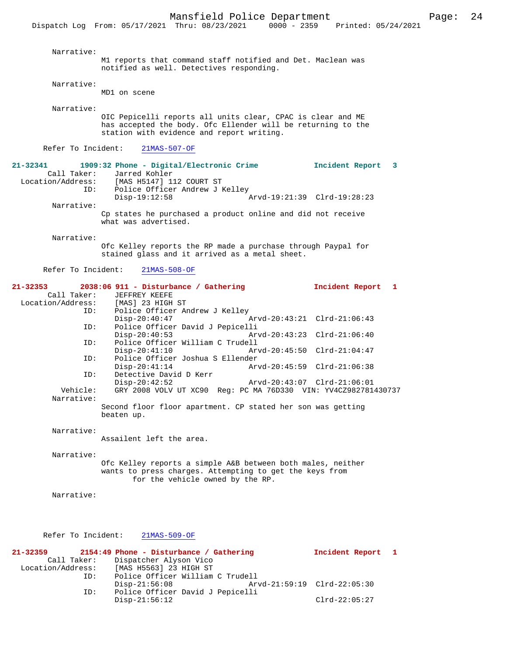| Narrative:                                                        | M1 reports that command staff notified and Det. Maclean was<br>notified as well. Detectives responding.                                                                  |                                              |                      |  |
|-------------------------------------------------------------------|--------------------------------------------------------------------------------------------------------------------------------------------------------------------------|----------------------------------------------|----------------------|--|
| Narrative:                                                        | MD1 on scene                                                                                                                                                             |                                              |                      |  |
| Narrative:                                                        | OIC Pepicelli reports all units clear, CPAC is clear and ME<br>has accepted the body. Ofc Ellender will be returning to the<br>station with evidence and report writing. |                                              |                      |  |
| Refer To Incident:                                                | $21MAS-507-OF$                                                                                                                                                           |                                              |                      |  |
| 21-32341<br>Call Taker:<br>Location/Address:<br>ID:<br>Narrative: | 1909:32 Phone - Digital/Electronic Crime<br>Jarred Kohler<br>[MAS H5147] 112 COURT ST<br>Police Officer Andrew J Kelley<br>$Disp-19:12:58$                               | Arvd-19:21:39 Clrd-19:28:23                  | Incident Report<br>3 |  |
|                                                                   | Cp states he purchased a product online and did not receive<br>what was advertised.                                                                                      |                                              |                      |  |
| Narrative:                                                        | Ofc Kelley reports the RP made a purchase through Paypal for<br>stained glass and it arrived as a metal sheet.                                                           |                                              |                      |  |
| Refer To Incident:                                                | $21MAS-508-OF$                                                                                                                                                           |                                              |                      |  |
| 21-32353<br>Call Taker:<br>Location/Address:                      | 2038:06 911 - Disturbance / Gathering<br>JEFFREY KEEFE<br>[MAS] 23 HIGH ST                                                                                               |                                              | Incident Report<br>1 |  |
| ID:<br>ID:                                                        | Police Officer Andrew J Kelley<br>$Disp-20:40:47$<br>Police Officer David J Pepicelli                                                                                    | Arvd-20:43:21 Clrd-21:06:43                  |                      |  |
| ID:                                                               | $Disp-20:40:53$<br>Police Officer William C Trudell<br>$Disp-20:41:10$                                                                                                   | Arvd-20:43:23 Clrd-21:06:40<br>Arvd-20:45:50 | $Clrd-21:04:47$      |  |
| ID:<br>ID:                                                        | Police Officer Joshua S Ellender<br>$Disp-20:41:14$<br>Detective David D Kerr                                                                                            | Arvd-20:45:59 Clrd-21:06:38                  |                      |  |
| Vehicle:<br>Narrative:                                            | $Disp-20:42:52$<br>GRY 2008 VOLV UT XC90 Req: PC MA 76D330 VIN: YV4CZ982781430737                                                                                        | Arvd-20:43:07 Clrd-21:06:01                  |                      |  |
|                                                                   | Second floor floor apartment. CP stated her son was getting<br>beaten up.                                                                                                |                                              |                      |  |
| Narrative:                                                        | Assailent left the area.                                                                                                                                                 |                                              |                      |  |
| Narrative:                                                        | Ofc Kelley reports a simple A&B between both males, neither<br>wants to press charges. Attempting to get the keys from<br>for the vehicle owned by the RP.               |                                              |                      |  |
| Narrative:                                                        |                                                                                                                                                                          |                                              |                      |  |
| Refer To Incident:                                                | $21MAS-509-OF$                                                                                                                                                           |                                              |                      |  |
| 21-32359<br>Call Taker:                                           | 2154:49 Phone - Disturbance / Gathering<br>Dispatcher Alyson Vico                                                                                                        |                                              | Incident Report<br>ı |  |

ID: Police Officer William C Trudell<br>Disp-21:56:08 Arvd-21:59:19 Clrd-22:05:30<br>ID: Police Officer David J Pepicelli

Disp-21:56:12 Clrd-22:05:27

Police Officer David J Pepicelli

Location/Address: [MAS H5563] 23 HIGH ST

ID: Police Officer William C Trudell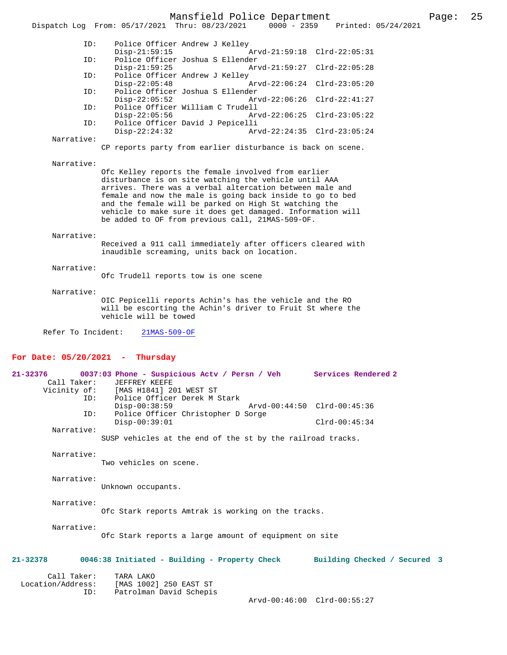## Mansfield Police Department Fage: 25

|                                   | - - -<br>0000 - 2359 Printed: 05/24/2021<br>Dispatch Log From: 05/17/2021 Thru: 08/23/2021                         |
|-----------------------------------|--------------------------------------------------------------------------------------------------------------------|
| ID:                               | Police Officer Andrew J Kelley                                                                                     |
|                                   | $Disp-21:59:15$<br>Arvd-21:59:18 Clrd-22:05:31                                                                     |
| ID:                               | Police Officer Joshua S Ellender                                                                                   |
|                                   | $Disp-21:59:25$<br>Arvd-21:59:27 Clrd-22:05:28                                                                     |
| ID:                               | Police Officer Andrew J Kelley<br>$Disp-22:05:48$<br>Arvd-22:06:24 Clrd-23:05:20                                   |
| ID:                               | Police Officer Joshua S Ellender                                                                                   |
|                                   | $Disp-22:05:52$<br>Arvd-22:06:26 Clrd-22:41:27                                                                     |
| ID:                               | Police Officer William C Trudell                                                                                   |
|                                   | $Disp-22:05:56$<br>Arvd-22:06:25 Clrd-23:05:22                                                                     |
| ID:                               | Police Officer David J Pepicelli<br>$Disp-22:24:32$<br>Arvd-22:24:35 Clrd-23:05:24                                 |
| Narrative:                        |                                                                                                                    |
|                                   | CP reports party from earlier disturbance is back on scene.                                                        |
| Narrative:                        |                                                                                                                    |
|                                   | Ofc Kelley reports the female involved from earlier                                                                |
|                                   | disturbance is on site watching the vehicle until AAA                                                              |
|                                   | arrives. There was a verbal altercation between male and                                                           |
|                                   | female and now the male is going back inside to go to bed<br>and the female will be parked on High St watching the |
|                                   | vehicle to make sure it does get damaged. Information will                                                         |
|                                   | be added to OF from previous call, 21MAS-509-OF.                                                                   |
|                                   |                                                                                                                    |
| Narrative:                        |                                                                                                                    |
|                                   | Received a 911 call immediately after officers cleared with<br>inaudible screaming, units back on location.        |
|                                   |                                                                                                                    |
| Narrative:                        |                                                                                                                    |
|                                   | Ofc Trudell reports tow is one scene                                                                               |
|                                   |                                                                                                                    |
| Narrative:                        | OIC Pepicelli reports Achin's has the vehicle and the RO                                                           |
|                                   | will be escorting the Achin's driver to Fruit St where the                                                         |
|                                   | vehicle will be towed                                                                                              |
|                                   |                                                                                                                    |
| Refer To Incident:                | $21MAS-509-OF$                                                                                                     |
|                                   |                                                                                                                    |
| For Date: $05/20/2021$ - Thursday |                                                                                                                    |
| $21 - 32376$                      | 0037:03 Phone - Suspicious Actv / Persn / Veh<br><b>Services Rendered 2</b>                                        |
| Call Taker:                       | <b>JEFFREY KEEFE</b>                                                                                               |
| Vicinity of:                      | [MAS H1841] 201 WEST ST                                                                                            |

 Vicinity of: [MAS H1841] 201 WEST ST ID: Police Officer Derek M Stark Disp-00:38:59 Arvd-00:44:50 Clrd-00:45:36 ID: Police Officer Christopher D Sorge Disp-00:39:01 Clrd-00:45:34 Narrative: SUSP vehicles at the end of the st by the railroad tracks.

> Narrative: Two vehicles on scene.

Narrative:

Unknown occupants.

Narrative:

Ofc Stark reports Amtrak is working on the tracks.

Narrative:

Ofc Stark reports a large amount of equipment on site

#### **21-32378 0046:38 Initiated - Building - Property Check Building Checked / Secured 3**

| Call Taker:       | TARA LAKO               |                             |  |
|-------------------|-------------------------|-----------------------------|--|
| Location/Address: | [MAS 1002] 250 EAST ST  |                             |  |
| ID:               | Patrolman David Schepis |                             |  |
|                   |                         | Arvd-00:46:00 Clrd-00:55:27 |  |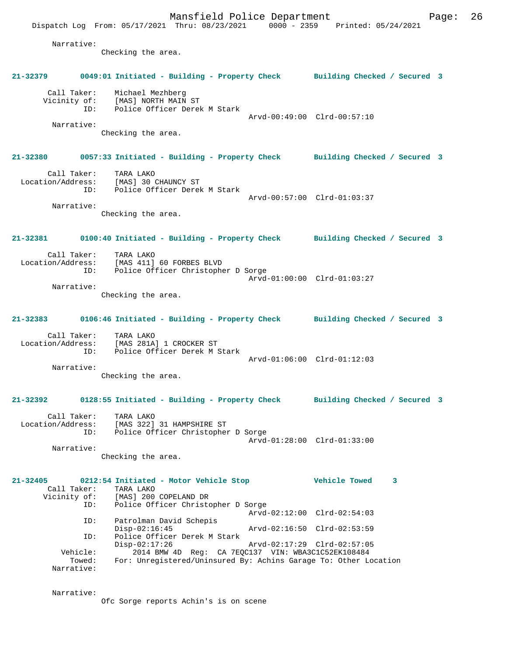Mansfield Police Department Page: 26 Dispatch Log From: 05/17/2021 Thru: 08/23/2021 0000 - 2359 Printed: 05/24/2021 Narrative: Checking the area. **21-32379 0049:01 Initiated - Building - Property Check Building Checked / Secured 3** Call Taker: Michael Mezhberg Vicinity of: [MAS] NORTH MAIN ST ID: Police Officer Derek M Stark Arvd-00:49:00 Clrd-00:57:10 Narrative: Checking the area. **21-32380 0057:33 Initiated - Building - Property Check Building Checked / Secured 3** Call Taker: TARA LAKO Location/Address: [MAS] 30 CHAUNCY ST ID: Police Officer Derek M Stark Arvd-00:57:00 Clrd-01:03:37 Narrative: Checking the area. **21-32381 0100:40 Initiated - Building - Property Check Building Checked / Secured 3** Call Taker: TARA LAKO Location/Address: [MAS 411] 60 FORBES BLVD Police Officer Christopher D Sorge Arvd-01:00:00 Clrd-01:03:27 Narrative: Checking the area. **21-32383 0106:46 Initiated - Building - Property Check Building Checked / Secured 3** Call Taker: TARA LAKO Location/Address: [MAS 281A] 1 CROCKER ST ID: Police Officer Derek M Stark Arvd-01:06:00 Clrd-01:12:03 Narrative: Checking the area. **21-32392 0128:55 Initiated - Building - Property Check Building Checked / Secured 3** Call Taker: TARA LAKO Location/Address: [MAS 322] 31 HAMPSHIRE ST ID: Police Officer Christopher D Sorge Arvd-01:28:00 Clrd-01:33:00 Narrative: Checking the area. **21-32405 0212:54 Initiated - Motor Vehicle Stop Vehicle Towed 3**  Call Taker: TARA LAKO<br>Vicinity of: [MAS] 200 [MAS] 200 COPELAND DR ID: Police Officer Christopher D Sorge Arvd-02:12:00 Clrd-02:54:03 ID: Patrolman David Schepis Arvd-02:16:50 Clrd-02:53:59 ID: Police Officer Derek M Stark Disp-02:17:26 Arvd-02:17:29 Clrd-02:57:05 Vehicle: 2014 BMW 4D Reg: CA 7EQC137 VIN: WBA3C1C52EK108484 Towed: For: Unregistered/Uninsured By: Achins Garage To: Other Location Narrative:

Narrative:

Ofc Sorge reports Achin's is on scene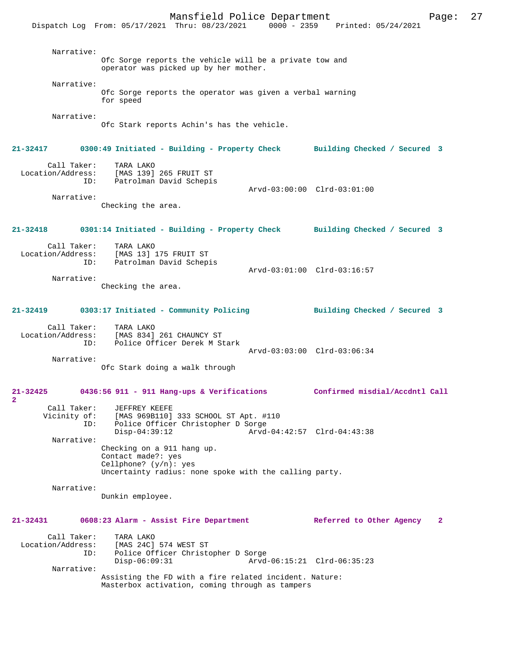Mansfield Police Department Page: 27 Dispatch Log From: 05/17/2021 Thru: 08/23/2021 Narrative: Ofc Sorge reports the vehicle will be a private tow and operator was picked up by her mother. Narrative: Ofc Sorge reports the operator was given a verbal warning for speed Narrative: Ofc Stark reports Achin's has the vehicle. **21-32417 0300:49 Initiated - Building - Property Check Building Checked / Secured 3** Call Taker: TARA LAKO Location/Address: [MAS 139] 265 FRUIT ST ID: Patrolman David Schepis Arvd-03:00:00 Clrd-03:01:00 Narrative: Checking the area. **21-32418 0301:14 Initiated - Building - Property Check Building Checked / Secured 3** Call Taker: TARA LAKO<br>[MAS 13] Location/Address: [MAS 13] ess: [MAS 13] 175 FRUIT ST<br>ID: Patrolman David Schep: Patrolman David Schepis Arvd-03:01:00 Clrd-03:16:57 Narrative: Checking the area. **21-32419 0303:17 Initiated - Community Policing Building Checked / Secured 3** Call Taker: TARA LAKO<br>Location/Address: [MAS 834] ess: [MAS 834] 261 CHAUNCY ST<br>TD: Police Officer Derek M.S. Police Officer Derek M Stark Arvd-03:03:00 Clrd-03:06:34 Narrative: Ofc Stark doing a walk through **21-32425 0436:56 911 - 911 Hang-ups & Verifications Confirmed misdial/Accdntl Call 2**  Call Taker: JEFFREY KEEFE Vicinity of: [MAS 969B110] 333 SCHOOL ST Apt. #110 ID: Police Officer Christopher D Sorge Disp-04:39:12 Arvd-04:42:57 Clrd-04:43:38 Narrative: Checking on a 911 hang up. Contact made?: yes Cellphone? (y/n): yes Uncertainty radius: none spoke with the calling party. Narrative: Dunkin employee. **21-32431 0608:23 Alarm - Assist Fire Department Referred to Other Agency 2** Call Taker: TARA LAKO<br>Location/Address: [MAS 24C] [MAS 24C] 574 WEST ST ID: Police Officer Christopher D Sorge Disp-06:09:31 Arvd-06:15:21 Clrd-06:35:23 Narrative: Assisting the FD with a fire related incident. Nature: Masterbox activation, coming through as tampers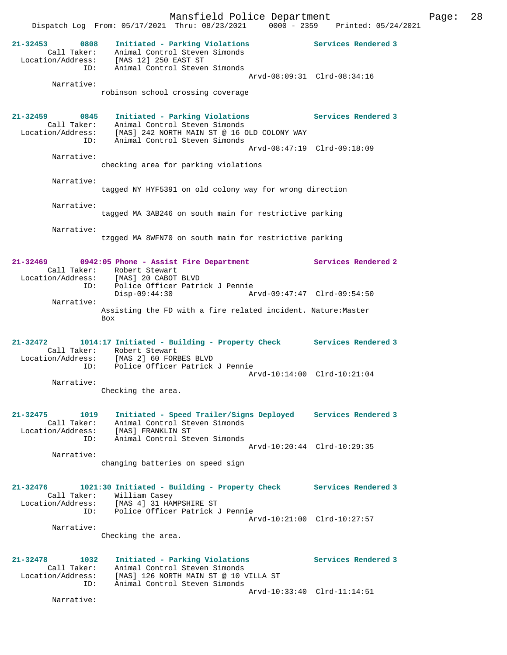Mansfield Police Department Fage: 28 Dispatch Log From: 05/17/2021 Thru: 08/23/2021 0000 - 2359 Printed: 05/24/2021 **21-32453 0808 Initiated - Parking Violations Services Rendered 3**  Call Taker: Animal Control Steven Simonds Location/Address: [MAS 12] 250 EAST ST ID: Animal Control Steven Simonds Arvd-08:09:31 Clrd-08:34:16 Narrative: robinson school crossing coverage **21-32459 0845 Initiated - Parking Violations Services Rendered 3**  Call Taker: Animal Control Steven Simonds Location/Address: [MAS] 242 NORTH MAIN ST @ 16 OLD COLONY WAY ID: Animal Control Steven Simonds Arvd-08:47:19 Clrd-09:18:09 Narrative: checking area for parking violations Narrative: tagged NY HYF5391 on old colony way for wrong direction Narrative: tagged MA 3AB246 on south main for restrictive parking Narrative: tzgged MA 8WFN70 on south main for restrictive parking **21-32469 0942:05 Phone - Assist Fire Department Services Rendered 2**  Call Taker: Robert Stewart Location/Address: [MAS] 20 CABOT BLVD ID: Police Officer Patrick J Pennie Disp-09:44:30 Arvd-09:47:47 Clrd-09:54:50 Narrative: Assisting the FD with a fire related incident. Nature:Master Box **21-32472 1014:17 Initiated - Building - Property Check Services Rendered 3**  Call Taker: Robert Stewart Location/Address: [MAS 2] 60 FORBES BLVD ID: Police Officer Patrick J Pennie Arvd-10:14:00 Clrd-10:21:04 Narrative: Checking the area. **21-32475 1019 Initiated - Speed Trailer/Signs Deployed Services Rendered 3**  Call Taker: Animal Control Steven Simonds Location/Address: [MAS] FRANKLIN ST ID: Animal Control Steven Simonds Arvd-10:20:44 Clrd-10:29:35 Narrative: changing batteries on speed sign **21-32476 1021:30 Initiated - Building - Property Check Services Rendered 3**  Call Taker: William Casey Location/Address: [MAS 4] 31 HAMPSHIRE ST ID: Police Officer Patrick J Pennie Arvd-10:21:00 Clrd-10:27:57 Narrative: Checking the area. **21-32478 1032 Initiated - Parking Violations Services Rendered 3**  Call Taker: Animal Control Steven Simonds Location/Address: [MAS] 126 NORTH MAIN ST @ 10 VILLA ST ID: Animal Control Steven Simonds Arvd-10:33:40 Clrd-11:14:51 Narrative: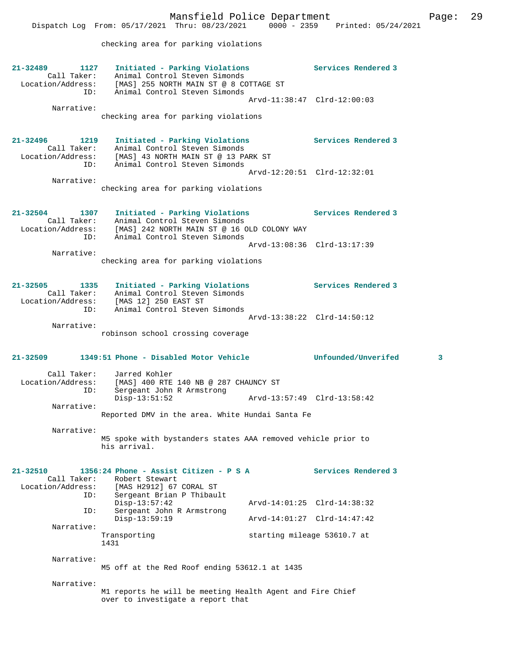checking area for parking violations

| 21-32489<br>1127<br>ID:                               | Initiated - Parking Violations<br>Call Taker: Animal Control Steven Simonds<br>Location/Address: [MAS] 255 NORTH MAIN ST @ 8 COTTAGE ST<br>Animal Control Steven Simonds                                                   |                                                            | Services Rendered 3        |
|-------------------------------------------------------|----------------------------------------------------------------------------------------------------------------------------------------------------------------------------------------------------------------------------|------------------------------------------------------------|----------------------------|
| Narrative:                                            | checking area for parking violations                                                                                                                                                                                       | Arvd-11:38:47 Clrd-12:00:03                                |                            |
| 21-32496<br>1219<br>Call Taker:<br>ID:                | Initiated - Parking Violations<br>Animal Control Steven Simonds<br>Location/Address: [MAS] 43 NORTH MAIN ST @ 13 PARK ST<br>Animal Control Steven Simonds                                                                  |                                                            | <b>Services Rendered 3</b> |
| Narrative:                                            | checking area for parking violations                                                                                                                                                                                       | Arvd-12:20:51 Clrd-12:32:01                                |                            |
| 21-32504<br>1307<br>Call Taker:<br>ID:                | Initiated - Parking Violations Services Rendered 3<br>Animal Control Steven Simonds<br>Location/Address: [MAS] 242 NORTH MAIN ST @ 16 OLD COLONY WAY<br>ID: Animal Control Steven Simonds<br>Animal Control Steven Simonds |                                                            |                            |
| Narrative:                                            | checking area for parking violations                                                                                                                                                                                       | Arvd-13:08:36 Clrd-13:17:39                                |                            |
| 21-32505<br>1335                                      | Initiated - Parking Violations<br>Call Taker: Animal Control Stever<br>Location/Address: [MAS 12] 250 EAST ST<br>Animal Control Steven Simonds                                                                             |                                                            | <b>Services Rendered 3</b> |
| ID:<br>Narrative:                                     | Animal Control Steven Simonds<br>robinson school crossing coverage                                                                                                                                                         | Arvd-13:38:22 Clrd-14:50:12                                |                            |
| 21-32509                                              | 1349:51 Phone - Disabled Motor Vehicle                                                                                                                                                                                     |                                                            | Unfounded/Unverifed<br>3   |
| Call Taker:<br>Location/Address:<br>ID:<br>Narrative: | Jarred Kohler<br>[MAS] 400 RTE 140 NB @ 287 CHAUNCY ST<br>Sergeant John R Armstrong<br>$Disp-13:51:52$                                                                                                                     |                                                            |                            |
|                                                       | Reported DMV in the area. White Hundai Santa Fe                                                                                                                                                                            |                                                            |                            |
| Narrative:                                            | M5 spoke with bystanders states AAA removed vehicle prior to<br>his arrival.                                                                                                                                               |                                                            |                            |
| 21-32510<br>Call Taker:<br>Location/Address:<br>ID:   | 1356:24 Phone - Assist Citizen - P S A<br>Robert Stewart<br>[MAS H2912] 67 CORAL ST<br>Sergeant Brian P Thibault                                                                                                           |                                                            | Services Rendered 3        |
| ID:                                                   | $Disp-13:57:42$<br>Sergeant John R Armstrong                                                                                                                                                                               | Arvd-14:01:25 Clrd-14:38:32                                |                            |
| Narrative:                                            | $Disp-13:59:19$<br>Transporting                                                                                                                                                                                            | Arvd-14:01:27 Clrd-14:47:42<br>starting mileage 53610.7 at |                            |
| Narrative:                                            | 1431                                                                                                                                                                                                                       |                                                            |                            |
|                                                       | M5 off at the Red Roof ending 53612.1 at 1435                                                                                                                                                                              |                                                            |                            |
| Narrative:                                            | M1 reports he will be meeting Health Agent and Fire Chief<br>over to investigate a report that                                                                                                                             |                                                            |                            |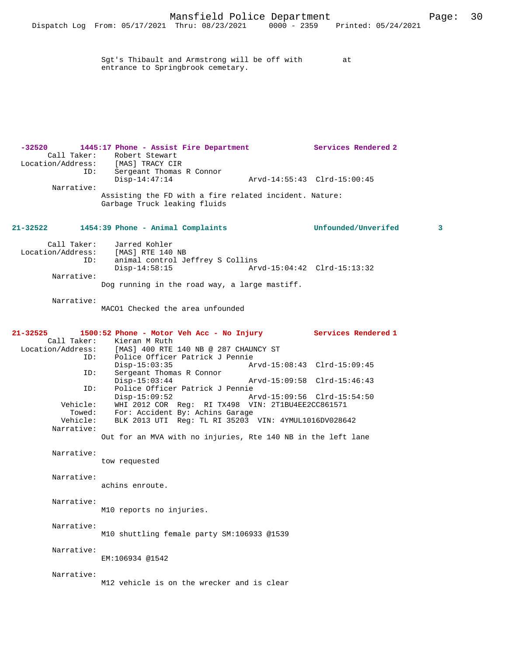Sgt's Thibault and Armstrong will be off with at entrance to Springbrook cemetary.

**-32520 1445:17 Phone - Assist Fire Department Services Rendered 2**  Call Taker: Robert Stewart Location/Address: [MAS] TRACY CIR ID: Sergeant Thomas R Connor Disp-14:47:14 Arvd-14:55:43 Clrd-15:00:45 Narrative: Assisting the FD with a fire related incident. Nature: Garbage Truck leaking fluids

#### **21-32522 1454:39 Phone - Animal Complaints Unfounded/Unverifed 3**

| Call Taker:       | Jarred Kohler                                 |                             |  |
|-------------------|-----------------------------------------------|-----------------------------|--|
| Location/Address: | [MAS] RTE 140 NB                              |                             |  |
| ID:               | animal control Jeffrey S Collins              |                             |  |
|                   | Disp-14:58:15                                 | Arvd-15:04:42 Clrd-15:13:32 |  |
| Narrative:        |                                               |                             |  |
|                   | Dog running in the road way, a large mastiff. |                             |  |

Narrative:

MACO1 Checked the area unfounded

**21-32525 1500:52 Phone - Motor Veh Acc - No Injury Services Rendered 1**  Call Taker: Kieran M Ruth<br>Location/Address: [MAS] 400 RTE ess: [MAS] 400 RTE 140 NB @ 287 CHAUNCY ST<br>ID: Police Officer Patrick J Pennie IMASI TOO ALL I.C.<br>Police Officer Patrick J Pennie<br>Disp-15:03:35 Disp-15:03:35 Arvd-15:08:43 Clrd-15:09:45<br>ID: Sergeant Thomas R Connor Disp-15.0، دد،دن<br>Sergeant Thomas R Connor<br>Disp-15:03:44 Disp-15:03:44 Arvd-15:09:58 Clrd-15:46:43<br>ID: Police Officer Patrick J Pennie Police Officer Patrick J Pennie Disp-15:09:52 Arvd-15:09:56 Clrd-15:54:50 Vehicle: WHI 2012 COR Reg: RI TX498 VIN: 2T1BU4EE2CC861571 Towed: For: Accident By: Achins Garage<br>Vehicle: BLK 2013 UTI Reg: TL RI 35203 BLK 2013 UTI Reg: TL RI 35203 VIN: 4YMUL1016DV028642 Narrative: Out for an MVA with no injuries, Rte 140 NB in the left lane Narrative: tow requested Narrative: achins enroute. Narrative: M10 reports no injuries. Narrative: M10 shuttling female party SM:106933 @1539 Narrative: EM:106934 @1542 Narrative: M12 vehicle is on the wrecker and is clear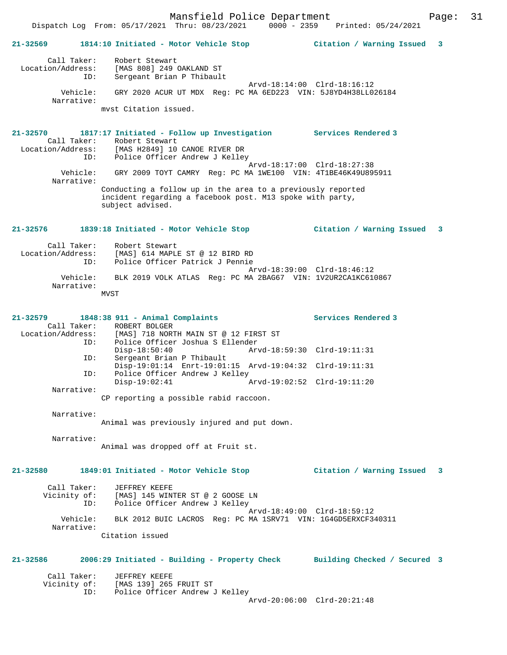## **21-32569 1814:10 Initiated - Motor Vehicle Stop Citation / Warning Issued 3** Call Taker: Robert Stewart Location/Address: [MAS 808] 249 OAKLAND ST ID: Sergeant Brian P Thibault Arvd-18:14:00 Clrd-18:16:12 Vehicle: GRY 2020 ACUR UT MDX Reg: PC MA 6ED223 VIN: 5J8YD4H38LL026184 Narrative: mvst Citation issued. **21-32570 1817:17 Initiated - Follow up Investigation Services Rendered 3**  Call Taker: Robert Stewart<br>Location/Address: [MAS H2849] 10 [MAS H2849] 10 CANOE RIVER DR ID: Police Officer Andrew J Kelley Arvd-18:17:00 Clrd-18:27:38<br>Vehicle: GRY 2009 TOYT CAMRY Reg: PC MA 1WE100 VIN: 4T1BE46K49U89! GRY 2009 TOYT CAMRY Reg: PC MA 1WE100 VIN: 4T1BE46K49U895911 Narrative: Conducting a follow up in the area to a previously reported incident regarding a facebook post. M13 spoke with party, subject advised. **21-32576 1839:18 Initiated - Motor Vehicle Stop Citation / Warning Issued 3** Call Taker: Robert Stewart<br>Location/Address: [MAS] 614 MAPLE [MAS] 614 MAPLE ST @ 12 BIRD RD ID: Police Officer Patrick J Pennie Arvd-18:39:00 Clrd-18:46:12<br>Vehicle: BLK 2019 VOLK ATLAS Reg: PC MA 2BAG67 VIN: 1V2UR2CA1KC610 BLK 2019 VOLK ATLAS Reg: PC MA 2BAG67 VIN: 1V2UR2CA1KC610867 Narrative: MVST **21-32579 1848:38 911 - Animal Complaints Services Rendered 3**  Call Taker: ROBERT BOLGER<br>Location/Address: [MAS] 718 NORT [MAS] 718 NORTH MAIN ST @ 12 FIRST ST ID: Police Officer Joshua S Ellender Disp-18:50:40 Arvd-18:59:30 Clrd-19:11:31<br>TD: Sergeant Brian P Thibault Sergeant Brian P Thibault Disp-19:01:14 Enrt-19:01:15 Arvd-19:04:32 Clrd-19:11:31 ID: Police Officer Andrew J Kelley Disp-19:02:41 Arvd-19:02:52 Clrd-19:11:20 Narrative: CP reporting a possible rabid raccoon. Narrative: Animal was previously injured and put down. Narrative: Animal was dropped off at Fruit st. **21-32580 1849:01 Initiated - Motor Vehicle Stop Citation / Warning Issued 3** Call Taker: JEFFREY KEEFE Vicinity of: [MAS] 145 WINTER ST @ 2 GOOSE LN ID: Police Officer Andrew J Kelley Arvd-18:49:00 Clrd-18:59:12<br>Vehicle: BLK 2012 BUIC LACROS Req: PC MA 1SRV71 VIN: 1G4GD5ERXCF3 Vehicle: BLK 2012 BUIC LACROS Reg: PC MA 1SRV71 VIN: 1G4GD5ERXCF340311 Narrative: Citation issued **21-32586 2006:29 Initiated - Building - Property Check Building Checked / Secured 3** Call Taker: JEFFREY KEEFE Vicinity of: [MAS 139] 265 FRUIT ST ID: Police Officer Andrew J Kelley

Arvd-20:06:00 Clrd-20:21:48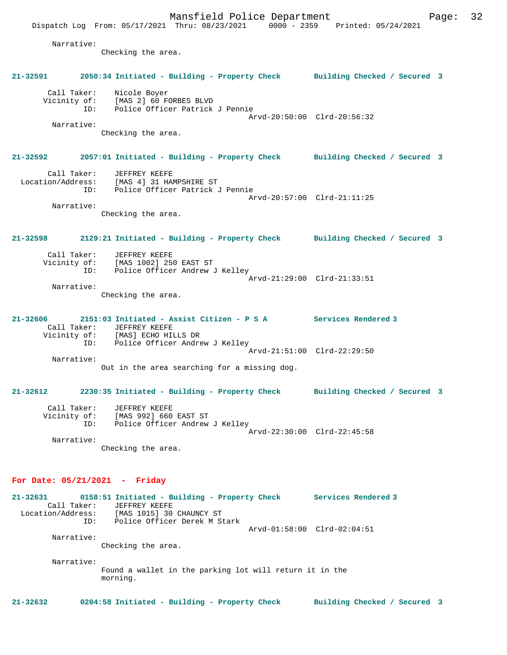Dispatch Log From: 05/17/2021 Thru: 08/23/2021 0000 - 2359 Printed: 05/24/2021 Narrative: Checking the area. **21-32591 2050:34 Initiated - Building - Property Check Building Checked / Secured 3** Call Taker: Nicole Boyer Vicinity of: [MAS 2] 60 FORBES BLVD ID: Police Officer Patrick J Pennie Arvd-20:50:00 Clrd-20:56:32 Narrative: Checking the area. **21-32592 2057:01 Initiated - Building - Property Check Building Checked / Secured 3** Call Taker: JEFFREY KEEFE Location/Address: [MAS 4] 31 HAMPSHIRE ST ID: Police Officer Patrick J Pennie Arvd-20:57:00 Clrd-21:11:25 Narrative: Checking the area. **21-32598 2129:21 Initiated - Building - Property Check Building Checked / Secured 3** Call Taker: JEFFREY KEEFE Vicinity of: [MAS 1002] 250 EAST ST<br>ID: Police Officer Andrew Police Officer Andrew J Kelley Arvd-21:29:00 Clrd-21:33:51 Narrative: Checking the area. **21-32606 2151:03 Initiated - Assist Citizen - P S A Services Rendered 3**  Call Taker: JEFFREY KEEFE Vicinity of: [MAS] ECHO HILLS DR ID: Police Officer Andrew J Kelley Arvd-21:51:00 Clrd-22:29:50 Narrative: Out in the area searching for a missing dog. **21-32612 2230:35 Initiated - Building - Property Check Building Checked / Secured 3** Call Taker: JEFFREY KEEFE Vicinity of: [MAS 992] 660 EAST ST<br>ID: Police Officer Andrew Police Officer Andrew J Kelley Arvd-22:30:00 Clrd-22:45:58 Narrative: Checking the area. **For Date: 05/21/2021 - Friday 21-32631 0158:51 Initiated - Building - Property Check Services Rendered 3**  Call Taker: JEFFREY KEEFE<br>Location/Address: [MAS 1015] 30 [MAS 1015] 30 CHAUNCY ST ID: Police Officer Derek M Stark Arvd-01:58:00 Clrd-02:04:51 Narrative: Checking the area. Narrative: Found a wallet in the parking lot will return it in the morning.

**21-32632 0204:58 Initiated - Building - Property Check Building Checked / Secured 3**

Mansfield Police Department Form Page: 32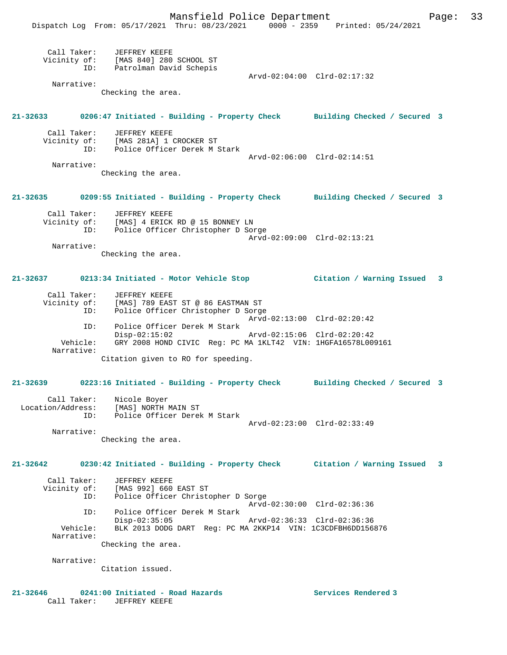|             | Dispatch Log From: 05/17/2021 Thru: 08/23/2021 0000 - 2359 Printed: 05/24/2021      | Mansfield Police Department |                             | Page: | 33 |
|-------------|-------------------------------------------------------------------------------------|-----------------------------|-----------------------------|-------|----|
|             |                                                                                     |                             |                             |       |    |
|             | Call Taker: JEFFREY KEEFE<br>Vicinity of: [MAS 840] 280 SCHOOL ST                   |                             |                             |       |    |
| ID:         | Patrolman David Schepis                                                             |                             |                             |       |    |
|             |                                                                                     |                             | Arvd-02:04:00 Clrd-02:17:32 |       |    |
| Narrative:  |                                                                                     |                             |                             |       |    |
|             | Checking the area.                                                                  |                             |                             |       |    |
|             | 21-32633 0206:47 Initiated - Building - Property Check Building Checked / Secured 3 |                             |                             |       |    |
| Call Taker: | JEFFREY KEEFE                                                                       |                             |                             |       |    |
|             | Vicinity of: [MAS 281A] 1 CROCKER ST                                                |                             |                             |       |    |
| ID:         | Police Officer Derek M Stark                                                        |                             |                             |       |    |
| Narrative:  |                                                                                     |                             | Arvd-02:06:00 Clrd-02:14:51 |       |    |
|             | Checking the area.                                                                  |                             |                             |       |    |
|             |                                                                                     |                             |                             |       |    |
|             | 21-32635 0209:55 Initiated - Building - Property Check Building Checked / Secured 3 |                             |                             |       |    |
|             | Call Taker: JEFFREY KEEFE                                                           |                             |                             |       |    |
|             | Vicinity of: [MAS] 4 ERICK RD @ 15 BONNEY LN                                        |                             |                             |       |    |
| ID:         | Police Officer Christopher D Sorge                                                  |                             |                             |       |    |
| Narrative:  |                                                                                     |                             | Arvd-02:09:00 Clrd-02:13:21 |       |    |
|             | Checking the area.                                                                  |                             |                             |       |    |
|             | 21-32637                0213:34 Initiated - Motor Vehicle Stop                      |                             | Citation / Warning Issued   | 3     |    |
|             |                                                                                     |                             |                             |       |    |
| Call Taker: | JEFFREY KEEFE                                                                       |                             |                             |       |    |
|             | Vicinity of: [MAS] 789 EAST ST @ 86 EASTMAN ST                                      |                             |                             |       |    |
| ID:         | Police Officer Christopher D Sorge                                                  |                             | Arvd-02:13:00 Clrd-02:20:42 |       |    |
| ID:         | Police Officer Derek M Stark                                                        |                             |                             |       |    |
|             | $Disp-02:15:02$                                                                     |                             | Arvd-02:15:06 Clrd-02:20:42 |       |    |
| Vehicle:    | GRY 2008 HOND CIVIC Req: PC MA 1KLT42 VIN: 1HGFA16578L009161                        |                             |                             |       |    |
| Narrative:  | Citation given to RO for speeding.                                                  |                             |                             |       |    |
|             |                                                                                     |                             |                             |       |    |
| 21-32639    | 0223:16 Initiated - Building - Property Check Building Checked / Secured 3          |                             |                             |       |    |
|             |                                                                                     |                             |                             |       |    |
| Call Taker: | Nicole Boyer                                                                        |                             |                             |       |    |
|             | Location/Address: [MAS] NORTH MAIN ST                                               |                             |                             |       |    |
| ID:         | Police Officer Derek M Stark                                                        |                             | Arvd-02:23:00 Clrd-02:33:49 |       |    |
| Narrative:  |                                                                                     |                             |                             |       |    |
|             | Checking the area.                                                                  |                             |                             |       |    |
| 21-32642    | 0230:42 Initiated - Building - Property Check Citation / Warning Issued 3           |                             |                             |       |    |
|             |                                                                                     |                             |                             |       |    |
| Call Taker: | JEFFREY KEEFE<br>Vicinity of: [MAS 992] 660 EAST ST                                 |                             |                             |       |    |
| ID:         | Police Officer Christopher D Sorge                                                  |                             |                             |       |    |
|             |                                                                                     |                             | Arvd-02:30:00 Clrd-02:36:36 |       |    |
| ID:         | Police Officer Derek M Stark                                                        |                             |                             |       |    |
| Vehicle:    | $Disp-02:35:05$<br>BLK 2013 DODG DART Reg: PC MA 2KKP14 VIN: 1C3CDFBH6DD156876      |                             | Arvd-02:36:33 Clrd-02:36:36 |       |    |
| Narrative:  |                                                                                     |                             |                             |       |    |
|             | Checking the area.                                                                  |                             |                             |       |    |
|             |                                                                                     |                             |                             |       |    |
| Narrative:  |                                                                                     |                             |                             |       |    |
|             | Citation issued.                                                                    |                             |                             |       |    |
|             |                                                                                     |                             |                             |       |    |

21-32646 **0241:00 Initiated - Road Hazards Services Rendered 3** Call Taker: JEFFREY KEEFE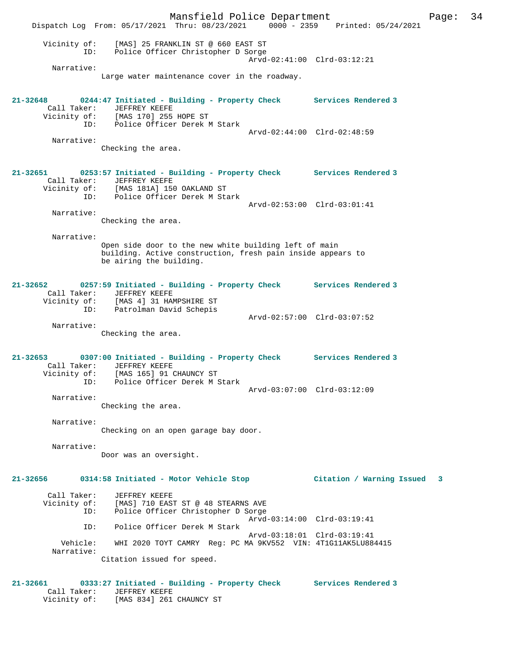Mansfield Police Department Page: 34 Dispatch Log From: 05/17/2021 Thru: 08/23/2021 0000 - 2359 Printed: 05/24/2021 Vicinity of: [MAS] 25 FRANKLIN ST @ 660 EAST ST ID: Police Officer Christopher D Sorge Arvd-02:41:00 Clrd-03:12:21 Narrative: Large water maintenance cover in the roadway. **21-32648 0244:47 Initiated - Building - Property Check Services Rendered 3**  Call Taker: JEFFREY KEEFE Vicinity of: [MAS 170] 255 HOPE ST ID: Police Officer Derek M Stark Arvd-02:44:00 Clrd-02:48:59 Narrative: Checking the area. **21-32651 0253:57 Initiated - Building - Property Check Services Rendered 3**  Call Taker: JEFFREY KEEFE Vicinity of: [MAS 181A] 150 OAKLAND ST ID: Police Officer Derek M Stark Arvd-02:53:00 Clrd-03:01:41 Narrative: Checking the area. Narrative: Open side door to the new white building left of main building. Active construction, fresh pain inside appears to be airing the building. **21-32652 0257:59 Initiated - Building - Property Check Services Rendered 3**  Call Taker: JEFFREY KEEFE Vicinity of: [MAS 4] 31 HAMPSHIRE ST ID: Patrolman David Schepis Arvd-02:57:00 Clrd-03:07:52 Narrative: Checking the area. **21-32653 0307:00 Initiated - Building - Property Check Services Rendered 3**  Call Taker: JEFFREY KEEFE Vicinity of: [MAS 165] 91 CHAUNCY ST ID: Police Officer Derek M Stark Arvd-03:07:00 Clrd-03:12:09 Narrative: Checking the area. Narrative: Checking on an open garage bay door. Narrative: Door was an oversight. **21-32656 0314:58 Initiated - Motor Vehicle Stop Citation / Warning Issued 3** Call Taker: JEFFREY KEEFE Vicinity of: [MAS] 710 EAST ST @ 48 STEARNS AVE<br>TD: Police Officer Christopher D Sorge Police Officer Christopher D Sorge Arvd-03:14:00 Clrd-03:19:41 ID: Police Officer Derek M Stark Arvd-03:18:01 Clrd-03:19:41 Vehicle: WHI 2020 TOYT CAMRY Reg: PC MA 9KV552 VIN: 4T1G11AK5LU884415 Narrative: Citation issued for speed. **21-32661 0333:27 Initiated - Building - Property Check Services Rendered 3**  Call Taker: JEFFREY KEEFE

Vicinity of: [MAS 834] 261 CHAUNCY ST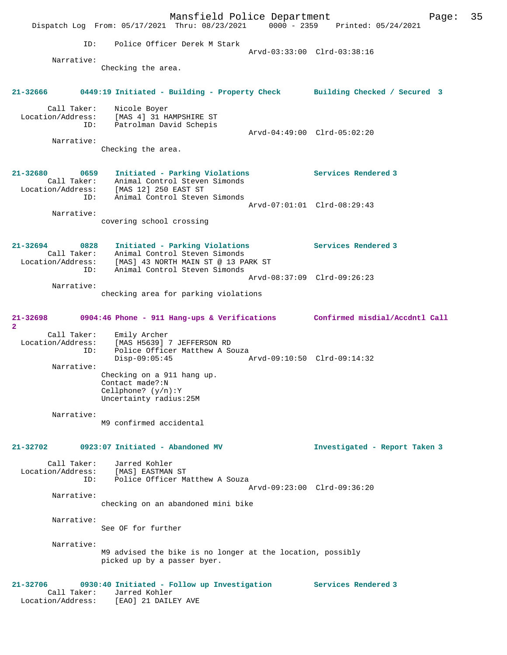Mansfield Police Department Page: 35 Dispatch Log From: 05/17/2021 Thru: 08/23/2021 0000 - 2359 Printed: 05/24/2021 ID: Police Officer Derek M Stark Arvd-03:33:00 Clrd-03:38:16 Narrative: Checking the area. **21-32666 0449:19 Initiated - Building - Property Check Building Checked / Secured 3** Call Taker: Nicole Boyer Location/Address: [MAS 4] 31 HAMPSHIRE ST ID: Patrolman David Schepis Arvd-04:49:00 Clrd-05:02:20 Narrative: Checking the area. **21-32680 0659 Initiated - Parking Violations Services Rendered 3**  Call Taker: Animal Control Steven Simonds Location/Address: [MAS 12] 250 EAST ST ID: Animal Control Steven Simonds Arvd-07:01:01 Clrd-08:29:43 Narrative: covering school crossing **21-32694 0828 Initiated - Parking Violations Services Rendered 3**  Call Taker: Animal Control Steven Simonds Location/Address: [MAS] 43 NORTH MAIN ST @ 13 PARK ST ID: Animal Control Steven Simonds Arvd-08:37:09 Clrd-09:26:23 Narrative: checking area for parking violations **21-32698 0904:46 Phone - 911 Hang-ups & Verifications Confirmed misdial/Accdntl Call 2**  Call Taker: Emily Archer Location/Address: [MAS H5639] 7 JEFFERSON RD ID: Police Officer Matthew A Souza<br>Disp-09:05:45 Disp-09:05:45 Arvd-09:10:50 Clrd-09:14:32 Narrative: Checking on a 911 hang up. Contact made?:N Cellphone? (y/n):Y Uncertainty radius:25M Narrative: M9 confirmed accidental **21-32702 0923:07 Initiated - Abandoned MV Investigated - Report Taken 3** Call Taker: Jarred Kohler Location/Address: [MAS] EASTMAN ST ID: Police Officer Matthew A Souza Arvd-09:23:00 Clrd-09:36:20 Narrative: checking on an abandoned mini bike Narrative: See OF for further Narrative: M9 advised the bike is no longer at the location, possibly picked up by a passer byer. **21-32706 0930:40 Initiated - Follow up Investigation Services Rendered 3**  Call Taker: Jarred Kohler Location/Address: [EAO] 21 DAILEY AVE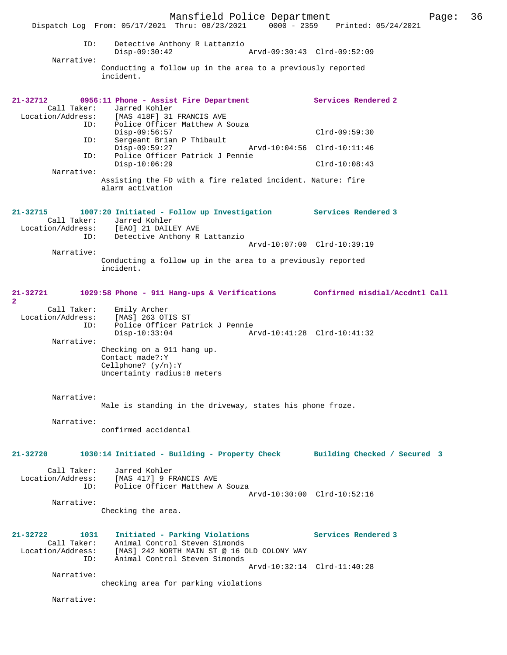|                                                                 | Mansfield Police Department<br>Dispatch Log From: 05/17/2021 Thru: 08/23/2021 0000 - 2359 Printed: 05/24/2021                                   |                              | Page: | 36 |
|-----------------------------------------------------------------|-------------------------------------------------------------------------------------------------------------------------------------------------|------------------------------|-------|----|
| ID:                                                             | Detective Anthony R Lattanzio<br>$Disp-09:30:42$                                                                                                | Arvd-09:30:43 Clrd-09:52:09  |       |    |
| Narrative:                                                      | Conducting a follow up in the area to a previously reported<br>incident.                                                                        |                              |       |    |
| $21 - 32712$<br>Call Taker:<br>Location/Address:                | 0956:11 Phone - Assist Fire Department<br>Jarred Kohler<br>[MAS 418F] 31 FRANCIS AVE                                                            | Services Rendered 2          |       |    |
| ID:<br>ID:                                                      | Police Officer Matthew A Souza<br>$Disp-09:56:57$<br>Sergeant Brian P Thibault                                                                  | $Clrd-09:59:30$              |       |    |
| ID:                                                             | $Disp-09:59:27$<br>Police Officer Patrick J Pennie                                                                                              | Arvd-10:04:56 Clrd-10:11:46  |       |    |
| Narrative:                                                      | $Disp-10:06:29$                                                                                                                                 | $Clrd-10:08:43$              |       |    |
|                                                                 | Assisting the FD with a fire related incident. Nature: fire<br>alarm activation                                                                 |                              |       |    |
| $21 - 32715$<br>Call Taker:<br>Location/Address:                | 1007:20 Initiated - Follow up Investigation Services Rendered 3<br>Jarred Kohler<br>[EAO] 21 DAILEY AVE                                         |                              |       |    |
| ID:                                                             | Detective Anthony R Lattanzio                                                                                                                   | Arvd-10:07:00 Clrd-10:39:19  |       |    |
| Narrative:                                                      | Conducting a follow up in the area to a previously reported<br>incident.                                                                        |                              |       |    |
| 21-32721<br>$\overline{a}$                                      | 1029:58 Phone - 911 Hang-ups & Verifications Confirmed misdial/Accdntl Call                                                                     |                              |       |    |
| Call Taker:<br>Location/Address:<br>ID:<br>Narrative:           | Emily Archer<br>[MAS] 263 OTIS ST<br>Police Officer Patrick J Pennie<br>$Disp-10:33:04$<br>Checking on a 911 hang up.                           | Arvd-10:41:28 Clrd-10:41:32  |       |    |
|                                                                 | Contact made?: Y<br>Cellphone? $(y/n):Y$<br>Uncertainty radius: 8 meters                                                                        |                              |       |    |
| Narrative:                                                      | Male is standing in the driveway, states his phone froze.                                                                                       |                              |       |    |
| Narrative:                                                      | confirmed accidental                                                                                                                            |                              |       |    |
| 21-32720                                                        | 1030:14 Initiated - Building - Property Check                                                                                                   | Building Checked / Secured 3 |       |    |
| Call Taker:<br>Location/Address:<br>ID:                         | Jarred Kohler<br>[MAS 417] 9 FRANCIS AVE<br>Police Officer Matthew A Souza                                                                      | Arvd-10:30:00 Clrd-10:52:16  |       |    |
| Narrative:                                                      | Checking the area.                                                                                                                              |                              |       |    |
| $21 - 32722$<br>1031<br>Call Taker:<br>Location/Address:<br>ID: | Initiated - Parking Violations<br>Animal Control Steven Simonds<br>[MAS] 242 NORTH MAIN ST @ 16 OLD COLONY WAY<br>Animal Control Steven Simonds | Services Rendered 3          |       |    |
| Narrative:                                                      | checking area for parking violations                                                                                                            | Arvd-10:32:14 Clrd-11:40:28  |       |    |
| Narrative:                                                      |                                                                                                                                                 |                              |       |    |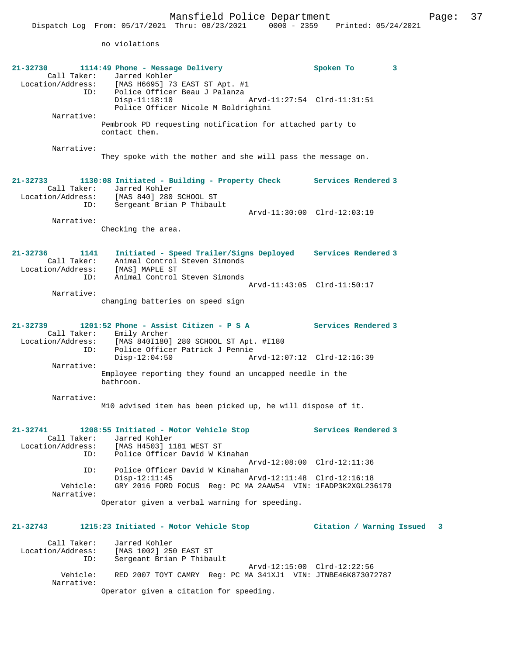no violations

| 21-32730<br>Call Taker:<br>ID:            | 1114:49 Phone - Message Delivery<br>Jarred Kohler<br>Location/Address: [MAS H6695] 73 EAST ST Apt. #1<br>Police Officer Beau J Palanza                            | Spoken To<br>3              |   |
|-------------------------------------------|-------------------------------------------------------------------------------------------------------------------------------------------------------------------|-----------------------------|---|
|                                           | $Disp-11:18:10$<br>Police Officer Nicole M Boldrighini                                                                                                            | Arvd-11:27:54 Clrd-11:31:51 |   |
| Narrative:                                | Pembrook PD requesting notification for attached party to<br>contact them.                                                                                        |                             |   |
| Narrative:                                | They spoke with the mother and she will pass the message on.                                                                                                      |                             |   |
| 21-32733<br>Call Taker:<br>ID:            | 1130:08 Initiated - Building - Property Check Services Rendered 3<br>Jarred Kohler<br>Location/Address: [MAS 840] 280 SCHOOL ST<br>Sergeant Brian P Thibault      |                             |   |
|                                           |                                                                                                                                                                   | Arvd-11:30:00 Clrd-12:03:19 |   |
| Narrative:                                | Checking the area.                                                                                                                                                |                             |   |
| $21 - 32736$<br>1141<br>Location/Address: | Initiated - Speed Trailer/Signs Deployed Services Rendered 3<br>Call Taker: Animal Control Steven Simonds<br>[MAS] MAPLE ST                                       |                             |   |
| ID:                                       | Animal Control Steven Simonds                                                                                                                                     | Arvd-11:43:05 Clrd-11:50:17 |   |
| Narrative:                                |                                                                                                                                                                   |                             |   |
|                                           | changing batteries on speed sign                                                                                                                                  |                             |   |
| 21-32739<br>ID:                           | 1201:52 Phone - Assist Citizen - P S A<br>Call Taker: Emily Archer<br>Location/Address: [MAS 840I180] 280 SCHOOL ST Apt. #I180<br>Police Officer Patrick J Pennie | Services Rendered 3         |   |
|                                           | $Disp-12:04:50$                                                                                                                                                   | Arvd-12:07:12 Clrd-12:16:39 |   |
| Narrative:                                | Employee reporting they found an uncapped needle in the<br>bathroom.                                                                                              |                             |   |
| Narrative:                                | M10 advised item has been picked up, he will dispose of it.                                                                                                       |                             |   |
| 21-32741                                  | 1208:55 Initiated - Motor Vehicle Stop                                                                                                                            | Services Rendered 3         |   |
| Call Taker:<br>Location/Address:          | Jarred Kohler<br>[MAS H4503] 1181 WEST ST                                                                                                                         |                             |   |
| ID:                                       | Police Officer David W Kinahan                                                                                                                                    |                             |   |
| ID:                                       | Police Officer David W Kinahan                                                                                                                                    | Arvd-12:08:00 Clrd-12:11:36 |   |
|                                           | $Disp-12:11:45$                                                                                                                                                   | Arvd-12:11:48 Clrd-12:16:18 |   |
| Vehicle:<br>Narrative:                    | GRY 2016 FORD FOCUS Req: PC MA 2AAW54 VIN: 1FADP3K2XGL236179                                                                                                      |                             |   |
|                                           | Operator given a verbal warning for speeding.                                                                                                                     |                             |   |
| $21 - 32743$                              | 1215:23 Initiated - Motor Vehicle Stop                                                                                                                            | Citation / Warning Issued   | 3 |
| Call Taker:<br>Location/Address:<br>ID:   | Jarred Kohler<br>[MAS 1002] 250 EAST ST<br>Sergeant Brian P Thibault                                                                                              |                             |   |
| Vehicle:                                  | RED 2007 TOYT CAMRY Req: PC MA 341XJ1 VIN: JTNBE46K873072787                                                                                                      | Arvd-12:15:00 Clrd-12:22:56 |   |
| Narrative:                                | Operator given a citation for speeding.                                                                                                                           |                             |   |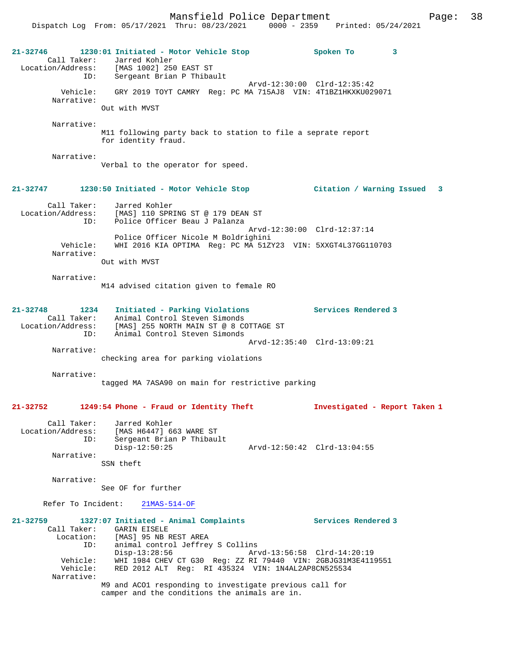| ID:                                                         | 21-32746 1230:01 Initiated - Motor Vehicle Stop<br>Call Taker: Jarred Kohler<br>Location/Address: [MAS 1002] 250 EAST ST<br>Sergeant Brian P Thibault | Spoken To<br>3                |
|-------------------------------------------------------------|-------------------------------------------------------------------------------------------------------------------------------------------------------|-------------------------------|
|                                                             | Arvd-12:30:00 Clrd-12:35:42                                                                                                                           |                               |
| Vehicle:<br>Narrative:                                      | GRY 2019 TOYT CAMRY Reg: PC MA 715AJ8 VIN: 4T1BZ1HKXKU029071                                                                                          |                               |
|                                                             | Out with MVST                                                                                                                                         |                               |
| Narrative:                                                  | M11 following party back to station to file a seprate report<br>for identity fraud.                                                                   |                               |
| Narrative:                                                  | Verbal to the operator for speed.                                                                                                                     |                               |
|                                                             | 21-32747 1230:50 Initiated - Motor Vehicle Stop                                                                                                       | Citation / Warning Issued 3   |
| Call Taker:<br>ID:                                          | Jarred Kohler<br>Location/Address: [MAS] 110 SPRING ST @ 179 DEAN ST<br>Police Officer Beau J Palanza                                                 |                               |
|                                                             | Arvd-12:30:00 Clrd-12:37:14<br>Police Officer Nicole M Boldrighini                                                                                    |                               |
| Vehicle:<br>Narrative:                                      | WHI 2016 KIA OPTIMA Reg: PC MA 51ZY23 VIN: 5XXGT4L37GG110703                                                                                          |                               |
|                                                             | Out with MVST                                                                                                                                         |                               |
| Narrative:                                                  |                                                                                                                                                       |                               |
|                                                             | M14 advised citation given to female RO                                                                                                               |                               |
| 21-32748<br>1234<br>Call Taker:<br>Location/Address:<br>ID: | Initiated - Parking Violations<br>Animal Control Steven Simonds<br>[MAS] 255 NORTH MAIN ST @ 8 COTTAGE ST<br>Animal Control Steven Simonds            | Services Rendered 3           |
|                                                             | Arvd-12:35:40 Clrd-13:09:21                                                                                                                           |                               |
| Narrative:                                                  | checking area for parking violations                                                                                                                  |                               |
|                                                             |                                                                                                                                                       |                               |
| Narrative:                                                  | tagged MA 7ASA90 on main for restrictive parking                                                                                                      |                               |
| 21-32752                                                    | 1249:54 Phone - Fraud or Identity Theft                                                                                                               | Investigated - Report Taken 1 |
| Call Taker:<br>Location/Address:<br>ID:                     | Jarred Kohler<br>[MAS H6447] 663 WARE ST<br>Sergeant Brian P Thibault                                                                                 |                               |
| Narrative:                                                  | $Disp-12:50:25$                                                                                                                                       | Arvd-12:50:42 Clrd-13:04:55   |
|                                                             | SSN theft                                                                                                                                             |                               |
| Narrative:                                                  | See OF for further                                                                                                                                    |                               |
| Refer To Incident:                                          | $21MAS-514-OF$                                                                                                                                        |                               |
| $21 - 32759$                                                |                                                                                                                                                       | Services Rendered 3           |
| Call Taker:                                                 | 1327:07 Initiated - Animal Complaints<br>GARIN EISELE                                                                                                 |                               |
| Location:<br>ID:                                            | [MAS] 95 NB REST AREA<br>animal control Jeffrey S Collins                                                                                             |                               |
| Vehicle:                                                    | $Disp-13:28:56$<br>Arvd-13:56:58 Clrd-14:20:19<br>WHI 1984 CHEV CT G30 Reg: ZZ RI 79440 VIN: 2GBJG31M3E4119551                                        |                               |
| Vehicle:<br>Narrative:                                      | RED 2012 ALT Req: RI 435324 VIN: 1N4AL2AP8CN525534                                                                                                    |                               |
|                                                             | M9 and ACO1 responding to investigate previous call for<br>camper and the conditions the animals are in.                                              |                               |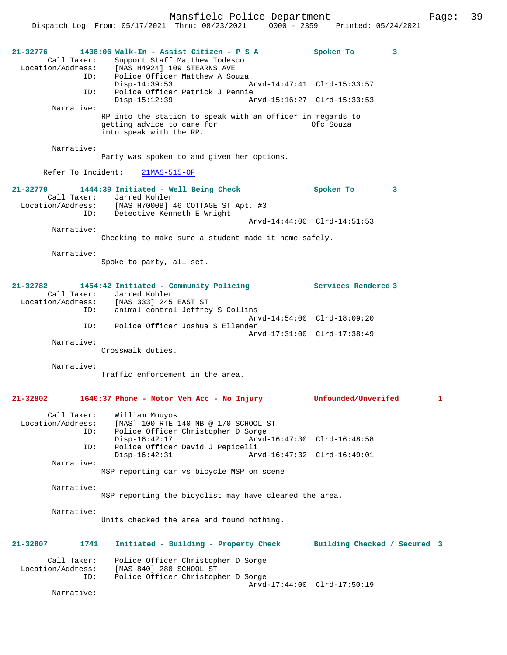| 21-32776                 | 1438:06 Walk-In - Assist Citizen - P S A                                            | Spoken To<br>3               |   |
|--------------------------|-------------------------------------------------------------------------------------|------------------------------|---|
| Call Taker:              | Support Staff Matthew Todesco                                                       |                              |   |
|                          | Location/Address: [MAS H4924] 109 STEARNS AVE<br>ID: Police Officer Matthew A Souza |                              |   |
| ID:                      | $Disp-14:39:53$<br>Police Officer Patrick J Pennie                                  | Arvd-14:47:41 Clrd-15:33:57  |   |
|                          | $Disp-15:12:39$                                                                     | Arvd-15:16:27 Clrd-15:33:53  |   |
| Narrative:               | RP into the station to speak with an officer in regards to                          |                              |   |
|                          | getting advice to care for<br>into speak with the RP.                               | Ofc Souza                    |   |
| Narrative:               |                                                                                     |                              |   |
|                          | Party was spoken to and given her options.                                          |                              |   |
| Refer To Incident:       | $21MAS-515-OF$                                                                      |                              |   |
|                          | 21-32779 1444:39 Initiated - Well Being Check                                       | Spoken To<br>3               |   |
|                          | Call Taker: Jarred Kohler<br>Location/Address: [MAS H7000B] 46 COTTAGE ST Apt. #3   |                              |   |
|                          | ID: Detective Kenneth E Wright                                                      |                              |   |
|                          |                                                                                     | Arvd-14:44:00 Clrd-14:51:53  |   |
| Narrative:               |                                                                                     |                              |   |
|                          | Checking to make sure a student made it home safely.                                |                              |   |
| Narrative:               |                                                                                     |                              |   |
|                          | Spoke to party, all set.                                                            |                              |   |
|                          |                                                                                     |                              |   |
| 21-32782                 | 1454:42 Initiated - Community Policing<br>Call Taker: Jarred Kohler                 | <b>Services Rendered 3</b>   |   |
|                          | Location/Address: [MAS 333] 245 EAST ST                                             |                              |   |
| ID:                      | animal control Jeffrey S Collins                                                    |                              |   |
| ID:                      | Police Officer Joshua S Ellender                                                    | Arvd-14:54:00 Clrd-18:09:20  |   |
|                          |                                                                                     | Arvd-17:31:00 Clrd-17:38:49  |   |
| Narrative:               | Crosswalk duties.                                                                   |                              |   |
|                          |                                                                                     |                              |   |
| Narrative:               | Traffic enforcement in the area.                                                    |                              |   |
|                          |                                                                                     |                              |   |
| $21 - 32802$             | 1640:37 Phone - Motor Veh Acc - No Injury                                           | <b>Unfounded/Unverifed</b>   | 1 |
| Call Taker:              | William Mouyos                                                                      |                              |   |
| Location/Address:        | [MAS] 100 RTE 140 NB @ 170 SCHOOL ST                                                |                              |   |
| ID:                      | Police Officer Christopher D Sorge<br>$Disp-16:42:17$                               | Arvd-16:47:30 Clrd-16:48:58  |   |
| ID:                      | Police Officer David J Pepicelli                                                    |                              |   |
| Narrative:               | $Disp-16:42:31$                                                                     | Arvd-16:47:32 Clrd-16:49:01  |   |
|                          | MSP reporting car vs bicycle MSP on scene                                           |                              |   |
|                          |                                                                                     |                              |   |
| Narrative:               | MSP reporting the bicyclist may have cleared the area.                              |                              |   |
|                          |                                                                                     |                              |   |
| Narrative:               |                                                                                     |                              |   |
|                          | Units checked the area and found nothing.                                           |                              |   |
| 21-32807<br>1741         | Initiated - Building - Property Check                                               | Building Checked / Secured 3 |   |
|                          |                                                                                     |                              |   |
| Call Taker:              | Police Officer Christopher D Sorge                                                  |                              |   |
| Location/Address:<br>ID: | [MAS 840] 280 SCHOOL ST<br>Police Officer Christopher D Sorge                       |                              |   |
|                          |                                                                                     | Arvd-17:44:00 Clrd-17:50:19  |   |
| Narrative:               |                                                                                     |                              |   |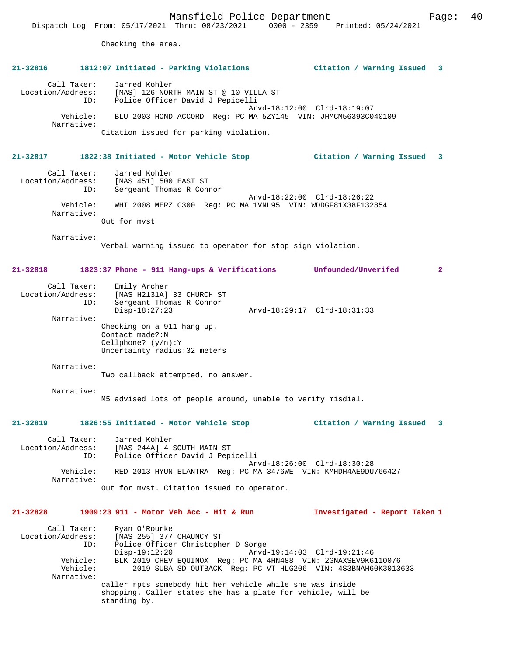# Checking the area. **21-32816 1812:07 Initiated - Parking Violations Citation / Warning Issued 3** Call Taker: Jarred Kohler Location/Address: [MAS] 126 NORTH MAIN ST @ 10 VILLA ST ID: Police Officer David J Pepicelli Arvd-18:12:00 Clrd-18:19:07 Vehicle: BLU 2003 HOND ACCORD Reg: PC MA 5ZY145 VIN: JHMCM56393C040109 Narrative: Citation issued for parking violation. **21-32817 1822:38 Initiated - Motor Vehicle Stop Citation / Warning Issued 3** Call Taker: Jarred Kohler Location/Address: [MAS 451] 500 EAST ST Sergeant Thomas R Connor Arvd-18:22:00 Clrd-18:26:22 Vehicle: WHI 2008 MERZ C300 Reg: PC MA 1VNL95 VIN: WDDGF81X38F132854 Narrative: Out for mvst Narrative: Verbal warning issued to operator for stop sign violation. **21-32818 1823:37 Phone - 911 Hang-ups & Verifications Unfounded/Unverifed 2** Call Taker: Emily Archer Location/Address: [MAS H2131A] 33 CHURCH ST ID: Sergeant Thomas R Connor Disp-18:27:23 Arvd-18:29:17 Clrd-18:31:33 Narrative: Checking on a 911 hang up. Contact made?:N Cellphone? (y/n):Y Uncertainty radius:32 meters Narrative: Two callback attempted, no answer. Narrative: M5 advised lots of people around, unable to verify misdial. **21-32819 1826:55 Initiated - Motor Vehicle Stop Citation / Warning Issued 3** Call Taker: Jarred Kohler Location/Address: [MAS 244A] 4 SOUTH MAIN ST ID: Police Officer David J Pepicelli Arvd-18:26:00 Clrd-18:30:28<br>Vebicle: RED 2013 HVIM ELANTRA Req: PC MA 3476WE VIN: KMHDH4AR9DII Vehicle: RED 2013 HYUN ELANTRA Reg: PC MA 3476WE VIN: KMHDH4AE9DU766427 Narrative: Out for mvst. Citation issued to operator. **21-32828 1909:23 911 - Motor Veh Acc - Hit & Run Investigated - Report Taken 1** Call Taker: Ryan O'Rourke<br>Location/Address: [MAS 255] 377 es: [MAS 255] 377 CHAUNCY ST:<br>ID: Police Officer Christophe ID: Police Officer Christopher D Sorge Disp-19:12:20 Arvd-19:14:03 Clrd-19:21:46 Vehicle: BLK 2019 CHEV EQUINOX Reg: PC MA 4HN488 VIN: 2GNAXSEV9K6110076 2019 SUBA SD OUTBACK Reg: PC VT HLG206 VIN: 4S3BNAH60K3013633 Narrative: caller rpts somebody hit her vehicle while she was inside shopping. Caller states she has a plate for vehicle, will be standing by.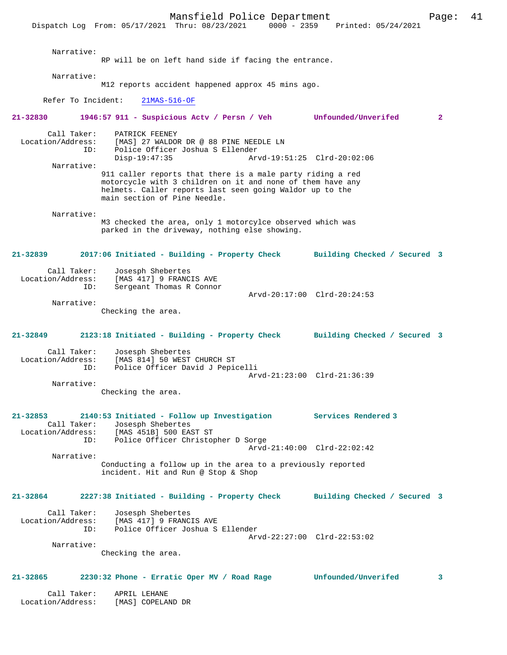Mansfield Police Department Page: 41 Dispatch Log From: 05/17/2021 Thru: 08/23/2021 Narrative: RP will be on left hand side if facing the entrance. Narrative: M12 reports accident happened approx 45 mins ago. Refer To Incident: 21MAS-516-OF **21-32830 1946:57 911 - Suspicious Actv / Persn / Veh Unfounded/Unverifed 2** Call Taker: PATRICK FEENEY Location/Address: [MAS] 27 WALDOR DR @ 88 PINE NEEDLE LN ID: Police Officer Joshua S Ellender Disp-19:47:35 Arvd-19:51:25 Clrd-20:02:06 Narrative: 911 caller reports that there is a male party riding a red motorcycle with 3 children on it and none of them have any helmets. Caller reports last seen going Waldor up to the main section of Pine Needle. Narrative: M3 checked the area, only 1 motorcylce observed which was parked in the driveway, nothing else showing. **21-32839 2017:06 Initiated - Building - Property Check Building Checked / Secured 3** Call Taker: Josesph Shebertes Location/Address: [MAS 417] 9 FRANCIS AVE<br>ID: Sergeant Thomas B Connor Sergeant Thomas R Connor Arvd-20:17:00 Clrd-20:24:53 Narrative: Checking the area. **21-32849 2123:18 Initiated - Building - Property Check Building Checked / Secured 3** Call Taker: Josesph Shebertes<br>Location/Address: [MAS 814] 50 WEST ess: [MAS 814] 50 WEST CHURCH ST<br>ID: Police Officer David J Pepic Police Officer David J Pepicelli Arvd-21:23:00 Clrd-21:36:39 Narrative: Checking the area. **21-32853 2140:53 Initiated - Follow up Investigation Services Rendered 3**  Call Taker: Josesph Shebertes<br>Location/Address: [MAS 451B] 500 EAST ST Location/Address: [MAS 451B] 500 EAST ST ID: Police Officer Christopher D Sorge Arvd-21:40:00 Clrd-22:02:42 Narrative: Conducting a follow up in the area to a previously reported incident. Hit and Run @ Stop & Shop **21-32864 2227:38 Initiated - Building - Property Check Building Checked / Secured 3** Call Taker: Josesph Shebertes Location/Address: [MAS 417] 9 FRANCIS AVE Police Officer Joshua S Ellender Arvd-22:27:00 Clrd-22:53:02 Narrative: Checking the area. **21-32865 2230:32 Phone - Erratic Oper MV / Road Rage Unfounded/Unverifed 3** Call Taker: APRIL LEHANE<br>.on/Address: [MAS] COPELAND DR Location/Address: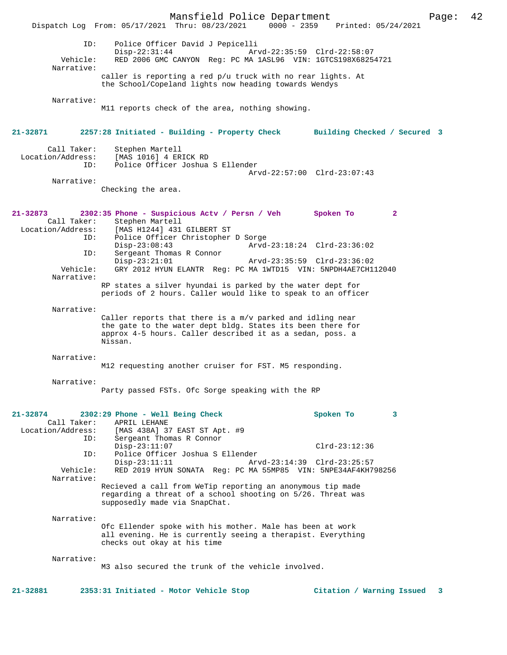Mansfield Police Department Page: 42 Dispatch Log From: 05/17/2021 Thru: 08/23/2021 ID: Police Officer David J Pepicelli Disp-22:31:44 Arvd-22:35:59 Clrd-22:58:07 Vehicle: RED 2006 GMC CANYON Reg: PC MA 1ASL96 VIN: 1GTCS198X68254721 Narrative: caller is reporting a red p/u truck with no rear lights. At the School/Copeland lights now heading towards Wendys Narrative: M11 reports check of the area, nothing showing. **21-32871 2257:28 Initiated - Building - Property Check Building Checked / Secured 3** Call Taker: Stephen Martell Location/Address: [MAS 1016] 4 ERICK RD ID: Police Officer Joshua S Ellender Arvd-22:57:00 Clrd-23:07:43 Narrative: Checking the area. **21-32873 2302:35 Phone - Suspicious Actv / Persn / Veh Spoken To 2**  Call Taker: Stephen Martell<br>Location/Address: [MAS H1244] 431 Location/Address: [MAS H1244] 431 GILBERT ST ID: Police Officer Christopher D Sorge Disp-23:08:43 Arvd-23:18:24 Clrd-23:36:02<br>TD: Sergeant Thomas R Connor Sergeant Thomas R Connor<br>Disp-23:21:01 Disp-23:21:01 Arvd-23:35:59 Clrd-23:36:02<br>Vehicle: GRY 2012 HYUN ELANTR Req: PC MA 1WTD15 VIN: 5NPDH4AE7CH1 GRY 2012 HYUN ELANTR Reg: PC MA 1WTD15 VIN: 5NPDH4AE7CH112040 Narrative: RP states a silver hyundai is parked by the water dept for periods of 2 hours. Caller would like to speak to an officer Narrative: Caller reports that there is a m/v parked and idling near the gate to the water dept bldg. States its been there for approx 4-5 hours. Caller described it as a sedan, poss. a Nissan. Narrative: M12 requesting another cruiser for FST. M5 responding. Narrative: Party passed FSTs. Ofc Sorge speaking with the RP **21-32874 2302:29 Phone - Well Being Check Spoken To 3**  Call Taker: APRIL LEHANE<br>Location/Address: [MAS 438A] 3 [MAS 438A] 37 EAST ST Apt. #9 ID: Sergeant Thomas R Connor Disp-23:11:07 Clrd-23:12:36<br>TD: Police Officer Joshua S Ellender Police Officer Joshua S Ellender<br>Disp-23:11:11 Arv Disp-23:11:11 Arvd-23:14:39 Clrd-23:25:57<br>Vehicle: RED 2019 HYUN SONATA Reg: PC MA 55MP85 VIN: 5NPE34AF4KH7 RED 2019 HYUN SONATA Reg: PC MA 55MP85 VIN: 5NPE34AF4KH798256 Narrative: Recieved a call from WeTip reporting an anonymous tip made regarding a threat of a school shooting on 5/26. Threat was supposedly made via SnapChat. Narrative: Ofc Ellender spoke with his mother. Male has been at work all evening. He is currently seeing a therapist. Everything checks out okay at his time Narrative: M3 also secured the trunk of the vehicle involved. **21-32881 2353:31 Initiated - Motor Vehicle Stop Citation / Warning Issued 3**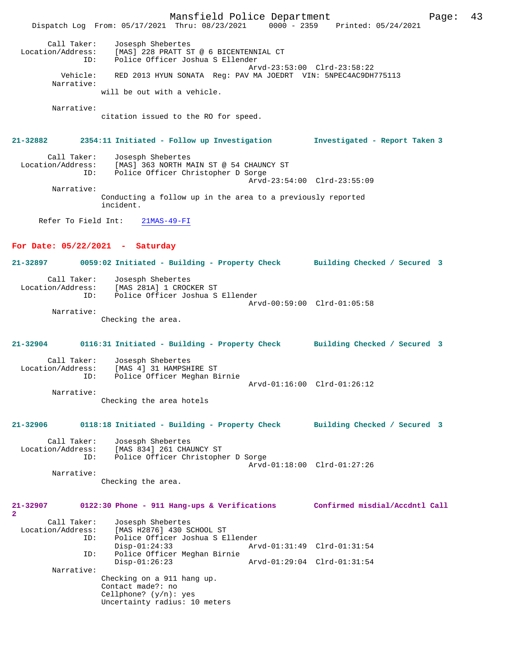|                                         |                                                                                                                          | Mansfield Police Department                                                |                             | Page:                          | 43 |
|-----------------------------------------|--------------------------------------------------------------------------------------------------------------------------|----------------------------------------------------------------------------|-----------------------------|--------------------------------|----|
|                                         | Dispatch Log From: 05/17/2021 Thru: 08/23/2021 0000 - 2359 Printed: 05/24/2021                                           |                                                                            |                             |                                |    |
| Call Taker:<br>Location/Address:<br>ID: | Josesph Shebertes                                                                                                        | [MAS] 228 PRATT ST @ 6 BICENTENNIAL CT<br>Police Officer Joshua S Ellender |                             |                                |    |
| Vehicle:                                | RED 2013 HYUN SONATA Reg: PAV MA JOEDRT VIN: 5NPEC4AC9DH775113                                                           |                                                                            | Arvd-23:53:00 Clrd-23:58:22 |                                |    |
| Narrative:                              | will be out with a vehicle.                                                                                              |                                                                            |                             |                                |    |
| Narrative:                              |                                                                                                                          |                                                                            |                             |                                |    |
|                                         | citation issued to the RO for speed.                                                                                     |                                                                            |                             |                                |    |
|                                         | 21-32882     2354:11 Initiated - Follow up Investigation      Investigated - Report Taken 3                              |                                                                            |                             |                                |    |
| Call Taker:                             | Josesph Shebertes<br>Location/Address: [MAS] 363 NORTH MAIN ST @ 54 CHAUNCY ST<br>ID: Police Officer Christopher D Sorge |                                                                            | Arvd-23:54:00 Clrd-23:55:09 |                                |    |
| Narrative:                              | Conducting a follow up in the area to a previously reported                                                              |                                                                            |                             |                                |    |
|                                         | incident.                                                                                                                |                                                                            |                             |                                |    |
| Refer To Field Int:                     | $21$ MAS-49-FI                                                                                                           |                                                                            |                             |                                |    |
| For Date: $05/22/2021$ - Saturday       |                                                                                                                          |                                                                            |                             |                                |    |
|                                         | 21-32897 0059:02 Initiated - Building - Property Check Building Checked / Secured 3                                      |                                                                            |                             |                                |    |
| Call Taker:<br>Location/Address:<br>ID: | Josesph Shebertes<br>[MAS 281A] 1 CROCKER ST                                                                             | Police Officer Joshua S Ellender                                           |                             |                                |    |
| Narrative:                              |                                                                                                                          |                                                                            | Arvd-00:59:00 Clrd-01:05:58 |                                |    |
|                                         | Checking the area.                                                                                                       |                                                                            |                             |                                |    |
| 21-32904                                | 0116:31 Initiated - Building - Property Check Building Checked / Secured 3                                               |                                                                            |                             |                                |    |
| Call Taker:<br>Location/Address:<br>ID: | Josesph Shebertes<br>[MAS 4] 31 HAMPSHIRE ST<br>Police Officer Meghan Birnie                                             |                                                                            |                             |                                |    |
| Narrative:                              |                                                                                                                          |                                                                            | Arvd-01:16:00 Clrd-01:26:12 |                                |    |
|                                         | Checking the area hotels                                                                                                 |                                                                            |                             |                                |    |
| $21 - 32906$                            | 0118:18 Initiated - Building - Property Check                                                                            |                                                                            |                             | Building Checked / Secured 3   |    |
| Call Taker:<br>Location/Address:<br>ID: | Josesph Shebertes<br>[MAS 834] 261 CHAUNCY ST                                                                            | Police Officer Christopher D Sorge                                         | Arvd-01:18:00 Clrd-01:27:26 |                                |    |
| Narrative:                              | Checking the area.                                                                                                       |                                                                            |                             |                                |    |
| 21-32907<br>$\overline{\mathbf{2}}$     | 0122:30 Phone - 911 Hang-ups & Verifications                                                                             |                                                                            |                             | Confirmed misdial/Accdntl Call |    |
| Call Taker:<br>Location/Address:<br>ID: | Josesph Shebertes<br>[MAS H2876] 430 SCHOOL ST                                                                           | Police Officer Joshua S Ellender                                           |                             |                                |    |
| ID:                                     | $Disp-01:24:33$                                                                                                          | Police Officer Meghan Birnie                                               | Arvd-01:31:49 Clrd-01:31:54 |                                |    |
| Narrative:                              | $Disp-01:26:23$                                                                                                          |                                                                            | Arvd-01:29:04 Clrd-01:31:54 |                                |    |
|                                         | Checking on a 911 hang up.<br>Contact made?: no<br>Cellphone? $(y/n)$ : yes                                              |                                                                            |                             |                                |    |
|                                         | Uncertainty radius: 10 meters                                                                                            |                                                                            |                             |                                |    |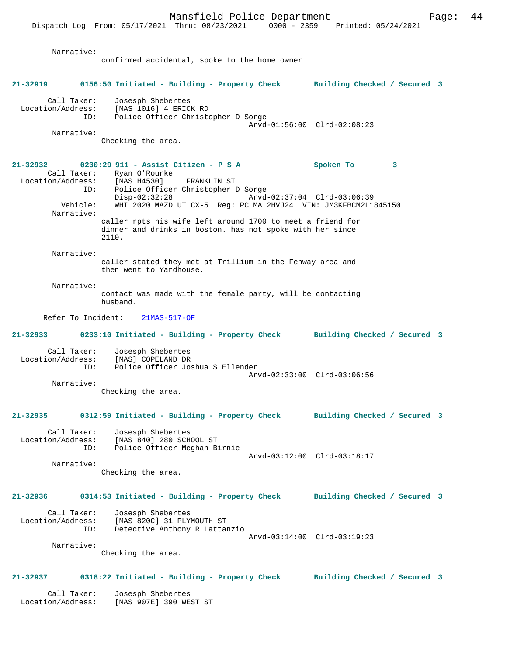Dispatch Log From: 05/17/2021 Thru: 08/23/2021 0000 - 2359 Printed: 05/24/2021 Narrative: confirmed accidental, spoke to the home owner **21-32919 0156:50 Initiated - Building - Property Check Building Checked / Secured 3** Call Taker: Josesph Shebertes<br>ion/Address: [MAS 1016] 4 ERICK RD Location/Address: [MAS 1016] 4 ERICK RD ID: Police Officer Christopher D Sorge Arvd-01:56:00 Clrd-02:08:23 Narrative: Checking the area. **21-32932 0230:29 911 - Assist Citizen - P S A Spoken To 3**  Call Taker: Ryan O'Rourke<br>ion/Address: [MAS H4530] Location/Address: [MAS H4530] FRANKLIN ST Police Officer Christopher D Sorge<br>Disp-02:32:28 Arvd Disp-02:32:28 Arvd-02:37:04 Clrd-03:06:39<br>Vehicle: WHI 2020 MAZD UT CX-5 Req: PC MA 2HVJ24 VIN: JM3KFBCM2L1; WHI 2020 MAZD UT CX-5 Reg: PC MA 2HVJ24 VIN: JM3KFBCM2L1845150 Narrative: caller rpts his wife left around 1700 to meet a friend for dinner and drinks in boston. has not spoke with her since 2110. Narrative: caller stated they met at Trillium in the Fenway area and then went to Yardhouse. Narrative: contact was made with the female party, will be contacting husband. Refer To Incident: 21MAS-517-OF **21-32933 0233:10 Initiated - Building - Property Check Building Checked / Secured 3** Call Taker: Josesph Shebertes<br>Location/Address: [MAS] COPELAND DR ess: [MAS] COPELAND DR<br>ID: Police Officer Jo Police Officer Joshua S Ellender Arvd-02:33:00 Clrd-03:06:56 Narrative: Checking the area. **21-32935 0312:59 Initiated - Building - Property Check Building Checked / Secured 3** Call Taker: Josesph Shebertes Location/Address: [MAS 840] 280 SCHOOL ST ID: Police Officer Meghan Birnie Arvd-03:12:00 Clrd-03:18:17 Narrative: Checking the area. **21-32936 0314:53 Initiated - Building - Property Check Building Checked / Secured 3** Call Taker: Josesph Shebertes Location/Address: [MAS 820C] 31 PLYMOUTH ST Detective Anthony R Lattanzio Arvd-03:14:00 Clrd-03:19:23 Narrative: Checking the area. **21-32937 0318:22 Initiated - Building - Property Check Building Checked / Secured 3** Call Taker: Josesph Shebertes<br>ion/Address: [MAS 907E] 390 WEST ST Location/Address: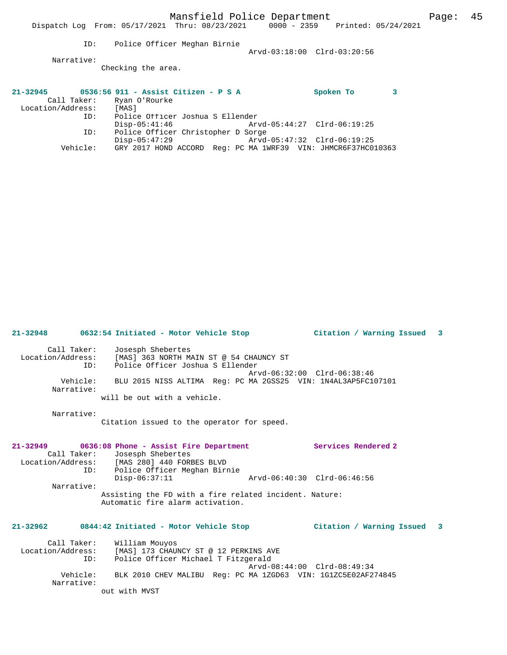Vehicle: GRY 2017 HOND ACCORD Reg: PC MA 1WRF39 VIN: JHMCR6F37HC010363

Disp-05:47:29 Arvd-05:47:32 Clrd-06:19:25

**21-32948 0632:54 Initiated - Motor Vehicle Stop Citation / Warning Issued 3**

 Call Taker: Josesph Shebertes Location/Address: [MAS] 363 NORTH MAIN ST @ 54 CHAUNCY ST ID: Police Officer Joshua S Ellender Arvd-06:32:00 Clrd-06:38:46 Vehicle: BLU 2015 NISS ALTIMA Reg: PC MA 2GSS25 VIN: 1N4AL3AP5FC107101 Narrative: will be out with a vehicle.

Narrative:

Citation issued to the operator for speed.

**21-32949 0636:08 Phone - Assist Fire Department Services Rendered 2**  Call Taker: Josesph Shebertes<br>Location/Address: [MAS 280] 440 FORE [MAS 280] 440 FORBES BLVD ID: Police Officer Meghan Birnie<br>Disp-06:37:11 Disp-06:37:11 Arvd-06:40:30 Clrd-06:46:56 Narrative: Assisting the FD with a fire related incident. Nature: Automatic fire alarm activation.

# **21-32962 0844:42 Initiated - Motor Vehicle Stop Citation / Warning Issued 3**

 Call Taker: William Mouyos Location/Address: [MAS] 173 CHAUNCY ST @ 12 PERKINS AVE ID: Police Officer Michael T Fitzgerald Arvd-08:44:00 Clrd-08:49:34 Vehicle: BLK 2010 CHEV MALIBU Reg: PC MA 1ZGD63 VIN: 1G1ZC5E02AF274845 Narrative: out with MVST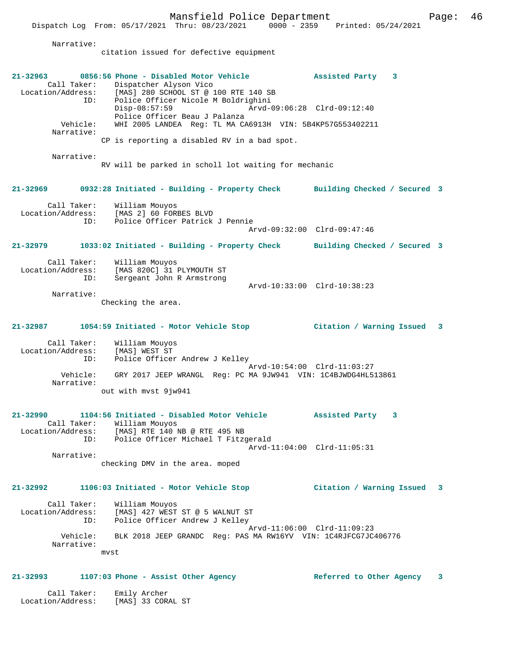Mansfield Police Department Fage: 46 Dispatch Log From: 05/17/2021 Thru: 08/23/2021 0000 - 2359 Printed: 05/24/2021 Narrative: citation issued for defective equipment **21-32963 0856:56 Phone - Disabled Motor Vehicle Assisted Party 3**  Call Taker: Dispatcher Alyson Vico<br>Location/Address: [MAS] 280 SCHOOL ST @ 1 Express: English and the set of the set of the set of the set of the State of the State of the State of the Nordell State of the State of the State of the State of the State of the State of the State of the State of the St ID: Police Officer Nicole M Boldrighini Disp-08:57:59 Arvd-09:06:28 Clrd-09:12:40 Police Officer Beau J Palanza Vehicle: WHI 2005 LANDEA Reg: TL MA CA6913H VIN: 5B4KP57G553402211 Narrative: CP is reporting a disabled RV in a bad spot. Narrative: RV will be parked in scholl lot waiting for mechanic **21-32969 0932:28 Initiated - Building - Property Check Building Checked / Secured 3** Call Taker:<br>Location/Address: William Mouyos<br>[MAS 2] 60 FORBES BLVD ID: Police Officer Patrick J Pennie Arvd-09:32:00 Clrd-09:47:46 **21-32979 1033:02 Initiated - Building - Property Check Building Checked / Secured 3** Call Taker: William Mouyos Location/Address: [MAS 820C] 31 PLYMOUTH ST ID: Sergeant John R Armstrong Arvd-10:33:00 Clrd-10:38:23 Narrative: Checking the area. **21-32987 1054:59 Initiated - Motor Vehicle Stop Citation / Warning Issued 3** Call Taker: William Mouyos Location/Address: [MAS] WEST ST ID: Police Officer Andrew J Kelley Arvd-10:54:00 Clrd-11:03:27 Vehicle: GRY 2017 JEEP WRANGL Reg: PC MA 9JW941 VIN: 1C4BJWDG4HL513861

out with mvst 9jw941

#### **21-32990 1104:56 Initiated - Disabled Motor Vehicle Assisted Party 3**  Call Taker: William Mouyos Location/Address: [MAS] RTE 140 NB @ RTE 495 NB ID: Police Officer Michael T Fitzgerald Arvd-11:04:00 Clrd-11:05:31

Narrative:

Narrative:

checking DMV in the area. moped

**21-32992 1106:03 Initiated - Motor Vehicle Stop Citation / Warning Issued 3**

| Call Taker:<br>Location/Address:<br>ID: | William Mouyos<br>[MAS] 427 WEST ST @ 5 WALNUT ST<br>Police Officer Andrew J Kelley           |
|-----------------------------------------|-----------------------------------------------------------------------------------------------|
| Vehicle:                                | Arvd-11:06:00 Clrd-11:09:23<br>BLK 2018 JEEP GRANDC Req: PAS MA RW16YV VIN: 1C4RJFCG7JC406776 |
| Narrative:                              | mvst                                                                                          |

# **21-32993 1107:03 Phone - Assist Other Agency Referred to Other Agency 3**

 Call Taker: Emily Archer Location/Address: [MAS] 33 CORAL ST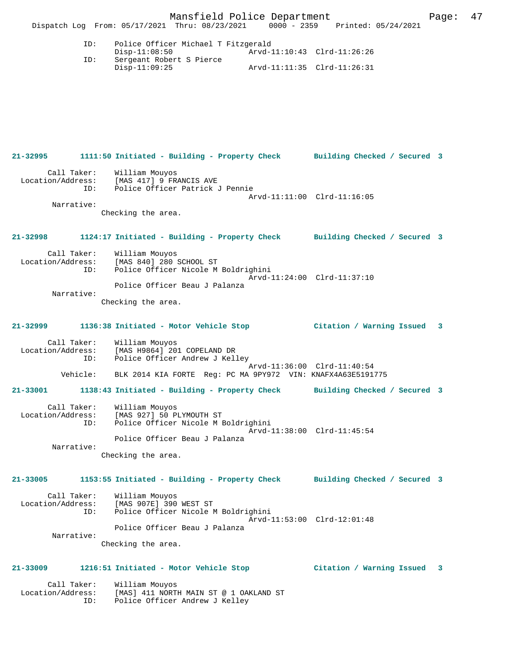Mansfield Police Department Fage: 47 Dispatch Log From: 05/17/2021 Thru: 08/23/2021 0000 - 2359 Printed: 05/24/2021 ID: Police Officer Michael T Fitzgerald Disp-11:08:50 Arvd-11:10:43 Clrd-11:26:26 ID: Sergeant Robert S Pierce Disp-11:09:25 Arvd-11:11:35 Clrd-11:26:31 **21-32995 1111:50 Initiated - Building - Property Check Building Checked / Secured 3**

 Call Taker: William Mouyos Location/Address: [MAS 417] 9 FRANCIS AVE ID: Police Officer Patrick J Pennie Arvd-11:11:00 Clrd-11:16:05 Narrative: Checking the area. **21-32998 1124:17 Initiated - Building - Property Check Building Checked / Secured 3** Call Taker: William Mouyos Location/Address: [MAS 840] 280 SCHOOL ST ID: Police Officer Nicole M Boldrighini Arvd-11:24:00 Clrd-11:37:10 Police Officer Beau J Palanza Narrative: Checking the area. **21-32999 1136:38 Initiated - Motor Vehicle Stop Citation / Warning Issued 3** Call Taker: William Mouyos Location/Address: [MAS H9864]<sup>-</sup>201 COPELAND DR<br>ID: Police Officer Andrew J Kell Police Officer Andrew J Kelley Arvd-11:36:00 Clrd-11:40:54<br>Vehicle: BLK 2014 KIA FORTE Reg: PC MA 9PY972 VIN: KNAFX4A63E5191 BLK 2014 KIA FORTE Reg: PC MA 9PY972 VIN: KNAFX4A63E5191775 **21-33001 1138:43 Initiated - Building - Property Check Building Checked / Secured 3** Call Taker: William Mouyos Location/Address: [MAS 927] 50 PLYMOUTH ST ID: Police Officer Nicole M Boldrighini Arvd-11:38:00 Clrd-11:45:54 Police Officer Beau J Palanza Narrative: Checking the area. **21-33005 1153:55 Initiated - Building - Property Check Building Checked / Secured 3** Call Taker: William Mouyos Location/Address: [MAS 907E] 390 WEST ST ID: Police Officer Nicole M Boldrighini Arvd-11:53:00 Clrd-12:01:48 Police Officer Beau J Palanza Narrative: Checking the area.

### **21-33009 1216:51 Initiated - Motor Vehicle Stop Citation / Warning Issued 3**

 Call Taker: William Mouyos Location/Address: [MAS] 411 NORTH MAIN ST @ 1 OAKLAND ST ID: Police Officer Andrew J Kelley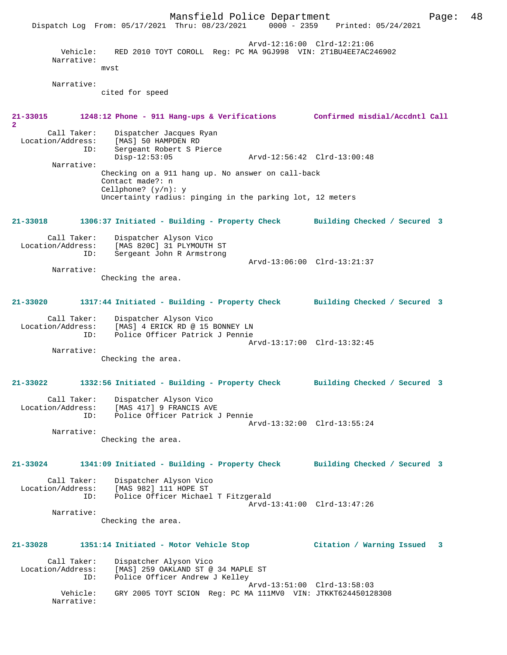Mansfield Police Department Page: 48 Dispatch Log From: 05/17/2021 Thru: 08/23/2021 Arvd-12:16:00 Clrd-12:21:06 Vehicle: RED 2010 TOYT COROLL Reg: PC MA 9GJ998 VIN: 2T1BU4EE7AC246902 Narrative: mvst Narrative: cited for speed **21-33015 1248:12 Phone - 911 Hang-ups & Verifications Confirmed misdial/Accdntl Call 2**  Call Taker: Dispatcher Jacques Ryan Location/Address: [MAS] 50 HAMPDEN RD<br>ID: Sergeant Robert S Pi Sergeant Robert S Pierce<br>Disp-12:53:05 Disp-12:53:05 Arvd-12:56:42 Clrd-13:00:48 Narrative: Checking on a 911 hang up. No answer on call-back Contact made?: n Cellphone? (y/n): y Uncertainty radius: pinging in the parking lot, 12 meters **21-33018 1306:37 Initiated - Building - Property Check Building Checked / Secured 3** Call Taker: Dispatcher Alyson Vico<br>Location/Address: [MAS 820C] 31 PLYMOUTH ess: [MAS 820C] 31 PLYMOUTH ST:<br>ID: Sergeant John R Armstrong Sergeant John R Armstrong Arvd-13:06:00 Clrd-13:21:37 Narrative: Checking the area. **21-33020 1317:44 Initiated - Building - Property Check Building Checked / Secured 3** Call Taker: Dispatcher Alyson Vico Location/Address: [MAS] 4 ERICK RD @ 15 BONNEY LN Location/Address: [MAS] 4 ERICK RD @ 15 BONNEY LN<br>ID: Police Officer Patrick J Pennie Arvd-13:17:00 Clrd-13:32:45 Narrative: Checking the area. **21-33022 1332:56 Initiated - Building - Property Check Building Checked / Secured 3** Call Taker: Dispatcher Alyson Vico Location/Address: [MAS 417] 9 FRANCIS AVE Police Officer Patrick J Pennie Arvd-13:32:00 Clrd-13:55:24 Narrative: Checking the area. **21-33024 1341:09 Initiated - Building - Property Check Building Checked / Secured 3** Call Taker: Dispatcher Alyson Vico<br>ion/Address: [MAS 092] 111 HOPE ST Location/Address: [MAS 982] 111 HOPE ST Police Officer Michael T Fitzgerald Arvd-13:41:00 Clrd-13:47:26 Narrative: Checking the area. **21-33028 1351:14 Initiated - Motor Vehicle Stop Citation / Warning Issued 3** Call Taker: Dispatcher Alyson Vico<br>Location/Address: [MAS] 259 OAKLAND ST @ [MAS] 259 OAKLAND ST @ 34 MAPLE ST ID: Police Officer Andrew J Kelley Arvd-13:51:00 Clrd-13:58:03 Vehicle: GRY 2005 TOYT SCION Reg: PC MA 111MV0 VIN: JTKKT624450128308 Narrative: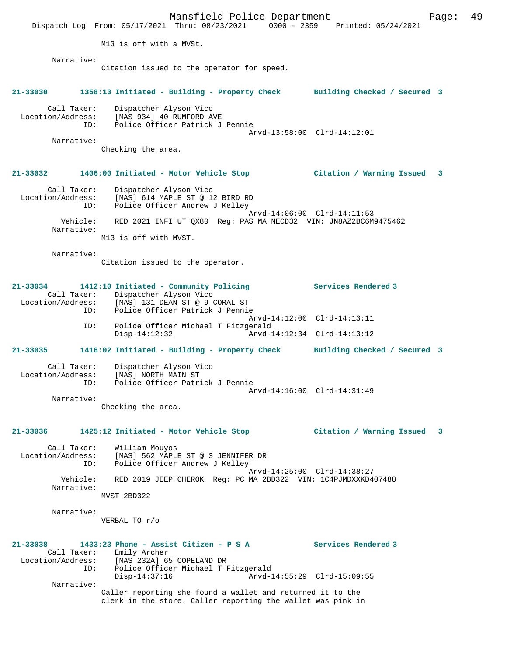Mansfield Police Department Fage: 49 Dispatch Log From: 05/17/2021 Thru: 08/23/2021 0000 - 2359 Printed: 05/24/2021 M13 is off with a MVSt. Narrative: Citation issued to the operator for speed. **21-33030 1358:13 Initiated - Building - Property Check Building Checked / Secured 3** Call Taker: Dispatcher Alyson Vico Location/Address: [MAS 934] 40 RUMFORD AVE ID: Police Officer Patrick J Pennie Arvd-13:58:00 Clrd-14:12:01 Narrative: Checking the area. **21-33032 1406:00 Initiated - Motor Vehicle Stop Citation / Warning Issued 3** Call Taker: Dispatcher Alyson Vico Location/Address: [MAS] 614 MAPLE ST @ 12 BIRD RD ID: Police Officer Andrew J Kelley Arvd-14:06:00 Clrd-14:11:53 Vehicle: RED 2021 INFI UT QX80 Reg: PAS MA NECD32 VIN: JN8AZ2BC6M9475462 Narrative: M13 is off with MVST. Narrative: Citation issued to the operator. **21-33034 1412:10 Initiated - Community Policing Services Rendered 3**  Call Taker: Dispatcher Alyson Vico Location/Address: [MAS] 131 DEAN ST @ 9 CORAL ST Police Officer Patrick J Pennie Arvd-14:12:00 Clrd-14:13:11<br>TD: Police Officer Michael T Fitzgerald Police Officer Michael T Fitzgerald<br>Disp-14:12:32 Arvd-1 Disp-14:12:32 Arvd-14:12:34 Clrd-14:13:12 **21-33035 1416:02 Initiated - Building - Property Check Building Checked / Secured 3** Call Taker: Dispatcher Alyson Vico Location/Address: [MAS] NORTH MAIN ST<br>ID: Police Officer Patri Police Officer Patrick J Pennie Arvd-14:16:00 Clrd-14:31:49 Narrative: Checking the area. **21-33036 1425:12 Initiated - Motor Vehicle Stop Citation / Warning Issued 3** Call Taker: William Mouyos Location/Address: [MAS] 562 MAPLE ST @ 3 JENNIFER DR ID: Police Officer Andrew J Kelley Arvd-14:25:00 Clrd-14:38:27 Vehicle: RED 2019 JEEP CHEROK Reg: PC MA 2BD322 VIN: 1C4PJMDXXKD407488 Narrative: MVST 2BD322 Narrative: VERBAL TO r/o **21-33038 1433:23 Phone - Assist Citizen - P S A Services Rendered 3**  Call Taker: Emily Archer Location/Address: [MAS 232A] 65 COPELAND DR<br>: ID: Police Officer Michael T Police Officer Michael T Fitzgerald<br>Disp-14:37:16 Arvd-1 Disp-14:37:16 Arvd-14:55:29 Clrd-15:09:55 Narrative: Caller reporting she found a wallet and returned it to the clerk in the store. Caller reporting the wallet was pink in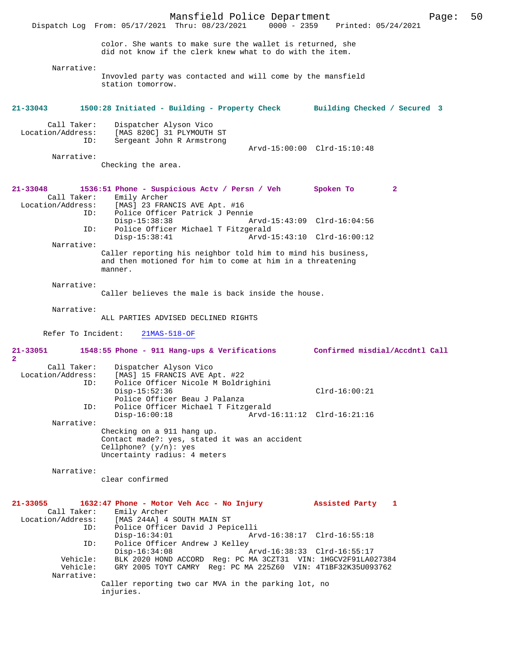Mansfield Police Department Page: 50 Dispatch Log From: 05/17/2021 Thru: 08/23/2021 color. She wants to make sure the wallet is returned, she did not know if the clerk knew what to do with the item. Narrative: Invovled party was contacted and will come by the mansfield station tomorrow. **21-33043 1500:28 Initiated - Building - Property Check Building Checked / Secured 3** Call Taker: Dispatcher Alyson Vico<br>Location/Address: [MAS 820C] 31 PLYMOUTH ess: [MAS 820C] 31 PLYMOUTH ST<br>ID: Sergeant John R Armstrong Sergeant John R Armstrong Arvd-15:00:00 Clrd-15:10:48 Narrative: Checking the area. **21-33048 1536:51 Phone - Suspicious Actv / Persn / Veh Spoken To 2**  Call Taker: Emily Archer<br>Location/Address: [MAS] 23 FRAI [MAS] 23 FRANCIS AVE Apt. #16 ID: Police Officer Patrick J Pennie Disp-15:38:38 Arvd-15:43:09 Clrd-16:04:56<br>ID: Police Officer Michael T Fitzgerald Police Officer Michael T Fitzgerald<br>Disp-15:38:41 Arvd-1 Disp-15:38:41 Arvd-15:43:10 Clrd-16:00:12 Narrative: Caller reporting his neighbor told him to mind his business, and then motioned for him to come at him in a threatening manner. Narrative: Caller believes the male is back inside the house. Narrative: ALL PARTIES ADVISED DECLINED RIGHTS Refer To Incident: 21MAS-518-OF **21-33051 1548:55 Phone - 911 Hang-ups & Verifications Confirmed misdial/Accdntl Call** Call Taker: Dispatcher Alyson Vico<br>Location/Address: [MAS] 15 FRANCIS AVE A [MAS] 15 FRANCIS AVE Apt. #22 ID: Police Officer Nicole M Boldrighini Disp-15:52:36 Clrd-16:00:21 Police Officer Beau J Palanza ID: Police Officer Michael T Fitzgerald Disp-16:00:18 Arvd-16:11:12 Clrd-16:21:16 Narrative: Checking on a 911 hang up. Contact made?: yes, stated it was an accident Cellphone? (y/n): yes Uncertainty radius: 4 meters Narrative: clear confirmed **21-33055 1632:47 Phone - Motor Veh Acc - No Injury Assisted Party 1**  Call Taker: Emily Archer Location/Address: [MAS 244A] 4 SOUTH MAIN ST ID: Police Officer David J Pepicelli Disp-16:34:01 Arvd-16:38:17 Clrd-16:55:18 ID: Police Officer Andrew J Kelley Disp-16:34:08 Arvd-16:38:33 Clrd-16:55:17 Vehicle: BLK 2020 HOND ACCORD Reg: PC MA 3CZT31 VIN: 1HGCV2F91LA027384 GRY 2005 TOYT CAMRY Reg: PC MA 225Z60 VIN: 4T1BF32K35U093762 Narrative: Caller reporting two car MVA in the parking lot, no

injuries.

**2**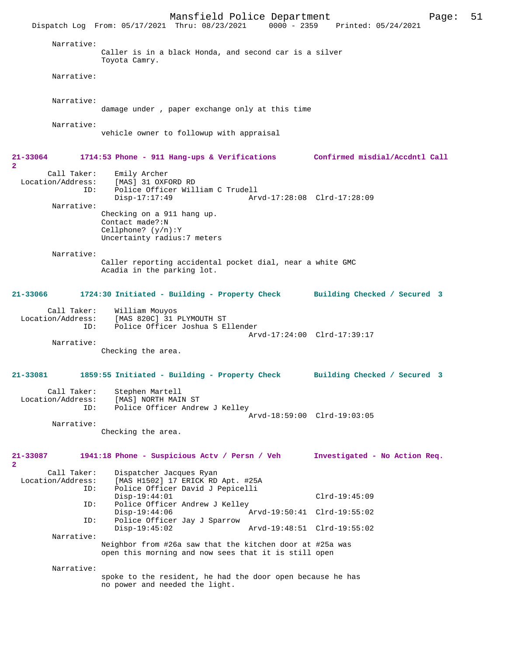Mansfield Police Department Page: 51 Dispatch Log From: 05/17/2021 Thru: 08/23/2021 Narrative: Caller is in a black Honda, and second car is a silver Toyota Camry. Narrative: Narrative: damage under , paper exchange only at this time Narrative: vehicle owner to followup with appraisal **21-33064 1714:53 Phone - 911 Hang-ups & Verifications Confirmed misdial/Accdntl Call 2**  Call Taker: Emily Archer<br>Location/Address: [MAS] 31 OXF ess: [MAS] 31 OXFORD RD<br>ID: Police Officer Wil Police Officer William C Trudell Disp-17:17:49 Arvd-17:28:08 Clrd-17:28:09 Narrative: Checking on a 911 hang up. Contact made?:N Cellphone? (y/n):Y Uncertainty radius:7 meters Narrative: Caller reporting accidental pocket dial, near a white GMC Acadia in the parking lot. **21-33066 1724:30 Initiated - Building - Property Check Building Checked / Secured 3** Call Taker: William Mouyos<br>Location/Address: [MAS 820C] 31 1 ess: [MAS 820C] 31 PLYMOUTH ST<br>ID: Police Officer Joshua S.E Police Officer Joshua S Ellender Arvd-17:24:00 Clrd-17:39:17 Narrative: Checking the area. **21-33081 1859:55 Initiated - Building - Property Check Building Checked / Secured 3** Call Taker: Stephen Martell<br>Location/Address: [MAS] NORTH MAI ess: [MAS] NORTH MAIN ST<br>ID: Police Officer Andre Police Officer Andrew J Kelley Arvd-18:59:00 Clrd-19:03:05 Narrative: Checking the area. **21-33087 1941:18 Phone - Suspicious Actv / Persn / Veh Investigated - No Action Req. 2**  Call Taker: Dispatcher Jacques Ryan<br>Location/Address: [MAS H1502] 17 ERICK RD [MAS H1502] 17 ERICK RD Apt. #25A ID: Police Officer David J Pepicelli Disp-19:44:01 Clrd-19:45:09<br>TD: Police Officer Andrew J Kelley Police Officer Andrew J Kelley<br>Disp-19:44:06 Disp-19:44:06 Arvd-19:50:41 Clrd-19:55:02<br>TD: Police Officer Jav J Sparrow Police Officer Jay J Sparrow Disp-19:45:02 Arvd-19:48:51 Clrd-19:55:02 Narrative: Neighbor from #26a saw that the kitchen door at #25a was open this morning and now sees that it is still open Narrative: spoke to the resident, he had the door open because he has no power and needed the light.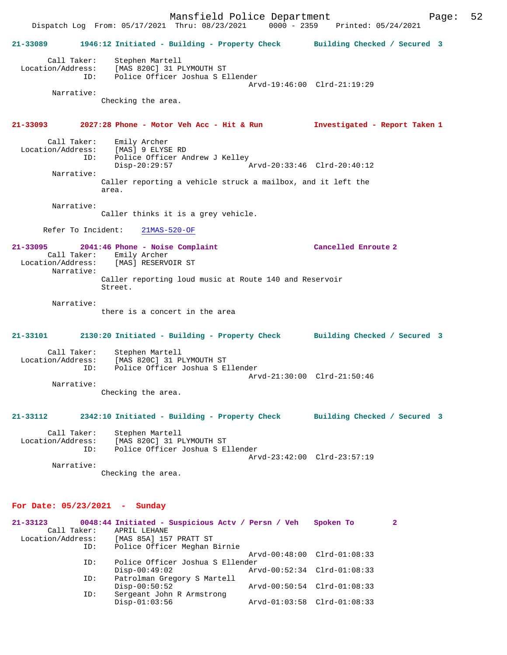Mansfield Police Department Fage: 52 Dispatch Log From: 05/17/2021 Thru: 08/23/2021 0000 - 2359 Printed: 05/24/2021 **21-33089 1946:12 Initiated - Building - Property Check Building Checked / Secured 3** Call Taker: Stephen Martell Location/Address: [MAS 820C] 31 PLYMOUTH ST ID: Police Officer Joshua S Ellender Arvd-19:46:00 Clrd-21:19:29 Narrative: Checking the area. **21-33093 2027:28 Phone - Motor Veh Acc - Hit & Run Investigated - Report Taken 1** Call Taker: Emily Archer<br>Location/Address: [MAS] 9 ELYSI [MAS] 9 ELYSE RD ID: Police Officer Andrew J Kelley<br>Disp-20:29:57 Disp-20:29:57 Arvd-20:33:46 Clrd-20:40:12 Narrative: Caller reporting a vehicle struck a mailbox, and it left the area. Narrative: Caller thinks it is a grey vehicle. Refer To Incident: 21MAS-520-OF **21-33095 2041:46 Phone - Noise Complaint Cancelled Enroute 2**  Call Taker: Emily Archer<br>Location/Address: [MAS] RESERVO [MAS] RESERVOIR ST Narrative: Caller reporting loud music at Route 140 and Reservoir Street. Narrative: there is a concert in the area **21-33101 2130:20 Initiated - Building - Property Check Building Checked / Secured 3** Call Taker: Stephen Martell Location/Address: [MAS 820C] 31 PLYMOUTH ST ID: Police Officer Joshua S Ellender Arvd-21:30:00 Clrd-21:50:46 Narrative: Checking the area. **21-33112 2342:10 Initiated - Building - Property Check Building Checked / Secured 3** Call Taker: Stephen Martell<br>Location/Address: [MAS 820C] 31 P Location/Address: [MAS 820C] 31 PLYMOUTH ST ID: Police Officer Joshua S Ellender Arvd-23:42:00 Clrd-23:57:19 Narrative: Checking the area. **For Date: 05/23/2021 - Sunday 21-33123 0048:44 Initiated - Suspicious Actv / Persn / Veh Spoken To 2**  Call Taker: APRIL LEHANE Location/Address: [MAS 85A] 157 PRATT ST Police Officer Meghan Birnie

Arvd-00:48:00 Clrd-01:08:33<br>ID: Police Officer Joshua S Ellender

Disp-00:50:52 Arvd-00:50:54 Clrd-01:08:33<br>ID: Sergeant John R Armstrong

Arvd-00:52:34 Clrd-01:08:33

Disp-01:03:56 Arvd-01:03:58 Clrd-01:08:33

ID: Police Officer Joshua S Ellender

Sergeant John R Armstrong<br>Disp-01:03:56

ID: Patrolman Gregory S Martell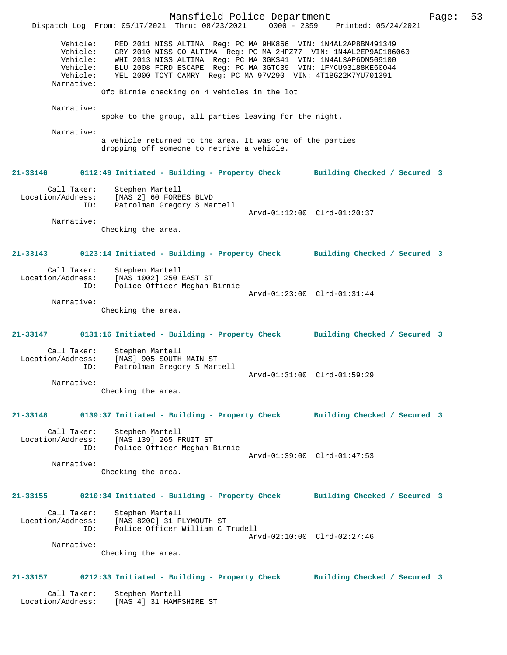Mansfield Police Department Page: 53 Dispatch Log From: 05/17/2021 Thru: 08/23/2021 Vehicle: RED 2011 NISS ALTIMA Reg: PC MA 9HK866 VIN: 1N4AL2AP8BN491349 Vehicle: GRY 2010 NISS CO ALTIMA Reg: PC MA 2HPZ77 VIN: 1N4AL2EP9AC186060<br>Vehicle: WHI 2013 NISS ALTIMA Reg: PC MA 3GKS41 VIN: 1N4AL3AP6DN509100 Vehicle: WHI 2013 NISS ALTIMA Reg: PC MA 3GKS41 VIN: 1N4AL3AP6DN509100 Vehicle: BLU 2008 FORD ESCAPE Reg: PC MA 3GTC39 VIN: 1FMCU93188KE60044 Vehicle: YEL 2000 TOYT CAMRY Reg: PC MA 97V290 VIN: 4T1BG22K7YU701391 Narrative: Ofc Birnie checking on 4 vehicles in the lot Narrative: spoke to the group, all parties leaving for the night. Narrative: a vehicle returned to the area. It was one of the parties dropping off someone to retrive a vehicle. **21-33140 0112:49 Initiated - Building - Property Check Building Checked / Secured 3** Call Taker: Stephen Martell Location/Address: [MAS 2] 60 FORBES BLVD ID: Patrolman Gregory S Martell Arvd-01:12:00 Clrd-01:20:37 Narrative: Checking the area. **21-33143 0123:14 Initiated - Building - Property Check Building Checked / Secured 3** Call Taker: Stephen Martell Location/Address: [MAS 1002] 250 EAST ST ID: Police Officer Meghan Birnie Arvd-01:23:00 Clrd-01:31:44 Narrative: Checking the area. **21-33147 0131:16 Initiated - Building - Property Check Building Checked / Secured 3** Call Taker: Stephen Martell<br>Location/Address: [MAS] 905 SOUTH ess: [MAS] 905 SOUTH MAIN ST<br>ID: Patrolman Gregory S Mart Patrolman Gregory S Martell Arvd-01:31:00 Clrd-01:59:29 Narrative: Checking the area. **21-33148 0139:37 Initiated - Building - Property Check Building Checked / Secured 3** Call Taker: Stephen Martell Location/Address: [MAS 139] 265 FRUIT ST ID: Police Officer Meghan Birnie Arvd-01:39:00 Clrd-01:47:53 Narrative: Checking the area. **21-33155 0210:34 Initiated - Building - Property Check Building Checked / Secured 3** Call Taker: Stephen Martell Location/Address: [MAS 820C] 31 PLYMOUTH ST<br>TD: Police Officer William C Police Officer William C Trudell Arvd-02:10:00 Clrd-02:27:46 Narrative: Checking the area. **21-33157 0212:33 Initiated - Building - Property Check Building Checked / Secured 3** Call Taker: Stephen Martell Location/Address: [MAS 4] 31 HAMPSHIRE ST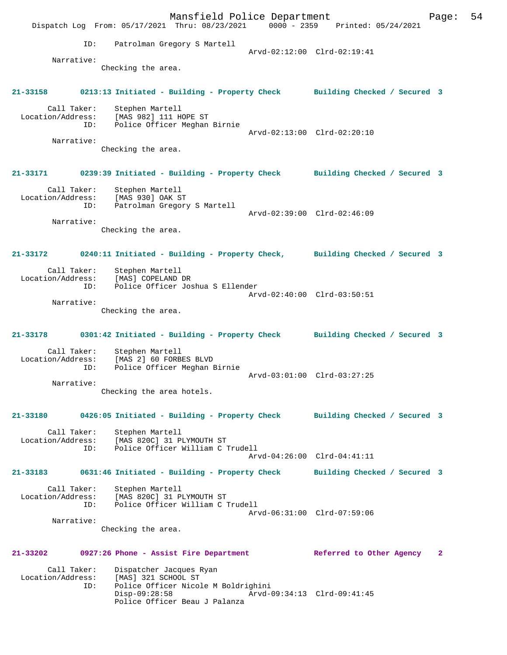Mansfield Police Department Fage: 54 Dispatch Log From: 05/17/2021 Thru: 08/23/2021 0000 - 2359 Printed: 05/24/2021 ID: Patrolman Gregory S Martell Arvd-02:12:00 Clrd-02:19:41 Narrative: Checking the area. **21-33158 0213:13 Initiated - Building - Property Check Building Checked / Secured 3** Call Taker: Stephen Martell Location/Address: [MAS 982] 111 HOPE ST ID: Police Officer Meghan Birnie Arvd-02:13:00 Clrd-02:20:10 Narrative: Checking the area. **21-33171 0239:39 Initiated - Building - Property Check Building Checked / Secured 3** Call Taker: Stephen Martell Location/Address: [MAS 930] OAK ST ID: Patrolman Gregory S Martell Arvd-02:39:00 Clrd-02:46:09 Narrative: Checking the area. **21-33172 0240:11 Initiated - Building - Property Check, Building Checked / Secured 3** Call Taker: Stephen Martell Location/Address: [MAS] COPELAND DR ID: Police Officer Joshua S Ellender Arvd-02:40:00 Clrd-03:50:51 Narrative: Checking the area. **21-33178 0301:42 Initiated - Building - Property Check Building Checked / Secured 3** Call Taker: Stephen Martell Location/Address: [MAS 2] 60 FORBES BLVD Police Officer Meghan Birnie Arvd-03:01:00 Clrd-03:27:25 Narrative: Checking the area hotels. **21-33180 0426:05 Initiated - Building - Property Check Building Checked / Secured 3** Call Taker: Stephen Martell<br>Location/Address: [MAS 820C] 31 P ess: [MAS 820C] 31 PLYMOUTH ST<br>ID: Police Officer William C Police Officer William C Trudell Arvd-04:26:00 Clrd-04:41:11 **21-33183 0631:46 Initiated - Building - Property Check Building Checked / Secured 3** Call Taker: Stephen Martell Location/Address: [MAS 820C] 31 PLYMOUTH ST ID: Police Officer William C Trudell Arvd-06:31:00 Clrd-07:59:06 Narrative: Checking the area. **21-33202 0927:26 Phone - Assist Fire Department Referred to Other Agency 2** Call Taker: Dispatcher Jacques Ryan Location/Address: [MAS] 321 SCHOOL ST Police Officer Nicole M Boldrighini<br>Disp-09:28:58 Arvd-0 Disp-09:28:58 Arvd-09:34:13 Clrd-09:41:45 Police Officer Beau J Palanza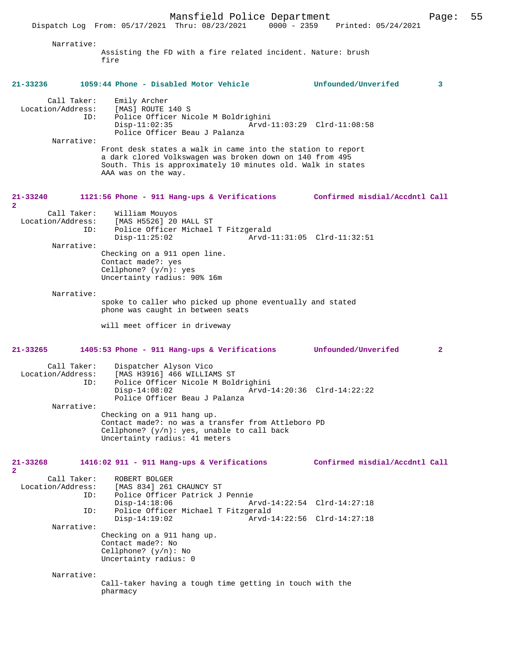Disp-11:02:35 Arvd-11:03:29 Clrd-11:08:58

 Police Officer Beau J Palanza Narrative: Front desk states a walk in came into the station to report a dark clored Volkswagen was broken down on 140 from 495 South. This is approximately 10 minutes old. Walk in states AAA was on the way. **21-33240 1121:56 Phone - 911 Hang-ups & Verifications Confirmed misdial/Accdntl Call** Call Taker: William Mouyos<br>Location/Address: [MAS H5526] 20 ess: [MAS H5526] 20 HALL ST<br>ID: Police Officer Michael Police Officer Michael T Fitzgerald<br>1-Disp-11:25:02 Arvd Disp-11:25:02 Arvd-11:31:05 Clrd-11:32:51 Narrative: Checking on a 911 open line. Contact made?: yes Cellphone? (y/n): yes Uncertainty radius: 90% 16m Narrative: spoke to caller who picked up phone eventually and stated phone was caught in between seats

Police Officer Nicole M Boldrighini<br>Disp-11:02:35 Arvd-

will meet officer in driveway

**2** 

**2** 

# **21-33265 1405:53 Phone - 911 Hang-ups & Verifications Unfounded/Unverifed 2**

| Call Taker:<br>Location/Address: | Dispatcher Alyson Vico<br>[MAS H3916] 466 WILLIAMS ST                          |                             |
|----------------------------------|--------------------------------------------------------------------------------|-----------------------------|
| ID:                              | Police Officer Nicole M Boldrighini                                            |                             |
|                                  | $Disp-14:08:02$                                                                | Arvd-14:20:36 Clrd-14:22:22 |
|                                  | Police Officer Beau J Palanza                                                  |                             |
| Narrative:                       |                                                                                |                             |
|                                  | Checking on a 911 hang up.                                                     |                             |
|                                  | Contact made?: no was a transfer from Attleboro PD                             |                             |
|                                  | Cellphone? $(y/n)$ : yes, unable to call back<br>Uncertainty radius: 41 meters |                             |

### **21-33268 1416:02 911 - 911 Hang-ups & Verifications Confirmed misdial/Accdntl Call**

| Call Taker:<br>Location/Address:<br>ID: | ROBERT BOLGER<br>[MAS 834] 261 CHAUNCY ST<br>Police Officer Patrick J Pennie                        |                             |  |
|-----------------------------------------|-----------------------------------------------------------------------------------------------------|-----------------------------|--|
|                                         | $Disp-14:18:06$                                                                                     | Arvd-14:22:54 Clrd-14:27:18 |  |
| ID:                                     | Police Officer Michael T Fitzgerald                                                                 |                             |  |
|                                         | $Disp-14:19:02$                                                                                     | Arvd-14:22:56 Clrd-14:27:18 |  |
| Narrative:                              |                                                                                                     |                             |  |
|                                         | Checking on a 911 hang up.<br>Contact made?: No<br>Cellphone? $(y/n)$ : No<br>Uncertainty radius: 0 |                             |  |
| Narrative:                              |                                                                                                     |                             |  |

Call-taker having a tough time getting in touch with the pharmacy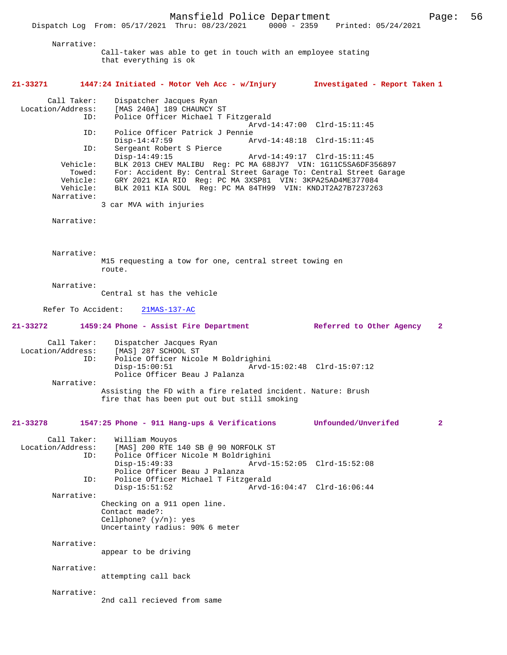Dispatch Log From: 05/17/2021 Thru: 08/23/2021

 Narrative: Call-taker was able to get in touch with an employee stating that everything is ok **21-33271 1447:24 Initiated - Motor Veh Acc - w/Injury Investigated - Report Taken 1** Call Taker: Dispatcher Jacques Ryan Location/Address: [MAS 240A] 189 CHAUNCY ST Police Officer Michael T Fitzgerald Arvd-14:47:00 Clrd-15:11:45<br>ID: Police Officer Patrick J Pennie Police Officer Patrick J Pennie<br>Disp-14:47:59 Ar Disp-14:47:59 <br>
D: Sergeant Robert S Pierce<br>
D: Sergeant Robert S Pierce Sergeant Robert S Pierce<br>Disp-14:49:15 Disp-14:49:15 Arvd-14:49:17 Clrd-15:11:45<br>Vehicle: BLK 2013 CHEV MALIBU Reg: PC MA 688JY7 VIN: 1G11C5SA6DE3 ehicle: BLK 2013 CHEV MALIBU Reg: PC MA 688JY7 VIN: 1G11C5SA6DF356897<br>Towed: For: Accident By: Central Street Garage To: Central Street Gara Towed: For: Accident By: Central Street Garage To: Central Street Garage Vehicle: GRY 2021 KIA RIO Req: PC MA 3XSP81 VIN: 3KPA25AD4ME377084 GRY 2021 KIA RIO Reg: PC MA 3XSP81 VIN: 3KPA25AD4ME377084 Vehicle: BLK 2011 KIA SOUL Reg: PC MA 84TH99 VIN: KNDJT2A27B7237263 Narrative: 3 car MVA with injuries Narrative: Narrative: M15 requesting a tow for one, central street towing en route. Narrative: Central st has the vehicle Refer To Accident: 21MAS-137-AC **21-33272 1459:24 Phone - Assist Fire Department Referred to Other Agency 2** Call Taker: Dispatcher Jacques Ryan Location/Address: [MAS] 287 SCHOOL ST<br>ID: Police Officer Nicol Police Officer Nicole M Boldrighini<br>Disp-15:00:51 Arvd- Disp-15:00:51 Arvd-15:02:48 Clrd-15:07:12 Police Officer Beau J Palanza Narrative: Assisting the FD with a fire related incident. Nature: Brush fire that has been put out but still smoking **21-33278 1547:25 Phone - 911 Hang-ups & Verifications Unfounded/Unverifed 2** Call Taker: William Mouyos Location/Address: [MAS] 200 RTE 140 SB @ 90 NORFOLK ST ID: Police Officer Nicole M Boldrighini Arvd-15:52:05 Clrd-15:52:08 Police Officer Beau J Palanza ID: Police Officer Michael T Fitzgerald Arvd-16:04:47 Clrd-16:06:44 Narrative: Checking on a 911 open line. Contact made?: Cellphone? (y/n): yes Uncertainty radius: 90% 6 meter Narrative: appear to be driving Narrative: attempting call back Narrative: 2nd call recieved from same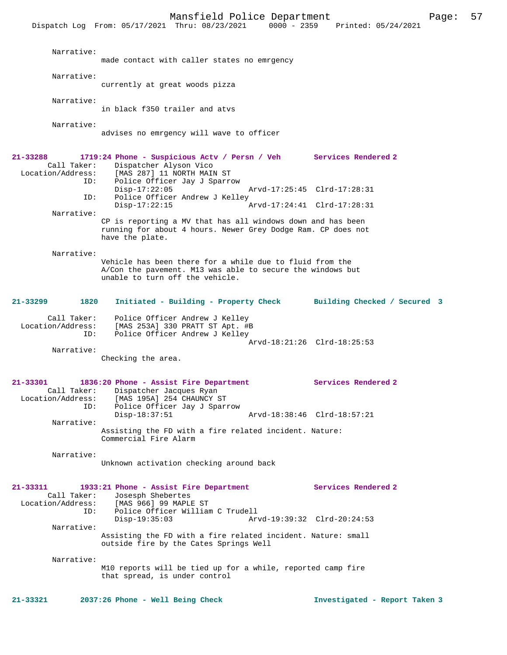Mansfield Police Department Page: 57 Dispatch Log From: 05/17/2021 Thru: 08/23/2021 Narrative: made contact with caller states no emrgency Narrative: currently at great woods pizza Narrative: in black f350 trailer and atvs Narrative: advises no emrgency will wave to officer **21-33288 1719:24 Phone - Suspicious Actv / Persn / Veh Services Rendered 2**  Call Taker: Dispatcher Alyson Vico<br>Location/Address: [MAS 287] 11 NORTH MAI [MAS 287] 11 NORTH MAIN ST ID: Police Officer Jay J Sparrow Disp-17:22:05 Arvd-17:25:45 Clrd-17:28:31<br>TD: Police Officer Andrew J Kelley Police Officer Andrew J Kelley<br>Disp-17:22:15 Disp-17:22:15 Arvd-17:24:41 Clrd-17:28:31 Narrative: CP is reporting a MV that has all windows down and has been running for about 4 hours. Newer Grey Dodge Ram. CP does not have the plate. Narrative: Vehicle has been there for a while due to fluid from the A/Con the pavement. M13 was able to secure the windows but unable to turn off the vehicle. **21-33299 1820 Initiated - Building - Property Check Building Checked / Secured 3** Call Taker: Police Officer Andrew J Kelley Location/Address: [MAS 253A] 330 PRATT ST Apt. #B ID: Police Officer Andrew J Kelley Arvd-18:21:26 Clrd-18:25:53 Narrative: Checking the area. **21-33301 1836:20 Phone - Assist Fire Department Services Rendered 2**  Call Taker: Dispatcher Jacques Ryan<br>Location/Address: [MAS 195A] 254 CHAUNCY S [MAS 195A] 254 CHAUNCY ST ID: Police Officer Jay J Sparrow Disp-18:37:51 Arvd-18:38:46 Clrd-18:57:21 Narrative: Assisting the FD with a fire related incident. Nature: Commercial Fire Alarm Narrative: Unknown activation checking around back **21-33311 1933:21 Phone - Assist Fire Department Services Rendered 2**  Call Taker: Josesph Shebertes Location/Address: [MAS 966] 99 MAPLE ST Police Officer William C Trudell<br>Disp-19:35:03 Arv Arvd-19:39:32 Clrd-20:24:53 Narrative: Assisting the FD with a fire related incident. Nature: small outside fire by the Cates Springs Well Narrative: M10 reports will be tied up for a while, reported camp fire that spread, is under control **21-33321 2037:26 Phone - Well Being Check Investigated - Report Taken 3**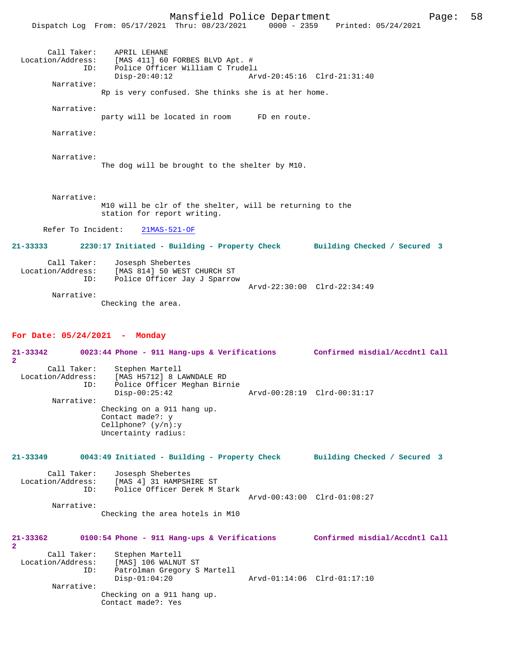Mansfield Police Department Page: 58 Dispatch Log From: 05/17/2021 Thru: 08/23/2021 0000 - 2359 Printed: 05/24/2021 Call Taker: APRIL LEHANE Location/Address: [MAS 411] 60 FORBES BLVD Apt. # ID: Police Officer William C Trudell<br>Disp-20:40:12 Ar Disp-20:40:12 Arvd-20:45:16 Clrd-21:31:40 Narrative: Rp is very confused. She thinks she is at her home. Narrative: party will be located in room FD en route. Narrative: Narrative: The dog will be brought to the shelter by M10. Narrative:

> M10 will be clr of the shelter, will be returning to the station for report writing.

Refer To Incident: 21MAS-521-OF

**21-33333 2230:17 Initiated - Building - Property Check Building Checked / Secured 3** Call Taker: Josesph Shebertes Location/Address: [MAS 814] 50 WEST CHURCH ST ID: Police Officer Jay J Sparrow Arvd-22:30:00 Clrd-22:34:49 Narrative:

Checking the area.

### **For Date: 05/24/2021 - Monday**

**21-33342 0023:44 Phone - 911 Hang-ups & Verifications Confirmed misdial/Accdntl Call 2**  Call Taker: Stephen Martell Location/Address: [MAS H5712] 8 LAWNDALE RD Police Officer Meghan Birnie<br>Disp-00:25:42 Disp-00:25:42 Arvd-00:28:19 Clrd-00:31:17 Narrative: Checking on a 911 hang up. Contact made?: y Cellphone? (y/n):y Uncertainty radius: **21-33349 0043:49 Initiated - Building - Property Check Building Checked / Secured 3**

Call Taker: Josesph Shebertes<br>Location/Address: [MAS 4] 31 HAMPSH ess: [MAS 4] 31 HAMPSHIRE ST<br>ID: Police Officer Derek M S Police Officer Derek M Stark Arvd-00:43:00 Clrd-01:08:27 Narrative:

Checking the area hotels in M10

| 21-33362<br>$\mathbf{2}$ |     | 0100:54 Phone - 911 Hang-ups & Verifications | Confirmed misdial/Accdntl Call |  |
|--------------------------|-----|----------------------------------------------|--------------------------------|--|
| Call Taker:              |     | Stephen Martell                              |                                |  |
| Location/Address:        |     | [MAS] 106 WALNUT ST                          |                                |  |
|                          | ID: | Patrolman Gregory S Martell                  |                                |  |
|                          |     | $Disp-01:04:20$                              | Arvd-01:14:06 Clrd-01:17:10    |  |
| Narrative:               |     |                                              |                                |  |
|                          |     | Checking on a 911 hang up.                   |                                |  |
|                          |     | Contact made?: Yes                           |                                |  |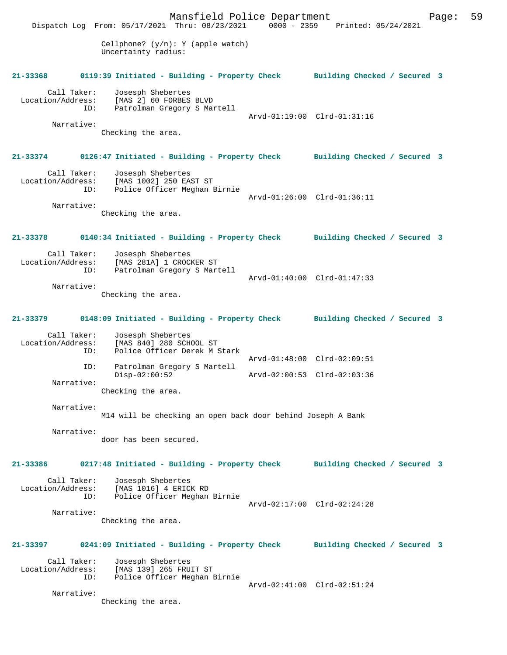Mansfield Police Department Page: 59 Dispatch Log From: 05/17/2021 Thru: 08/23/2021 Cellphone? (y/n): Y (apple watch) Uncertainty radius: **21-33368 0119:39 Initiated - Building - Property Check Building Checked / Secured 3** Call Taker: Josesph Shebertes<br>Location/Address: [MAS 2] 60 FORBES ess: [MAS 2] 60 FORBES BLVD<br>ID: Patrolman Gregory S Mai Patrolman Gregory S Martell Arvd-01:19:00 Clrd-01:31:16 Narrative: Checking the area. **21-33374 0126:47 Initiated - Building - Property Check Building Checked / Secured 3** Call Taker: Josesph Shebertes Location/Address: [MAS 1002] 250 EAST ST Police Officer Meghan Birnie Arvd-01:26:00 Clrd-01:36:11 Narrative: Checking the area. **21-33378 0140:34 Initiated - Building - Property Check Building Checked / Secured 3** Call Taker: Josesph Shebertes<br>Location/Address: [MAS 281A] 1 CROCI Location/Address: [MAS 281A] 1 CROCKER ST ID: Patrolman Gregory S Martell Arvd-01:40:00 Clrd-01:47:33 Narrative: Checking the area. **21-33379 0148:09 Initiated - Building - Property Check Building Checked / Secured 3** Call Taker: Josesph Shebertes<br>Location/Address: [MAS 840] 280 SCH ess: [MAS 840] 280 SCHOOL ST<br>ID: Police Officer Derek M ; Police Officer Derek M Stark Arvd-01:48:00 Clrd-02:09:51<br>ID: Patrolman Gregory S Martell Patrolman Gregory S Martell Disp-02:00:52 Arvd-02:00:53 Clrd-02:03:36 Narrative: Checking the area. Narrative: M14 will be checking an open back door behind Joseph A Bank Narrative: door has been secured. **21-33386 0217:48 Initiated - Building - Property Check Building Checked / Secured 3** Call Taker: Josesph Shebertes Location/Address: [MAS 1016] 4 ERICK RD Police Officer Meghan Birnie Arvd-02:17:00 Clrd-02:24:28 Narrative: Checking the area. **21-33397 0241:09 Initiated - Building - Property Check Building Checked / Secured 3** Call Taker: Josesph Shebertes<br>Location/Address: [MAS 139] 265 FRU Location/Address: [MAS 139] 265 FRUIT ST ID: Police Officer Meghan Birnie Arvd-02:41:00 Clrd-02:51:24 Narrative: Checking the area.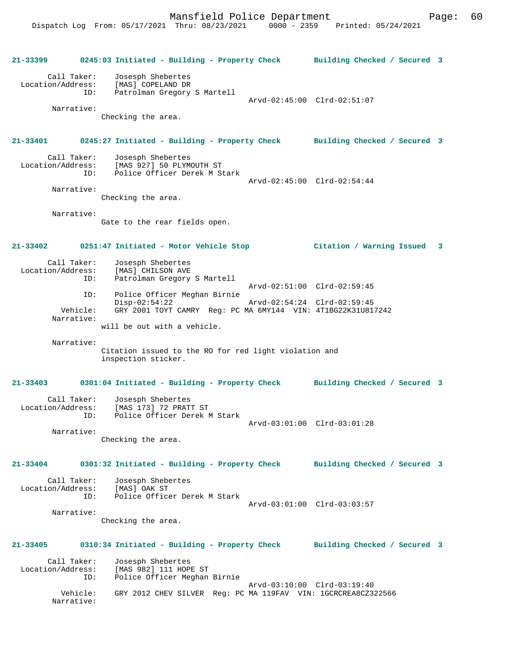**21-33399 0245:03 Initiated - Building - Property Check Building Checked / Secured 3** Call Taker: Josesph Shebertes Location/Address: [MAS] COPELAND DR Patrolman Gregory S Martell Arvd-02:45:00 Clrd-02:51:07 Narrative: Checking the area. **21-33401 0245:27 Initiated - Building - Property Check Building Checked / Secured 3** Call Taker: Josesph Shebertes<br>Location/Address: [MAS 927] 50 PLYM [MAS 927] 50 PLYMOUTH ST ID: Police Officer Derek M Stark Arvd-02:45:00 Clrd-02:54:44 Narrative: Checking the area. Narrative: Gate to the rear fields open. **21-33402 0251:47 Initiated - Motor Vehicle Stop Citation / Warning Issued 3** Call Taker: Josesph Shebertes<br>Location/Address: [MAS] CHILSON AVE [MAS] CHILSON AVE ID: Patrolman Gregory S Martell Arvd-02:51:00 Clrd-02:59:45<br>ID: Police Officer Meghan Birnie Police Officer Meghan Birnie Disp-02:54:22 Arvd-02:54:24 Clrd-02:59:45<br>Vehicle: GRY 2001 TOYT CAMRY Req: PC MA 6MY144 VIN: 4T1BG22K31U81 Vehicle: GRY 2001 TOYT CAMRY Reg: PC MA 6MY144 VIN: 4T1BG22K31U817242 Narrative: will be out with a vehicle. Narrative: Citation issued to the RO for red light violation and inspection sticker. **21-33403 0301:04 Initiated - Building - Property Check Building Checked / Secured 3** Call Taker: Josesph Shebertes Location/Address: [MAS 173] 72 PRATT ST Police Officer Derek M Stark Arvd-03:01:00 Clrd-03:01:28 Narrative: Checking the area. **21-33404 0301:32 Initiated - Building - Property Check Building Checked / Secured 3** Call Taker: Josesph Shebertes Location/Address: [MAS] OAK ST<br>TD: Police Office Police Officer Derek M Stark Arvd-03:01:00 Clrd-03:03:57 Narrative: Checking the area. **21-33405 0310:34 Initiated - Building - Property Check Building Checked / Secured 3** Call Taker: Josesph Shebertes<br>Location/Address: [MAS 982] 111 HOP [MAS 982] 111 HOPE ST ID: Police Officer Meghan Birnie Arvd-03:10:00 Clrd-03:19:40 Vehicle: GRY 2012 CHEV SILVER Reg: PC MA 119FAV VIN: 1GCRCREA8CZ322566 Narrative: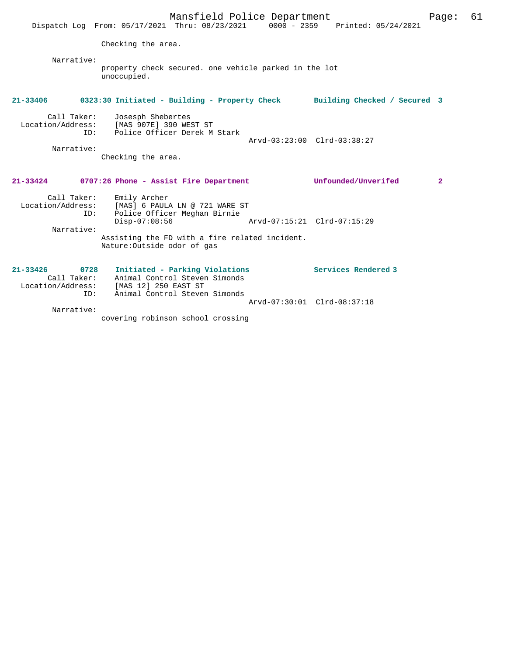|                                                          | Mansfield Police Department<br>Dispatch Log From: 05/17/2021 Thru: 08/23/2021 0000 - 2359 Printed: 05/24/2021                                                                                        |                              | Page:        | 61 |
|----------------------------------------------------------|------------------------------------------------------------------------------------------------------------------------------------------------------------------------------------------------------|------------------------------|--------------|----|
|                                                          | Checking the area.                                                                                                                                                                                   |                              |              |    |
| Narrative:                                               | property check secured. one vehicle parked in the lot<br>unoccupied.                                                                                                                                 |                              |              |    |
| 21-33406                                                 | 0323:30 Initiated - Building - Property Check                                                                                                                                                        | Building Checked / Secured 3 |              |    |
| Call Taker:<br>ID:<br>Narrative:                         | Josesph Shebertes<br>Location/Address: [MAS 907E] 390 WEST ST<br>Police Officer Derek M Stark<br>Checking the area.                                                                                  | Arvd-03:23:00 Clrd-03:38:27  |              |    |
|                                                          | 21-33424 0707:26 Phone - Assist Fire Department                                                                                                                                                      | Unfounded/Unverifed          | $\mathbf{2}$ |    |
| Call Taker:<br>ID:<br>Narrative:                         | Emily Archer<br>Location/Address: [MAS] 6 PAULA LN @ 721 WARE ST<br>Police Officer Meghan Birnie<br>$Disp-07:08:56$<br>Assisting the FD with a fire related incident.<br>Nature: Outside odor of gas | Arvd-07:15:21 Clrd-07:15:29  |              |    |
| $21 - 33426$<br>0728<br>Call Taker:<br>Location/Address: | Initiated - Parking Violations<br>Animal Control Steven Simonds<br>[MAS 12] 250 EAST ST                                                                                                              | Services Rendered 3          |              |    |
| ID:<br>Narrative:                                        | Animal Control Steven Simonds                                                                                                                                                                        | Arvd-07:30:01 Clrd-08:37:18  |              |    |
|                                                          | covering robinson school crossing                                                                                                                                                                    |                              |              |    |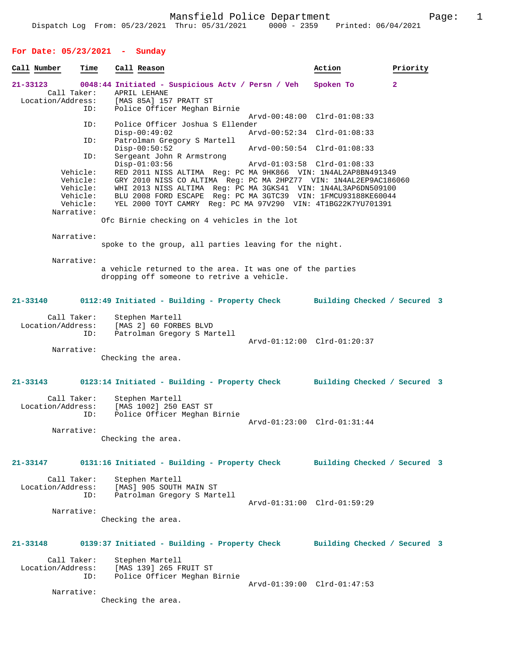# **For Date: 05/23/2021 - Sunday**

| Call Number       | Time                 | Call Reason                                                                                                                    | Action                       | Priority     |  |
|-------------------|----------------------|--------------------------------------------------------------------------------------------------------------------------------|------------------------------|--------------|--|
| 21-33123          | Call Taker:          | 0048:44 Initiated - Suspicious Actv / Persn / Veh<br>APRIL LEHANE                                                              | Spoken To                    | $\mathbf{2}$ |  |
| Location/Address: |                      | [MAS 85A] 157 PRATT ST                                                                                                         |                              |              |  |
|                   | ID:                  | Police Officer Meghan Birnie                                                                                                   |                              |              |  |
|                   | ID:                  | Police Officer Joshua S Ellender                                                                                               | Arvd-00:48:00 Clrd-01:08:33  |              |  |
|                   | ID:                  | $Disp-00:49:02$<br>Patrolman Gregory S Martell                                                                                 | Arvd-00:52:34 Clrd-01:08:33  |              |  |
|                   |                      | $Disp-00:50:52$                                                                                                                | Arvd-00:50:54 Clrd-01:08:33  |              |  |
|                   | ID:                  | Sergeant John R Armstrong<br>$Disp-01:03:56$                                                                                   | Arvd-01:03:58 Clrd-01:08:33  |              |  |
|                   | Vehicle:             | RED 2011 NISS ALTIMA Req: PC MA 9HK866 VIN: 1N4AL2AP8BN491349                                                                  |                              |              |  |
|                   | Vehicle:             | GRY 2010 NISS CO ALTIMA Reg: PC MA 2HPZ77 VIN: 1N4AL2EP9AC186060                                                               |                              |              |  |
|                   | Vehicle:<br>Vehicle: | WHI 2013 NISS ALTIMA Reg: PC MA 3GKS41 VIN: 1N4AL3AP6DN509100<br>BLU 2008 FORD ESCAPE Req: PC MA 3GTC39 VIN: 1FMCU93188KE60044 |                              |              |  |
|                   | Vehicle:             | YEL 2000 TOYT CAMRY Reg: PC MA 97V290 VIN: 4T1BG22K7YU701391                                                                   |                              |              |  |
|                   | Narrative:           |                                                                                                                                |                              |              |  |
|                   |                      | Ofc Birnie checking on 4 vehicles in the lot                                                                                   |                              |              |  |
|                   | Narrative:           |                                                                                                                                |                              |              |  |
|                   |                      | spoke to the group, all parties leaving for the night.                                                                         |                              |              |  |
|                   | Narrative:           |                                                                                                                                |                              |              |  |
|                   |                      | a vehicle returned to the area. It was one of the parties                                                                      |                              |              |  |
|                   |                      | dropping off someone to retrive a vehicle.                                                                                     |                              |              |  |
| 21-33140          |                      | 0112:49 Initiated - Building - Property Check Building Checked / Secured 3                                                     |                              |              |  |
|                   | Call Taker:          | Stephen Martell                                                                                                                |                              |              |  |
| Location/Address: |                      | [MAS 2] 60 FORBES BLVD                                                                                                         |                              |              |  |
|                   | ID:                  | Patrolman Gregory S Martell                                                                                                    | Arvd-01:12:00 Clrd-01:20:37  |              |  |
|                   | Narrative:           |                                                                                                                                |                              |              |  |
|                   |                      | Checking the area.                                                                                                             |                              |              |  |
|                   |                      |                                                                                                                                |                              |              |  |
| 21-33143          |                      | 0123:14 Initiated - Building - Property Check Building Checked / Secured 3                                                     |                              |              |  |
|                   | Call Taker:          | Stephen Martell                                                                                                                |                              |              |  |
| Location/Address: |                      | [MAS 1002] 250 EAST ST                                                                                                         |                              |              |  |
|                   | ID:                  | Police Officer Meghan Birnie                                                                                                   |                              |              |  |
|                   | Narrative:           |                                                                                                                                | Arvd-01:23:00 Clrd-01:31:44  |              |  |
|                   |                      | Checking the area.                                                                                                             |                              |              |  |
|                   |                      |                                                                                                                                |                              |              |  |
|                   |                      |                                                                                                                                |                              |              |  |
| 21-33147          |                      | 0131:16 Initiated - Building - Property Check Building Checked / Secured 3                                                     |                              |              |  |
|                   | Call Taker:          | Stephen Martell                                                                                                                |                              |              |  |
| Location/Address: |                      | [MAS] 905 SOUTH MAIN ST                                                                                                        |                              |              |  |
|                   | ID:                  | Patrolman Gregory S Martell                                                                                                    |                              |              |  |
|                   |                      |                                                                                                                                | Arvd-01:31:00 Clrd-01:59:29  |              |  |
|                   | Narrative:           |                                                                                                                                |                              |              |  |
|                   |                      | Checking the area.                                                                                                             |                              |              |  |
|                   |                      |                                                                                                                                |                              |              |  |
| 21-33148          |                      | 0139:37 Initiated - Building - Property Check                                                                                  | Building Checked / Secured 3 |              |  |
|                   | Call Taker:          | Stephen Martell                                                                                                                |                              |              |  |
| Location/Address: | ID:                  | [MAS 139] 265 FRUIT ST<br>Police Officer Meghan Birnie                                                                         |                              |              |  |
|                   |                      |                                                                                                                                | Arvd-01:39:00 Clrd-01:47:53  |              |  |
|                   | Narrative:           |                                                                                                                                |                              |              |  |
|                   |                      | Checking the area.                                                                                                             |                              |              |  |
|                   |                      |                                                                                                                                |                              |              |  |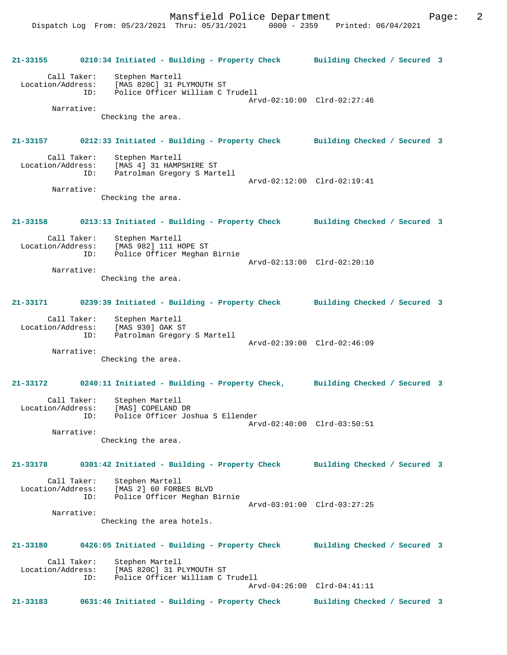**21-33155 0210:34 Initiated - Building - Property Check Building Checked / Secured 3** Call Taker: Stephen Martell Location/Address: [MAS 820C] 31 PLYMOUTH ST Police Officer William C Trudell Arvd-02:10:00 Clrd-02:27:46 Narrative: Checking the area. **21-33157 0212:33 Initiated - Building - Property Check Building Checked / Secured 3** Call Taker: Stephen Martell<br>Location/Address: [MAS 4] 31 HAMP, [MAS 4] 31 HAMPSHIRE ST ID: Patrolman Gregory S Martell Arvd-02:12:00 Clrd-02:19:41 Narrative: Checking the area. **21-33158 0213:13 Initiated - Building - Property Check Building Checked / Secured 3** Call Taker: Stephen Martell<br>Location/Address: [MAS 982] 111 H ess: [MAS 982] 111 HOPE ST<br>ID: Police Officer Meghan Police Officer Meghan Birnie Arvd-02:13:00 Clrd-02:20:10 Narrative: Checking the area. **21-33171 0239:39 Initiated - Building - Property Check Building Checked / Secured 3** Call Taker: Stephen Martell Location/Address: [MAS 930] OAK ST ID: Patrolman Gregory S Martell Arvd-02:39:00 Clrd-02:46:09 Narrative: Checking the area. **21-33172 0240:11 Initiated - Building - Property Check, Building Checked / Secured 3** Call Taker: Stephen Martell Location/Address: [MAS] COPELAND DR ID: Police Officer Joshua S Ellender Arvd-02:40:00 Clrd-03:50:51 Narrative: Checking the area. **21-33178 0301:42 Initiated - Building - Property Check Building Checked / Secured 3** Call Taker: Stephen Martell<br>Location/Address: [MAS 2] 60 FORB ess: [MAS 2] 60 FORBES BLVD<br>ID: Police Officer Mechan P Police Officer Meghan Birnie Arvd-03:01:00 Clrd-03:27:25 Narrative: Checking the area hotels. **21-33180 0426:05 Initiated - Building - Property Check Building Checked / Secured 3** Call Taker: Stephen Martell<br>Location/Address: [MAS 820C] 31 P [MAS 820C] 31 PLYMOUTH ST ID: Police Officer William C Trudell Arvd-04:26:00 Clrd-04:41:11 **21-33183 0631:46 Initiated - Building - Property Check Building Checked / Secured 3**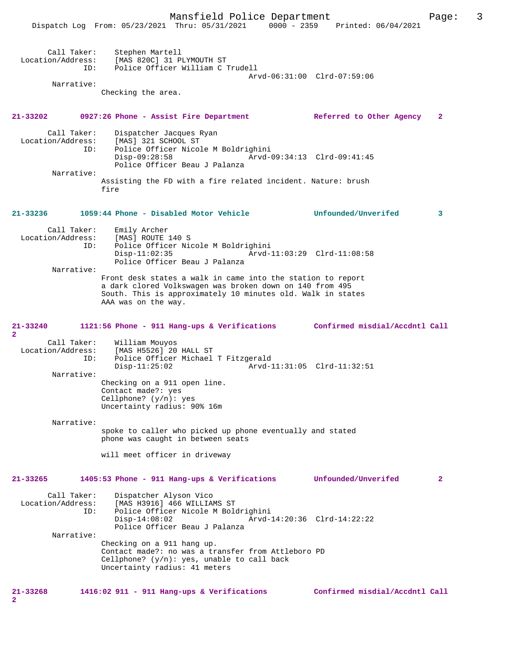Mansfield Police Department Page: 3 Dispatch Log From: 05/23/2021 Thru: 05/31/2021 0000 - 2359 Printed: 06/04/2021 Call Taker: Stephen Martell Location/Address: [MAS 820C] 31 PLYMOUTH ST ID: Police Officer William C Trudell Arvd-06:31:00 Clrd-07:59:06 Narrative: Checking the area. **21-33202 0927:26 Phone - Assist Fire Department Referred to Other Agency 2** Call Taker: Dispatcher Jacques Ryan Location/Address: [MAS] 321 SCHOOL ST<br>ID: Police Officer Nicol Police Officer Nicole M Boldrighini<br>Disp-09:28:58 Arvd-0 Disp-09:28:58 Arvd-09:34:13 Clrd-09:41:45 Police Officer Beau J Palanza Narrative: Assisting the FD with a fire related incident. Nature: brush fire **21-33236 1059:44 Phone - Disabled Motor Vehicle Unfounded/Unverifed 3** Call Taker: Emily Archer<br>ion/Address: [MAS] ROUTE 140 S Location/Address: ID: Police Officer Nicole M Boldrighini Disp-11:02:35 Arvd-11:03:29 Clrd-11:08:58 Police Officer Beau J Palanza Narrative: Front desk states a walk in came into the station to report a dark clored Volkswagen was broken down on 140 from 495 South. This is approximately 10 minutes old. Walk in states AAA was on the way. **21-33240 1121:56 Phone - 911 Hang-ups & Verifications Confirmed misdial/Accdntl Call 2**  Call Taker: William Mouyos Location/Address: [MAS H5526] 20 HALL ST Police Officer Michael T Fitzgerald<br>Disp-11:25:02 Arvd-1 Disp-11:25:02 Arvd-11:31:05 Clrd-11:32:51 Narrative: Checking on a 911 open line. Contact made?: yes Cellphone? (y/n): yes Uncertainty radius: 90% 16m Narrative: spoke to caller who picked up phone eventually and stated phone was caught in between seats will meet officer in driveway **21-33265 1405:53 Phone - 911 Hang-ups & Verifications Unfounded/Unverifed 2** Call Taker: Dispatcher Alyson Vico Location/Address: [MAS H3916] 466 WILLIAMS ST Police Officer Nicole M Boldrighini<br>Disp-14:08:02 Arvd- Disp-14:08:02 Arvd-14:20:36 Clrd-14:22:22 Police Officer Beau J Palanza Narrative: Checking on a 911 hang up. Contact made?: no was a transfer from Attleboro PD Cellphone? (y/n): yes, unable to call back Uncertainty radius: 41 meters

**21-33268 1416:02 911 - 911 Hang-ups & Verifications Confirmed misdial/Accdntl Call 2**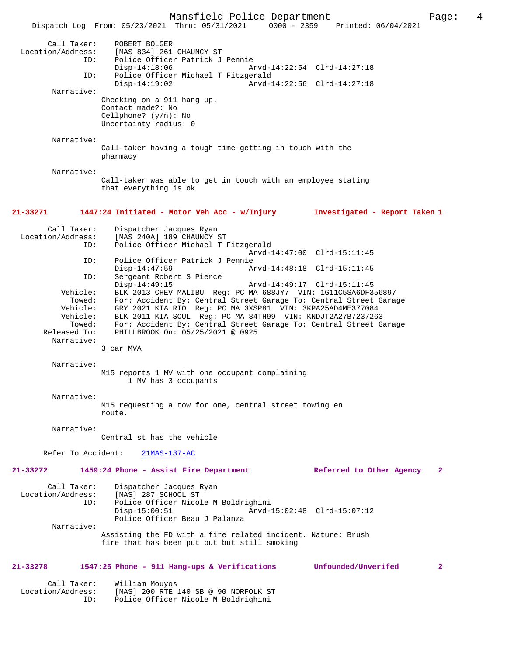Mansfield Police Department Page: 4 Dispatch Log From: 05/23/2021 Thru: 05/31/2021 Call Taker: ROBERT BOLGER Location/Address: [MAS 834] 261 CHAUNCY ST Police Officer Patrick J Pennie<br>Disp-14:18:06 A Disp-14:18:06 Arvd-14:22:54 Clrd-14:27:18<br>TD: Police Officer Michael T Fitzgerald Police Officer Michael T Fitzgerald<br>1-Disp-14:19:02 Arvd Disp-14:19:02 Arvd-14:22:56 Clrd-14:27:18 Narrative: Checking on a 911 hang up. Contact made?: No Cellphone? (y/n): No Uncertainty radius: 0 Narrative: Call-taker having a tough time getting in touch with the pharmacy Narrative: Call-taker was able to get in touch with an employee stating that everything is ok **21-33271 1447:24 Initiated - Motor Veh Acc - w/Injury Investigated - Report Taken 1** Call Taker: Dispatcher Jacques Ryan<br>Location/Address: [MAS 240A] 189 CHAUNCY ; ess: [MAS 240A] 189 CHAUNCY ST<br>ID: Police Officer Michael T I Police Officer Michael T Fitzgerald Arvd-14:47:00 Clrd-15:11:45<br>TD: Police Officer Patrick J Pennie ID: Police Officer Patrick J Pennie Disp-14:47:59 <br>
D: Sergeant Robert S Pierce<br>
D: Sergeant Robert S Pierce Sergeant Robert S Pierce<br>Disp-14:49:15 Disp-14:49:15 Arvd-14:49:17 Clrd-15:11:45 Vehicle: BLK 2013 CHEV MALIBU Reg: PC MA 688JY7 VIN: 1G11C5SA6DF356897 Towed: For: Accident By: Central Street Garage To: Central Street Garage Vehicle: GRY 2021 KIA RIO Reg: PC MA 3XSP81 VIN: 3KPA25AD4ME377084 Vehicle: BLK 2011 KIA SOUL Reg: PC MA 84TH99 VIN: KNDJT2A27B7237263 Towed: For: Accident By: Central Street Garage To: Central Street Garage Released To: PHILLBROOK On: 05/25/2021 @ 0925 PHILLBROOK On: 05/25/2021 @ 0925 Narrative: 3 car MVA Narrative: M15 reports 1 MV with one occupant complaining 1 MV has 3 occupants Narrative: M15 requesting a tow for one, central street towing en route. Narrative: Central st has the vehicle Refer To Accident: 21MAS-137-AC **21-33272 1459:24 Phone - Assist Fire Department Referred to Other Agency 2** Call Taker: Dispatcher Jacques Ryan Location/Address: [MAS] 287 SCHOOL ST Police Officer Nicole M Boldrighini<br>Disp-15:00:51 Arvd- Disp-15:00:51 Arvd-15:02:48 Clrd-15:07:12 Police Officer Beau J Palanza Narrative: Assisting the FD with a fire related incident. Nature: Brush fire that has been put out but still smoking **21-33278 1547:25 Phone - 911 Hang-ups & Verifications Unfounded/Unverifed 2** Call Taker: William Mouyos Location/Address: [MAS] 200 RTE 140 SB @ 90 NORFOLK ST Police Officer Nicole M Boldrighini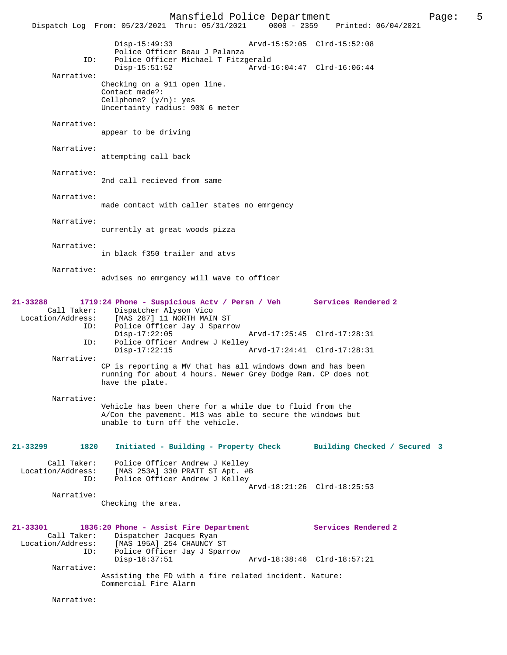Mansfield Police Department Page: 5 Dispatch Log From: 05/23/2021 Thru: 05/31/2021 Disp-15:49:33 Arvd-15:52:05 Clrd-15:52:08 Police Officer Beau J Palanza<br>ID: Police Officer Michael T Fitzg Police Officer Michael T Fitzgerald<br>Disp-15:51:52 Arvd-Arvd-16:04:47 Clrd-16:06:44 Narrative: Checking on a 911 open line. Contact made?: Cellphone? (y/n): yes Uncertainty radius: 90% 6 meter Narrative: appear to be driving Narrative: attempting call back Narrative: 2nd call recieved from same Narrative: made contact with caller states no emrgency Narrative: currently at great woods pizza Narrative: in black f350 trailer and atvs Narrative: advises no emrgency will wave to officer **21-33288 1719:24 Phone - Suspicious Actv / Persn / Veh Services Rendered 2**  Call Taker: Dispatcher Alyson Vico<br>Location/Address: [MAS 287] 11 NORTH MAI ess: [MAS 287] 11 NORTH MAIN ST<br>ID: Police Officer Jay J Sparro Police Officer Jay J Sparrow<br>Disp-17:22:05 Disp-17:22:05 Arvd-17:25:45 Clrd-17:28:31 ID: Police Officer Andrew J Kelley<br>Disp-17:22:15 Arvd-17:24:41 Clrd-17:28:31 Narrative: CP is reporting a MV that has all windows down and has been running for about 4 hours. Newer Grey Dodge Ram. CP does not have the plate. Narrative: Vehicle has been there for a while due to fluid from the A/Con the pavement. M13 was able to secure the windows but unable to turn off the vehicle. **21-33299 1820 Initiated - Building - Property Check Building Checked / Secured 3** Call Taker: Police Officer Andrew J Kelley Location/Address: [MAS 253A] 330 PRATT ST Apt. #B ID: Police Officer Andrew J Kelley Arvd-18:21:26 Clrd-18:25:53 Narrative: Checking the area. **21-33301 1836:20 Phone - Assist Fire Department Services Rendered 2**  Call Taker: Dispatcher Jacques Ryan Location/Address: [MAS 195A] 254 CHAUNCY ST ID: Police Officer Jay J Sparrow Disp-18:37:51 Arvd-18:38:46 Clrd-18:57:21 Narrative: Assisting the FD with a fire related incident. Nature: Commercial Fire Alarm Narrative: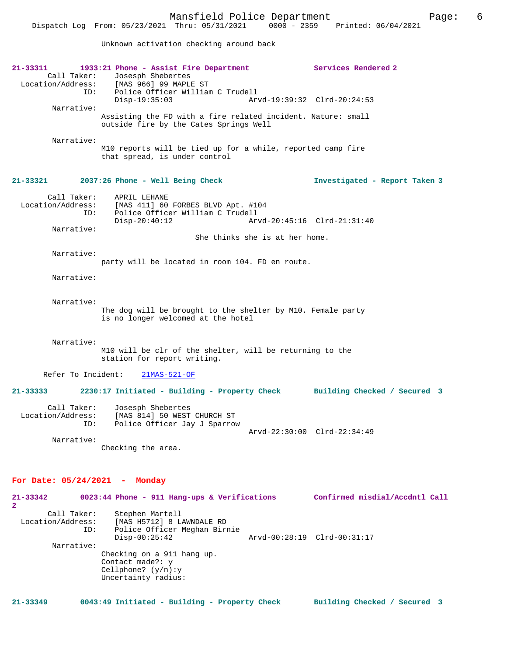Dispatch Log From: 05/23/2021 Thru: 05/31/2021 0000 - 2359 Printed: 06/04/2021

Unknown activation checking around back

| 21-33311<br>Call Taker:                 | 1933:21 Phone - Assist Fire Department<br>Josesph Shebertes<br>Location/Address: [MAS 966] 99 MAPLE ST                      |                                | Services Rendered 2            |
|-----------------------------------------|-----------------------------------------------------------------------------------------------------------------------------|--------------------------------|--------------------------------|
| ID:<br>Narrative:                       | Police Officer William C Trudell<br>$Disp-19:35:03$                                                                         |                                | Arvd-19:39:32 Clrd-20:24:53    |
|                                         | Assisting the FD with a fire related incident. Nature: small<br>outside fire by the Cates Springs Well                      |                                |                                |
| Narrative:                              | M10 reports will be tied up for a while, reported camp fire<br>that spread, is under control                                |                                |                                |
| 21-33321                                | 2037:26 Phone - Well Being Check                                                                                            |                                | Investigated - Report Taken 3  |
| Call Taker:<br>ID:                      | APRIL LEHANE<br>Location/Address: [MAS 411] 60 FORBES BLVD Apt. #104<br>Police Officer William C Trudell<br>$Disp-20:40:12$ |                                | Arvd-20:45:16 Clrd-21:31:40    |
| Narrative:                              |                                                                                                                             | She thinks she is at her home. |                                |
| Narrative:                              | party will be located in room 104. FD en route.                                                                             |                                |                                |
| Narrative:                              |                                                                                                                             |                                |                                |
| Narrative:                              | The dog will be brought to the shelter by M10. Female party<br>is no longer welcomed at the hotel                           |                                |                                |
| Narrative:                              | M10 will be clr of the shelter, will be returning to the<br>station for report writing.                                     |                                |                                |
| Refer To Incident:                      | $21MAS-521-OF$                                                                                                              |                                |                                |
| $21 - 33333$                            | 2230:17 Initiated - Building - Property Check Building Checked / Secured 3                                                  |                                |                                |
| Call Taker:<br>Location/Address:<br>ID: | Josesph Shebertes<br>[MAS 814] 50 WEST CHURCH ST<br>Police Officer Jay J Sparrow                                            |                                |                                |
| Narrative:                              | Checking the area.                                                                                                          |                                | Arvd-22:30:00 Clrd-22:34:49    |
|                                         |                                                                                                                             |                                |                                |
| For Date: $05/24/2021$ -                | Monday                                                                                                                      |                                |                                |
| 21-33342<br>$\mathbf{2}$                | $0023:44$ Phone - 911 Hang-ups & Verifications                                                                              |                                | Confirmed misdial/Accdntl Call |
| Call Taker:<br>Location/Address:<br>ID: | Stephen Martell<br>[MAS H5712] 8 LAWNDALE RD<br>Police Officer Meghan Birnie<br>$Disp-00:25:42$                             |                                | Arvd-00:28:19 Clrd-00:31:17    |
| Narrative:                              | Checking on a 911 hang up.<br>Contact made?: y<br>Cellphone? $(y/n):y$<br>Uncertainty radius:                               |                                |                                |

**21-33349 0043:49 Initiated - Building - Property Check Building Checked / Secured 3**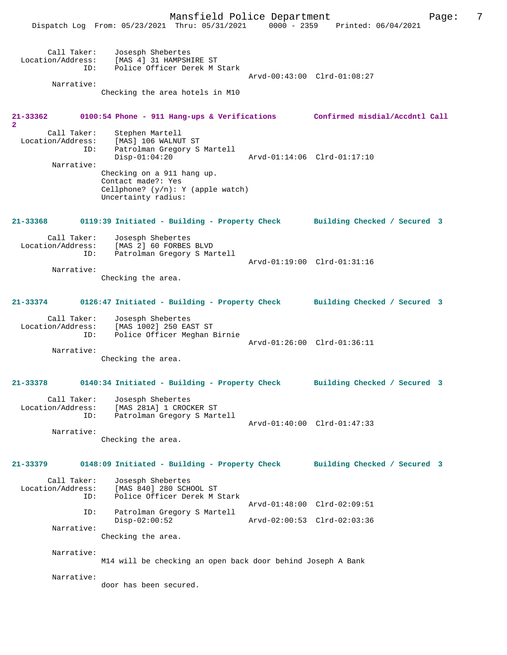|                                         | Mansfield Police Department<br>Dispatch Log From: 05/23/2021 Thru: 05/31/2021                                                     | 0000 - 2359 Printed: 06/04/2021                            | 7<br>Page: |
|-----------------------------------------|-----------------------------------------------------------------------------------------------------------------------------------|------------------------------------------------------------|------------|
| Call Taker:<br>ID:<br>Narrative:        | Josesph Shebertes<br>Location/Address: [MAS 4] 31 HAMPSHIRE ST<br>Police Officer Derek M Stark<br>Checking the area hotels in M10 | Arvd-00:43:00 Clrd-01:08:27                                |            |
|                                         |                                                                                                                                   |                                                            |            |
| 21-33362<br>$\overline{a}$              | 0100:54 Phone - 911 Hang-ups & Verifications Confirmed misdial/Accdntl Call                                                       |                                                            |            |
| Call Taker:<br>Location/Address:<br>ID: | Stephen Martell<br>[MAS] 106 WALNUT ST<br>Patrolman Gregory S Martell<br>$Disp-01:04:20$                                          | Arvd-01:14:06 Clrd-01:17:10                                |            |
| Narrative:                              | Checking on a 911 hang up.<br>Contact made?: Yes<br>Cellphone? $(y/n): Y$ (apple watch)<br>Uncertainty radius:                    |                                                            |            |
| $21 - 33368$                            | 0119:39 Initiated - Building - Property Check                                                                                     | Building Checked / Secured 3                               |            |
| Call Taker:<br>Location/Address:<br>ID: | Josesph Shebertes<br>[MAS 2] 60 FORBES BLVD<br>Patrolman Gregory S Martell                                                        | Arvd-01:19:00 Clrd-01:31:16                                |            |
| Narrative:                              | Checking the area.                                                                                                                |                                                            |            |
| 21-33374                                | 0126:47 Initiated - Building - Property Check                                                                                     | Building Checked / Secured 3                               |            |
| Call Taker:<br>Location/Address:<br>ID: | Josesph Shebertes<br>[MAS 1002] 250 EAST ST<br>Police Officer Meghan Birnie                                                       | Arvd-01:26:00 Clrd-01:36:11                                |            |
| Narrative:                              | Checking the area.                                                                                                                |                                                            |            |
| 21-33378                                | 0140:34 Initiated - Building - Property Check                                                                                     | Building Checked / Secured 3                               |            |
| Call Taker:<br>Location/Address:<br>ID: | Josesph Shebertes<br>[MAS 281A] 1 CROCKER ST<br>Patrolman Gregory S Martell                                                       | Arvd-01:40:00 Clrd-01:47:33                                |            |
| Narrative:                              | Checking the area.                                                                                                                |                                                            |            |
| 21-33379                                | 0148:09 Initiated - Building - Property Check                                                                                     | Building Checked / Secured 3                               |            |
| Call Taker:<br>Location/Address:<br>ID: | Josesph Shebertes<br>[MAS 840] 280 SCHOOL ST<br>Police Officer Derek M Stark                                                      |                                                            |            |
| ID:<br>Narrative:                       | Patrolman Gregory S Martell<br>$Disp-02:00:52$                                                                                    | Arvd-01:48:00 Clrd-02:09:51<br>Arvd-02:00:53 Clrd-02:03:36 |            |
|                                         | Checking the area.                                                                                                                |                                                            |            |
| Narrative:                              | M14 will be checking an open back door behind Joseph A Bank                                                                       |                                                            |            |
| Narrative:                              | door has been secured.                                                                                                            |                                                            |            |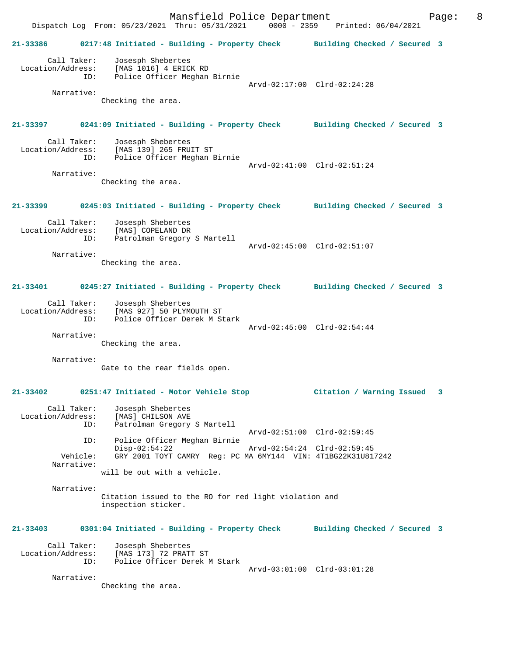Mansfield Police Department Page: 8 Dispatch Log From: 05/23/2021 Thru: 05/31/2021 0000 - 2359 Printed: 06/04/2021 **21-33386 0217:48 Initiated - Building - Property Check Building Checked / Secured 3** Call Taker: Josesph Shebertes Location/Address: [MAS 1016] 4 ERICK RD ID: Police Officer Meghan Birnie Arvd-02:17:00 Clrd-02:24:28 Narrative: Checking the area. **21-33397 0241:09 Initiated - Building - Property Check Building Checked / Secured 3** Call Taker: Josesph Shebertes<br>Location/Address: [MAS 139] 265 FRU ess: [MAS 139] 265 FRUIT ST<br>ID: Police Officer Meghan I Police Officer Meghan Birnie Arvd-02:41:00 Clrd-02:51:24 Narrative: Checking the area. **21-33399 0245:03 Initiated - Building - Property Check Building Checked / Secured 3** Call Taker: Josesph Shebertes Location/Address: [MAS] COPELAND DR ID: Patrolman Gregory S Martell Arvd-02:45:00 Clrd-02:51:07 Narrative: Checking the area. **21-33401 0245:27 Initiated - Building - Property Check Building Checked / Secured 3** Call Taker: Josesph Shebertes Location/Address: [MAS 927] 50 PLYMOUTH ST ID: Police Officer Derek M Stark Arvd-02:45:00 Clrd-02:54:44 Narrative: Checking the area. Narrative: Gate to the rear fields open. **21-33402 0251:47 Initiated - Motor Vehicle Stop Citation / Warning Issued 3** Call Taker: Josesph Shebertes Location/Address: [MAS] CHILSON AVE Patrolman Gregory S Martell Arvd-02:51:00 Clrd-02:59:45 ID: Police Officer Meghan Birnie Disp-02:54:22 Arvd-02:54:24 Clrd-02:59:45 Vehicle: GRY 2001 TOYT CAMRY Reg: PC MA 6MY144 VIN: 4T1BG22K31U817242 Narrative: will be out with a vehicle. Narrative: Citation issued to the RO for red light violation and inspection sticker. **21-33403 0301:04 Initiated - Building - Property Check Building Checked / Secured 3** Call Taker: Josesph Shebertes Location/Address: [MAS 173] 72 PRATT ST ID: Police Officer Derek M Stark Arvd-03:01:00 Clrd-03:01:28 Narrative:

Checking the area.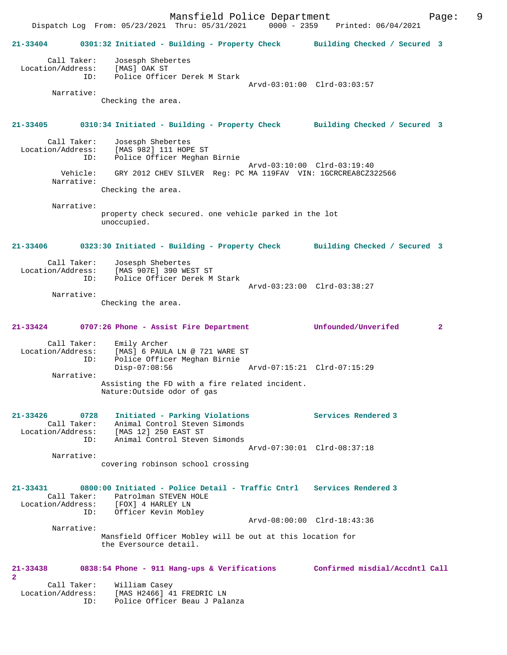Dispatch Log From: 05/23/2021 Thru: 05/31/2021 0000 - 2359 Printed: 06/04/2021 **21-33404 0301:32 Initiated - Building - Property Check Building Checked / Secured 3** Call Taker: Josesph Shebertes Location/Address: [MAS] OAK ST ID: Police Officer Derek M Stark Arvd-03:01:00 Clrd-03:03:57 Narrative: Checking the area. **21-33405 0310:34 Initiated - Building - Property Check Building Checked / Secured 3** Call Taker: Josesph Shebertes Location/Address: [MAS 982] 111 HOPE ST<br>TD: Police Officer Meghan Police Officer Meghan Birnie Arvd-03:10:00 Clrd-03:19:40 Vehicle: GRY 2012 CHEV SILVER Reg: PC MA 119FAV VIN: 1GCRCREA8CZ322566 Narrative: Checking the area. Narrative: property check secured. one vehicle parked in the lot unoccupied. **21-33406 0323:30 Initiated - Building - Property Check Building Checked / Secured 3** Call Taker: Josesph Shebertes<br>Location/Address: [MAS 907E] 390 WE [MAS 907E] 390 WEST ST ID: Police Officer Derek M Stark Arvd-03:23:00 Clrd-03:38:27 Narrative: Checking the area. **21-33424 0707:26 Phone - Assist Fire Department Unfounded/Unverifed 2** Call Taker: Emily Archer Location/Address: [MAS] 6 PAULA LN @ 721 WARE ST ID: Police Officer Meghan Birnie Disp-07:08:56 Arvd-07:15:21 Clrd-07:15:29 Narrative: Assisting the FD with a fire related incident. Nature:Outside odor of gas **21-33426 0728 Initiated - Parking Violations Services Rendered 3**  Call Taker: Animal Control Steven Simonds Location/Address: [MAS 12] 250 EAST ST ID: Animal Control Steven Simonds Arvd-07:30:01 Clrd-08:37:18 Narrative: covering robinson school crossing **21-33431 0800:00 Initiated - Police Detail - Traffic Cntrl Services Rendered 3**  Call Taker: Patrolman STEVEN HOLE Location/Address: [FOX] 4 HARLEY LN ID: Officer Kevin Mobley Arvd-08:00:00 Clrd-18:43:36 Narrative: Mansfield Officer Mobley will be out at this location for the Eversource detail. **21-33438 0838:54 Phone - 911 Hang-ups & Verifications Confirmed misdial/Accdntl Call 2**  Call Taker: William Casey

 Location/Address: [MAS H2466] 41 FREDRIC LN ID: Police Officer Beau J Palanza

# Mansfield Police Department Fage: 9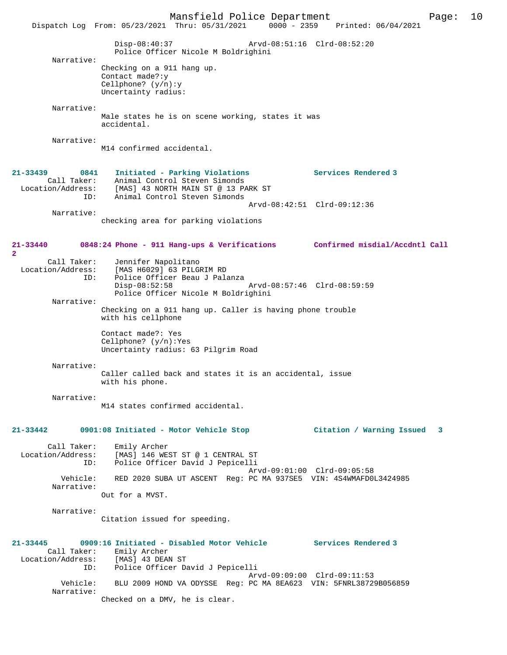Mansfield Police Department Page: 10 Dispatch Log From: 05/23/2021 Thru: 05/31/2021 Disp-08:40:37 Arvd-08:51:16 Clrd-08:52:20 Police Officer Nicole M Boldrighini Narrative: Checking on a 911 hang up. Contact made?:y Cellphone? (y/n):y Uncertainty radius: Narrative: Male states he is on scene working, states it was accidental. Narrative: M14 confirmed accidental. **21-33439 0841 Initiated - Parking Violations Services Rendered 3**  Call Taker: Animal Control Steven Simonds Location/Address: [MAS] 43 NORTH MAIN ST @ 13 PARK ST ID: Animal Control Steven Simonds Arvd-08:42:51 Clrd-09:12:36 Narrative: checking area for parking violations **21-33440 0848:24 Phone - 911 Hang-ups & Verifications Confirmed misdial/Accdntl Call 2**  Call Taker: Jennifer Napolitano Location/Address: [MAS H6029] 63 PILGRIM RD ID: Police Officer Beau J Palanza Disp-08:52:58 Arvd-08:57:46 Clrd-08:59:59 Police Officer Nicole M Boldrighini Narrative: Checking on a 911 hang up. Caller is having phone trouble with his cellphone Contact made?: Yes Cellphone? (y/n):Yes Uncertainty radius: 63 Pilgrim Road Narrative: Caller called back and states it is an accidental, issue with his phone. Narrative: M14 states confirmed accidental. **21-33442 0901:08 Initiated - Motor Vehicle Stop Citation / Warning Issued 3** Call Taker: Emily Archer<br>Location/Address: [MAS] 146 WE: ess: [MAS] 146 WEST ST @ 1 CENTRAL ST<br>ID: Police Officer David J Pepicelli Police Officer David J Pepicelli Arvd-09:01:00 Clrd-09:05:58 Vehicle: RED 2020 SUBA UT ASCENT Reg: PC MA 937SE5 VIN: 4S4WMAFD0L3424985 Narrative: Out for a MVST. Narrative: Citation issued for speeding. **21-33445 0909:16 Initiated - Disabled Motor Vehicle Services Rendered 3**  Call Taker: Emily Archer<br>ion/Address: [MAS] 43 DEAN ST Location/Address:<br>ID: Police Officer David J Pepicelli Arvd-09:09:00 Clrd-09:11:53<br>Vehicle: BLU 2009 HOND VA ODYSSE Req: PC MA 8EA623 VIN: 5FNRL38729 Vehicle: BLU 2009 HOND VA ODYSSE Reg: PC MA 8EA623 VIN: 5FNRL38729B056859 Narrative: Checked on a DMV, he is clear.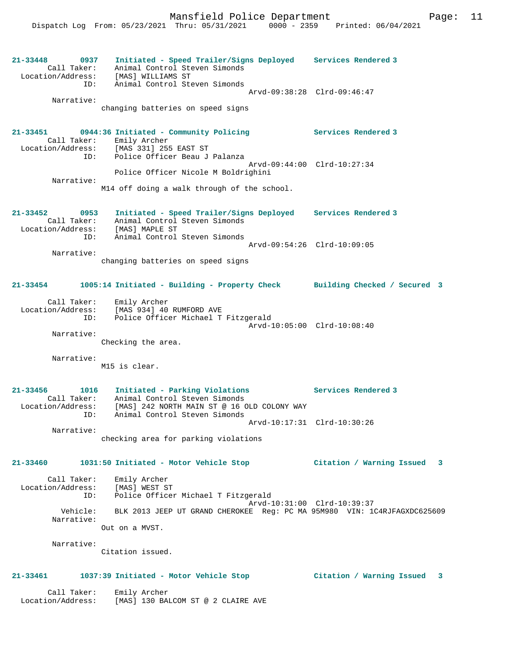| 21-33448<br>0937<br>Call Taker:<br>Location/Address:<br>ID:     | Initiated - Speed Trailer/Signs Deployed Services Rendered 3<br>Animal Control Steven Simonds<br>[MAS] WILLIAMS ST<br>Animal Control Steven Simonds                |                                |
|-----------------------------------------------------------------|--------------------------------------------------------------------------------------------------------------------------------------------------------------------|--------------------------------|
| Narrative:                                                      | changing batteries on speed signs                                                                                                                                  | Arvd-09:38:28 Clrd-09:46:47    |
| Location/Address:                                               | 21-33451 0944:36 Initiated - Community Policing<br>Call Taker: Emily Archer<br>[MAS 331] 255 EAST ST<br>ID: Police Officer Beau J Palanza                          | Services Rendered 3            |
| Narrative:                                                      | Police Officer Nicole M Boldrighini                                                                                                                                | Arvd-09:44:00 Clrd-10:27:34    |
|                                                                 | M14 off doing a walk through of the school.                                                                                                                        |                                |
| 21-33452 0953<br>Call Taker:<br>ID:                             | Initiated - Speed Trailer/Signs Deployed Services Rendered 3<br>Animal Control Steven Simonds<br>Location/Address: [MAS] MAPLE ST<br>Animal Control Steven Simonds |                                |
| Narrative:                                                      | Arvd-09:54:26 Clrd-10:09:05<br>changing batteries on speed signs                                                                                                   |                                |
| 21-33454                                                        | 1005:14 Initiated - Building - Property Check Building Checked / Secured 3                                                                                         |                                |
| ID:                                                             | Call Taker: Emily Archer<br>Location/Address: [MAS 934] 40 RUMFORD AVE<br>Police Officer Michael T Fitzgerald                                                      | Arvd-10:05:00 Clrd-10:08:40    |
| Narrative:                                                      | Checking the area.                                                                                                                                                 |                                |
|                                                                 |                                                                                                                                                                    |                                |
| Narrative:                                                      | M15 is clear.                                                                                                                                                      |                                |
| $21 - 33456$<br>1016<br>Call Taker:<br>Location/Address:<br>ID: | Initiated - Parking Violations<br>Animal Control Steven Simonds<br>[MAS] 242 NORTH MAIN ST @ 16 OLD COLONY WAY<br>Animal Control Steven Simonds                    | Services Rendered 3            |
| Narrative:                                                      |                                                                                                                                                                    | Arvd-10:17:31 Clrd-10:30:26    |
|                                                                 | checking area for parking violations                                                                                                                               |                                |
| 21-33460                                                        | 1031:50 Initiated - Motor Vehicle Stop                                                                                                                             | Citation / Warning Issued 3    |
| Call Taker:<br>Location/Address:<br>ID:                         | Emily Archer<br>[MAS] WEST ST<br>Police Officer Michael T Fitzgerald                                                                                               |                                |
| Vehicle:<br>Narrative:                                          | BLK 2013 JEEP UT GRAND CHEROKEE Req: PC MA 95M980 VIN: 1C4RJFAGXDC625609<br>Out on a MVST.                                                                         | Arvd-10:31:00 Clrd-10:39:37    |
| Narrative:                                                      | Citation issued.                                                                                                                                                   |                                |
| 21-33461                                                        | 1037:39 Initiated - Motor Vehicle Stop                                                                                                                             | Citation / Warning Issued<br>3 |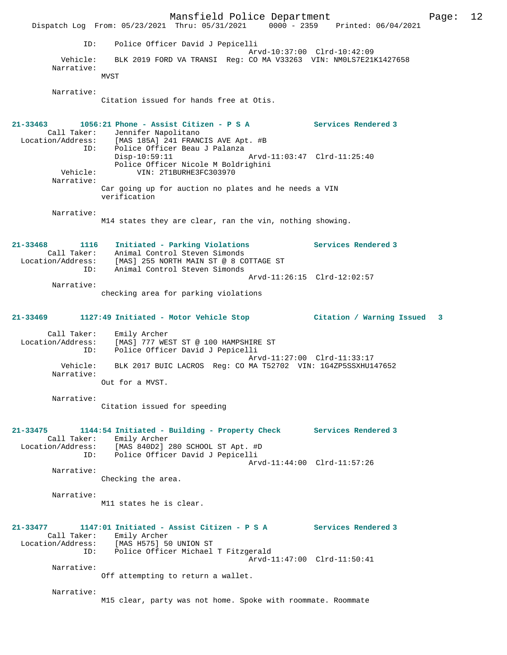Mansfield Police Department Fage: 12 Dispatch Log From: 05/23/2021 Thru: 05/31/2021 0000 - 2359 Printed: 06/04/2021 ID: Police Officer David J Pepicelli Arvd-10:37:00 Clrd-10:42:09 Vehicle: BLK 2019 FORD VA TRANSI Reg: CO MA V33263 VIN: NM0LS7E21K1427658 Narrative: MVST Narrative: Citation issued for hands free at Otis. **21-33463 1056:21 Phone - Assist Citizen - P S A Services Rendered 3**  Call Taker: Jennifer Napolitano<br>Location/Address: [MAS 185A] 241 FRAN [MAS 185A] 241 FRANCIS AVE Apt. #B ID: Police Officer Beau J Palanza Disp-10:59:11 Arvd-11:03:47 Clrd-11:25:40 Police Officer Nicole M Boldrighini<br>Vehicle: VIN: 2T1BURHE3FC303970 VIN: 2T1BURHE3FC303970 Narrative: Car going up for auction no plates and he needs a VIN verification Narrative: M14 states they are clear, ran the vin, nothing showing. **21-33468 1116 Initiated - Parking Violations Services Rendered 3**  Call Taker: Animal Control Steven Simonds Location/Address: [MAS] 255 NORTH MAIN ST @ 8 COTTAGE ST ID: Animal Control Steven Simonds Arvd-11:26:15 Clrd-12:02:57 Narrative: checking area for parking violations **21-33469 1127:49 Initiated - Motor Vehicle Stop Citation / Warning Issued 3** Call Taker: Emily Archer Location/Address: [MAS] 777 WEST ST @ 100 HAMPSHIRE ST ID: Police Officer David J Pepicelli Arvd-11:27:00 Clrd-11:33:17<br>Vehicle: BLK 2017 BUIC LACROS Req: CO MA T52702 VIN: 1G4ZP5SSXHU14 BLK 2017 BUIC LACROS Reg: CO MA T52702 VIN: 1G4ZP5SSXHU147652 Narrative: Out for a MVST. Narrative: Citation issued for speeding **21-33475 1144:54 Initiated - Building - Property Check Services Rendered 3**  Call Taker: Emily Archer Location/Address: [MAS 840D2] 280 SCHOOL ST Apt. #D ID: Police Officer David J Pepicelli Arvd-11:44:00 Clrd-11:57:26 Narrative: Checking the area. Narrative: M11 states he is clear. **21-33477 1147:01 Initiated - Assist Citizen - P S A Services Rendered 3**  Call Taker: Emily Archer Location/Address: [MAS H575] 50 UNION ST ID: Police Officer Michael T Fitzgerald Arvd-11:47:00 Clrd-11:50:41 Narrative: Off attempting to return a wallet. Narrative: M15 clear, party was not home. Spoke with roommate. Roommate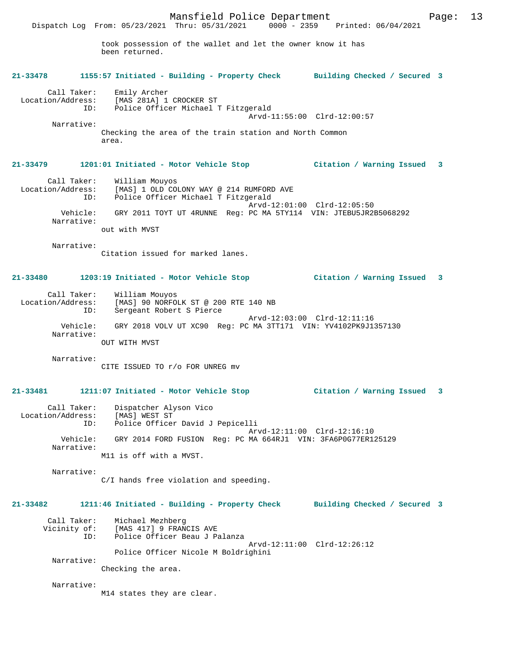took possession of the wallet and let the owner know it has been returned.

Dispatch Log From: 05/23/2021 Thru: 05/31/2021 0000 - 2359 Printed: 06/04/2021

### **21-33478 1155:57 Initiated - Building - Property Check Building Checked / Secured 3**

Call Taker: Emily Archer<br>Location/Address: [MAS 281A] 1 Location/Address: [MAS 281A] 1 CROCKER ST

 ID: Police Officer Michael T Fitzgerald Arvd-11:55:00 Clrd-12:00:57 Narrative: Checking the area of the train station and North Common

### **21-33479 1201:01 Initiated - Motor Vehicle Stop Citation / Warning Issued 3**

area.

 Call Taker: William Mouyos Location/Address: [MAS] 1 OLD COLONY WAY @ 214 RUMFORD AVE ID: Police Officer Michael T Fitzgerald Arvd-12:01:00 Clrd-12:05:50 Vehicle: GRY 2011 TOYT UT 4RUNNE Reg: PC MA 5TY114 VIN: JTEBU5JR2B5068292 Narrative: out with MVST

Narrative:

Citation issued for marked lanes.

### **21-33480 1203:19 Initiated - Motor Vehicle Stop Citation / Warning Issued 3**

 Call Taker: William Mouyos Location/Address: [MAS] 90 NORFOLK ST @ 200 RTE 140 NB<br>TD: Sergeant Robert S Pierce Sergeant Robert S Pierce Arvd-12:03:00 Clrd-12:11:16 Vehicle: GRY 2018 VOLV UT XC90 Reg: PC MA 3TT171 VIN: YV4102PK9J1357130 Narrative: OUT WITH MVST

Narrative:

CITE ISSUED TO r/o FOR UNREG mv

#### **21-33481 1211:07 Initiated - Motor Vehicle Stop Citation / Warning Issued 3**

| Call Taker:<br>Location/Address: | Dispatcher Alyson Vico<br>[MAS] WEST ST<br>Police Officer David J Pepicelli                  |
|----------------------------------|----------------------------------------------------------------------------------------------|
| ID:                              |                                                                                              |
| Vehicle:<br>Narrative:           | Arvd-12:11:00 Clrd-12:16:10<br>GRY 2014 FORD FUSION Reg: PC MA 664RJ1 VIN: 3FA6P0G77ER125129 |
|                                  | M11 is off with a MVST.                                                                      |

Narrative:

C/I hands free violation and speeding.

### **21-33482 1211:46 Initiated - Building - Property Check Building Checked / Secured 3**

| Call Taker:  | Michael Mezhberg                    |                             |
|--------------|-------------------------------------|-----------------------------|
| Vicinity of: | [MAS 417] 9 FRANCIS AVE             |                             |
| TD:          | Police Officer Beau J Palanza       |                             |
|              |                                     | Arvd-12:11:00 Clrd-12:26:12 |
|              | Police Officer Nicole M Boldrighini |                             |
| Narrative:   |                                     |                             |

Checking the area.

Narrative:

M14 states they are clear.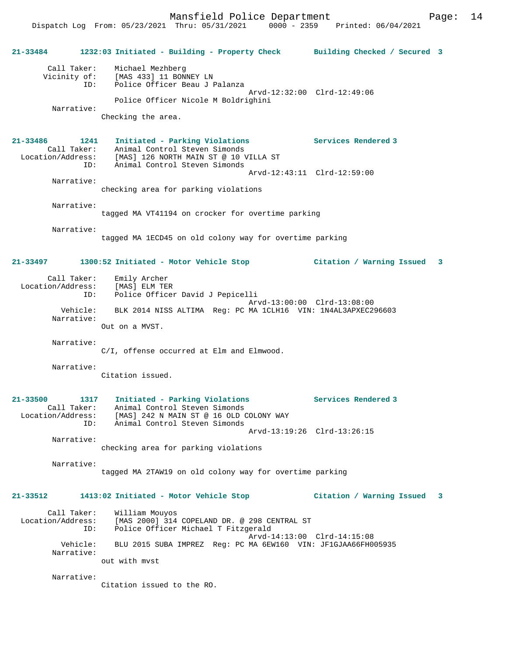Dispatch Log From: 05/23/2021 Thru: 05/31/2021 0000 - 2359 Printed: 06/04/2021

| 21-33484                                                | 1232:03 Initiated - Building - Property Check Building Checked / Secured 3                                                                                                 |                             |  |
|---------------------------------------------------------|----------------------------------------------------------------------------------------------------------------------------------------------------------------------------|-----------------------------|--|
| ID:<br>Narrative:                                       | Call Taker: Michael Mezhberg<br>Vicinity of: [MAS 433] 11 BONNEY LN<br>ID: Police Officer Beau J I<br>Police Officer Beau J Palanza<br>Police Officer Nicole M Boldrighini | Arvd-12:32:00 Clrd-12:49:06 |  |
|                                                         | Checking the area.                                                                                                                                                         |                             |  |
| 21-33486<br>1241<br>Call Taker:                         | Initiated - Parking Violations<br>Animal Control Steven Simonds<br>Location/Address: [MAS] 126 NORTH MAIN ST @ 10 VILLA ST<br>ID: Animal Control Steven Simonds            | Services Rendered 3         |  |
| Narrative:                                              | checking area for parking violations                                                                                                                                       | Arvd-12:43:11 Clrd-12:59:00 |  |
| Narrative:                                              | tagged MA VT41194 on crocker for overtime parking                                                                                                                          |                             |  |
| Narrative:                                              | tagged MA 1ECD45 on old colony way for overtime parking                                                                                                                    |                             |  |
| 21-33497                                                | 1300:52 Initiated - Motor Vehicle Stop                                                                                                                                     | Citation / Warning Issued 3 |  |
| Call Taker:<br>ID:                                      | Emily Archer<br>Location/Address: [MAS] ELM TER<br>Police Officer David J Pepicelli                                                                                        |                             |  |
| Vehicle:<br>Narrative:                                  | BLK 2014 NISS ALTIMA Reg: PC MA 1CLH16 VIN: 1N4AL3APXEC296603<br>Out on a MVST.                                                                                            | Arvd-13:00:00 Clrd-13:08:00 |  |
| Narrative:                                              | C/I, offense occurred at Elm and Elmwood.                                                                                                                                  |                             |  |
| Narrative:                                              | Citation issued.                                                                                                                                                           |                             |  |
| $21 - 33500$<br>Call Taker:<br>Location/Address:<br>ID: | 1317 Initiated - Parking Violations<br>Animal Control Steven Simonds<br>[MAS] 242 N MAIN ST @ 16 OLD COLONY WAY<br>Animal Control Steven Simonds                           | Services Rendered 3         |  |
| Narrative:                                              | checking area for parking violations                                                                                                                                       | Arvd-13:19:26 Clrd-13:26:15 |  |
| Narrative:                                              | tagged MA 2TAW19 on old colony way for overtime parking                                                                                                                    |                             |  |
| 21-33512                                                | 1413:02 Initiated - Motor Vehicle Stop                                                                                                                                     | Citation / Warning Issued 3 |  |
| Call Taker:<br>Location/Address:<br>ID:                 | William Mouyos<br>[MAS 2000] 314 COPELAND DR. @ 298 CENTRAL ST<br>Police Officer Michael T Fitzgerald                                                                      |                             |  |
| Vehicle:<br>Narrative:                                  | BLU 2015 SUBA IMPREZ Req: PC MA 6EW160 VIN: JF1GJAA66FH005935<br>out with myst                                                                                             | Arvd-14:13:00 Clrd-14:15:08 |  |
| Narrative:                                              |                                                                                                                                                                            |                             |  |

Citation issued to the RO.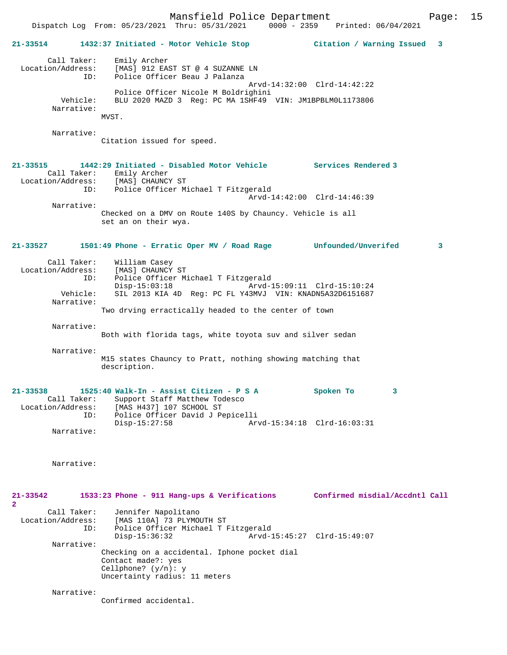Mansfield Police Department Page: 15 Dispatch Log From:  $05/23/2021$  Thru:  $05/31/2021$  0000 - 2359 **21-33514 1432:37 Initiated - Motor Vehicle Stop Citation / Warning Issued 3** Call Taker: Emily Archer Location/Address: [MAS] 912 EAST ST @ 4 SUZANNE LN ID: Police Officer Beau J Palanza Arvd-14:32:00 Clrd-14:42:22 Police Officer Nicole M Boldrighini<br>Vehicle: BLU 2020 MAZD 3 Reg: PC MA 1SHF49 BLU 2020 MAZD 3 Reg: PC MA 1SHF49 VIN: JM1BPBLM0L1173806 Narrative: MVST. Narrative: Citation issued for speed. **21-33515 1442:29 Initiated - Disabled Motor Vehicle Services Rendered 3**  Call Taker: Emily Archer Location/Address: [MAS] CHAUNCY ST ID: Police Officer Michael T Fitzgerald Arvd-14:42:00 Clrd-14:46:39 Narrative: Checked on a DMV on Route 140S by Chauncy. Vehicle is all set an on their wya. **21-33527 1501:49 Phone - Erratic Oper MV / Road Rage Unfounded/Unverifed 3** Call Taker: William Casey Location/Address: [MAS] CHAUNCY ST<br>ID: Police Officer M ID: Police Officer Michael T Fitzgerald Disp-15:03:18 Arvd-15:09:11 Clrd-15:10:24<br>Vehicle: SIL 2013 KIA 4D Req: PC FL Y43MVJ VIN: KNADN5A32D6151687 SIL 2013 KIA 4D Reg: PC FL Y43MVJ VIN: KNADN5A32D6151687 Narrative: Two drving erractically headed to the center of town Narrative: Both with florida tags, white toyota suv and silver sedan Narrative: M15 states Chauncy to Pratt, nothing showing matching that description. **21-33538 1525:40 Walk-In - Assist Citizen - P S A Spoken To 3**  Call Taker: Support Staff Matthew Todesco<br>Location/Address: [MAS H437] 107 SCHOOL ST ess: [MAS H437] 107 SCHOOL ST<br>TD: Police Officer David J Pe Police Officer David J Pepicelli<br>Disp-15:27:58 Arv Disp-15:27:58 Arvd-15:34:18 Clrd-16:03:31 Narrative: Narrative: **21-33542 1533:23 Phone - 911 Hang-ups & Verifications Confirmed misdial/Accdntl Call 2**  Call Taker: Jennifer Napolitano<br>Location/Address: [MAS 110A] 73 PLYMOU [MAS 110A] 73 PLYMOUTH ST ID: Police Officer Michael T Fitzgerald Disp-15:36:32 Arvd-15:45:27 Clrd-15:49:07 Narrative: Checking on a accidental. Iphone pocket dial Contact made?: yes Cellphone? (y/n): y

Confirmed accidental.

Narrative:

Uncertainty radius: 11 meters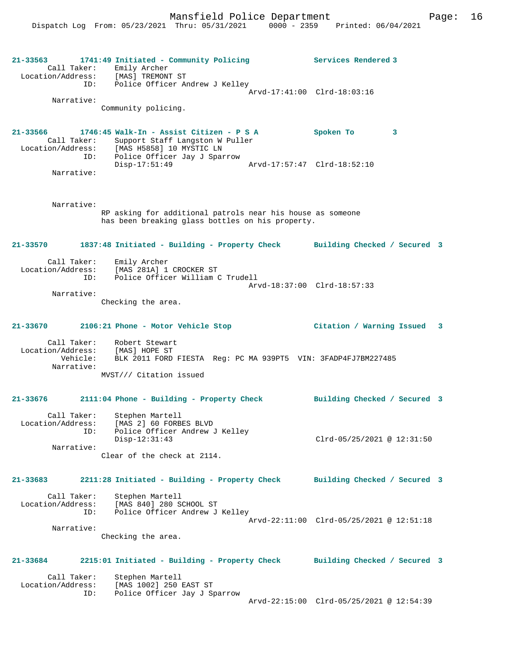Mansfield Police Department Page: 16

**21-33563 1741:49 Initiated - Community Policing Services Rendered 3**  Call Taker: Emily Archer Location/Address: [MAS] TREMONT ST ID: Police Officer Andrew J Kelley Arvd-17:41:00 Clrd-18:03:16 Narrative: Community policing. **21-33566 1746:45 Walk-In - Assist Citizen - P S A Spoken To 3**  Call Taker: Support Staff Langston W Puller<br>Location/Address: [MAS H5858] 10 MYSTIC LN Location/Address: [MAS H5858] 10 MYSTIC LN ID: Police Officer Jay J Sparrow Disp-17:51:49 Arvd-17:57:47 Clrd-18:52:10 Narrative: Narrative: RP asking for additional patrols near his house as someone has been breaking glass bottles on his property. **21-33570 1837:48 Initiated - Building - Property Check Building Checked / Secured 3** Call Taker: Emily Archer Location/Address: [MAS 281A] 1 CROCKER ST ID: Police Officer William C Trudell Arvd-18:37:00 Clrd-18:57:33 Narrative: Checking the area. **21-33670 2106:21 Phone - Motor Vehicle Stop Citation / Warning Issued 3** Call Taker: Robert Stewart Location/Address: [MAS] HOPE ST BLK 2011 FORD FIESTA Reg: PC MA 939PT5 VIN: 3FADP4FJ7BM227485 Narrative: MVST/// Citation issued **21-33676 2111:04 Phone - Building - Property Check Building Checked / Secured 3** Call Taker: Stephen Martell Location/Address: [MAS 2] 60 FORBES BLVD ID: Police Officer Andrew J Kelley Disp-12:31:43 Clrd-05/25/2021 @ 12:31:50 Narrative: Clear of the check at 2114. **21-33683 2211:28 Initiated - Building - Property Check Building Checked / Secured 3** Call Taker: Stephen Martell Location/Address: [MAS 840] 280 SCHOOL ST ID: Police Officer Andrew J Kelley Arvd-22:11:00 Clrd-05/25/2021 @ 12:51:18 Narrative: Checking the area. **21-33684 2215:01 Initiated - Building - Property Check Building Checked / Secured 3** Call Taker: Stephen Martell<br>Location/Address: [MAS 1002] 250 [MAS 1002] 250 EAST ST ID: Police Officer Jay J Sparrow Arvd-22:15:00 Clrd-05/25/2021 @ 12:54:39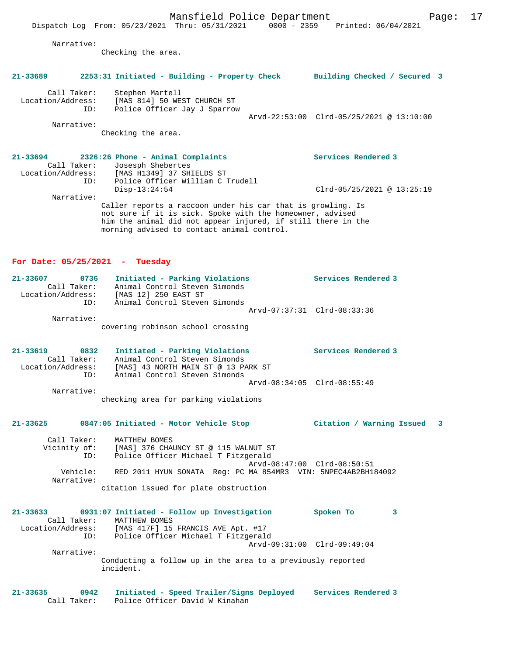|                   |                                               | Mansition Forrce Department  |                                                                                | rayc. |
|-------------------|-----------------------------------------------|------------------------------|--------------------------------------------------------------------------------|-------|
|                   |                                               |                              | Dispatch Log From: 05/23/2021 Thru: 05/31/2021 0000 - 2359 Printed: 06/04/2021 |       |
| Narrative:        |                                               |                              |                                                                                |       |
|                   | Checking the area.                            |                              |                                                                                |       |
| 21-33689          | 2253:31 Initiated - Building - Property Check |                              | Building Checked / Secured 3                                                   |       |
| Call Taker:       | Stephen Martell                               |                              |                                                                                |       |
| Location/Address: |                                               | [MAS 814] 50 WEST CHURCH ST  |                                                                                |       |
| ID:               |                                               | Police Officer Jay J Sparrow | Arvd-22:53:00 Clrd-05/25/2021 @ 13:10:00                                       |       |
| Narrative:        |                                               |                              |                                                                                |       |
|                   | Checking the area.                            |                              |                                                                                |       |
|                   |                                               |                              |                                                                                |       |
| 21-33694          | 2326:26 Phone - Animal Complaints             |                              | Services Rendered 3                                                            |       |
|                   | Call Taker: Josesph Shebertes                 |                              |                                                                                |       |

 Call Taker: Josesph Shebertes Location/Address: [MAS H1349] 37 SHIELDS ST ID: Police Officer William C Trudell Clrd-05/25/2021 @ 13:25:19 Narrative: Caller reports a raccoon under his car that is growling. Is not sure if it is sick. Spoke with the homeowner, advised him the animal did not appear injured, if still there in the

#### **For Date: 05/25/2021 - Tuesday**

| 21-33607 | 0736              | Initiated - Parking Violations    |  | Services Rendered 3         |
|----------|-------------------|-----------------------------------|--|-----------------------------|
|          | Call Taker:       | Animal Control Steven Simonds     |  |                             |
|          | Location/Address: | [MAS 12] 250 EAST ST              |  |                             |
|          | ID:               | Animal Control Steven Simonds     |  |                             |
|          |                   |                                   |  | Arvd-07:37:31 Clrd-08:33:36 |
|          | Narrative:        |                                   |  |                             |
|          |                   | covering robinson school crossing |  |                             |

morning advised to contact animal control.

**21-33619 0832 Initiated - Parking Violations Services Rendered 3**  Call Taker: Animal Control Steven Simonds Location/Address: [MAS] 43 NORTH MAIN ST @ 13 PARK ST ID: Animal Control Steven Simonds Arvd-08:34:05 Clrd-08:55:49 Narrative:

checking area for parking violations

#### **21-33625 0847:05 Initiated - Motor Vehicle Stop Citation / Warning Issued 3**

 Call Taker: MATTHEW BOMES Vicinity of: [MAS] 376 CHAUNCY ST @ 115 WALNUT ST ID: Police Officer Michael T Fitzgerald Arvd-08:47:00 Clrd-08:50:51<br>Vehicle: RED 2011 HYUN SONATA Reg: PC MA 854MR3 VIN: 5NPEC4AB2BH18 RED 2011 HYUN SONATA Reg: PC MA 854MR3 VIN: 5NPEC4AB2BH184092 Narrative: citation issued for plate obstruction

**21-33633 0931:07 Initiated - Follow up Investigation Spoken To 3**  Call Taker: MATTHEW BOMES<br>Location/Address: [MAS 417F] 15 ess: [MAS 417F] 15 FRANCIS AVE Apt. #17<br>ID: Police Officer Michael T Fitzgeral IMAS 41/F, 15 FRANCES ALL PROPERENT Arvd-09:31:00 Clrd-09:49:04 Narrative: Conducting a follow up in the area to a previously reported incident.

**21-33635 0942 Initiated - Speed Trailer/Signs Deployed Services Rendered 3**  Police Officer David W Kinahan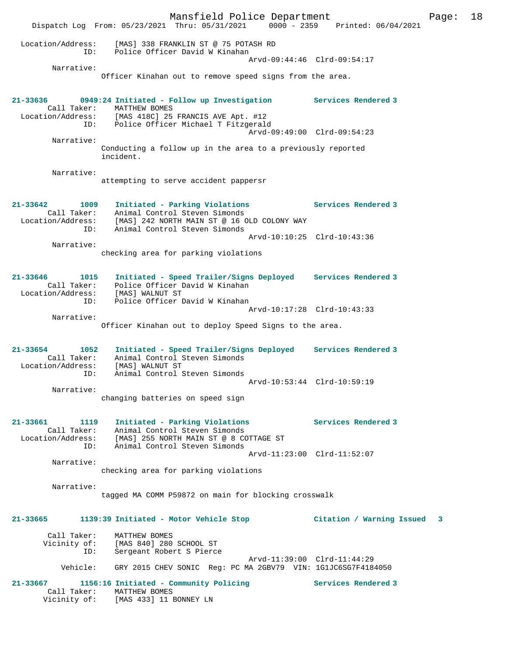|                                                          | Mansfield Police Department<br>Dispatch Log From: 05/23/2021 Thru: 05/31/2021                                                          | 0000 - 2359 Printed: 06/04/2021 | Page: | 18 |
|----------------------------------------------------------|----------------------------------------------------------------------------------------------------------------------------------------|---------------------------------|-------|----|
| Location/Address:<br>ID:                                 | [MAS] 338 FRANKLIN ST @ 75 POTASH RD<br>Police Officer David W Kinahan                                                                 |                                 |       |    |
|                                                          |                                                                                                                                        | Arvd-09:44:46 Clrd-09:54:17     |       |    |
| Narrative:                                               | Officer Kinahan out to remove speed signs from the area.                                                                               |                                 |       |    |
| 21-33636<br>Call Taker:                                  | 0949:24 Initiated - Follow up Investigation<br>MATTHEW BOMES                                                                           | Services Rendered 3             |       |    |
| ID:                                                      | Location/Address: [MAS 418C] 25 FRANCIS AVE Apt. #12<br>Police Officer Michael T Fitzgerald                                            | Arvd-09:49:00 Clrd-09:54:23     |       |    |
| Narrative:                                               | Conducting a follow up in the area to a previously reported<br>incident.                                                               |                                 |       |    |
| Narrative:                                               |                                                                                                                                        |                                 |       |    |
|                                                          | attempting to serve accident pappersr                                                                                                  |                                 |       |    |
| $21 - 33642$<br>1009<br>Call Taker:                      | Initiated - Parking Violations<br>Animal Control Steven Simonds                                                                        | Services Rendered 3             |       |    |
| Location/Address:<br>ID:                                 | [MAS] 242 NORTH MAIN ST @ 16 OLD COLONY WAY<br>Animal Control Steven Simonds                                                           |                                 |       |    |
| Narrative:                                               |                                                                                                                                        | Arvd-10:10:25 Clrd-10:43:36     |       |    |
|                                                          | checking area for parking violations                                                                                                   |                                 |       |    |
| $21 - 33646$<br>1015<br>Call Taker:<br>Location/Address: | Initiated - Speed Trailer/Signs Deployed Services Rendered 3<br>Police Officer David W Kinahan<br>[MAS] WALNUT ST                      |                                 |       |    |
| ID:                                                      | Police Officer David W Kinahan                                                                                                         | Arvd-10:17:28 Clrd-10:43:33     |       |    |
| Narrative:                                               | Officer Kinahan out to deploy Speed Signs to the area.                                                                                 |                                 |       |    |
| $21 - 33654$<br>1052<br>Call Taker:<br>Location/Address: | Initiated - Speed Trailer/Signs Deployed Services Rendered 3<br>Animal Control Steven Simonds<br>[MAS] WALNUT ST                       |                                 |       |    |
| ID:                                                      | Animal Control Steven Simonds                                                                                                          | Arvd-10:53:44 Clrd-10:59:19     |       |    |
| Narrative:                                               | changing batteries on speed sign                                                                                                       |                                 |       |    |
| 21-33661<br>1119                                         | Initiated - Parking Violations                                                                                                         | Services Rendered 3             |       |    |
| ID:                                                      | Call Taker: Animal Control Steven Simonds<br>Location/Address: [MAS] 255 NORTH MAIN ST @ 8 COTTAGE ST<br>Animal Control Steven Simonds |                                 |       |    |
|                                                          |                                                                                                                                        | Arvd-11:23:00 Clrd-11:52:07     |       |    |
| Narrative:                                               | checking area for parking violations                                                                                                   |                                 |       |    |
| Narrative:                                               | tagged MA COMM P59872 on main for blocking crosswalk                                                                                   |                                 |       |    |
| 21-33665                                                 | 1139:39 Initiated - Motor Vehicle Stop                                                                                                 | Citation / Warning Issued       | 3     |    |
| Call Taker:<br>Vicinity of:<br>ID:                       | MATTHEW BOMES<br>[MAS 840] 280 SCHOOL ST<br>Sergeant Robert S Pierce                                                                   |                                 |       |    |
| Vehicle:                                                 | GRY 2015 CHEV SONIC Reg: PC MA 2GBV79 VIN: 1G1JC6SG7F4184050                                                                           | Arvd-11:39:00 Clrd-11:44:29     |       |    |
| 21-33667<br>Call Taker:<br>Vicinity of:                  | 1156:16 Initiated - Community Policing<br>MATTHEW BOMES<br>[MAS 433] 11 BONNEY LN                                                      | Services Rendered 3             |       |    |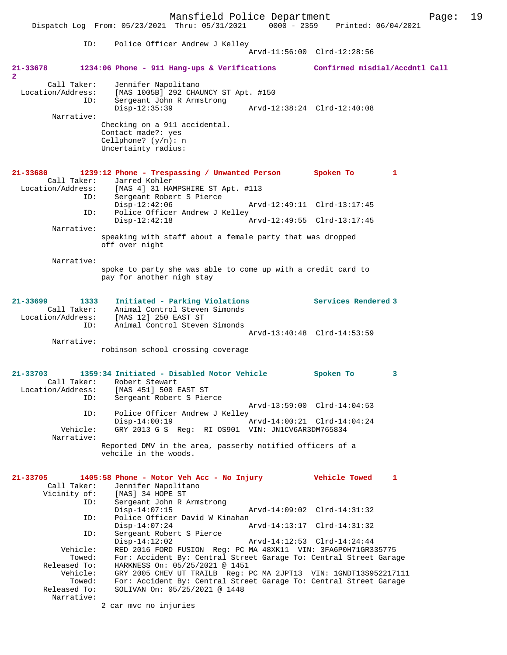Mansfield Police Department Page: 19 Dispatch Log From: 05/23/2021 Thru: 05/31/2021 0000 - 2359 ID: Police Officer Andrew J Kelley Arvd-11:56:00 Clrd-12:28:56 **21-33678 1234:06 Phone - 911 Hang-ups & Verifications Confirmed misdial/Accdntl Call 2**  Call Taker: Jennifer Napolitano Location/Address: [MAS 1005B]<sup>[292 CHAUNCY ST Apt. #150</sup> Sergeant John R Armstrong<br>Disp-12:35:39 Disp-12:35:39 Arvd-12:38:24 Clrd-12:40:08 Narrative: Checking on a 911 accidental. Contact made?: yes Cellphone? (y/n): n Uncertainty radius: **21-33680 1239:12 Phone - Trespassing / Unwanted Person Spoken To 1**  Call Taker: Jarred Kohler Location/Address: [MAS 4] 31 HAMPSHIRE ST Apt. #113 Sergeant Robert S Pierce<br>Disp-12:42:06 Disp-12:42:06 Arvd-12:49:11 Clrd-13:17:45<br>ID: Police Officer Andrew J Kelley Police Officer Andrew J Kelley Disp-12:42:18 Arvd-12:49:55 Clrd-13:17:45 Narrative: speaking with staff about a female party that was dropped off over night Narrative: spoke to party she was able to come up with a credit card to pay for another nigh stay **21-33699 1333 Initiated - Parking Violations Services Rendered 3**  Call Taker: Animal Control Steven Simonds Location/Address: [MAS 12] 250 EAST ST ID: Animal Control Steven Simonds Arvd-13:40:48 Clrd-14:53:59 Narrative: robinson school crossing coverage **21-33703 1359:34 Initiated - Disabled Motor Vehicle Spoken To 3**  Call Taker: Robert Stewart<br>Location/Address: [MAS 451] 500 1 ess: [MAS 451] 500 EAST ST<br>ID: Sergeant Robert S Pier Sergeant Robert S Pierce Arvd-13:59:00 Clrd-14:04:53<br>TD: Police Officer Andrew J Kelley Police Officer Andrew J Kelley<br>Disp-14:00:19 Disp-14:00:19 Arvd-14:00:21 Clrd-14:04:24 Vehicle: GRY 2013 G S Reg: RI OS901 VIN: JN1CV6AR3DM765834 Narrative: Reported DMV in the area, passerby notified officers of a vehcile in the woods. **21-33705 1405:58 Phone - Motor Veh Acc - No Injury Vehicle Towed 1**  Call Taker: Jennifer Napolitano<br>Vicinity of: [MAS] 34 HOPE ST of: [MAS] 34 HOPE ST<br>ID: Sergeant John R R Sergeant John R Armstrong<br>Disp-14:07:15 Arvd-14:09:02 Clrd-14:31:32 ID: Police Officer David W Kinahan Arvd-14:13:17 Clrd-14:31:32 ID: Sergeant Robert S Pierce Disp-14:12:02 Arvd-14:12:53 Clrd-14:24:44<br>Vehicle: RED 2016 FORD FUSION Req: PC MA 48XK11 VIN: 3FA6P0H71GR3 RED 2016 FORD FUSION Reg: PC MA 48XK11 VIN: 3FA6P0H71GR335775 Towed: For: Accident By: Central Street Garage To: Central Street Garage Released To: HARKNESS On: 05/25/2021 @ 1451 Vehicle: GRY 2005 CHEV UT TRAILB Reg: PC MA 2JPT13 VIN: 1GNDT13S952217111 Towed: For: Accident By: Central Street Garage To: Central Street Garage Released To: SOLIVAN On: 05/25/2021 @ 1448 SOLIVAN On: 05/25/2021 @ 1448 Narrative:

2 car mvc no injuries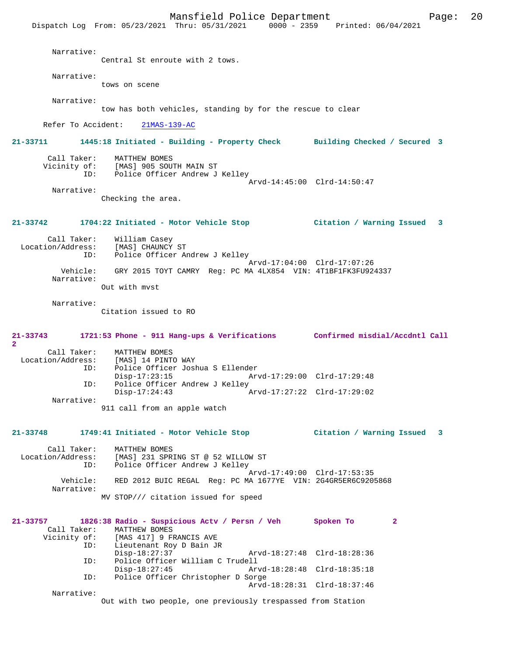Mansfield Police Department Page: 20 Dispatch Log From: 05/23/2021 Thru: 05/31/2021 0000 - 2359 Printed: 06/04/2021 Narrative: Central St enroute with 2 tows. Narrative: tows on scene Narrative: tow has both vehicles, standing by for the rescue to clear Refer To Accident: 21MAS-139-AC **21-33711 1445:18 Initiated - Building - Property Check Building Checked / Secured 3** Call Taker: MATTHEW BOMES<br>Vicinity of: [MAS] 905 SOUT Vicinity of: [MAS] 905 SOUTH MAIN ST Police Officer Andrew J Kelley Arvd-14:45:00 Clrd-14:50:47 Narrative: Checking the area. **21-33742 1704:22 Initiated - Motor Vehicle Stop Citation / Warning Issued 3** Call Taker: William Casey Location/Address: [MAS] CHAUNCY ST ID: Police Officer Andrew J Kelley Arvd-17:04:00 Clrd-17:07:26 Vehicle: GRY 2015 TOYT CAMRY Reg: PC MA 4LX854 VIN: 4T1BF1FK3FU924337 Narrative: Out with mvst Narrative: Citation issued to RO **21-33743 1721:53 Phone - 911 Hang-ups & Verifications Confirmed misdial/Accdntl Call 2**  Call Taker: MATTHEW BOMES<br>Location/Address: [MAS] 14 PINT [MAS] 14 PINTO WAY ID: Police Officer Joshua S Ellender Disp-17:23:15 Arvd-17:29:00 Clrd-17:29:48<br>ID: Police Officer Andrew J Kelley Police Officer Andrew J Kelley<br>Disp-17:24:43 Disp-17:24:43 Arvd-17:27:22 Clrd-17:29:02 Narrative: 911 call from an apple watch **21-33748 1749:41 Initiated - Motor Vehicle Stop Citation / Warning Issued 3** Call Taker: MATTHEW BOMES Location/Address: [MAS] 231 SPRING ST @ 52 WILLOW ST ID: Police Officer Andrew J Kelley Arvd-17:49:00 Clrd-17:53:35<br>Vehicle: RED 2012 BUIC REGAL Reg: PC MA 1677YE VIN: 2G4GR5ER6C9209 RED 2012 BUIC REGAL Reg: PC MA 1677YE VIN: 2G4GR5ER6C9205868 Narrative: MV STOP/// citation issued for speed **21-33757 1826:38 Radio - Suspicious Actv / Persn / Veh Spoken To 2**  Call Taker: MATTHEW BOMES<br>Vicinity of: [MAS 417] 9 FI of: [MAS 417] 9 FRANCIS AVE<br>ID: Lieutenant Roy D Bain JR Lieutenant Roy D Bain JR<br>Disp-18:27:37 Disp-18:27:37 Arvd-18:27:48 Clrd-18:28:36<br>TD: Police Officer William C Trudell ID: Police Officer William C Trudell Disp-18:27:45 Arvd-18:28:48 Clrd-18:35:18<br>TD: Police Officer Christopher D Sorge Police Officer Christopher D Sorge Arvd-18:28:31 Clrd-18:37:46 Narrative:

Out with two people, one previously trespassed from Station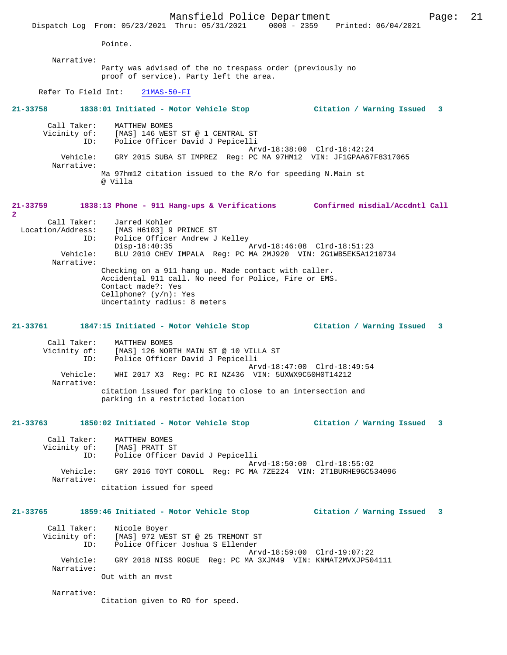Mansfield Police Department Page: 21 Dispatch Log From: 05/23/2021 Thru: 05/31/2021 0000 - 2359 Printed: 06/04/2021 Pointe. Narrative: Party was advised of the no trespass order (previously no proof of service). Party left the area. Refer To Field Int: 21MAS-50-FI **21-33758 1838:01 Initiated - Motor Vehicle Stop Citation / Warning Issued 3** Call Taker: MATTHEW BOMES Vicinity of: [MAS] 146 WEST ST @ 1 CENTRAL ST ID: Police Officer David J Pepicelli Arvd-18:38:00 Clrd-18:42:24 Vehicle: GRY 2015 SUBA ST IMPREZ Reg: PC MA 97HM12 VIN: JF1GPAA67F8317065 Narrative: Ma 97hm12 citation issued to the R/o for speeding N.Main st @ Villa **21-33759 1838:13 Phone - 911 Hang-ups & Verifications Confirmed misdial/Accdntl Call 2**  Call Taker: Jarred Kohler Location/Address: [MAS H6103] 9 PRINCE ST ID: Police Officer Andrew J Kelley<br>Disp-18:40:35 Disp-18:40:35 Arvd-18:46:08 Clrd-18:51:23 Vehicle: BLU 2010 CHEV IMPALA Reg: PC MA 2MJ920 VIN: 2G1WB5EK5A1210734 Narrative: Checking on a 911 hang up. Made contact with caller. Accidental 911 call. No need for Police, Fire or EMS. Contact made?: Yes Cellphone? (y/n): Yes Uncertainty radius: 8 meters **21-33761 1847:15 Initiated - Motor Vehicle Stop Citation / Warning Issued 3** Call Taker: MATTHEW BOMES Vicinity of: [MAS] 126 NORTH MAIN ST @ 10 VILLA ST<br>TD: Police Officer David J Pepicelli Police Officer David J Pepicelli Arvd-18:47:00 Clrd-18:49:54 Vehicle: WHI 2017 X3 Reg: PC RI NZ436 VIN: 5UXWX9C50H0T14212 Narrative: citation issued for parking to close to an intersection and parking in a restricted location **21-33763 1850:02 Initiated - Motor Vehicle Stop Citation / Warning Issued 3** Call Taker: MATTHEW BOMES Vicinity of: [MAS] PRATT ST ID: Police Officer David J Pepicelli Arvd-18:50:00 Clrd-18:55:02<br>Vehicle: GRY 2016 TOYT COROLL Reg: PC MA 7ZE224 VIN: 2T1BURHE9GC5 GRY 2016 TOYT COROLL Reg: PC MA 7ZE224 VIN: 2T1BURHE9GC534096 Narrative: citation issued for speed **21-33765 1859:46 Initiated - Motor Vehicle Stop Citation / Warning Issued 3** Call Taker: Nicole Boyer Vicinity of: [MAS] 972 WEST ST @ 25 TREMONT ST ID: Police Officer Joshua S Ellender Arvd-18:59:00 Clrd-19:07:22 Vehicle: GRY 2018 NISS ROGUE Reg: PC MA 3XJM49 VIN: KNMAT2MVXJP504111 Narrative: Out with an mvst Narrative:

Citation given to RO for speed.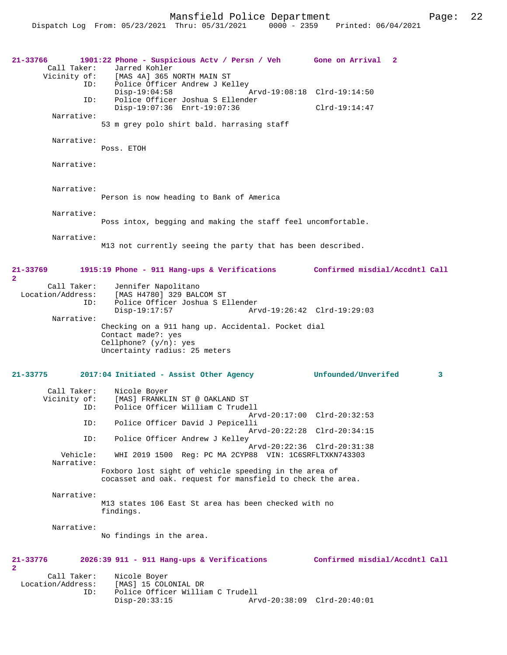```
21-33766 1901:22 Phone - Suspicious Actv / Persn / Veh Gone on Arrival 2 
                      [MAS 4A] 365 NORTH MAIN ST
               ID: Police Officer Andrew J Kelley<br>Disp-19:04:58
                Disp-19:04:58 Arvd-19:08:18 Clrd-19:14:50<br>ID: Police Officer Joshua S Ellender
                      Police Officer Joshua S Ellender
                       Disp-19:07:36 Enrt-19:07:36 Clrd-19:14:47
                   53 m grey polo shirt bald. harrasing staff
```
Narrative:

Narrative:

Narrative:

Call Taker: Jarred Kohler<br>Vicinity of: [MAS 4A] 365 1

Poss. ETOH

 Narrative: Person is now heading to Bank of America

Narrative:

Poss intox, begging and making the staff feel uncomfortable.

Narrative:

**2** 

M13 not currently seeing the party that has been described.

## **21-33769 1915:19 Phone - 911 Hang-ups & Verifications Confirmed misdial/Accdntl Call 2**  Call Taker: Jennifer Napolitano<br>Location/Address: [MAS H4780] 329 BAL [MAS H4780] 329 BALCOM ST ID: Police Officer Joshua S Ellender Arvd-19:26:42 Clrd-19:29:03 Narrative: Checking on a 911 hang up. Accidental. Pocket dial Contact made?: yes Cellphone? (y/n): yes Uncertainty radius: 25 meters **21-33775 2017:04 Initiated - Assist Other Agency Unfounded/Unverifed 3** Call Taker: Nicole Boyer Vicinity of: [MAS] FRANKLIN ST @ OAKLAND ST<br>TD: Police Officer William C Trude Police Officer William C Trudell Arvd-20:17:00 Clrd-20:32:53<br>ID: Police Officer David J Pepicelli Police Officer David J Pepicelli Arvd-20:22:28 Clrd-20:34:15 ID: Police Officer Andrew J Kelley Arvd-20:22:36 Clrd-20:31:38<br>Vehicle: WHI 2019 1500 Reg: PC MA 2CYP88 VIN: 1C6SRFLTXKN743303 WHI 2019 1500 Reg: PC MA 2CYP88 VIN: 1C6SRFLTXKN743303 Narrative: Foxboro lost sight of vehicle speeding in the area of cocasset and oak. request for mansfield to check the area. Narrative: M13 states 106 East St area has been checked with no findings. Narrative: No findings in the area. **21-33776 2026:39 911 - 911 Hang-ups & Verifications Confirmed misdial/Accdntl Call**

| Call Taker:       | Nicole Boyer                     |                             |  |
|-------------------|----------------------------------|-----------------------------|--|
| Location/Address: | [MAS] 15 COLONIAL DR             |                             |  |
| ID:               | Police Officer William C Trudell |                             |  |
|                   | Disp-20:33:15                    | Arvd-20:38:09 Clrd-20:40:01 |  |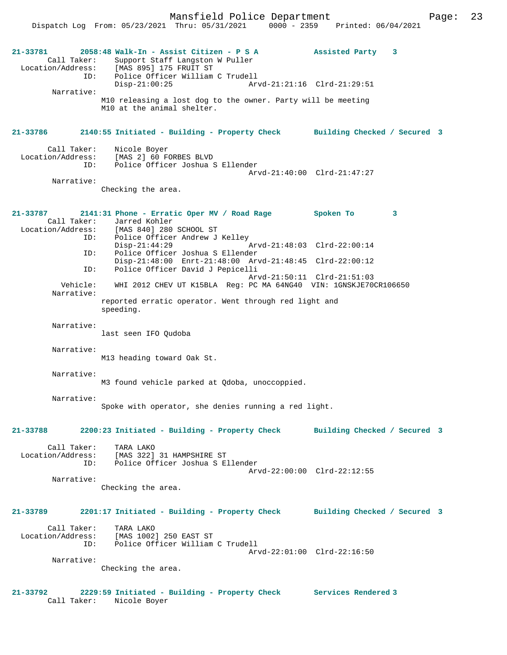**21-33781 2058:48 Walk-In - Assist Citizen - P S A Assisted Party 3**  Call Taker: Support Staff Langston W Puller Location/Address: [MAS 895] 175 FRUIT ST ID: Police Officer William C Trudell Disp-21:00:25 Arvd-21:21:16 Clrd-21:29:51 Narrative: M10 releasing a lost dog to the owner. Party will be meeting M10 at the animal shelter. **21-33786 2140:55 Initiated - Building - Property Check Building Checked / Secured 3** Call Taker: Nicole Boyer Location/Address: [MAS 2] 60 FORBES BLVD ID: Police Officer Joshua S Ellender Arvd-21:40:00 Clrd-21:47:27 Narrative: Checking the area. **21-33787 2141:31 Phone - Erratic Oper MV / Road Rage Spoken To 3**  Call Taker: Jarred Kohler<br>Location/Address: [MAS 840] 280  $IMAS 8401 280$  SCHOOL ST ID: Police Officer Andrew J Kelley<br>Disp-21:44:29 Disp-21:44:29 Arvd-21:48:03 Clrd-22:00:14<br>ID: Police Officer Joshua S Ellender Police Officer Joshua S Ellender Disp-21:48:00 Enrt-21:48:00 Arvd-21:48:45 Clrd-22:00:12<br>ID: Police Officer David J Pepicelli Police Officer David J Pepicelli Arvd-21:50:11 Clrd-21:51:03 Vehicle: WHI 2012 CHEV UT K15BLA Reg: PC MA 64NG40 VIN: 1GNSKJE70CR106650 Narrative: reported erratic operator. Went through red light and speeding. Narrative: last seen IFO Qudoba Narrative: M13 heading toward Oak St. Narrative: M3 found vehicle parked at Qdoba, unoccoppied. Narrative: Spoke with operator, she denies running a red light. **21-33788 2200:23 Initiated - Building - Property Check Building Checked / Secured 3** Call Taker: TARA LAKO Location/Address: [MAS 322] 31 HAMPSHIRE ST<br>ID: Police Officer Joshua S E Police Officer Joshua S Ellender Arvd-22:00:00 Clrd-22:12:55 Narrative: Checking the area. **21-33789 2201:17 Initiated - Building - Property Check Building Checked / Secured 3** Call Taker: TARA LAKO Location/Address: [MAS 1002] 250 EAST ST ID: Police Officer William C Trudell Arvd-22:01:00 Clrd-22:16:50 Narrative: Checking the area.

**21-33792 2229:59 Initiated - Building - Property Check Services Rendered 3**  Call Taker: Nicole Boyer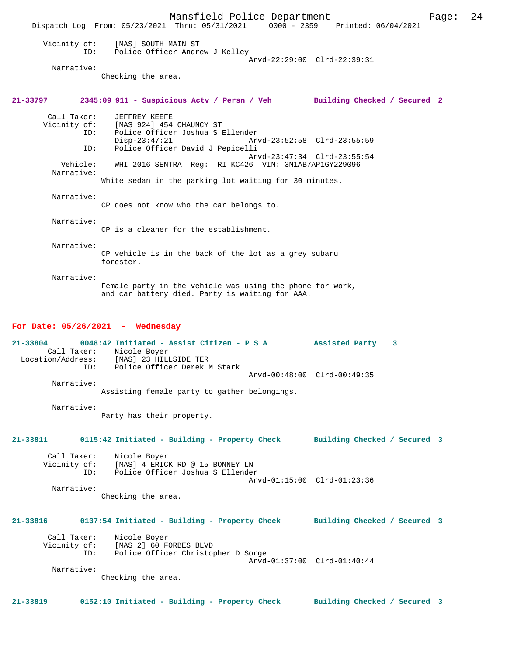|                                                                                                                 | Dispatch Log From: 05/23/2021 Thru: 05/31/2021 0000 - 2359 Printed: 06/04/2021 | Mansfield Police Department                                                                                  |                             | Page: | 24 |
|-----------------------------------------------------------------------------------------------------------------|--------------------------------------------------------------------------------|--------------------------------------------------------------------------------------------------------------|-----------------------------|-------|----|
| Vicinity of:<br>ID:                                                                                             | [MAS] SOUTH MAIN ST                                                            | Police Officer Andrew J Kelley                                                                               |                             |       |    |
| Narrative:                                                                                                      |                                                                                |                                                                                                              | Arvd-22:29:00 Clrd-22:39:31 |       |    |
|                                                                                                                 | Checking the area.                                                             |                                                                                                              |                             |       |    |
| 21-33797 2345:09 911 - Suspicious Actv / Persn / Veh Building Checked / Secured 2                               |                                                                                |                                                                                                              |                             |       |    |
| Call Taker:<br>ID:<br>ID:                                                                                       | JEFFREY KEEFE<br>Vicinity of: [MAS 924] 454 CHAUNCY ST<br>$Disp-23:47:21$      | Police Officer Joshua S Ellender<br>Police Officer David J Pepicelli                                         | Arvd-23:52:58 Clrd-23:55:59 |       |    |
| Vehicle:<br>Narrative:                                                                                          |                                                                                | WHI 2016 SENTRA Req: RI KC426 VIN: 3N1AB7AP1GY229096                                                         | Arvd-23:47:34 Clrd-23:55:54 |       |    |
|                                                                                                                 |                                                                                | White sedan in the parking lot waiting for 30 minutes.                                                       |                             |       |    |
| Narrative:                                                                                                      |                                                                                | CP does not know who the car belongs to.                                                                     |                             |       |    |
| Narrative:                                                                                                      |                                                                                | CP is a cleaner for the establishment.                                                                       |                             |       |    |
| Narrative:                                                                                                      | forester.                                                                      | CP vehicle is in the back of the lot as a grey subaru                                                        |                             |       |    |
| Narrative:                                                                                                      |                                                                                | Female party in the vehicle was using the phone for work,<br>and car battery died. Party is waiting for AAA. |                             |       |    |
| For Date: $05/26/2021$ - Wednesday                                                                              |                                                                                |                                                                                                              |                             |       |    |
| 21-33804 0048:42 Initiated - Assist Citizen - P S A 3ssisted Party 3<br>Location/Address: [MAS] 23 HILLSIDE TER | Call Taker: Nicole Boyer                                                       |                                                                                                              |                             |       |    |
| ID:                                                                                                             |                                                                                | Police Officer Derek M Stark                                                                                 | Arvd-00:48:00 Clrd-00:49:35 |       |    |
| Narrative:                                                                                                      |                                                                                | Assisting female party to gather belongings.                                                                 |                             |       |    |
| Narrative:                                                                                                      | Party has their property.                                                      |                                                                                                              |                             |       |    |
| 21-33811                                                                                                        | 0115:42 Initiated - Building - Property Check Building Checked / Secured 3     |                                                                                                              |                             |       |    |
| Call Taker:<br>Vicinity of:<br>ID:                                                                              | Nicole Boyer                                                                   | [MAS] 4 ERICK RD @ 15 BONNEY LN<br>Police Officer Joshua S Ellender                                          | Arvd-01:15:00 Clrd-01:23:36 |       |    |
| Narrative:                                                                                                      | Checking the area.                                                             |                                                                                                              |                             |       |    |
| 21-33816 0137:54 Initiated - Building - Property Check Building Checked / Secured 3                             |                                                                                |                                                                                                              |                             |       |    |
| Call Taker:<br>ID:                                                                                              | Nicole Boyer<br>Vicinity of: [MAS 2] 60 FORBES BLVD                            | Police Officer Christopher D Sorge                                                                           | Arvd-01:37:00 Clrd-01:40:44 |       |    |
| Narrative:                                                                                                      | Checking the area.                                                             |                                                                                                              |                             |       |    |
| 21-33819                                                                                                        | 0152:10 Initiated - Building - Property Check Building Checked / Secured 3     |                                                                                                              |                             |       |    |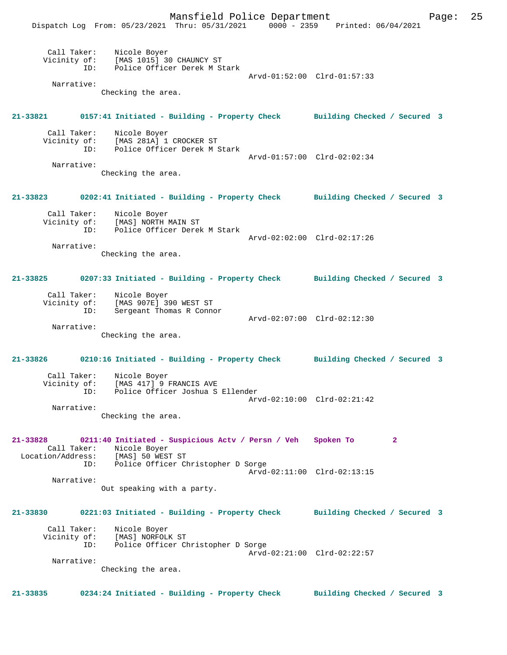Mansfield Police Department Page: 25 Dispatch Log From: 05/23/2021 Thru: 05/31/2021 0000 - 2359 Printed: 06/04/2021 Call Taker: Nicole Boyer Vicinity of: [MAS 1015] 30 CHAUNCY ST ID: Police Officer Derek M Stark Arvd-01:52:00 Clrd-01:57:33 Narrative: Checking the area. **21-33821 0157:41 Initiated - Building - Property Check Building Checked / Secured 3** Call Taker: Nicole Boyer Vicinity of: [MAS 281A] 1 CROCKER ST<br>ID: Police Officer Derek M 9 Police Officer Derek M Stark Arvd-01:57:00 Clrd-02:02:34 Narrative: Checking the area. **21-33823 0202:41 Initiated - Building - Property Check Building Checked / Secured 3** Call Taker: Nicole Boyer Vicinity of: [MAS] NORTH MAIN ST ID: Police Officer Derek M Stark Arvd-02:02:00 Clrd-02:17:26 Narrative: Checking the area. **21-33825 0207:33 Initiated - Building - Property Check Building Checked / Secured 3** Call Taker: Nicole Boyer Vicinity of: [MAS 907E] 390 WEST ST<br>ID: Sergeant Thomas R Conno Sergeant Thomas R Connor Arvd-02:07:00 Clrd-02:12:30 Narrative: Checking the area. **21-33826 0210:16 Initiated - Building - Property Check Building Checked / Secured 3** Call Taker: Nicole Boyer Vicinity of: [MAS 417] 9 FRANCIS AVE ID: Police Officer Joshua S Ellender Arvd-02:10:00 Clrd-02:21:42 Narrative: Checking the area. **21-33828 0211:40 Initiated - Suspicious Actv / Persn / Veh Spoken To 2**  Call Taker: Nicole Boyer Location/Address: [MAS] 50 WEST ST ID: Police Officer Christopher D Sorge Arvd-02:11:00 Clrd-02:13:15 Narrative: Out speaking with a party. **21-33830 0221:03 Initiated - Building - Property Check Building Checked / Secured 3** Call Taker: Nicole Boyer<br>Vicinity of: [MAS] NORFOLI Vicinity of: [MAS] NORFOLK ST ID: Police Officer Christopher D Sorge Arvd-02:21:00 Clrd-02:22:57 Narrative: Checking the area. **21-33835 0234:24 Initiated - Building - Property Check Building Checked / Secured 3**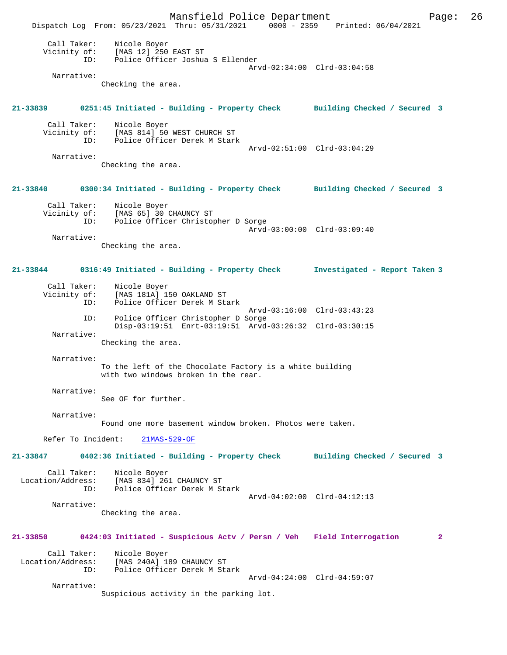Mansfield Police Department Page: 26 Dispatch Log From: 05/23/2021 Thru: 05/31/2021 0000 - 2359 Printed: 06/04/2021 Call Taker: Nicole Boyer Vicinity of: [MAS 12] 250 EAST ST<br>ID: Police Officer Joshus Police Officer Joshua S Ellender Arvd-02:34:00 Clrd-03:04:58 Narrative: Checking the area. **21-33839 0251:45 Initiated - Building - Property Check Building Checked / Secured 3** Call Taker: Nicole Boyer<br>Vicinity of: [MAS 814] 50 of: [MAS 814] 50 WEST CHURCH ST<br>ID: Police Officer Derek M Starl Police Officer Derek M Stark Arvd-02:51:00 Clrd-03:04:29 Narrative: Checking the area. **21-33840 0300:34 Initiated - Building - Property Check Building Checked / Secured 3** Call Taker: Nicole Boyer<br>Vicinity of: [MAS 65] 30 of: [MAS 65] 30 CHAUNCY ST<br>ID: Police Officer Christon Police Officer Christopher D Sorge Arvd-03:00:00 Clrd-03:09:40 Narrative: Checking the area. **21-33844 0316:49 Initiated - Building - Property Check Investigated - Report Taken 3** Call Taker: Nicole Boyer<br>Vicinity of: [MAS 181A] 19 [MAS 181A] 150 OAKLAND ST ID: Police Officer Derek M Stark Arvd-03:16:00 Clrd-03:43:23<br>ID: Police Officer Christopher D Sorge Police Officer Christopher D Sorge Disp-03:19:51 Enrt-03:19:51 Arvd-03:26:32 Clrd-03:30:15 Narrative: Checking the area. Narrative: To the left of the Chocolate Factory is a white building with two windows broken in the rear. Narrative: See OF for further. Narrative: Found one more basement window broken. Photos were taken. Refer To Incident: 21MAS-529-OF **21-33847 0402:36 Initiated - Building - Property Check Building Checked / Secured 3** Call Taker: Nicole Boyer<br>Location/Address: [MAS 834] 26  $[MAS 834]$  261 CHAUNCY ST ID: Police Officer Derek M Stark Arvd-04:02:00 Clrd-04:12:13 Narrative: Checking the area. **21-33850 0424:03 Initiated - Suspicious Actv / Persn / Veh Field Interrogation 2** Call Taker: Nicole Boyer Location/Address: [MAS 240A] 189 CHAUNCY ST ID: Police Officer Derek M Stark Arvd-04:24:00 Clrd-04:59:07 Narrative: Suspicious activity in the parking lot.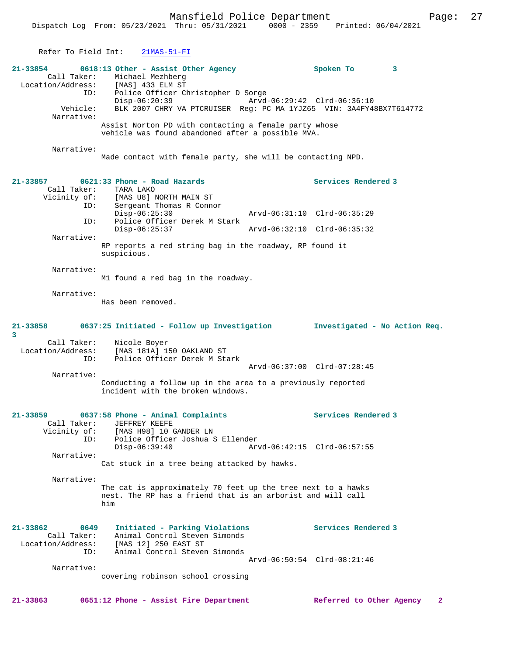Mansfield Police Department Fage: 27

| Refer To Field Int:                                                           | $21MAS-51-FI$                                                                                                                                                                                                                                                        |                             |                                                    |                               |
|-------------------------------------------------------------------------------|----------------------------------------------------------------------------------------------------------------------------------------------------------------------------------------------------------------------------------------------------------------------|-----------------------------|----------------------------------------------------|-------------------------------|
| 21-33854<br>Call Taker:<br>Location/Address:<br>ID:<br>Vehicle:<br>Narrative: | 0618:13 Other - Assist Other Agency<br>Michael Mezhberg<br>[MAS] 433 ELM ST<br>Police Officer Christopher D Sorge<br>$Disp-06:20:39$<br>BLK 2007 CHRY VA PTCRUISER Req: PC MA 1YJZ65 VIN: 3A4FY48BX7T614772<br>Assist Norton PD with contacting a female party whose |                             | Spoken To<br>Arvd-06:29:42 Clrd-06:36:10           | 3                             |
|                                                                               | vehicle was found abandoned after a possible MVA.                                                                                                                                                                                                                    |                             |                                                    |                               |
| Narrative:                                                                    | Made contact with female party, she will be contacting NPD.                                                                                                                                                                                                          |                             |                                                    |                               |
| 21-33857<br>Call Taker:<br>ID:                                                | 0621:33 Phone - Road Hazards<br>TARA LAKO<br>Vicinity of: [MAS U8] NORTH MAIN ST<br>Sergeant Thomas R Connor                                                                                                                                                         |                             | Services Rendered 3                                |                               |
| ID:                                                                           | $Disp-06:25:30$<br>Police Officer Derek M Stark                                                                                                                                                                                                                      | Arvd-06:31:10 Clrd-06:35:29 |                                                    |                               |
| Narrative:                                                                    | $Disp-06:25:37$                                                                                                                                                                                                                                                      | Arvd-06:32:10 Clrd-06:35:32 |                                                    |                               |
|                                                                               | RP reports a red string bag in the roadway, RP found it<br>suspicious.                                                                                                                                                                                               |                             |                                                    |                               |
| Narrative:                                                                    | M1 found a red bag in the roadway.                                                                                                                                                                                                                                   |                             |                                                    |                               |
| Narrative:                                                                    | Has been removed.                                                                                                                                                                                                                                                    |                             |                                                    |                               |
|                                                                               |                                                                                                                                                                                                                                                                      |                             |                                                    |                               |
| 21-33858<br>3                                                                 | 0637:25 Initiated - Follow up Investigation                                                                                                                                                                                                                          |                             |                                                    | Investigated - No Action Req. |
| Call Taker:<br>ID:                                                            | Nicole Boyer<br>Location/Address: [MAS 181A] 150 OAKLAND ST<br>Police Officer Derek M Stark                                                                                                                                                                          | Arvd-06:37:00 Clrd-07:28:45 |                                                    |                               |
| Narrative:                                                                    | Conducting a follow up in the area to a previously reported<br>incident with the broken windows.                                                                                                                                                                     |                             |                                                    |                               |
| 21-33859<br>Call Taker:<br>Vicinity of:<br>ID:                                | 0637:58 Phone - Animal Complaints<br>JEFFREY KEEFE<br>[MAS H98] 10 GANDER LN<br>Police Officer Joshua S Ellender<br>Disp-06:39:40                                                                                                                                    |                             | Services Rendered 3<br>Arvd-06:42:15 Clrd-06:57:55 |                               |
| Narrative:                                                                    | Cat stuck in a tree being attacked by hawks.                                                                                                                                                                                                                         |                             |                                                    |                               |
| Narrative:                                                                    | The cat is approximately 70 feet up the tree next to a hawks<br>nest. The RP has a friend that is an arborist and will call<br>him                                                                                                                                   |                             |                                                    |                               |
| $21 - 33862$<br>0649<br>Call Taker:<br>Location/Address:<br>ID:               | Initiated - Parking Violations<br>Animal Control Steven Simonds<br>[MAS 12] 250 EAST ST<br>Animal Control Steven Simonds                                                                                                                                             |                             | Services Rendered 3                                |                               |

**21-33863 0651:12 Phone - Assist Fire Department Referred to Other Agency 2**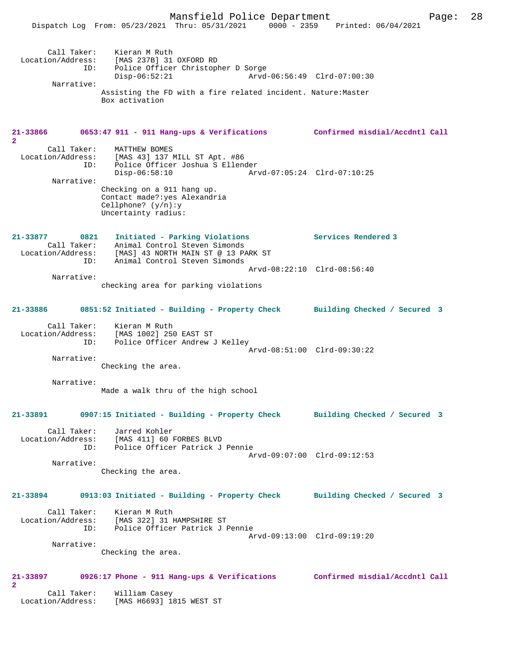Dispatch Log From: 05/23/2021 Thru: 05/31/2021 0000 - 2359 Printed: 06/04/2021

|                               | Call Taker: Kieran M Ruth<br>Location/Address: [MAS 237B] 31 OXFORD RD                     |                             |
|-------------------------------|--------------------------------------------------------------------------------------------|-----------------------------|
| ID:                           | Police Officer Christopher D Sorge<br>$Disp-06:52:21$                                      | Arvd-06:56:49 Clrd-07:00:30 |
| Narrative:                    |                                                                                            |                             |
|                               | Assisting the FD with a fire related incident. Nature: Master<br>Box activation            |                             |
|                               |                                                                                            |                             |
|                               | 21-33866 0653:47 911 - 911 Hang-ups & Verifications Confirmed misdial/Accdntl Call         |                             |
| $\overline{2}$<br>Call Taker: | MATTHEW BOMES                                                                              |                             |
| Location/Address:             | [MAS 43] 137 MILL ST Apt. #86<br>ID: Police Officer Joshua S Ellender                      |                             |
|                               | $Disp-06:58:10$                                                                            | Arvd-07:05:24 Clrd-07:10:25 |
| Narrative:                    | Checking on a 911 hang up.                                                                 |                             |
|                               | Contact made?: yes Alexandria                                                              |                             |
|                               | Cellphone? $(y/n):y$<br>Uncertainty radius:                                                |                             |
|                               |                                                                                            |                             |
|                               | 21-33877 0821 Initiated - Parking Violations<br>Call Taker: Animal Control Steven Simonds  | Services Rendered 3         |
|                               | Location/Address: [MAS] 43 NORTH MAIN ST @ 13 PARK ST<br>ID: Animal Control Steven Simonds |                             |
|                               |                                                                                            | Arvd-08:22:10 Clrd-08:56:40 |
| Narrative:                    | checking area for parking violations                                                       |                             |
|                               |                                                                                            |                             |
|                               | 21-33886 0851:52 Initiated - Building - Property Check Building Checked / Secured 3        |                             |
|                               | Call Taker: Kieran M Ruth<br>Location/Address: [MAS 1002] 250 EAST ST                      |                             |
|                               | ID: Police Officer Andrew J Kelley                                                         | Arvd-08:51:00 Clrd-09:30:22 |
| Narrative:                    |                                                                                            |                             |
|                               | Checking the area.                                                                         |                             |
| Narrative:                    | Made a walk thru of the high school                                                        |                             |
|                               |                                                                                            |                             |
|                               | 21-33891 0907:15 Initiated - Building - Property Check Building Checked / Secured 3        |                             |
|                               | Call Taker: Jarred Kohler<br>Location/Address: [MAS 411] 60 FORBES BLVD                    |                             |
|                               | ID: Police Officer Patrick J Pennie                                                        |                             |
| Narrative:                    |                                                                                            | Arvd-09:07:00 Clrd-09:12:53 |
|                               | Checking the area.                                                                         |                             |
|                               | 21-33894 0913:03 Initiated - Building - Property Check Building Checked / Secured 3        |                             |
|                               | Call Taker: Kieran M Ruth                                                                  |                             |
|                               | Location/Address: [MAS 322] 31 HAMPSHIRE ST                                                |                             |
|                               | ID: Police Officer Patrick J Pennie                                                        | Arvd-09:13:00 Clrd-09:19:20 |
| Narrative:                    | Checking the area.                                                                         |                             |
|                               |                                                                                            |                             |
| $\overline{a}$                | 21-33897 0926:17 Phone - 911 Hang-ups & Verifications Confirmed misdial/Accdntl Call       |                             |
|                               | Call Taker: William Casey<br>Location/Address: [MAS H6693] 1815 WEST ST                    |                             |
|                               |                                                                                            |                             |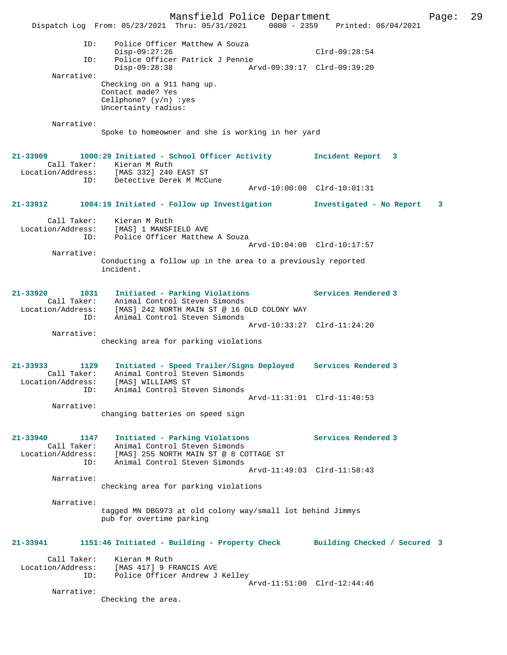Mansfield Police Department Page: 29 Dispatch Log From: 05/23/2021 Thru: 05/31/2021 0000 - 2359 Printed: 06/04/2021 ID: Police Officer Matthew A Souza Disp-09:27:26 Clrd-09:28:54 ID: Police Officer Patrick J Pennie Disp-09:28:38 Arvd-09:39:17 Clrd-09:39:20 Narrative: Checking on a 911 hang up. Contact made? Yes Cellphone? (y/n) :yes Uncertainty radius: Narrative: Spoke to homeowner and she is working in her yard **21-33909 1000:29 Initiated - School Officer Activity Incident Report 3**  Call Taker: Kieran M Ruth Location/Address: [MAS 332] 240 EAST ST ID: Detective Derek M McCune Arvd-10:00:00 Clrd-10:01:31 **21-33912 1004:19 Initiated - Follow up Investigation Investigated - No Report 3** Call Taker: Kieran M Ruth Location/Address: [MAS] 1 MANSFIELD AVE ID: Police Officer Matthew A Souza Arvd-10:04:00 Clrd-10:17:57 Narrative: Conducting a follow up in the area to a previously reported incident. **21-33920 1031 Initiated - Parking Violations Services Rendered 3**  Call Taker: Animal Control Steven Simonds Location/Address: [MAS] 242 NORTH MAIN ST @ 16 OLD COLONY WAY ID: Animal Control Steven Simonds Arvd-10:33:27 Clrd-11:24:20 Narrative: checking area for parking violations **21-33933 1129 Initiated - Speed Trailer/Signs Deployed Services Rendered 3**  Call Taker: Animal Control Steven Simonds Location/Address: [MAS] WILLIAMS ST ID: Animal Control Steven Simonds Arvd-11:31:01 Clrd-11:40:53 Narrative: changing batteries on speed sign **21-33940 1147 Initiated - Parking Violations Services Rendered 3**  Call Taker: Animal Control Steven Simonds Location/Address: [MAS] 255 NORTH MAIN ST @ 8 COTTAGE ST ID: Animal Control Steven Simonds Arvd-11:49:03 Clrd-11:58:43 Narrative: checking area for parking violations Narrative: tagged MN DBG973 at old colony way/small lot behind Jimmys pub for overtime parking **21-33941 1151:46 Initiated - Building - Property Check Building Checked / Secured 3** Call Taker: Kieran M Ruth Location/Address: [MAS 417] 9 FRANCIS AVE ID: Police Officer Andrew J Kelley Arvd-11:51:00 Clrd-12:44:46 Narrative: Checking the area.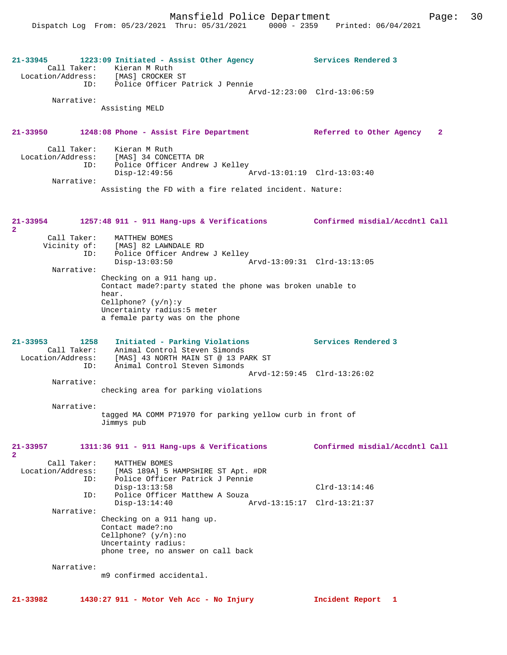| 21-33945                                                        | 1223:09 Initiated - Assist Other Agency<br>Call Taker: Kieran M Ruth<br>Location/Address: [MAS] CROCKER ST                              | Services Rendered 3            |
|-----------------------------------------------------------------|-----------------------------------------------------------------------------------------------------------------------------------------|--------------------------------|
|                                                                 | ID: Police Officer Patrick J Pennie                                                                                                     | Arvd-12:23:00 Clrd-13:06:59    |
| Narrative:                                                      | Assisting MELD                                                                                                                          |                                |
| 21-33950                                                        | 1248:08 Phone - Assist Fire Department Referred to Other Agency                                                                         | 2                              |
| Call Taker:<br>Location/Address:<br>ID:                         | Kieran M Ruth<br>[MAS] 34 CONCETTA DR<br>Police Officer Andrew J Kelley<br>$Disp-12:49:56$<br>Arvd-13:01:19 Clrd-13:03:40               |                                |
| Narrative:                                                      | Assisting the FD with a fire related incident. Nature:                                                                                  |                                |
| 21-33954<br>$\mathbf{2}$                                        | 1257:48 911 - 911 Hang-ups & Verifications Confirmed misdial/Accdntl Call                                                               |                                |
| Call Taker:                                                     | MATTHEW BOMES<br>Vicinity of: [MAS] 82 LAWNDALE RD<br>ID: Police Officer Andrey<br>Police Officer Andrew J Kelley<br>$Disp-13:03:50$    |                                |
| Narrative:                                                      | Checking on a 911 hang up.                                                                                                              |                                |
|                                                                 | Contact made?: party stated the phone was broken unable to<br>hear.                                                                     |                                |
|                                                                 | Cellphone? $(y/n):y$<br>Uncertainty radius:5 meter<br>a female party was on the phone                                                   |                                |
|                                                                 |                                                                                                                                         |                                |
| $21 - 33953$<br>1258<br>Call Taker:<br>Location/Address:<br>ID: | Initiated - Parking Violations<br>Animal Control Steven Simonds<br>[MAS] 43 NORTH MAIN ST @ 13 PARK ST<br>Animal Control Steven Simonds | Services Rendered 3            |
| Narrative:                                                      |                                                                                                                                         | Arvd-12:59:45 Clrd-13:26:02    |
|                                                                 | checking area for parking violations                                                                                                    |                                |
| Narrative:                                                      | tagged MA COMM P71970 for parking yellow curb in front of<br>Jimmys pub                                                                 |                                |
| 21-33957<br>$\mathbf{2}$                                        | 1311:36 911 - 911 Hang-ups & Verifications                                                                                              | Confirmed misdial/Accdntl Call |
| Call Taker:<br>Location/Address:<br>ID:                         | MATTHEW BOMES<br>[MAS 189A] 5 HAMPSHIRE ST Apt. #DR<br>Police Officer Patrick J Pennie                                                  |                                |
| ID:                                                             | $Disp-13:13:58$<br>Police Officer Matthew A Souza                                                                                       | $Clrd-13:14:46$                |
| Narrative:                                                      | $Disp-13:14:40$                                                                                                                         | Arvd-13:15:17 Clrd-13:21:37    |
|                                                                 | Checking on a 911 hang up.<br>Contact made?:no<br>Cellphone? $(y/n)$ : no<br>Uncertainty radius:<br>phone tree, no answer on call back  |                                |
| Narrative:                                                      |                                                                                                                                         |                                |
|                                                                 | m9 confirmed accidental.                                                                                                                |                                |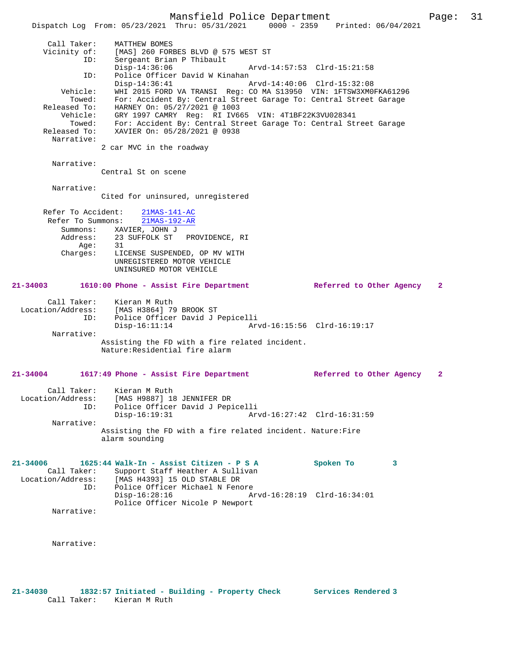Mansfield Police Department Page: 31

 Dispatch Log From: 05/23/2021 Thru: 05/31/2021 0000 - 2359 Printed: 06/04/2021 Call Taker: MATTHEW BOMES Vicinity of: [MAS] 260 FORBES BLVD @ 575 WEST ST ID: Sergeant Brian P Thibault Disp-14:36:06 Arvd-14:57:53 Clrd-15:21:58 ID: Police Officer David W Kinahan Disp-14:36:41 Arvd-14:40:06 Clrd-15:32:08 Vehicle: WHI 2015 FORD VA TRANSI Reg: CO MA S13950 VIN: 1FTSW3XM0FKA61296 Towed: For: Accident By: Central Street Garage To: Central Street Garage Released To: HARNEY On: 05/27/2021 @ 1003 Vehicle: GRY 1997 CAMRY Reg: RI IV665 VIN: 4T1BF22K3VU028341 Towed: For: Accident By: Central Street Garage To: Central Street Garage Released To: XAVIER On: 05/28/2021 @ 0938 Narrative:

2 car MVC in the roadway

Narrative:

Central St on scene

 Narrative: Cited for uninsured, unregistered

| Refer To Accident:                    |    | $21MAS-141-AC$                |  |  |
|---------------------------------------|----|-------------------------------|--|--|
| Refer To Summons: 21MAS-192-AR        |    |                               |  |  |
| Summons:                              |    | XAVIER, JOHN J                |  |  |
| Address: 23 SUFFOLK ST PROVIDENCE, RI |    |                               |  |  |
| Aqe:                                  | 31 |                               |  |  |
| Charges:                              |    | LICENSE SUSPENDED, OP MV WITH |  |  |
|                                       |    | UNREGISTERED MOTOR VEHICLE    |  |  |
|                                       |    | UNINSURED MOTOR VEHICLE       |  |  |
|                                       |    |                               |  |  |

## **21-34003 1610:00 Phone - Assist Fire Department Referred to Other Agency 2**

Call Taker: Kieran M Ruth<br>Location/Address: [MAS H3864] 79 Location/Address: [MAS H3864] 79 BROOK ST ID: Police Officer David J Pepicelli Disp-16:11:14 Arvd-16:15:56 Clrd-16:19:17 Narrative: Assisting the FD with a fire related incident. Nature:Residential fire alarm

# **21-34004 1617:49 Phone - Assist Fire Department Referred to Other Agency 2**

 Call Taker: Kieran M Ruth Location/Address: [MAS H9887] 18 JENNIFER DR ID: Police Officer David J Pepicelli Disp-16:19:31 Arvd-16:27:42 Clrd-16:31:59 Narrative: Assisting the FD with a fire related incident. Nature:Fire alarm sounding

**21-34006 1625:44 Walk-In - Assist Citizen - P S A Spoken To 3**  Call Taker: Support Staff Heather A Sullivan Location/Address: [MAS H4393] 15 OLD STABLE DR ID: Police Officer Michael N Fenore<br>Disp-16:28:16 Ar Disp-16:28:16 Arvd-16:28:19 Clrd-16:34:01 Police Officer Nicole P Newport Narrative:

Narrative: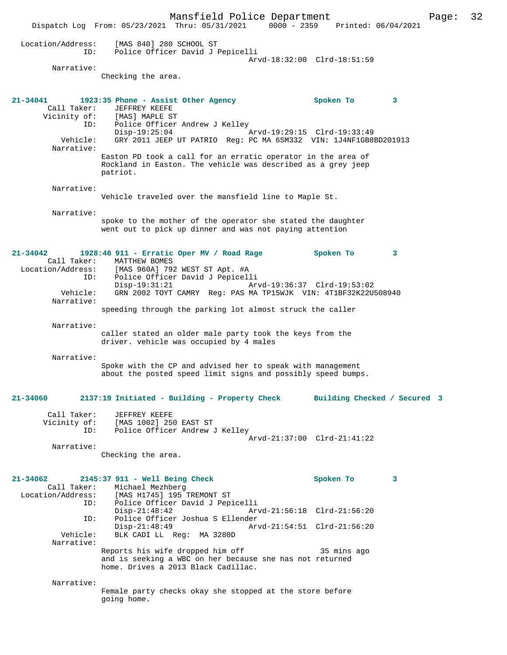Mansfield Police Department Page: 32 Dispatch Log From: 05/23/2021 Thru: 05/31/2021 Location/Address: [MAS 840] 280 SCHOOL ST ID: Police Officer David J Pepicelli Arvd-18:32:00 Clrd-18:51:59 Narrative: Checking the area. **21-34041 1923:35 Phone - Assist Other Agency Spoken To 3**  Call Taker: JEFFREY KEEFE Vicinity of: [MAS] MAPLE ST Vicinity of: [MAS] MAPLE ST<br>ID: Police Officer Andrew J Kelley Disp-19:25:04 <br>Disp-19:25:04 Arvd-19:29:15 Clrd-19:33:49<br>Vehicle: GRY 2011 JEEP UT PATRIO Reg: PC MA 6SM332 VIN: 1J4NF1GB8 Vehicle: GRY 2011 JEEP UT PATRIO Reg: PC MA 6SM332 VIN: 1J4NF1GB8BD201913 Narrative: Easton PD took a call for an erratic operator in the area of Rockland in Easton. The vehicle was described as a grey jeep patriot. Narrative: Vehicle traveled over the mansfield line to Maple St. Narrative: spoke to the mother of the operator she stated the daughter went out to pick up dinner and was not paying attention **21-34042 1928:46 911 - Erratic Oper MV / Road Rage Spoken To 3**  Call Taker: MATTHEW BOMES<br>Location/Address: [MAS 960A] 792 [MAS 960A] 792 WEST ST Apt. #A ID: Police Officer David J Pepicelli Disp-19:31:21 Arvd-19:36:37 Clrd-19:53:02<br>Vehicle: GRN 2002 TOYT CAMRY Reg: PAS MA TP15WJK VIN: 4T1BF32K22U Vehicle: GRN 2002 TOYT CAMRY Reg: PAS MA TP15WJK VIN: 4T1BF32K22U508940 Narrative: speeding through the parking lot almost struck the caller Narrative: caller stated an older male party took the keys from the driver. vehicle was occupied by 4 males Narrative: Spoke with the CP and advised her to speak with management about the posted speed limit signs and possibly speed bumps. **21-34060 2137:19 Initiated - Building - Property Check Building Checked / Secured 3** Call Taker: JEFFREY KEEFE Vicinity of: [MAS 1002] 250 EAST ST ID: Police Officer Andrew J Kelley Arvd-21:37:00 Clrd-21:41:22 Narrative: Checking the area. **21-34062 2145:37 911 - Well Being Check Spoken To 3**  Call Taker: Michael Mezhberg<br>Location/Address: [MAS H1745] 195 [MAS H1745] 195 TREMONT ST ID: Police Officer David J Pepicelli Disp-21:48:42 Arvd-21:56:18 Clrd-21:56:20 ID: Police Officer Joshua S Ellender<br>Disp-21:48:49 Ar Disp-21:48:49<br>Vehicle: BLK CADI LL Req: MA 3280D<br>Disposition arrod-21:54:51 Clrd-21:56:20 Vehicle: BLK CADI LL Reg: MA 3280D Narrative: Reports his wife dropped him off 35 mins ago and is seeking a WBC on her because she has not returned home. Drives a 2013 Black Cadillac. Narrative: Female party checks okay she stopped at the store before going home.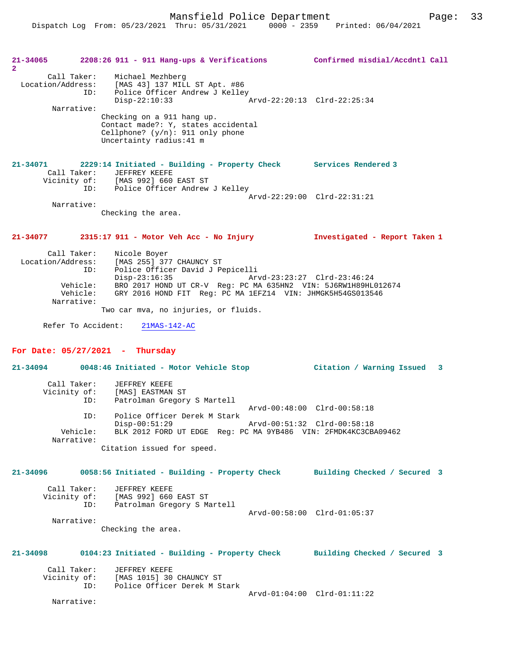Mansfield Police Department Fage: 33

| $21 - 34065$         |                                                          | $2208:26$ 911 - 911 Hang-ups & Verifications                                                                                                                                                                                                                                                               | Confirmed misdial/Accdntl Call |
|----------------------|----------------------------------------------------------|------------------------------------------------------------------------------------------------------------------------------------------------------------------------------------------------------------------------------------------------------------------------------------------------------------|--------------------------------|
| $\mathbf{2}^{\circ}$ | Call Taker:<br>ID:<br>Narrative:                         | Michael Mezhberg<br>Location/Address: [MAS 43] 137 MILL ST Apt. #86<br>Police Officer Andrew J Kelley<br>$Disp-22:10:33$<br>Checking on a 911 hang up.<br>Contact made?: Y, states accidental<br>Cellphone? $(y/n): 911$ only phone<br>Uncertainty radius: 41 m                                            | Arvd-22:20:13 Clrd-22:25:34    |
| 21-34071             | Call Taker:                                              | 2229:14 Initiated - Building - Property Check Services Rendered 3<br><b>JEFFREY KEEFE</b><br>Vicinity of: [MAS 992] 660 EAST ST<br>ID: Police Officer Andrew J Kelley                                                                                                                                      |                                |
|                      |                                                          |                                                                                                                                                                                                                                                                                                            | Arvd-22:29:00 Clrd-22:31:21    |
|                      | Narrative:                                               |                                                                                                                                                                                                                                                                                                            |                                |
|                      |                                                          | Checking the area.                                                                                                                                                                                                                                                                                         |                                |
| 21-34077             |                                                          | 2315:17 911 - Motor Veh Acc - No Injury                                                                                                                                                                                                                                                                    | Investigated - Report Taken 1  |
| Location/Address:    | Call Taker:<br>ID:<br>Vehicle:<br>Vehicle:<br>Narrative: | Nicole Boyer<br>[MAS 255] 377 CHAUNCY ST<br>Police Officer David J Pepicelli<br>$Disp-23:16:35$<br>BRO 2017 HOND UT CR-V Req: PC MA 635HN2 VIN: 5J6RW1H89HL012674<br>GRY 2016 HOND FIT Reg: PC MA 1EFZ14 VIN: JHMGK5H54GS013546<br>Two car mva, no injuries, or fluids.<br>Refer To Accident: 21MAS-142-AC | Arvd-23:23:27 Clrd-23:46:24    |
|                      |                                                          | For Date: $05/27/2021$ - Thursday                                                                                                                                                                                                                                                                          |                                |
|                      |                                                          | 21-34094 0048:46 Initiated - Motor Vehicle Stop                                                                                                                                                                                                                                                            | Citation / Warning Issued 3    |
|                      | Call Taker:<br>ID:                                       | JEFFREY KEEFE<br>Vicinity of: [MAS] EASTMAN ST<br>Patrolman Gregory S Martell                                                                                                                                                                                                                              |                                |
|                      | ID:                                                      | Police Officer Derek M Stark                                                                                                                                                                                                                                                                               | Arvd-00:48:00 Clrd-00:58:18    |
|                      | Vehicle:<br>Narrative:                                   | $Disp-00:51:29$<br>BLK 2012 FORD UT EDGE Reg: PC MA 9YB486 VIN: 2FMDK4KC3CBA09462<br>Citation issued for speed.                                                                                                                                                                                            | Arvd-00:51:32 Clrd-00:58:18    |
| $21 - 34096$         |                                                          | 0058:56 Initiated - Building - Property Check                                                                                                                                                                                                                                                              | Building Checked / Secured 3   |
|                      | Call Taker:<br>ID:                                       | JEFFREY KEEFE<br>Vicinity of: [MAS 992] 660 EAST ST<br>Patrolman Gregory S Martell                                                                                                                                                                                                                         | Arvd-00:58:00 Clrd-01:05:37    |
|                      | Narrative:                                               | Checking the area.                                                                                                                                                                                                                                                                                         |                                |
| 21-34098             |                                                          | 0104:23 Initiated - Building - Property Check                                                                                                                                                                                                                                                              | Building Checked / Secured 3   |
|                      | Call Taker:<br>Vicinity of:<br>ID:                       | JEFFREY KEEFE<br>[MAS 1015] 30 CHAUNCY ST<br>Police Officer Derek M Stark                                                                                                                                                                                                                                  | Arvd-01:04:00 Clrd-01:11:22    |
|                      | Narrative:                                               |                                                                                                                                                                                                                                                                                                            |                                |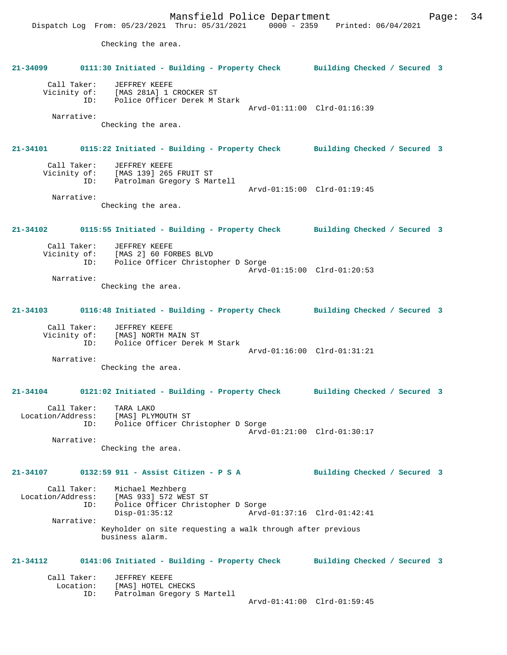Mansfield Police Department Page: 34 Dispatch Log From: 05/23/2021 Thru: 05/31/2021 0000 - 2359 Printed: 06/04/2021 Checking the area. **21-34099 0111:30 Initiated - Building - Property Check Building Checked / Secured 3** Call Taker: JEFFREY KEEFE Vicinity of: [MAS 281A] 1 CROCKER ST ID: Police Officer Derek M Stark Arvd-01:11:00 Clrd-01:16:39 Narrative: Checking the area. **21-34101 0115:22 Initiated - Building - Property Check Building Checked / Secured 3** Call Taker: JEFFREY KEEFE Vicinity of: [MAS 139] 265 FRUIT ST ID: Patrolman Gregory S Martell Arvd-01:15:00 Clrd-01:19:45 Narrative: Checking the area. **21-34102 0115:55 Initiated - Building - Property Check Building Checked / Secured 3** Call Taker: JEFFREY KEEFE<br>Vicinity of: [MAS 2] 60 FOI of: [MAS 2] 60 FORBES BLVD<br>ID: Police Officer Christop Police Officer Christopher D Sorge Arvd-01:15:00 Clrd-01:20:53 Narrative: Checking the area. **21-34103 0116:48 Initiated - Building - Property Check Building Checked / Secured 3** Call Taker: JEFFREY KEEFE Vicinity of: [MAS] NORTH MAIN ST ID: Police Officer Derek M Stark Arvd-01:16:00 Clrd-01:31:21 Narrative: Checking the area. **21-34104 0121:02 Initiated - Building - Property Check Building Checked / Secured 3** Call Taker: TARA LAKO Location/Address: [MAS] PLYMOUTH ST ID: Police Officer Christopher D Sorge Arvd-01:21:00 Clrd-01:30:17 Narrative: Checking the area. **21-34107 0132:59 911 - Assist Citizen - P S A Building Checked / Secured 3** Call Taker: Michael Mezhberg Location/Address: [MAS 933] 572 WEST ST ID: Police Officer Christopher D Sorge Disp-01:35:12 Arvd-01:37:16 Clrd-01:42:41 Narrative: Keyholder on site requesting a walk through after previous business alarm. **21-34112 0141:06 Initiated - Building - Property Check Building Checked / Secured 3** Call Taker: JEFFREY KEEFE<br>Location: [MAS] HOTEL CI Lon: [MAS] HOTEL CHECKS<br>ID: Patrolman Gregory S Patrolman Gregory S Martell Arvd-01:41:00 Clrd-01:59:45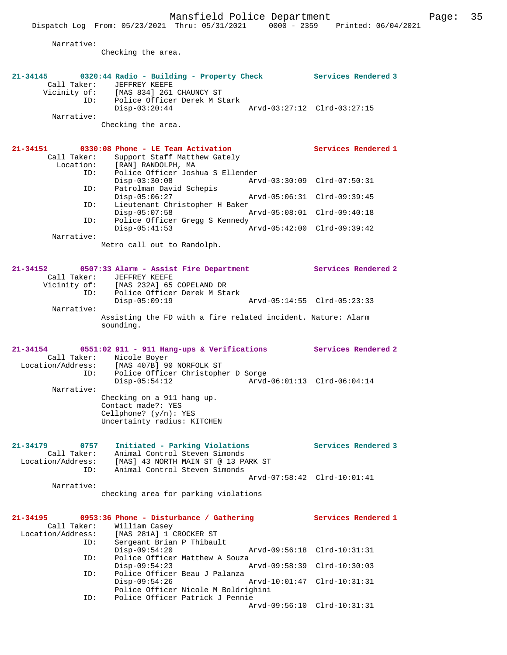Narrative:

Checking the area.

|                                  | 21-34145 0320:44 Radio - Building - Property Check                        |               | <b>Services Rendered 3</b>  |
|----------------------------------|---------------------------------------------------------------------------|---------------|-----------------------------|
| Call Taker:<br>Vicinity of:      | JEFFREY KEEFE<br>[MAS 834] 261 CHAUNCY ST                                 |               |                             |
| ID:                              | Police Officer Derek M Stark                                              |               |                             |
|                                  | $Disp-03:20:44$                                                           |               | Arvd-03:27:12 Clrd-03:27:15 |
| Narrative:                       | Checking the area.                                                        |               |                             |
|                                  |                                                                           |               |                             |
|                                  |                                                                           |               |                             |
| 21-34151<br>Call Taker:          | 0330:08 Phone - LE Team Activation<br>Support Staff Matthew Gately        |               | Services Rendered 1         |
| Location:                        | [RAN] RANDOLPH, MA                                                        |               |                             |
| ID:                              | Police Officer Joshua S Ellender                                          |               |                             |
| ID:                              | $Disp-03:30:08$<br>Patrolman David Schepis                                |               | Arvd-03:30:09 Clrd-07:50:31 |
|                                  | $Disp-05:06:27$                                                           |               | Arvd-05:06:31 Clrd-09:39:45 |
| ID:                              | Lieutenant Christopher H Baker                                            |               |                             |
|                                  | $Disp-05:07:58$                                                           |               | Arvd-05:08:01 Clrd-09:40:18 |
| ID:                              | Police Officer Gregg S Kennedy<br>$Disp-05:41:53$                         |               | Arvd-05:42:00 Clrd-09:39:42 |
| Narrative:                       |                                                                           |               |                             |
|                                  | Metro call out to Randolph.                                               |               |                             |
|                                  |                                                                           |               |                             |
| $21 - 34152$                     | 0507:33 Alarm - Assist Fire Department                                    |               | Services Rendered 2         |
|                                  | Call Taker: JEFFREY KEEFE                                                 |               |                             |
| Vicinity of:                     | [MAS 232A] 65 COPELAND DR<br>ID: Police Officer Derek M Stark             |               |                             |
|                                  | $Disp-05:09:19$                                                           |               | Arvd-05:14:55 Clrd-05:23:33 |
| Narrative:                       |                                                                           |               |                             |
|                                  | Assisting the FD with a fire related incident. Nature: Alarm<br>sounding. |               |                             |
|                                  |                                                                           |               |                             |
|                                  |                                                                           |               |                             |
|                                  |                                                                           |               |                             |
| $21 - 34154$                     | 0551:02 911 - 911 Hang-ups & Verifications                                |               | <b>Services Rendered 2</b>  |
| Location/Address:                | Call Taker: Nicole Boyer<br>[MAS 407B] 90 NORFOLK ST                      |               |                             |
| ID:                              | Police Officer Christopher D Sorge                                        |               |                             |
|                                  | $Disp-05:54:12$                                                           |               | Arvd-06:01:13 Clrd-06:04:14 |
| Narrative:                       |                                                                           |               |                             |
|                                  | Checking on a 911 hang up.<br>Contact made?: YES                          |               |                             |
|                                  | Cellphone? $(y/n)$ : YES                                                  |               |                             |
|                                  | Uncertainty radius: KITCHEN                                               |               |                             |
|                                  |                                                                           |               |                             |
| $21 - 34179$<br>0757             | Initiated - Parking Violations                                            |               | Services Rendered 3         |
| Call Taker:<br>Location/Address: | Animal Control Steven Simonds<br>[MAS] 43 NORTH MAIN ST @ 13 PARK ST      |               |                             |
| ID:                              | Animal Control Steven Simonds                                             |               |                             |
|                                  |                                                                           |               | Arvd-07:58:42 Clrd-10:01:41 |
| Narrative:                       |                                                                           |               |                             |
|                                  | checking area for parking violations                                      |               |                             |
|                                  |                                                                           |               |                             |
| $21 - 34195$<br>Call Taker:      | 0953:36 Phone - Disturbance / Gathering                                   |               | Services Rendered 1         |
| Location/Address:                | William Casey<br>[MAS 281A] 1 CROCKER ST                                  |               |                             |
| ID:                              | Sergeant Brian P Thibault                                                 |               |                             |
| ID:                              | $Disp-09:54:20$<br>Police Officer Matthew A Souza                         |               | Arvd-09:56:18 Clrd-10:31:31 |
|                                  | $Disp-09:54:23$                                                           | Arvd-09:58:39 | $Clrd-10:30:03$             |
| ID:                              | Police Officer Beau J Palanza                                             |               |                             |
|                                  | $Disp-09:54:26$                                                           |               | Arvd-10:01:47 Clrd-10:31:31 |
| ID:                              | Police Officer Nicole M Boldrighini<br>Police Officer Patrick J Pennie    |               |                             |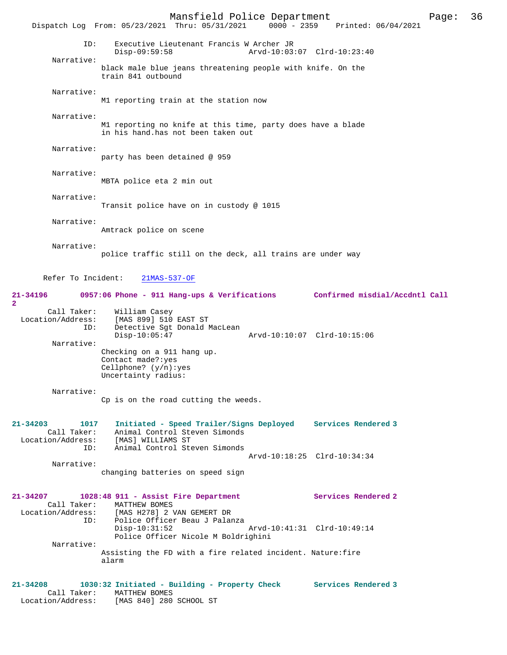|                                                                          |                                                                                                   | Mansfield Police Department<br>Dispatch Log From: 05/23/2021 Thru: 05/31/2021                                                                  | $0000 - 2359$ | Printed: 06/04/2021                                          | Page: | 36 |
|--------------------------------------------------------------------------|---------------------------------------------------------------------------------------------------|------------------------------------------------------------------------------------------------------------------------------------------------|---------------|--------------------------------------------------------------|-------|----|
| ID:                                                                      | $Disp-09:59:58$                                                                                   | Executive Lieutenant Francis W Archer JR                                                                                                       |               | Arvd-10:03:07 Clrd-10:23:40                                  |       |    |
| Narrative:                                                               | train 841 outbound                                                                                | black male blue jeans threatening people with knife. On the                                                                                    |               |                                                              |       |    |
| Narrative:                                                               |                                                                                                   | M1 reporting train at the station now                                                                                                          |               |                                                              |       |    |
| Narrative:                                                               |                                                                                                   | M1 reporting no knife at this time, party does have a blade<br>in his hand.has not been taken out                                              |               |                                                              |       |    |
| Narrative:                                                               | party has been detained @ 959                                                                     |                                                                                                                                                |               |                                                              |       |    |
| Narrative:                                                               | MBTA police eta 2 min out                                                                         |                                                                                                                                                |               |                                                              |       |    |
| Narrative:                                                               |                                                                                                   | Transit police have on in custody @ 1015                                                                                                       |               |                                                              |       |    |
| Narrative:                                                               | Amtrack police on scene                                                                           |                                                                                                                                                |               |                                                              |       |    |
| Narrative:                                                               |                                                                                                   | police traffic still on the deck, all trains are under way                                                                                     |               |                                                              |       |    |
| Refer To Incident:                                                       | $21MAS-537-OF$                                                                                    |                                                                                                                                                |               |                                                              |       |    |
| $21 - 34196$                                                             |                                                                                                   | 0957:06 Phone - 911 Hang-ups & Verifications                                                                                                   |               | Confirmed misdial/Accdntl Call                               |       |    |
| $\mathbf{2}$<br>Call Taker:<br>Location/Address:<br>ID:                  | William Casey<br>[MAS 899] 510 EAST ST<br>$Disp-10:05:47$                                         | Detective Sgt Donald MacLean                                                                                                                   |               | Arvd-10:10:07 Clrd-10:15:06                                  |       |    |
| Narrative:                                                               | Checking on a 911 hang up.<br>Contact made?: yes<br>Cellphone? $(y/n):yes$<br>Uncertainty radius: |                                                                                                                                                |               |                                                              |       |    |
| Narrative:                                                               |                                                                                                   | Cp is on the road cutting the weeds.                                                                                                           |               |                                                              |       |    |
| $21 - 34203$<br>1017<br>Call Taker:<br>Location/Address:<br>ID:          | [MAS] WILLIAMS ST                                                                                 | Animal Control Steven Simonds<br>Animal Control Steven Simonds                                                                                 |               | Initiated - Speed Trailer/Signs Deployed Services Rendered 3 |       |    |
| Narrative:                                                               |                                                                                                   | changing batteries on speed sign                                                                                                               |               | Arvd-10:18:25 Clrd-10:34:34                                  |       |    |
| 21-34207<br>Location/Address:                                            | Call Taker: MATTHEW BOMES<br>$Disp-10:31:52$                                                      | 1028:48 911 - Assist Fire Department<br>[MAS H278] 2 VAN GEMERT DR<br>ID: Police Officer Beau J Palanza<br>Police Officer Nicole M Boldrighini |               | Services Rendered 2<br>Arvd-10:41:31 Clrd-10:49:14           |       |    |
| Narrative:                                                               | alarm                                                                                             | Assisting the FD with a fire related incident. Nature: fire                                                                                    |               |                                                              |       |    |
| $21 - 34208$<br>Call Taker:<br>Location/Address: [MAS 840] 280 SCHOOL ST | MATTHEW BOMES                                                                                     | 1030:32 Initiated - Building - Property Check                                                                                                  |               | Services Rendered 3                                          |       |    |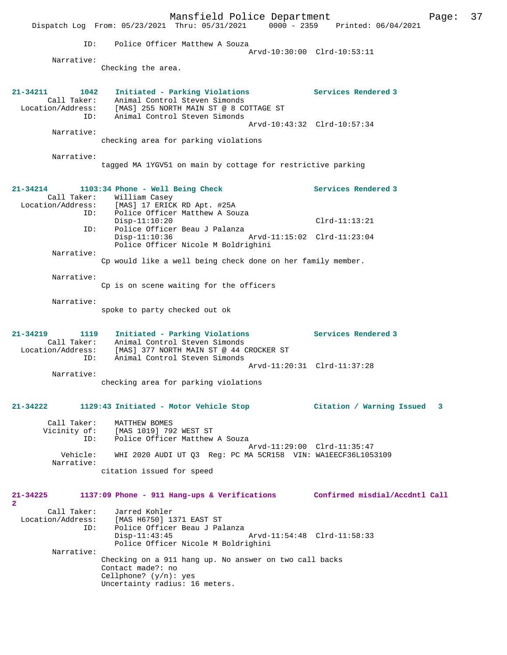|                                                             | Mansfield Police Department<br>Dispatch Log From: 05/23/2021 Thru: 05/31/2021 0000 - 2359 Printed: 06/04/2021                                                            |                             | Page: | 37 |
|-------------------------------------------------------------|--------------------------------------------------------------------------------------------------------------------------------------------------------------------------|-----------------------------|-------|----|
| ID:                                                         | Police Officer Matthew A Souza                                                                                                                                           | Arvd-10:30:00 Clrd-10:53:11 |       |    |
| Narrative:                                                  | Checking the area.                                                                                                                                                       |                             |       |    |
| $21 - 34211$<br>1042<br>ID:                                 | Initiated - Parking Violations<br>Call Taker: Animal Control Steven Simonds<br>Location/Address: [MAS] 255 NORTH MAIN ST @ 8 COTTAGE ST<br>Animal Control Steven Simonds | Services Rendered 3         |       |    |
| Narrative:                                                  |                                                                                                                                                                          | Arvd-10:43:32 Clrd-10:57:34 |       |    |
|                                                             | checking area for parking violations                                                                                                                                     |                             |       |    |
| Narrative:                                                  | tagged MA 1YGV51 on main by cottage for restrictive parking                                                                                                              |                             |       |    |
| $21 - 34214$                                                | 1103:34 Phone - Well Being Check<br>Call Taker: William Casey<br>Location/Address: [MAS] 17 ERICK RD Apt. #25A                                                           | Services Rendered 3         |       |    |
| ID:                                                         | Police Officer Matthew A Souza<br>$Disp-11:10:20$                                                                                                                        | $Clrd-11:13:21$             |       |    |
| ID:                                                         | Police Officer Beau J Palanza<br>$Disp-11:10:36$<br>Arvd-11:15:02 Clrd-11:23:04<br>Police Officer Nicole M Boldrighini                                                   |                             |       |    |
| Narrative:                                                  | Cp would like a well being check done on her family member.                                                                                                              |                             |       |    |
| Narrative:                                                  | Cp is on scene waiting for the officers                                                                                                                                  |                             |       |    |
| Narrative:                                                  |                                                                                                                                                                          |                             |       |    |
|                                                             | spoke to party checked out ok                                                                                                                                            |                             |       |    |
| 21-34219<br>1119<br>Call Taker:<br>Location/Address:<br>ID: | Initiated - Parking Violations<br>Animal Control Steven Simonds<br>[MAS] 377 NORTH MAIN ST @ 44 CROCKER ST<br>Animal Control Steven Simonds                              | Services Rendered 3         |       |    |
| Narrative:                                                  |                                                                                                                                                                          | Arvd-11:20:31 Clrd-11:37:28 |       |    |
|                                                             | checking area for parking violations                                                                                                                                     |                             |       |    |
| 21-34222                                                    | 1129:43 Initiated - Motor Vehicle Stop                                                                                                                                   | Citation / Warning Issued   | 3     |    |
| Call Taker:<br>ID:                                          | MATTHEW BOMES<br>Vicinity of: [MAS 1019] 792 WEST ST<br>Police Officer Matthew A Souza                                                                                   | Arvd-11:29:00 Clrd-11:35:47 |       |    |
| Vehicle:<br>Narrative:                                      | WHI 2020 AUDI UT Q3 Reg: PC MA 5CR158 VIN: WA1EECF36L1053109                                                                                                             |                             |       |    |
|                                                             | citation issued for speed                                                                                                                                                |                             |       |    |
| 21-34225<br>$\overline{2}$                                  | 1137:09 Phone - 911 Hang-ups & Verifications Confirmed misdial/Accdntl Call                                                                                              |                             |       |    |
| Call Taker:<br>Location/Address:<br>ID:                     | Jarred Kohler<br>[MAS H6750] 1371 EAST ST<br>Police Officer Beau J Palanza<br>$Disp-11:43:45$<br>Police Officer Nicole M Boldrighini                                     | Arvd-11:54:48 Clrd-11:58:33 |       |    |
| Narrative:                                                  | Checking on a 911 hang up. No answer on two call backs<br>Contact made?: no<br>Cellphone? $(y/n)$ : yes<br>Uncertainty radius: 16 meters.                                |                             |       |    |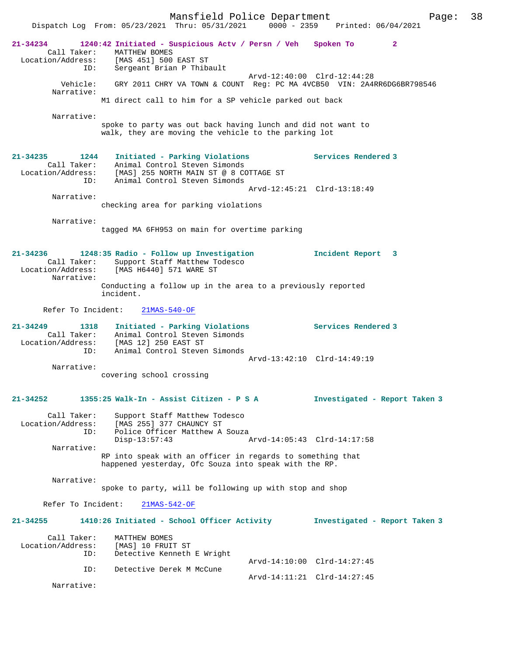Mansfield Police Department Page: 38 Dispatch Log From: 05/23/2021 Thru: 05/31/2021 **21-34234 1240:42 Initiated - Suspicious Actv / Persn / Veh Spoken To 2**  Call Taker: MATTHEW BOMES Location/Address: [MAS 451] 500 EAST ST ID: Sergeant Brian P Thibault Arvd-12:40:00 Clrd-12:44:28 Vehicle: GRY 2011 CHRY VA TOWN & COUNT Reg: PC MA 4VCB50 VIN: 2A4RR6DG6BR798546 Narrative: M1 direct call to him for a SP vehicle parked out back Narrative: spoke to party was out back having lunch and did not want to walk, they are moving the vehicle to the parking lot **21-34235 1244 Initiated - Parking Violations Services Rendered 3**  Call Taker: Animal Control Steven Simonds Location/Address: [MAS] 255 NORTH MAIN ST @ 8 COTTAGE ST ID: Animal Control Steven Simonds Arvd-12:45:21 Clrd-13:18:49 Narrative: checking area for parking violations Narrative: tagged MA 6FH953 on main for overtime parking **21-34236 1248:35 Radio - Follow up Investigation Incident Report 3**  Call Taker: Support Staff Matthew Todesco Location/Address: [MAS H6440] 571 WARE ST Narrative: Conducting a follow up in the area to a previously reported incident. Refer To Incident: 21MAS-540-OF **21-34249 1318 Initiated - Parking Violations Services Rendered 3**  Call Taker: Animal Control Steven Simonds Location/Address: [MAS 12] 250 EAST ST ID: Animal Control Steven Simonds Arvd-13:42:10 Clrd-14:49:19 Narrative: covering school crossing **21-34252 1355:25 Walk-In - Assist Citizen - P S A Investigated - Report Taken 3** Call Taker: Support Staff Matthew Todesco<br>Location/Address: [MAS 255] 377 CHAUNCY ST ess: [MAS 255] 377 CHAUNCY ST<br>ID: Police Officer Matthew A Police Officer Matthew A Souza<br>Disp-13:57:43 Disp-13:57:43 Arvd-14:05:43 Clrd-14:17:58 Narrative: RP into speak with an officer in regards to something that happened yesterday, Ofc Souza into speak with the RP. Narrative: spoke to party, will be following up with stop and shop Refer To Incident: 21MAS-542-OF **21-34255 1410:26 Initiated - School Officer Activity Investigated - Report Taken 3** Call Taker: MATTHEW BOMES<br>Location/Address: [MAS] 10 FRUI Ess: [MAS] 10 FRUIT ST:<br>ID: Detective Kenneth .<br>Detective Kenneth E Wright Arvd-14:10:00 Clrd-14:27:45 ID: Detective Derek M McCune Arvd-14:11:21 Clrd-14:27:45 Narrative: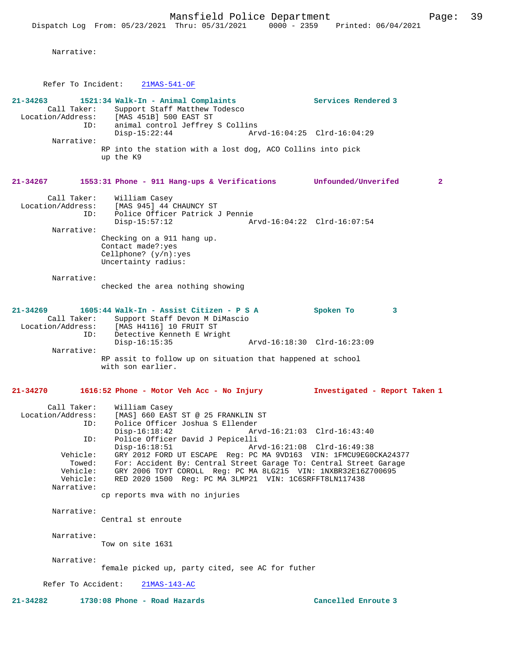Narrative:

Refer To Incident: 21MAS-541-OF

| 21-34263<br>Call Taker:<br>ID:<br>Narrative:                    | 1521:34 Walk-In - Animal Complaints<br>Support Staff Matthew Todesco<br>Location/Address: [MAS 451B] 500 EAST ST<br>animal control Jeffrey S Collins<br>$Disp-15:22:44$<br>RP into the station with a lost dog, ACO Collins into pick<br>up the K9                                                                      | Services Rendered 3<br>Arvd-16:04:25 Clrd-16:04:29 |   |                |
|-----------------------------------------------------------------|-------------------------------------------------------------------------------------------------------------------------------------------------------------------------------------------------------------------------------------------------------------------------------------------------------------------------|----------------------------------------------------|---|----------------|
| 21-34267                                                        | 1553:31 Phone - 911 Hang-ups & Verifications Unfounded/Unverifed                                                                                                                                                                                                                                                        |                                                    |   | $\overline{2}$ |
| Call Taker:<br>Location/Address:<br>ID:                         | William Casey<br>[MAS 945] 44 CHAUNCY ST<br>Police Officer Patrick J Pennie<br>$Disp-15:57:12$                                                                                                                                                                                                                          | Arvd-16:04:22 Clrd-16:07:54                        |   |                |
| Narrative:                                                      | Checking on a 911 hang up.<br>Contact made?: yes<br>Cellphone? $(y/n):yes$<br>Uncertainty radius:                                                                                                                                                                                                                       |                                                    |   |                |
| Narrative:                                                      | checked the area nothing showing                                                                                                                                                                                                                                                                                        |                                                    |   |                |
| 21-34269<br>ID:                                                 | 1605:44 Walk-In - Assist Citizen - P S A<br>Call Taker: Support Staff Devon M DiMascio<br>Location/Address: [MAS H4116] 10 FRUIT ST<br>Detective Kenneth E Wright                                                                                                                                                       | Spoken To                                          | 3 |                |
| Narrative:                                                      | $Disp-16:15:35$                                                                                                                                                                                                                                                                                                         | Arvd-16:18:30 Clrd-16:23:09                        |   |                |
|                                                                 | RP assit to follow up on situation that happened at school<br>with son earlier.                                                                                                                                                                                                                                         |                                                    |   |                |
| 21-34270                                                        | 1616:52 Phone - Motor Veh Acc - No Injury                                                                                                                                                                                                                                                                               | Investigated - Report Taken 1                      |   |                |
| Call Taker:<br>Location/Address:<br>ID:                         | William Casey<br>[MAS] 660 EAST ST @ 25 FRANKLIN ST<br>Police Officer Joshua S Ellender<br>$Disp-16:18:42$                                                                                                                                                                                                              | Arvd-16:21:03 Clrd-16:43:40                        |   |                |
| ID:<br>Vehicle:<br>Towed:<br>Vehicle:<br>Vehicle:<br>Narrative: | Police Officer David J Pepicelli<br>$Disp-16:18:51$<br>GRY 2012 FORD UT ESCAPE Req: PC MA 9VD163 VIN: 1FMCU9EG0CKA24377<br>For: Accident By: Central Street Garage To: Central Street Garage<br>GRY 2006 TOYT COROLL Req: PC MA 8LG215 VIN: 1NXBR32E16Z700695<br>RED 2020 1500 Reg: PC MA 3LMP21 VIN: 1C6SRFFT8LN117438 | Arvd-16:21:08 Clrd-16:49:38                        |   |                |
|                                                                 | cp reports mva with no injuries                                                                                                                                                                                                                                                                                         |                                                    |   |                |
| Narrative:                                                      | Central st enroute                                                                                                                                                                                                                                                                                                      |                                                    |   |                |
| Narrative:                                                      | Tow on site 1631                                                                                                                                                                                                                                                                                                        |                                                    |   |                |
| Narrative:                                                      | female picked up, party cited, see AC for futher                                                                                                                                                                                                                                                                        |                                                    |   |                |
| Refer To Accident:                                              | $21MAS-143-AC$                                                                                                                                                                                                                                                                                                          |                                                    |   |                |
| $21 - 34282$                                                    | 1730:08 Phone - Road Hazards                                                                                                                                                                                                                                                                                            | Cancelled Enroute 3                                |   |                |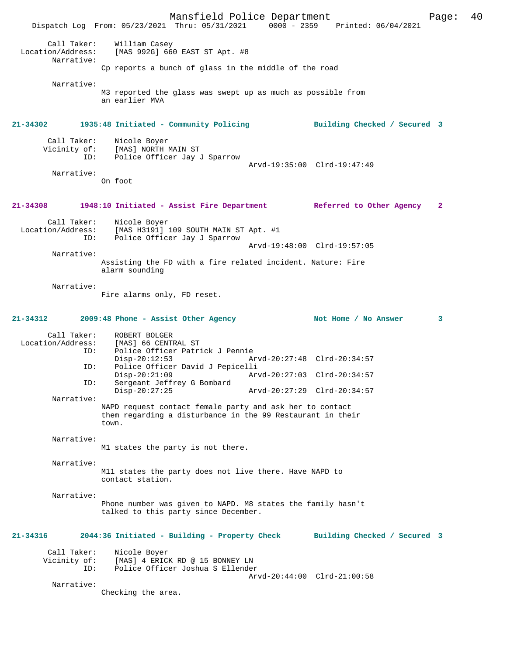Mansfield Police Department Page: 40 Dispatch Log From: 05/23/2021 Thru: 05/31/2021 Call Taker: William Casey<br>ion/Address: [MAS 002C] 66 Location/Address: [MAS 992G] 660 EAST ST Apt. #8 Narrative: Cp reports a bunch of glass in the middle of the road Narrative: M3 reported the glass was swept up as much as possible from an earlier MVA **21-34302 1935:48 Initiated - Community Policing Building Checked / Secured 3** Call Taker: Nicole Boyer<br>Vicinity of: [MAS] NORTH 1 of: [MAS] NORTH MAIN ST<br>ID: Police Officer Jav Police Officer Jay J Sparrow Arvd-19:35:00 Clrd-19:47:49 Narrative: On foot **21-34308 1948:10 Initiated - Assist Fire Department Referred to Other Agency 2** Call Taker: Nicole Boyer<br>Location/Address: [MAS H3191] [MAS H3191] 109 SOUTH MAIN ST Apt. #1 ID: Police Officer Jay J Sparrow Arvd-19:48:00 Clrd-19:57:05 Narrative: Assisting the FD with a fire related incident. Nature: Fire alarm sounding Narrative: Fire alarms only, FD reset. **21-34312 2009:48 Phone - Assist Other Agency Not Home / No Answer 3** Call Taker: ROBERT BOLGER<br>Location/Address: [MAS] 66 CENTI [MAS] 66 CENTRAL ST ID: Police Officer Patrick J Pennie Disp-20:12:53 Arvd-20:27:48 Clrd-20:34:57<br>ID: Police Officer David J Pepicelli Police Officer David J Pepicelli Disp-20:21:09 Arvd-20:27:03 Clrd-20:34:57<br>TD: Sergeant Jeffrey G Bombard Sergeant Jeffrey G Bombard<br>Disp-20:27:25 Disp-20:27:25 Arvd-20:27:29 Clrd-20:34:57 Narrative: NAPD request contact female party and ask her to contact them regarding a disturbance in the 99 Restaurant in their town. Narrative: M1 states the party is not there. Narrative: M11 states the party does not live there. Have NAPD to contact station. Narrative: Phone number was given to NAPD. M8 states the family hasn't talked to this party since December. **21-34316 2044:36 Initiated - Building - Property Check Building Checked / Secured 3** Call Taker: Nicole Boyer Vicinity of: [MAS] 4 ERICK RD @ 15 BONNEY LN<br>ID: Police Officer Joshua S Ellender Police Officer Joshua S Ellender Arvd-20:44:00 Clrd-21:00:58 Narrative: Checking the area.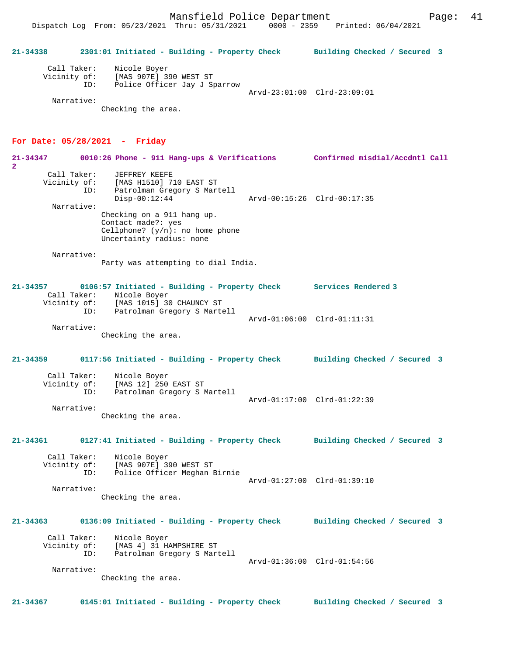**21-34338 2301:01 Initiated - Building - Property Check Building Checked / Secured 3** Call Taker: Nicole Boyer Vicinity of: [MAS 907E] 390 WEST ST ID: Police Officer Jay J Sparrow Arvd-23:01:00 Clrd-23:09:01

Narrative:

Checking the area.

#### **For Date: 05/28/2021 - Friday**

**21-34347 0010:26 Phone - 911 Hang-ups & Verifications Confirmed misdial/Accdntl Call 2**  Call Taker: JEFFREY KEEFE Vicinity of: [MAS H1510] 710 EAST ST ID: Patrolman Gregory S Martell Disp-00:12:44 Arvd-00:15:26 Clrd-00:17:35 Narrative: Checking on a 911 hang up. Contact made?: yes Cellphone?  $(y/n)$ : no home phone Uncertainty radius: none Narrative: Party was attempting to dial India. **21-34357 0106:57 Initiated - Building - Property Check Services Rendered 3**  Call Taker: Nicole Boyer Vicinity of: [MAS 1015] 30 CHAUNCY ST ID: Patrolman Gregory S Martell Arvd-01:06:00 Clrd-01:11:31 Narrative: Checking the area. **21-34359 0117:56 Initiated - Building - Property Check Building Checked / Secured 3** Call Taker: Nicole Boyer Vicinity of: [MAS 12] 250 EAST ST ID: Patrolman Gregory S Martell Arvd-01:17:00 Clrd-01:22:39 Narrative: Checking the area. **21-34361 0127:41 Initiated - Building - Property Check Building Checked / Secured 3** Call Taker: Nicole Boyer Vicinity of: [MAS 907E] 390 WEST ST ID: Police Officer Meghan Birnie Arvd-01:27:00 Clrd-01:39:10 Narrative: Checking the area. **21-34363 0136:09 Initiated - Building - Property Check Building Checked / Secured 3** Call Taker: Nicole Boyer<br>Vicinity of: [MAS 4] 31 H Vicinity of: [MAS 4] 31 HAMPSHIRE ST ID: Patrolman Gregory S Martell Arvd-01:36:00 Clrd-01:54:56 Narrative: Checking the area. **21-34367 0145:01 Initiated - Building - Property Check Building Checked / Secured 3**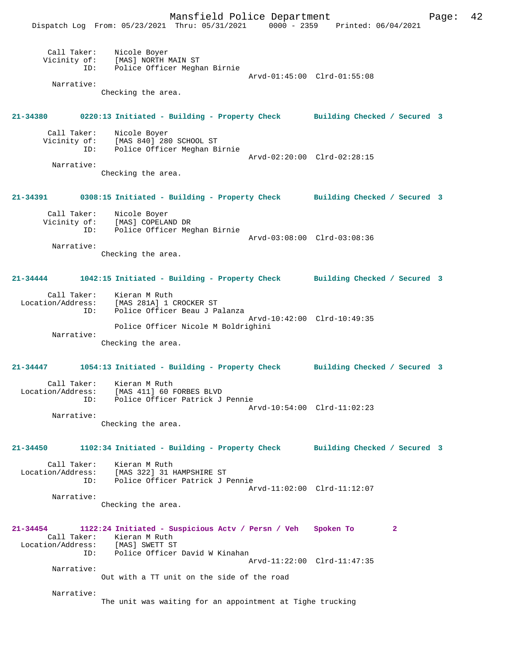Mansfield Police Department Fage: 42

|                                         | Dispatch Log From: 05/23/2021 Thru: 05/31/2021                                                                                                                     | $0000 - 2359$ Printed: $06/04/2021$ |
|-----------------------------------------|--------------------------------------------------------------------------------------------------------------------------------------------------------------------|-------------------------------------|
| Call Taker:<br>Vicinity of:<br>ID:      | Nicole Boyer<br>[MAS] NORTH MAIN ST<br>Police Officer Meghan Birnie                                                                                                | Arvd-01:45:00 Clrd-01:55:08         |
| Narrative:                              |                                                                                                                                                                    |                                     |
|                                         | Checking the area.                                                                                                                                                 |                                     |
| 21-34380                                | 0220:13 Initiated - Building - Property Check Building Checked / Secured 3                                                                                         |                                     |
| Call Taker:<br>Vicinity of:<br>ID:      | Nicole Boyer<br>[MAS 840] 280 SCHOOL ST<br>Police Officer Meghan Birnie                                                                                            | Arvd-02:20:00 Clrd-02:28:15         |
| Narrative:                              |                                                                                                                                                                    |                                     |
|                                         | Checking the area.                                                                                                                                                 |                                     |
| 21-34391                                | 0308:15 Initiated - Building - Property Check Building Checked / Secured 3                                                                                         |                                     |
| Call Taker:<br>Vicinity of:<br>ID:      | Nicole Boyer<br>[MAS] COPELAND DR<br>Police Officer Meghan Birnie                                                                                                  |                                     |
| Narrative:                              |                                                                                                                                                                    | Arvd-03:08:00 Clrd-03:08:36         |
|                                         | Checking the area.                                                                                                                                                 |                                     |
| 21-34444                                | 1042:15 Initiated - Building - Property Check Building Checked / Secured 3                                                                                         |                                     |
| Call Taker:<br>Location/Address:<br>ID: | Kieran M Ruth<br>[MAS 281A] 1 CROCKER ST<br>Police Officer Beau J Palanza                                                                                          | Arvd-10:42:00 Clrd-10:49:35         |
| Narrative:                              | Police Officer Nicole M Boldrighini<br>Checking the area.                                                                                                          |                                     |
| 21-34447                                | 1054:13 Initiated - Building - Property Check Building Checked / Secured 3                                                                                         |                                     |
| Call Taker:<br>Location/Address:        | Kieran M Ruth<br>[MAS 411] 60 FORBES BLVD<br>ID: Police Officer Patrick J Pennie                                                                                   |                                     |
| Narrative:                              |                                                                                                                                                                    | Arvd-10:54:00 Clrd-11:02:23         |
|                                         | Checking the area.                                                                                                                                                 |                                     |
| 21-34450                                | 1102:34 Initiated - Building - Property Check Building Checked / Secured 3<br>Call Taker: Kieran M Ruth                                                            |                                     |
| ID:                                     | Location/Address: [MAS 322] 31 HAMPSHIRE ST<br>Police Officer Patrick J Pennie                                                                                     | Arvd-11:02:00 Clrd-11:12:07         |
| Narrative:                              | Checking the area.                                                                                                                                                 |                                     |
| 21-34454                                | 1122:24 Initiated - Suspicious Actv / Persn / Veh Spoken To<br>Call Taker: Kieran M Ruth<br>Location/Address: [MAS] SWETT ST<br>ID: Police Officer David W Kinahan | $\mathbf{2}$                        |
| Narrative:                              |                                                                                                                                                                    | Arvd-11:22:00 Clrd-11:47:35         |
|                                         | Out with a TT unit on the side of the road                                                                                                                         |                                     |
| Narrative:                              | The unit was waiting for an appointment at Tighe trucking                                                                                                          |                                     |
|                                         |                                                                                                                                                                    |                                     |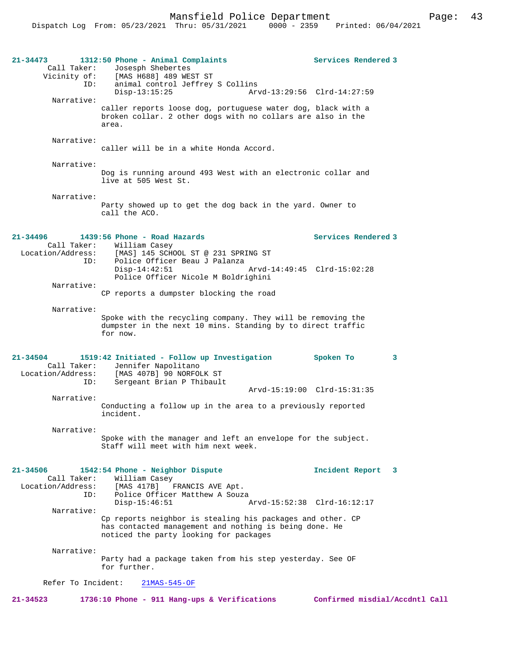Mansfield Police Department Page: 43

| 21-34473<br>Call Taker:<br>Vicinity of:          | 1312:50 Phone - Animal Complaints<br>Josesph Shebertes<br>[MAS H688] 489 WEST ST                                                                                                                 | Services Rendered 3  |  |  |  |
|--------------------------------------------------|--------------------------------------------------------------------------------------------------------------------------------------------------------------------------------------------------|----------------------|--|--|--|
| ID:<br>Narrative:                                | animal control Jeffrey S Collins<br>Arvd-13:29:56 Clrd-14:27:59<br>$Disp-13:15:25$                                                                                                               |                      |  |  |  |
|                                                  | caller reports loose dog, portuguese water dog, black with a<br>broken collar. 2 other dogs with no collars are also in the<br>area.                                                             |                      |  |  |  |
| Narrative:                                       | caller will be in a white Honda Accord.                                                                                                                                                          |                      |  |  |  |
| Narrative:                                       | Dog is running around 493 West with an electronic collar and<br>live at 505 West St.                                                                                                             |                      |  |  |  |
| Narrative:                                       | Party showed up to get the dog back in the yard. Owner to<br>call the ACO.                                                                                                                       |                      |  |  |  |
| 21-34496                                         | 1439:56 Phone - Road Hazards                                                                                                                                                                     | Services Rendered 3  |  |  |  |
| Call Taker:<br>ID:                               | William Casey<br>Location/Address: [MAS] 145 SCHOOL ST @ 231 SPRING ST<br>Police Officer Beau J Palanza<br>$Disp-14:42:51$<br>Arvd-14:49:45 Clrd-15:02:28<br>Police Officer Nicole M Boldrighini |                      |  |  |  |
| Narrative:                                       | CP reports a dumpster blocking the road                                                                                                                                                          |                      |  |  |  |
| Narrative:                                       |                                                                                                                                                                                                  |                      |  |  |  |
|                                                  | Spoke with the recycling company. They will be removing the<br>dumpster in the next 10 mins. Standing by to direct traffic<br>for now.                                                           |                      |  |  |  |
| $21 - 34504$<br>Call Taker:<br>Location/Address: | 1519:42 Initiated - Follow up Investigation<br>Jennifer Napolitano<br>[MAS 407B] 90 NORFOLK ST                                                                                                   | Spoken To<br>3       |  |  |  |
| ID:                                              | Sergeant Brian P Thibault<br>Arvd-15:19:00 Clrd-15:31:35                                                                                                                                         |                      |  |  |  |
| Narrative:                                       | Conducting a follow up in the area to a previously reported<br>incident.                                                                                                                         |                      |  |  |  |
| Narrative:                                       | Spoke with the manager and left an envelope for the subject.<br>Staff will meet with him next week.                                                                                              |                      |  |  |  |
| 21-34506<br>Call Taker:<br>Location/Address:     | 1542:54 Phone - Neighbor Dispute<br>William Casey<br>[MAS 417B]<br>FRANCIS AVE Apt.                                                                                                              | Incident Report<br>3 |  |  |  |
| ID:                                              | Police Officer Matthew A Souza<br>$Disp-15:46:51$<br>Arvd-15:52:38 Clrd-16:12:17                                                                                                                 |                      |  |  |  |
| Narrative:                                       | Cp reports neighbor is stealing his packages and other. CP<br>has contacted management and nothing is being done. He<br>noticed the party looking for packages                                   |                      |  |  |  |
| Narrative:                                       | Party had a package taken from his step yesterday. See OF<br>for further.                                                                                                                        |                      |  |  |  |
| Refer To Incident:<br>$21MAS-545-OF$             |                                                                                                                                                                                                  |                      |  |  |  |

**21-34523 1736:10 Phone - 911 Hang-ups & Verifications Confirmed misdial/Accdntl Call**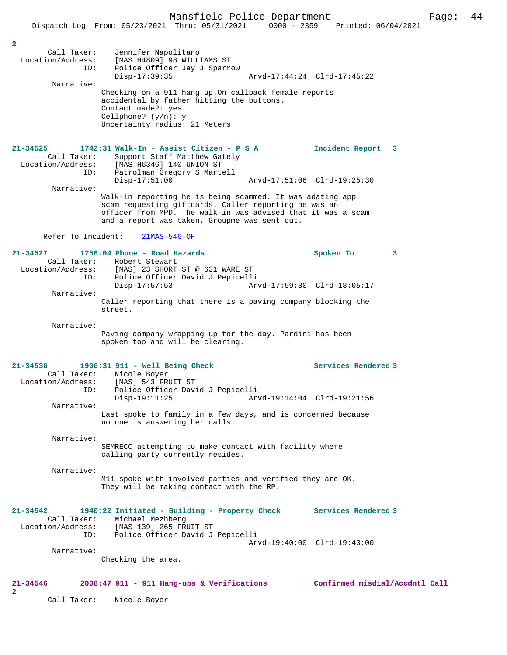Dispatch Log From: 05/23/2021 Thru: 05/31/2021 0000 - 2359 Printed: 06/04/2021

| 2<br>Call Taker:<br>ID:            | Jennifer Napolitano<br>Location/Address: [MAS H4809] 98 WILLIAMS ST<br>Police Officer Jay J Sparrow<br>$Disp-17:39:35$                                                                                                              | Arvd-17:44:24 Clrd-17:45:22              |   |
|------------------------------------|-------------------------------------------------------------------------------------------------------------------------------------------------------------------------------------------------------------------------------------|------------------------------------------|---|
| Narrative:                         | Checking on a 911 hang up. On callback female reports<br>accidental by father hitting the buttons.<br>Contact made?: yes<br>Cellphone? $(y/n): y$<br>Uncertainty radius: 21 Meters                                                  |                                          |   |
| $21 - 34525$<br>Call Taker:<br>ID: | 1742:31 Walk-In - Assist Citizen - P S A<br>Support Staff Matthew Gately<br>Location/Address: [MAS H6346] 140 UNION ST<br>Patrolman Gregory S Martell                                                                               | Incident Report 3                        |   |
| Narrative:                         | $Disp-17:51:00$                                                                                                                                                                                                                     | Arvd-17:51:06 Clrd-19:25:30              |   |
|                                    | Walk-in reporting he is being scammed. It was adating app<br>scam requesting giftcards. Caller reporting he was an<br>officer from MPD. The walk-in was advised that it was a scam<br>and a report was taken. Groupme was sent out. |                                          |   |
| Refer To Incident:                 | $21MAS-546-OF$                                                                                                                                                                                                                      |                                          |   |
| $21 - 34527$<br>ID:                | 1756:04 Phone - Road Hazards<br>Call Taker: Robert Stewart<br>Location/Address: [MAS] 23 SHORT ST @ 631 WARE ST<br>Police Officer David J Pepicelli<br>$Disp-17:57:53$                                                              | Spoken To<br>Arvd-17:59:30 Clrd-18:05:17 | 3 |
| Narrative:                         | Caller reporting that there is a paving company blocking the<br>street.                                                                                                                                                             |                                          |   |
| Narrative:                         | Paving company wrapping up for the day. Pardini has been<br>spoken too and will be clearing.                                                                                                                                        |                                          |   |
| $21 - 34536$<br>ID:                | 1906:31 911 - Well Being Check<br>Call Taker: Nicole Boyer<br>Location/Address: [MAS] 543 FRUIT ST<br>Police Officer David J Pepicelli                                                                                              | Services Rendered 3                      |   |
| Narrative:                         | $Disp-19:11:25$<br>Last spoke to family in a few days, and is concerned because<br>no one is answering her calls.                                                                                                                   | Arvd-19:14:04 Clrd-19:21:56              |   |
| Narrative:                         | SEMRECC attempting to make contact with facility where<br>calling party currently resides.                                                                                                                                          |                                          |   |
| Narrative:                         | M11 spoke with involved parties and verified they are OK.<br>They will be making contact with the RP.                                                                                                                               |                                          |   |
| 21-34542<br>Call Taker:<br>ID:     | 1940:22 Initiated - Building - Property Check<br>Michael Mezhberg<br>Location/Address: [MAS 139] 265 FRUIT ST<br>Police Officer David J Pepicelli                                                                                   | <b>Services Rendered 3</b>               |   |
| Narrative:                         | Checking the area.                                                                                                                                                                                                                  | Arvd-19:40:00 Clrd-19:43:00              |   |
| 21-34546<br>2                      | 2008:47 911 - 911 Hang-ups & Verifications                                                                                                                                                                                          | Confirmed misdial/Accdntl Call           |   |
| Call Taker:                        | Nicole Boyer                                                                                                                                                                                                                        |                                          |   |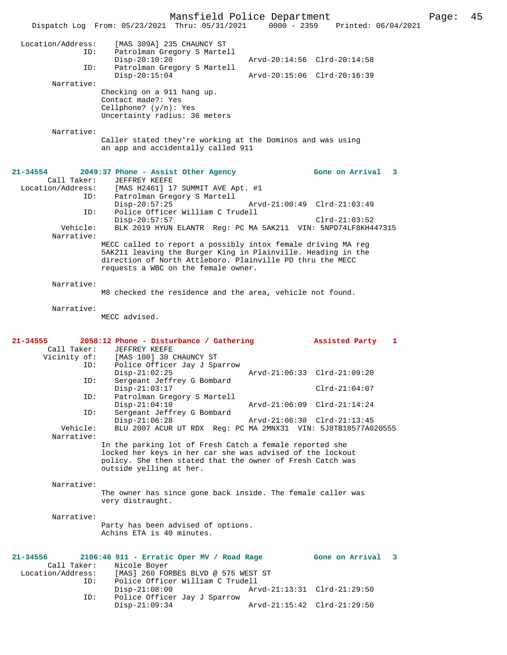Mansfield Police Department Page: 45 Dispatch Log From: 05/23/2021 Thru: 05/31/2021 0000 - 2359 Printed: 06/04/2021 Location/Address: [MAS 309A] 235 CHAUNCY ST ID: Patrolman Gregory S Martell Disp-20:10:20 Arvd-20:14:56 Clrd-20:14:58 ID: Patrolman Gregory S Martell Disp-20:15:04 Arvd-20:15:06 Clrd-20:16:39 Narrative: Checking on a 911 hang up. Contact made?: Yes Cellphone? (y/n): Yes Uncertainty radius: 36 meters Narrative: Caller stated they're working at the Dominos and was using an app and accidentally called 911 **21-34554 2049:37 Phone - Assist Other Agency Gone on Arrival 3**  Call Taker: JEFFREY KEEFE<br>Location/Address: [MAS H2461] 17<br>ID: Patrolman Gree Location/Address: [MAS H2461] 17 SUMMIT AVE Apt. #1 ID: Patrolman Gregory S Martell Disp-20:57:25 Arvd-21:00:49 Clrd-21:03:49 ID: Police Officer William C Trudell Disp-20:57:57 Clrd-21:03:52 Vehicle: BLK 2019 HYUN ELANTR Reg: PC MA 5AK211 VIN: 5NPD74LF8KH447315 Narrative: MECC called to report a possibly intox female driving MA reg 5AK211 leaving the Burger King in Plainville. Heading in the direction of North Attleboro. Plainville PD thru the MECC requests a WBC on the female owner. Narrative: M8 checked the residence and the area, vehicle not found. Narrative: MECC advised. **21-34555 2058:12 Phone - Disturbance / Gathering Assisted Party 1**  Call Taker: JEFFREY KEEFE Vicinity of: [MAS 100] 30 CHAUNCY ST ID: Police Officer Jay J Sparrow<br>Disp-21:02:25 Disp-21:02:25 Arvd-21:06:33 Clrd-21:09:20 ID: Sergeant Jeffrey G Bombard Disp-21:03:17 Clrd-21:04:07<br>ID: Patrolman Gregory S Martell ID: Patrolman Gregory S Martell Disp-21:04:10 Arvd-21:06:09 Clrd-21:14:24 ID: Sergeant Jeffrey G Bombard Disp-21:06:28 Arvd-21:06:30 Clrd-21:13:45<br>Vehicle: BLU 2007 ACUR UT RDX Reg: PC MA 2MNX31 VIN: 5J8TB18577A0. BLU 2007 ACUR UT RDX Reg: PC MA 2MNX31 VIN: 5J8TB18577A020555 Narrative: In the parking lot of Fresh Catch a female reported she locked her keys in her car she was advised of the lockout policy. She then stated that the owner of Fresh Catch was outside yelling at her. Narrative: The owner has since gone back inside. The female caller was very distraught. Narrative: Party has been advised of options. Achins ETA is 40 minutes. **21-34556 2106:46 911 - Erratic Oper MV / Road Rage Gone on Arrival 3**  Call Taker: Nicole Boyer Location/Address: [MAS] 260 FORBES BLVD @ 575 WEST ST<br>ID: Police Officer William C Trudell Police Officer William C Trudell<br>Disp-21:08:00 Ar Arvd-21:13:31 Clrd-21:29:50 ID: Police Officer Jay J Sparrow Disp-21:09:34 Arvd-21:15:42 Clrd-21:29:50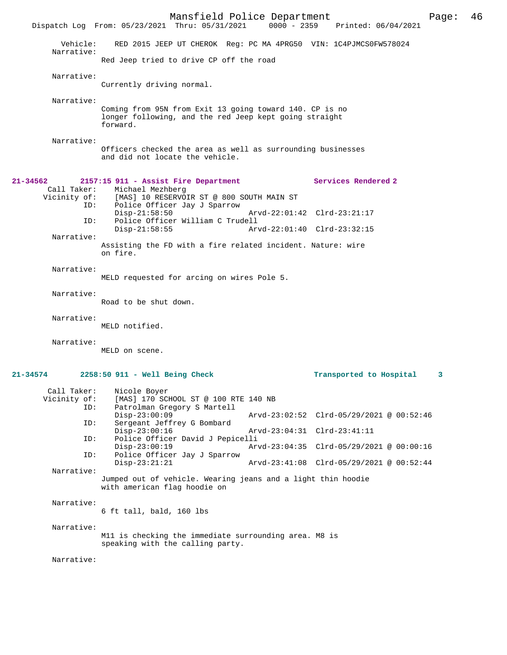Mansfield Police Department Page: 46 Dispatch Log From: 05/23/2021 Thru: 05/31/2021 Vehicle: RED 2015 JEEP UT CHEROK Reg: PC MA 4PRG50 VIN: 1C4PJMCS0FW578024 Narrative: Red Jeep tried to drive CP off the road Narrative: Currently driving normal. Narrative: Coming from 95N from Exit 13 going toward 140. CP is no longer following, and the red Jeep kept going straight forward. Narrative: Officers checked the area as well as surrounding businesses and did not locate the vehicle. **21-34562 2157:15 911 - Assist Fire Department Services Rendered 2**  Call Taker: Michael Mezhberg<br>Vicinity of: [MAS] 10 RESERVO of: [MAS] 10 RESERVOIR ST @ 800 SOUTH MAIN ST<br>ID: Police Officer Jay J Sparrow Police Officer Jay J Sparrow Disp-21:58:50 Arvd-22:01:42 Clrd-23:21:17<br>ID: Police Officer William C Trudell ID: Police Officer William C Trudell Arvd-22:01:40 Clrd-23:32:15 Narrative: Assisting the FD with a fire related incident. Nature: wire on fire. Narrative: MELD requested for arcing on wires Pole 5. Narrative: Road to be shut down. Narrative: MELD notified. Narrative: MELD on scene. **21-34574 2258:50 911 - Well Being Check Transported to Hospital 3** Call Taker: Nicole Boyer Vicinity of: [MAS] 170 SCHOOL ST @ 100 RTE 140 NB<br>ID: Patrolman Gregory S Martell Patrolman Gregory S Martell<br>Disp-23:00:09 Disp-23:00:09 Arvd-23:02:52 Clrd-05/29/2021 @ 00:52:46<br>ID: Sergeant Jeffrey G Bombard Sergeant Jeffrey G Bombard<br>Disp-23:00:16 Disp-23:00:16 Arvd-23:04:31 Clrd-23:41:11 ID: Police Officer David J Pepicelli Disp-23:00:19 Arvd-23:04:35 Clrd-05/29/2021 @ 00:00:16<br>TD: Police Officer Jav J Sparrow Police Officer Jay J Sparrow<br>Disp-23:21:21 Disp-23:21:21 Arvd-23:41:08 Clrd-05/29/2021 @ 00:52:44 Narrative: Jumped out of vehicle. Wearing jeans and a light thin hoodie with american flag hoodie on Narrative: 6 ft tall, bald, 160 lbs Narrative: M11 is checking the immediate surrounding area. M8 is speaking with the calling party. Narrative: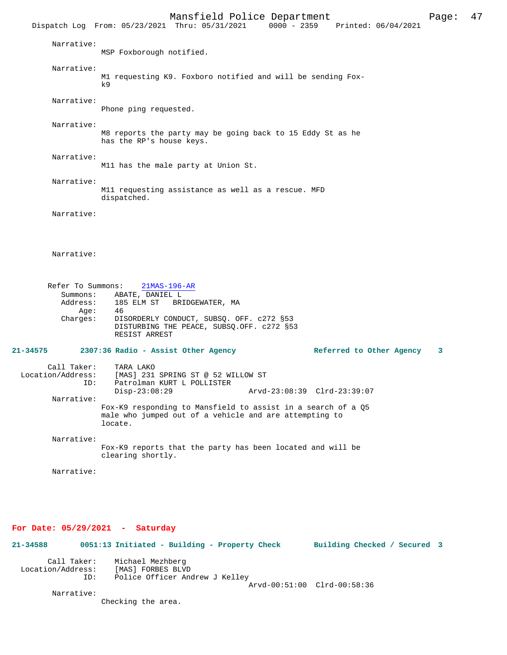Mansfield Police Department Page: 47 Dispatch Log From: 05/23/2021 Thru: 05/31/2021 Narrative: MSP Foxborough notified. Narrative: M1 requesting K9. Foxboro notified and will be sending Fox $k9$  Narrative: Phone ping requested. Narrative: M8 reports the party may be going back to 15 Eddy St as he has the RP's house keys. Narrative: M11 has the male party at Union St. Narrative: M11 requesting assistance as well as a rescue. MFD dispatched. Narrative: Narrative: Refer To Summons: 21MAS-196-AR Summons: ABATE, DANIEL L Address: 185 ELM ST BRIDGEWATER, MA<br>Age: 46 Age: Charges: DISORDERLY CONDUCT, SUBSQ. OFF. c272 §53 DISTURBING THE PEACE, SUBSQ.OFF. c272 §53 RESIST ARREST **21-34575 2307:36 Radio - Assist Other Agency Referred to Other Agency 3** Call Taker: TARA LAKO<br>Location/Address: [MAS] 231 [MAS] 231 SPRING ST @ 52 WILLOW ST ID: Patrolman KURT L POLLISTER Disp-23:08:29 Arvd-23:08:39 Clrd-23:39:07 Narrative: Fox-K9 responding to Mansfield to assist in a search of a Q5 male who jumped out of a vehicle and are attempting to locate. Narrative: Fox-K9 reports that the party has been located and will be clearing shortly. Narrative:

### **For Date: 05/29/2021 - Saturday**

**21-34588 0051:13 Initiated - Building - Property Check Building Checked / Secured 3** Call Taker: Michael Mezhberg<br>Location/Address: [MAS] FORBES BLV. [MAS] FORBES BLVD ID: Police Officer Andrew J Kelley Arvd-00:51:00 Clrd-00:58:36 Narrative:

Checking the area.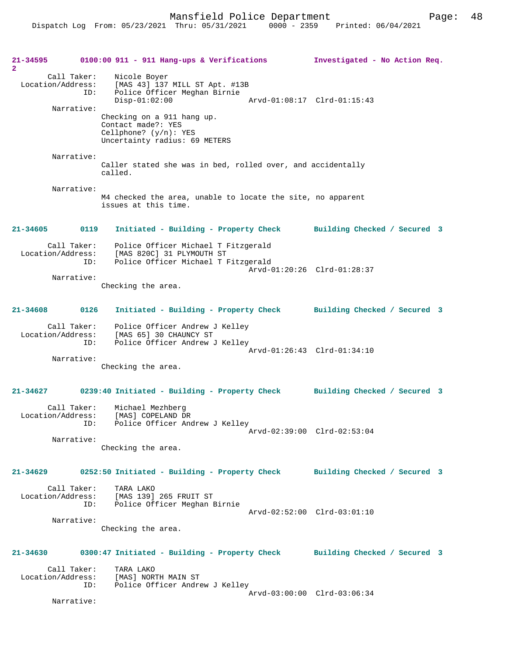Mansfield Police Department Page: 48

**21-34595 0100:00 911 - 911 Hang-ups & Verifications Investigated - No Action Req. 2**  Call Taker: Nicole Boyer Location/Address: [MAS 43] 137 MILL ST Apt. #13B Police Officer Meghan Birnie<br>Disp-01:02:00 Disp-01:02:00 Arvd-01:08:17 Clrd-01:15:43 Narrative: Checking on a 911 hang up. Contact made?: YES Cellphone? (y/n): YES Uncertainty radius: 69 METERS Narrative: Caller stated she was in bed, rolled over, and accidentally called. Narrative: M4 checked the area, unable to locate the site, no apparent issues at this time. **21-34605 0119 Initiated - Building - Property Check Building Checked / Secured 3** Call Taker: Police Officer Michael T Fitzgerald Location/Address: [MAS 820C] 31 PLYMOUTH ST Police Officer Michael T Fitzgerald Arvd-01:20:26 Clrd-01:28:37 Narrative: Checking the area. **21-34608 0126 Initiated - Building - Property Check Building Checked / Secured 3** Call Taker: Police Officer Andrew J Kelley Location/Address: [MAS 65] 30 CHAUNCY ST ID: Police Officer Andrew J Kelley Arvd-01:26:43 Clrd-01:34:10 Narrative: Checking the area. **21-34627 0239:40 Initiated - Building - Property Check Building Checked / Secured 3** Call Taker: Michael Mezhberg Location/Address: [MAS] COPELAND DR ID: Police Officer Andrew J Kelley Arvd-02:39:00 Clrd-02:53:04 Narrative: Checking the area. **21-34629 0252:50 Initiated - Building - Property Check Building Checked / Secured 3** Call Taker: TARA LAKO Location/Address: [MAS 139] 265 FRUIT ST Police Officer Meghan Birnie Arvd-02:52:00 Clrd-03:01:10 Narrative: Checking the area. **21-34630 0300:47 Initiated - Building - Property Check Building Checked / Secured 3** Call Taker: TARA LAKO<br>Location/Address: [MAS] NOR ess: [MAS] NORTH MAIN ST<br>ID: Police Officer Andre Police Officer Andrew J Kelley Arvd-03:00:00 Clrd-03:06:34 Narrative: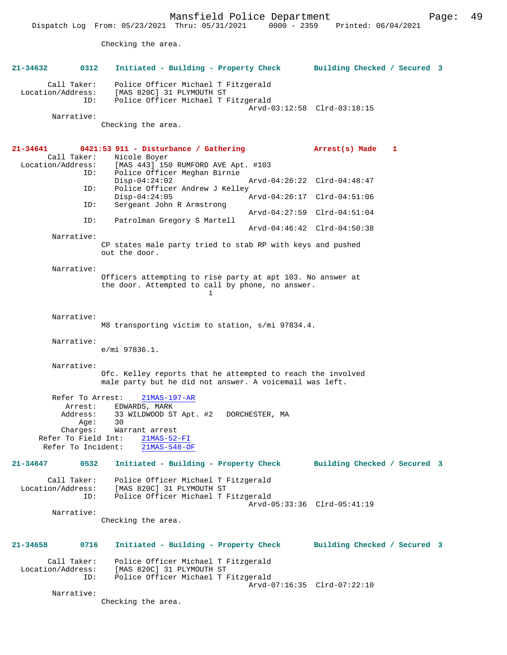Mansfield Police Department Page: 49

Checking the area.

| 21-34632                                                                                                                             | 0312                                                        | Initiated - Building - Property Check                                                                                             |  | Building Checked / Secured 3 |              |  |
|--------------------------------------------------------------------------------------------------------------------------------------|-------------------------------------------------------------|-----------------------------------------------------------------------------------------------------------------------------------|--|------------------------------|--------------|--|
| Call Taker:<br>Location/Address:                                                                                                     | ID:                                                         | Police Officer Michael T Fitzgerald<br>[MAS 820C] 31 PLYMOUTH ST<br>Police Officer Michael T Fitzgerald                           |  | Arvd-03:12:58 Clrd-03:18:15  |              |  |
| Narrative:                                                                                                                           |                                                             | Checking the area.                                                                                                                |  |                              |              |  |
| 21-34641<br>Call Taker:<br>Location/Address:                                                                                         | ID:                                                         | 0421:53 911 - Disturbance / Gathering<br>Nicole Boyer<br>[MAS 443] 150 RUMFORD AVE Apt. #103                                      |  | Arrest(s) Made               | $\mathbf{1}$ |  |
|                                                                                                                                      |                                                             | Police Officer Meghan Birnie<br>$Disp-04:24:02$                                                                                   |  | Arvd-04:26:22 Clrd-04:48:47  |              |  |
|                                                                                                                                      | ID:                                                         | Police Officer Andrew J Kelley<br>$Disp-04:24:05$                                                                                 |  | Arvd-04:26:17 Clrd-04:51:06  |              |  |
|                                                                                                                                      | ID:                                                         | Sergeant John R Armstrong                                                                                                         |  | Arvd-04:27:59 Clrd-04:51:04  |              |  |
|                                                                                                                                      | ID:                                                         | Patrolman Gregory S Martell                                                                                                       |  | Arvd-04:46:42 Clrd-04:50:38  |              |  |
| Narrative:                                                                                                                           |                                                             | CP states male party tried to stab RP with keys and pushed<br>out the door.                                                       |  |                              |              |  |
| Narrative:                                                                                                                           |                                                             | Officers attempting to rise party at apt 103. No answer at<br>the door. Attempted to call by phone, no answer.<br>i.              |  |                              |              |  |
| Narrative:                                                                                                                           |                                                             | M8 transporting victim to station, s/mi 97834.4.                                                                                  |  |                              |              |  |
| Narrative:                                                                                                                           |                                                             | $e/mi$ 97836.1.                                                                                                                   |  |                              |              |  |
| Narrative:<br>Ofc. Kelley reports that he attempted to reach the involved<br>male party but he did not answer. A voicemail was left. |                                                             |                                                                                                                                   |  |                              |              |  |
| Refer To Field Int:<br>Refer To Incident:                                                                                            | Refer To Arrest:<br>Arrest:<br>Address:<br>Age:<br>Charges: | 21MAS-197-AR<br>EDWARDS, MARK<br>33 WILDWOOD ST Apt. #2 DORCHESTER, MA<br>30<br>Warrant arrest<br>$21MAS-52-FI$<br>$21MAS-548-OF$ |  |                              |              |  |
| $21 - 34647$                                                                                                                         | 0532                                                        | Initiated - Building - Property Check                                                                                             |  | Building Checked / Secured 3 |              |  |
| Call Taker:<br>Location/Address:                                                                                                     | ID:                                                         | Police Officer Michael T Fitzgerald<br>[MAS 820C] 31 PLYMOUTH ST<br>Police Officer Michael T Fitzgerald                           |  |                              |              |  |
| Narrative:                                                                                                                           |                                                             | Checking the area.                                                                                                                |  | Arvd-05:33:36 Clrd-05:41:19  |              |  |
| 21-34658                                                                                                                             | 0716                                                        | Initiated - Building - Property Check                                                                                             |  | Building Checked / Secured 3 |              |  |
| Call Taker:<br>Location/Address:                                                                                                     | ID:                                                         | Police Officer Michael T Fitzgerald<br>[MAS 820C] 31 PLYMOUTH ST<br>Police Officer Michael T Fitzgerald                           |  |                              |              |  |
| Narrative:                                                                                                                           |                                                             | Checking the area.                                                                                                                |  | Arvd-07:16:35 Clrd-07:22:10  |              |  |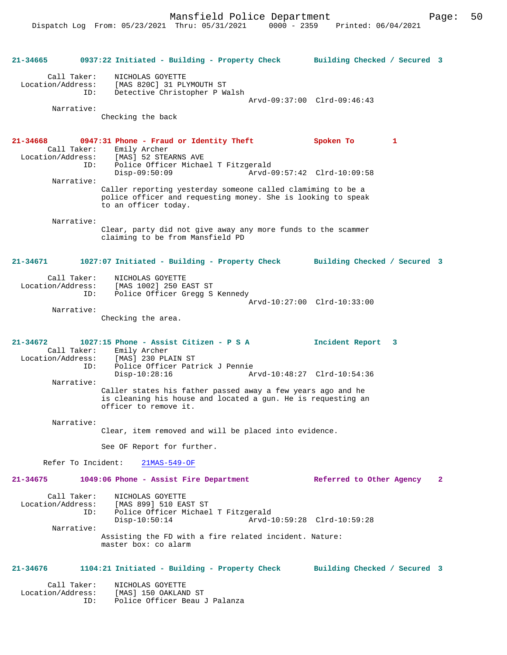```
21-34665 0937:22 Initiated - Building - Property Check Building Checked / Secured 3
         Call Taker: NICHOLAS GOYETTE
  Location/Address: [MAS 820C] 31 PLYMOUTH ST
                 ID: Detective Christopher P Walsh
                                                       Arvd-09:37:00 Clrd-09:46:43
          Narrative: 
                    Checking the back
21-34668 0947:31 Phone - Fraud or Identity Theft Spoken To 1 
 Call Taker: Emily Archer<br>Location/Address: [MAS] 52 STE
                       [MAS] 52 STEARNS AVE
                ESS: Inno. 32 Strategy<br>ID: Police Officer Michael T Fitzgerald<br>Disp-09:50:09 Arvd-0
                                                        Disp-09:50:09 Arvd-09:57:42 Clrd-10:09:58
          Narrative: 
                    Caller reporting yesterday someone called clamiming to be a 
                    police officer and requesting money. She is looking to speak 
                    to an officer today.
          Narrative: 
                    Clear, party did not give away any more funds to the scammer 
                    claiming to be from Mansfield PD
21-34671 1027:07 Initiated - Building - Property Check Building Checked / Secured 3
        Call Taker: NICHOLAS GOYETTE
  Location/Address: [MAS 1002] 250 EAST ST
                 ID: Police Officer Gregg S Kennedy
                                                   Arvd-10:27:00 Clrd-10:33:00
          Narrative: 
                    Checking the area.
21-34672 1027:15 Phone - Assist Citizen - P S A Incident Report 3 
 Call Taker: Emily Archer<br>Location/Address: [MAS] 230 PL
                Location (MAS) 230 PLAIN ST<br>Location (MAS) 230 PLAIN ST<br>ID: Police Officer Patr
                       ID: Police Officer Patrick J Pennie
                                                        Disp-10:28:16 Arvd-10:48:27 Clrd-10:54:36
          Narrative: 
                    Caller states his father passed away a few years ago and he 
                    is cleaning his house and located a gun. He is requesting an 
                    officer to remove it.
          Narrative: 
                    Clear, item removed and will be placed into evidence.
                    See OF Report for further.
        Refer To Incident: 21MAS-549-OF
21-34675 1049:06 Phone - Assist Fire Department Referred to Other Agency 2
         Call Taker: NICHOLAS GOYETTE
  Location/Address: [MAS 899] 510 EAST ST
                 ID: Police Officer Michael T Fitzgerald
                                                        Disp-10:50:14 Arvd-10:59:28 Clrd-10:59:28
          Narrative: 
                    Assisting the FD with a fire related incident. Nature: 
                    master box: co alarm
21-34676 1104:21 Initiated - Building - Property Check Building Checked / Secured 3
        Call Taker:     NICHOLAS GOYETTE<br>ion/Address:     [MAS] 150 OAKLAND ST
 Location/Address:
                ID: Police Officer Beau J Palanza
```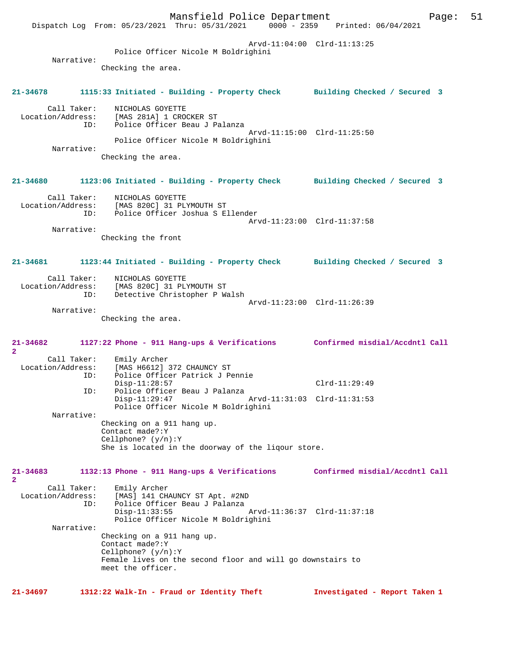Mansfield Police Department Fage: 51 Dispatch Log From: 05/23/2021 Thru: 05/31/2021 0000 - 2359 Printed: 06/04/2021 Arvd-11:04:00 Clrd-11:13:25 Police Officer Nicole M Boldrighini Narrative: Checking the area. **21-34678 1115:33 Initiated - Building - Property Check Building Checked / Secured 3** Call Taker: NICHOLAS GOYETTE Location/Address: [MAS 281A] 1 CROCKER ST ID: Police Officer Beau J Palanza Arvd-11:15:00 Clrd-11:25:50 Police Officer Nicole M Boldrighini Narrative: Checking the area. **21-34680 1123:06 Initiated - Building - Property Check Building Checked / Secured 3** Call Taker: NICHOLAS GOYETTE Location/Address: [MAS 820C] 31 PLYMOUTH ST ID: Police Officer Joshua S Ellender Arvd-11:23:00 Clrd-11:37:58 Narrative: Checking the front **21-34681 1123:44 Initiated - Building - Property Check Building Checked / Secured 3** Call Taker: NICHOLAS GOYETTE Location/Address: [MAS 820C] 31 PLYMOUTH ST ID: Detective Christopher P Walsh Arvd-11:23:00 Clrd-11:26:39 Narrative: Checking the area. **21-34682 1127:22 Phone - 911 Hang-ups & Verifications Confirmed misdial/Accdntl Call 2**  Call Taker: Emily Archer<br>Iocation/Address: [MAS H6612] ess: [MAS<sup>^</sup>H6612] 372 CHAUNCY ST<br>ID: Police Officer Patrick J Pe Police Officer Patrick J Pennie Disp-11:28:57 Clrd-11:29:49<br>ID: Police Officer Beau J Palanza Police Officer Beau J Palanza<br>Disp-11:29:47 Arvd-11:31:03 Clrd-11:31:53 Police Officer Nicole M Boldrighini Narrative: Checking on a 911 hang up. Contact made?:Y Cellphone? (y/n):Y She is located in the doorway of the liqour store. **21-34683 1132:13 Phone - 911 Hang-ups & Verifications Confirmed misdial/Accdntl Call 2**  Call Taker: Emily Archer Location/Address: [MAS] 141 CHAUNCY ST Apt. #2ND ID: Police Officer Beau J Palanza Disp-11:33:55 Arvd-11:36:37 Clrd-11:37:18 Police Officer Nicole M Boldrighini Narrative: Checking on a 911 hang up. Contact made?:Y Cellphone? (y/n):Y Female lives on the second floor and will go downstairs to meet the officer. **21-34697 1312:22 Walk-In - Fraud or Identity Theft Investigated - Report Taken 1**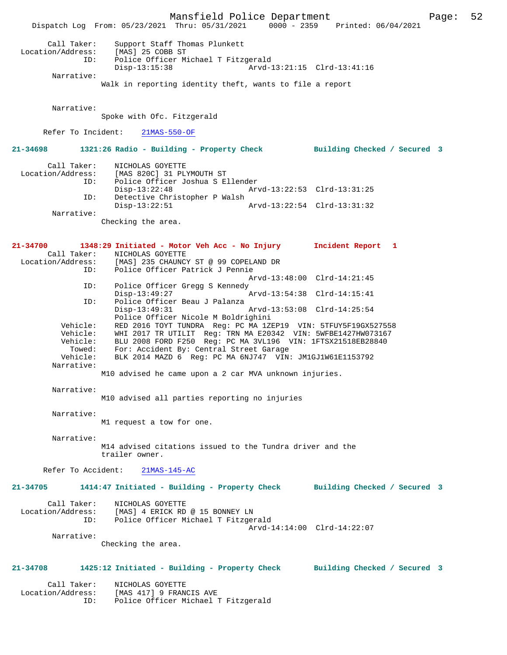Mansfield Police Department Page: 52 Dispatch Log From: 05/23/2021 Thru: 05/31/2021 0000 - 2359 Printed: 06/04/2021 Call Taker: Support Staff Thomas Plunkett Location/Address: [MAS] 25 COBB ST ID: Police Officer Michael T Fitzgerald<br>Disp-13:15:38 Arvd-2 Arvd-13:21:15 Clrd-13:41:16 Narrative: Walk in reporting identity theft, wants to file a report Narrative: Spoke with Ofc. Fitzgerald Refer To Incident: 21MAS-550-OF **21-34698 1321:26 Radio - Building - Property Check Building Checked / Secured 3** Call Taker: NICHOLAS GOYETTE Location/Address: [MAS 820C] 31 PLYMOUTH ST ID: Police Officer Joshua S Ellender Disp-13:22:48 Arvd-13:22:53 Clrd-13:31:25<br>TD: Detective Christopher P Walsh Detective Christopher P Walsh<br>Disp-13:22:51 Disp-13:22:51 Arvd-13:22:54 Clrd-13:31:32 Narrative: Checking the area. **21-34700 1348:29 Initiated - Motor Veh Acc - No Injury Incident Report 1**  Call Taker: NICHOLAS GOYETTE<br>Location/Address: [MAS] 235 CHAUNCY [MAS] 235 CHAUNCY ST @ 99 COPELAND DR ID: Police Officer Patrick J Pennie Arvd-13:48:00 Clrd-14:21:45<br>TD: Police Officer Gregg S Kennedy Police Officer Gregg S Kennedy<br>Disp-13:49:27 Disp-13:49:27 Arvd-13:54:38 Clrd-14:15:41<br>TD: Police Officer Beau J Palanza Police Officer Beau J Palanza<br>Disp-13:49:31 Arvd-13:53:08 Clrd-14:25:54 Police Officer Nicole M Boldrighini<br>Vehicle: RED 2016 TOYT TUNDRA Reg: PC MA 1Z RED 2016 TOYT TUNDRA Reg: PC MA 1ZEP19 VIN: 5TFUY5F19GX527558 Vehicle: WHI 2017 TR UTILIT Reg: TRN MA E20342 VIN: 5WFBE1427HW073167 Vehicle: BLU 2008 FORD F250 Reg: PC MA 3VL196 VIN: 1FTSX21518EB28840 Towed: For: Accident By: Central Street Garage<br>Vehicle: BLK 2014 MAZD 6 Reg: PC MA 6NJ747 VIN: BLK 2014 MAZD 6 Reg: PC MA 6NJ747 VIN: JM1GJ1W61E1153792 Narrative: M10 advised he came upon a 2 car MVA unknown injuries. Narrative: M10 advised all parties reporting no injuries Narrative: M1 request a tow for one. Narrative: M14 advised citations issued to the Tundra driver and the trailer owner. Refer To Accident: 21MAS-145-AC **21-34705 1414:47 Initiated - Building - Property Check Building Checked / Secured 3** Call Taker: NICHOLAS GOYETTE Location/Address: [MAS] 4 ERICK RD @ 15 BONNEY LN ID: Police Officer Michael T Fitzgerald Arvd-14:14:00 Clrd-14:22:07 Narrative: Checking the area. **21-34708 1425:12 Initiated - Building - Property Check Building Checked / Secured 3** Call Taker: NICHOLAS GOYETTE Location/Address: [MAS 417] 9 FRANCIS AVE ID: Police Officer Michael T Fitzgerald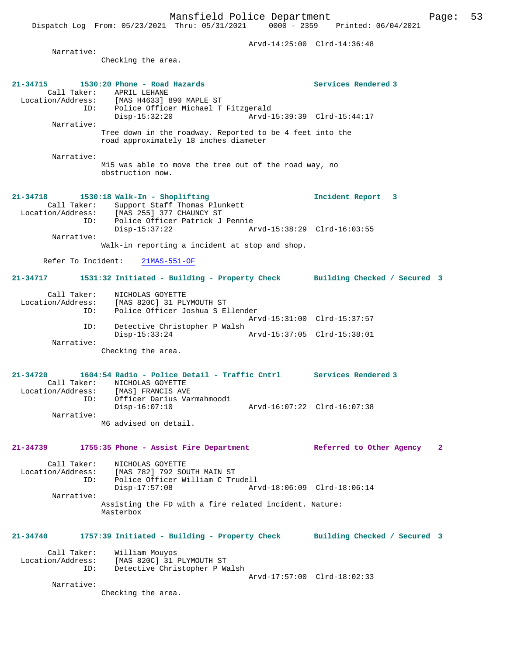Dispatch Log From: 05/23/2021 Thru: 05/31/2021 0000 - 2359 Printed: 06/04/2021

|                             |                                                                                                   | Arvd-14:25:00 Clrd-14:36:48 |   |
|-----------------------------|---------------------------------------------------------------------------------------------------|-----------------------------|---|
| Narrative:                  |                                                                                                   |                             |   |
|                             | Checking the area.                                                                                |                             |   |
|                             |                                                                                                   |                             |   |
| $21 - 34715$<br>Call Taker: | 1530:20 Phone - Road Hazards<br>APRIL LEHANE                                                      | Services Rendered 3         |   |
|                             | Location/Address: [MAS H4633] 890 MAPLE ST                                                        |                             |   |
|                             | ID: Police Officer Michael T Fitzgerald<br>Disp-15:32:20                                          |                             |   |
| Narrative:                  |                                                                                                   |                             |   |
|                             | Tree down in the roadway. Reported to be 4 feet into the<br>road approximately 18 inches diameter |                             |   |
|                             |                                                                                                   |                             |   |
| Narrative:                  |                                                                                                   |                             |   |
|                             | M15 was able to move the tree out of the road way, no<br>obstruction now.                         |                             |   |
|                             |                                                                                                   |                             |   |
| 21-34718                    | 1530:18 Walk-In - Shoplifting                                                                     | Incident Report 3           |   |
| Call Taker:                 | Support Staff Thomas Plunkett                                                                     |                             |   |
| ID:                         | Location/Address: [MAS 255] 377 CHAUNCY ST<br>Police Officer Patrick J Pennie                     |                             |   |
|                             | $Disp-15:37:22$                                                                                   |                             |   |
| Narrative:                  | Walk-in reporting a incident at stop and shop.                                                    |                             |   |
|                             |                                                                                                   |                             |   |
| Refer To Incident:          | $21MAS-551-OF$                                                                                    |                             |   |
| 21-34717                    | 1531:32 Initiated - Building - Property Check Building Checked / Secured 3                        |                             |   |
| Call Taker:                 |                                                                                                   |                             |   |
| Location/Address:           | NICHOLAS GOYETTE<br>[MAS 820C] 31 PLYMOUTH ST                                                     |                             |   |
| ID:                         | Police Officer Joshua S Ellender                                                                  |                             |   |
| ID:                         | Detective Christopher P Walsh                                                                     | Arvd-15:31:00 Clrd-15:37:57 |   |
|                             | Disp-15:33:24                                                                                     |                             |   |
| Narrative:                  | Checking the area.                                                                                |                             |   |
|                             |                                                                                                   |                             |   |
| 21-34720                    | 1604:54 Radio - Police Detail - Traffic Cntrl Services Rendered 3                                 |                             |   |
|                             | Call Taker: NICHOLAS GOYETTE                                                                      |                             |   |
| Location/Address:<br>ID:    | [MAS] FRANCIS AVE<br>Officer Darius Varmahmoodi                                                   |                             |   |
|                             | $Disp-16:07:10$                                                                                   | Arvd-16:07:22 Clrd-16:07:38 |   |
| Narrative:                  | M6 advised on detail.                                                                             |                             |   |
|                             |                                                                                                   |                             |   |
| 21-34739                    | 1755:35 Phone - Assist Fire Department                                                            | Referred to Other Agency    | 2 |
|                             |                                                                                                   |                             |   |
| Call Taker:                 | NICHOLAS GOYETTE<br>Location/Address: [MAS 782] 792 SOUTH MAIN ST                                 |                             |   |
|                             | ID: Police Officer William C Trudell                                                              |                             |   |
| Narrative:                  | $Disp-17:57:08$                                                                                   | Arvd-18:06:09 Clrd-18:06:14 |   |
|                             | Assisting the FD with a fire related incident. Nature:                                            |                             |   |
|                             | Masterbox                                                                                         |                             |   |
|                             |                                                                                                   |                             |   |
| 21-34740                    | 1757:39 Initiated - Building - Property Check Building Checked / Secured 3                        |                             |   |
| Call Taker:                 | William Mouyos                                                                                    |                             |   |
|                             | Location/Address: [MAS 820C] 31 PLYMOUTH ST                                                       |                             |   |
|                             | ID: Detective Christopher P Walsh                                                                 | Arvd-17:57:00 Clrd-18:02:33 |   |
| Narrative:                  |                                                                                                   |                             |   |
|                             | Checking the area.                                                                                |                             |   |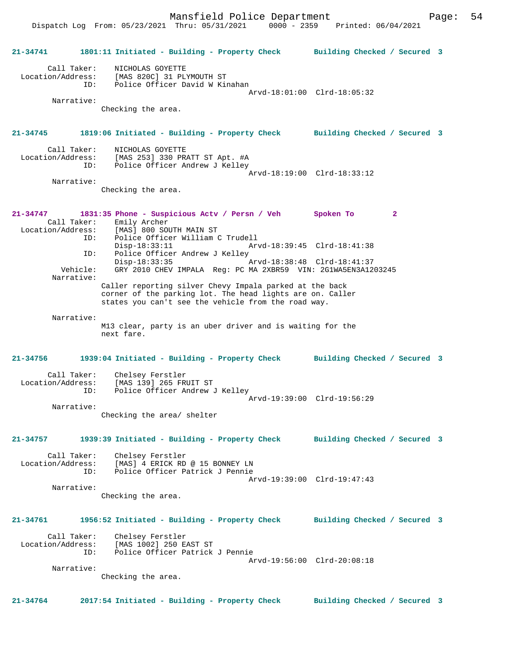Dispatch Log From: 05/23/2021 Thru: 05/31/2021 0000 - 2359 Printed: 06/04/2021

**21-34741 1801:11 Initiated - Building - Property Check Building Checked / Secured 3** Call Taker: NICHOLAS GOYETTE Location/Address: [MAS 820C] 31 PLYMOUTH ST ID: Police Officer David W Kinahan Arvd-18:01:00 Clrd-18:05:32 Narrative: Checking the area. **21-34745 1819:06 Initiated - Building - Property Check Building Checked / Secured 3** Call Taker: NICHOLAS GOYETTE Location/Address: [MAS 253] 330 PRATT ST Apt. #A ID: Police Officer Andrew J Kelley Arvd-18:19:00 Clrd-18:33:12 Narrative: Checking the area. **21-34747 1831:35 Phone - Suspicious Actv / Persn / Veh Spoken To 2**  Call Taker: Emily Archer Location/Address: [MAS] 800 SOUTH MAIN ST ID: Police Officer William C Trudell Disp-18:33:11 Arvd-18:39:45 Clrd-18:41:38<br>ID: Police Officer Andrew J Kelley Police Officer Andrew J Kelley Disp-18:33:35 Arvd-18:38:48 Clrd-18:41:37 Vehicle: GRY 2010 CHEV IMPALA Reg: PC MA 2XBR59 VIN: 2G1WA5EN3A1203245 Narrative: Caller reporting silver Chevy Impala parked at the back corner of the parking lot. The head lights are on. Caller states you can't see the vehicle from the road way. Narrative: M13 clear, party is an uber driver and is waiting for the next fare. **21-34756 1939:04 Initiated - Building - Property Check Building Checked / Secured 3** Call Taker: Chelsey Ferstler Location/Address: [MAS 139] 265 FRUIT ST ID: Police Officer Andrew J Kelley Arvd-19:39:00 Clrd-19:56:29 Narrative: Checking the area/ shelter **21-34757 1939:39 Initiated - Building - Property Check Building Checked / Secured 3** Call Taker: Chelsey Ferstler<br>Location/Address: [MAS] 4 ERICK RD Location/Address: [MAS] 4 ERICK RD @ 15 BONNEY LN ID: Police Officer Patrick J Pennie Arvd-19:39:00 Clrd-19:47:43 Narrative: Checking the area. **21-34761 1956:52 Initiated - Building - Property Check Building Checked / Secured 3** Call Taker: Chelsey Ferstler Location/Address: [MAS 1002] 250 EAST ST ID: Police Officer Patrick J Pennie Arvd-19:56:00 Clrd-20:08:18 Narrative: Checking the area. **21-34764 2017:54 Initiated - Building - Property Check Building Checked / Secured 3**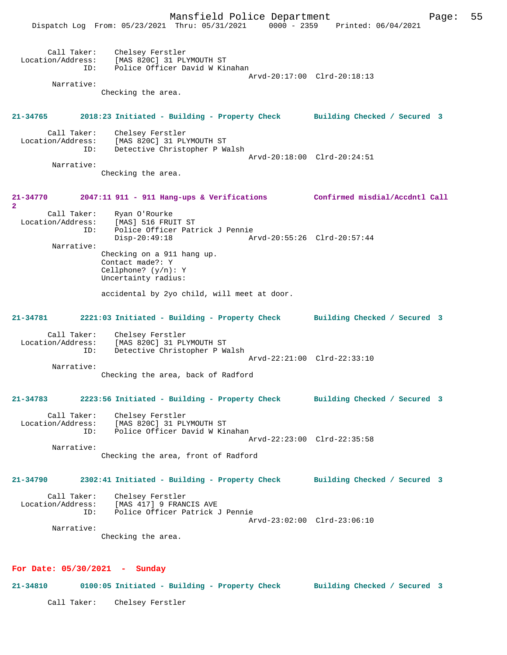

**21-34810 0100:05 Initiated - Building - Property Check Building Checked / Secured 3**

Call Taker: Chelsey Ferstler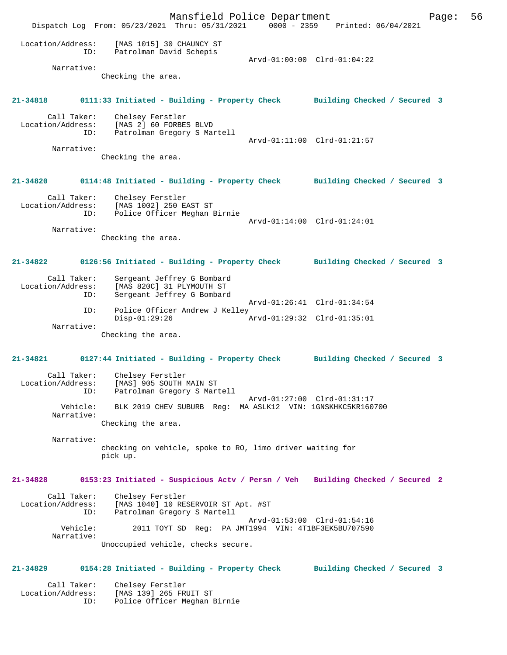Mansfield Police Department Page: 56 Dispatch Log From: 05/23/2021 Thru: 05/31/2021 0000 - 2359 Printed: 06/04/2021 Location/Address: [MAS 1015] 30 CHAUNCY ST ID: Patrolman David Schepis Arvd-01:00:00 Clrd-01:04:22 Narrative: Checking the area. **21-34818 0111:33 Initiated - Building - Property Check Building Checked / Secured 3** Call Taker: Chelsey Ferstler Location/Address: [MAS 2] 60 FORBES BLVD ID: Patrolman Gregory S Martell Arvd-01:11:00 Clrd-01:21:57 Narrative: Checking the area. **21-34820 0114:48 Initiated - Building - Property Check Building Checked / Secured 3** Call Taker: Chelsey Ferstler Location/Address: [MAS 1002] 250 EAST ST ID: Police Officer Meghan Birnie Arvd-01:14:00 Clrd-01:24:01 Narrative: Checking the area. **21-34822 0126:56 Initiated - Building - Property Check Building Checked / Secured 3** Call Taker: Sergeant Jeffrey G Bombard<br>Location/Address: [MAS 820C] 31 PLYMOUTH ST ess: [MAS 820C] 31 PLYMOUTH ST<br>ID: Sergeant Jeffrey G Bombard Sergeant Jeffrey G Bombard Arvd-01:26:41 Clrd-01:34:54<br>TD: Police Officer Andrew J Kelley Police Officer Andrew J Kelley<br>Disp-01:29:26 Disp-01:29:26 Arvd-01:29:32 Clrd-01:35:01 Narrative: Checking the area. **21-34821 0127:44 Initiated - Building - Property Check Building Checked / Secured 3** Call Taker: Chelsey Ferstler Location/Address: [MAS] 905 SOUTH MAIN ST ID: Patrolman Gregory S Martell Arvd-01:27:00 Clrd-01:31:17 Vehicle: BLK 2019 CHEV SUBURB Reg: MA ASLK12 VIN: 1GNSKHKC5KR160700 Narrative: Checking the area. Narrative: checking on vehicle, spoke to RO, limo driver waiting for pick up. **21-34828 0153:23 Initiated - Suspicious Actv / Persn / Veh Building Checked / Secured 2** Call Taker: Chelsey Ferstler Location/Address: [MAS 1040] 10 RESERVOIR ST Apt. #ST Patrolman Gregory S Martell Arvd-01:53:00 Clrd-01:54:16 Vehicle: 2011 TOYT SD Reg: PA JMT1994 VIN: 4T1BF3EK5BU707590 Narrative: Unoccupied vehicle, checks secure. **21-34829 0154:28 Initiated - Building - Property Check Building Checked / Secured 3** Call Taker: Chelsey Ferstler Location/Address: [MAS 139] 265 FRUIT ST

ID: Police Officer Meghan Birnie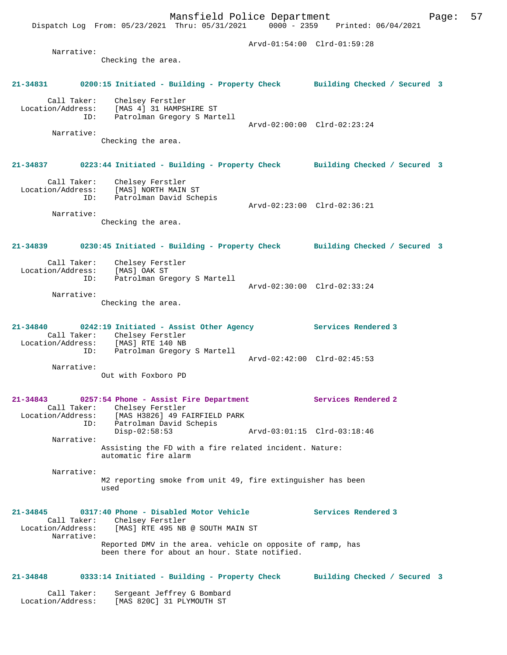Checking the area.

# **21-34831 0200:15 Initiated - Building - Property Check Building Checked / Secured 3**

 Call Taker: Chelsey Ferstler Location/Address: [MAS 4] 31 HAMPSHIRE ST ID: Patrolman Gregory S Martell Arvd-02:00:00 Clrd-02:23:24 Narrative:

Checking the area.

## **21-34837 0223:44 Initiated - Building - Property Check Building Checked / Secured 3**

 Call Taker: Chelsey Ferstler Location/Address: [MAS] NORTH MAIN ST ID: Patrolman David Schepis Arvd-02:23:00 Clrd-02:36:21 Narrative:

Checking the area.

## **21-34839 0230:45 Initiated - Building - Property Check Building Checked / Secured 3**

Call Taker: Chelsey Ferstler<br>ion/Address: [MAS] OAK ST Location/Address: ID: Patrolman Gregory S Martell Arvd-02:30:00 Clrd-02:33:24 Narrative:

Checking the area.

### **21-34840 0242:19 Initiated - Assist Other Agency Services Rendered 3**  Call Taker: Chelsey Ferstler Location/Address: [MAS] RTE 140 NB ID: Patrolman Gregory S Martell Arvd-02:42:00 Clrd-02:45:53 Narrative:

Out with Foxboro PD

#### **21-34843 0257:54 Phone - Assist Fire Department Services Rendered 2**  Call Taker: Chelsey Ferstler<br>Location/Address: [MAS H3826] 49 FI ess: [MAS H3826] 49 FAIRFIELD PARK<br>ID: Patrolman David Schepis Patrolman David Schepis Disp-02:58:53 Arvd-03:01:15 Clrd-03:18:46 Narrative:

Assisting the FD with a fire related incident. Nature: automatic fire alarm

 Narrative: M2 reporting smoke from unit 49, fire extinguisher has been used

### **21-34845 0317:40 Phone - Disabled Motor Vehicle Services Rendered 3**  Call Taker: Chelsey Ferstler<br>Location/Address: [MAS] RTE 495 NB [MAS] RTE 495 NB @ SOUTH MAIN ST Narrative: Reported DMV in the area. vehicle on opposite of ramp, has been there for about an hour. State notified.

# **21-34848 0333:14 Initiated - Building - Property Check Building Checked / Secured 3**

 Call Taker: Sergeant Jeffrey G Bombard Location/Address: [MAS 820C] 31 PLYMOUTH ST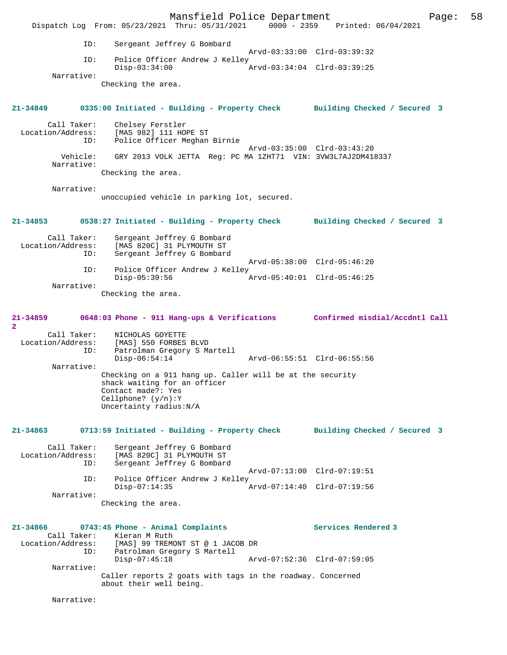Mansfield Police Department Fage: 58 Dispatch Log From: 05/23/2021 Thru: 05/31/2021 0000 - 2359 Printed: 06/04/2021 ID: Sergeant Jeffrey G Bombard Arvd-03:33:00 Clrd-03:39:32<br>TD: Police Officer Andrew J Kelley Police Officer Andrew J Kelley<br>Disp-03:34:00 / Disp-03:34:00 Arvd-03:34:04 Clrd-03:39:25 Narrative: Checking the area. **21-34849 0335:00 Initiated - Building - Property Check Building Checked / Secured 3** Call Taker: Chelsey Ferstler<br>Location/Address: [MAS 982] 111 HO ess: [MAS 982] 111 HOPE ST<br>ID: Police Officer Meghan Police Officer Meghan Birnie Arvd-03:35:00 Clrd-03:43:20 Vehicle: GRY 2013 VOLK JETTA Reg: PC MA 1ZHT71 VIN: 3VW3L7AJ2DM418337 Narrative: Checking the area. Narrative: unoccupied vehicle in parking lot, secured. **21-34853 0538:27 Initiated - Building - Property Check Building Checked / Secured 3** Call Taker: Sergeant Jeffrey G Bombard Location/Address: [MAS 820C] 31 PLYMOUTH ST Sergeant Jeffrey G Bombard Arvd-05:38:00 Clrd-05:46:20 ID: Police Officer Andrew J Kelley<br>Disp-05:39:56 Arvd-05:40:01 Clrd-05:46:25 Narrative: Checking the area. **21-34859 0648:03 Phone - 911 Hang-ups & Verifications Confirmed misdial/Accdntl Call**  $\mathbf{2}$ Call Taker: NICHOLAS GOYETTE<br>Location/Address: [MAS] 550 FORBES ess: [MAS] 550 FORBES BLVD<br>ID: Patrolman Gregory S Ma Patrolman Gregory S Martell<br>Disp-06:54:14 Disp-06:54:14 Arvd-06:55:51 Clrd-06:55:56 Narrative: Checking on a 911 hang up. Caller will be at the security shack waiting for an officer Contact made?: Yes Cellphone? (y/n):Y Uncertainty radius:N/A **21-34863 0713:59 Initiated - Building - Property Check Building Checked / Secured 3** Call Taker: Sergeant Jeffrey G Bombard<br>Location/Address: [MAS 820C] 31 PLYMOUTH ST ess: [MAS 820C] 31 PLYMOUTH ST<br>ID: Sergeant Jeffrey G Bombard Sergeant Jeffrey G Bombard Arvd-07:13:00 Clrd-07:19:51 ID: Police Officer Andrew J Kelley<br>Disp-07:14:35 Disp-07:14:35 Arvd-07:14:40 Clrd-07:19:56 Narrative: Checking the area. **21-34866 0743:45 Phone - Animal Complaints Services Rendered 3**  Call Taker: Kieran M Ruth Location/Address: [MAS] 99 TREMONT ST @ 1 JACOB DR ID: Patrolman Gregory S Martell Disp-07:45:18 Arvd-07:52:36 Clrd-07:59:05 Narrative: Caller reports 2 goats with tags in the roadway. Concerned about their well being. Narrative: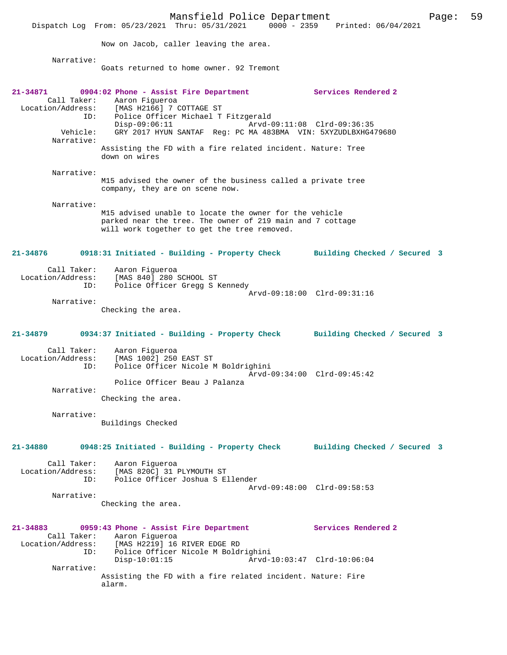Mansfield Police Department Fage: 59 Dispatch Log From: 05/23/2021 Thru: 05/31/2021 0000 - 2359 Printed: 06/04/2021 Now on Jacob, caller leaving the area. Narrative: Goats returned to home owner. 92 Tremont **21-34871 0904:02 Phone - Assist Fire Department Services Rendered 2**  Call Taker: Aaron Figueroa Location/Address: [MAS H2166] 7 COTTAGE ST ID: Police Officer Michael T Fitzgerald Disp-09:06:11 Arvd-09:11:08 Clrd-09:36:35<br>Vehicle: GRY 2017 HYUN SANTAF Req: PC MA 483BMA VIN: 5XYZUDLBXHG4 GRY 2017 HYUN SANTAF Reg: PC MA 483BMA VIN: 5XYZUDLBXHG479680 Narrative: Assisting the FD with a fire related incident. Nature: Tree down on wires Narrative: M15 advised the owner of the business called a private tree company, they are on scene now. Narrative: M15 advised unable to locate the owner for the vehicle parked near the tree. The owner of 219 main and 7 cottage will work together to get the tree removed. **21-34876 0918:31 Initiated - Building - Property Check Building Checked / Secured 3** Call Taker: Aaron Figueroa Location/Address: [MAS 840] 280 SCHOOL ST ID: Police Officer Gregg S Kennedy Arvd-09:18:00 Clrd-09:31:16 Narrative: Checking the area. **21-34879 0934:37 Initiated - Building - Property Check Building Checked / Secured 3** Call Taker: Aaron Figueroa Location/Address: [MAS 1002] 250 EAST ST Police Officer Nicole M Boldrighini Arvd-09:34:00 Clrd-09:45:42 Police Officer Beau J Palanza Narrative: Checking the area. Narrative: Buildings Checked **21-34880 0948:25 Initiated - Building - Property Check Building Checked / Secured 3** Call Taker: Aaron Figueroa Location/Address: [MAS 820C] 31 PLYMOUTH ST ID: Police Officer Joshua S Ellender Arvd-09:48:00 Clrd-09:58:53 Narrative: Checking the area. **21-34883 0959:43 Phone - Assist Fire Department Services Rendered 2**  Call Taker: Aaron Figueroa<br>Location/Address: [MAS H2219] 16 [MAS H2219] 16 RIVER EDGE RD ID: Police Officer Nicole M Boldrighini Disp-10:01:15 Arvd-10:03:47 Clrd-10:06:04 Narrative: Assisting the FD with a fire related incident. Nature: Fire alarm.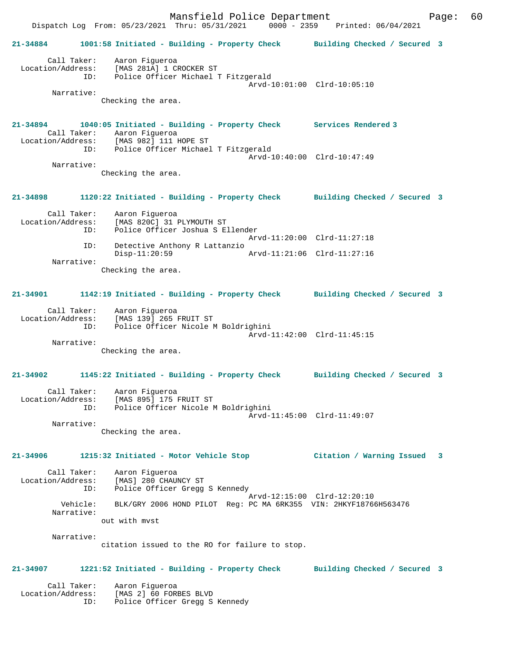Mansfield Police Department Fage: 60 Dispatch Log From: 05/23/2021 Thru: 05/31/2021 0000 - 2359 Printed: 06/04/2021 **21-34884 1001:58 Initiated - Building - Property Check Building Checked / Secured 3** Call Taker: Aaron Figueroa Location/Address: [MAS 281A] 1 CROCKER ST ID: Police Officer Michael T Fitzgerald Arvd-10:01:00 Clrd-10:05:10 Narrative: Checking the area. **21-34894 1040:05 Initiated - Building - Property Check Services Rendered 3**  Call Taker: Aaron Figueroa Location/Address: [MAS 982] 111 HOPE ST Police Officer Michael T Fitzgerald Arvd-10:40:00 Clrd-10:47:49 Narrative: Checking the area. **21-34898 1120:22 Initiated - Building - Property Check Building Checked / Secured 3** Call Taker: Aaron Figueroa Location/Address: [MAS 820C] 31 PLYMOUTH ST ID: Police Officer Joshua S Ellender Arvd-11:20:00 Clrd-11:27:18 ID: Detective Anthony R Lattanzio Disp-11:20:59 Arvd-11:21:06 Clrd-11:27:16 Narrative: Checking the area. **21-34901 1142:19 Initiated - Building - Property Check Building Checked / Secured 3** Call Taker: Aaron Figueroa Location/Address: [MAS 139] 265 FRUIT ST ID: Police Officer Nicole M Boldrighini Arvd-11:42:00 Clrd-11:45:15 Narrative: Checking the area. **21-34902 1145:22 Initiated - Building - Property Check Building Checked / Secured 3** Call Taker: Aaron Figueroa Location/Address: [MAS 895] 175 FRUIT ST ID: Police Officer Nicole M Boldrighini Arvd-11:45:00 Clrd-11:49:07 Narrative: Checking the area. **21-34906 1215:32 Initiated - Motor Vehicle Stop Citation / Warning Issued 3** Call Taker: Aaron Figueroa Location/Address: [MAS] 280 CHAUNCY ST ID: Police Officer Gregg S Kennedy Arvd-12:15:00 Clrd-12:20:10<br>
Vehicle: BLK/GRY 2006 HOND PILOT Reg: PC MA 6RK355 VIN: 2HKYF1876 BLK/GRY 2006 HOND PILOT Reg: PC MA 6RK355 VIN: 2HKYF18766H563476 Narrative: out with mvst Narrative: citation issued to the RO for failure to stop. **21-34907 1221:52 Initiated - Building - Property Check Building Checked / Secured 3** Call Taker: Aaron Figueroa Location/Address: [MAS 2] 60 FORBES BLVD ID: Police Officer Gregg S Kennedy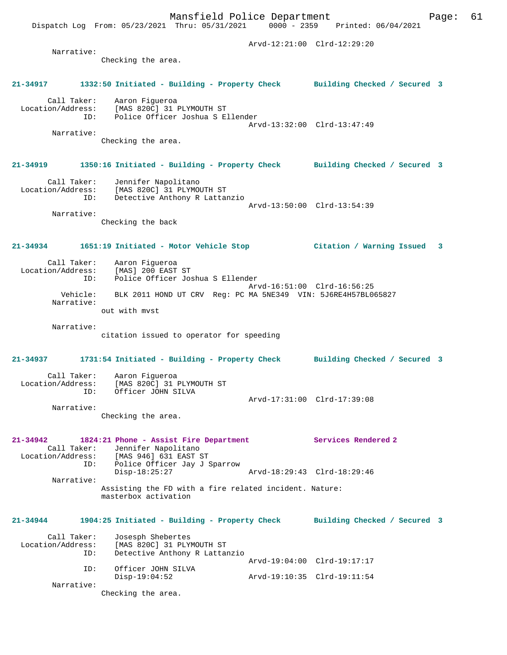Arvd-12:21:00 Clrd-12:29:20 Narrative: Checking the area. **21-34917 1332:50 Initiated - Building - Property Check Building Checked / Secured 3** Call Taker: Aaron Figueroa Location/Address: [MAS 820C] 31 PLYMOUTH ST ID: Police Officer Joshua S Ellender Arvd-13:32:00 Clrd-13:47:49 Narrative: Checking the area. **21-34919 1350:16 Initiated - Building - Property Check Building Checked / Secured 3** Call Taker: Jennifer Napolitano Location/Address: [MAS 820C] 31 PLYMOUTH ST ID: Detective Anthony R Lattanzio Arvd-13:50:00 Clrd-13:54:39 Narrative: Checking the back **21-34934 1651:19 Initiated - Motor Vehicle Stop Citation / Warning Issued 3** Call Taker: Aaron Figueroa Location/Address: [MAS] 200 EAST ST ID: Police Officer Joshua S Ellender Arvd-16:51:00 Clrd-16:56:25 Vehicle: BLK 2011 HOND UT CRV Reg: PC MA 5NE349 VIN: 5J6RE4H57BL065827 Narrative: out with mvst Narrative: citation issued to operator for speeding **21-34937 1731:54 Initiated - Building - Property Check Building Checked / Secured 3** Call Taker: Aaron Figueroa Location/Address: [MAS 820C] 31 PLYMOUTH ST ID: Officer JOHN SILVA Arvd-17:31:00 Clrd-17:39:08 Narrative: Checking the area. **21-34942 1824:21 Phone - Assist Fire Department Services Rendered 2**  Call Taker: Jennifer Napolitano Location/Address: [MAS 946] 631 EAST ST<br>ID: Police Officer Jav J Police Officer Jay J Sparrow<br>Disp-18:25:27 Disp-18:25:27 Arvd-18:29:43 Clrd-18:29:46 Narrative: Assisting the FD with a fire related incident. Nature: masterbox activation **21-34944 1904:25 Initiated - Building - Property Check Building Checked / Secured 3** Call Taker: Josesph Shebertes<br>Location/Address: [MAS 820C] 31 PLY Exation: Same In a Same Indian Strain<br>The Secondress of the Secondary R Lattary Detective Anthony R Lattanzio Arvd-19:04:00 Clrd-19:17:17 ID: Officer JOHN SILVA<br>Disp-19:04:52 Disp-19:04:52 Arvd-19:10:35 Clrd-19:11:54 Narrative: Checking the area.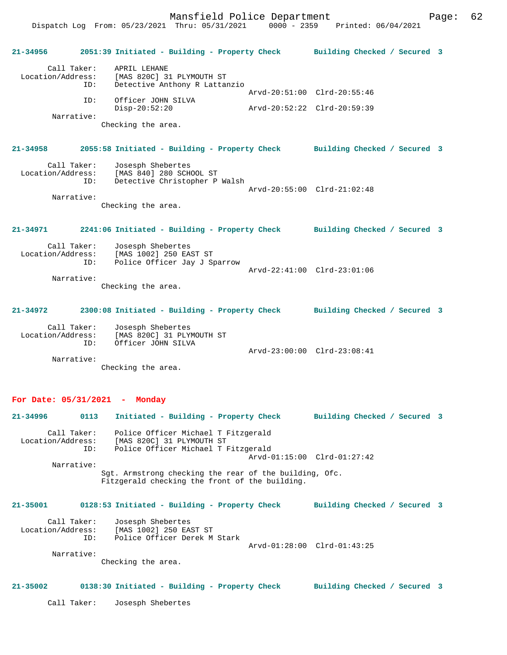Dispatch Log From: 05/23/2021 Thru: 05/31/2021 0000 - 2359 Printed: 06/04/2021

**21-34956 2051:39 Initiated - Building - Property Check Building Checked / Secured 3** Call Taker: APRIL LEHANE Location/Address: [MAS 820C] 31 PLYMOUTH ST ID: Detective Anthony R Lattanzio Arvd-20:51:00 Clrd-20:55:46 ID: Officer JOHN SILVA Disp-20:52:20 Arvd-20:52:22 Clrd-20:59:39 Narrative: Checking the area. **21-34958 2055:58 Initiated - Building - Property Check Building Checked / Secured 3** Call Taker: Josesph Shebertes Location/Address: [MAS 840] 280 SCHOOL ST ID: Detective Christopher P Walsh Arvd-20:55:00 Clrd-21:02:48 Narrative: Checking the area. **21-34971 2241:06 Initiated - Building - Property Check Building Checked / Secured 3** Call Taker: Josesph Shebertes Location/Address: [MAS 1002] 250 EAST ST<br>ID: Police Officer Jay J St Police Officer Jay J Sparrow Arvd-22:41:00 Clrd-23:01:06 Narrative: Checking the area. **21-34972 2300:08 Initiated - Building - Property Check Building Checked / Secured 3** Call Taker: Josesph Shebertes Location/Address: [MAS 820C] 31 PLYMOUTH ST ID: Officer JOHN SILVA Arvd-23:00:00 Clrd-23:08:41 Narrative: Checking the area.

## **For Date: 05/31/2021 - Monday**

| 21-34996     | 0113        | Initiated - Building - Property Check                                                                                         |                             | Building Checked / Secured 3 |  |
|--------------|-------------|-------------------------------------------------------------------------------------------------------------------------------|-----------------------------|------------------------------|--|
|              | Call Taker: | Police Officer Michael T Fitzgerald<br>Location/Address: [MAS 820C] 31 PLYMOUTH ST<br>ID: Police Officer Michael T Fitzgerald | Arvd-01:15:00 Clrd-01:27:42 |                              |  |
| Narrative:   |             |                                                                                                                               |                             |                              |  |
|              |             | Sqt. Armstrong checking the rear of the building, Ofc.<br>Fitzgerald checking the front of the building.                      |                             |                              |  |
| $21 - 35001$ |             | 0128:53 Initiated - Building - Property Check                                                                                 |                             | Building Checked / Secured 3 |  |
|              | ID:         | Call Taker: Josesph Shebertes<br>Location/Address: [MAS 1002] 250 EAST ST<br>Police Officer Derek M Stark                     | Arvd-01:28:00 Clrd-01:43:25 |                              |  |
| Narrative:   |             |                                                                                                                               |                             |                              |  |
|              |             | Checking the area.                                                                                                            |                             |                              |  |
| $21 - 35002$ |             | 0138:30 Initiated - Building - Property Check                                                                                 |                             | Building Checked / Secured 3 |  |

Call Taker: Josesph Shebertes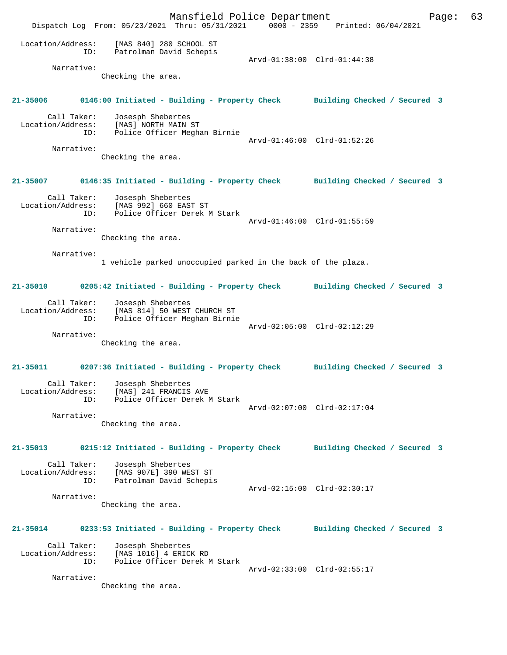Mansfield Police Department Page: 63 Dispatch Log From: 05/23/2021 Thru: 05/31/2021 0000 - 2359 Printed: 06/04/2021 Location/Address: [MAS 840] 280 SCHOOL ST ID: Patrolman David Schepis Patrolman David Schepis<br>Arvd-01:38:00 Clrd-01:44:38 Narrative: Checking the area. **21-35006 0146:00 Initiated - Building - Property Check Building Checked / Secured 3** Call Taker: Josesph Shebertes Location/Address: [MAS] NORTH MAIN ST ID: Police Officer Meghan Birnie Arvd-01:46:00 Clrd-01:52:26 Narrative: Checking the area. **21-35007 0146:35 Initiated - Building - Property Check Building Checked / Secured 3** Call Taker: Josesph Shebertes Location/Address: [MAS 992] 660 EAST ST ID: Police Officer Derek M Stark Arvd-01:46:00 Clrd-01:55:59 Narrative: Checking the area. Narrative: 1 vehicle parked unoccupied parked in the back of the plaza. **21-35010 0205:42 Initiated - Building - Property Check Building Checked / Secured 3** Call Taker: Josesph Shebertes Location/Address: [MAS 814] 50 WEST CHURCH ST ID: Police Officer Meghan Birnie Arvd-02:05:00 Clrd-02:12:29 Narrative: Checking the area. **21-35011 0207:36 Initiated - Building - Property Check Building Checked / Secured 3** Call Taker: Josesph Shebertes<br>ion/Address: [MAS] 241 FRANCIS AVE Location/Address: ID: Police Officer Derek M Stark Arvd-02:07:00 Clrd-02:17:04 Narrative: Checking the area. **21-35013 0215:12 Initiated - Building - Property Check Building Checked / Secured 3** Call Taker: Josesph Shebertes Location/Address: [MAS 907E] 390 WEST ST Patrolman David Schepis Arvd-02:15:00 Clrd-02:30:17 Narrative: Checking the area. **21-35014 0233:53 Initiated - Building - Property Check Building Checked / Secured 3** Call Taker: Josesph Shebertes Location/Address: [MAS 1016] 4 ERICK RD ID: Police Officer Derek M Stark Arvd-02:33:00 Clrd-02:55:17 Narrative: Checking the area.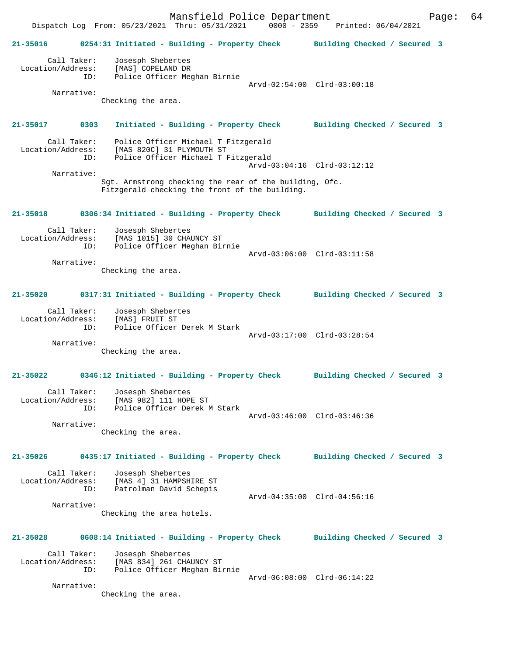Dispatch Log From: 05/23/2021 Thru: 05/31/2021 0000 - 2359 Printed: 06/04/2021 **21-35016 0254:31 Initiated - Building - Property Check Building Checked / Secured 3** Call Taker: Josesph Shebertes Location/Address: [MAS] COPELAND DR ID: Police Officer Meghan Birnie Arvd-02:54:00 Clrd-03:00:18 Narrative: Checking the area. **21-35017 0303 Initiated - Building - Property Check Building Checked / Secured 3** Call Taker: Police Officer Michael T Fitzgerald Location/Address: [MAS 820C] 31 PLYMOUTH ST<br>TD: Police Officer Michael T I Police Officer Michael T Fitzgerald Arvd-03:04:16 Clrd-03:12:12 Narrative: Sgt. Armstrong checking the rear of the building, Ofc. Fitzgerald checking the front of the building. **21-35018 0306:34 Initiated - Building - Property Check Building Checked / Secured 3** Call Taker: Josesph Shebertes Location/Address: [MAS 1015] 30 CHAUNCY ST ID: Police Officer Meghan Birnie Arvd-03:06:00 Clrd-03:11:58 Narrative: Checking the area. **21-35020 0317:31 Initiated - Building - Property Check Building Checked / Secured 3** Call Taker: Josesph Shebertes Location/Address: [MAS] FRUIT ST ID: Police Officer Derek M Stark Arvd-03:17:00 Clrd-03:28:54 Narrative: Checking the area. **21-35022 0346:12 Initiated - Building - Property Check Building Checked / Secured 3** Call Taker: Josesph Shebertes Location/Address: [MAS 982] 111 HOPE ST ID: Police Officer Derek M Stark Arvd-03:46:00 Clrd-03:46:36 Narrative: Checking the area. **21-35026 0435:17 Initiated - Building - Property Check Building Checked / Secured 3** Call Taker: Josesph Shebertes Location/Address: [MAS 4] 31 HAMPSHIRE ST ID: Patrolman David Schepis Arvd-04:35:00 Clrd-04:56:16 Narrative: Checking the area hotels. **21-35028 0608:14 Initiated - Building - Property Check Building Checked / Secured 3** Call Taker: Josesph Shebertes Location/Address: [MAS 834] 261 CHAUNCY ST ID: Police Officer Meghan Birnie Arvd-06:08:00 Clrd-06:14:22 Narrative: Checking the area.

Mansfield Police Department Fage: 64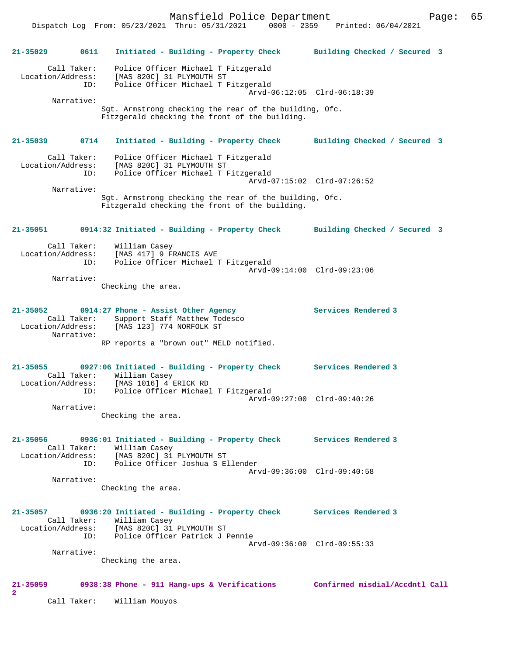Mansfield Police Department Fage: 65

 Dispatch Log From: 05/23/2021 Thru: 05/31/2021 0000 - 2359 Printed: 06/04/2021 **21-35029 0611 Initiated - Building - Property Check Building Checked / Secured 3** Call Taker: Police Officer Michael T Fitzgerald Location/Address: [MAS 820C] 31 PLYMOUTH ST ID: Police Officer Michael T Fitzgerald Arvd-06:12:05 Clrd-06:18:39 Narrative: Sgt. Armstrong checking the rear of the building, Ofc. Fitzgerald checking the front of the building. **21-35039 0714 Initiated - Building - Property Check Building Checked / Secured 3** Call Taker: Police Officer Michael T Fitzgerald Location/Address: [MAS 820C] 31 PLYMOUTH ST ID: Police Officer Michael T Fitzgerald Arvd-07:15:02 Clrd-07:26:52 Narrative: Sgt. Armstrong checking the rear of the building, Ofc. Fitzgerald checking the front of the building. **21-35051 0914:32 Initiated - Building - Property Check Building Checked / Secured 3** Call Taker: William Casey Location/Address: [MAS 417] 9 FRANCIS AVE<br>TD: Police Officer Michael 7 Police Officer Michael T Fitzgerald Arvd-09:14:00 Clrd-09:23:06 Narrative: Checking the area. **21-35052 0914:27 Phone - Assist Other Agency Services Rendered 3**  Call Taker: Support Staff Matthew Todesco<br>Location/Address: [MAS 123] 774 NORFOLK ST [MAS 123] 774 NORFOLK ST Narrative: RP reports a "brown out" MELD notified. **21-35055 0927:06 Initiated - Building - Property Check Services Rendered 3**  Call Taker: William Casey Location/Address: [MAS 1016] 4 ERICK RD ID: Police Officer Michael T Fitzgerald Arvd-09:27:00 Clrd-09:40:26 Narrative: Checking the area. **21-35056 0936:01 Initiated - Building - Property Check Services Rendered 3**  Call Taker: William Casey Location/Address: [MAS 820C] 31 PLYMOUTH ST ID: Police Officer Joshua S Ellender Arvd-09:36:00 Clrd-09:40:58 Narrative: Checking the area. **21-35057 0936:20 Initiated - Building - Property Check Services Rendered 3**  Call Taker: William Casey Location/Address: [MAS 820C] 31 PLYMOUTH ST ID: Police Officer Patrick J Pennie Arvd-09:36:00 Clrd-09:55:33 Narrative: Checking the area. **21-35059 0938:38 Phone - 911 Hang-ups & Verifications Confirmed misdial/Accdntl Call 2**  Call Taker: William Mouyos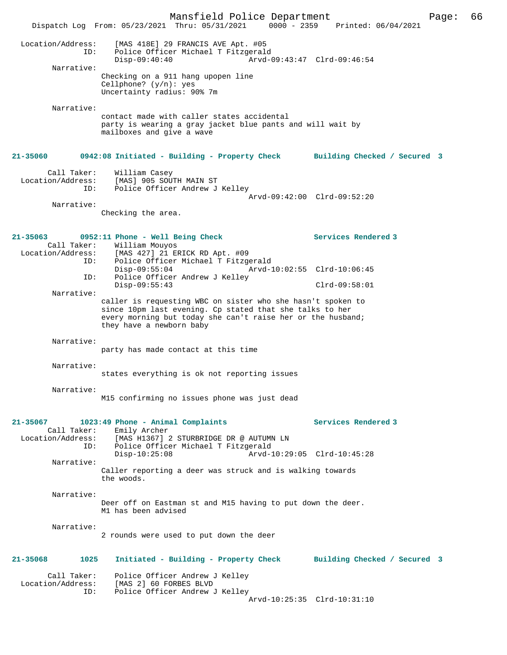|                                                                | Mansfield Police Department<br>Dispatch Log From: 05/23/2021 Thru: 05/31/2021                                                                                                                                      | Page:<br>0000 - 2359 Printed: 06/04/2021 | 66 |
|----------------------------------------------------------------|--------------------------------------------------------------------------------------------------------------------------------------------------------------------------------------------------------------------|------------------------------------------|----|
| Location/Address:<br>ID:                                       | [MAS 418E] 29 FRANCIS AVE Apt. #05<br>Police Officer Michael T Fitzgerald<br>$Disp-09:40:40$                                                                                                                       | Arvd-09:43:47 Clrd-09:46:54              |    |
| Narrative:                                                     | Checking on a 911 hang upopen line<br>Cellphone? $(y/n)$ : yes<br>Uncertainty radius: 90% 7m                                                                                                                       |                                          |    |
| Narrative:                                                     | contact made with caller states accidental<br>party is wearing a gray jacket blue pants and will wait by<br>mailboxes and give a wave                                                                              |                                          |    |
| 21-35060                                                       | 0942:08 Initiated - Building - Property Check                                                                                                                                                                      | Building Checked / Secured 3             |    |
| Call Taker:<br>Location/Address:<br>ID:                        | William Casey<br>[MAS] 905 SOUTH MAIN ST<br>Police Officer Andrew J Kelley                                                                                                                                         | Arvd-09:42:00 Clrd-09:52:20              |    |
| Narrative:                                                     | Checking the area.                                                                                                                                                                                                 |                                          |    |
| $21 - 35063$<br>Call Taker:<br>Location/Address:<br>TD:<br>ID: | 0952:11 Phone - Well Being Check<br>William Mouyos<br>[MAS 427] 21 ERICK RD Apt. #09<br>Police Officer Michael T Fitzgerald                                                                                        | Services Rendered 3                      |    |
| ID:                                                            | $Disp-09:55:04$<br>Police Officer Andrew J Kelley                                                                                                                                                                  | Arvd-10:02:55 Clrd-10:06:45              |    |
| Narrative:                                                     | Disp-09:55:43                                                                                                                                                                                                      | $Clrd-09:58:01$                          |    |
|                                                                | caller is requesting WBC on sister who she hasn't spoken to<br>since 10pm last evening. Cp stated that she talks to her<br>every morning but today she can't raise her or the husband;<br>they have a newborn baby |                                          |    |
| Narrative:                                                     | party has made contact at this time                                                                                                                                                                                |                                          |    |
| Narrative:                                                     | states everything is ok not reporting issues                                                                                                                                                                       |                                          |    |
| Narrative:                                                     | M15 confirming no issues phone was just dead                                                                                                                                                                       |                                          |    |
| $21 - 35067$                                                   | 1023:49 Phone - Animal Complaints                                                                                                                                                                                  | Services Rendered 3                      |    |
| Call Taker:<br>Location/Address:<br>ID:                        | Emily Archer<br>[MAS H1367] 2 STURBRIDGE DR @ AUTUMN LN<br>Police Officer Michael T Fitzgerald<br>$Disp-10:25:08$                                                                                                  | Arvd-10:29:05 Clrd-10:45:28              |    |
| Narrative:                                                     | Caller reporting a deer was struck and is walking towards<br>the woods.                                                                                                                                            |                                          |    |
| Narrative:                                                     | Deer off on Eastman st and M15 having to put down the deer.<br>M1 has been advised                                                                                                                                 |                                          |    |
| Narrative:                                                     | 2 rounds were used to put down the deer                                                                                                                                                                            |                                          |    |
| $21 - 35068$<br>1025                                           | Initiated - Building - Property Check                                                                                                                                                                              | Building Checked / Secured 3             |    |
| Call Taker:<br>Location/Address:<br>ID:                        | Police Officer Andrew J Kelley<br>[MAS 2] 60 FORBES BLVD<br>Police Officer Andrew J Kelley                                                                                                                         | Arvd-10:25:35 Clrd-10:31:10              |    |
|                                                                |                                                                                                                                                                                                                    |                                          |    |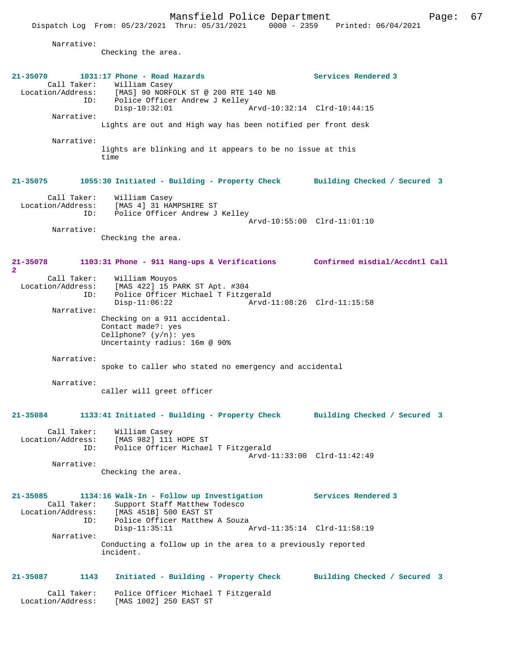Mansfield Police Department Page: 67 Dispatch Log From: 05/23/2021 Thru: 05/31/2021 Narrative: Checking the area. **21-35070 1031:17 Phone - Road Hazards Services Rendered 3**  Call Taker: William Casey<br>Location/Address: [MAS] 90 NORFO ess: [MAS] 90 NORFOLK ST @ 200 RTE 140 NB<br>ID: Police Officer Andrew J Kelley Police Officer Andrew J Kelley<br>Disp-10:32:01 Disp-10:32:01 Arvd-10:32:14 Clrd-10:44:15 Narrative: Lights are out and High way has been notified per front desk Narrative: lights are blinking and it appears to be no issue at this time **21-35075 1055:30 Initiated - Building - Property Check Building Checked / Secured 3** Call Taker: William Casey Location/Address: [MAS 4] 31 HAMPSHIRE ST<br>Location/Address: [MAS 4] 31 HAMPSHIRE ST Police Officer Andrew J Kelley Arvd-10:55:00 Clrd-11:01:10 Narrative: Checking the area. **21-35078 1103:31 Phone - 911 Hang-ups & Verifications Confirmed misdial/Accdntl Call 2**  Call Taker: William Mouyos<br>Location/Address: [MAS 422] 15 P ess: [MAS 422] 15 PARK ST Apt. #304<br>ID: Police Officer Michael T Fitzge Police Officer Michael T Fitzgerald Disp-11:06:22 Arvd-11:08:26 Clrd-11:15:58 Narrative: Checking on a 911 accidental. Contact made?: yes Cellphone? (y/n): yes Uncertainty radius: 16m @ 90% Narrative: spoke to caller who stated no emergency and accidental Narrative: caller will greet officer **21-35084 1133:41 Initiated - Building - Property Check Building Checked / Secured 3** Call Taker: William Casey<br>Location/Address: [MAS 982] 111 ess: [MAS 982] 111 HOPE ST<br>TD: Police Officer Michae Police Officer Michael T Fitzgerald Arvd-11:33:00 Clrd-11:42:49 Narrative: Checking the area. **21-35085 1134:16 Walk-In - Follow up Investigation Services Rendered 3**  Call Taker: Support Staff Matthew Todesco<br>Location/Address: [MAS 451B] 500 EAST ST ess: [MAS 451B] 500 EAST ST<br>ID: Police Officer Matthew Police Officer Matthew A Souza Disp-11:35:11 Arvd-11:35:14 Clrd-11:58:19 Narrative: Conducting a follow up in the area to a previously reported incident. **21-35087 1143 Initiated - Building - Property Check Building Checked / Secured 3** Call Taker: Police Officer Michael T Fitzgerald Location/Address: [MAS 1002] 250 EAST ST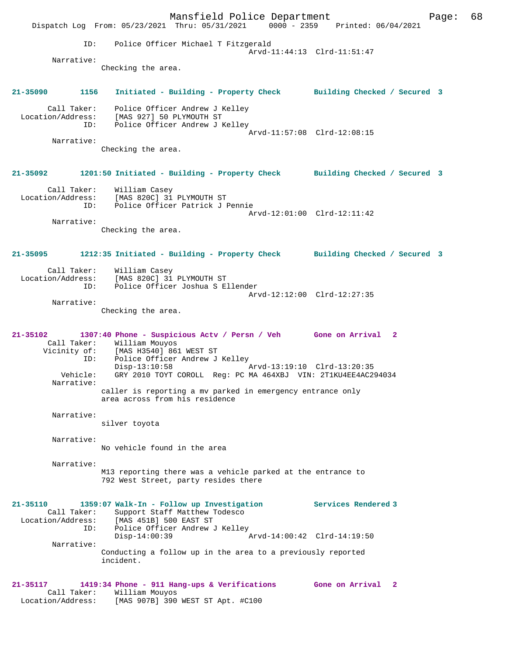Mansfield Police Department Page: 68 Dispatch Log From: 05/23/2021 Thru: 05/31/2021 0000 - 2359 Printed: 06/04/2021 ID: Police Officer Michael T Fitzgerald Arvd-11:44:13 Clrd-11:51:47 Narrative: Checking the area. **21-35090 1156 Initiated - Building - Property Check Building Checked / Secured 3** Call Taker: Police Officer Andrew J Kelley Location/Address: [MAS 927] 50 PLYMOUTH ST ID: Police Officer Andrew J Kelley Arvd-11:57:08 Clrd-12:08:15 Narrative: Checking the area. **21-35092 1201:50 Initiated - Building - Property Check Building Checked / Secured 3** Call Taker: William Casey Location/Address: [MAS 820C] 31 PLYMOUTH ST ID: Police Officer Patrick J Pennie Arvd-12:01:00 Clrd-12:11:42 Narrative: Checking the area. **21-35095 1212:35 Initiated - Building - Property Check Building Checked / Secured 3** Call Taker: William Casey Location/Address: [MAS 820C] 31 PLYMOUTH ST ID: Police Officer Joshua S Ellender Arvd-12:12:00 Clrd-12:27:35 Narrative: Checking the area. **21-35102 1307:40 Phone - Suspicious Actv / Persn / Veh Gone on Arrival 2**  Call Taker: William Mouyos<br>Vicinity of: [MAS H3540] 861 [MAS H3540] 861 WEST ST ID: Police Officer Andrew J Kelley Disp-13:10:58 Arvd-13:19:10 Clrd-13:20:35 Vehicle: GRY 2010 TOYT COROLL Reg: PC MA 464XBJ VIN: 2T1KU4EE4AC294034 Narrative: caller is reporting a mv parked in emergency entrance only area across from his residence Narrative: silver toyota Narrative: No vehicle found in the area Narrative: M13 reporting there was a vehicle parked at the entrance to 792 West Street, party resides there **21-35110 1359:07 Walk-In - Follow up Investigation Services Rendered 3**  Call Taker: Support Staff Matthew Todesco<br>Location/Address: [MAS 451B] 500 EAST ST  $\overline{[MAS 451B]}$  500 EAST ST ID: Police Officer Andrew J Kelley<br>Disp-14:00:39  $\bar{P}_{AYd-14:00:42}$  Clrd-14:19:50 Narrative: Conducting a follow up in the area to a previously reported incident. **21-35117 1419:34 Phone - 911 Hang-ups & Verifications Gone on Arrival 2**  Call Taker: William Mouyos Location/Address: [MAS 907B] 390 WEST ST Apt. #C100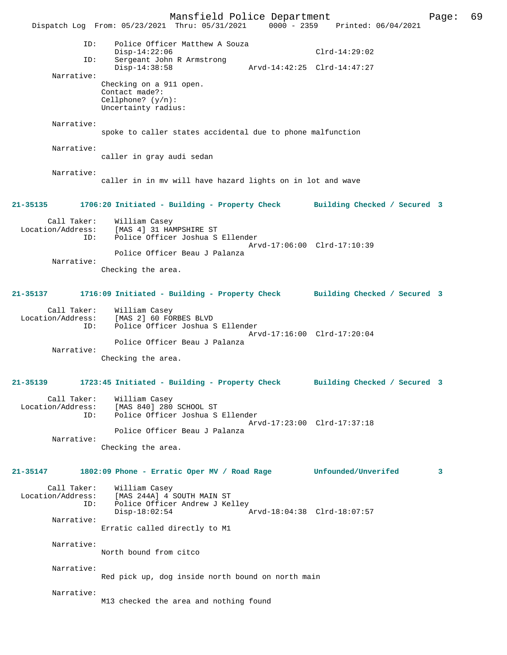Mansfield Police Department Page: 69 Dispatch Log From: 05/23/2021 Thru: 05/31/2021 ID: Police Officer Matthew A Souza  $Disp-14:22:06$  Clrd-14:29:02<br>TD: Sergeant John R Armstrong Sergeant John R Armstrong<br>Disp-14:38:58 Disp-14:38:58 Arvd-14:42:25 Clrd-14:47:27 Narrative: Checking on a 911 open. Contact made?: Cellphone? (y/n): Uncertainty radius: Narrative: spoke to caller states accidental due to phone malfunction Narrative: caller in gray audi sedan Narrative: caller in in mv will have hazard lights on in lot and wave **21-35135 1706:20 Initiated - Building - Property Check Building Checked / Secured 3** Call Taker: William Casey<br>Location/Address: [MAS 4] 31 HA Location/Address: [MAS 4] 31 HAMPSHIRE ST ID: Police Officer Joshua S Ellender Arvd-17:06:00 Clrd-17:10:39 Police Officer Beau J Palanza Narrative: Checking the area. **21-35137 1716:09 Initiated - Building - Property Check Building Checked / Secured 3** Call Taker: William Casey<br>Location/Address: [MAS 2] 60 FOI SS: [MAS 2] 60 FORBES BLVD<br>ID: Police Officer Joshua Police Officer Joshua S Ellender Arvd-17:16:00 Clrd-17:20:04 Police Officer Beau J Palanza Narrative: Checking the area. **21-35139 1723:45 Initiated - Building - Property Check Building Checked / Secured 3** Call Taker: William Casey<br>Location/Address: [MAS 840] 280 ess: [MAS 840] 280 SCHOOL ST<br>ID: Police Officer Joshua S Police Officer Joshua S Ellender Arvd-17:23:00 Clrd-17:37:18 Police Officer Beau J Palanza Narrative: Checking the area. **21-35147 1802:09 Phone - Erratic Oper MV / Road Rage Unfounded/Unverifed 3** Call Taker: William Casey Location/Address: [MAS 244A] 4 SOUTH MAIN ST<br>ID: Police Officer Andrew J Kel Police Officer Andrew J Kelley<br>Disp-18:02:54 Disp-18:02:54 Arvd-18:04:38 Clrd-18:07:57 Narrative: Erratic called directly to M1 Narrative: North bound from citco Narrative: Red pick up, dog inside north bound on north main Narrative: M13 checked the area and nothing found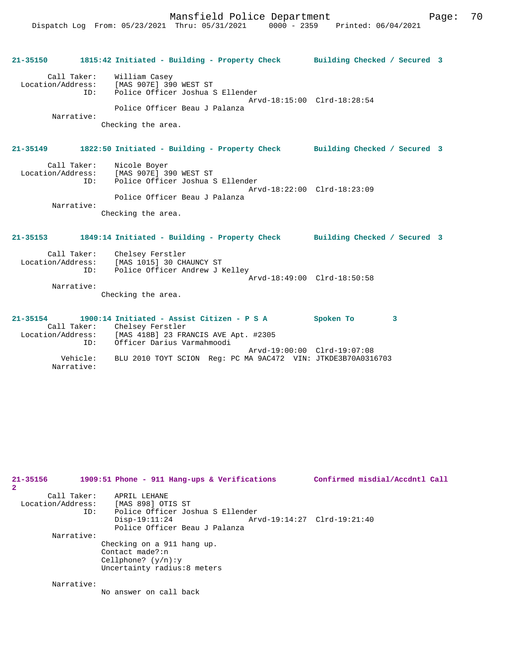| $21 - 35150$                                          | 1815:42 Initiated - Building - Property Check Building Checked / Secured 3                                                                                         |                             |  |
|-------------------------------------------------------|--------------------------------------------------------------------------------------------------------------------------------------------------------------------|-----------------------------|--|
| Call Taker:<br>Location/Address:<br>ID:<br>Narrative: | William Casey<br>[MAS 907E] 390 WEST ST<br>Police Officer Joshua S Ellender<br>Police Officer Beau J Palanza<br>Checking the area.                                 | Arvd-18:15:00 Clrd-18:28:54 |  |
| $21 - 35149$                                          | 1822:50 Initiated - Building - Property Check Building Checked / Secured 3                                                                                         |                             |  |
| Call Taker:<br>ID:<br>Narrative:                      | Nicole Boyer<br>Location/Address: [MAS 907E] 390 WEST ST<br>Police Officer Joshua S Ellender<br>Police Officer Beau J Palanza<br>Checking the area.                | Arvd-18:22:00 Clrd-18:23:09 |  |
| $21 - 35153$                                          | 1849:14 Initiated - Building - Property Check Building Checked / Secured 3                                                                                         |                             |  |
| Narrative:                                            | Call Taker: Chelsey Ferstler<br>Location/Address: [MAS 1015] 30 CHAUNCY ST<br>Police Officer Andrew J Kelley<br>ID:<br>Checking the area.                          | Arvd-18:49:00 Clrd-18:50:58 |  |
| $21 - 35154$<br>ID:                                   | 1900:14 Initiated - Assist Citizen - P S A<br>Call Taker: Chelsey Ferstler<br>Location/Address: [MAS 418B] 23 FRANCIS AVE Apt. #2305<br>Officer Darius Varmahmoodi | Spoken To<br>3              |  |
| Vehicle:                                              | BLU 2010 TOYT SCION Reg: PC MA 9AC472 VIN: JTKDE3B70A0316703                                                                                                       | Arvd-19:00:00 Clrd-19:07:08 |  |

Narrative:

| 21-35156<br>$\mathbf{2}$                | 1909:51 Phone - 911 Hang-ups & Verifications                                                          | Confirmed misdial/Accdntl Call |
|-----------------------------------------|-------------------------------------------------------------------------------------------------------|--------------------------------|
| Call Taker:<br>Location/Address:<br>ID: | APRIL LEHANE<br>[MAS 898] OTIS ST<br>Police Officer Joshua S Ellender<br>$Disp-19:11:24$              | Arvd-19:14:27 Clrd-19:21:40    |
| Narrative:                              | Police Officer Beau J Palanza                                                                         |                                |
|                                         | Checking on a 911 hang up.<br>Contact made?:n<br>Cellphone? $(y/n):y$<br>Uncertainty radius: 8 meters |                                |
| Narrative:                              |                                                                                                       |                                |
|                                         | No answer on call back                                                                                |                                |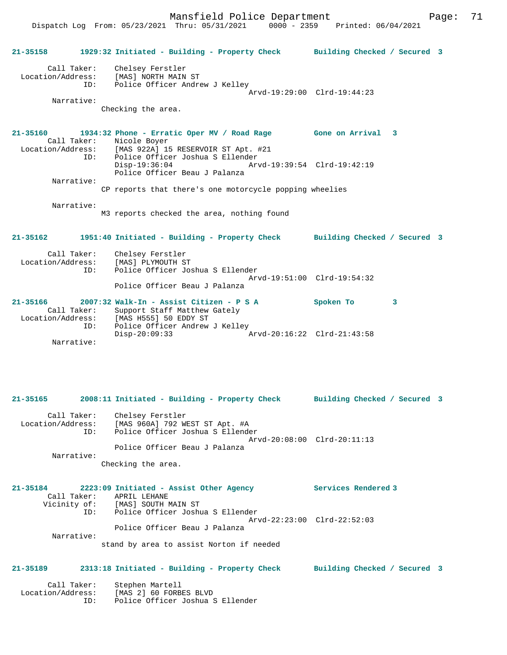Mansfield Police Department Fage: 71

Dispatch Log From: 05/23/2021 Thru: 05/31/2021 0000 - 2359 Printed: 06/04/2021

**21-35158 1929:32 Initiated - Building - Property Check Building Checked / Secured 3** Call Taker: Chelsey Ferstler Location/Address: [MAS] NORTH MAIN ST ID: Police Officer Andrew J Kelley Arvd-19:29:00 Clrd-19:44:23 Narrative: Checking the area. **21-35160 1934:32 Phone - Erratic Oper MV / Road Rage Gone on Arrival 3**  Call Taker: Nicole Boyer<br>Location/Address: [MAS 922A] 19  $[MAS 922A]$  15 RESERVOIR ST Apt. #21 ID: Police Officer Joshua S Ellender Disp-19:36:04 Arvd-19:39:54 Clrd-19:42:19 Police Officer Beau J Palanza Narrative: CP reports that there's one motorcycle popping wheelies Narrative: M3 reports checked the area, nothing found **21-35162 1951:40 Initiated - Building - Property Check Building Checked / Secured 3** Call Taker: Chelsey Ferstler<br>Location/Address: [MAS] PLYMOUTH ST Location Charles (MAS) PLYMOUTH ST ID: Police Officer Joshua S Ellender Arvd-19:51:00 Clrd-19:54:32 Police Officer Beau J Palanza **21-35166 2007:32 Walk-In - Assist Citizen - P S A Spoken To 3**  Call Taker: Support Staff Matthew Gately Location/Address: [MAS H555] 50 EDDY ST ID: Police Officer Andrew J Kelley<br>Disp-20:09:33 Disp-20:09:33 Arvd-20:16:22 Clrd-21:43:58 Narrative: **21-35165 2008:11 Initiated - Building - Property Check Building Checked / Secured 3** Call Taker: Chelsey Ferstler Location/Address: [MAS 960A] 792 WEST ST Apt. #A ID: Police Officer Joshua S Ellender Arvd-20:08:00 Clrd-20:11:13 Police Officer Beau J Palanza Narrative: Checking the area. **21-35184 2223:09 Initiated - Assist Other Agency Services Rendered 3**  Call Taker: APRIL LEHANE Vicinity of: [MAS] SOUTH MAIN ST ID: Police Officer Joshua S Ellender Arvd-22:23:00 Clrd-22:52:03 Police Officer Beau J Palanza Narrative: stand by area to assist Norton if needed **21-35189 2313:18 Initiated - Building - Property Check Building Checked / Secured 3** Call Taker: Stephen Martell Location/Address: [MAS 2] 60 FORBES BLVD ID: Police Officer Joshua S Ellender